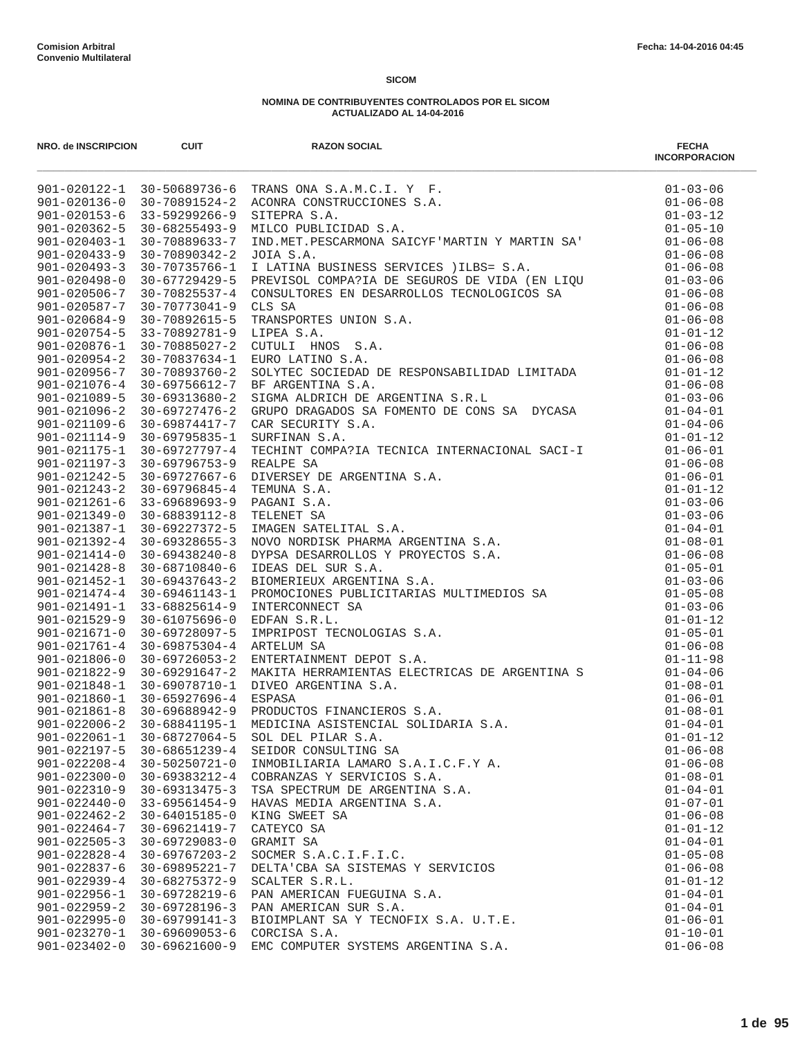| NRO. de INSCRIPCION                      | <b>CUIT</b>                                | <b>RAZON SOCIAL</b>                  | <b>FECHA</b><br><b>INCORPORACION</b> |
|------------------------------------------|--------------------------------------------|--------------------------------------|--------------------------------------|
|                                          |                                            |                                      | $01 - 03 - 06$                       |
|                                          |                                            |                                      | $01 - 06 - 08$                       |
|                                          |                                            |                                      | $01 - 03 - 12$                       |
|                                          |                                            |                                      | $01 - 05 - 10$                       |
|                                          |                                            |                                      | $01 - 06 - 08$                       |
|                                          |                                            |                                      | $01 - 06 - 08$                       |
| $901 - 020493 - 3$                       |                                            |                                      |                                      |
| $901 - 020498 - 0$                       |                                            |                                      |                                      |
| $901 - 020506 - 7$                       |                                            |                                      |                                      |
| $901 - 020587 - 7$                       |                                            |                                      |                                      |
| $901 - 020684 - 9$                       |                                            |                                      |                                      |
|                                          | 901-020754-5 33-70892781-9 LIPEA S.A.      |                                      |                                      |
| 901-020876-1                             |                                            |                                      |                                      |
| $901 - 020954 - 2$<br>901-020956-7       |                                            |                                      |                                      |
| $901 - 021076 - 4$                       |                                            |                                      |                                      |
| $901 - 021089 - 5$                       |                                            |                                      |                                      |
| $901 - 021096 - 2$                       |                                            |                                      |                                      |
| 901-021109-6                             |                                            | 30-69874417-7 CAR SECURITY S.A.      | $01 - 04 - 06$                       |
| $901 - 021114 - 9$                       | 30-69795835-1                              | SURFINAN S.A.                        | $01 - 01 - 12$                       |
|                                          |                                            |                                      |                                      |
|                                          |                                            |                                      |                                      |
|                                          |                                            |                                      |                                      |
|                                          |                                            |                                      |                                      |
|                                          |                                            |                                      |                                      |
|                                          |                                            |                                      |                                      |
|                                          |                                            |                                      |                                      |
|                                          |                                            |                                      |                                      |
|                                          |                                            |                                      |                                      |
|                                          |                                            |                                      |                                      |
|                                          |                                            |                                      |                                      |
|                                          |                                            |                                      |                                      |
|                                          |                                            |                                      |                                      |
|                                          |                                            |                                      |                                      |
|                                          |                                            |                                      |                                      |
|                                          |                                            |                                      |                                      |
|                                          |                                            |                                      |                                      |
|                                          |                                            |                                      |                                      |
|                                          |                                            |                                      |                                      |
|                                          |                                            |                                      |                                      |
|                                          |                                            |                                      |                                      |
| $901 - 022061 - 1$                       | 30-68727064-5                              | SOL DEL PILAR S.A.                   | $01 - 01 - 12$                       |
| $901 - 022197 - 5$                       | $30 - 68651239 - 4$                        | SEIDOR CONSULTING SA                 | $01 - 06 - 08$                       |
| $901 - 022208 - 4$                       | $30 - 50250721 - 0$                        | INMOBILIARIA LAMARO S.A.I.C.F.Y A.   | $01 - 06 - 08$                       |
| $901 - 022300 - 0$                       | 30-69383212-4                              | COBRANZAS Y SERVICIOS S.A.           | $01 - 08 - 01$                       |
| $901 - 022310 - 9$                       | $30 - 69313475 - 3$                        | TSA SPECTRUM DE ARGENTINA S.A.       | $01 - 04 - 01$                       |
| $901 - 022440 - 0$                       | $33 - 69561454 - 9$                        | HAVAS MEDIA ARGENTINA S.A.           | $01 - 07 - 01$                       |
| $901 - 022462 - 2$                       | 30-64015185-0                              | KING SWEET SA                        | $01 - 06 - 08$                       |
| $901 - 022464 - 7$                       | 30-69621419-7                              | CATEYCO SA                           | $01 - 01 - 12$                       |
| $901 - 022505 - 3$<br>$901 - 022828 - 4$ | $30 - 69729083 - 0$<br>$30 - 69767203 - 2$ | GRAMIT SA<br>SOCMER S.A.C.I.F.I.C.   | $01 - 04 - 01$<br>$01 - 05 - 08$     |
| $901 - 022837 - 6$                       | 30-69895221-7                              | DELTA'CBA SA SISTEMAS Y SERVICIOS    | $01 - 06 - 08$                       |
| $901 - 022939 - 4$                       | 30-68275372-9                              | SCALTER S.R.L.                       | $01 - 01 - 12$                       |
| $901 - 022956 - 1$                       | 30-69728219-6                              | PAN AMERICAN FUEGUINA S.A.           | $01 - 04 - 01$                       |
| $901 - 022959 - 2$                       | 30-69728196-3                              | PAN AMERICAN SUR S.A.                | $01 - 04 - 01$                       |
| $901 - 022995 - 0$                       | $30 - 69799141 - 3$                        | BIOIMPLANT SA Y TECNOFIX S.A. U.T.E. | $01 - 06 - 01$                       |
| 901-023270-1                             | 30-69609053-6                              | CORCISA S.A.                         | $01 - 10 - 01$                       |
| $901 - 023402 - 0$                       | 30-69621600-9                              | EMC COMPUTER SYSTEMS ARGENTINA S.A.  | $01 - 06 - 08$                       |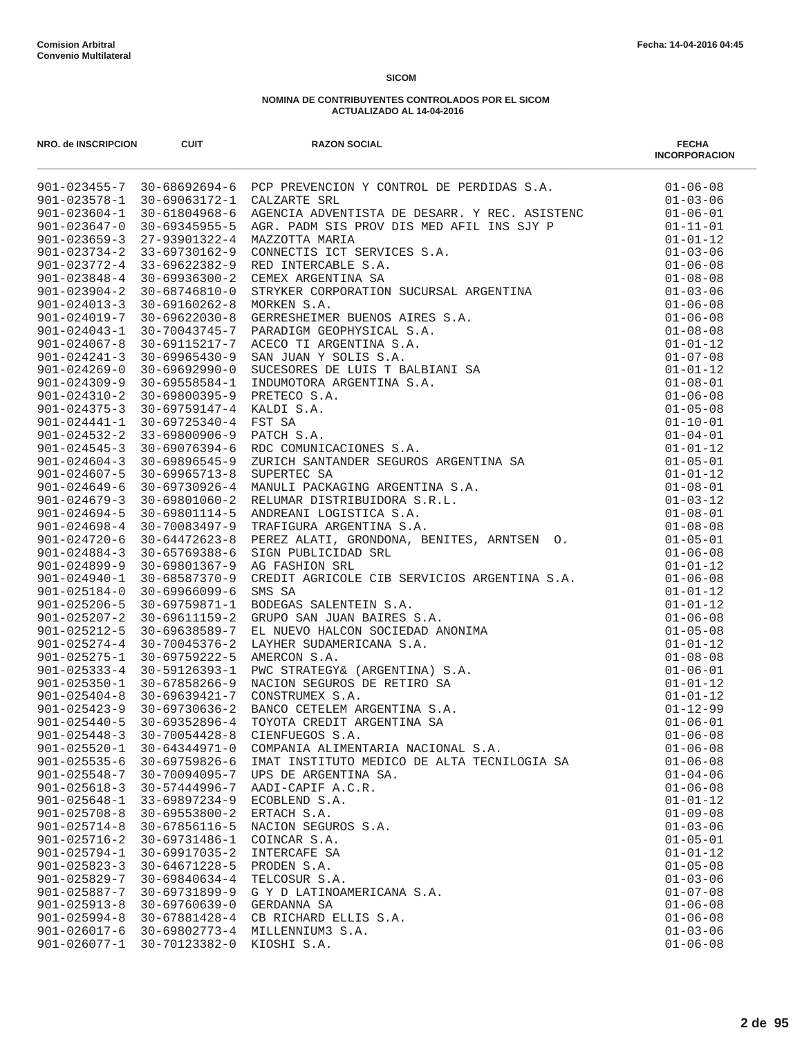| NRO. de INSCRIPCION | <b>CUIT</b>                                 | <b>RAZON SOCIAL</b>                                                                                                                                                                                                                                      | <b>FECHA</b><br><b>INCORPORACION</b> |
|---------------------|---------------------------------------------|----------------------------------------------------------------------------------------------------------------------------------------------------------------------------------------------------------------------------------------------------------|--------------------------------------|
|                     |                                             | 901-023455-7 30-68692694-6 PCP PREVENCION Y CONTROL DE PERDIDAS S.A. 01-06-08<br>901-023455-7 30-68692694-6 PCP PREVENCION Y CONTROL DE PERDIDAS S.A. 01-03-06                                                                                           |                                      |
|                     |                                             |                                                                                                                                                                                                                                                          |                                      |
|                     | $901 - 023604 - 1$ 30-61804968-6            |                                                                                                                                                                                                                                                          |                                      |
| $901 - 023647 - 0$  | 30-69345955-5                               |                                                                                                                                                                                                                                                          |                                      |
| $901 - 023659 - 3$  | 27-93901322-4                               |                                                                                                                                                                                                                                                          |                                      |
| $901 - 023772 - 4$  | $901 - 023734 - 2$ 33-69730162-9            |                                                                                                                                                                                                                                                          |                                      |
| $901 - 023848 - 4$  | 33-69622382-9<br>30-69936300-2              |                                                                                                                                                                                                                                                          |                                      |
| $901 - 023904 - 2$  | 30-68746810-0                               |                                                                                                                                                                                                                                                          |                                      |
| $901 - 024013 - 3$  | 30-69160262-8                               |                                                                                                                                                                                                                                                          |                                      |
| 901-024019-7        | 30-69622030-8                               |                                                                                                                                                                                                                                                          |                                      |
| $901 - 024043 - 1$  | 30-70043745-7                               |                                                                                                                                                                                                                                                          |                                      |
| $901 - 024067 - 8$  | 30-69115217-7                               |                                                                                                                                                                                                                                                          |                                      |
| $901 - 024241 - 3$  | $30 - 69965430 - 9$                         |                                                                                                                                                                                                                                                          |                                      |
| $901 - 024269 - 0$  | $30 - 69692990 - 0$                         |                                                                                                                                                                                                                                                          |                                      |
| $901 - 024309 - 9$  | 30-69558584-1                               |                                                                                                                                                                                                                                                          |                                      |
| $901 - 024310 - 2$  | 30-69800395-9                               |                                                                                                                                                                                                                                                          |                                      |
| $901 - 024375 - 3$  | 30-69759147-4                               |                                                                                                                                                                                                                                                          |                                      |
| $901 - 024441 - 1$  | 30-69725340-4                               |                                                                                                                                                                                                                                                          |                                      |
|                     | $901 - 024532 - 2$ 33-69800906-9            |                                                                                                                                                                                                                                                          |                                      |
| $901 - 024545 - 3$  | 30-69076394-6                               |                                                                                                                                                                                                                                                          |                                      |
| $901 - 024604 - 3$  | $30 - 69896545 - 9$                         |                                                                                                                                                                                                                                                          |                                      |
| 901-024607-5        | 30-69965713-8                               |                                                                                                                                                                                                                                                          |                                      |
| $901 - 024649 - 6$  | $30 - 69730926 - 4$                         |                                                                                                                                                                                                                                                          |                                      |
| $901 - 024679 - 3$  | 30-69801060-2                               |                                                                                                                                                                                                                                                          |                                      |
| $901 - 024694 - 5$  | 30-69801114-5                               |                                                                                                                                                                                                                                                          |                                      |
| $901 - 024698 - 4$  | 30-70083497-9                               |                                                                                                                                                                                                                                                          |                                      |
| $901 - 024720 - 6$  | 30-64472623-8                               |                                                                                                                                                                                                                                                          |                                      |
| $901 - 024884 - 3$  | 30-65769388-6                               |                                                                                                                                                                                                                                                          |                                      |
| 901-024899-9        | 30-69801367-9                               | SIGN PUBLICIDAD SRL<br>AG FASHION SRL<br>CREDIT AGRICOLE CIB SERVICIOS ARGENTINA S.A.<br>SMS SA<br>BODEGAS SALENTEIN S.A.<br>GRUPO SAN JUAN BAIRES S.A.<br>EL NUEVO HALCON SOCIEDAD ANONIMA<br>LAYHER SUDAMERICANA S.A.<br>AMERCON S.A.<br>PWC STRATEGY& |                                      |
| 901-024940-1        | 30-68587370-9                               |                                                                                                                                                                                                                                                          | $01 - 06 - 08$                       |
| $901 - 025184 - 0$  | $30 - 69966099 - 6$                         |                                                                                                                                                                                                                                                          | $01 - 01 - 12$                       |
| $901 - 025206 - 5$  | $30 - 69759871 - 1$                         |                                                                                                                                                                                                                                                          | $01 - 01 - 12$                       |
| $901 - 025207 - 2$  | 30-69611159-2                               |                                                                                                                                                                                                                                                          | $01 - 06 - 08$                       |
| $901 - 025212 - 5$  | 30-69638589-7                               |                                                                                                                                                                                                                                                          | $01 - 05 - 08$                       |
| $901 - 025274 - 4$  | 30-70045376-2<br>901-025275-1 30-69759222-5 |                                                                                                                                                                                                                                                          | $01 - 01 - 12$<br>$01 - 08 - 08$     |
|                     | 901-025333-4 30-59126393-1                  |                                                                                                                                                                                                                                                          | $01 - 06 - 01$                       |
| $901 - 025350 - 1$  | 30-67858266-9                               |                                                                                                                                                                                                                                                          | $01 - 01 - 12$                       |
|                     | $901 - 025404 - 8$ 30-69639421-7            |                                                                                                                                                                                                                                                          | $01 - 01 - 12$                       |
|                     | $901 - 025423 - 9$ 30-69730636-2            |                                                                                                                                                                                                                                                          | $01 - 12 - 99$                       |
| $901 - 025440 - 5$  | 30-69352896-4                               |                                                                                                                                                                                                                                                          | $01 - 06 - 01$                       |
| $901 - 025448 - 3$  | $30 - 70054428 - 8$                         | CIENFUEGOS S.A.                                                                                                                                                                                                                                          | $01 - 06 - 08$                       |
| $901 - 025520 - 1$  | $30 - 64344971 - 0$                         | COMPANIA ALIMENTARIA NACIONAL S.A.                                                                                                                                                                                                                       | $01 - 06 - 08$                       |
| $901 - 025535 - 6$  | $30 - 69759826 - 6$                         | IMAT INSTITUTO MEDICO DE ALTA TECNILOGIA SA                                                                                                                                                                                                              | $01 - 06 - 08$                       |
| $901 - 025548 - 7$  | 30-70094095-7                               | UPS DE ARGENTINA SA.                                                                                                                                                                                                                                     | $01 - 04 - 06$                       |
| $901 - 025618 - 3$  | $30 - 57444996 - 7$                         | AADI-CAPIF A.C.R.                                                                                                                                                                                                                                        | $01 - 06 - 08$                       |
| $901 - 025648 - 1$  | $33 - 69897234 - 9$                         | ECOBLEND S.A.                                                                                                                                                                                                                                            | $01 - 01 - 12$                       |
| $901 - 025708 - 8$  | $30 - 69553800 - 2$                         | ERTACH S.A.                                                                                                                                                                                                                                              | $01 - 09 - 08$                       |
| $901 - 025714 - 8$  | 30-67856116-5                               | NACION SEGUROS S.A.                                                                                                                                                                                                                                      | $01 - 03 - 06$                       |
| $901 - 025716 - 2$  | $30 - 69731486 - 1$                         | COINCAR S.A.                                                                                                                                                                                                                                             | $01 - 05 - 01$                       |
| $901 - 025794 - 1$  | $30 - 69917035 - 2$                         | INTERCAFE SA                                                                                                                                                                                                                                             | $01 - 01 - 12$                       |
| $901 - 025823 - 3$  | $30 - 64671228 - 5$                         | PRODEN S.A.                                                                                                                                                                                                                                              | $01 - 05 - 08$                       |
| $901 - 025829 - 7$  | $30 - 69840634 - 4$                         | TELCOSUR S.A.                                                                                                                                                                                                                                            | $01 - 03 - 06$                       |
| 901-025887-7        | $30 - 69731899 - 9$                         | G Y D LATINOAMERICANA S.A.                                                                                                                                                                                                                               | $01 - 07 - 08$                       |
| $901 - 025913 - 8$  | $30 - 69760639 - 0$                         | GERDANNA SA                                                                                                                                                                                                                                              | $01 - 06 - 08$                       |
| $901 - 025994 - 8$  | $30 - 67881428 - 4$                         | CB RICHARD ELLIS S.A.                                                                                                                                                                                                                                    | $01 - 06 - 08$                       |
| $901 - 026017 - 6$  | $30 - 69802773 - 4$                         | MILLENNIUM3 S.A.                                                                                                                                                                                                                                         | $01 - 03 - 06$                       |
| $901 - 026077 - 1$  | 30-70123382-0                               | KIOSHI S.A.                                                                                                                                                                                                                                              | $01 - 06 - 08$                       |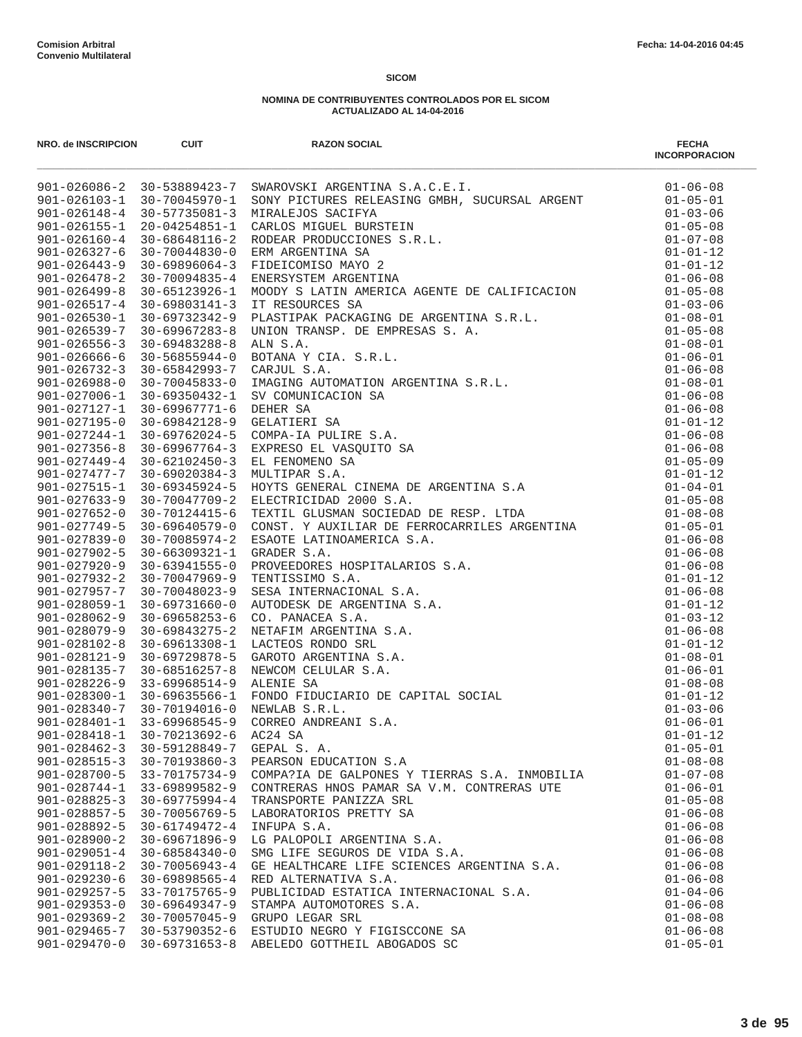| NRO. de INSCRIPCION | <b>CUIT</b>                      | <b>RAZON SOCIAL</b>                                                         | <b>FECHA</b><br><b>INCORPORACION</b> |
|---------------------|----------------------------------|-----------------------------------------------------------------------------|--------------------------------------|
|                     |                                  | 901-026086-2 30-53889423-7 SWAROVSKI ARGENTINA S.A.C.E.I.                   |                                      |
|                     | 901-026103-1 30-70045970-1       |                                                                             |                                      |
|                     | $901 - 026148 - 4$ 30-57735081-3 |                                                                             |                                      |
| $901 - 026155 - 1$  |                                  |                                                                             |                                      |
| $901 - 026160 - 4$  |                                  |                                                                             |                                      |
| $901 - 026327 - 6$  |                                  |                                                                             |                                      |
| $901 - 026443 - 9$  |                                  |                                                                             |                                      |
| $901 - 026478 - 2$  |                                  |                                                                             |                                      |
| $901 - 026499 - 8$  |                                  |                                                                             |                                      |
|                     |                                  |                                                                             |                                      |
|                     |                                  |                                                                             |                                      |
|                     |                                  |                                                                             |                                      |
|                     |                                  |                                                                             |                                      |
|                     |                                  |                                                                             |                                      |
|                     |                                  |                                                                             |                                      |
|                     |                                  |                                                                             |                                      |
|                     |                                  |                                                                             |                                      |
|                     |                                  |                                                                             |                                      |
|                     |                                  |                                                                             |                                      |
|                     |                                  |                                                                             |                                      |
|                     |                                  |                                                                             |                                      |
|                     |                                  |                                                                             |                                      |
|                     |                                  |                                                                             |                                      |
|                     |                                  |                                                                             |                                      |
|                     |                                  |                                                                             |                                      |
|                     |                                  |                                                                             |                                      |
|                     |                                  |                                                                             |                                      |
|                     |                                  |                                                                             |                                      |
|                     |                                  |                                                                             |                                      |
|                     |                                  |                                                                             |                                      |
|                     |                                  |                                                                             |                                      |
|                     |                                  |                                                                             |                                      |
|                     |                                  |                                                                             |                                      |
|                     |                                  |                                                                             |                                      |
|                     |                                  |                                                                             |                                      |
|                     |                                  |                                                                             |                                      |
|                     |                                  |                                                                             |                                      |
|                     |                                  |                                                                             |                                      |
|                     |                                  |                                                                             |                                      |
|                     |                                  |                                                                             |                                      |
| $901 - 028418 - 1$  | 30-70213692-6                    | AC24 SA                                                                     | $01 - 01 - 12$                       |
| $901 - 028462 - 3$  | 30-59128849-7                    | GEPAL S. A.                                                                 | $01 - 05 - 01$                       |
| $901 - 028515 - 3$  | $30 - 70193860 - 3$              | PEARSON EDUCATION S.A                                                       | $01 - 08 - 08$                       |
| $901 - 028700 - 5$  | 33-70175734-9                    | COMPA?IA DE GALPONES Y TIERRAS S.A. INMOBILIA                               | $01 - 07 - 08$                       |
| $901 - 028744 - 1$  | $33 - 69899582 - 9$              | CONTRERAS HNOS PAMAR SA V.M. CONTRERAS UTE                                  | $01 - 06 - 01$                       |
| $901 - 028825 - 3$  | $30 - 69775994 - 4$              | TRANSPORTE PANIZZA SRL                                                      | $01 - 05 - 08$                       |
| $901 - 028857 - 5$  | 30-70056769-5                    | LABORATORIOS PRETTY SA                                                      | $01 - 06 - 08$                       |
| 901-028892-5        | 30-61749472-4                    | INFUPA S.A.                                                                 | $01 - 06 - 08$                       |
| $901 - 028900 - 2$  | 30-69671896-9                    | LG PALOPOLI ARGENTINA S.A.                                                  | $01 - 06 - 08$                       |
| $901 - 029051 - 4$  | $30 - 68584340 - 0$              | SMG LIFE SEGUROS DE VIDA S.A.                                               | $01 - 06 - 08$                       |
| $901 - 029118 - 2$  | $30 - 70056943 - 4$              | SMG LIFE SEGUROS DE VIDA S.A.<br>GE HEALTHCARE LIFE SCIENCES ARGENTINA S.A. | $01 - 06 - 08$                       |
| $901 - 029230 - 6$  | $30 - 69898565 - 4$              | RED ALTERNATIVA S.A.                                                        | $01 - 06 - 08$                       |
| $901 - 029257 - 5$  | 33-70175765-9                    | PUBLICIDAD ESTATICA INTERNACIONAL S.A.                                      | $01 - 04 - 06$                       |
| $901 - 029353 - 0$  | $30 - 69649347 - 9$              | STAMPA AUTOMOTORES S.A.                                                     | $01 - 06 - 08$                       |
| $901 - 029369 - 2$  | 30-70057045-9                    | GRUPO LEGAR SRL                                                             | $01 - 08 - 08$                       |
| $901 - 029465 - 7$  | 30-53790352-6                    | ESTUDIO NEGRO Y FIGISCCONE SA                                               | $01 - 06 - 08$                       |
| $901 - 029470 - 0$  | 30-69731653-8                    | ABELEDO GOTTHEIL ABOGADOS SC                                                | $01 - 05 - 01$                       |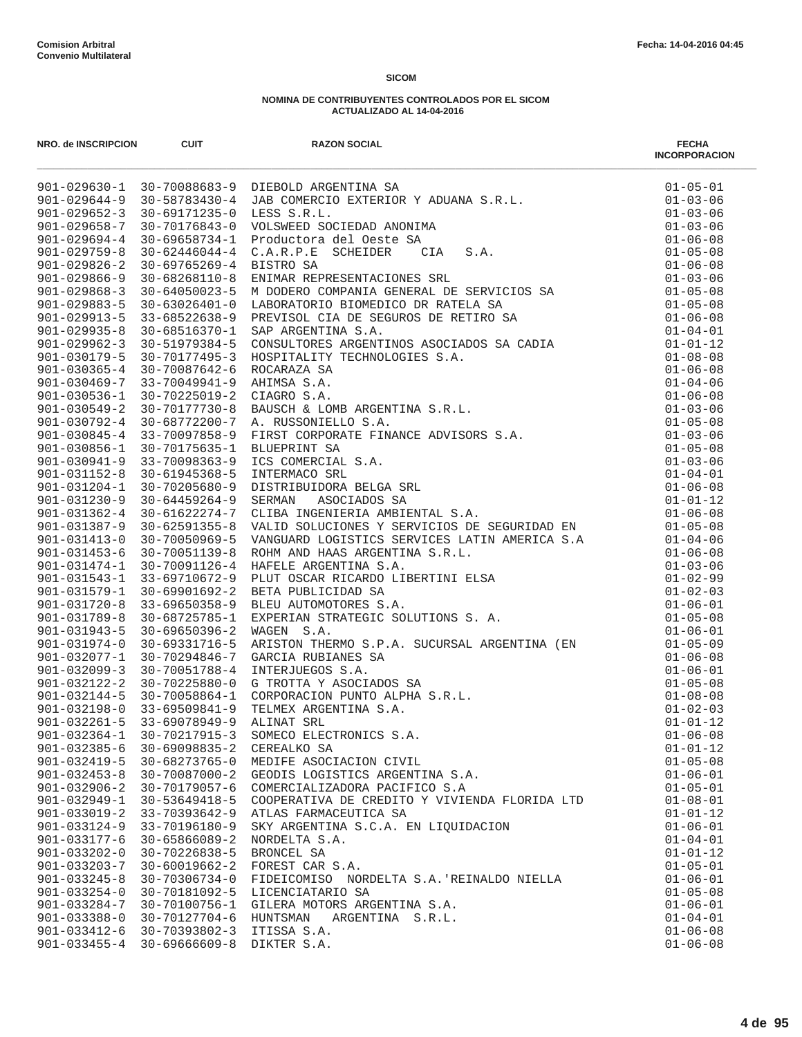| NRO. de INSCRIPCION                      | <b>CUIT</b>                    | <b>RAZON SOCIAL</b>                           | <b>FECHA</b><br><b>INCORPORACION</b> |
|------------------------------------------|--------------------------------|-----------------------------------------------|--------------------------------------|
|                                          |                                |                                               |                                      |
|                                          |                                |                                               |                                      |
|                                          |                                |                                               |                                      |
|                                          |                                |                                               |                                      |
|                                          |                                |                                               |                                      |
|                                          |                                |                                               |                                      |
|                                          |                                |                                               |                                      |
|                                          |                                |                                               |                                      |
|                                          |                                |                                               |                                      |
|                                          |                                |                                               |                                      |
|                                          |                                |                                               |                                      |
|                                          |                                |                                               |                                      |
|                                          |                                |                                               |                                      |
|                                          |                                |                                               |                                      |
|                                          |                                |                                               |                                      |
|                                          |                                |                                               |                                      |
|                                          |                                |                                               |                                      |
|                                          |                                |                                               |                                      |
|                                          |                                |                                               |                                      |
|                                          |                                |                                               |                                      |
|                                          |                                |                                               |                                      |
|                                          |                                |                                               |                                      |
|                                          |                                |                                               |                                      |
|                                          |                                |                                               |                                      |
| $901 - 031387 - 9$                       | $30 - 62591355 - 8$            |                                               |                                      |
| $901 - 031413 - 0$                       | 30-70050969-5                  |                                               |                                      |
| $901 - 031453 - 6$                       | 30-70051139-8                  |                                               |                                      |
| $901 - 031474 - 1$                       | 30-70091126-4                  |                                               |                                      |
| $901 - 031543 - 1$                       | 33-69710672-9                  |                                               |                                      |
| $901 - 031579 - 1$                       | 30-69901692-2                  |                                               |                                      |
| $901 - 031720 - 8$                       | $33 - 69650358 - 9$            |                                               |                                      |
| $901 - 031789 - 8$                       | 30-68725785-1                  |                                               |                                      |
| $901 - 031943 - 5$                       | $30 - 69650396 - 2$            |                                               |                                      |
| $901 - 031974 - 0$                       | 30-69331716-5                  |                                               |                                      |
| $901 - 032077 - 1$                       | 30-70294846-7                  |                                               |                                      |
| $901 - 032099 - 3$                       | 30-70051788-4                  |                                               |                                      |
| $901 - 032122 - 2$                       | 30-70225880-0                  |                                               |                                      |
|                                          | 901-032144-5 30-70058864-1     |                                               |                                      |
|                                          | 901-032198-0 33-69509841-9     |                                               |                                      |
| $901 - 032261 - 5$                       | 33-69078949-9                  |                                               |                                      |
| $901 - 032364 - 1$<br>$901 - 032385 - 6$ | 30-70217915-3<br>30-69098835-2 |                                               |                                      |
| $901 - 032419 - 5$                       | 30-68273765-0                  | MEDIFE ASOCIACION CIVIL                       | $01 - 05 - 08$                       |
| $901 - 032453 - 8$                       | 30-70087000-2                  | GEODIS LOGISTICS ARGENTINA S.A.               | $01 - 06 - 01$                       |
| $901 - 032906 - 2$                       | 30-70179057-6                  | COMERCIALIZADORA PACIFICO S.A                 | $01 - 05 - 01$                       |
| $901 - 032949 - 1$                       | 30-53649418-5                  | COOPERATIVA DE CREDITO Y VIVIENDA FLORIDA LTD | $01 - 08 - 01$                       |
| $901 - 033019 - 2$                       | 33-70393642-9                  | ATLAS FARMACEUTICA SA                         | $01 - 01 - 12$                       |
| $901 - 033124 - 9$                       | 33-70196180-9                  | SKY ARGENTINA S.C.A. EN LIQUIDACION           | $01 - 06 - 01$                       |
| $901 - 033177 - 6$                       | $30 - 65866089 - 2$            | NORDELTA S.A.                                 | $01 - 04 - 01$                       |
| $901 - 033202 - 0$                       | 30-70226838-5                  | BRONCEL SA                                    | $01 - 01 - 12$                       |
| $901 - 033203 - 7$                       | $30 - 60019662 - 2$            | FOREST CAR S.A.                               | $01 - 05 - 01$                       |
| $901 - 033245 - 8$                       | $30 - 70306734 - 0$            | FIDEICOMISO NORDELTA S.A. REINALDO NIELLA     | $01 - 06 - 01$                       |
| $901 - 033254 - 0$                       | 30-70181092-5                  | LICENCIATARIO SA                              | $01 - 05 - 08$                       |
| $901 - 033284 - 7$                       | 30-70100756-1                  | GILERA MOTORS ARGENTINA S.A.                  | $01 - 06 - 01$                       |
| $901 - 033388 - 0$                       | 30-70127704-6                  | HUNTSMAN<br>ARGENTINA S.R.L.                  | $01 - 04 - 01$                       |
| $901 - 033412 - 6$                       | 30-70393802-3                  | ITISSA S.A.                                   | $01 - 06 - 08$                       |
| $901 - 033455 - 4$                       | $30 - 69666609 - 8$            | DIKTER S.A.                                   | $01 - 06 - 08$                       |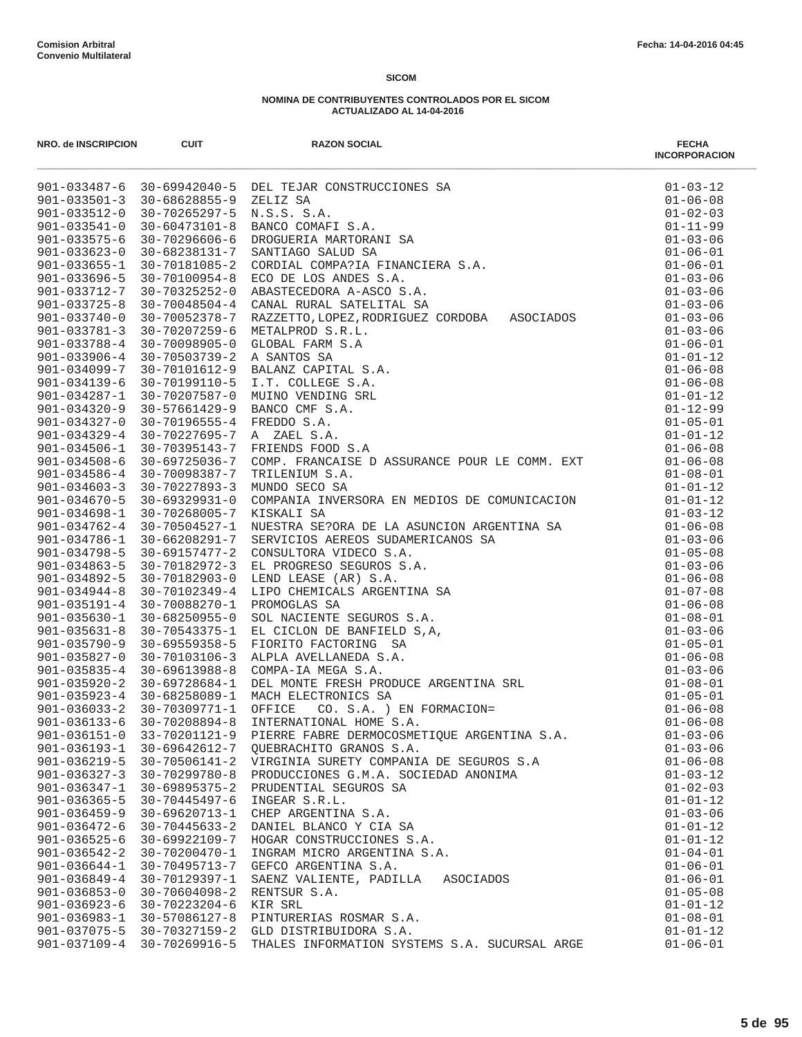| NRO. de INSCRIPCION                      | <b>CUIT</b>                          | <b>RAZON SOCIAL</b>                                                                                                                                                                                                                                          | <b>FECHA</b><br><b>INCORPORACION</b> |
|------------------------------------------|--------------------------------------|--------------------------------------------------------------------------------------------------------------------------------------------------------------------------------------------------------------------------------------------------------------|--------------------------------------|
|                                          |                                      | 901-033487-6 30-69942040-5 DEL TEJAR CONSTRUCCIONES SA<br>901-033501-3 30-68628855-9 ZELIZ SA<br>901-033512-0 30-70265297-5 N.S.S.S.S.A.<br>901-033512-0 30-70265297-5 N.S.S.S.S.A.<br>901-033541-0 30-60473101-8 BANCO COMAFI S.A.<br>9                     | $01 - 03 - 12$                       |
|                                          |                                      |                                                                                                                                                                                                                                                              | $01 - 06 - 08$                       |
|                                          |                                      |                                                                                                                                                                                                                                                              | $01 - 02 - 03$                       |
|                                          |                                      |                                                                                                                                                                                                                                                              | $01 - 11 - 99$                       |
|                                          |                                      |                                                                                                                                                                                                                                                              | $01 - 03 - 06$                       |
|                                          |                                      |                                                                                                                                                                                                                                                              | $01 - 06 - 01$                       |
|                                          |                                      |                                                                                                                                                                                                                                                              | $01 - 06 - 01$                       |
|                                          |                                      |                                                                                                                                                                                                                                                              | $01 - 03 - 06$                       |
|                                          |                                      |                                                                                                                                                                                                                                                              | $01 - 03 - 06$                       |
|                                          |                                      |                                                                                                                                                                                                                                                              | $01 - 03 - 06$                       |
|                                          |                                      |                                                                                                                                                                                                                                                              | $01 - 03 - 06$                       |
| $901 - 033781 - 3$<br>$901 - 033788 - 4$ | 30-70207259-6<br>30-70098905-0       | METALPROD S.R.L.<br>GLOBAL FARM S.A                                                                                                                                                                                                                          | $01 - 03 - 06$<br>$01 - 06 - 01$     |
| $901 - 033906 - 4$                       | $30 - 70503739 - 2$                  | A SANTOS SA                                                                                                                                                                                                                                                  | $01 - 01 - 12$                       |
| $901 - 034099 - 7$                       | 30-70101612-9                        | BALANZ CAPITAL S.A.                                                                                                                                                                                                                                          | $01 - 06 - 08$                       |
| $901 - 034139 - 6$                       | 30-70199110-5                        | I.T. COLLEGE S.A.                                                                                                                                                                                                                                            | $01 - 06 - 08$                       |
| $901 - 034287 - 1$                       | 30-70207587-0                        | MUINO VENDING SRL                                                                                                                                                                                                                                            | $01 - 01 - 12$                       |
| $901 - 034320 - 9$                       | $30 - 57661429 - 9$                  | BANCO CMF S.A.                                                                                                                                                                                                                                               | $01 - 12 - 99$                       |
| $901 - 034327 - 0$                       | $30 - 70196555 - 4$                  | FREDDO S.A.                                                                                                                                                                                                                                                  | $01 - 05 - 01$                       |
| $901 - 034329 - 4$                       | 30-70227695-7                        | A ZAEL S.A.                                                                                                                                                                                                                                                  | $01 - 01 - 12$                       |
| $901 - 034506 - 1$                       | $30 - 70395143 - 7$                  | FRIENDS FOOD S.A                                                                                                                                                                                                                                             | $01 - 06 - 08$                       |
| $901 - 034508 - 6$                       | 30-69725036-7                        | COMP. FRANCAISE D ASSURANCE POUR LE COMM. EXT                                                                                                                                                                                                                | $01 - 06 - 08$                       |
| $901 - 034586 - 4$                       | 30-70098387-7                        | TRILENIUM S.A.                                                                                                                                                                                                                                               | $01 - 08 - 01$                       |
| $901 - 034603 - 3$                       | $30 - 70227893 - 3$                  | MUNDO SECO SA                                                                                                                                                                                                                                                | $01 - 01 - 12$                       |
| $901 - 034670 - 5$                       | $30 - 69329931 - 0$                  | COMPANIA INVERSORA EN MEDIOS DE COMUNICACION                                                                                                                                                                                                                 | $01 - 01 - 12$                       |
| $901 - 034698 - 1$                       | 30-70268005-7                        | KISKALI SA                                                                                                                                                                                                                                                   | $01 - 03 - 12$                       |
| $901 - 034762 - 4$                       | 30-70504527-1                        |                                                                                                                                                                                                                                                              | $01 - 06 - 08$                       |
| $901 - 034786 - 1$                       | 30-66208291-7                        | KISKALI SA<br>NUESTRA SE?ORA DE LA ASUNCION ARGENTINA SA<br>SERVICIOS AEREOS SUDAMERICANOS SA<br>CONSULTORA VIDECO S.A.<br>LED PROGRESO SEGUROS S.A.<br>LEND LEASE (AR) S.A.<br>LEND LEASE (AR) S.A.<br>NOMOGLAS SA<br>PROMOGLAS SA<br>PROMOGLAS SA<br>SUL N | $01 - 03 - 06$                       |
| $901 - 034798 - 5$                       | $30 - 69157477 - 2$                  |                                                                                                                                                                                                                                                              | $01 - 05 - 08$                       |
| $901 - 034863 - 5$                       | 30-70182972-3                        |                                                                                                                                                                                                                                                              | $01 - 03 - 06$                       |
| $901 - 034892 - 5$                       | 30-70182903-0                        |                                                                                                                                                                                                                                                              | $01 - 06 - 08$                       |
| $901 - 034944 - 8$                       | 30-70102349-4                        |                                                                                                                                                                                                                                                              | $01 - 07 - 08$                       |
| $901 - 035191 - 4$                       | 30-70088270-1                        |                                                                                                                                                                                                                                                              | $01 - 06 - 08$                       |
| $901 - 035630 - 1$                       | $30 - 68250955 - 0$                  |                                                                                                                                                                                                                                                              | $01 - 08 - 01$                       |
| $901 - 035631 - 8$                       | 30-70543375-1                        |                                                                                                                                                                                                                                                              | $01 - 03 - 06$                       |
| $901 - 035790 - 9$                       | $30 - 69559358 - 5$                  |                                                                                                                                                                                                                                                              | $01 - 05 - 01$                       |
| $901 - 035827 - 0$                       | 30-70103106-3                        |                                                                                                                                                                                                                                                              | $01 - 06 - 08$                       |
| $901 - 035835 - 4$                       | $30 - 69613988 - 8$                  |                                                                                                                                                                                                                                                              | $01 - 03 - 06$                       |
| $901 - 035920 - 2$                       | 30-69728684-1                        |                                                                                                                                                                                                                                                              | $01 - 08 - 01$                       |
| $901 - 035923 - 4$                       | 30-68258089-1                        |                                                                                                                                                                                                                                                              | $01 - 05 - 01$                       |
| $901 - 036033 - 2$<br>$901 - 036133 - 6$ | 30-70309771-1                        |                                                                                                                                                                                                                                                              | $01 - 06 - 08$<br>$01 - 06 - 08$     |
| $901 - 036151 - 0$                       | $30 - 70208894 - 8$<br>33-70201121-9 | PIERRE FABRE DERMOCOSMETIOUE ARGENTINA S.A.                                                                                                                                                                                                                  | $01 - 03 - 06$                       |
| $901 - 036193 - 1$                       | 30-69642612-7                        | OUEBRACHITO GRANOS S.A.                                                                                                                                                                                                                                      | $01 - 03 - 06$                       |
| $901 - 036219 - 5$                       | $30 - 70506141 - 2$                  | VIRGINIA SURETY COMPANIA DE SEGUROS S.A                                                                                                                                                                                                                      | $01 - 06 - 08$                       |
| $901 - 036327 - 3$                       | $30 - 70299780 - 8$                  | PRODUCCIONES G.M.A. SOCIEDAD ANONIMA                                                                                                                                                                                                                         | $01 - 03 - 12$                       |
| $901 - 036347 - 1$                       | $30 - 69895375 - 2$                  | PRUDENTIAL SEGUROS SA                                                                                                                                                                                                                                        | $01 - 02 - 03$                       |
| $901 - 036365 - 5$                       | 30-70445497-6                        | INGEAR S.R.L.                                                                                                                                                                                                                                                | $01 - 01 - 12$                       |
| $901 - 036459 - 9$                       | 30-69620713-1                        | CHEP ARGENTINA S.A.                                                                                                                                                                                                                                          | $01 - 03 - 06$                       |
| $901 - 036472 - 6$                       | $30 - 70445633 - 2$                  | DANIEL BLANCO Y CIA SA                                                                                                                                                                                                                                       | $01 - 01 - 12$                       |
| $901 - 036525 - 6$                       | 30-69922109-7                        | HOGAR CONSTRUCCIONES S.A.                                                                                                                                                                                                                                    | $01 - 01 - 12$                       |
| $901 - 036542 - 2$                       | 30-70200470-1                        | INGRAM MICRO ARGENTINA S.A.                                                                                                                                                                                                                                  | $01 - 04 - 01$                       |
| $901 - 036644 - 1$                       | 30-70495713-7                        | GEFCO ARGENTINA S.A.                                                                                                                                                                                                                                         | $01 - 06 - 01$                       |
| $901 - 036849 - 4$                       | 30-70129397-1                        | SAENZ VALIENTE, PADILLA<br>ASOCIADOS                                                                                                                                                                                                                         | $01 - 06 - 01$                       |
| $901 - 036853 - 0$                       | $30 - 70604098 - 2$                  | RENTSUR S.A.                                                                                                                                                                                                                                                 | $01 - 05 - 08$                       |
| $901 - 036923 - 6$                       | $30 - 70223204 - 6$                  | KIR SRL                                                                                                                                                                                                                                                      | $01 - 01 - 12$                       |
| $901 - 036983 - 1$                       | 30-57086127-8                        | PINTURERIAS ROSMAR S.A.                                                                                                                                                                                                                                      | $01 - 08 - 01$                       |
| $901 - 037075 - 5$                       | 30-70327159-2                        | GLD DISTRIBUIDORA S.A.                                                                                                                                                                                                                                       | $01 - 01 - 12$                       |
| $901 - 037109 - 4$                       | 30-70269916-5                        | THALES INFORMATION SYSTEMS S.A. SUCURSAL ARGE                                                                                                                                                                                                                | $01 - 06 - 01$                       |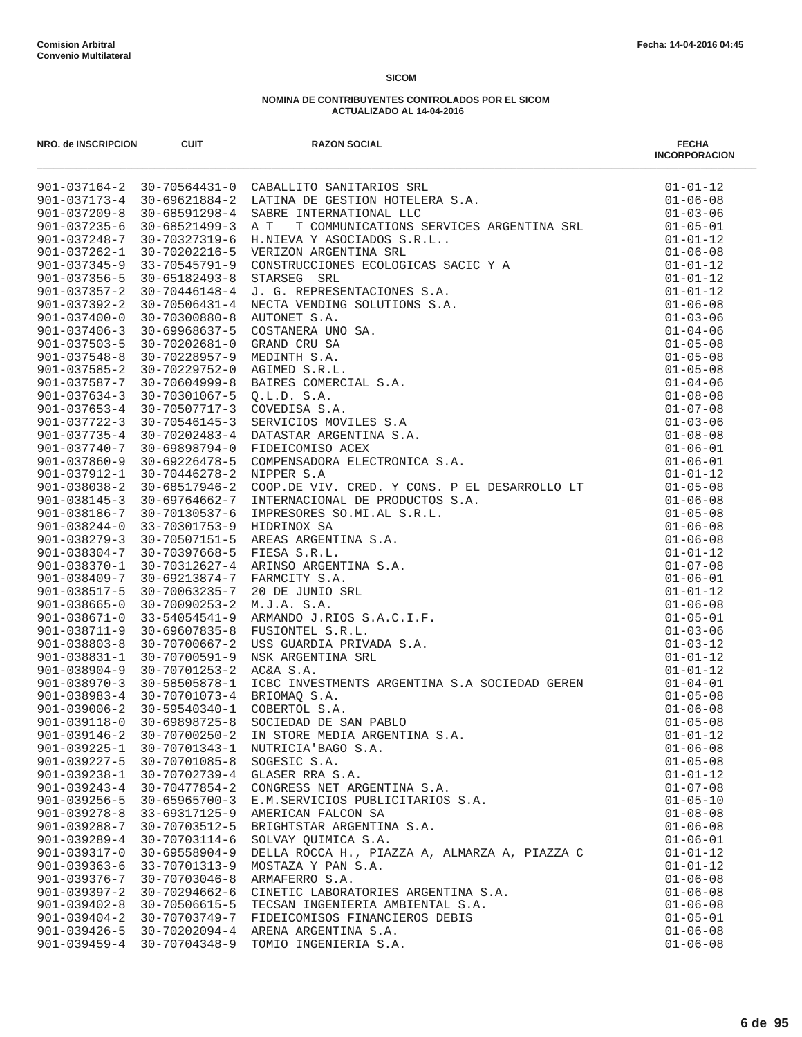| NRO. de INSCRIPCION                      | <b>CUIT</b>                          | <b>RAZON SOCIAL</b>                                                                                                                                                                                                                              | <b>FECHA</b><br><b>INCORPORACION</b> |
|------------------------------------------|--------------------------------------|--------------------------------------------------------------------------------------------------------------------------------------------------------------------------------------------------------------------------------------------------|--------------------------------------|
|                                          |                                      | 901-037164-2 30-70564431-0 CABALLITO SANITARIOS SRL<br>901-037173-4 30-69621884-2 LATINA DE GESTION HOTELERA S.A.<br>001-037173-4 30-69621884-2 LATINA DE GESTION HOTELERA S.A.                                                                  | $01 - 01 - 12$                       |
|                                          |                                      |                                                                                                                                                                                                                                                  | $01 - 06 - 08$                       |
|                                          |                                      | 30–68591298–4 SARRE INTERNATIONAL LLC<br>30–68521499–3 A T T COMMUNICATIONS SERVICES ARGENTINA SRL<br>30–70327319–6 H.NIEVA Y ASOCIADOS S.R.L<br>30–70202216–5 VERIZON ARGENTINA SRL<br>33–70545791–9 CONSTRUCCIONES ECOLOGICAS SAC              | $01 - 03 - 06$                       |
| $901 - 037235 - 6$                       |                                      |                                                                                                                                                                                                                                                  | $01 - 05 - 01$                       |
| $901 - 037248 - 7$                       |                                      |                                                                                                                                                                                                                                                  | $01 - 01 - 12$                       |
| $901 - 037262 - 1$                       |                                      |                                                                                                                                                                                                                                                  | $01 - 06 - 08$                       |
| $901 - 037345 - 9$                       |                                      |                                                                                                                                                                                                                                                  | $01 - 01 - 12$<br>$01 - 01 - 12$     |
| $901 - 037356 - 5$<br>$901 - 037357 - 2$ |                                      |                                                                                                                                                                                                                                                  | $01 - 01 - 12$                       |
| $901 - 037392 - 2$                       |                                      |                                                                                                                                                                                                                                                  | $01 - 06 - 08$                       |
| $901 - 037400 - 0$                       |                                      |                                                                                                                                                                                                                                                  | $01 - 03 - 06$                       |
| $901 - 037406 - 3$                       |                                      |                                                                                                                                                                                                                                                  | $01 - 04 - 06$                       |
| $901 - 037503 - 5$                       |                                      |                                                                                                                                                                                                                                                  | $01 - 05 - 08$                       |
| $901 - 037548 - 8$                       |                                      |                                                                                                                                                                                                                                                  | $01 - 05 - 08$                       |
| $901 - 037585 - 2$                       |                                      |                                                                                                                                                                                                                                                  | $01 - 05 - 08$                       |
| 901-037587-7                             |                                      |                                                                                                                                                                                                                                                  | $01 - 04 - 06$                       |
| $901 - 037634 - 3$                       |                                      |                                                                                                                                                                                                                                                  | $01 - 08 - 08$                       |
| $901 - 037653 - 4$                       |                                      |                                                                                                                                                                                                                                                  | $01 - 07 - 08$                       |
| $901 - 037722 - 3$                       |                                      |                                                                                                                                                                                                                                                  | $01 - 03 - 06$                       |
| $901 - 037735 - 4$                       |                                      |                                                                                                                                                                                                                                                  | $01 - 08 - 08$                       |
| $901 - 037740 - 7$                       |                                      |                                                                                                                                                                                                                                                  | $01 - 06 - 01$                       |
| $901 - 037860 - 9$                       |                                      |                                                                                                                                                                                                                                                  | $01 - 06 - 01$                       |
| 901-037912-1                             |                                      |                                                                                                                                                                                                                                                  | $01 - 01 - 12$                       |
| $901 - 038038 - 2$                       | $30 - 68517946 - 2$                  |                                                                                                                                                                                                                                                  | $01 - 05 - 08$                       |
| $901 - 038145 - 3$                       | 30-69764662-7                        |                                                                                                                                                                                                                                                  | $01 - 06 - 08$                       |
| 901-038186-7                             | 30-70130537-6                        |                                                                                                                                                                                                                                                  | $01 - 05 - 08$                       |
| $901 - 038244 - 0$                       | 33-70301753-9                        |                                                                                                                                                                                                                                                  | $01 - 06 - 08$                       |
| $901 - 038279 - 3$                       | 30-70507151-5                        | NIPPER S.A<br>COOP.DE VIV. CRED. Y CONS. P EL DESARROLLO LT<br>INTERNACIONAL DE PRODUCTOS S.A.<br>IMPRESORES SO.MI.AL S.R.L.<br>IMPRESORES SO.MI.AL S.R.L.<br>AREAS ARGENTINA S.A.<br>FIESA S.R.L.<br>ARINSO ARGENTINA S.A.<br>FAMCITY S.A.<br>2 | $01 - 06 - 08$                       |
| $901 - 038304 - 7$                       | 30-70397668-5                        |                                                                                                                                                                                                                                                  | $01 - 01 - 12$                       |
| 901-038370-1<br>$901 - 038409 - 7$       | 30-70312627-4                        |                                                                                                                                                                                                                                                  | $01 - 07 - 08$                       |
| $901 - 038517 - 5$                       | 30-69213874-7<br>30-70063235-7       |                                                                                                                                                                                                                                                  | $01 - 06 - 01$<br>$01 - 01 - 12$     |
| $901 - 038665 - 0$                       | $30 - 70090253 - 2$                  |                                                                                                                                                                                                                                                  | $01 - 06 - 08$                       |
| $901 - 038671 - 0$                       | $33 - 54054541 - 9$                  |                                                                                                                                                                                                                                                  | $01 - 05 - 01$                       |
| $901 - 038711 - 9$                       | $30 - 69607835 - 8$                  |                                                                                                                                                                                                                                                  | $01 - 03 - 06$                       |
| $901 - 038803 - 8$                       | 30-70700667-2                        |                                                                                                                                                                                                                                                  | $01 - 03 - 12$                       |
| $901 - 038831 - 1$                       | 30-70700591-9                        |                                                                                                                                                                                                                                                  | $01 - 01 - 12$                       |
| $901 - 038904 - 9$                       | 30-70701253-2                        |                                                                                                                                                                                                                                                  | $01 - 01 - 12$                       |
| $901 - 038970 - 3$                       | 30-58505878-1                        | ICBC INVESTMENTS ARGENTINA S.A SOCIEDAD GEREN                                                                                                                                                                                                    | $01 - 04 - 01$                       |
| 901-038983-4                             | 30-70701073-4                        | BRIOMAO S.A.                                                                                                                                                                                                                                     | $01 - 05 - 08$                       |
| $901 - 039006 - 2$                       | 30-59540340-1                        | COBERTOL S.A.                                                                                                                                                                                                                                    | $01 - 06 - 08$                       |
| $901 - 039118 - 0$                       | $30 - 69898725 - 8$                  | SOCIEDAD DE SAN PABLO                                                                                                                                                                                                                            | $01 - 05 - 08$                       |
| $901 - 039146 - 2$                       | $30 - 70700250 - 2$                  | IN STORE MEDIA ARGENTINA S.A.                                                                                                                                                                                                                    | $01 - 01 - 12$                       |
| $901 - 039225 - 1$                       | 30-70701343-1                        | NUTRICIA'BAGO S.A.                                                                                                                                                                                                                               | $01 - 06 - 08$                       |
| $901 - 039227 - 5$                       | 30-70701085-8                        | SOGESIC S.A.                                                                                                                                                                                                                                     | $01 - 05 - 08$                       |
| $901 - 039238 - 1$                       | 30-70702739-4                        | GLASER RRA S.A.                                                                                                                                                                                                                                  | $01 - 01 - 12$                       |
| $901 - 039243 - 4$                       | $30 - 70477854 - 2$                  | CONGRESS NET ARGENTINA S.A.                                                                                                                                                                                                                      | $01 - 07 - 08$                       |
| $901 - 039256 - 5$                       | $30 - 65965700 - 3$                  | E.M.SERVICIOS PUBLICITARIOS S.A.                                                                                                                                                                                                                 | $01 - 05 - 10$                       |
| $901 - 039278 - 8$                       | 33-69317125-9                        | AMERICAN FALCON SA                                                                                                                                                                                                                               | $01 - 08 - 08$                       |
| 901-039288-7                             | 30-70703512-5                        | BRIGHTSTAR ARGENTINA S.A.                                                                                                                                                                                                                        | $01 - 06 - 08$                       |
| $901 - 039289 - 4$                       | 30-70703114-6                        | SOLVAY OUIMICA S.A.                                                                                                                                                                                                                              | $01 - 06 - 01$                       |
| $901 - 039317 - 0$                       | $30 - 69558904 - 9$                  | DELLA ROCCA H., PIAZZA A, ALMARZA A, PIAZZA C                                                                                                                                                                                                    | $01 - 01 - 12$                       |
| $901 - 039363 - 6$                       | 33-70701313-9                        | MOSTAZA Y PAN S.A.                                                                                                                                                                                                                               | $01 - 01 - 12$                       |
| $901 - 039376 - 7$<br>$901 - 039397 - 2$ | 30-70703046-8                        | ARMAFERRO S.A.<br>CINETIC LABORATORIES ARGENTINA S.A.                                                                                                                                                                                            | $01 - 06 - 08$                       |
| $901 - 039402 - 8$                       | $30 - 70294662 - 6$<br>30-70506615-5 | TECSAN INGENIERIA AMBIENTAL S.A.                                                                                                                                                                                                                 | $01 - 06 - 08$<br>$01 - 06 - 08$     |
| $901 - 039404 - 2$                       | 30-70703749-7                        | FIDEICOMISOS FINANCIEROS DEBIS                                                                                                                                                                                                                   | $01 - 05 - 01$                       |
| $901 - 039426 - 5$                       | $30 - 70202094 - 4$                  | ARENA ARGENTINA S.A.                                                                                                                                                                                                                             | $01 - 06 - 08$                       |
| $901 - 039459 - 4$                       | 30-70704348-9                        | TOMIO INGENIERIA S.A.                                                                                                                                                                                                                            | $01 - 06 - 08$                       |
|                                          |                                      |                                                                                                                                                                                                                                                  |                                      |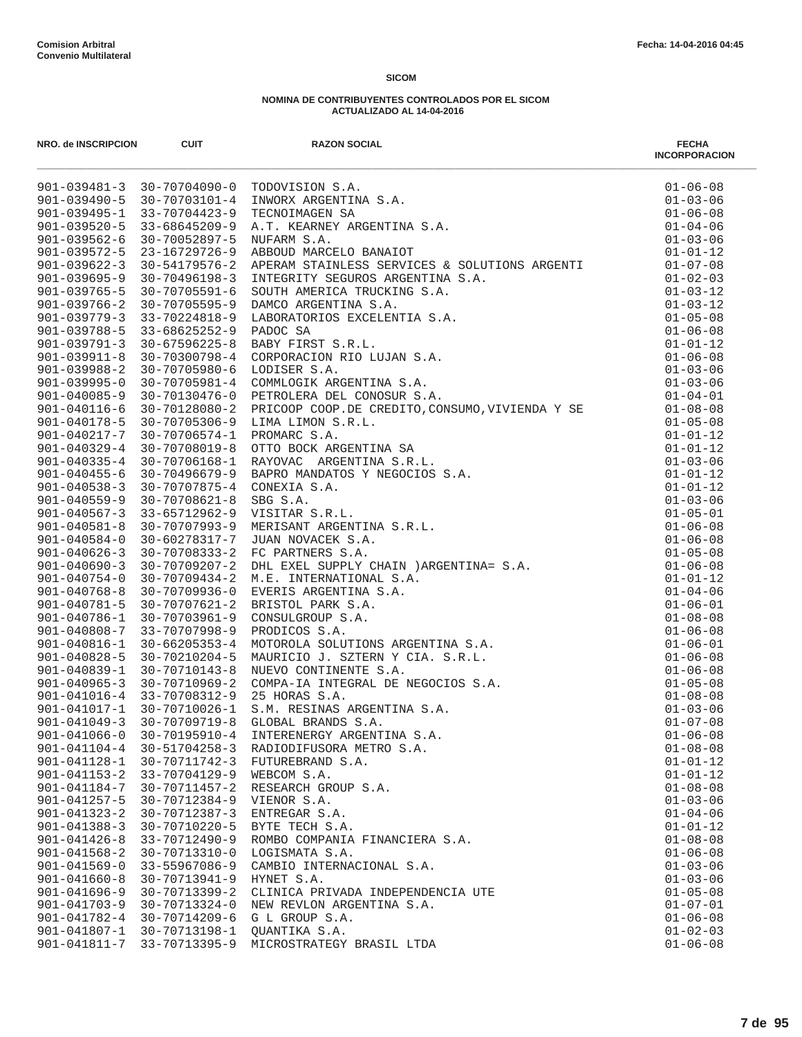| NRO. de INSCRIPCION                | <b>CUIT</b>                            | <b>RAZON SOCIAL</b>                                                                                                                                                              | <b>FECHA</b><br><b>INCORPORACION</b> |
|------------------------------------|----------------------------------------|----------------------------------------------------------------------------------------------------------------------------------------------------------------------------------|--------------------------------------|
|                                    |                                        | TODOVISION S.A.<br>INWORX ARGENTINA S.A.<br>TECNOIMAGEN SA<br>A.T. KEARNEY ARGENTINA S.A.<br>NUFARM S.A.<br>ABBOUD MARCELO BANAIOT<br>901-039481-3 30-70704090-0 TODOVISION S.A. | $01 - 06 - 08$                       |
|                                    | $901 - 039490 - 5$ $30 - 70703101 - 4$ |                                                                                                                                                                                  | $01 - 03 - 06$                       |
| 901-039495-1                       | 33-70704423-9                          |                                                                                                                                                                                  | $01 - 06 - 08$                       |
| $901 - 039520 - 5$                 | 33-68645209-9                          |                                                                                                                                                                                  | $01 - 04 - 06$                       |
| $901 - 039562 - 6$                 | 30-70052897-5                          |                                                                                                                                                                                  | $01 - 03 - 06$                       |
| $901 - 039572 - 5$                 | 23-16729726-9                          |                                                                                                                                                                                  | $01 - 01 - 12$                       |
| $901 - 039622 - 3$                 |                                        |                                                                                                                                                                                  |                                      |
| 901-039695-9                       |                                        |                                                                                                                                                                                  |                                      |
| $901 - 039765 - 5$                 | $901 - 039766 - 2$ 30-70705595-9       |                                                                                                                                                                                  |                                      |
|                                    | 901-039779-3 33-70224818-9             |                                                                                                                                                                                  |                                      |
| $901 - 039788 - 5$                 |                                        |                                                                                                                                                                                  |                                      |
| $901 - 039791 - 3$                 |                                        |                                                                                                                                                                                  |                                      |
| $901 - 039911 - 8$                 |                                        |                                                                                                                                                                                  |                                      |
| $901 - 039988 - 2$                 |                                        |                                                                                                                                                                                  |                                      |
| $901 - 039995 - 0$                 |                                        |                                                                                                                                                                                  |                                      |
| $901 - 040085 - 9$                 |                                        |                                                                                                                                                                                  |                                      |
| $901 - 040116 - 6$                 |                                        |                                                                                                                                                                                  |                                      |
| 901-040178-5                       |                                        |                                                                                                                                                                                  |                                      |
| 901-040217-7                       |                                        |                                                                                                                                                                                  |                                      |
| $901 - 040329 - 4$                 |                                        |                                                                                                                                                                                  |                                      |
| $901 - 040335 - 4$                 |                                        |                                                                                                                                                                                  |                                      |
| $901 - 040455 - 6$                 |                                        |                                                                                                                                                                                  |                                      |
| $901 - 040538 - 3$                 |                                        |                                                                                                                                                                                  |                                      |
| $901 - 040559 - 9$                 |                                        |                                                                                                                                                                                  |                                      |
| $901 - 040567 - 3$                 |                                        |                                                                                                                                                                                  |                                      |
| $901 - 040581 - 8$                 |                                        |                                                                                                                                                                                  |                                      |
| $901 - 040584 - 0$                 |                                        |                                                                                                                                                                                  |                                      |
| $901 - 040626 - 3$                 |                                        |                                                                                                                                                                                  |                                      |
| $901 - 040690 - 3$                 |                                        |                                                                                                                                                                                  |                                      |
| $901 - 040754 - 0$                 |                                        |                                                                                                                                                                                  |                                      |
| $901 - 040768 - 8$                 |                                        |                                                                                                                                                                                  |                                      |
| $901 - 040781 - 5$<br>901-040786-1 |                                        |                                                                                                                                                                                  |                                      |
| 901-040808-7                       |                                        |                                                                                                                                                                                  |                                      |
| 901-040816-1                       |                                        |                                                                                                                                                                                  |                                      |
| $901 - 040828 - 5$                 |                                        |                                                                                                                                                                                  |                                      |
| 901-040839-1                       |                                        |                                                                                                                                                                                  |                                      |
| $901 - 040965 - 3$                 |                                        |                                                                                                                                                                                  |                                      |
|                                    | 901-041016-4 33-70708312-9             |                                                                                                                                                                                  |                                      |
|                                    | 901-041017-1 30-70710026-1             |                                                                                                                                                                                  |                                      |
| $901 - 041049 - 3$                 |                                        |                                                                                                                                                                                  |                                      |
| $901 - 041066 - 0$                 | $30 - 70195910 - 4$                    | INTERENERGY ARGENTINA S.A.                                                                                                                                                       | $01 - 06 - 08$                       |
| $901 - 041104 - 4$                 | $30 - 51704258 - 3$                    | RADIODIFUSORA METRO S.A.                                                                                                                                                         | $01 - 08 - 08$                       |
| $901 - 041128 - 1$                 | 30-70711742-3                          | FUTUREBRAND S.A.                                                                                                                                                                 | $01 - 01 - 12$                       |
| $901 - 041153 - 2$                 | $33 - 70704129 - 9$                    | WEBCOM S.A.                                                                                                                                                                      | $01 - 01 - 12$                       |
| $901 - 041184 - 7$                 | $30 - 70711457 - 2$                    | RESEARCH GROUP S.A.                                                                                                                                                              | $01 - 08 - 08$                       |
| $901 - 041257 - 5$                 | 30-70712384-9                          | VIENOR S.A.                                                                                                                                                                      | $01 - 03 - 06$                       |
| $901 - 041323 - 2$                 | $30 - 70712387 - 3$                    | ENTREGAR S.A.                                                                                                                                                                    | $01 - 04 - 06$                       |
| $901 - 041388 - 3$                 | 30-70710220-5                          | BYTE TECH S.A.                                                                                                                                                                   | $01 - 01 - 12$                       |
| $901 - 041426 - 8$                 | 33-70712490-9                          | ROMBO COMPANIA FINANCIERA S.A.                                                                                                                                                   | $01 - 08 - 08$                       |
| $901 - 041568 - 2$                 | 30-70713310-0                          | LOGISMATA S.A.                                                                                                                                                                   | $01 - 06 - 08$                       |
| $901 - 041569 - 0$                 | $33 - 55967086 - 9$                    | CAMBIO INTERNACIONAL S.A.                                                                                                                                                        | $01 - 03 - 06$                       |
| $901 - 041660 - 8$                 | 30-70713941-9                          | HYNET S.A.                                                                                                                                                                       | $01 - 03 - 06$                       |
| $901 - 041696 - 9$                 | $30 - 70713399 - 2$                    | CLINICA PRIVADA INDEPENDENCIA UTE                                                                                                                                                | $01 - 05 - 08$                       |
| $901 - 041703 - 9$                 | 30-70713324-0                          | NEW REVLON ARGENTINA S.A.                                                                                                                                                        | $01 - 07 - 01$                       |
| 901-041782-4                       | 30-70714209-6                          | G L GROUP S.A.                                                                                                                                                                   | $01 - 06 - 08$                       |
| 901-041807-1                       | 30-70713198-1                          | QUANTIKA S.A.                                                                                                                                                                    | $01 - 02 - 03$                       |
| 901-041811-7                       | 33-70713395-9                          | MICROSTRATEGY BRASIL LTDA                                                                                                                                                        | $01 - 06 - 08$                       |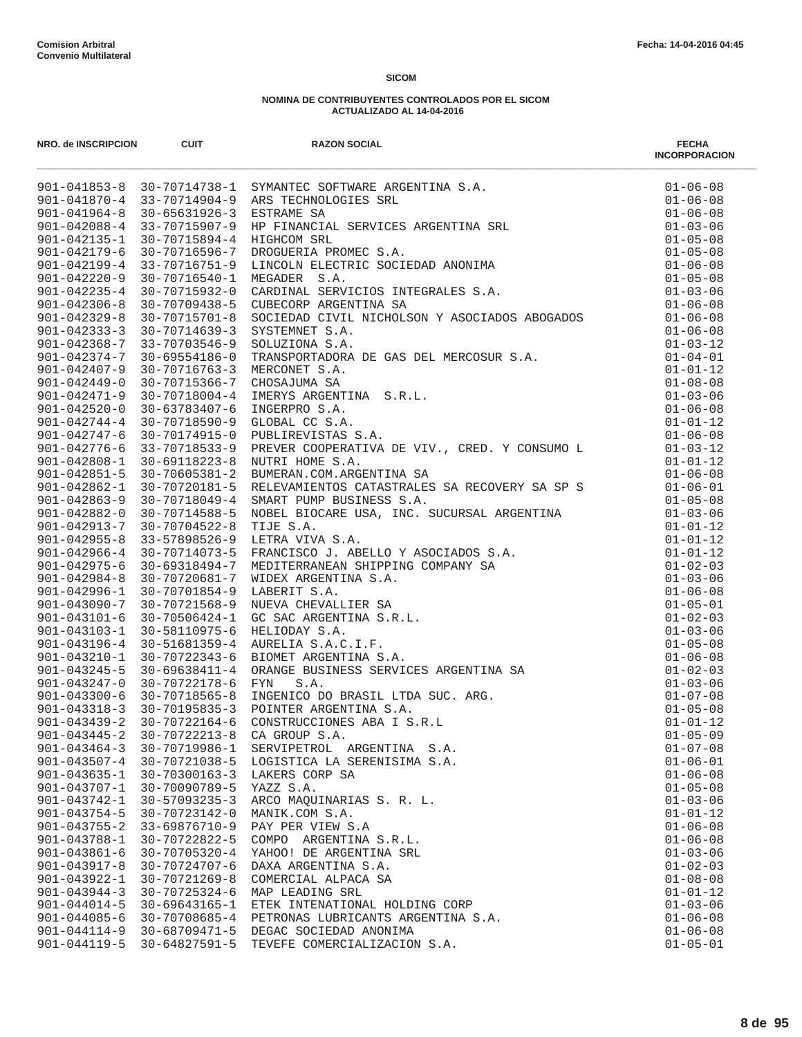| NRO. de INSCRIPCION                      | <b>CUIT</b>                                             | <b>RAZON SOCIAL</b>                                                                          | <b>FECHA</b><br><b>INCORPORACION</b> |
|------------------------------------------|---------------------------------------------------------|----------------------------------------------------------------------------------------------|--------------------------------------|
|                                          |                                                         |                                                                                              |                                      |
|                                          |                                                         |                                                                                              |                                      |
|                                          |                                                         |                                                                                              |                                      |
|                                          |                                                         |                                                                                              |                                      |
|                                          |                                                         |                                                                                              |                                      |
|                                          |                                                         |                                                                                              |                                      |
|                                          |                                                         |                                                                                              |                                      |
|                                          |                                                         |                                                                                              |                                      |
|                                          |                                                         |                                                                                              |                                      |
|                                          |                                                         |                                                                                              |                                      |
|                                          |                                                         |                                                                                              |                                      |
|                                          |                                                         |                                                                                              |                                      |
|                                          |                                                         |                                                                                              |                                      |
|                                          |                                                         |                                                                                              |                                      |
|                                          |                                                         |                                                                                              |                                      |
|                                          |                                                         |                                                                                              |                                      |
|                                          |                                                         |                                                                                              |                                      |
|                                          |                                                         |                                                                                              |                                      |
|                                          |                                                         |                                                                                              |                                      |
| $901 - 042776 - 6$                       | 33-70718533-9                                           | PUBLIREVISTAS S.A.<br>PREVER COOPERATIVA DE VIV., CRED. Y CONSUMO L $01-03-12$<br>$01-01-12$ |                                      |
| $901 - 042808 - 1$                       | 30-69118223-8                                           | NUTRI HOME S.A.                                                                              |                                      |
|                                          | $901 - 042851 - 5$ 30-70605381-2                        |                                                                                              | $01 - 06 - 08$                       |
| $901 - 042862 - 1$                       | 30-70720181-5                                           |                                                                                              |                                      |
| $901 - 042863 - 9$<br>$901 - 042882 - 0$ | 30-70718049-4<br>30-70714588-5                          |                                                                                              |                                      |
| 901-042913-7                             | 30-70704522-8                                           |                                                                                              |                                      |
| $901 - 042955 - 8$                       | 33-57898526-9                                           |                                                                                              |                                      |
|                                          | 901-042966-4 30-70714073-5                              |                                                                                              |                                      |
| $901 - 042975 - 6$                       | 30-69318494-7                                           |                                                                                              |                                      |
| $901 - 042984 - 8$                       | 30-70720681-7                                           |                                                                                              |                                      |
| 901-042996-1                             | 30-70701854-9                                           |                                                                                              |                                      |
| $901 - 043090 - 7$                       | $30 - 70721568 - 9$                                     |                                                                                              |                                      |
| $901 - 043101 - 6$                       | 30-70506424-1                                           |                                                                                              |                                      |
| 901-043103-1                             | 30-58110975-6                                           |                                                                                              |                                      |
| $901 - 043196 - 4$                       | $30 - 51681359 - 4$                                     |                                                                                              |                                      |
| $901 - 043210 - 1$                       | 30-70722343-6                                           |                                                                                              |                                      |
| $901 - 043245 - 5$                       | 30-69638411-4                                           |                                                                                              |                                      |
| $901 - 043247 - 0$                       | 30-70722178-6                                           |                                                                                              |                                      |
| $901 - 043300 - 6$                       | $30 - 70718565 - 8$                                     |                                                                                              |                                      |
| $901 - 043439 - 2$                       | $901 - 043318 - 3$ 30-70195835-3<br>$30 - 70722164 - 6$ |                                                                                              |                                      |
| $901 - 043445 - 2$                       | $30 - 70722213 - 8$                                     | CA GROUP S.A.                                                                                | $01 - 05 - 09$                       |
| $901 - 043464 - 3$                       | 30-70719986-1                                           | SERVIPETROL ARGENTINA S.A.                                                                   | $01 - 07 - 08$                       |
| $901 - 043507 - 4$                       | 30-70721038-5                                           | LOGISTICA LA SERENISIMA S.A.                                                                 | $01 - 06 - 01$                       |
| $901 - 043635 - 1$                       | $30 - 70300163 - 3$                                     | LAKERS CORP SA                                                                               | $01 - 06 - 08$                       |
| $901 - 043707 - 1$                       | $30 - 70090789 - 5$                                     | YAZZ S.A.                                                                                    | $01 - 05 - 08$                       |
| 901-043742-1                             | $30 - 57093235 - 3$                                     | ARCO MAQUINARIAS S. R. L.                                                                    | $01 - 03 - 06$                       |
| $901 - 043754 - 5$                       | 30-70723142-0                                           | MANIK.COM S.A.                                                                               | $01 - 01 - 12$                       |
| $901 - 043755 - 2$                       | 33-69876710-9                                           | PAY PER VIEW S.A                                                                             | $01 - 06 - 08$                       |
| 901-043788-1                             | 30-70722822-5                                           | COMPO ARGENTINA S.R.L.                                                                       | $01 - 06 - 08$                       |
| $901 - 043861 - 6$                       | $30 - 70705320 - 4$                                     | YAHOO! DE ARGENTINA SRL                                                                      | $01 - 03 - 06$                       |
| $901 - 043917 - 8$                       | 30-70724707-6                                           | DAXA ARGENTINA S.A.                                                                          | $01 - 02 - 03$                       |
| 901-043922-1                             | $30 - 70721269 - 8$                                     | COMERCIAL ALPACA SA                                                                          | $01 - 08 - 08$                       |
| $901 - 043944 - 3$                       | $30 - 70725324 - 6$                                     | MAP LEADING SRL                                                                              | $01 - 01 - 12$                       |
| $901 - 044014 - 5$                       | $30 - 69643165 - 1$                                     | ETEK INTENATIONAL HOLDING CORP                                                               | $01 - 03 - 06$                       |
| $901 - 044085 - 6$                       | 30-70708685-4                                           | PETRONAS LUBRICANTS ARGENTINA S.A.                                                           | $01 - 06 - 08$                       |
| $901 - 044114 - 9$<br>$901 - 044119 - 5$ | 30-68709471-5<br>$30 - 64827591 - 5$                    | DEGAC SOCIEDAD ANONIMA<br>TEVEFE COMERCIALIZACION S.A.                                       | $01 - 06 - 08$<br>$01 - 05 - 01$     |
|                                          |                                                         |                                                                                              |                                      |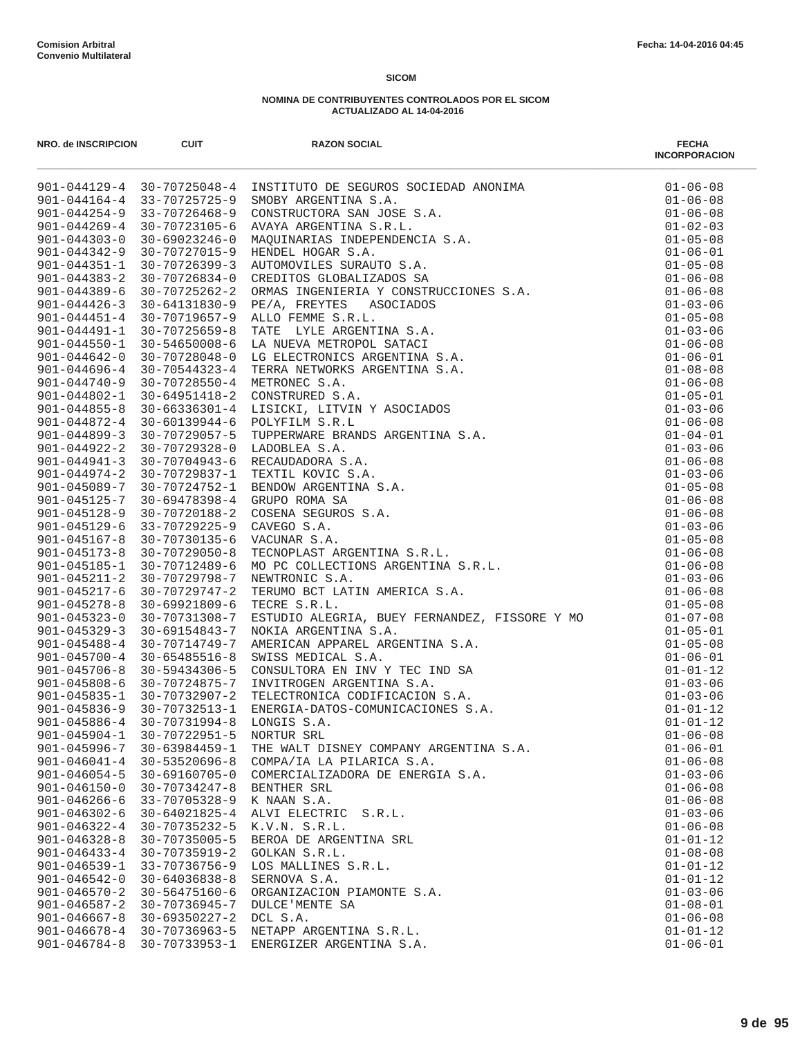| NRO. de INSCRIPCION | <b>CUIT</b>                                       | <b>RAZON SOCIAL</b>                                                                                                                                                                                                                     | <b>FECHA</b><br><b>INCORPORACION</b> |
|---------------------|---------------------------------------------------|-----------------------------------------------------------------------------------------------------------------------------------------------------------------------------------------------------------------------------------------|--------------------------------------|
|                     |                                                   | 901-044129-4 30-70725048-4 INSTITUTO DE SEGUEDA SOCIEDAD ANONINA 901-044254-4 33-70725165-9 SMOBY ARCENTINA S.A.<br>901-0441284-4 33-70725175-9 SMOBY ARCENTINA S.A.<br>901-0441284-4 33-70725175-9 SMOBY ARCENTINA S.A.<br>901-0441284 | $01 - 06 - 08$                       |
|                     |                                                   |                                                                                                                                                                                                                                         | $01 - 06 - 08$                       |
|                     |                                                   |                                                                                                                                                                                                                                         | $01 - 06 - 08$                       |
|                     |                                                   |                                                                                                                                                                                                                                         | $01 - 02 - 03$                       |
|                     |                                                   |                                                                                                                                                                                                                                         | $01 - 05 - 08$                       |
|                     |                                                   |                                                                                                                                                                                                                                         | $01 - 06 - 01$                       |
|                     |                                                   |                                                                                                                                                                                                                                         | $01 - 05 - 08$                       |
|                     |                                                   |                                                                                                                                                                                                                                         | $01 - 06 - 08$                       |
|                     |                                                   |                                                                                                                                                                                                                                         | $01 - 06 - 08$                       |
|                     |                                                   |                                                                                                                                                                                                                                         | $01 - 03 - 06$                       |
|                     |                                                   |                                                                                                                                                                                                                                         | $01 - 05 - 08$<br>$01 - 03 - 06$     |
|                     |                                                   |                                                                                                                                                                                                                                         | $01 - 06 - 08$                       |
|                     |                                                   |                                                                                                                                                                                                                                         | $01 - 06 - 01$                       |
|                     |                                                   |                                                                                                                                                                                                                                         | $01 - 08 - 08$                       |
|                     |                                                   |                                                                                                                                                                                                                                         | $01 - 06 - 08$                       |
|                     |                                                   |                                                                                                                                                                                                                                         | $01 - 05 - 01$                       |
|                     |                                                   |                                                                                                                                                                                                                                         | $01 - 03 - 06$                       |
|                     |                                                   |                                                                                                                                                                                                                                         | $01 - 06 - 08$                       |
|                     |                                                   |                                                                                                                                                                                                                                         | $01 - 04 - 01$                       |
|                     |                                                   |                                                                                                                                                                                                                                         | $01 - 03 - 06$                       |
|                     |                                                   |                                                                                                                                                                                                                                         | $01 - 06 - 08$                       |
|                     |                                                   |                                                                                                                                                                                                                                         | $01 - 03 - 06$                       |
|                     |                                                   |                                                                                                                                                                                                                                         | $01 - 05 - 08$                       |
|                     |                                                   |                                                                                                                                                                                                                                         | $01 - 06 - 08$                       |
|                     |                                                   |                                                                                                                                                                                                                                         | $01 - 06 - 08$                       |
|                     |                                                   |                                                                                                                                                                                                                                         | $01 - 03 - 06$                       |
|                     |                                                   |                                                                                                                                                                                                                                         | $01 - 05 - 08$                       |
|                     |                                                   |                                                                                                                                                                                                                                         | $01 - 06 - 08$                       |
|                     |                                                   |                                                                                                                                                                                                                                         | $01 - 06 - 08$                       |
|                     |                                                   |                                                                                                                                                                                                                                         | $01 - 03 - 06$                       |
|                     |                                                   |                                                                                                                                                                                                                                         | $01 - 06 - 08$                       |
|                     |                                                   |                                                                                                                                                                                                                                         | $01 - 05 - 08$                       |
|                     |                                                   |                                                                                                                                                                                                                                         | $01 - 07 - 08$                       |
| $901 - 045329 - 3$  | 30-69154843-7                                     | NOKIA ARGENTINA S.A.<br>AMERICAN APPAREL ARGENTINA S.A.<br>SWISS MEDICAL S.A.<br>CONSULTORA EN INV Y TEC IND SA<br>INVITROGEN ARGENTINA S.A.<br>TELECTRONICA CODIFICACION S.A.<br>ENERGIA-DATOS-COMUNICACIONES S.A.<br>LONGIS S.A.      | $01 - 05 - 01$                       |
| $901 - 045488 - 4$  | 30-70714749-7                                     |                                                                                                                                                                                                                                         | $01 - 05 - 08$                       |
| $901 - 045700 - 4$  | 30-65485516-8                                     |                                                                                                                                                                                                                                         | $01 - 06 - 01$                       |
| $901 - 045706 - 8$  | 30-59434306-5                                     |                                                                                                                                                                                                                                         | $01 - 01 - 12$                       |
| $901 - 045808 - 6$  | 30-70724875-7                                     |                                                                                                                                                                                                                                         | $01 - 03 - 06$                       |
|                     | 901-045835-1 30-70732907-2                        |                                                                                                                                                                                                                                         | $01 - 03 - 06$                       |
| $901 - 045886 - 4$  | 901-045836-9 30-70732513-1<br>$30 - 70731994 - 8$ |                                                                                                                                                                                                                                         | $01 - 01 - 12$<br>$01 - 01 - 12$     |
| $901 - 045904 - 1$  | 30-70722951-5                                     | LONGIS S.A.<br>NORTUR SRL                                                                                                                                                                                                               | $01 - 06 - 08$                       |
| $901 - 045996 - 7$  | $30 - 63984459 - 1$                               | THE WALT DISNEY COMPANY ARGENTINA S.A.                                                                                                                                                                                                  | $01 - 06 - 01$                       |
| $901 - 046041 - 4$  | $30 - 53520696 - 8$                               | COMPA/IA LA PILARICA S.A.                                                                                                                                                                                                               | $01 - 06 - 08$                       |
| $901 - 046054 - 5$  | $30 - 69160705 - 0$                               | COMERCIALIZADORA DE ENERGIA S.A.                                                                                                                                                                                                        | $01 - 03 - 06$                       |
| $901 - 046150 - 0$  | $30 - 70734247 - 8$                               | BENTHER SRL                                                                                                                                                                                                                             | $01 - 06 - 08$                       |
| $901 - 046266 - 6$  | 33-70705328-9                                     | K NAAN S.A.                                                                                                                                                                                                                             | $01 - 06 - 08$                       |
| $901 - 046302 - 6$  | 30-64021825-4                                     | ALVI ELECTRIC S.R.L.                                                                                                                                                                                                                    | $01 - 03 - 06$                       |
| $901 - 046322 - 4$  | 30-70735232-5                                     | K.V.N. S.R.L.                                                                                                                                                                                                                           | $01 - 06 - 08$                       |
| $901 - 046328 - 8$  | $30 - 70735005 - 5$                               | BEROA DE ARGENTINA SRL                                                                                                                                                                                                                  | $01 - 01 - 12$                       |
| $901 - 046433 - 4$  | 30-70735919-2                                     | GOLKAN S.R.L.                                                                                                                                                                                                                           | $01 - 08 - 08$                       |
| $901 - 046539 - 1$  | 33-70736756-9                                     | LOS MALLINES S.R.L.                                                                                                                                                                                                                     | $01 - 01 - 12$                       |
| $901 - 046542 - 0$  | $30 - 64036838 - 8$                               | SERNOVA S.A.                                                                                                                                                                                                                            | $01 - 01 - 12$                       |
| $901 - 046570 - 2$  | $30 - 56475160 - 6$                               | ORGANIZACION PIAMONTE S.A.                                                                                                                                                                                                              | $01 - 03 - 06$                       |
| $901 - 046587 - 2$  | 30-70736945-7                                     | DULCE 'MENTE SA                                                                                                                                                                                                                         | $01 - 08 - 01$                       |
| $901 - 046667 - 8$  | $30 - 69350227 - 2$                               | DCL S.A.                                                                                                                                                                                                                                | $01 - 06 - 08$                       |
| $901 - 046678 - 4$  | $30 - 70736963 - 5$                               | NETAPP ARGENTINA S.R.L.                                                                                                                                                                                                                 | $01 - 01 - 12$                       |
| $901 - 046784 - 8$  | $30 - 70733953 - 1$                               | ENERGIZER ARGENTINA S.A.                                                                                                                                                                                                                | $01 - 06 - 01$                       |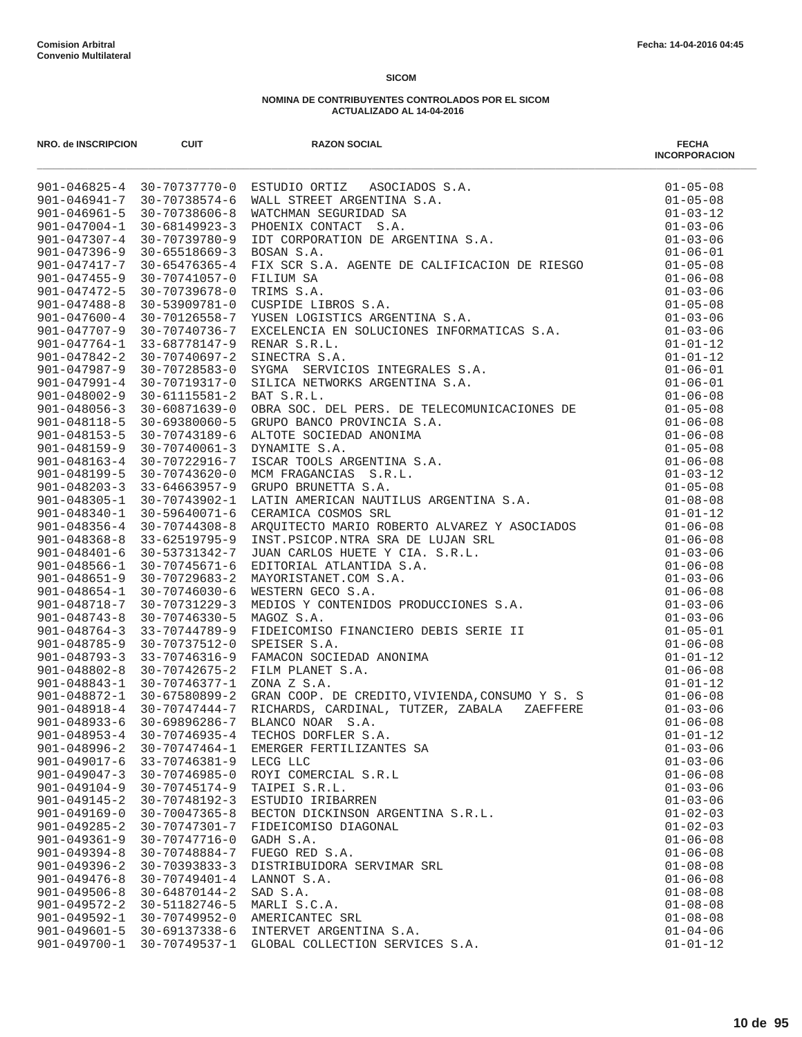|                    |                     |                                   | <b>INCORPORACION</b> |
|--------------------|---------------------|-----------------------------------|----------------------|
|                    |                     |                                   |                      |
|                    |                     |                                   |                      |
|                    |                     |                                   |                      |
|                    |                     |                                   |                      |
|                    |                     |                                   |                      |
|                    |                     |                                   |                      |
|                    |                     |                                   |                      |
|                    |                     |                                   |                      |
|                    |                     |                                   |                      |
|                    |                     |                                   |                      |
|                    |                     |                                   |                      |
|                    |                     |                                   |                      |
|                    |                     |                                   |                      |
|                    |                     |                                   |                      |
|                    |                     |                                   |                      |
|                    |                     |                                   |                      |
|                    |                     |                                   |                      |
|                    |                     |                                   |                      |
|                    |                     |                                   |                      |
|                    |                     |                                   |                      |
|                    |                     |                                   |                      |
|                    |                     |                                   |                      |
|                    |                     |                                   |                      |
|                    |                     |                                   |                      |
|                    |                     |                                   |                      |
|                    |                     |                                   |                      |
|                    |                     |                                   |                      |
|                    |                     |                                   |                      |
|                    |                     |                                   |                      |
|                    |                     |                                   |                      |
|                    |                     |                                   |                      |
|                    |                     |                                   |                      |
|                    |                     |                                   |                      |
|                    |                     |                                   |                      |
|                    |                     |                                   |                      |
|                    |                     |                                   |                      |
|                    |                     |                                   |                      |
|                    |                     |                                   |                      |
|                    |                     |                                   |                      |
|                    |                     |                                   |                      |
| $901 - 048953 - 4$ | $30 - 70746935 - 4$ | TECHOS DORFLER S.A.               | $01 - 01 - 12$       |
| $901 - 048996 - 2$ | 30-70747464-1       | EMERGER FERTILIZANTES SA          | $01 - 03 - 06$       |
| $901 - 049017 - 6$ | 33-70746381-9       | LECG LLC                          | $01 - 03 - 06$       |
| $901 - 049047 - 3$ | $30 - 70746985 - 0$ | ROYI COMERCIAL S.R.L              | $01 - 06 - 08$       |
| $901 - 049104 - 9$ | $30 - 70745174 - 9$ | TAIPEI S.R.L.                     | $01 - 03 - 06$       |
| $901 - 049145 - 2$ | $30 - 70748192 - 3$ | ESTUDIO IRIBARREN                 | $01 - 03 - 06$       |
| $901 - 049169 - 0$ | $30 - 70047365 - 8$ | BECTON DICKINSON ARGENTINA S.R.L. | $01 - 02 - 03$       |
| $901 - 049285 - 2$ | 30-70747301-7       | FIDEICOMISO DIAGONAL              | $01 - 02 - 03$       |
| $901 - 049361 - 9$ | 30-70747716-0       | GADH S.A.                         | $01 - 06 - 08$       |
| $901 - 049394 - 8$ | 30-70748884-7       | FUEGO RED S.A.                    | $01 - 06 - 08$       |
| $901 - 049396 - 2$ | $30 - 70393833 - 3$ | DISTRIBUIDORA SERVIMAR SRL        | $01 - 08 - 08$       |
| $901 - 049476 - 8$ | $30 - 70749401 - 4$ | LANNOT S.A.                       | $01 - 06 - 08$       |
| $901 - 049506 - 8$ | $30 - 64870144 - 2$ | SAD S.A.                          | $01 - 08 - 08$       |
| $901 - 049572 - 2$ | 30-51182746-5       | MARLI S.C.A.                      | $01 - 08 - 08$       |
| $901 - 049592 - 1$ | 30-70749952-0       | AMERICANTEC SRL                   | $01 - 08 - 08$       |
| $901 - 049601 - 5$ | $30 - 69137338 - 6$ | INTERVET ARGENTINA S.A.           | $01 - 04 - 06$       |
| $901 - 049700 - 1$ | 30-70749537-1       | GLOBAL COLLECTION SERVICES S.A.   | $01 - 01 - 12$       |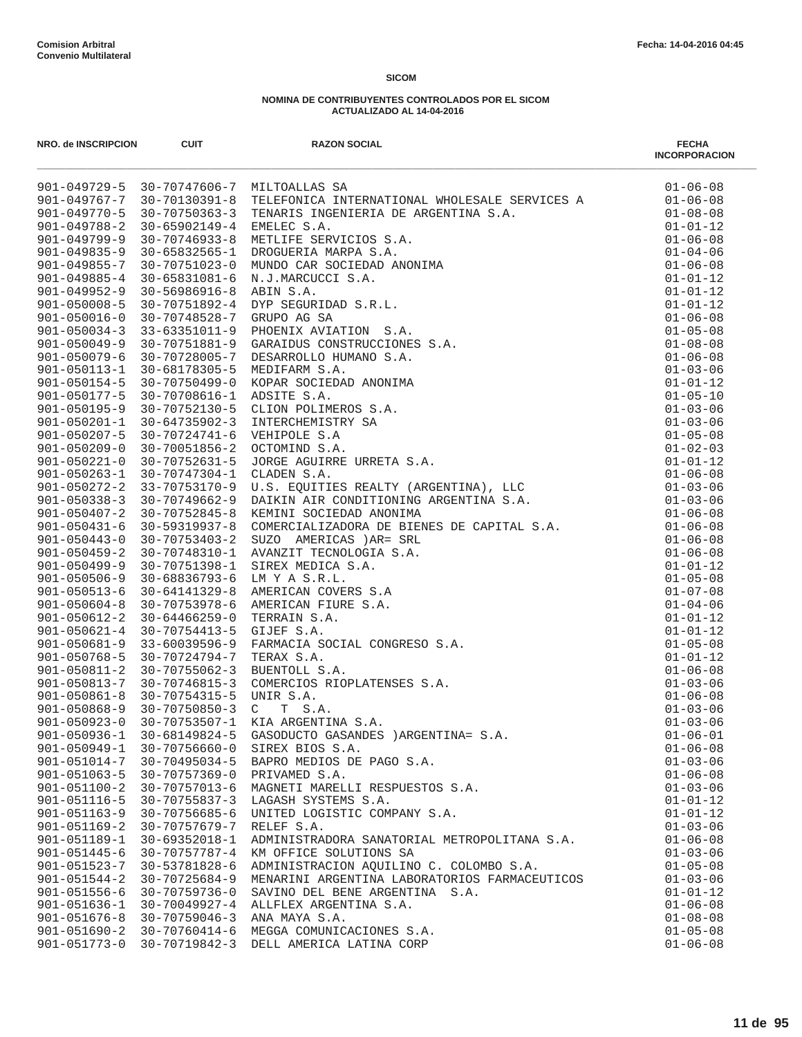| NRO. de INSCRIPCION                      | <b>CUIT</b>                          | <b>RAZON SOCIAL</b>                                                                                                                                                                                                                                                                  | <b>FECHA</b><br><b>INCORPORACION</b> |
|------------------------------------------|--------------------------------------|--------------------------------------------------------------------------------------------------------------------------------------------------------------------------------------------------------------------------------------------------------------------------------------|--------------------------------------|
|                                          |                                      | 901-049729-5 30-70747606-7 MILTOALLAS SA<br>30 70747606 7 MILTOALLAS SA<br>30 70747606 7 MILTOALLAS SA<br>30-70130391-8 TELEFONICA INTENNATIONAL NHOLESALE SENVICES A<br>30-70760391-8 TELEFONICA INTENSATION 2.<br>30.070746933-8 METLIFE SENVICIOS S.A.<br>30-70746933-8 METLIFE S | $01 - 06 - 08$                       |
| 901-049767-7                             |                                      |                                                                                                                                                                                                                                                                                      | $01 - 06 - 08$                       |
| $901 - 049770 - 5$                       |                                      |                                                                                                                                                                                                                                                                                      | $01 - 08 - 08$                       |
| $901 - 049788 - 2$                       |                                      |                                                                                                                                                                                                                                                                                      | $01 - 01 - 12$                       |
| $901 - 049799 - 9$                       |                                      |                                                                                                                                                                                                                                                                                      | $01 - 06 - 08$                       |
| $901 - 049835 - 9$                       |                                      |                                                                                                                                                                                                                                                                                      | $01 - 04 - 06$                       |
| $901 - 049855 - 7$                       |                                      |                                                                                                                                                                                                                                                                                      | $01 - 06 - 08$                       |
| $901 - 049885 - 4$                       |                                      |                                                                                                                                                                                                                                                                                      | $01 - 01 - 12$                       |
| $901 - 049952 - 9$                       |                                      |                                                                                                                                                                                                                                                                                      | $01 - 01 - 12$                       |
| $901 - 050008 - 5$                       |                                      |                                                                                                                                                                                                                                                                                      | $01 - 01 - 12$                       |
| $901 - 050016 - 0$                       |                                      |                                                                                                                                                                                                                                                                                      | $01 - 06 - 08$                       |
| $901 - 050034 - 3$                       |                                      |                                                                                                                                                                                                                                                                                      | $01 - 05 - 08$                       |
| $901 - 050049 - 9$                       |                                      |                                                                                                                                                                                                                                                                                      | $01 - 08 - 08$                       |
| $901 - 050079 - 6$                       |                                      |                                                                                                                                                                                                                                                                                      | $01 - 06 - 08$                       |
| $901 - 050113 - 1$                       |                                      |                                                                                                                                                                                                                                                                                      | $01 - 03 - 06$                       |
| $901 - 050154 - 5$                       |                                      |                                                                                                                                                                                                                                                                                      | $01 - 01 - 12$                       |
| $901 - 050177 - 5$                       |                                      |                                                                                                                                                                                                                                                                                      | $01 - 05 - 10$                       |
| $901 - 050195 - 9$                       |                                      |                                                                                                                                                                                                                                                                                      | $01 - 03 - 06$                       |
| $901 - 050201 - 1$<br>$901 - 050207 - 5$ |                                      |                                                                                                                                                                                                                                                                                      | $01 - 03 - 06$<br>$01 - 05 - 08$     |
|                                          |                                      |                                                                                                                                                                                                                                                                                      |                                      |
| $901 - 050209 - 0$<br>$901 - 050221 - 0$ |                                      |                                                                                                                                                                                                                                                                                      | $01 - 02 - 03$<br>$01 - 01 - 12$     |
| $901 - 050263 - 1$                       |                                      |                                                                                                                                                                                                                                                                                      | $01 - 06 - 08$                       |
| $901 - 050272 - 2$                       |                                      |                                                                                                                                                                                                                                                                                      | $01 - 03 - 06$                       |
| $901 - 050338 - 3$                       |                                      |                                                                                                                                                                                                                                                                                      | $01 - 03 - 06$                       |
| $901 - 050407 - 2$                       |                                      |                                                                                                                                                                                                                                                                                      | $01 - 06 - 08$                       |
| $901 - 050431 - 6$                       |                                      |                                                                                                                                                                                                                                                                                      | $01 - 06 - 08$                       |
| $901 - 050443 - 0$                       |                                      |                                                                                                                                                                                                                                                                                      | $01 - 06 - 08$                       |
| $901 - 050459 - 2$                       |                                      |                                                                                                                                                                                                                                                                                      | $01 - 06 - 08$                       |
| $901 - 050499 - 9$                       |                                      |                                                                                                                                                                                                                                                                                      | $01 - 01 - 12$                       |
| $901 - 050506 - 9$                       |                                      |                                                                                                                                                                                                                                                                                      | $01 - 05 - 08$                       |
| $901 - 050513 - 6$                       |                                      |                                                                                                                                                                                                                                                                                      | $01 - 07 - 08$                       |
| $901 - 050604 - 8$                       |                                      |                                                                                                                                                                                                                                                                                      | $01 - 04 - 06$                       |
| $901 - 050612 - 2$                       |                                      |                                                                                                                                                                                                                                                                                      | $01 - 01 - 12$                       |
| $901 - 050621 - 4$                       |                                      |                                                                                                                                                                                                                                                                                      | $01 - 01 - 12$                       |
| $901 - 050681 - 9$                       |                                      |                                                                                                                                                                                                                                                                                      | $01 - 05 - 08$                       |
| $901 - 050768 - 5$                       |                                      |                                                                                                                                                                                                                                                                                      | $01 - 01 - 12$                       |
| $901 - 050811 - 2$                       |                                      |                                                                                                                                                                                                                                                                                      | $01 - 06 - 08$                       |
| $901 - 050813 - 7$                       |                                      |                                                                                                                                                                                                                                                                                      | $01 - 03 - 06$                       |
| $901 - 050861 - 8$                       |                                      |                                                                                                                                                                                                                                                                                      | $01 - 06 - 08$                       |
| $901 - 050868 - 9$                       |                                      |                                                                                                                                                                                                                                                                                      | $01 - 03 - 06$                       |
| $901 - 050923 - 0$                       |                                      |                                                                                                                                                                                                                                                                                      | $01 - 03 - 06$                       |
| $901 - 050936 - 1$                       |                                      |                                                                                                                                                                                                                                                                                      | $01 - 06 - 01$                       |
| $901 - 050949 - 1$                       | $30 - 70756660 - 0$                  | SIREX BIOS S.A.                                                                                                                                                                                                                                                                      | $01 - 06 - 08$                       |
| $901 - 051014 - 7$                       | $30 - 70495034 - 5$                  | BAPRO MEDIOS DE PAGO S.A.                                                                                                                                                                                                                                                            | $01 - 03 - 06$                       |
| $901 - 051063 - 5$<br>$901 - 051100 - 2$ | $30 - 70757369 - 0$<br>30-70757013-6 | PRIVAMED S.A.<br>MAGNETI MARELLI RESPUESTOS S.A.                                                                                                                                                                                                                                     | $01 - 06 - 08$<br>$01 - 03 - 06$     |
| $901 - 051116 - 5$                       | $30 - 70755837 - 3$                  | LAGASH SYSTEMS S.A.                                                                                                                                                                                                                                                                  | $01 - 01 - 12$                       |
| $901 - 051163 - 9$                       | 30-70756685-6                        | UNITED LOGISTIC COMPANY S.A.                                                                                                                                                                                                                                                         | $01 - 01 - 12$                       |
| $901 - 051169 - 2$                       | 30-70757679-7                        | RELEF S.A.                                                                                                                                                                                                                                                                           | $01 - 03 - 06$                       |
| $901 - 051189 - 1$                       | 30-69352018-1                        | ADMINISTRADORA SANATORIAL METROPOLITANA S.A.                                                                                                                                                                                                                                         | $01 - 06 - 08$                       |
| $901 - 051445 - 6$                       | 30-70757787-4                        | KM OFFICE SOLUTIONS SA                                                                                                                                                                                                                                                               | $01 - 03 - 06$                       |
| $901 - 051523 - 7$                       | 30-53781828-6                        | ADMINISTRACION AQUILINO C. COLOMBO S.A.                                                                                                                                                                                                                                              | $01 - 05 - 08$                       |
| $901 - 051544 - 2$                       | $30 - 70725684 - 9$                  | MENARINI ARGENTINA LABORATORIOS FARMACEUTICOS                                                                                                                                                                                                                                        | $01 - 03 - 06$                       |
| $901 - 051556 - 6$                       | 30-70759736-0                        | SAVINO DEL BENE ARGENTINA S.A.                                                                                                                                                                                                                                                       | $01 - 01 - 12$                       |
| $901 - 051636 - 1$                       | $30 - 70049927 - 4$                  | ALLFLEX ARGENTINA S.A.                                                                                                                                                                                                                                                               | $01 - 06 - 08$                       |
| $901 - 051676 - 8$                       | $30 - 70759046 - 3$                  | ANA MAYA S.A.                                                                                                                                                                                                                                                                        | $01 - 08 - 08$                       |
| $901 - 051690 - 2$                       | 30-70760414-6                        | MEGGA COMUNICACIONES S.A.                                                                                                                                                                                                                                                            | $01 - 05 - 08$                       |
| 901-051773-0                             | 30-70719842-3                        | DELL AMERICA LATINA CORP                                                                                                                                                                                                                                                             | $01 - 06 - 08$                       |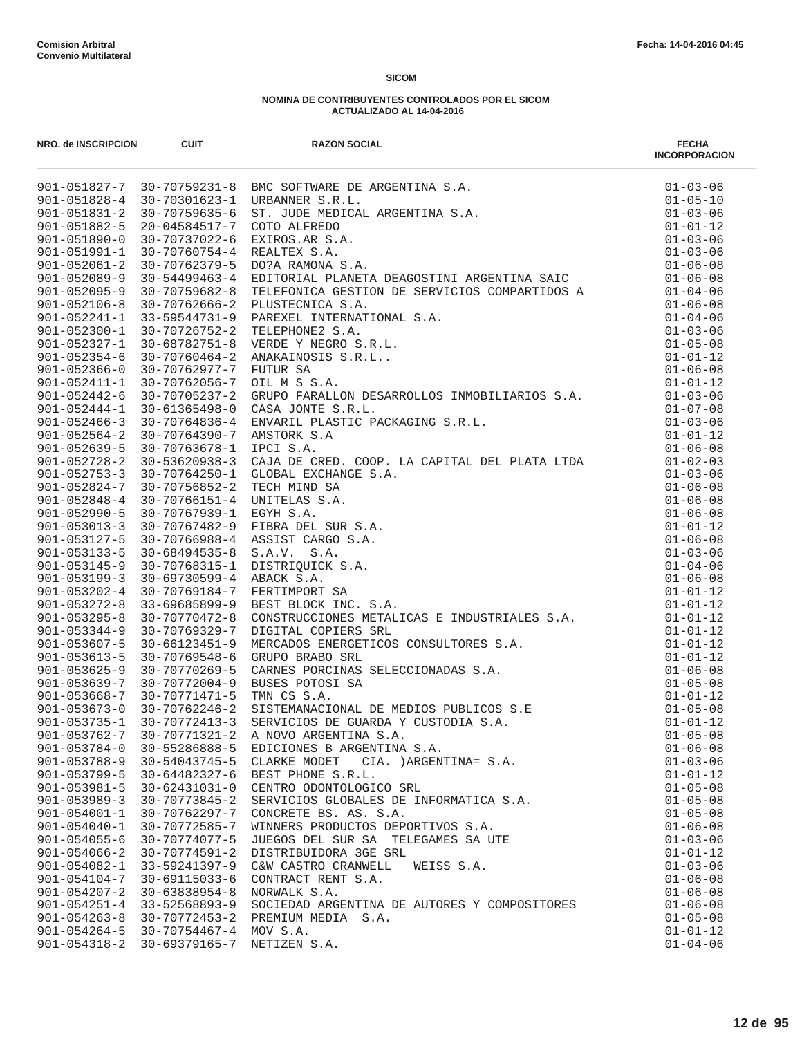| NRO. de INSCRIPCION                      | <b>CUIT</b>                    | <b>RAZON SOCIAL</b>                                                                                                                                                                                                                                      | <b>FECHA</b><br><b>INCORPORACION</b> |
|------------------------------------------|--------------------------------|----------------------------------------------------------------------------------------------------------------------------------------------------------------------------------------------------------------------------------------------------------|--------------------------------------|
|                                          |                                |                                                                                                                                                                                                                                                          |                                      |
|                                          |                                |                                                                                                                                                                                                                                                          |                                      |
|                                          |                                |                                                                                                                                                                                                                                                          |                                      |
|                                          |                                |                                                                                                                                                                                                                                                          |                                      |
|                                          |                                |                                                                                                                                                                                                                                                          |                                      |
|                                          |                                |                                                                                                                                                                                                                                                          |                                      |
|                                          |                                |                                                                                                                                                                                                                                                          |                                      |
|                                          |                                |                                                                                                                                                                                                                                                          |                                      |
|                                          |                                |                                                                                                                                                                                                                                                          |                                      |
|                                          |                                |                                                                                                                                                                                                                                                          |                                      |
|                                          |                                |                                                                                                                                                                                                                                                          |                                      |
|                                          |                                |                                                                                                                                                                                                                                                          |                                      |
|                                          |                                |                                                                                                                                                                                                                                                          |                                      |
|                                          |                                |                                                                                                                                                                                                                                                          |                                      |
|                                          |                                |                                                                                                                                                                                                                                                          |                                      |
|                                          |                                |                                                                                                                                                                                                                                                          |                                      |
|                                          |                                |                                                                                                                                                                                                                                                          |                                      |
|                                          |                                |                                                                                                                                                                                                                                                          |                                      |
|                                          |                                |                                                                                                                                                                                                                                                          |                                      |
|                                          |                                |                                                                                                                                                                                                                                                          |                                      |
| $901 - 052728 - 2$                       | 30-53620938-3                  |                                                                                                                                                                                                                                                          | $01 - 02 - 03$                       |
| $901 - 052753 - 3$                       | 30-70764250-1                  |                                                                                                                                                                                                                                                          | $01 - 03 - 06$                       |
| $901 - 052824 - 7$                       | 30-70756852-2                  |                                                                                                                                                                                                                                                          | $01 - 06 - 08$                       |
| $901 - 052848 - 4$                       | 30-70766151-4                  |                                                                                                                                                                                                                                                          | $01 - 06 - 08$                       |
| $901 - 052990 - 5$                       | 30-70767939-1                  |                                                                                                                                                                                                                                                          | $01 - 06 - 08$                       |
| $901 - 053013 - 3$                       | 30-70767482-9                  |                                                                                                                                                                                                                                                          | $01 - 01 - 12$                       |
| $901 - 053127 - 5$                       | 30-70766988-4                  |                                                                                                                                                                                                                                                          | $01 - 06 - 08$                       |
| $901 - 053133 - 5$                       | $30 - 68494535 - 8$            | AMSTORK S.A.<br>IPCI S.A.<br>IPCI S.A.<br>CAJA DE CRED. COOP. LA CAPITAL DEL PLATA LTDA<br>GLOBAL EXCHANGE S.A.<br>TECH MIND SA.<br>INITELAS S.A.<br>EGYH S.A.<br>EGYH S.A.<br>S.A.V. S.A.<br>S.A.V. S.A.<br>BERR DEL SUR S.A.<br>BERT CARGO S.A.<br>BER | $01 - 03 - 06$                       |
| $901 - 053145 - 9$                       | 30-70768315-1                  |                                                                                                                                                                                                                                                          | $01 - 04 - 06$                       |
| $901 - 053199 - 3$                       | $30 - 69730599 - 4$            |                                                                                                                                                                                                                                                          | $01 - 06 - 08$                       |
| $901 - 053202 - 4$                       | 30-70769184-7                  |                                                                                                                                                                                                                                                          | $01 - 01 - 12$                       |
| $901 - 053272 - 8$                       | $33 - 69685899 - 9$            |                                                                                                                                                                                                                                                          | $01 - 01 - 12$                       |
| $901 - 053295 - 8$<br>$901 - 053344 - 9$ | 30-70770472-8<br>30-70769329-7 |                                                                                                                                                                                                                                                          | $01 - 01 - 12$<br>$01 - 01 - 12$     |
| $901 - 053607 - 5$                       | $30 - 66123451 - 9$            |                                                                                                                                                                                                                                                          | $01 - 01 - 12$                       |
| $901 - 053613 - 5$                       | 30-70769548-6                  |                                                                                                                                                                                                                                                          | $01 - 01 - 12$                       |
| $901 - 053625 - 9$                       | 30-70770269-5                  |                                                                                                                                                                                                                                                          | $01 - 06 - 08$                       |
| $901 - 053639 - 7$                       | 30-70772004-9                  |                                                                                                                                                                                                                                                          | $01 - 05 - 08$                       |
| $901 - 053668 - 7$                       | 30-70771471-5                  |                                                                                                                                                                                                                                                          | $01 - 01 - 12$                       |
| $901 - 053673 - 0$                       | 30-70762246-2                  |                                                                                                                                                                                                                                                          | $01 - 05 - 08$                       |
| $901 - 053735 - 1$                       | $30 - 70772413 - 3$            |                                                                                                                                                                                                                                                          | $01 - 01 - 12$                       |
| $901 - 053762 - 7$                       | $30 - 70771321 - 2$            | A NOVO ARGENTINA S.A.                                                                                                                                                                                                                                    | $01 - 05 - 08$                       |
| $901 - 053784 - 0$                       | 30-55286888-5                  | EDICIONES B ARGENTINA S.A.                                                                                                                                                                                                                               | $01 - 06 - 08$                       |
| $901 - 053788 - 9$                       | 30-54043745-5                  | CLARKE MODET CIA. ) ARGENTINA= S.A.                                                                                                                                                                                                                      | $01 - 03 - 06$                       |
| $901 - 053799 - 5$                       | 30-64482327-6                  | BEST PHONE S.R.L.                                                                                                                                                                                                                                        | $01 - 01 - 12$                       |
| $901 - 053981 - 5$                       | $30 - 62431031 - 0$            | CENTRO ODONTOLOGICO SRL                                                                                                                                                                                                                                  | $01 - 05 - 08$                       |
| $901 - 053989 - 3$                       | 30-70773845-2                  | SERVICIOS GLOBALES DE INFORMATICA S.A.                                                                                                                                                                                                                   | $01 - 05 - 08$                       |
| $901 - 054001 - 1$                       | 30-70762297-7                  | CONCRETE BS. AS. S.A.                                                                                                                                                                                                                                    | $01 - 05 - 08$                       |
| $901 - 054040 - 1$                       | 30-70772585-7                  | WINNERS PRODUCTOS DEPORTIVOS S.A.                                                                                                                                                                                                                        | $01 - 06 - 08$                       |
| $901 - 054055 - 6$                       | 30-70774077-5                  | JUEGOS DEL SUR SA TELEGAMES SA UTE                                                                                                                                                                                                                       | $01 - 03 - 06$                       |
| $901 - 054066 - 2$                       | $30 - 70774591 - 2$            | DISTRIBUIDORA 3GE SRL                                                                                                                                                                                                                                    | $01 - 01 - 12$                       |
| $901 - 054082 - 1$                       | 33-59241397-9                  | C&W CASTRO CRANWELL<br>WEISS S.A.                                                                                                                                                                                                                        | $01 - 03 - 06$                       |
| $901 - 054104 - 7$                       | $30 - 69115033 - 6$            | CONTRACT RENT S.A.                                                                                                                                                                                                                                       | $01 - 06 - 08$                       |
| $901 - 054207 - 2$                       | $30 - 63838954 - 8$            | NORWALK S.A.                                                                                                                                                                                                                                             | $01 - 06 - 08$                       |
| $901 - 054251 - 4$                       | 33-52568893-9                  | SOCIEDAD ARGENTINA DE AUTORES Y COMPOSITORES                                                                                                                                                                                                             | $01 - 06 - 08$                       |
| $901 - 054263 - 8$                       | $30 - 70772453 - 2$            | PREMIUM MEDIA S.A.                                                                                                                                                                                                                                       | $01 - 05 - 08$                       |
| $901 - 054264 - 5$                       | $30 - 70754467 - 4$            | MOV S.A.                                                                                                                                                                                                                                                 | $01 - 01 - 12$                       |
| $901 - 054318 - 2$                       | 30-69379165-7                  | NETIZEN S.A.                                                                                                                                                                                                                                             | $01 - 04 - 06$                       |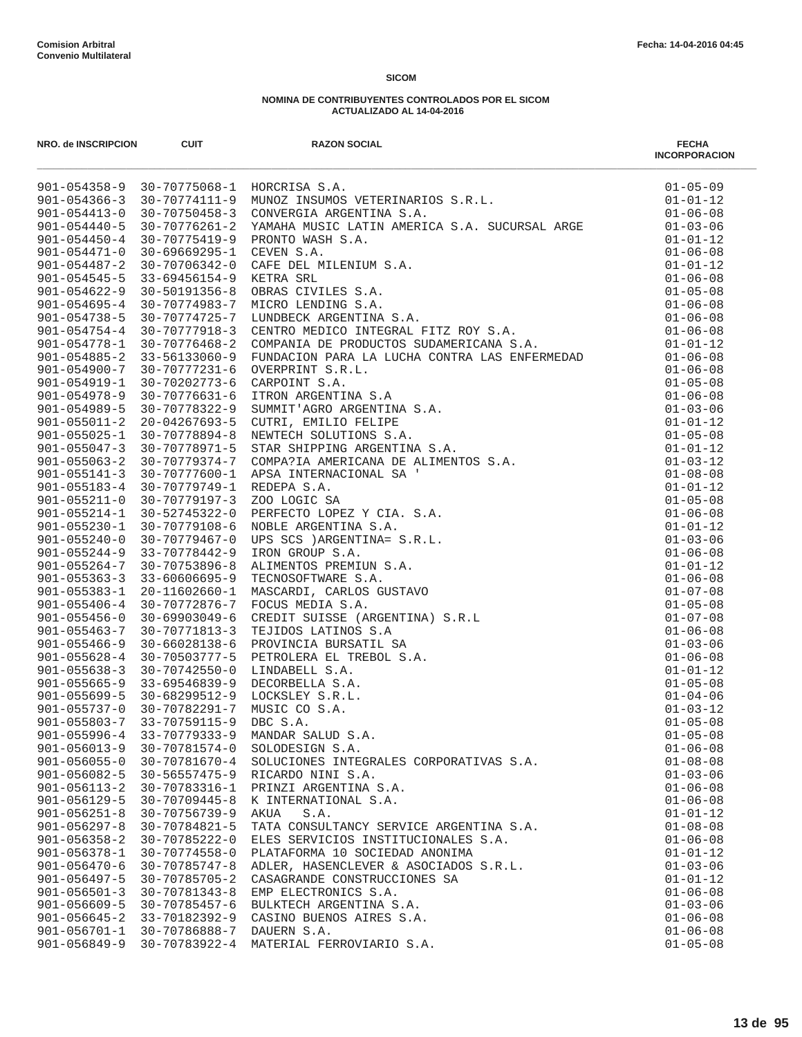| NRO. de INSCRIPCION                | <b>CUIT</b>                                 | <b>RAZON SOCIAL</b>                                                                                                                                                           | <b>FECHA</b><br><b>INCORPORACION</b> |
|------------------------------------|---------------------------------------------|-------------------------------------------------------------------------------------------------------------------------------------------------------------------------------|--------------------------------------|
|                                    |                                             | 30-70775068-1 HORCRISA S.A.<br>30-70774111-9 MUNOZ INSUMOS VETERINARIOS S.R.L.<br>30-70774111-9 MUNOZ INSUMOS VETERINARIOS S.R.L.<br>901-054358-9 30-70775068-1 HORCRISA S.A. | $01 - 05 - 09$                       |
| $901 - 054366 - 3$                 |                                             |                                                                                                                                                                               | $01 - 01 - 12$                       |
| $901 - 054413 - 0$                 |                                             |                                                                                                                                                                               | $01 - 06 - 08$                       |
| $901 - 054440 - 5$                 | 30-70776261-2                               | YAMAHA MUSIC LATIN AMERICA S.A. SUCURSAL ARGE                                                                                                                                 | $01 - 03 - 06$                       |
| $901 - 054450 - 4$                 | 30-70775419-9                               |                                                                                                                                                                               |                                      |
| $901 - 054471 - 0$                 | 30-69669295-1                               |                                                                                                                                                                               |                                      |
| $901 - 054487 - 2$                 | 30-70706342-0                               |                                                                                                                                                                               |                                      |
| $901 - 054545 - 5$                 | 33-69456154-9 KETRA SRL                     |                                                                                                                                                                               |                                      |
| $901 - 054622 - 9$                 | $30 - 50191356 - 8$                         |                                                                                                                                                                               |                                      |
| $901 - 054695 - 4$                 | 30-70774983-7                               |                                                                                                                                                                               |                                      |
| $901 - 054738 - 5$                 | 30-70774725-7                               |                                                                                                                                                                               |                                      |
| $901 - 054754 - 4$                 | 30-70777918-3                               |                                                                                                                                                                               |                                      |
| 901-054778-1                       | 30-70776468-2                               |                                                                                                                                                                               |                                      |
| $901 - 054885 - 2$                 | 33-56133060-9                               |                                                                                                                                                                               |                                      |
| $901 - 054900 - 7$                 | 30-70777231-6                               |                                                                                                                                                                               |                                      |
| 901-054919-1<br>$901 - 054978 - 9$ | 30-70202773-6<br>30-70776631-6              |                                                                                                                                                                               |                                      |
| $901 - 054989 - 5$                 | 30-70778322-9                               |                                                                                                                                                                               |                                      |
| $901 - 055011 - 2$                 | 20-04267693-5                               |                                                                                                                                                                               |                                      |
| $901 - 055025 - 1$                 | 30-70778894-8                               |                                                                                                                                                                               |                                      |
| $901 - 055047 - 3$                 | 30-70778971-5                               |                                                                                                                                                                               |                                      |
| $901 - 055063 - 2$                 | 30-70779374-7                               |                                                                                                                                                                               |                                      |
| $901 - 055141 - 3$                 |                                             | 30-70777600-1 APSA INTERNACIONAL SA '                                                                                                                                         |                                      |
| $901 - 055183 - 4$                 | 30-70779749-1                               |                                                                                                                                                                               |                                      |
| $901 - 055211 - 0$                 | 30-70779197-3                               |                                                                                                                                                                               |                                      |
| $901 - 055214 - 1$                 | 30-52745322-0                               |                                                                                                                                                                               |                                      |
| $901 - 055230 - 1$                 | 30-70779108-6                               |                                                                                                                                                                               |                                      |
| $901 - 055240 - 0$                 | 30-70779467-0                               |                                                                                                                                                                               |                                      |
| $901 - 055244 - 9$                 | 33-70778442-9                               |                                                                                                                                                                               |                                      |
| $901 - 055264 - 7$                 | 30-70753896-8                               |                                                                                                                                                                               |                                      |
| $901 - 055363 - 3$                 | 33-60606695-9                               |                                                                                                                                                                               |                                      |
| $901 - 055383 - 1$                 | 20-11602660-1                               |                                                                                                                                                                               |                                      |
| $901 - 055406 - 4$                 | 30-70772876-7                               |                                                                                                                                                                               |                                      |
| $901 - 055456 - 0$                 | 30-69903049-6                               |                                                                                                                                                                               |                                      |
| $901 - 055463 - 7$                 | 30-70771813-3                               |                                                                                                                                                                               |                                      |
| $901 - 055466 - 9$                 | 30-66028138-6                               |                                                                                                                                                                               |                                      |
| $901 - 055628 - 4$                 | 30-70503777-5                               |                                                                                                                                                                               |                                      |
| $901 - 055638 - 3$                 | 30-70742550-0                               |                                                                                                                                                                               |                                      |
| $901 - 055665 - 9$                 | 33-69546839-9                               |                                                                                                                                                                               |                                      |
| $901 - 055699 - 5$                 | 30-68299512-9<br>901-055737-0 30-70782291-7 |                                                                                                                                                                               |                                      |
| $901 - 055803 - 7$                 | 33-70759115-9                               |                                                                                                                                                                               |                                      |
| $901 - 055996 - 4$                 | 33-70779333-9                               | MANDAR SALUD S.A.                                                                                                                                                             | $01 - 05 - 08$                       |
| $901 - 056013 - 9$                 | 30-70781574-0                               | SOLODESIGN S.A.                                                                                                                                                               | $01 - 06 - 08$                       |
| $901 - 056055 - 0$                 | 30-70781670-4                               | SOLUCIONES INTEGRALES CORPORATIVAS S.A.                                                                                                                                       | $01 - 08 - 08$                       |
| $901 - 056082 - 5$                 | $30 - 56557475 - 9$                         | RICARDO NINI S.A.                                                                                                                                                             | $01 - 03 - 06$                       |
| $901 - 056113 - 2$                 | 30-70783316-1                               | PRINZI ARGENTINA S.A.                                                                                                                                                         | $01 - 06 - 08$                       |
| $901 - 056129 - 5$                 | $30 - 70709445 - 8$                         | K INTERNATIONAL S.A.                                                                                                                                                          | $01 - 06 - 08$                       |
| $901 - 056251 - 8$                 | 30-70756739-9                               | AKUA<br>S.A.                                                                                                                                                                  | $01 - 01 - 12$                       |
| $901 - 056297 - 8$                 | 30-70784821-5                               | TATA CONSULTANCY SERVICE ARGENTINA S.A.                                                                                                                                       | $01 - 08 - 08$                       |
| $901 - 056358 - 2$                 | 30-70785222-0                               | ELES SERVICIOS INSTITUCIONALES S.A.                                                                                                                                           | $01 - 06 - 08$                       |
| $901 - 056378 - 1$                 | $30 - 70774558 - 0$                         | PLATAFORMA 10 SOCIEDAD ANONIMA                                                                                                                                                | $01 - 01 - 12$                       |
| $901 - 056470 - 6$                 | $30 - 70785747 - 8$                         | ADLER, HASENCLEVER & ASOCIADOS S.R.L.                                                                                                                                         | $01 - 03 - 06$                       |
| $901 - 056497 - 5$                 | 30-70785705-2                               | CASAGRANDE CONSTRUCCIONES SA                                                                                                                                                  | $01 - 01 - 12$                       |
| $901 - 056501 - 3$                 | 30-70781343-8                               | EMP ELECTRONICS S.A.                                                                                                                                                          | $01 - 06 - 08$                       |
| $901 - 056609 - 5$                 | 30-70785457-6                               | BULKTECH ARGENTINA S.A.                                                                                                                                                       | $01 - 03 - 06$                       |
| $901 - 056645 - 2$                 | 33-70182392-9                               | CASINO BUENOS AIRES S.A.                                                                                                                                                      | $01 - 06 - 08$                       |
| $901 - 056701 - 1$                 | 30-70786888-7                               | DAUERN S.A.                                                                                                                                                                   | $01 - 06 - 08$                       |
| $901 - 056849 - 9$                 | 30-70783922-4                               | MATERIAL FERROVIARIO S.A.                                                                                                                                                     | $01 - 05 - 08$                       |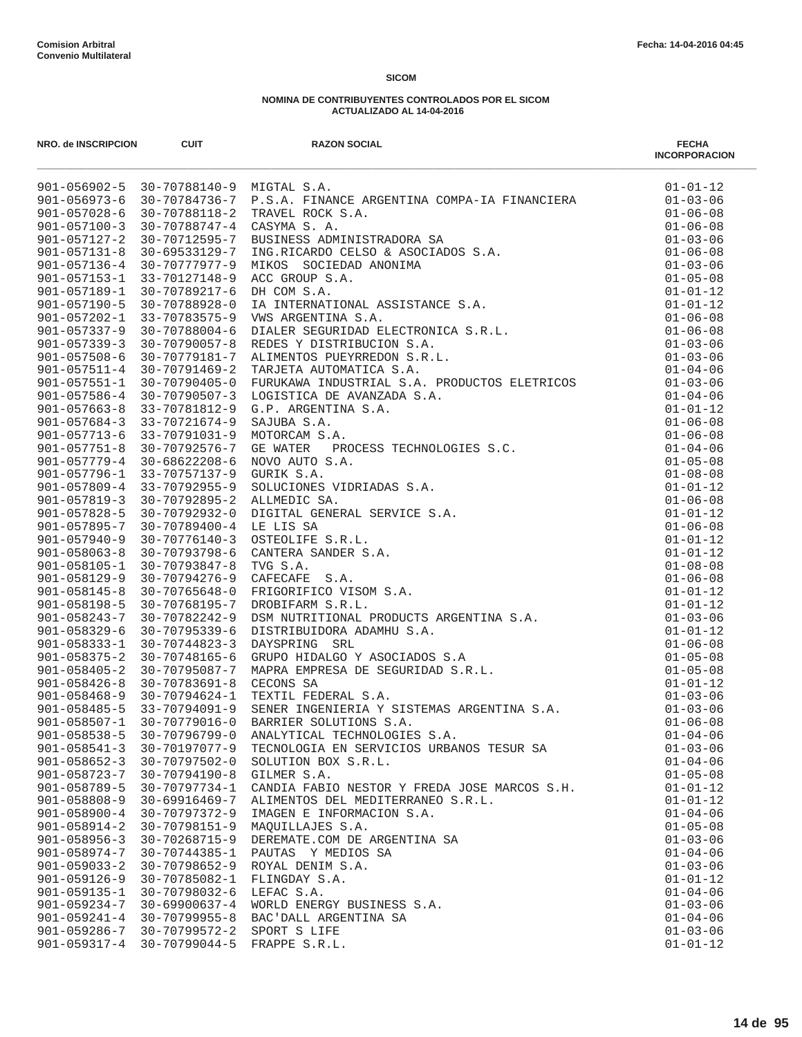| NRO. de INSCRIPCION                      | <b>CUIT</b>                            | <b>RAZON SOCIAL</b>                                                                                                                                                                                                                       | <b>FECHA</b><br><b>INCORPORACION</b> |
|------------------------------------------|----------------------------------------|-------------------------------------------------------------------------------------------------------------------------------------------------------------------------------------------------------------------------------------------|--------------------------------------|
|                                          | 901-056902-5 30-70788140-9 MIGTAL S.A. | 33-70788140 - MCFAL S.A.<br>30-70788140 - MCFAL S.A.<br>30-70788116-2 - TEART, FRONT S.A.<br>30-70788116-2 - TEART, FRONT S.A.<br>30-70788116-2 - TEART, FRONT S.A.<br>30-70712895-7 - DESIWASS ADMINISTRADORA SA.<br>30-70712895-7 - DES | $01 - 01 - 12$                       |
| 901-056973-6                             |                                        |                                                                                                                                                                                                                                           | $01 - 03 - 06$                       |
| $901 - 057028 - 6$                       |                                        |                                                                                                                                                                                                                                           | $01 - 06 - 08$                       |
| $901 - 057100 - 3$                       |                                        |                                                                                                                                                                                                                                           | $01 - 06 - 08$                       |
| $901 - 057127 - 2$                       |                                        |                                                                                                                                                                                                                                           | $01 - 03 - 06$                       |
| $901 - 057131 - 8$                       |                                        |                                                                                                                                                                                                                                           | $01 - 06 - 08$                       |
| $901 - 057136 - 4$                       |                                        |                                                                                                                                                                                                                                           | $01 - 03 - 06$                       |
| $901 - 057153 - 1$                       |                                        |                                                                                                                                                                                                                                           | $01 - 05 - 08$                       |
| 901-057189-1                             |                                        |                                                                                                                                                                                                                                           | $01 - 01 - 12$                       |
| $901 - 057190 - 5$                       |                                        |                                                                                                                                                                                                                                           | $01 - 01 - 12$                       |
| $901 - 057202 - 1$                       |                                        |                                                                                                                                                                                                                                           | $01 - 06 - 08$                       |
| $901 - 057337 - 9$                       |                                        |                                                                                                                                                                                                                                           | $01 - 06 - 08$                       |
| $901 - 057339 - 3$                       |                                        |                                                                                                                                                                                                                                           | $01 - 03 - 06$                       |
| $901 - 057508 - 6$                       |                                        |                                                                                                                                                                                                                                           | $01 - 03 - 06$                       |
| $901 - 057511 - 4$<br>$901 - 057551 - 1$ |                                        |                                                                                                                                                                                                                                           | $01 - 04 - 06$                       |
| $901 - 057586 - 4$                       |                                        |                                                                                                                                                                                                                                           | $01 - 03 - 06$<br>$01 - 04 - 06$     |
| $901 - 057663 - 8$                       |                                        |                                                                                                                                                                                                                                           | $01 - 01 - 12$                       |
| $901 - 057684 - 3$                       |                                        |                                                                                                                                                                                                                                           | $01 - 06 - 08$                       |
|                                          | 901-057713-6 33-70791031-9             |                                                                                                                                                                                                                                           | $01 - 06 - 08$                       |
| $901 - 057751 - 8$                       |                                        |                                                                                                                                                                                                                                           | $01 - 04 - 06$                       |
|                                          | 901-057779-4 30-68622208-6             |                                                                                                                                                                                                                                           | $01 - 05 - 08$                       |
| $901 - 057796 - 1$                       |                                        |                                                                                                                                                                                                                                           | $01 - 08 - 08$                       |
| $901 - 057809 - 4$                       |                                        |                                                                                                                                                                                                                                           | $01 - 01 - 12$                       |
| $901 - 057819 - 3$                       |                                        |                                                                                                                                                                                                                                           | $01 - 06 - 08$                       |
| $901 - 057828 - 5$                       |                                        |                                                                                                                                                                                                                                           | $01 - 01 - 12$                       |
| $901 - 057895 - 7$                       |                                        |                                                                                                                                                                                                                                           | $01 - 06 - 08$                       |
| $901 - 057940 - 9$                       |                                        |                                                                                                                                                                                                                                           | $01 - 01 - 12$                       |
| $901 - 058063 - 8$                       |                                        |                                                                                                                                                                                                                                           | $01 - 01 - 12$                       |
| 901-058105-1                             |                                        |                                                                                                                                                                                                                                           | $01 - 08 - 08$                       |
| $901 - 058129 - 9$                       |                                        |                                                                                                                                                                                                                                           | $01 - 06 - 08$                       |
| $901 - 058145 - 8$                       |                                        |                                                                                                                                                                                                                                           | $01 - 01 - 12$                       |
| $901 - 058198 - 5$                       |                                        |                                                                                                                                                                                                                                           | $01 - 01 - 12$                       |
| $901 - 058243 - 7$                       |                                        |                                                                                                                                                                                                                                           | $01 - 03 - 06$                       |
| $901 - 058329 - 6$                       |                                        |                                                                                                                                                                                                                                           | $01 - 01 - 12$                       |
| $901 - 058333 - 1$                       |                                        |                                                                                                                                                                                                                                           | $01 - 06 - 08$                       |
| $901 - 058375 - 2$                       |                                        |                                                                                                                                                                                                                                           | $01 - 05 - 08$                       |
| $901 - 058405 - 2$                       |                                        |                                                                                                                                                                                                                                           | $01 - 05 - 08$                       |
| $901 - 058426 - 8$                       |                                        |                                                                                                                                                                                                                                           | $01 - 01 - 12$                       |
|                                          | $901 - 058468 - 9$ 30-70794624-1       |                                                                                                                                                                                                                                           | $01 - 03 - 06$                       |
|                                          | $901 - 058485 - 5$ 33-70794091-9       |                                                                                                                                                                                                                                           | $01 - 03 - 06$                       |
| $901 - 058507 - 1$                       |                                        |                                                                                                                                                                                                                                           | $01 - 06 - 08$                       |
| $901 - 058538 - 5$                       | $30 - 70796799 - 0$                    | ANALYTICAL TECHNOLOGIES S.A.                                                                                                                                                                                                              | $01 - 04 - 06$                       |
| $901 - 058541 - 3$                       | 30-70197077-9                          | TECNOLOGIA EN SERVICIOS URBANOS TESUR SA                                                                                                                                                                                                  | $01 - 03 - 06$                       |
| $901 - 058652 - 3$                       | 30-70797502-0                          | SOLUTION BOX S.R.L.                                                                                                                                                                                                                       | $01 - 04 - 06$                       |
| $901 - 058723 - 7$                       | $30 - 70794190 - 8$                    | GILMER S.A.                                                                                                                                                                                                                               | $01 - 05 - 08$                       |
| $901 - 058789 - 5$                       | 30-70797734-1                          | CANDIA FABIO NESTOR Y FREDA JOSE MARCOS S.H.                                                                                                                                                                                              | $01 - 01 - 12$                       |
| $901 - 058808 - 9$                       | 30-69916469-7                          | ALIMENTOS DEL MEDITERRANEO S.R.L.                                                                                                                                                                                                         | $01 - 01 - 12$                       |
| $901 - 058900 - 4$                       | 30-70797372-9                          | IMAGEN E INFORMACION S.A.                                                                                                                                                                                                                 | $01 - 04 - 06$                       |
| $901 - 058914 - 2$                       | $30 - 70798151 - 9$                    | MAQUILLAJES S.A.                                                                                                                                                                                                                          | $01 - 05 - 08$                       |
| $901 - 058956 - 3$                       | 30-70268715-9                          | DEREMATE.COM DE ARGENTINA SA                                                                                                                                                                                                              | $01 - 03 - 06$                       |
| $901 - 058974 - 7$                       | 30-70744385-1                          | PAUTAS Y MEDIOS SA                                                                                                                                                                                                                        | $01 - 04 - 06$                       |
| $901 - 059033 - 2$                       | $30 - 70798652 - 9$                    | ROYAL DENIM S.A.                                                                                                                                                                                                                          | $01 - 03 - 06$                       |
| $901 - 059126 - 9$                       | 30-70785082-1                          | FLINGDAY S.A.                                                                                                                                                                                                                             | $01 - 01 - 12$                       |
| $901 - 059135 - 1$                       | 30-70798032-6                          | LEFAC S.A.                                                                                                                                                                                                                                | $01 - 04 - 06$                       |
| $901 - 059234 - 7$                       | 30-69900637-4                          | WORLD ENERGY BUSINESS S.A.                                                                                                                                                                                                                | $01 - 03 - 06$                       |
| $901 - 059241 - 4$                       | $30 - 70799955 - 8$                    | BAC'DALL ARGENTINA SA                                                                                                                                                                                                                     | $01 - 04 - 06$                       |
| $901 - 059286 - 7$                       | 30-70799572-2                          | SPORT S LIFE                                                                                                                                                                                                                              | $01 - 03 - 06$                       |
| $901 - 059317 - 4$                       | 30-70799044-5                          | FRAPPE S.R.L.                                                                                                                                                                                                                             | $01 - 01 - 12$                       |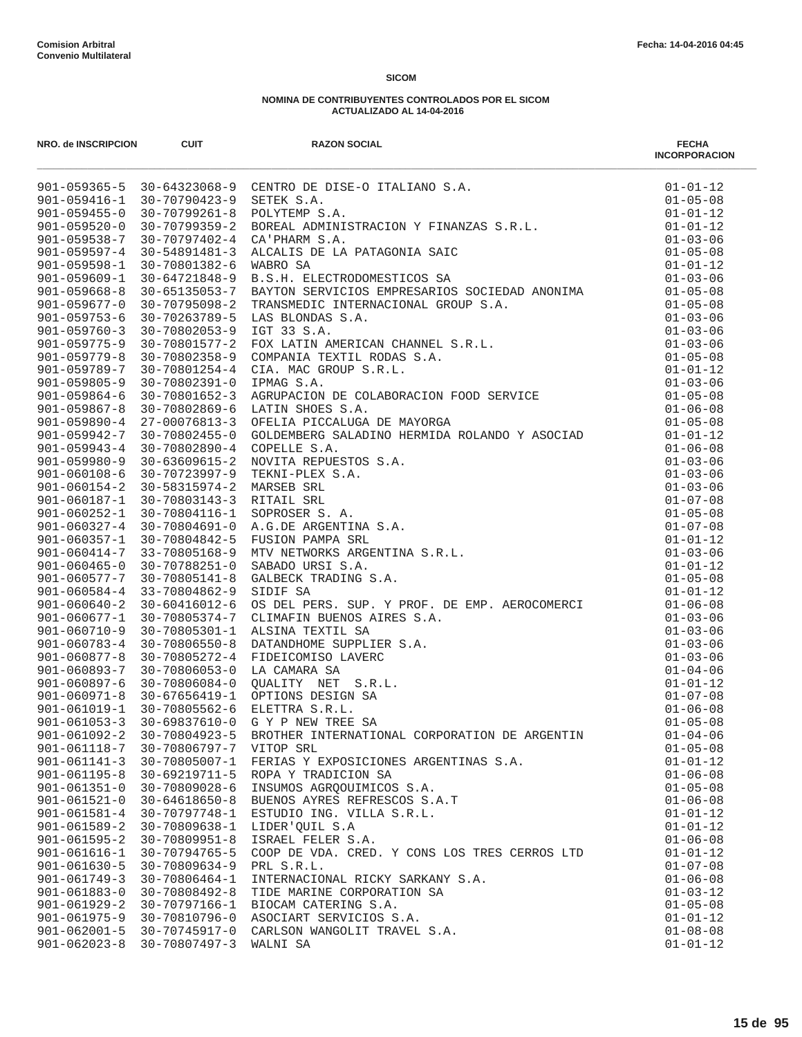| NRO. de INSCRIPCION                      | <b>CUIT</b>                      | <b>RAZON SOCIAL</b>                                                                                                                                                                                                                                | <b>FECHA</b><br><b>INCORPORACION</b> |
|------------------------------------------|----------------------------------|----------------------------------------------------------------------------------------------------------------------------------------------------------------------------------------------------------------------------------------------------|--------------------------------------|
|                                          |                                  | 901-059365-5 30-64323068-9 CENTRO DE DISE-O ITALIANO S.A.<br>901-059416-1 30-70790423-9 SETEK S.A.<br>901-059455-0 30-70799261-8 POLYTEMP S.A.<br>901-059520-0 30-70799359-2 BOREAL ADMINISTRACION Y FINANZAS S.R.L.<br>901-059538-7 30-70         | $01 - 01 - 12$                       |
|                                          |                                  |                                                                                                                                                                                                                                                    | $01 - 05 - 08$                       |
|                                          |                                  |                                                                                                                                                                                                                                                    | $01 - 01 - 12$                       |
|                                          |                                  |                                                                                                                                                                                                                                                    | $01 - 01 - 12$                       |
|                                          |                                  |                                                                                                                                                                                                                                                    | $01 - 03 - 06$                       |
|                                          |                                  |                                                                                                                                                                                                                                                    | $01 - 05 - 08$<br>$01 - 01 - 12$     |
|                                          |                                  |                                                                                                                                                                                                                                                    | $01 - 03 - 06$                       |
| $901 - 059668 - 8$                       | $30 - 65135053 - 7$              |                                                                                                                                                                                                                                                    |                                      |
| $901 - 059677 - 0$                       | $30 - 70795098 - 2$              | WAPAN ELECTRODOMESTICOS SA<br>B.S.H. ELECTRODOMESTICOS SA<br>TRANSMEDIC INTERNACIONAL GROUP S.A. 01-05-08<br>LAS BLONDAS S.A. 01-05-08<br>LAS BLONDAS S.A. 01-03-06<br>IGT 33 S.A. 01-03-06<br>IGT 34 LATIN AMERICAN CHANNEL S.R.L. 01-03-         |                                      |
| $901 - 059753 - 6$                       | 30-70263789-5                    |                                                                                                                                                                                                                                                    |                                      |
| $901 - 059760 - 3$                       | $30 - 70802053 - 9$              |                                                                                                                                                                                                                                                    |                                      |
| $901 - 059775 - 9$                       | 30-70801577-2                    |                                                                                                                                                                                                                                                    |                                      |
| $901 - 059779 - 8$                       | 30-70802358-9                    |                                                                                                                                                                                                                                                    |                                      |
| $901 - 059789 - 7$                       | 30-70801254-4                    |                                                                                                                                                                                                                                                    |                                      |
| $901 - 059805 - 9$                       | 30-70802391-0                    |                                                                                                                                                                                                                                                    |                                      |
| $901 - 059864 - 6$                       | 30-70801652-3                    |                                                                                                                                                                                                                                                    |                                      |
| $901 - 059867 - 8$                       | 30-70802869-6                    |                                                                                                                                                                                                                                                    |                                      |
| $901 - 059890 - 4$                       | 27-00076813-3                    |                                                                                                                                                                                                                                                    |                                      |
| 901-059942-7                             | 30-70802455-0                    |                                                                                                                                                                                                                                                    | $01 - 01 - 12$                       |
| $901 - 059943 - 4$                       | 30-70802890-4                    |                                                                                                                                                                                                                                                    | $01 - 06 - 08$                       |
| $901 - 059980 - 9$                       | 30-63609615-2                    |                                                                                                                                                                                                                                                    | $01 - 03 - 06$                       |
| $901 - 060108 - 6$                       | $30 - 58315974 - 2$              | 30-70723997-9 TEKNI-PLEX S.A.<br>MARSEB SRL                                                                                                                                                                                                        | $01 - 03 - 06$                       |
| $901 - 060154 - 2$<br>901-060187-1       | 30-70803143-3 RITAIL SRL         |                                                                                                                                                                                                                                                    | $01 - 03 - 06$<br>$01 - 07 - 08$     |
| $901 - 060252 - 1$                       | 30-70804116-1                    |                                                                                                                                                                                                                                                    | $01 - 05 - 08$                       |
| $901 - 060327 - 4$                       | 30-70804691-0                    |                                                                                                                                                                                                                                                    | $01 - 07 - 08$                       |
| $901 - 060357 - 1$                       | 30-70804842-5                    |                                                                                                                                                                                                                                                    | $01 - 01 - 12$                       |
|                                          | $901 - 060414 - 7$ 33-70805168-9 | OFELIA PICCALUGA DE MAYORGA<br>GOLDEMBERG SALADINO HERMIDA ROLANDO Y ASOCIAD<br>COPELLE S.A.<br>NOVITA REPUESTOS S.A.<br>TEKNI-PLEX S.A.<br>MARSEB SRL<br>RITAIL SRL<br>SOPROSER S. A.<br>A.G.DE ARGENTINA S.A.<br>FUSION PAMPA SRL<br>MTV NETWORK | $01 - 03 - 06$                       |
| $901 - 060465 - 0$                       | 30-70788251-0                    |                                                                                                                                                                                                                                                    | $01 - 01 - 12$                       |
| 901-060577-7                             | 30-70805141-8                    |                                                                                                                                                                                                                                                    | $01 - 05 - 08$                       |
| $901 - 060584 - 4$                       | 33-70804862-9                    |                                                                                                                                                                                                                                                    | $01 - 01 - 12$                       |
| $901 - 060640 - 2$                       |                                  |                                                                                                                                                                                                                                                    | $01 - 06 - 08$                       |
| 901-060677-1                             |                                  | 33-70804862-9 SIDIF SA<br>30-60416012-6 OS DEL PERS. SUP. Y PROF. DE EMP. AEROCOMERCI<br>30-70805374-7 CLIMAFIN BUENOS AIRES S.A.<br>30-70805301-1 ALSINA TEXTIL SA<br>30-70806550-8 DATANDHOME SUPPLIER S.A.<br>30-70806550-8 DATANDHOM           | $01 - 03 - 06$                       |
| 901-060710-9                             |                                  |                                                                                                                                                                                                                                                    | $01 - 03 - 06$                       |
| $901 - 060783 - 4$                       |                                  |                                                                                                                                                                                                                                                    | $01 - 03 - 06$                       |
| $901 - 060877 - 8$                       |                                  |                                                                                                                                                                                                                                                    | $01 - 03 - 06$                       |
| 901-060893-7                             |                                  |                                                                                                                                                                                                                                                    | $01 - 04 - 06$                       |
| $901 - 060897 - 6$                       |                                  |                                                                                                                                                                                                                                                    | $01 - 01 - 12$                       |
| $901 - 060971 - 8$<br>901-061019-1       |                                  |                                                                                                                                                                                                                                                    | $01 - 07 - 08$<br>$01 - 06 - 08$     |
| $901 - 061053 - 3$                       |                                  |                                                                                                                                                                                                                                                    | $01 - 05 - 08$                       |
| $901 - 061092 - 2$                       | 30-70804923-5                    | BROTHER INTERNATIONAL CORPORATION DE ARGENTIN                                                                                                                                                                                                      | $01 - 04 - 06$                       |
| $901 - 061118 - 7$                       | 30-70806797-7                    | VITOP SRL                                                                                                                                                                                                                                          | $01 - 05 - 08$                       |
| $901 - 061141 - 3$                       | 30-70805007-1                    | FERIAS Y EXPOSICIONES ARGENTINAS S.A.                                                                                                                                                                                                              | $01 - 01 - 12$                       |
| $901 - 061195 - 8$                       | 30-69219711-5                    | ROPA Y TRADICION SA                                                                                                                                                                                                                                | $01 - 06 - 08$                       |
| $901 - 061351 - 0$                       | 30-70809028-6                    | INSUMOS AGROOUIMICOS S.A.                                                                                                                                                                                                                          | $01 - 05 - 08$                       |
| $901 - 061521 - 0$                       | $30 - 64618650 - 8$              | BUENOS AYRES REFRESCOS S.A.T                                                                                                                                                                                                                       | $01 - 06 - 08$                       |
| $901 - 061581 - 4$                       | 30-70797748-1                    | ESTUDIO ING. VILLA S.R.L.                                                                                                                                                                                                                          | $01 - 01 - 12$                       |
| $901 - 061589 - 2$                       | 30-70809638-1                    | LIDER'QUIL S.A                                                                                                                                                                                                                                     | $01 - 01 - 12$                       |
| $901 - 061595 - 2$                       | $30 - 70809951 - 8$              | ISRAEL FELER S.A.                                                                                                                                                                                                                                  | $01 - 06 - 08$                       |
| $901 - 061616 - 1$                       | $30 - 70794765 - 5$              | COOP DE VDA. CRED. Y CONS LOS TRES CERROS LTD                                                                                                                                                                                                      | $01 - 01 - 12$                       |
| $901 - 061630 - 5$                       | $30 - 70809634 - 9$              | PRL S.R.L.                                                                                                                                                                                                                                         | $01 - 07 - 08$                       |
| $901 - 061749 - 3$                       | 30-70806464-1                    | INTERNACIONAL RICKY SARKANY S.A.                                                                                                                                                                                                                   | $01 - 06 - 08$                       |
| $901 - 061883 - 0$                       | 30-70808492-8                    | TIDE MARINE CORPORATION SA                                                                                                                                                                                                                         | $01 - 03 - 12$                       |
| $901 - 061929 - 2$                       | 30-70797166-1                    | BIOCAM CATERING S.A.                                                                                                                                                                                                                               | $01 - 05 - 08$                       |
| $901 - 061975 - 9$<br>$901 - 062001 - 5$ | 30-70810796-0<br>30-70745917-0   | ASOCIART SERVICIOS S.A.<br>CARLSON WANGOLIT TRAVEL S.A.                                                                                                                                                                                            | $01 - 01 - 12$<br>$01 - 08 - 08$     |
| $901 - 062023 - 8$                       | 30-70807497-3                    | WALNI SA                                                                                                                                                                                                                                           | $01 - 01 - 12$                       |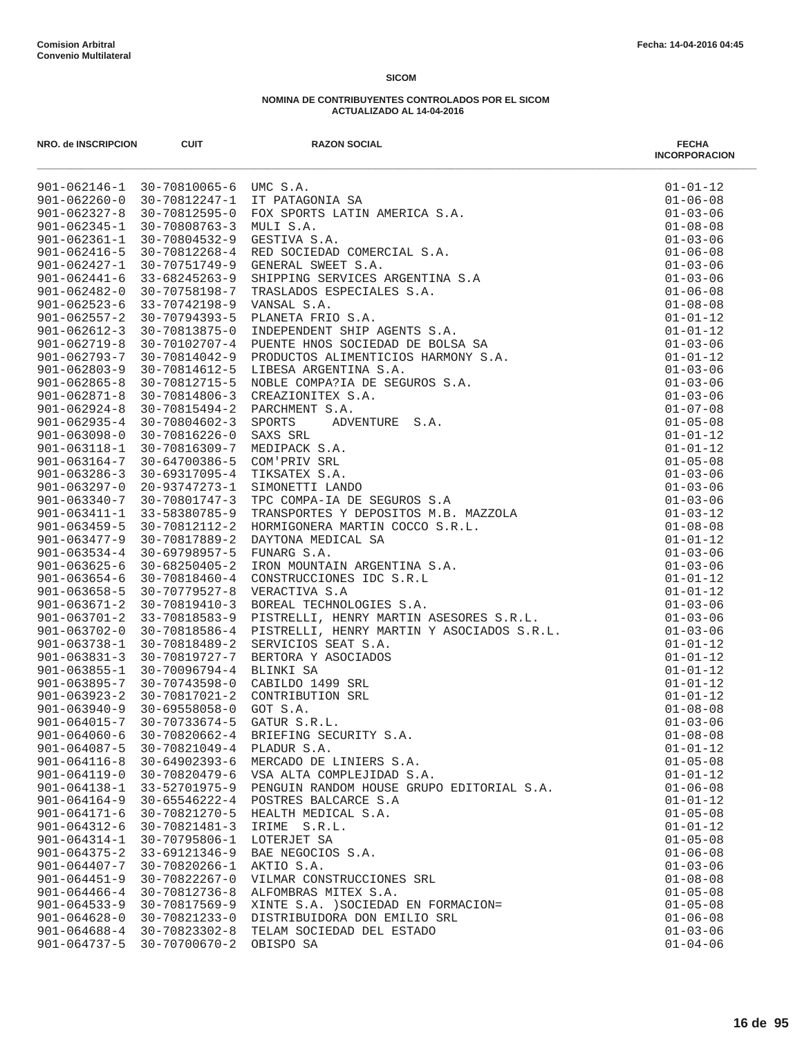| NRO. de INSCRIPCION                      | <b>CUIT</b>                         | <b>RAZON SOCIAL</b><br><b>INCORACTE AND AN ANGENTINA SA PARAGANA SA NONI E S.A.</b><br>NDI S. S.A.<br>NON SPORTS LATIN AMERICA S.A.<br>SEE PACCINA CREW S.A.<br>SEE PACCINAL STRE S.A.<br>SEE PACCINE SERVICES ARGENTINA S.A<br>TRANSALDOS REPCIALES S.A.<br>TRANSALDS A | <b>FECHA</b><br><b>INCORPORACION</b> |
|------------------------------------------|-------------------------------------|--------------------------------------------------------------------------------------------------------------------------------------------------------------------------------------------------------------------------------------------------------------------------|--------------------------------------|
|                                          | 901-062146-1 30-70810065-6 UMC S.A. |                                                                                                                                                                                                                                                                          | $01 - 01 - 12$                       |
| $901 - 062260 - 0$                       | 30-70812247-1                       |                                                                                                                                                                                                                                                                          | $01 - 06 - 08$                       |
| $901 - 062327 - 8$                       | $30 - 70812595 - 0$                 |                                                                                                                                                                                                                                                                          | $01 - 03 - 06$                       |
| $901 - 062345 - 1$                       | 30-70808763-3                       |                                                                                                                                                                                                                                                                          | $01 - 08 - 08$                       |
| $901 - 062361 - 1$                       | $30 - 70804532 - 9$                 |                                                                                                                                                                                                                                                                          | $01 - 03 - 06$                       |
| $901 - 062416 - 5$                       | 30-70812268-4                       |                                                                                                                                                                                                                                                                          | $01 - 06 - 08$                       |
| $901 - 062427 - 1$                       | 30-70751749-9                       |                                                                                                                                                                                                                                                                          | $01 - 03 - 06$                       |
| $901 - 062441 - 6$                       | 33-68245263-9                       |                                                                                                                                                                                                                                                                          | $01 - 03 - 06$                       |
| $901 - 062482 - 0$                       | 30-70758198-7                       |                                                                                                                                                                                                                                                                          | $01 - 06 - 08$                       |
| $901 - 062523 - 6$                       | 33-70742198-9                       |                                                                                                                                                                                                                                                                          | $01 - 08 - 08$                       |
| $901 - 062557 - 2$<br>$901 - 062612 - 3$ | 30-70794393-5<br>30-70813875-0      |                                                                                                                                                                                                                                                                          | $01 - 01 - 12$<br>$01 - 01 - 12$     |
| $901 - 062719 - 8$                       | 30-70102707-4                       |                                                                                                                                                                                                                                                                          | $01 - 03 - 06$                       |
| $901 - 062793 - 7$                       | 30-70814042-9                       |                                                                                                                                                                                                                                                                          | $01 - 01 - 12$                       |
| $901 - 062803 - 9$                       | 30-70814612-5                       |                                                                                                                                                                                                                                                                          | $01 - 03 - 06$                       |
| $901 - 062865 - 8$                       | 30-70812715-5                       |                                                                                                                                                                                                                                                                          | $01 - 03 - 06$                       |
| $901 - 062871 - 8$                       | 30-70814806-3                       |                                                                                                                                                                                                                                                                          | $01 - 03 - 06$                       |
| $901 - 062924 - 8$                       | $30 - 70815494 - 2$                 |                                                                                                                                                                                                                                                                          | $01 - 07 - 08$                       |
| $901 - 062935 - 4$                       | $30 - 70804602 - 3$                 |                                                                                                                                                                                                                                                                          | $01 - 05 - 08$                       |
| $901 - 063098 - 0$                       | 30-70816226-0                       |                                                                                                                                                                                                                                                                          | $01 - 01 - 12$                       |
| $901 - 063118 - 1$                       | 30-70816309-7                       |                                                                                                                                                                                                                                                                          | $01 - 01 - 12$                       |
| $901 - 063164 - 7$                       | 30-64700386-5                       |                                                                                                                                                                                                                                                                          | $01 - 05 - 08$                       |
| $901 - 063286 - 3$                       | 30-69317095-4                       |                                                                                                                                                                                                                                                                          | $01 - 03 - 06$                       |
| $901 - 063297 - 0$                       | 20-93747273-1                       |                                                                                                                                                                                                                                                                          | $01 - 03 - 06$                       |
| $901 - 063340 - 7$                       | 30-70801747-3                       |                                                                                                                                                                                                                                                                          | $01 - 03 - 06$                       |
| $901 - 063411 - 1$                       | 33-58380785-9                       |                                                                                                                                                                                                                                                                          | $01 - 03 - 12$                       |
| $901 - 063459 - 5$                       | 30-70812112-2                       |                                                                                                                                                                                                                                                                          | $01 - 08 - 08$                       |
| $901 - 063477 - 9$                       | 30-70817889-2                       |                                                                                                                                                                                                                                                                          | $01 - 01 - 12$                       |
| $901 - 063534 - 4$                       | 30-69798957-5                       |                                                                                                                                                                                                                                                                          | $01 - 03 - 06$                       |
| $901 - 063625 - 6$                       | $30 - 68250405 - 2$                 |                                                                                                                                                                                                                                                                          | $01 - 03 - 06$                       |
| $901 - 063654 - 6$                       | 30-70818460-4                       |                                                                                                                                                                                                                                                                          | $01 - 01 - 12$                       |
| $901 - 063658 - 5$                       | $30 - 70779527 - 8$                 |                                                                                                                                                                                                                                                                          | $01 - 01 - 12$                       |
| $901 - 063671 - 2$                       | $30 - 70819410 - 3$                 |                                                                                                                                                                                                                                                                          | $01 - 03 - 06$                       |
| $901 - 063701 - 2$                       | 33-70818583-9                       |                                                                                                                                                                                                                                                                          | $01 - 03 - 06$                       |
| $901 - 063702 - 0$                       | 30-70818586-4                       |                                                                                                                                                                                                                                                                          | $01 - 03 - 06$                       |
| $901 - 063738 - 1$                       | 30-70818489-2                       |                                                                                                                                                                                                                                                                          | $01 - 01 - 12$                       |
| $901 - 063831 - 3$                       | 30-70819727-7                       |                                                                                                                                                                                                                                                                          | $01 - 01 - 12$                       |
| $901 - 063855 - 1$                       | 30-70096794-4                       |                                                                                                                                                                                                                                                                          | $01 - 01 - 12$                       |
| $901 - 063895 - 7$                       | $30 - 70743598 - 0$                 |                                                                                                                                                                                                                                                                          | $01 - 01 - 12$                       |
| $901 - 063923 - 2$                       | 30-70817021-2                       |                                                                                                                                                                                                                                                                          | $01 - 01 - 12$                       |
| $901 - 063940 - 9$<br>$901 - 064015 - 7$ | 30-69558058-0                       |                                                                                                                                                                                                                                                                          | $01 - 08 - 08$                       |
| $901 - 064060 - 6$                       | 30-70733674-5<br>30-70820662-4      | BRIEFING SECURITY S.A.                                                                                                                                                                                                                                                   | $01 - 03 - 06$<br>$01 - 08 - 08$     |
| $901 - 064087 - 5$                       | 30-70821049-4                       | PLADUR S.A.                                                                                                                                                                                                                                                              | $01 - 01 - 12$                       |
| $901 - 064116 - 8$                       | $30 - 64902393 - 6$                 | MERCADO DE LINIERS S.A.                                                                                                                                                                                                                                                  | $01 - 05 - 08$                       |
| $901 - 064119 - 0$                       | 30-70820479-6                       | VSA ALTA COMPLEJIDAD S.A.                                                                                                                                                                                                                                                | $01 - 01 - 12$                       |
| $901 - 064138 - 1$                       | 33-52701975-9                       | PENGUIN RANDOM HOUSE GRUPO EDITORIAL S.A.                                                                                                                                                                                                                                | $01 - 06 - 08$                       |
| $901 - 064164 - 9$                       | 30-65546222-4                       | POSTRES BALCARCE S.A                                                                                                                                                                                                                                                     | $01 - 01 - 12$                       |
| $901 - 064171 - 6$                       | 30-70821270-5                       | HEALTH MEDICAL S.A.                                                                                                                                                                                                                                                      | $01 - 05 - 08$                       |
| $901 - 064312 - 6$                       | 30-70821481-3                       | IRIME<br>S.R.L.                                                                                                                                                                                                                                                          | $01 - 01 - 12$                       |
| $901 - 064314 - 1$                       | 30-70795806-1                       | LOTERJET SA                                                                                                                                                                                                                                                              | $01 - 05 - 08$                       |
| $901 - 064375 - 2$                       | 33-69121346-9                       | BAE NEGOCIOS S.A.                                                                                                                                                                                                                                                        | $01 - 06 - 08$                       |
| $901 - 064407 - 7$                       | 30-70820266-1                       | AKTIO S.A.                                                                                                                                                                                                                                                               | $01 - 03 - 06$                       |
| $901 - 064451 - 9$                       | $30 - 70822267 - 0$                 | VILMAR CONSTRUCCIONES SRL                                                                                                                                                                                                                                                | $01 - 08 - 08$                       |
| $901 - 064466 - 4$                       | 30-70812736-8                       | ALFOMBRAS MITEX S.A.                                                                                                                                                                                                                                                     | $01 - 05 - 08$                       |
| $901 - 064533 - 9$                       | 30-70817569-9                       | XINTE S.A. ) SOCIEDAD EN FORMACION=                                                                                                                                                                                                                                      | $01 - 05 - 08$                       |
| $901 - 064628 - 0$                       | 30-70821233-0                       | DISTRIBUIDORA DON EMILIO SRL                                                                                                                                                                                                                                             | $01 - 06 - 08$                       |
| $901 - 064688 - 4$                       | 30-70823302-8                       | TELAM SOCIEDAD DEL ESTADO                                                                                                                                                                                                                                                | $01 - 03 - 06$                       |
| $901 - 064737 - 5$                       | 30-70700670-2                       | OBISPO SA                                                                                                                                                                                                                                                                | $01 - 04 - 06$                       |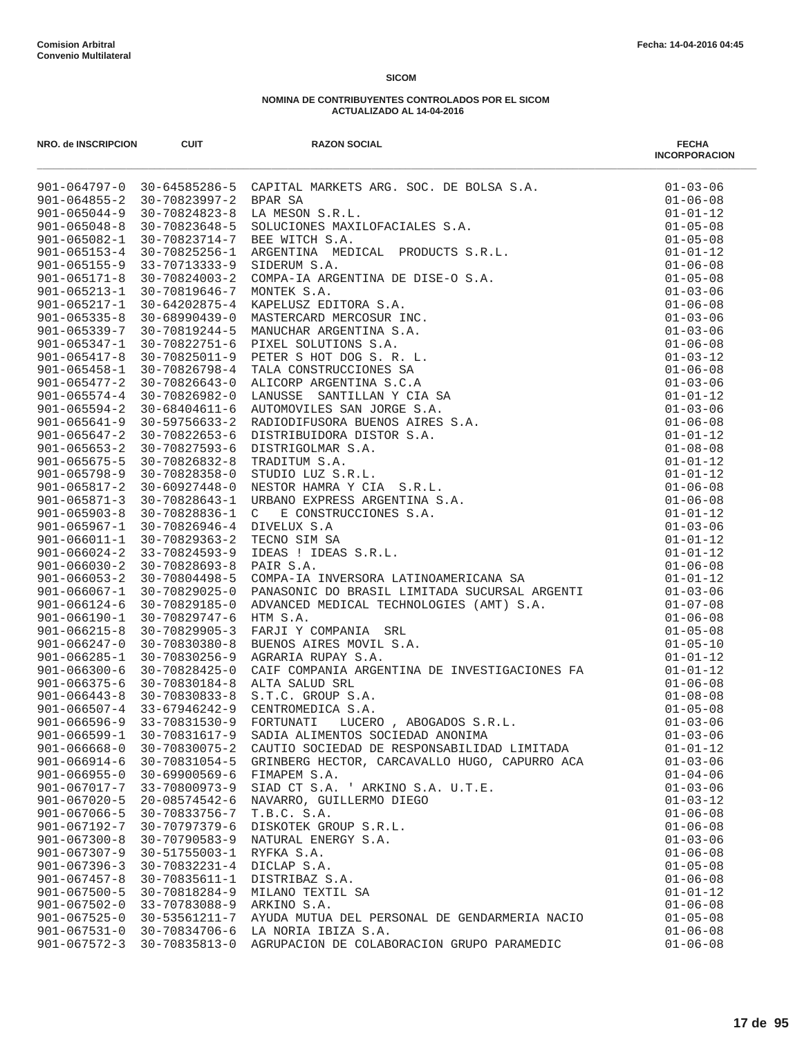| NRO. de INSCRIPCION                      | <b>CUIT</b>                    | <b>RAZON SOCIAL</b>                                                                                                                                                                                                                        | <b>FECHA</b><br><b>INCORPORACION</b> |
|------------------------------------------|--------------------------------|--------------------------------------------------------------------------------------------------------------------------------------------------------------------------------------------------------------------------------------------|--------------------------------------|
|                                          |                                | 901-064797-0 30-64585286-5 CAPITAL MARKETS ARG. SCC. DE BOLSA S.A.<br>901-064955-2 30-70923997-2 BPAR SA<br>901-065046-9 30-70923997-2 BPAR SA<br>901-065046-9 30-70923997-2 BPAR SAS. I.L.<br>901-065046-9 30-709239424-5 SOLUCIONES MAXI | $01 - 03 - 06$                       |
|                                          |                                |                                                                                                                                                                                                                                            | $01 - 06 - 08$                       |
|                                          |                                |                                                                                                                                                                                                                                            | $01 - 01 - 12$                       |
|                                          |                                |                                                                                                                                                                                                                                            | $01 - 05 - 08$                       |
|                                          |                                |                                                                                                                                                                                                                                            | $01 - 05 - 08$                       |
|                                          |                                |                                                                                                                                                                                                                                            | $01 - 01 - 12$                       |
|                                          |                                |                                                                                                                                                                                                                                            | $01 - 06 - 08$<br>$01 - 05 - 08$     |
|                                          |                                |                                                                                                                                                                                                                                            | $01 - 03 - 06$                       |
|                                          |                                |                                                                                                                                                                                                                                            | $01 - 06 - 08$                       |
|                                          |                                |                                                                                                                                                                                                                                            | $01 - 03 - 06$                       |
|                                          |                                |                                                                                                                                                                                                                                            | $01 - 03 - 06$                       |
|                                          |                                |                                                                                                                                                                                                                                            | $01 - 06 - 08$                       |
|                                          |                                |                                                                                                                                                                                                                                            | $01 - 03 - 12$                       |
|                                          |                                |                                                                                                                                                                                                                                            | $01 - 06 - 08$                       |
|                                          |                                |                                                                                                                                                                                                                                            | $01 - 03 - 06$                       |
|                                          |                                |                                                                                                                                                                                                                                            | $01 - 01 - 12$                       |
|                                          |                                |                                                                                                                                                                                                                                            | $01 - 03 - 06$                       |
|                                          |                                |                                                                                                                                                                                                                                            | $01 - 06 - 08$                       |
|                                          |                                |                                                                                                                                                                                                                                            | $01 - 01 - 12$                       |
|                                          |                                |                                                                                                                                                                                                                                            | $01 - 08 - 08$                       |
|                                          |                                |                                                                                                                                                                                                                                            | $01 - 01 - 12$                       |
|                                          |                                |                                                                                                                                                                                                                                            | $01 - 01 - 12$                       |
|                                          |                                |                                                                                                                                                                                                                                            | $01 - 06 - 08$                       |
|                                          |                                |                                                                                                                                                                                                                                            | $01 - 06 - 08$                       |
|                                          |                                |                                                                                                                                                                                                                                            | $01 - 01 - 12$                       |
|                                          |                                |                                                                                                                                                                                                                                            | $01 - 03 - 06$                       |
|                                          |                                |                                                                                                                                                                                                                                            | $01 - 01 - 12$                       |
|                                          |                                |                                                                                                                                                                                                                                            | $01 - 01 - 12$                       |
|                                          |                                |                                                                                                                                                                                                                                            | $01 - 06 - 08$                       |
| $901 - 066067 - 1$                       | 30-70829025-0                  | 01-01-12<br>PANASONIC DO BRASIL LIMITADA SUCURSAL ARGENTI 01-03-06<br>ADVANCED MEDICAL TECHNOLOGIES (AMT) S.A. 01-07-08<br>HTM S.A. 01-07-08<br>FARJI Y COMPANIA SRL 01-05-08<br>BUENOS AIRES MOVIL S.A. 01-05-10<br>AGRARIA RUPAY S.A. 01 | $01 - 01 - 12$                       |
| $901 - 066124 - 6$                       | 30-70829185-0                  |                                                                                                                                                                                                                                            |                                      |
| $901 - 066190 - 1$                       | 30-70829747-6                  |                                                                                                                                                                                                                                            |                                      |
| $901 - 066215 - 8$                       | $30 - 70829905 - 3$            |                                                                                                                                                                                                                                            |                                      |
| $901 - 066247 - 0$                       | $30 - 70830380 - 8$            |                                                                                                                                                                                                                                            |                                      |
| $901 - 066285 - 1$                       | 30-70830256-9                  |                                                                                                                                                                                                                                            |                                      |
| $901 - 066300 - 6$                       | 30-70828425-0                  |                                                                                                                                                                                                                                            | $01 - 01 - 12$                       |
| $901 - 066375 - 6$                       | 30-70830184-8                  |                                                                                                                                                                                                                                            | $01 - 06 - 08$                       |
| $901 - 066443 - 8$                       | 30-70830833-8                  | AGRARIA ROPAT S.A.<br>CAIF COMPANIA ARGENTINA DE INVESTIGACIONES FA<br>ALTA SALUD SRL<br>S.T.C. GROUP S.A.<br>CENTROMEDICA S.A.<br>FORTUNATI LUCERO , ABOGADOS S.R.L.<br>FORTUNATI LUCERO , ABOGADOS S.R.L.                                | $01 - 08 - 08$                       |
| $901 - 066507 - 4$                       | 33-67946242-9                  |                                                                                                                                                                                                                                            | $01 - 05 - 08$                       |
| $901 - 066596 - 9$                       | 33-70831530-9                  |                                                                                                                                                                                                                                            | $01 - 03 - 06$                       |
| $901 - 066599 - 1$                       | 30-70831617-9                  | SADIA ALIMENTOS SOCIEDAD ANONIMA                                                                                                                                                                                                           | $01 - 03 - 06$                       |
| $901 - 066668 - 0$                       | 30-70830075-2                  | CAUTIO SOCIEDAD DE RESPONSABILIDAD LIMITADA                                                                                                                                                                                                | $01 - 01 - 12$                       |
| $901 - 066914 - 6$                       | 30-70831054-5                  | GRINBERG HECTOR, CARCAVALLO HUGO, CAPURRO ACA                                                                                                                                                                                              | $01 - 03 - 06$                       |
| $901 - 066955 - 0$                       | $30 - 69900569 - 6$            | FIMAPEM S.A.                                                                                                                                                                                                                               | $01 - 04 - 06$                       |
| 901-067017-7                             | 33-70800973-9                  | SIAD CT S.A. ' ARKINO S.A. U.T.E.                                                                                                                                                                                                          | $01 - 03 - 06$                       |
| $901 - 067020 - 5$                       | $20 - 08574542 - 6$            | NAVARRO, GUILLERMO DIEGO                                                                                                                                                                                                                   | $01 - 03 - 12$                       |
| $901 - 067066 - 5$                       | 30-70833756-7                  | T.B.C. S.A.                                                                                                                                                                                                                                | $01 - 06 - 08$                       |
| 901-067192-7                             | 30-70797379-6                  | DISKOTEK GROUP S.R.L.                                                                                                                                                                                                                      | $01 - 06 - 08$                       |
| $901 - 067300 - 8$                       | $30 - 70790583 - 9$            | NATURAL ENERGY S.A.                                                                                                                                                                                                                        | $01 - 03 - 06$                       |
| $901 - 067307 - 9$                       | $30 - 51755003 - 1$            | RYFKA S.A.                                                                                                                                                                                                                                 | $01 - 06 - 08$                       |
| $901 - 067396 - 3$<br>$901 - 067457 - 8$ | 30-70832231-4<br>30-70835611-1 | DICLAP S.A.<br>DISTRIBAZ S.A.                                                                                                                                                                                                              | $01 - 05 - 08$<br>$01 - 06 - 08$     |
| $901 - 067500 - 5$                       | 30-70818284-9                  | MILANO TEXTIL SA                                                                                                                                                                                                                           | $01 - 01 - 12$                       |
| $901 - 067502 - 0$                       | 33-70783088-9                  | ARKINO S.A.                                                                                                                                                                                                                                | $01 - 06 - 08$                       |
| $901 - 067525 - 0$                       | 30-53561211-7                  | AYUDA MUTUA DEL PERSONAL DE GENDARMERIA NACIO                                                                                                                                                                                              | $01 - 05 - 08$                       |
| $901 - 067531 - 0$                       | 30-70834706-6                  | LA NORIA IBIZA S.A.                                                                                                                                                                                                                        | $01 - 06 - 08$                       |
| $901 - 067572 - 3$                       | 30-70835813-0                  | AGRUPACION DE COLABORACION GRUPO PARAMEDIC                                                                                                                                                                                                 | $01 - 06 - 08$                       |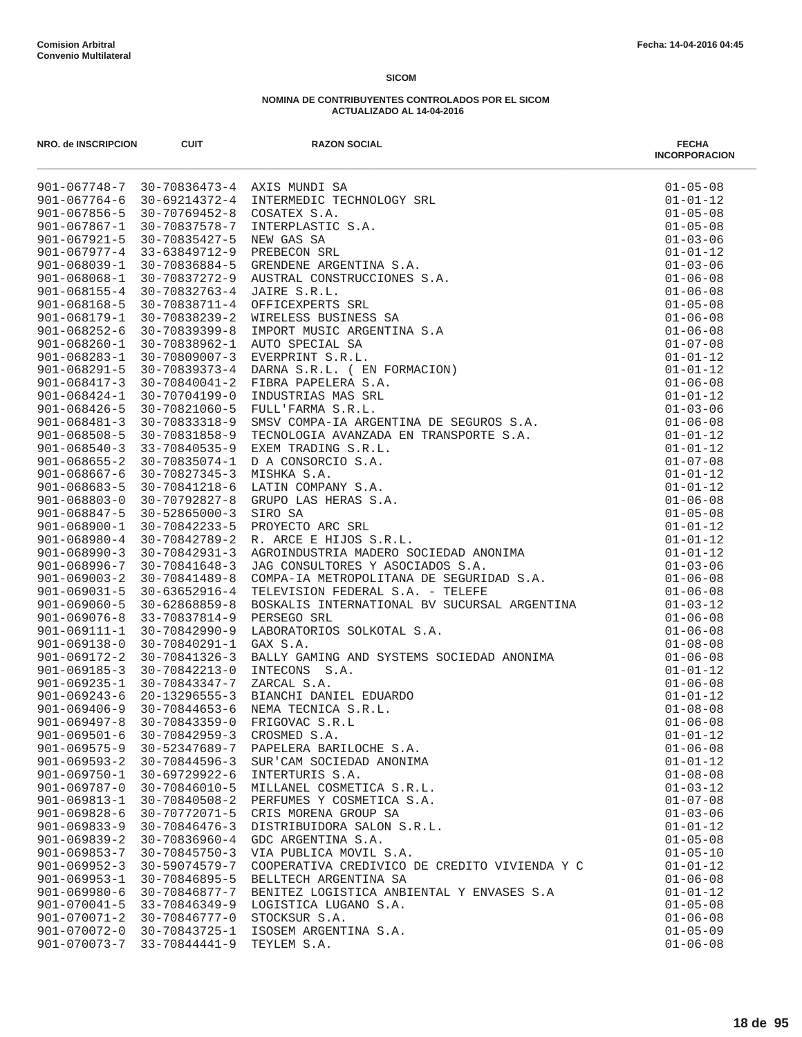| NRO. de INSCRIPCION                | <b>CUIT</b>                          | <b>RAZON SOCIAL</b><br>901 067746 7 30 70254673 4 AXIS MUNDT SA<br>901-067764-6 30-6221472-4 AXIS MUNDT SA<br>901-067764-6 30-6221472-4 ANTERNAMOLC TECHNOLOGY SEL<br>901-06786-5 30-707694533 CONMITED ASTLE C.A.<br>901-06787-4 35-707694532 CONMITED AND | <b>FECHA</b><br><b>INCORPORACION</b> |
|------------------------------------|--------------------------------------|-------------------------------------------------------------------------------------------------------------------------------------------------------------------------------------------------------------------------------------------------------------|--------------------------------------|
|                                    |                                      |                                                                                                                                                                                                                                                             | $01 - 05 - 08$                       |
|                                    |                                      |                                                                                                                                                                                                                                                             | $01 - 01 - 12$                       |
|                                    |                                      |                                                                                                                                                                                                                                                             | $01 - 05 - 08$                       |
|                                    |                                      |                                                                                                                                                                                                                                                             | $01 - 05 - 08$                       |
|                                    |                                      |                                                                                                                                                                                                                                                             | $01 - 03 - 06$                       |
|                                    |                                      |                                                                                                                                                                                                                                                             | $01 - 01 - 12$                       |
|                                    |                                      |                                                                                                                                                                                                                                                             | $01 - 03 - 06$                       |
|                                    |                                      |                                                                                                                                                                                                                                                             | $01 - 06 - 08$                       |
|                                    |                                      |                                                                                                                                                                                                                                                             | $01 - 06 - 08$                       |
|                                    |                                      |                                                                                                                                                                                                                                                             | $01 - 05 - 08$                       |
|                                    |                                      |                                                                                                                                                                                                                                                             | $01 - 06 - 08$                       |
|                                    |                                      |                                                                                                                                                                                                                                                             | $01 - 06 - 08$                       |
|                                    |                                      |                                                                                                                                                                                                                                                             | $01 - 07 - 08$                       |
|                                    |                                      |                                                                                                                                                                                                                                                             | $01 - 01 - 12$<br>$01 - 01 - 12$     |
|                                    |                                      |                                                                                                                                                                                                                                                             | $01 - 06 - 08$                       |
|                                    |                                      |                                                                                                                                                                                                                                                             | $01 - 01 - 12$                       |
|                                    |                                      |                                                                                                                                                                                                                                                             | $01 - 03 - 06$                       |
|                                    |                                      |                                                                                                                                                                                                                                                             | $01 - 06 - 08$                       |
|                                    |                                      |                                                                                                                                                                                                                                                             | $01 - 01 - 12$                       |
|                                    |                                      |                                                                                                                                                                                                                                                             | $01 - 01 - 12$                       |
|                                    |                                      |                                                                                                                                                                                                                                                             | $01 - 07 - 08$                       |
|                                    |                                      |                                                                                                                                                                                                                                                             | $01 - 01 - 12$                       |
|                                    |                                      |                                                                                                                                                                                                                                                             | $01 - 01 - 12$                       |
|                                    |                                      |                                                                                                                                                                                                                                                             | $01 - 06 - 08$                       |
|                                    |                                      |                                                                                                                                                                                                                                                             | $01 - 05 - 08$                       |
|                                    |                                      |                                                                                                                                                                                                                                                             | $01 - 01 - 12$                       |
|                                    |                                      |                                                                                                                                                                                                                                                             | $01 - 01 - 12$                       |
|                                    |                                      |                                                                                                                                                                                                                                                             | $01 - 01 - 12$                       |
|                                    |                                      |                                                                                                                                                                                                                                                             | $01 - 03 - 06$                       |
|                                    |                                      |                                                                                                                                                                                                                                                             | $01 - 06 - 08$                       |
|                                    |                                      |                                                                                                                                                                                                                                                             | $01 - 06 - 08$                       |
|                                    |                                      |                                                                                                                                                                                                                                                             | $01 - 03 - 12$                       |
|                                    |                                      |                                                                                                                                                                                                                                                             | $01 - 06 - 08$                       |
|                                    |                                      |                                                                                                                                                                                                                                                             | $01 - 06 - 08$                       |
|                                    |                                      |                                                                                                                                                                                                                                                             | $01 - 08 - 08$                       |
|                                    |                                      |                                                                                                                                                                                                                                                             | $01 - 06 - 08$                       |
|                                    |                                      |                                                                                                                                                                                                                                                             | $01 - 01 - 12$                       |
|                                    |                                      |                                                                                                                                                                                                                                                             | $01 - 06 - 08$                       |
|                                    |                                      |                                                                                                                                                                                                                                                             | $01 - 01 - 12$                       |
|                                    |                                      |                                                                                                                                                                                                                                                             | $01 - 08 - 08$                       |
|                                    |                                      |                                                                                                                                                                                                                                                             | $01 - 06 - 08$                       |
|                                    |                                      |                                                                                                                                                                                                                                                             | $01 - 01 - 12$                       |
|                                    |                                      |                                                                                                                                                                                                                                                             | $01 - 06 - 08$                       |
| $901 - 069593 - 2$                 | $30 - 70844596 - 3$                  | SUR'CAM SOCIEDAD ANONIMA                                                                                                                                                                                                                                    | $01 - 01 - 12$                       |
| $901 - 069750 - 1$                 | $30 - 69729922 - 6$                  | INTERTURIS S.A.                                                                                                                                                                                                                                             | $01 - 08 - 08$                       |
| $901 - 069787 - 0$                 | 30-70846010-5                        | MILLANEL COSMETICA S.R.L.                                                                                                                                                                                                                                   | $01 - 03 - 12$                       |
| 901-069813-1<br>$901 - 069828 - 6$ | $30 - 70840508 - 2$<br>30-70772071-5 | PERFUMES Y COSMETICA S.A.<br>CRIS MORENA GROUP SA                                                                                                                                                                                                           | $01 - 07 - 08$<br>$01 - 03 - 06$     |
| $901 - 069833 - 9$                 | $30 - 70846476 - 3$                  | DISTRIBUIDORA SALON S.R.L.                                                                                                                                                                                                                                  | $01 - 01 - 12$                       |
| $901 - 069839 - 2$                 | $30 - 70836960 - 4$                  | GDC ARGENTINA S.A.                                                                                                                                                                                                                                          | $01 - 05 - 08$                       |
| $901 - 069853 - 7$                 | $30 - 70845750 - 3$                  | VIA PUBLICA MOVIL S.A.                                                                                                                                                                                                                                      | $01 - 05 - 10$                       |
| $901 - 069952 - 3$                 | $30 - 59074579 - 7$                  | COOPERATIVA CREDIVICO DE CREDITO VIVIENDA Y C                                                                                                                                                                                                               | $01 - 01 - 12$                       |
| $901 - 069953 - 1$                 | 30-70846895-5                        | BELLTECH ARGENTINA SA                                                                                                                                                                                                                                       | $01 - 06 - 08$                       |
| $901 - 069980 - 6$                 | 30-70846877-7                        | BENITEZ LOGISTICA ANBIENTAL Y ENVASES S.A                                                                                                                                                                                                                   | $01 - 01 - 12$                       |
| $901 - 070041 - 5$                 | 33-70846349-9                        | LOGISTICA LUGANO S.A.                                                                                                                                                                                                                                       | $01 - 05 - 08$                       |
| $901 - 070071 - 2$                 | 30-70846777-0                        | STOCKSUR S.A.                                                                                                                                                                                                                                               | $01 - 06 - 08$                       |
| 901-070072-0                       | 30-70843725-1                        | ISOSEM ARGENTINA S.A.                                                                                                                                                                                                                                       | $01 - 05 - 09$                       |
| 901-070073-7                       | 33-70844441-9                        | TEYLEM S.A.                                                                                                                                                                                                                                                 | $01 - 06 - 08$                       |
|                                    |                                      |                                                                                                                                                                                                                                                             |                                      |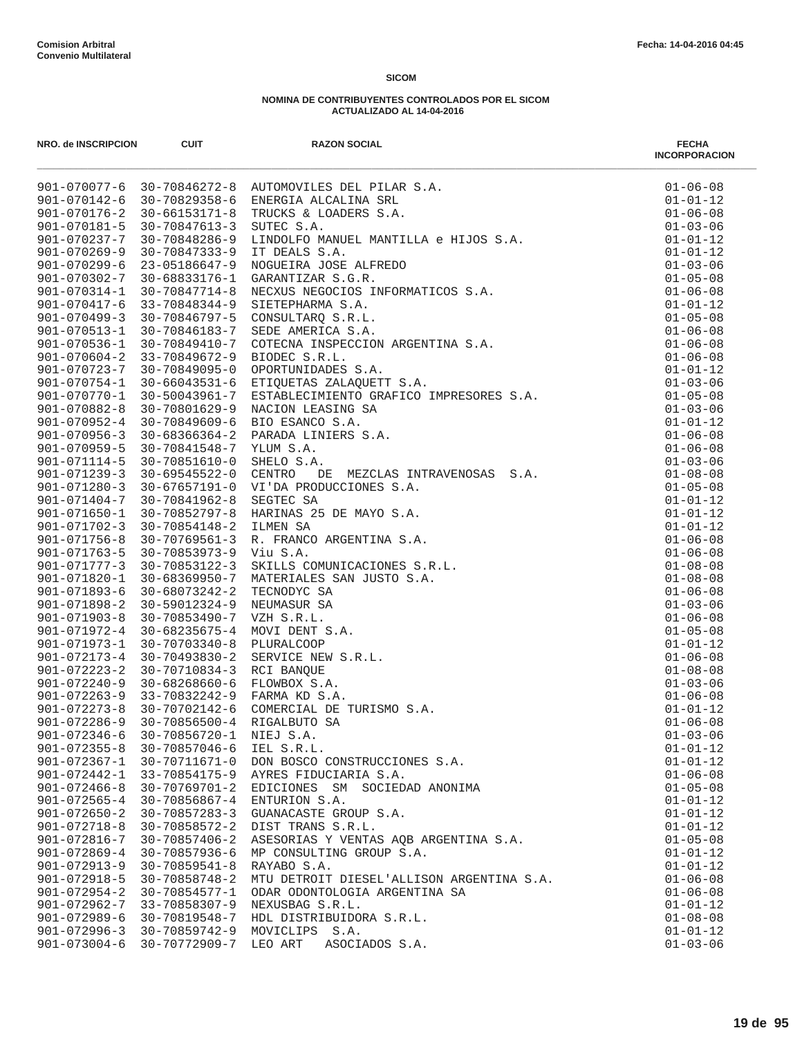| NRO. de INSCRIPCION                | <b>CUIT</b>                                | <b>RAZON SOCIAL</b>                                                                                                                                                                                                                                     | <b>FECHA</b><br><b>INCORPORACION</b> |
|------------------------------------|--------------------------------------------|---------------------------------------------------------------------------------------------------------------------------------------------------------------------------------------------------------------------------------------------------------|--------------------------------------|
|                                    |                                            | 901-070077-6 30-70846272-8 AUTOMOVILES DEL PILAR S.A.<br>901-070174-6 30-70829358-6 ENERGIA ALCALINA SRL<br>901-070174-2 30-66153171-8 TRUCKS & LOADERS S.A.<br>901-070181-5 30-70847613-3 SUTEC S.A.<br>901-070181-5 30-70847613-3 SUTEC               | $01 - 06 - 08$                       |
|                                    |                                            |                                                                                                                                                                                                                                                         | $01 - 01 - 12$                       |
|                                    |                                            |                                                                                                                                                                                                                                                         | $01 - 06 - 08$                       |
|                                    |                                            |                                                                                                                                                                                                                                                         | $01 - 03 - 06$                       |
|                                    |                                            |                                                                                                                                                                                                                                                         | $01 - 01 - 12$                       |
|                                    |                                            |                                                                                                                                                                                                                                                         | $01 - 01 - 12$                       |
|                                    |                                            |                                                                                                                                                                                                                                                         | $01 - 03 - 06$                       |
|                                    |                                            |                                                                                                                                                                                                                                                         | $01 - 05 - 08$                       |
|                                    |                                            |                                                                                                                                                                                                                                                         | $01 - 06 - 08$<br>$01 - 01 - 12$     |
|                                    |                                            |                                                                                                                                                                                                                                                         | $01 - 05 - 08$                       |
|                                    |                                            |                                                                                                                                                                                                                                                         | $01 - 06 - 08$                       |
|                                    |                                            |                                                                                                                                                                                                                                                         | $01 - 06 - 08$                       |
|                                    |                                            |                                                                                                                                                                                                                                                         | $01 - 06 - 08$                       |
|                                    |                                            |                                                                                                                                                                                                                                                         | $01 - 01 - 12$                       |
|                                    |                                            |                                                                                                                                                                                                                                                         | $01 - 03 - 06$                       |
|                                    |                                            |                                                                                                                                                                                                                                                         | $01 - 05 - 08$                       |
|                                    |                                            |                                                                                                                                                                                                                                                         | $01 - 03 - 06$                       |
|                                    |                                            |                                                                                                                                                                                                                                                         | $01 - 01 - 12$                       |
|                                    |                                            |                                                                                                                                                                                                                                                         | $01 - 06 - 08$                       |
|                                    |                                            |                                                                                                                                                                                                                                                         | $01 - 06 - 08$                       |
|                                    |                                            |                                                                                                                                                                                                                                                         | $01 - 03 - 06$                       |
|                                    |                                            |                                                                                                                                                                                                                                                         | $01 - 08 - 08$                       |
| $901 - 071280 - 3$                 | 30-67657191-0                              |                                                                                                                                                                                                                                                         | $01 - 05 - 08$                       |
| $901 - 071404 - 7$                 | 30-70841962-8                              |                                                                                                                                                                                                                                                         | $01 - 01 - 12$                       |
| $901 - 071650 - 1$                 | 30-70852797-8                              |                                                                                                                                                                                                                                                         | $01 - 01 - 12$                       |
| $901 - 071702 - 3$                 | $30 - 70854148 - 2$                        | CENTRO DE MEZCLAS INTRAVENOSAS S.A.<br>VI'DA PRODUCCIONES S.A.<br>SEGTEC SA<br>BEGTEC SA<br>HARINAS 25 DE MAYO S.A.<br>ILMEN SA<br>R. FRANCO ARGENTINA S.A.<br>Viu S.A.<br>VIU S.A.<br>MATERIALES SAN JUSTO S.A.<br>TECNODYC SA<br>NEUMASUR SA R.L.<br> | $01 - 01 - 12$                       |
| $901 - 071756 - 8$                 | 30-70769561-3                              |                                                                                                                                                                                                                                                         | $01 - 06 - 08$                       |
| $901 - 071763 - 5$                 | 30-70853973-9                              |                                                                                                                                                                                                                                                         | $01 - 06 - 08$                       |
| $901 - 071777 - 3$                 | 30-70853122-3                              |                                                                                                                                                                                                                                                         | $01 - 08 - 08$                       |
| 901-071820-1<br>901-071893-6       | $30 - 68369950 - 7$<br>30-68073242-2       |                                                                                                                                                                                                                                                         | $01 - 08 - 08$<br>$01 - 06 - 08$     |
| $901 - 071898 - 2$                 | 30-59012324-9                              |                                                                                                                                                                                                                                                         | $01 - 03 - 06$                       |
| $901 - 071903 - 8$                 | 30-70853490-7                              |                                                                                                                                                                                                                                                         | $01 - 06 - 08$                       |
| 901-071972-4                       | 30-68235675-4                              |                                                                                                                                                                                                                                                         | $01 - 05 - 08$                       |
| $901 - 071973 - 1$                 | $30 - 70703340 - 8$                        |                                                                                                                                                                                                                                                         | $01 - 01 - 12$                       |
| $901 - 072173 - 4$                 | 30-70493830-2                              |                                                                                                                                                                                                                                                         | $01 - 06 - 08$                       |
| $901 - 072223 - 2$                 | 30-70710834-3                              |                                                                                                                                                                                                                                                         | $01 - 08 - 08$                       |
| $901 - 072240 - 9$                 | 30-68268660-6                              |                                                                                                                                                                                                                                                         | $01 - 03 - 06$                       |
| $901 - 072263 - 9$                 | 33-70832242-9                              |                                                                                                                                                                                                                                                         | $01 - 06 - 08$                       |
| $901 - 072273 - 8$                 | 30-70702142-6                              |                                                                                                                                                                                                                                                         | $01 - 01 - 12$                       |
| $901 - 072286 - 9$                 | $30 - 70856500 - 4$                        |                                                                                                                                                                                                                                                         | $01 - 06 - 08$                       |
| $901 - 072346 - 6$                 | 30-70856720-1                              | NIEJ S.A.                                                                                                                                                                                                                                               | $01 - 03 - 06$                       |
| $901 - 072355 - 8$                 | 30-70857046-6                              | IEL S.R.L.                                                                                                                                                                                                                                              | $01 - 01 - 12$                       |
| $901 - 072367 - 1$                 | 30-70711671-0                              | DON BOSCO CONSTRUCCIONES S.A.                                                                                                                                                                                                                           | $01 - 01 - 12$                       |
| $901 - 072442 - 1$                 | 33-70854175-9                              | AYRES FIDUCIARIA S.A.                                                                                                                                                                                                                                   | $01 - 06 - 08$                       |
| $901 - 072466 - 8$                 | 30-70769701-2                              | EDICIONES SM SOCIEDAD ANONIMA                                                                                                                                                                                                                           | $01 - 05 - 08$                       |
| $901 - 072565 - 4$                 | 30-70856867-4                              | ENTURION S.A.                                                                                                                                                                                                                                           | $01 - 01 - 12$                       |
| $901 - 072650 - 2$                 | $30 - 70857283 - 3$                        | GUANACASTE GROUP S.A.                                                                                                                                                                                                                                   | $01 - 01 - 12$                       |
| $901 - 072718 - 8$                 | 30-70858572-2                              | DIST TRANS S.R.L.                                                                                                                                                                                                                                       | $01 - 01 - 12$                       |
| 901-072816-7                       | $30 - 70857406 - 2$                        | ASESORIAS Y VENTAS AQB ARGENTINA S.A.                                                                                                                                                                                                                   | $01 - 05 - 08$                       |
| $901 - 072869 - 4$                 | 30-70857936-6                              | MP CONSULTING GROUP S.A.                                                                                                                                                                                                                                | $01 - 01 - 12$                       |
| $901 - 072913 - 9$<br>901-072918-5 | $30 - 70859541 - 8$<br>$30 - 70858748 - 2$ | RAYABO S.A.<br>MTU DETROIT DIESEL'ALLISON ARGENTINA S.A.                                                                                                                                                                                                | $01 - 01 - 12$                       |
| $901 - 072954 - 2$                 | 30-70854577-1                              | ODAR ODONTOLOGIA ARGENTINA SA                                                                                                                                                                                                                           | $01 - 06 - 08$<br>$01 - 06 - 08$     |
| 901-072962-7                       | 33-70858307-9                              | NEXUSBAG S.R.L.                                                                                                                                                                                                                                         | $01 - 01 - 12$                       |
| $901 - 072989 - 6$                 | 30-70819548-7                              | HDL DISTRIBUIDORA S.R.L.                                                                                                                                                                                                                                | $01 - 08 - 08$                       |
| $901 - 072996 - 3$                 | $30 - 70859742 - 9$                        | MOVICLIPS S.A.                                                                                                                                                                                                                                          | $01 - 01 - 12$                       |
| $901 - 073004 - 6$                 | 30-70772909-7                              | LEO ART<br>ASOCIADOS S.A.                                                                                                                                                                                                                               | $01 - 03 - 06$                       |
|                                    |                                            |                                                                                                                                                                                                                                                         |                                      |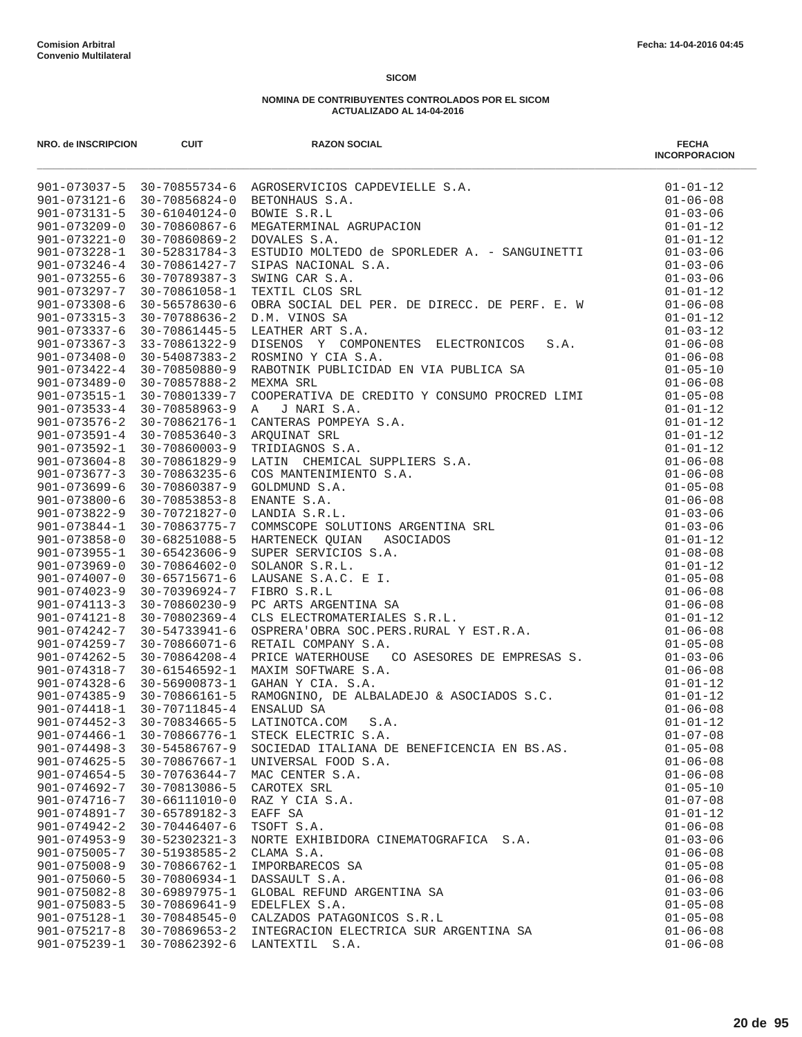| NRO. de INSCRIPCION                      | <b>CUIT</b>                          | <b>RAZON SOCIAL</b>                                                                                                                                                                                                                                | <b>FECHA</b><br><b>INCORPORACION</b> |
|------------------------------------------|--------------------------------------|----------------------------------------------------------------------------------------------------------------------------------------------------------------------------------------------------------------------------------------------------|--------------------------------------|
|                                          |                                      | 901-073037-5 30-70855734-6 AGROSERVICIOS CAPDEVIELLE S.A.<br>901-073121-6 30-70856824-0 BETONHAUS S.A.<br>901-073131-5 30-61040124-0 BOWIE S.R.L<br>901-073209-0 30-70860867-6 MEGATERMINAL AGRUPACION<br>901-073221-0 30-70860869-2 DOVAL         | $01 - 01 - 12$                       |
|                                          |                                      |                                                                                                                                                                                                                                                    | $01 - 06 - 08$                       |
|                                          |                                      |                                                                                                                                                                                                                                                    | $01 - 03 - 06$                       |
|                                          |                                      |                                                                                                                                                                                                                                                    | $01 - 01 - 12$                       |
|                                          |                                      |                                                                                                                                                                                                                                                    | $01 - 01 - 12$                       |
|                                          |                                      |                                                                                                                                                                                                                                                    | $01 - 03 - 06$                       |
| $901 - 073246 - 4$                       | 30-70861427-7                        | SIPAS NACIONAL S.A.                                                                                                                                                                                                                                | $01 - 03 - 06$                       |
| $901 - 073255 - 6$                       | $30 - 70789387 - 3$                  | SWING CAR S.A.                                                                                                                                                                                                                                     | $01 - 03 - 06$                       |
| $901 - 073297 - 7$                       | 30-70861058-1                        | TEXTIL CLOS SRL                                                                                                                                                                                                                                    | $01 - 01 - 12$                       |
| $901 - 073308 - 6$<br>$901 - 073315 - 3$ | 30-56578630-6                        | OBRA SOCIAL DEL PER. DE DIRECC. DE PERF. E. W<br>D M VINOS SA<br>D.M. VINOS SA                                                                                                                                                                     | $01 - 06 - 08$<br>$01 - 01 - 12$     |
| $901 - 073337 - 6$                       | 30-70788636-2<br>$30 - 70861445 - 5$ | LEATHER ART S.A.                                                                                                                                                                                                                                   | $01 - 03 - 12$                       |
| $901 - 073367 - 3$                       | 33-70861322-9                        | S.A.<br>DISENOS Y COMPONENTES ELECTRONICOS                                                                                                                                                                                                         | $01 - 06 - 08$                       |
| $901 - 073408 - 0$                       | 30-54087383-2                        | ROSMINO Y CIA S.A.                                                                                                                                                                                                                                 | $01 - 06 - 08$                       |
| $901 - 073422 - 4$                       | 30-70850880-9                        | ROSMINO I CIA S.A.<br>RABOTNIK PUBLICIDAD EN VIA PUBLICA SA<br>MEYMA SPI                                                                                                                                                                           | $01 - 05 - 10$                       |
| $901 - 073489 - 0$                       | 30-70857888-2                        | MEXMA SRL                                                                                                                                                                                                                                          | $01 - 06 - 08$                       |
| $901 - 073515 - 1$                       | 30-70801339-7                        | COOPERATIVA DE CREDITO Y CONSUMO PROCRED LIMI                                                                                                                                                                                                      | $01 - 05 - 08$                       |
| $901 - 073533 - 4$                       | $30 - 70858963 - 9$                  | . CONFERANT DE CREDITO Y CONSUMO PROCRED LIMI<br>2 A J NARI S.A.<br>3 ARQUINAT SRL<br>3 TRIDIAGNOS S.A.<br>3 TRIDIAGNOS S.A.<br>6 COS MANTEMIMIENTO S.A.<br>6 COS MANTEMIMIENTO S.A.<br>3 GOLDMUND S.A.<br>3 NANTE S.A.<br>3 ARANTE S.A.<br>3 COLD | $01 - 01 - 12$                       |
| $901 - 073576 - 2$                       | 30-70862176-1                        |                                                                                                                                                                                                                                                    | $01 - 01 - 12$                       |
| $901 - 073591 - 4$                       | 30-70853640-3                        |                                                                                                                                                                                                                                                    | $01 - 01 - 12$                       |
| $901 - 073592 - 1$                       | $30 - 70860003 - 9$                  |                                                                                                                                                                                                                                                    | $01 - 01 - 12$                       |
| $901 - 073604 - 8$                       | 30-70861829-9                        |                                                                                                                                                                                                                                                    | $01 - 06 - 08$                       |
| $901 - 073677 - 3$                       | 30-70863235-6                        |                                                                                                                                                                                                                                                    | $01 - 06 - 08$                       |
| $901 - 073699 - 6$                       | $30 - 70860387 - 9$                  |                                                                                                                                                                                                                                                    | $01 - 05 - 08$                       |
| $901 - 073800 - 6$                       | $30 - 70853853 - 8$                  |                                                                                                                                                                                                                                                    | $01 - 06 - 08$                       |
| $901 - 073822 - 9$                       | 30-70721827-0                        |                                                                                                                                                                                                                                                    | $01 - 03 - 06$                       |
| $901 - 073844 - 1$                       | 30-70863775-7                        |                                                                                                                                                                                                                                                    | $01 - 03 - 06$                       |
| $901 - 073858 - 0$                       | 30-68251088-5                        |                                                                                                                                                                                                                                                    | $01 - 01 - 12$                       |
| $901 - 073955 - 1$                       | 30-65423606-9                        |                                                                                                                                                                                                                                                    | $01 - 08 - 08$                       |
| $901 - 073969 - 0$                       | 30-70864602-0                        |                                                                                                                                                                                                                                                    | $01 - 01 - 12$                       |
| $901 - 074007 - 0$                       | $30 - 65715671 - 6$                  |                                                                                                                                                                                                                                                    | $01 - 05 - 08$                       |
| $901 - 074023 - 9$                       | 30-70396924-7                        |                                                                                                                                                                                                                                                    | $01 - 06 - 08$                       |
| $901 - 074113 - 3$                       | $30 - 70860230 - 9$                  |                                                                                                                                                                                                                                                    | $01 - 06 - 08$                       |
| $901 - 074121 - 8$                       | 30-70802369-4                        |                                                                                                                                                                                                                                                    | $01 - 01 - 12$                       |
| 901-074242-7                             | 30-54733941-6                        |                                                                                                                                                                                                                                                    | $01 - 06 - 08$                       |
| $901 - 074259 - 7$                       | $30 - 70866071 - 6$                  | RETAIL COMPANY S.A.<br>PRICE WATERHOUSE - CO ASESORES DE EMPRESAS S.<br>MAXIM SOFTWARE S.A.                                                                                                                                                        | $01 - 05 - 08$                       |
| $901 - 074262 - 5$                       | 30-70864208-4<br>30-61546592-1       |                                                                                                                                                                                                                                                    | $01 - 03 - 06$                       |
| 901-074318-7<br>$901 - 074328 - 6$       |                                      | MAXIM SOFTWARE S.A.                                                                                                                                                                                                                                | $01 - 06 - 08$                       |
| $901 - 074385 - 9$                       | 30-56900873-1<br>30-70866161-5       | RAMOGNINO, DE ALBALADEJO & ASOCIADOS S.C.<br>ENSALUD SA                                                                                                                                                                                            | $01 - 01 - 12$<br>$01 - 01 - 12$     |
| $901 - 074418 - 1$                       | 30-70711845-4                        |                                                                                                                                                                                                                                                    | $01 - 06 - 08$                       |
| $901 - 074452 - 3$                       | 30-70834665-5                        | LATINOTCA.COM<br>$\texttt{S.A.}$                                                                                                                                                                                                                   | $01 - 01 - 12$                       |
| $901 - 074466 - 1$                       | 30-70866776-1                        | STECK ELECTRIC S.A.                                                                                                                                                                                                                                | $01 - 07 - 08$                       |
| $901 - 074498 - 3$                       | 30-54586767-9                        | SOCIEDAD ITALIANA DE BENEFICENCIA EN BS.AS.                                                                                                                                                                                                        | $01 - 05 - 08$                       |
| $901 - 074625 - 5$                       | 30-70867667-1                        | UNIVERSAL FOOD S.A.                                                                                                                                                                                                                                | $01 - 06 - 08$                       |
| $901 - 074654 - 5$                       | 30-70763644-7                        | MAC CENTER S.A.                                                                                                                                                                                                                                    | $01 - 06 - 08$                       |
| $901 - 074692 - 7$                       | 30-70813086-5                        | CAROTEX SRL                                                                                                                                                                                                                                        | $01 - 05 - 10$                       |
| 901-074716-7                             | $30 - 66111010 - 0$                  | RAZ Y CIA S.A.                                                                                                                                                                                                                                     | $01 - 07 - 08$                       |
| 901-074891-7                             | 30-65789182-3                        | EAFF SA                                                                                                                                                                                                                                            | $01 - 01 - 12$                       |
| $901 - 074942 - 2$                       | $30 - 70446407 - 6$                  | TSOFT S.A.                                                                                                                                                                                                                                         | $01 - 06 - 08$                       |
| $901 - 074953 - 9$                       | $30 - 52302321 - 3$                  | NORTE EXHIBIDORA CINEMATOGRAFICA S.A.                                                                                                                                                                                                              | $01 - 03 - 06$                       |
| $901 - 075005 - 7$                       | 30-51938585-2                        | CLAMA S.A.                                                                                                                                                                                                                                         | $01 - 06 - 08$                       |
| $901 - 075008 - 9$                       | $30 - 70866762 - 1$                  | IMPORBARECOS SA                                                                                                                                                                                                                                    | $01 - 05 - 08$                       |
| $901 - 075060 - 5$                       | 30-70806934-1                        | DASSAULT S.A.                                                                                                                                                                                                                                      | $01 - 06 - 08$                       |
| $901 - 075082 - 8$                       | $30 - 69897975 - 1$                  | GLOBAL REFUND ARGENTINA SA                                                                                                                                                                                                                         | $01 - 03 - 06$                       |
| $901 - 075083 - 5$                       | $30 - 70869641 - 9$                  | EDELFLEX S.A.                                                                                                                                                                                                                                      | $01 - 05 - 08$                       |
| $901 - 075128 - 1$                       | 30-70848545-0                        | CALZADOS PATAGONICOS S.R.L                                                                                                                                                                                                                         | $01 - 05 - 08$                       |
| $901 - 075217 - 8$                       | $30 - 70869653 - 2$                  | INTEGRACION ELECTRICA SUR ARGENTINA SA                                                                                                                                                                                                             | $01 - 06 - 08$                       |
| $901 - 075239 - 1$                       | 30-70862392-6                        | LANTEXTIL S.A.                                                                                                                                                                                                                                     | $01 - 06 - 08$                       |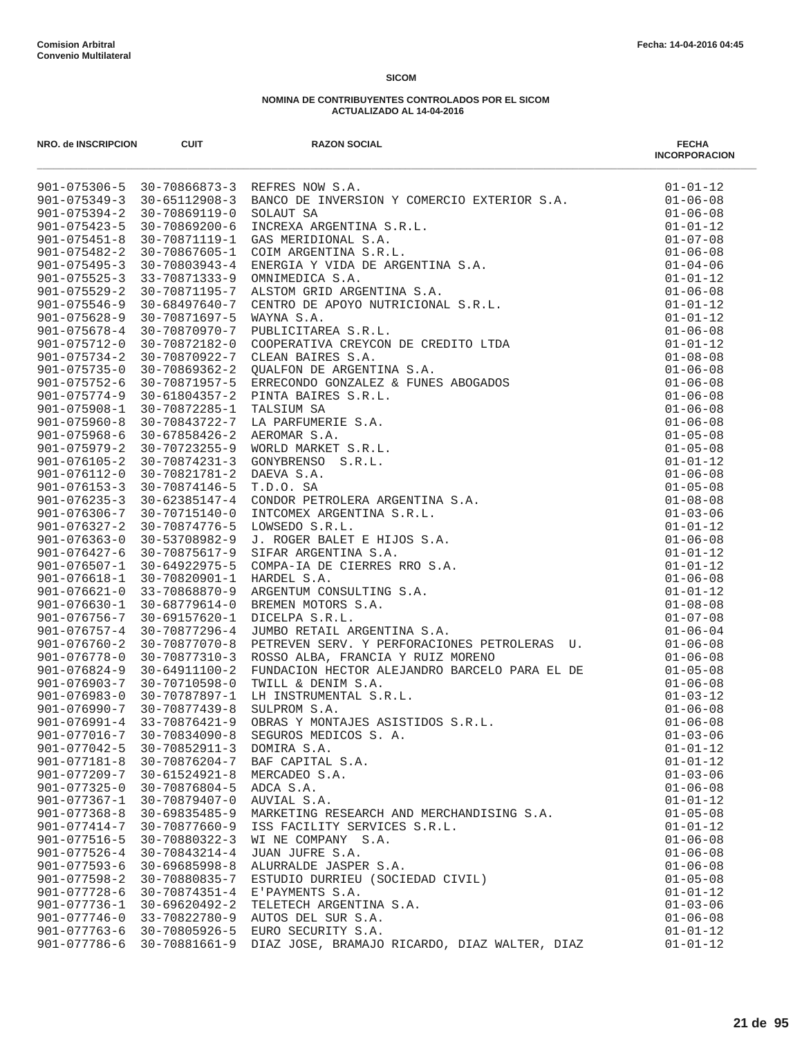| NRO. de INSCRIPCION        | <b>CUIT</b>         | <b>RAZON SOCIAL</b>                                                                                                                                                                                                                       | <b>FECHA</b><br><b>INCORPORACION</b> |
|----------------------------|---------------------|-------------------------------------------------------------------------------------------------------------------------------------------------------------------------------------------------------------------------------------------|--------------------------------------|
|                            |                     | 901-075306-5 10-70866873-3 REFRES NOW S.A.<br>901-075366-5 10-70866873-3 REFRES NOW S.A.<br>901-075354-2 10-7086919-0 SOLAUT SA MENITION S.R.L.<br>901-075434-5 10-7086910-6 INCRESA ARCENTINA S.R.L.<br>901-075431-5 10-7089100-6 INCRES | $01 - 01 - 12$                       |
|                            |                     |                                                                                                                                                                                                                                           | $01 - 06 - 08$                       |
|                            |                     |                                                                                                                                                                                                                                           | $01 - 06 - 08$                       |
|                            |                     |                                                                                                                                                                                                                                           | $01 - 01 - 12$                       |
|                            |                     |                                                                                                                                                                                                                                           | $01 - 07 - 08$                       |
|                            |                     |                                                                                                                                                                                                                                           | $01 - 06 - 08$                       |
|                            |                     |                                                                                                                                                                                                                                           | $01 - 04 - 06$                       |
|                            |                     |                                                                                                                                                                                                                                           | $01 - 01 - 12$                       |
|                            |                     |                                                                                                                                                                                                                                           | $01 - 06 - 08$                       |
|                            |                     |                                                                                                                                                                                                                                           | $01 - 01 - 12$                       |
|                            |                     |                                                                                                                                                                                                                                           | $01 - 01 - 12$                       |
|                            |                     |                                                                                                                                                                                                                                           | $01 - 06 - 08$                       |
|                            |                     |                                                                                                                                                                                                                                           | $01 - 01 - 12$                       |
|                            |                     |                                                                                                                                                                                                                                           | $01 - 08 - 08$                       |
|                            |                     |                                                                                                                                                                                                                                           | $01 - 06 - 08$                       |
|                            |                     |                                                                                                                                                                                                                                           | $01 - 06 - 08$                       |
|                            |                     |                                                                                                                                                                                                                                           | $01 - 06 - 08$                       |
|                            |                     |                                                                                                                                                                                                                                           | $01 - 06 - 08$                       |
|                            |                     |                                                                                                                                                                                                                                           | $01 - 06 - 08$                       |
|                            |                     |                                                                                                                                                                                                                                           | $01 - 05 - 08$                       |
|                            |                     |                                                                                                                                                                                                                                           | $01 - 05 - 08$                       |
|                            |                     |                                                                                                                                                                                                                                           | $01 - 01 - 12$                       |
|                            |                     |                                                                                                                                                                                                                                           | $01 - 06 - 08$                       |
|                            |                     |                                                                                                                                                                                                                                           | $01 - 05 - 08$                       |
|                            |                     |                                                                                                                                                                                                                                           | $01 - 08 - 08$<br>$01 - 03 - 06$     |
|                            |                     |                                                                                                                                                                                                                                           |                                      |
|                            |                     |                                                                                                                                                                                                                                           | $01 - 01 - 12$<br>$01 - 06 - 08$     |
|                            |                     |                                                                                                                                                                                                                                           | $01 - 01 - 12$                       |
|                            |                     |                                                                                                                                                                                                                                           | $01 - 01 - 12$                       |
|                            |                     |                                                                                                                                                                                                                                           | $01 - 06 - 08$                       |
|                            |                     |                                                                                                                                                                                                                                           | $01 - 01 - 12$                       |
|                            |                     |                                                                                                                                                                                                                                           | $01 - 08 - 08$                       |
|                            |                     |                                                                                                                                                                                                                                           | $01 - 07 - 08$                       |
|                            |                     |                                                                                                                                                                                                                                           | $01 - 06 - 04$                       |
| $901 - 076760 - 2$         | 30-70877070-8       | DUMBO REIAID ANGENIINA D.M.<br>PETREVEN SERV. Y PERFORACIONES PETROLERAS U.                                                                                                                                                               | $01 - 06 - 08$                       |
| $901 - 076778 - 0$         | 30-70877310-3       | ROSSO ALBA, FRANCIA Y RUIZ MORENO                                                                                                                                                                                                         | $01 - 06 - 08$                       |
| 901-076824-9               | 30-64911100-2       |                                                                                                                                                                                                                                           | $01 - 05 - 08$                       |
| $901 - 076903 - 7$         | 30-70710598-0       |                                                                                                                                                                                                                                           | $01 - 06 - 08$                       |
| 901-076983-0               | 30-70787897-1       |                                                                                                                                                                                                                                           | $01 - 03 - 12$                       |
| 901-076990-7 30-70877439-8 |                     |                                                                                                                                                                                                                                           | $01 - 06 - 08$                       |
| $901 - 076991 - 4$         | 33-70876421-9       | FUNDACION HECTOR ALEJANDRO BARCELO PARA EL DE<br>TWILL & DENIM S.A.<br>LH INSTRUMENTAL S.R.L.<br>SULPROM S.A.<br>OBRAS Y MONTAJES ASISTIDOS S.R.L.<br>SEGUROS MEDICOS S.A                                                                 | $01 - 06 - 08$                       |
| 901-077016-7               | $30 - 70834090 - 8$ | SEGUROS MEDICOS S. A.                                                                                                                                                                                                                     | $01 - 03 - 06$                       |
| $901 - 077042 - 5$         | $30 - 70852911 - 3$ | DOMIRA S.A.                                                                                                                                                                                                                               | $01 - 01 - 12$                       |
| $901 - 077181 - 8$         | 30-70876204-7       | BAF CAPITAL S.A.                                                                                                                                                                                                                          | $01 - 01 - 12$                       |
| $901 - 077209 - 7$         | $30 - 61524921 - 8$ | MERCADEO S.A.                                                                                                                                                                                                                             | $01 - 03 - 06$                       |
| $901 - 077325 - 0$         | 30-70876804-5       | ADCA S.A.                                                                                                                                                                                                                                 | $01 - 06 - 08$                       |
| $901 - 077367 - 1$         | 30-70879407-0       | AUVIAL S.A.                                                                                                                                                                                                                               | $01 - 01 - 12$                       |
| $901 - 077368 - 8$         | $30 - 69835485 - 9$ | MARKETING RESEARCH AND MERCHANDISING S.A.                                                                                                                                                                                                 | $01 - 05 - 08$                       |
| $901 - 077414 - 7$         | 30-70877660-9       | ISS FACILITY SERVICES S.R.L.                                                                                                                                                                                                              | $01 - 01 - 12$                       |
| 901-077516-5               | 30-70880322-3       | WI NE COMPANY S.A.                                                                                                                                                                                                                        | $01 - 06 - 08$                       |
| $901 - 077526 - 4$         | $30 - 70843214 - 4$ | JUAN JUFRE S.A.                                                                                                                                                                                                                           | $01 - 06 - 08$                       |
| $901 - 077593 - 6$         | $30 - 69685998 - 8$ | ALURRALDE JASPER S.A.                                                                                                                                                                                                                     | $01 - 06 - 08$                       |
| $901 - 077598 - 2$         | 30-70880835-7       | ESTUDIO DURRIEU (SOCIEDAD CIVIL)                                                                                                                                                                                                          | $01 - 05 - 08$                       |
| $901 - 077728 - 6$         | $30 - 70874351 - 4$ | E'PAYMENTS S.A.                                                                                                                                                                                                                           | $01 - 01 - 12$                       |
| 901-077736-1               | $30 - 69620492 - 2$ | TELETECH ARGENTINA S.A.                                                                                                                                                                                                                   | $01 - 03 - 06$                       |
| $901 - 077746 - 0$         | 33-70822780-9       | AUTOS DEL SUR S.A.                                                                                                                                                                                                                        | $01 - 06 - 08$                       |
| $901 - 077763 - 6$         | 30-70805926-5       | EURO SECURITY S.A.                                                                                                                                                                                                                        | $01 - 01 - 12$                       |
| $901 - 077786 - 6$         | 30-70881661-9       | DIAZ JOSE, BRAMAJO RICARDO, DIAZ WALTER, DIAZ                                                                                                                                                                                             | $01 - 01 - 12$                       |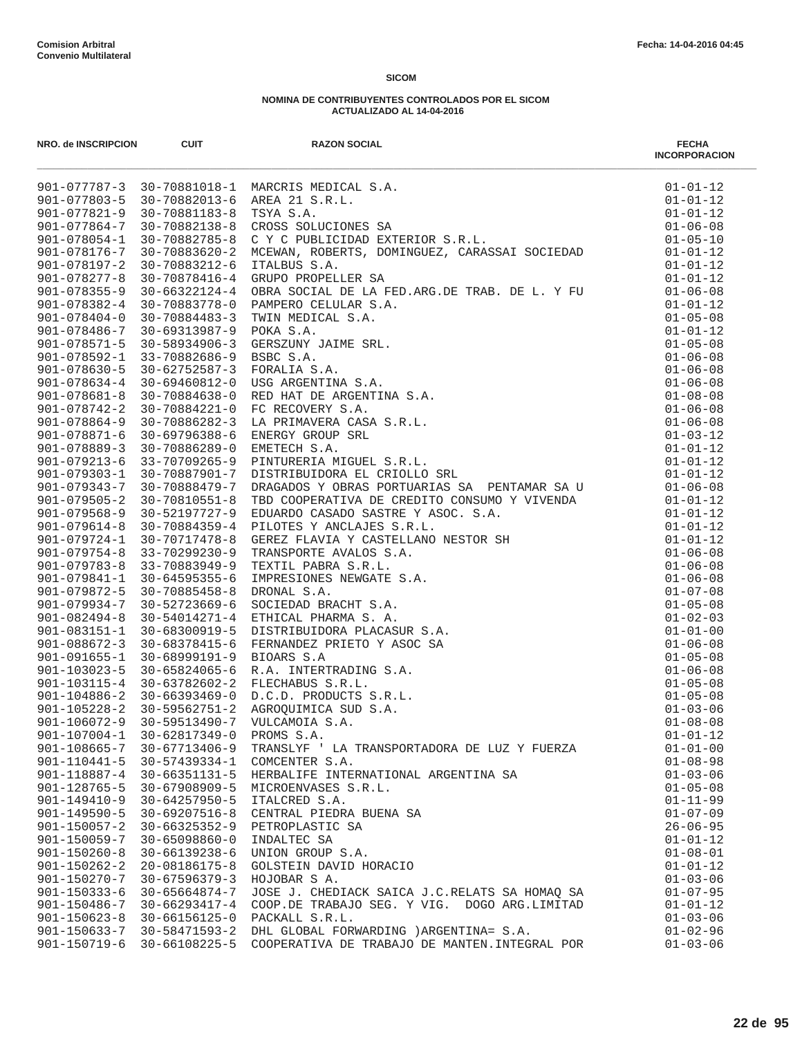| NRO. de INSCRIPCION                      | <b>CUIT</b>                      | <b>RAZON SOCIAL</b>                                                                                                                                                                                                                                                                                           | <b>FECHA</b><br><b>INCORPORACION</b> |
|------------------------------------------|----------------------------------|---------------------------------------------------------------------------------------------------------------------------------------------------------------------------------------------------------------------------------------------------------------------------------------------------------------|--------------------------------------|
|                                          |                                  | MARCRIS MEDICAL S.A.<br>AREA 21 S.R.L.<br>TSYA S.A.<br>CROSS SOLUCIONES SA<br>C Y C PUBLICIDAD EXTERIOR S.R.L.<br>MCEWAN, ROBERTS, DOMINGUEZ, CARASSAI SOCIEDAD<br>901-077787-3 30-70881018-1 MARCRIS MEDICAL S.A.                                                                                            | $01 - 01 - 12$                       |
| 901-077803-5                             |                                  | 30-70882013-6 AREA 21 S.R.L.                                                                                                                                                                                                                                                                                  | $01 - 01 - 12$                       |
| $901 - 077821 - 9$                       | 30-70881183-8                    |                                                                                                                                                                                                                                                                                                               | $01 - 01 - 12$                       |
| $901 - 077864 - 7$                       | 30-70882138-8                    |                                                                                                                                                                                                                                                                                                               | $01 - 06 - 08$                       |
| $901 - 078054 - 1$                       | 30-70882785-8                    |                                                                                                                                                                                                                                                                                                               | $01 - 05 - 10$                       |
| 901-078176-7                             | 30-70883620-2                    |                                                                                                                                                                                                                                                                                                               | $01 - 01 - 12$                       |
| $901 - 078197 - 2$                       | 30-70883212-6                    | ITALBUS S.A.                                                                                                                                                                                                                                                                                                  | $01 - 01 - 12$                       |
| $901 - 078277 - 8$                       | 30-70878416-4                    | GRUPO PROPELLER SA                                                                                                                                                                                                                                                                                            | $01 - 01 - 12$                       |
| $901 - 078355 - 9$                       | $30 - 66322124 - 4$              | OBRA SOCIAL DE LA FED.ARG.DE TRAB. DE L. Y FU<br>UBRA SUCIAL DE LA FED.ARG.DE TRAB. DE L. Y FU<br>PAMPERO CELULAR S.A.<br>TWIN MEDICAL S.A.<br>OKA S.A.<br>GERSZUNY JAIME SRL.<br>BSBC S.A.<br>FORALIA S.A.<br>RED HAT DE ARGENTINA S.A.<br>RED HAT DE ARGENTINA S.A.<br>FC RECOVERY S.A.<br>LA PRIMAVERA CAS | $01 - 06 - 08$                       |
| $901 - 078382 - 4$                       | 30-70883778-0                    |                                                                                                                                                                                                                                                                                                               | $01 - 01 - 12$                       |
| $901 - 078404 - 0$<br>901-078486-7       | 30-70884483-3<br>30-69313987-9   |                                                                                                                                                                                                                                                                                                               | $01 - 05 - 08$<br>$01 - 01 - 12$     |
| $901 - 078571 - 5$                       | 30-58934906-3                    |                                                                                                                                                                                                                                                                                                               | $01 - 05 - 08$                       |
| 901-078592-1                             | 33-70882686-9                    |                                                                                                                                                                                                                                                                                                               | $01 - 06 - 08$                       |
| $901 - 078630 - 5$                       | $30 - 62752587 - 3$              |                                                                                                                                                                                                                                                                                                               | $01 - 06 - 08$                       |
| $901 - 078634 - 4$                       | 30-69460812-0                    |                                                                                                                                                                                                                                                                                                               | $01 - 06 - 08$                       |
| $901 - 078681 - 8$                       | 30-70884638-0                    |                                                                                                                                                                                                                                                                                                               | $01 - 08 - 08$                       |
| $901 - 078742 - 2$                       | 30-70884221-0                    |                                                                                                                                                                                                                                                                                                               | $01 - 06 - 08$                       |
| $901 - 078864 - 9$                       | 30-70886282-3                    |                                                                                                                                                                                                                                                                                                               | $01 - 06 - 08$                       |
| 901-078871-6                             | 30-69796388-6                    |                                                                                                                                                                                                                                                                                                               | $01 - 03 - 12$                       |
| $901 - 078889 - 3$                       | 30-70886289-0                    |                                                                                                                                                                                                                                                                                                               | $01 - 01 - 12$                       |
| $901 - 079213 - 6$                       | 33-70709265-9                    |                                                                                                                                                                                                                                                                                                               | $01 - 01 - 12$                       |
| 901-079303-1                             | 30-70887901-7                    |                                                                                                                                                                                                                                                                                                               | $01 - 01 - 12$                       |
| $901 - 079343 - 7$                       | 30-70888479-7                    | DRAGADOS Y OBRAS PORTUARIAS SA PENTAMAR SA U                                                                                                                                                                                                                                                                  | $01 - 06 - 08$                       |
| $901 - 079505 - 2$                       | 30-70810551-8                    |                                                                                                                                                                                                                                                                                                               | $01 - 01 - 12$                       |
| $901 - 079568 - 9$                       | 30-52197727-9                    |                                                                                                                                                                                                                                                                                                               | $01 - 01 - 12$                       |
| $901 - 079614 - 8$                       | $30 - 70884359 - 4$              |                                                                                                                                                                                                                                                                                                               | $01 - 01 - 12$                       |
| 901-079724-1                             | 30-70717478-8                    |                                                                                                                                                                                                                                                                                                               | $01 - 01 - 12$                       |
| $901 - 079754 - 8$                       | 33-70299230-9                    | DRAGADOS Y OBRAS PORTUARIAS SA PENTAMAR SA U<br>TBD COOPERATIVA DE CREDITO CONSUMO Y VIVENDA<br>EDUARDO CASADO SASTRE Y ASOC. S.A.<br>CEDUARDO CASADO SASTRE Y ASOC. S.A.<br>GEREZ FLAVIA Y CASTELLANO NESTOR SH<br>TRANSPORTE AVALOS S.A.<br>IN                                                              | $01 - 06 - 08$                       |
| $901 - 079783 - 8$                       | 33-70883949-9                    |                                                                                                                                                                                                                                                                                                               | $01 - 06 - 08$                       |
| 901-079841-1                             | 30-64595355-6                    |                                                                                                                                                                                                                                                                                                               | $01 - 06 - 08$                       |
| 901-079872-5                             | $30 - 70885458 - 8$              |                                                                                                                                                                                                                                                                                                               | $01 - 07 - 08$                       |
| $901 - 079934 - 7$                       | 30-52723669-6                    |                                                                                                                                                                                                                                                                                                               | $01 - 05 - 08$                       |
| $901 - 082494 - 8$                       | 30-54014271-4                    |                                                                                                                                                                                                                                                                                                               | $01 - 02 - 03$                       |
| 901-083151-1                             | 30-68300919-5                    |                                                                                                                                                                                                                                                                                                               | $01 - 01 - 00$                       |
| $901 - 088672 - 3$                       | 30-68378415-6                    |                                                                                                                                                                                                                                                                                                               | $01 - 06 - 08$                       |
| $901 - 091655 - 1$                       | 30-68999191-9                    |                                                                                                                                                                                                                                                                                                               | $01 - 05 - 08$                       |
| 901-103023-5                             | 30-65824065-6                    |                                                                                                                                                                                                                                                                                                               | $01 - 06 - 08$                       |
| 901-103115-4                             | 30-63782602-2                    |                                                                                                                                                                                                                                                                                                               | $01 - 05 - 08$                       |
|                                          | $901 - 104886 - 2$ 30-66393469-0 |                                                                                                                                                                                                                                                                                                               | $01 - 05 - 08$                       |
| $901 - 105228 - 2$                       | 30-59562751-2<br>30-59513490-7   |                                                                                                                                                                                                                                                                                                               | $01 - 03 - 06$                       |
| $901 - 106072 - 9$<br>$901 - 107004 - 1$ |                                  |                                                                                                                                                                                                                                                                                                               | $01 - 08 - 08$                       |
| $901 - 108665 - 7$                       | 30-62817349-0<br>30-67713406-9   | PROMS S.A.<br>TRANSLYF ' LA TRANSPORTADORA DE LUZ Y FUERZA                                                                                                                                                                                                                                                    | $01 - 01 - 12$<br>$01 - 01 - 00$     |
| $901 - 110441 - 5$                       | 30-57439334-1                    | COMCENTER S.A.                                                                                                                                                                                                                                                                                                | $01 - 08 - 98$                       |
| 901-118887-4                             | 30-66351131-5                    | HERBALIFE INTERNATIONAL ARGENTINA SA                                                                                                                                                                                                                                                                          | $01 - 03 - 06$                       |
| $901 - 128765 - 5$                       | 30-67908909-5                    | MICROENVASES S.R.L.                                                                                                                                                                                                                                                                                           | $01 - 05 - 08$                       |
| $901 - 149410 - 9$                       | $30 - 64257950 - 5$              | ITALCRED S.A.                                                                                                                                                                                                                                                                                                 | $01 - 11 - 99$                       |
| $901 - 149590 - 5$                       | $30 - 69207516 - 8$              | CENTRAL PIEDRA BUENA SA                                                                                                                                                                                                                                                                                       | $01 - 07 - 09$                       |
| $901 - 150057 - 2$                       | $30 - 66325352 - 9$              | PETROPLASTIC SA                                                                                                                                                                                                                                                                                               | $26 - 06 - 95$                       |
| $901 - 150059 - 7$                       | $30 - 65098860 - 0$              | INDALTEC SA                                                                                                                                                                                                                                                                                                   | $01 - 01 - 12$                       |
| $901 - 150260 - 8$                       | $30 - 66139238 - 6$              | UNION GROUP S.A.                                                                                                                                                                                                                                                                                              | $01 - 08 - 01$                       |
| $901 - 150262 - 2$                       | 20-08186175-8                    | GOLSTEIN DAVID HORACIO                                                                                                                                                                                                                                                                                        | $01 - 01 - 12$                       |
| 901-150270-7                             | $30 - 67596379 - 3$              | HOJOBAR S A.                                                                                                                                                                                                                                                                                                  | $01 - 03 - 06$                       |
| $901 - 150333 - 6$                       | 30-65664874-7                    | JOSE J. CHEDIACK SAICA J.C.RELATS SA HOMAQ SA                                                                                                                                                                                                                                                                 | $01 - 07 - 95$                       |
| 901-150486-7                             | 30-66293417-4                    | COOP.DE TRABAJO SEG. Y VIG. DOGO ARG.LIMITAD                                                                                                                                                                                                                                                                  | $01 - 01 - 12$                       |
| $901 - 150623 - 8$                       | $30 - 66156125 - 0$              | PACKALL S.R.L.                                                                                                                                                                                                                                                                                                | $01 - 03 - 06$                       |
| 901-150633-7                             | 30-58471593-2                    | DHL GLOBAL FORWARDING ) ARGENTINA= S.A.                                                                                                                                                                                                                                                                       | $01 - 02 - 96$                       |
| 901-150719-6                             | 30-66108225-5                    | COOPERATIVA DE TRABAJO DE MANTEN. INTEGRAL POR                                                                                                                                                                                                                                                                | $01 - 03 - 06$                       |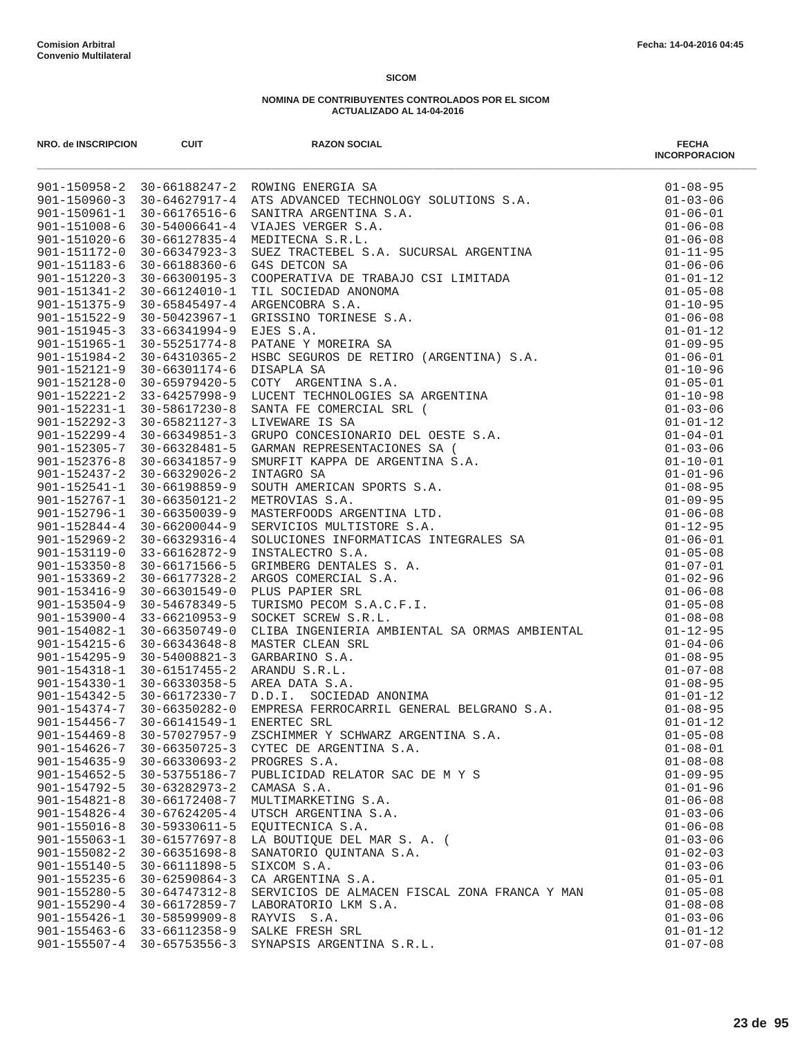| NRO. de INSCRIPCION | <b>CUIT</b>                      | <b>RAZON SOCIAL</b><br>We allowed and the set of the set of the set of the set of the set of the set of the set of the set of the set of the set of the set of the set of the set of the set of the set of the set of the set of the set of the set | <b>FECHA</b><br><b>INCORPORACION</b> |
|---------------------|----------------------------------|-----------------------------------------------------------------------------------------------------------------------------------------------------------------------------------------------------------------------------------------------------|--------------------------------------|
|                     |                                  |                                                                                                                                                                                                                                                     |                                      |
|                     |                                  |                                                                                                                                                                                                                                                     |                                      |
|                     |                                  |                                                                                                                                                                                                                                                     |                                      |
|                     |                                  |                                                                                                                                                                                                                                                     |                                      |
|                     |                                  |                                                                                                                                                                                                                                                     |                                      |
|                     |                                  |                                                                                                                                                                                                                                                     |                                      |
|                     |                                  |                                                                                                                                                                                                                                                     |                                      |
|                     |                                  |                                                                                                                                                                                                                                                     |                                      |
|                     |                                  |                                                                                                                                                                                                                                                     |                                      |
|                     |                                  |                                                                                                                                                                                                                                                     |                                      |
|                     |                                  |                                                                                                                                                                                                                                                     |                                      |
|                     |                                  |                                                                                                                                                                                                                                                     |                                      |
|                     |                                  |                                                                                                                                                                                                                                                     |                                      |
|                     |                                  |                                                                                                                                                                                                                                                     |                                      |
|                     |                                  |                                                                                                                                                                                                                                                     |                                      |
|                     |                                  |                                                                                                                                                                                                                                                     |                                      |
|                     |                                  |                                                                                                                                                                                                                                                     |                                      |
|                     |                                  |                                                                                                                                                                                                                                                     |                                      |
|                     |                                  |                                                                                                                                                                                                                                                     |                                      |
|                     |                                  |                                                                                                                                                                                                                                                     |                                      |
|                     |                                  |                                                                                                                                                                                                                                                     |                                      |
|                     |                                  |                                                                                                                                                                                                                                                     |                                      |
|                     |                                  |                                                                                                                                                                                                                                                     |                                      |
|                     |                                  |                                                                                                                                                                                                                                                     |                                      |
|                     |                                  |                                                                                                                                                                                                                                                     |                                      |
|                     |                                  |                                                                                                                                                                                                                                                     |                                      |
|                     |                                  |                                                                                                                                                                                                                                                     |                                      |
|                     |                                  |                                                                                                                                                                                                                                                     |                                      |
|                     |                                  |                                                                                                                                                                                                                                                     |                                      |
|                     |                                  |                                                                                                                                                                                                                                                     |                                      |
|                     |                                  |                                                                                                                                                                                                                                                     |                                      |
|                     |                                  |                                                                                                                                                                                                                                                     |                                      |
|                     |                                  |                                                                                                                                                                                                                                                     |                                      |
|                     |                                  |                                                                                                                                                                                                                                                     |                                      |
|                     |                                  |                                                                                                                                                                                                                                                     |                                      |
|                     |                                  |                                                                                                                                                                                                                                                     |                                      |
|                     |                                  |                                                                                                                                                                                                                                                     |                                      |
|                     |                                  |                                                                                                                                                                                                                                                     |                                      |
|                     |                                  |                                                                                                                                                                                                                                                     |                                      |
|                     |                                  |                                                                                                                                                                                                                                                     |                                      |
| $901 - 154469 - 8$  | 30-57027957-9                    | ZSCHIMMER Y SCHWARZ ARGENTINA S.A.                                                                                                                                                                                                                  | $01 - 05 - 08$                       |
| $901 - 154626 - 7$  | 30-66350725-3                    | CYTEC DE ARGENTINA S.A.                                                                                                                                                                                                                             | $01 - 08 - 01$                       |
| $901 - 154635 - 9$  | $30 - 66330693 - 2$              | PROGRES S.A.                                                                                                                                                                                                                                        | $01 - 08 - 08$                       |
| $901 - 154652 - 5$  | 30-53755186-7                    | PUBLICIDAD RELATOR SAC DE M Y S                                                                                                                                                                                                                     | $01 - 09 - 95$                       |
| 901-154792-5        | 30-63282973-2                    | CAMASA S.A.                                                                                                                                                                                                                                         | $01 - 01 - 96$                       |
| $901 - 154821 - 8$  | 30-66172408-7                    | MULTIMARKETING S.A.                                                                                                                                                                                                                                 | $01 - 06 - 08$                       |
| $901 - 154826 - 4$  | 30-67624205-4                    | UTSCH ARGENTINA S.A.                                                                                                                                                                                                                                | $01 - 03 - 06$                       |
| $901 - 155016 - 8$  | 30-59330611-5                    | EOUITECNICA S.A.                                                                                                                                                                                                                                    | $01 - 06 - 08$                       |
| $901 - 155063 - 1$  | 30-61577697-8                    | LA BOUTIQUE DEL MAR S. A. (                                                                                                                                                                                                                         | $01 - 03 - 06$                       |
| $901 - 155082 - 2$  | $30 - 66351698 - 8$              | SANATORIO QUINTANA S.A.                                                                                                                                                                                                                             | $01 - 02 - 03$                       |
| $901 - 155140 - 5$  | 30-66111898-5                    | SIXCOM S.A.                                                                                                                                                                                                                                         | $01 - 03 - 06$                       |
| $901 - 155235 - 6$  | $30 - 62590864 - 3$              | CA ARGENTINA S.A.                                                                                                                                                                                                                                   | $01 - 05 - 01$                       |
| $901 - 155280 - 5$  | 30-64747312-8                    | SERVICIOS DE ALMACEN FISCAL ZONA FRANCA Y MAN                                                                                                                                                                                                       | $01 - 05 - 08$                       |
|                     | 901-155290-4 30-66172859-7       | LABORATORIO LKM S.A.                                                                                                                                                                                                                                | $01 - 08 - 08$                       |
| $901 - 155426 - 1$  | 30-58599909-8                    | RAYVIS S.A.                                                                                                                                                                                                                                         | $01 - 03 - 06$                       |
|                     | $901 - 155463 - 6$ 33-66112358-9 | SALKE FRESH SRL                                                                                                                                                                                                                                     | $01 - 01 - 12$                       |
|                     | 901-155507-4 30-65753556-3       | SYNAPSIS ARGENTINA S.R.L.                                                                                                                                                                                                                           | $01 - 07 - 08$                       |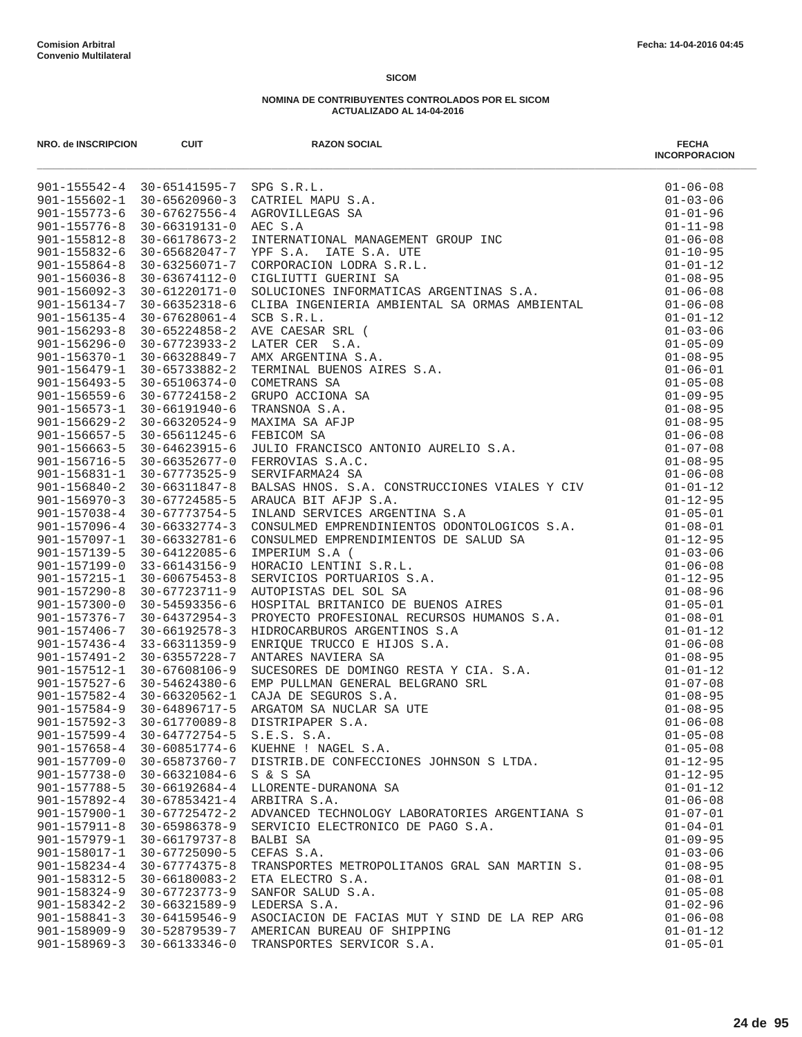| NRO. de INSCRIPCION                      | <b>CUIT</b>                                              | <b>RAZON SOCIAL</b>                                                                                                                                                                                                                          | <b>FECHA</b><br><b>INCORPORACION</b> |
|------------------------------------------|----------------------------------------------------------|----------------------------------------------------------------------------------------------------------------------------------------------------------------------------------------------------------------------------------------------|--------------------------------------|
|                                          | 901-155542-4 30-65141595-7 SPG S.R.L.                    |                                                                                                                                                                                                                                              |                                      |
|                                          |                                                          | 901-155602-1 30-65620960-3 CATRIEL MAPU S.A.                                                                                                                                                                                                 |                                      |
|                                          | 901-155773-6 30-67627556-4                               |                                                                                                                                                                                                                                              |                                      |
| $901 - 155776 - 8$                       | 30-66319131-0                                            |                                                                                                                                                                                                                                              |                                      |
| $901 - 155812 - 8$                       | 30-66178673-2                                            |                                                                                                                                                                                                                                              |                                      |
| $901 - 155832 - 6$                       | 30-65682047-7                                            |                                                                                                                                                                                                                                              |                                      |
| $901 - 155864 - 8$                       | 30-63256071-7                                            |                                                                                                                                                                                                                                              |                                      |
| $901 - 156036 - 8$                       | 30-63674112-0                                            |                                                                                                                                                                                                                                              |                                      |
| $901 - 156092 - 3$                       | 30-61220171-0<br>$30 - 66352318 - 6$                     |                                                                                                                                                                                                                                              |                                      |
| $901 - 156134 - 7$<br>$901 - 156135 - 4$ | 30-67628061-4                                            |                                                                                                                                                                                                                                              |                                      |
| $901 - 156293 - 8$                       | $30 - 65224858 - 2$                                      |                                                                                                                                                                                                                                              |                                      |
| $901 - 156296 - 0$                       | 30-67723933-2                                            |                                                                                                                                                                                                                                              |                                      |
| 901-156370-1                             | 30-66328849-7                                            |                                                                                                                                                                                                                                              |                                      |
| $901 - 156479 - 1$                       | 30-65733882-2                                            |                                                                                                                                                                                                                                              |                                      |
| 901-156493-5                             | 30-65106374-0                                            |                                                                                                                                                                                                                                              |                                      |
|                                          | $901 - 156559 - 6$ 30-67724158-2                         |                                                                                                                                                                                                                                              |                                      |
| $901 - 156573 - 1$                       | 30-66191940-6                                            |                                                                                                                                                                                                                                              |                                      |
| 901-156629-2                             | 30-66320524-9                                            |                                                                                                                                                                                                                                              |                                      |
|                                          | 901-156657-5 30-65611245-6                               |                                                                                                                                                                                                                                              |                                      |
| $901 - 156663 - 5$                       | 30-64623915-6                                            |                                                                                                                                                                                                                                              |                                      |
|                                          | 901-156716-5 30-66352677-0                               | FERROVIAS S.A.C.<br>SERVIFARMA24 SA<br>BALSAS HNOS. S.A. CONSTRUCCIONES VIALES Y CIV                                                                                                                                                         |                                      |
|                                          | 901-156831-1 30-67773525-9                               |                                                                                                                                                                                                                                              |                                      |
| $901 - 156840 - 2$                       | 30-66311847-8                                            |                                                                                                                                                                                                                                              | $01 - 01 - 12$                       |
| $901 - 156970 - 3$                       | 30-67724585-5                                            | ARAUCA BIT AFJP S.A.                                                                                                                                                                                                                         | $01 - 12 - 95$                       |
|                                          | $901 - 157038 - 4$ 30-67773754-5                         |                                                                                                                                                                                                                                              | $01 - 05 - 01$                       |
| $901 - 157096 - 4$                       | $30 - 66332774 - 3$                                      |                                                                                                                                                                                                                                              | $01 - 08 - 01$                       |
|                                          | 901-157097-1 30-66332781-6                               | INLAND SERVICES ARGENTINA S.A<br>CONSULMED EMPRENDINIENTOS ODONTOLOGICOS S.A.<br>CONSULMED EMPRENDIMIENTOS DE SALUD SA<br>IMPERIUM S.A (<br>HORACIO LENTINI S.R.L.<br>SERVICIOS PORTUARIOS S.A.<br>AUTOPITAI BRITANICO DE BUENOS AIRES<br>PR | $01 - 12 - 95$                       |
|                                          | 901-157139-5 30-64122085-6                               |                                                                                                                                                                                                                                              | $01 - 03 - 06$                       |
| $901 - 157199 - 0$                       | 33-66143156-9                                            |                                                                                                                                                                                                                                              | $01 - 06 - 08$                       |
| $901 - 157215 - 1$                       | 30-60675453-8                                            |                                                                                                                                                                                                                                              | $01 - 12 - 95$                       |
| $901 - 157290 - 8$                       | 30-67723711-9                                            |                                                                                                                                                                                                                                              | $01 - 08 - 96$                       |
| $901 - 157300 - 0$                       | $30 - 54593356 - 6$                                      |                                                                                                                                                                                                                                              | $01 - 05 - 01$                       |
| 901-157376-7                             | $30 - 64372954 - 3$                                      |                                                                                                                                                                                                                                              | $01 - 08 - 01$                       |
| 901-157406-7                             | 30-66192578-3                                            |                                                                                                                                                                                                                                              | $01 - 01 - 12$                       |
| $901 - 157436 - 4$                       | 33-66311359-9                                            |                                                                                                                                                                                                                                              | $01 - 06 - 08$                       |
| $901 - 157491 - 2$                       | 30-63557228-7                                            |                                                                                                                                                                                                                                              | $01 - 08 - 95$                       |
|                                          | 901-157512-1 30-67608106-9                               |                                                                                                                                                                                                                                              | $01 - 01 - 12$                       |
| 901-157527-6                             | 30-54624380-6                                            |                                                                                                                                                                                                                                              | $01 - 07 - 08$<br>$01 - 08 - 95$     |
|                                          | 901-157582-4 30-66320562-1<br>901-157584-9 30-64896717-5 |                                                                                                                                                                                                                                              | $01 - 08 - 95$                       |
| $901 - 157592 - 3$                       | 30-61770089-8                                            |                                                                                                                                                                                                                                              | $01 - 06 - 08$                       |
| $901 - 157599 - 4$                       | $30 - 64772754 - 5$                                      | S.E.S. S.A.                                                                                                                                                                                                                                  | $01 - 05 - 08$                       |
| $901 - 157658 - 4$                       | 30-60851774-6                                            | KUEHNE ! NAGEL S.A.                                                                                                                                                                                                                          | $01 - 05 - 08$                       |
| $901 - 157709 - 0$                       | 30-65873760-7                                            | DISTRIB.DE CONFECCIONES JOHNSON S LTDA.                                                                                                                                                                                                      | $01 - 12 - 95$                       |
| $901 - 157738 - 0$                       | $30 - 66321084 - 6$                                      | S & S SA                                                                                                                                                                                                                                     | $01 - 12 - 95$                       |
| 901-157788-5                             | $30 - 66192684 - 4$                                      | LLORENTE-DURANONA SA                                                                                                                                                                                                                         | $01 - 01 - 12$                       |
| $901 - 157892 - 4$                       | $30 - 67853421 - 4$                                      | ARBITRA S.A.                                                                                                                                                                                                                                 | $01 - 06 - 08$                       |
| $901 - 157900 - 1$                       | $30 - 67725472 - 2$                                      | ADVANCED TECHNOLOGY LABORATORIES ARGENTIANA S                                                                                                                                                                                                | $01 - 07 - 01$                       |
| $901 - 157911 - 8$                       | $30 - 65986378 - 9$                                      | SERVICIO ELECTRONICO DE PAGO S.A.                                                                                                                                                                                                            | $01 - 04 - 01$                       |
| $901 - 157979 - 1$                       | $30 - 66179737 - 8$                                      | BALBI SA                                                                                                                                                                                                                                     | $01 - 09 - 95$                       |
| 901-158017-1                             | $30 - 67725090 - 5$                                      | CEFAS S.A.                                                                                                                                                                                                                                   | $01 - 03 - 06$                       |
| $901 - 158234 - 4$                       | $30 - 67774375 - 8$                                      | TRANSPORTES METROPOLITANOS GRAL SAN MARTIN S.                                                                                                                                                                                                | $01 - 08 - 95$                       |
| 901-158312-5                             | 30-66180083-2                                            | ETA ELECTRO S.A.                                                                                                                                                                                                                             | $01 - 08 - 01$                       |
| $901 - 158324 - 9$                       | 30-67723773-9                                            | SANFOR SALUD S.A.                                                                                                                                                                                                                            | $01 - 05 - 08$                       |
| $901 - 158342 - 2$                       | 30-66321589-9                                            | LEDERSA S.A.                                                                                                                                                                                                                                 | $01 - 02 - 96$                       |
| $901 - 158841 - 3$                       | 30-64159546-9                                            | ASOCIACION DE FACIAS MUT Y SIND DE LA REP ARG                                                                                                                                                                                                | $01 - 06 - 08$                       |
| 901-158909-9                             | 30-52879539-7                                            | AMERICAN BUREAU OF SHIPPING                                                                                                                                                                                                                  | $01 - 01 - 12$                       |
| $901 - 158969 - 3$                       | 30-66133346-0                                            | TRANSPORTES SERVICOR S.A.                                                                                                                                                                                                                    | $01 - 05 - 01$                       |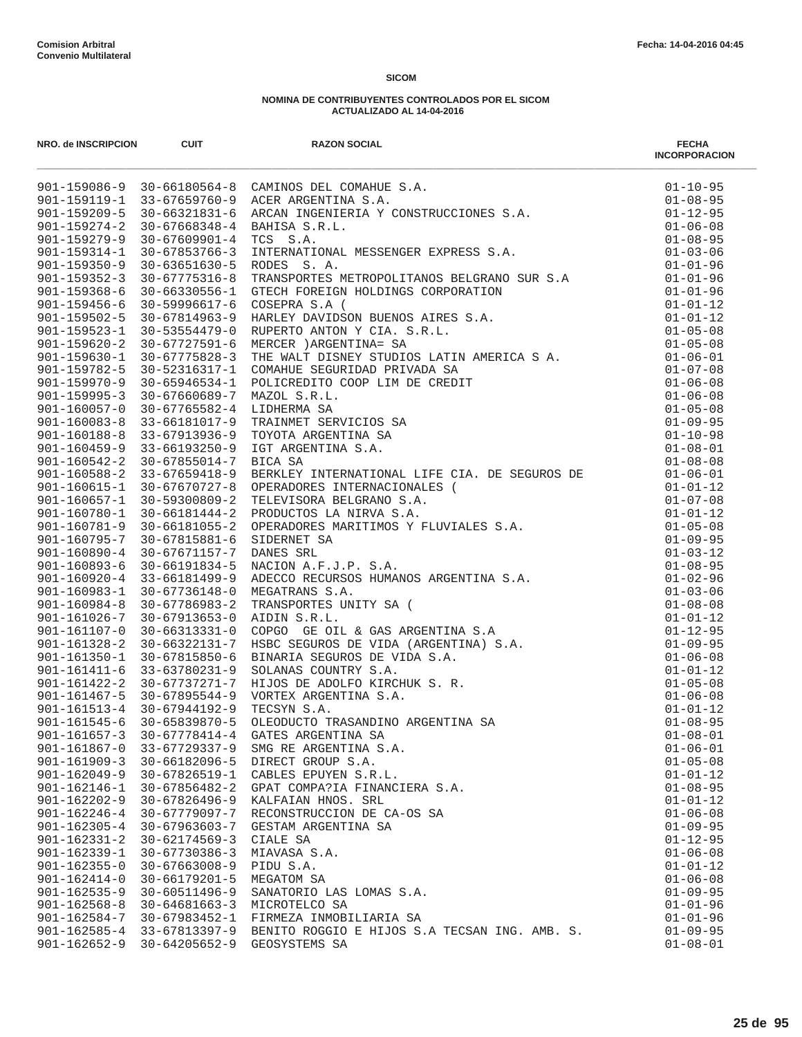| NRO. de INSCRIPCION | <b>CUIT</b>         | <b>RAZON SOCIAL</b><br>NAO RESOLVED 1991<br>2011-19926-3<br>2011-1993-2<br>2011-1993-2<br>2011-1993-2<br>2011-1993-2<br>2011-1993-2<br>2011-1993-2<br>2011-1993-2<br>2011-1993-2<br>2011-1993-2<br>2011-1993-2<br>2011-1993-2<br>2011-1993-2<br>2011-1993-2<br>2011-1993-2<br>2011-1 | <b>FECHA</b><br><b>INCORPORACION</b> |
|---------------------|---------------------|--------------------------------------------------------------------------------------------------------------------------------------------------------------------------------------------------------------------------------------------------------------------------------------|--------------------------------------|
|                     |                     |                                                                                                                                                                                                                                                                                      |                                      |
|                     |                     |                                                                                                                                                                                                                                                                                      |                                      |
|                     |                     |                                                                                                                                                                                                                                                                                      |                                      |
|                     |                     |                                                                                                                                                                                                                                                                                      |                                      |
|                     |                     |                                                                                                                                                                                                                                                                                      |                                      |
|                     |                     |                                                                                                                                                                                                                                                                                      |                                      |
|                     |                     |                                                                                                                                                                                                                                                                                      |                                      |
|                     |                     |                                                                                                                                                                                                                                                                                      |                                      |
|                     |                     |                                                                                                                                                                                                                                                                                      |                                      |
|                     |                     |                                                                                                                                                                                                                                                                                      |                                      |
|                     |                     |                                                                                                                                                                                                                                                                                      |                                      |
|                     |                     |                                                                                                                                                                                                                                                                                      |                                      |
|                     |                     |                                                                                                                                                                                                                                                                                      |                                      |
|                     |                     |                                                                                                                                                                                                                                                                                      |                                      |
|                     |                     |                                                                                                                                                                                                                                                                                      |                                      |
|                     |                     |                                                                                                                                                                                                                                                                                      |                                      |
|                     |                     |                                                                                                                                                                                                                                                                                      |                                      |
|                     |                     |                                                                                                                                                                                                                                                                                      |                                      |
|                     |                     |                                                                                                                                                                                                                                                                                      |                                      |
|                     |                     |                                                                                                                                                                                                                                                                                      |                                      |
|                     |                     |                                                                                                                                                                                                                                                                                      |                                      |
|                     |                     |                                                                                                                                                                                                                                                                                      |                                      |
|                     |                     |                                                                                                                                                                                                                                                                                      |                                      |
|                     |                     |                                                                                                                                                                                                                                                                                      |                                      |
|                     |                     |                                                                                                                                                                                                                                                                                      |                                      |
|                     |                     |                                                                                                                                                                                                                                                                                      |                                      |
|                     |                     |                                                                                                                                                                                                                                                                                      |                                      |
|                     |                     |                                                                                                                                                                                                                                                                                      |                                      |
|                     |                     |                                                                                                                                                                                                                                                                                      |                                      |
|                     |                     |                                                                                                                                                                                                                                                                                      |                                      |
|                     |                     |                                                                                                                                                                                                                                                                                      |                                      |
|                     |                     |                                                                                                                                                                                                                                                                                      |                                      |
|                     |                     |                                                                                                                                                                                                                                                                                      |                                      |
|                     |                     |                                                                                                                                                                                                                                                                                      |                                      |
|                     |                     |                                                                                                                                                                                                                                                                                      |                                      |
|                     |                     |                                                                                                                                                                                                                                                                                      |                                      |
|                     |                     |                                                                                                                                                                                                                                                                                      |                                      |
|                     |                     |                                                                                                                                                                                                                                                                                      |                                      |
|                     |                     |                                                                                                                                                                                                                                                                                      |                                      |
|                     |                     |                                                                                                                                                                                                                                                                                      |                                      |
|                     |                     |                                                                                                                                                                                                                                                                                      |                                      |
| $901 - 161657 - 3$  | $30 - 67778414 - 4$ | GATES ARGENTINA SA                                                                                                                                                                                                                                                                   | $01 - 08 - 01$                       |
| $901 - 161867 - 0$  | 33-67729337-9       | SMG RE ARGENTINA S.A.                                                                                                                                                                                                                                                                | $01 - 06 - 01$                       |
| $901 - 161909 - 3$  | $30 - 66182096 - 5$ | DIRECT GROUP S.A.                                                                                                                                                                                                                                                                    | $01 - 05 - 08$                       |
| $901 - 162049 - 9$  | 30-67826519-1       | CABLES EPUYEN S.R.L.                                                                                                                                                                                                                                                                 | $01 - 01 - 12$                       |
| $901 - 162146 - 1$  | $30 - 67856482 - 2$ | GPAT COMPA?IA FINANCIERA S.A.                                                                                                                                                                                                                                                        | $01 - 08 - 95$                       |
| $901 - 162202 - 9$  | $30 - 67826496 - 9$ | KALFAIAN HNOS. SRL                                                                                                                                                                                                                                                                   | $01 - 01 - 12$                       |
| $901 - 162246 - 4$  | 30-67779097-7       | RECONSTRUCCION DE CA-OS SA                                                                                                                                                                                                                                                           | $01 - 06 - 08$                       |
| $901 - 162305 - 4$  | $30 - 67963603 - 7$ | GESTAM ARGENTINA SA                                                                                                                                                                                                                                                                  | $01 - 09 - 95$                       |
| $901 - 162331 - 2$  | $30 - 62174569 - 3$ | CIALE SA                                                                                                                                                                                                                                                                             | $01 - 12 - 95$                       |
| $901 - 162339 - 1$  | $30 - 67730386 - 3$ | MIAVASA S.A.                                                                                                                                                                                                                                                                         | $01 - 06 - 08$                       |
| $901 - 162355 - 0$  | $30 - 67663008 - 9$ | PIDU S.A.                                                                                                                                                                                                                                                                            | $01 - 01 - 12$                       |
| $901 - 162414 - 0$  | $30 - 66179201 - 5$ | MEGATOM SA                                                                                                                                                                                                                                                                           | $01 - 06 - 08$                       |
| $901 - 162535 - 9$  | 30-60511496-9       | SANATORIO LAS LOMAS S.A.                                                                                                                                                                                                                                                             | $01 - 09 - 95$                       |
| $901 - 162568 - 8$  | $30 - 64681663 - 3$ | MICROTELCO SA                                                                                                                                                                                                                                                                        | $01 - 01 - 96$                       |
| $901 - 162584 - 7$  | 30-67983452-1       | FIRMEZA INMOBILIARIA SA                                                                                                                                                                                                                                                              | $01 - 01 - 96$                       |
| $901 - 162585 - 4$  | 33-67813397-9       | BENITO ROGGIO E HIJOS S.A TECSAN ING. AMB. S.                                                                                                                                                                                                                                        | $01 - 09 - 95$                       |
| $901 - 162652 - 9$  | $30 - 64205652 - 9$ | GEOSYSTEMS SA                                                                                                                                                                                                                                                                        | $01 - 08 - 01$                       |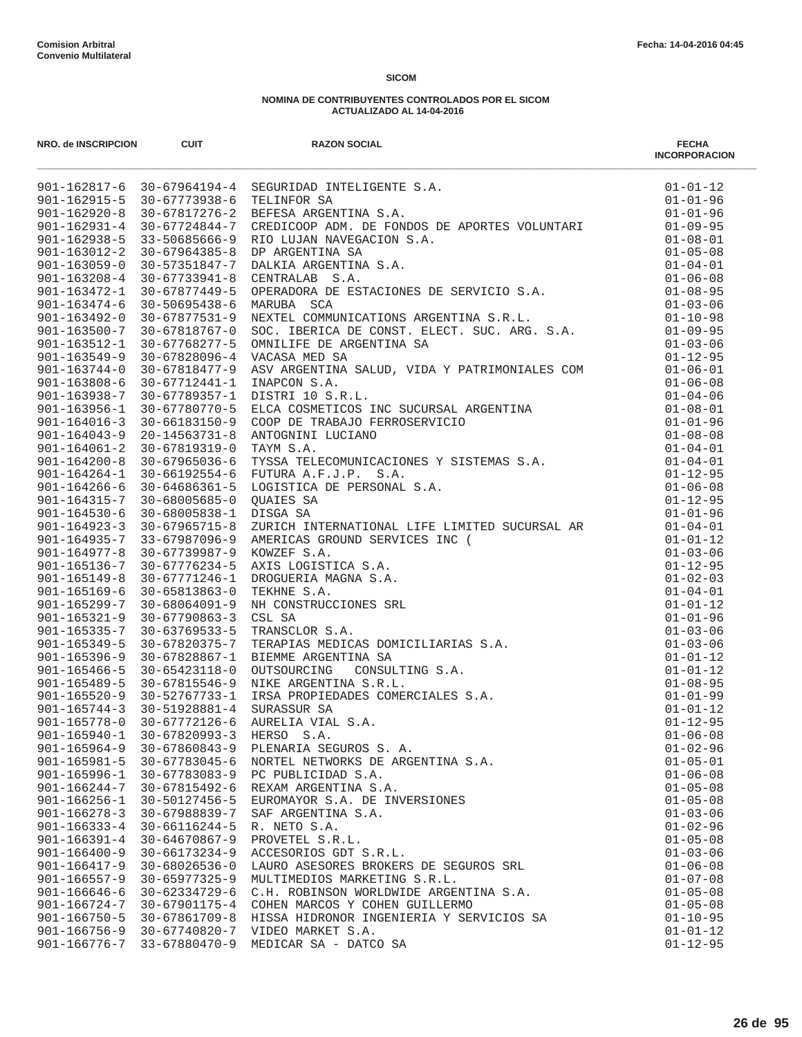| NRO. de INSCRIPCION                | <b>CUIT</b>                                | <b>RAZON SOCIAL</b>                                                                                                                                                                                                                             | <b>FECHA</b><br><b>INCORPORACION</b> |
|------------------------------------|--------------------------------------------|-------------------------------------------------------------------------------------------------------------------------------------------------------------------------------------------------------------------------------------------------|--------------------------------------|
|                                    |                                            | 901-162817-6 30-67964194-4 SEGURIDAD INTELIGENTE S.A.<br>901-162915-5 30-67773938-6 TELINFOR SA<br>901-162920-8 30-67817276-2 BEFESA ARGENTINA S.A.                                                                                             | $01 - 01 - 12$                       |
|                                    |                                            |                                                                                                                                                                                                                                                 | $01 - 01 - 96$                       |
|                                    |                                            |                                                                                                                                                                                                                                                 |                                      |
|                                    |                                            |                                                                                                                                                                                                                                                 |                                      |
|                                    |                                            |                                                                                                                                                                                                                                                 |                                      |
|                                    |                                            |                                                                                                                                                                                                                                                 |                                      |
|                                    |                                            |                                                                                                                                                                                                                                                 |                                      |
|                                    |                                            |                                                                                                                                                                                                                                                 |                                      |
|                                    |                                            |                                                                                                                                                                                                                                                 |                                      |
|                                    |                                            |                                                                                                                                                                                                                                                 |                                      |
|                                    |                                            |                                                                                                                                                                                                                                                 |                                      |
|                                    |                                            |                                                                                                                                                                                                                                                 |                                      |
|                                    |                                            |                                                                                                                                                                                                                                                 |                                      |
| $901 - 163744 - 0$                 | 30-67818477-9                              |                                                                                                                                                                                                                                                 |                                      |
| $901 - 163808 - 6$                 | 30-67712441-1                              |                                                                                                                                                                                                                                                 |                                      |
| $901 - 163938 - 7$                 | 30-67789357-1                              | DISTRI 10 S.R.L.                                                                                                                                                                                                                                |                                      |
| $901 - 163956 - 1$                 | 30-67780770-5                              |                                                                                                                                                                                                                                                 |                                      |
| $901 - 164016 - 3$                 | 30-66183150-9                              | COOP DE TRABAJO FERROSERVICIO                                                                                                                                                                                                                   |                                      |
| $901 - 164043 - 9$                 | 20-14563731-8                              | ANTOGNINI LUCIANO                                                                                                                                                                                                                               |                                      |
| $901 - 164061 - 2$                 | 30-67819319-0                              | VACASA MED SA<br>ASY ARGENTINA SALUD, VIDA Y PATRIMONIALES COM<br>INAPCON S.A.<br>DI-06-01<br>DISTRI 10 S.R.L.<br>DL-06-08<br>DISTRI 10 S.R.L.<br>CLOA COSMETICOS INC SUCURSAL ARGENTINA<br>COOP DE TRABAJO FERROSERVICIO<br>COOP DE TRABAJO FE |                                      |
| $901 - 164200 - 8$                 | 30-67965036-6                              |                                                                                                                                                                                                                                                 |                                      |
| $901 - 164264 - 1$                 |                                            | 30-66192554-6 FUTURA A.F.J.P. S.A.                                                                                                                                                                                                              |                                      |
| $901 - 164266 - 6$                 | 30-64686361-5                              |                                                                                                                                                                                                                                                 |                                      |
| 901-164315-7                       | 30-68005685-0                              | QUAIES SA                                                                                                                                                                                                                                       |                                      |
| $901 - 164530 - 6$                 | 30-68005838-1 DISGA SA                     |                                                                                                                                                                                                                                                 | $01 - 01 - 96$                       |
|                                    |                                            |                                                                                                                                                                                                                                                 |                                      |
|                                    |                                            |                                                                                                                                                                                                                                                 |                                      |
|                                    |                                            |                                                                                                                                                                                                                                                 |                                      |
|                                    |                                            |                                                                                                                                                                                                                                                 |                                      |
|                                    |                                            |                                                                                                                                                                                                                                                 |                                      |
|                                    |                                            |                                                                                                                                                                                                                                                 |                                      |
|                                    |                                            |                                                                                                                                                                                                                                                 |                                      |
|                                    |                                            |                                                                                                                                                                                                                                                 |                                      |
|                                    |                                            |                                                                                                                                                                                                                                                 |                                      |
|                                    |                                            |                                                                                                                                                                                                                                                 |                                      |
|                                    |                                            |                                                                                                                                                                                                                                                 |                                      |
|                                    |                                            |                                                                                                                                                                                                                                                 |                                      |
|                                    |                                            |                                                                                                                                                                                                                                                 |                                      |
|                                    |                                            |                                                                                                                                                                                                                                                 |                                      |
|                                    |                                            |                                                                                                                                                                                                                                                 |                                      |
| $901 - 165940 - 1$                 | $30 - 67820993 - 3$                        | HERSO S.A.                                                                                                                                                                                                                                      | $01 - 06 - 08$                       |
| $901 - 165964 - 9$                 | $30 - 67860843 - 9$                        | PLENARIA SEGUROS S. A.                                                                                                                                                                                                                          | $01 - 02 - 96$                       |
| $901 - 165981 - 5$                 | 30-67783045-6                              | NORTEL NETWORKS DE ARGENTINA S.A.                                                                                                                                                                                                               | $01 - 05 - 01$                       |
| $901 - 165996 - 1$                 | 30-67783083-9                              | PC PUBLICIDAD S.A.                                                                                                                                                                                                                              | $01 - 06 - 08$                       |
| $901 - 166244 - 7$                 | 30-67815492-6                              | REXAM ARGENTINA S.A.                                                                                                                                                                                                                            | $01 - 05 - 08$                       |
| $901 - 166256 - 1$                 | 30-50127456-5                              | EUROMAYOR S.A. DE INVERSIONES                                                                                                                                                                                                                   | $01 - 05 - 08$                       |
| $901 - 166278 - 3$                 | 30-67988839-7                              | SAF ARGENTINA S.A.                                                                                                                                                                                                                              | $01 - 03 - 06$                       |
| $901 - 166333 - 4$                 | 30-66116244-5                              | R. NETO S.A.                                                                                                                                                                                                                                    | $01 - 02 - 96$                       |
| $901 - 166391 - 4$                 | $30 - 64670867 - 9$                        | PROVETEL S.R.L.                                                                                                                                                                                                                                 | $01 - 05 - 08$                       |
| $901 - 166400 - 9$                 | $30 - 66173234 - 9$                        | ACCESORIOS GDT S.R.L.                                                                                                                                                                                                                           | $01 - 03 - 06$                       |
| $901 - 166417 - 9$                 | $30 - 68026536 - 0$                        | LAURO ASESORES BROKERS DE SEGUROS SRL                                                                                                                                                                                                           | $01 - 06 - 08$                       |
| $901 - 166557 - 9$                 | $30 - 65977325 - 9$<br>$30 - 62334729 - 6$ | MULTIMEDIOS MARKETING S.R.L.                                                                                                                                                                                                                    | $01 - 07 - 08$                       |
| $901 - 166646 - 6$                 |                                            | C.H. ROBINSON WORLDWIDE ARGENTINA S.A.<br>COHEN MARCOS Y COHEN GUILLERMO                                                                                                                                                                        | $01 - 05 - 08$                       |
| 901-166724-7<br>$901 - 166750 - 5$ | $30 - 67901175 - 4$<br>$30 - 67861709 - 8$ | HISSA HIDRONOR INGENIERIA Y SERVICIOS SA                                                                                                                                                                                                        | $01 - 05 - 08$<br>$01 - 10 - 95$     |
| $901 - 166756 - 9$                 | 30-67740820-7                              | VIDEO MARKET S.A.                                                                                                                                                                                                                               | $01 - 01 - 12$                       |
| $901 - 166776 - 7$                 | 33-67880470-9                              | MEDICAR SA - DATCO SA                                                                                                                                                                                                                           | $01 - 12 - 95$                       |
|                                    |                                            |                                                                                                                                                                                                                                                 |                                      |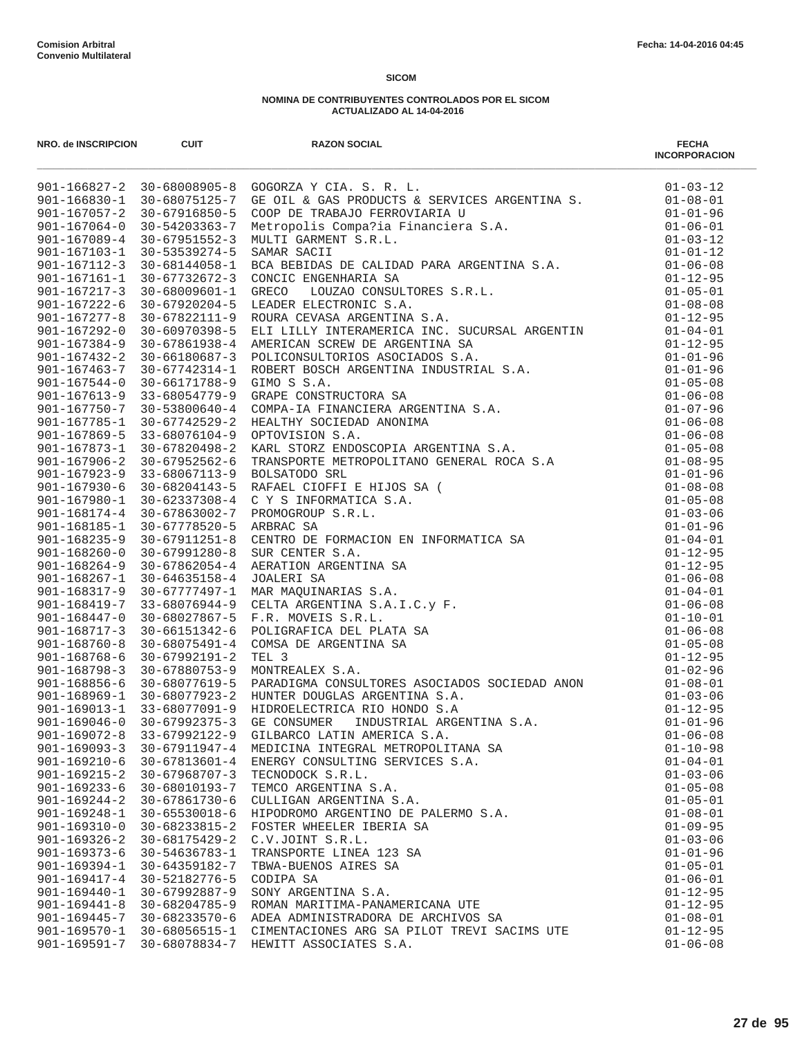| NRO. de INSCRIPCION                      | <b>CUIT</b>                          | <b>RAZON SOCIAL</b>                          | <b>FECHA</b><br><b>INCORPORACION</b> |
|------------------------------------------|--------------------------------------|----------------------------------------------|--------------------------------------|
|                                          |                                      |                                              |                                      |
|                                          |                                      |                                              |                                      |
|                                          |                                      |                                              |                                      |
|                                          |                                      |                                              |                                      |
|                                          |                                      |                                              |                                      |
|                                          |                                      |                                              |                                      |
|                                          |                                      |                                              |                                      |
|                                          |                                      |                                              |                                      |
|                                          |                                      |                                              |                                      |
|                                          |                                      |                                              |                                      |
|                                          |                                      |                                              |                                      |
|                                          |                                      |                                              |                                      |
|                                          |                                      |                                              |                                      |
|                                          |                                      |                                              |                                      |
|                                          |                                      |                                              |                                      |
|                                          |                                      |                                              |                                      |
|                                          |                                      |                                              |                                      |
|                                          |                                      |                                              |                                      |
|                                          |                                      |                                              |                                      |
|                                          |                                      |                                              |                                      |
|                                          |                                      |                                              |                                      |
|                                          |                                      |                                              |                                      |
|                                          |                                      |                                              |                                      |
|                                          |                                      |                                              |                                      |
|                                          |                                      |                                              |                                      |
|                                          |                                      |                                              |                                      |
|                                          |                                      |                                              |                                      |
|                                          |                                      |                                              |                                      |
|                                          |                                      |                                              |                                      |
|                                          |                                      |                                              |                                      |
|                                          |                                      |                                              |                                      |
|                                          |                                      |                                              |                                      |
|                                          |                                      |                                              |                                      |
|                                          |                                      |                                              |                                      |
|                                          |                                      |                                              |                                      |
|                                          |                                      |                                              |                                      |
|                                          |                                      |                                              |                                      |
|                                          |                                      |                                              |                                      |
|                                          |                                      |                                              |                                      |
| $901 - 169072 - 8$                       | 33-67992122-9                        | GILBARCO LATIN AMERICA S.A.                  | $01 - 06 - 08$                       |
| $901 - 169093 - 3$                       | 30-67911947-4                        | MEDICINA INTEGRAL METROPOLITANA SA           | $01 - 10 - 98$                       |
| $901 - 169210 - 6$                       | $30 - 67813601 - 4$                  | ENERGY CONSULTING SERVICES S.A.              | $01 - 04 - 01$                       |
| $901 - 169215 - 2$                       | $30 - 67968707 - 3$                  | TECNODOCK S.R.L.                             | $01 - 03 - 06$                       |
| $901 - 169233 - 6$                       | 30-68010193-7                        | TEMCO ARGENTINA S.A.                         | $01 - 05 - 08$                       |
| $901 - 169244 - 2$                       | 30-67861730-6                        | CULLIGAN ARGENTINA S.A.                      | $01 - 05 - 01$                       |
| $901 - 169248 - 1$                       | $30 - 65530018 - 6$                  | HIPODROMO ARGENTINO DE PALERMO S.A.          | $01 - 08 - 01$                       |
| $901 - 169310 - 0$<br>$901 - 169326 - 2$ | 30-68233815-2<br>$30 - 68175429 - 2$ | FOSTER WHEELER IBERIA SA<br>C.V.JOINT S.R.L. | $01 - 09 - 95$<br>$01 - 03 - 06$     |
| $901 - 169373 - 6$                       | 30-54636783-1                        | TRANSPORTE LINEA 123 SA                      | $01 - 01 - 96$                       |
| $901 - 169394 - 1$                       | 30-64359182-7                        | TBWA-BUENOS AIRES SA                         | $01 - 05 - 01$                       |
| $901 - 169417 - 4$                       | 30-52182776-5                        | CODIPA SA                                    | $01 - 06 - 01$                       |
| $901 - 169440 - 1$                       | $30 - 67992887 - 9$                  | SONY ARGENTINA S.A.                          | $01 - 12 - 95$                       |
| $901 - 169441 - 8$                       | 30-68204785-9                        | ROMAN MARITIMA-PANAMERICANA UTE              | $01 - 12 - 95$                       |
| $901 - 169445 - 7$                       | 30-68233570-6                        | ADEA ADMINISTRADORA DE ARCHIVOS SA           | $01 - 08 - 01$                       |
| 901-169570-1                             | 30-68056515-1                        | CIMENTACIONES ARG SA PILOT TREVI SACIMS UTE  | $01 - 12 - 95$                       |
| $901 - 169591 - 7$                       |                                      | 30-68078834-7 HEWITT ASSOCIATES S.A.         | $01 - 06 - 08$                       |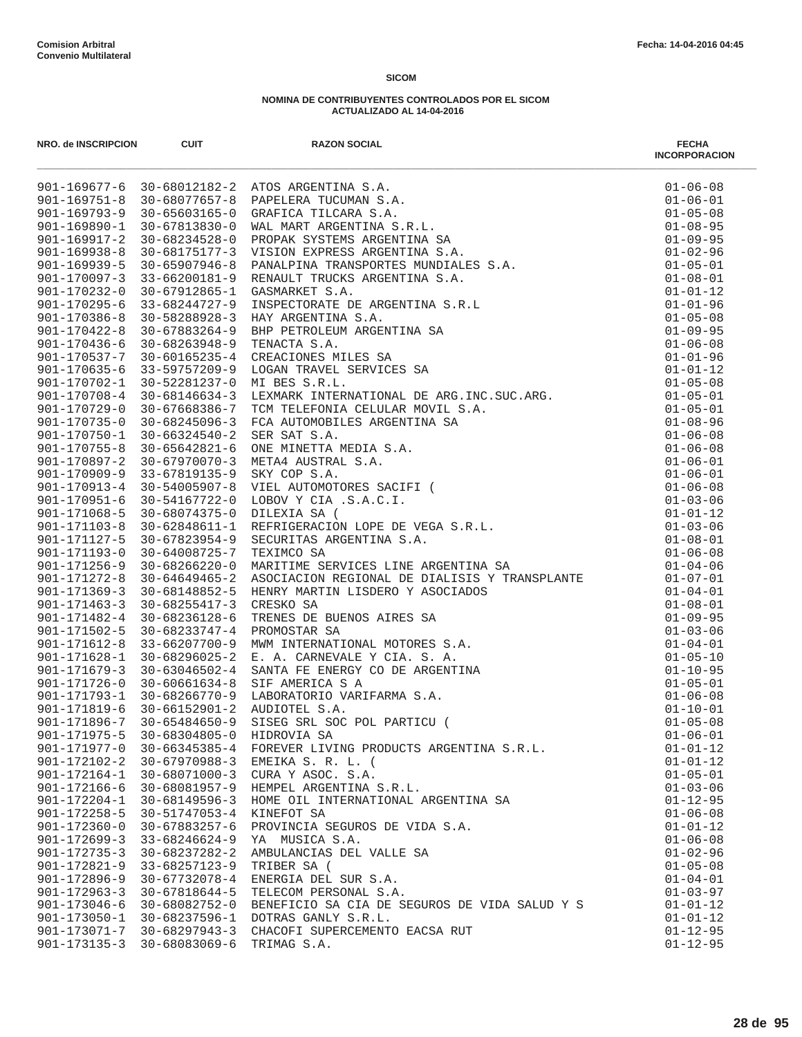| NRO. de INSCRIPCION                | <b>CUIT</b>                                              | <b>RAZON SOCIAL</b>                                                 | <b>FECHA</b><br><b>INCORPORACION</b> |
|------------------------------------|----------------------------------------------------------|---------------------------------------------------------------------|--------------------------------------|
|                                    |                                                          | 901-169677-6 30-68012182-2 ATOS ARGENTINA S.A.                      |                                      |
|                                    |                                                          | 901-169751-8 30-68077657-8 PAPELERA TUCUMAN S.A.                    |                                      |
|                                    |                                                          | 901-169793-9 30-65603165-0 GRAFICA TILCARA S.A.                     |                                      |
| 901-169890-1                       |                                                          |                                                                     |                                      |
| $901 - 169917 - 2$                 |                                                          |                                                                     |                                      |
| $901 - 169938 - 8$                 |                                                          |                                                                     |                                      |
| 901-169939-5                       |                                                          |                                                                     |                                      |
| 901-170097-3                       |                                                          |                                                                     |                                      |
| $901 - 170232 - 0$                 |                                                          |                                                                     |                                      |
| 901-170295-6                       |                                                          |                                                                     |                                      |
| $901 - 170386 - 8$                 |                                                          |                                                                     |                                      |
| $901 - 170422 - 8$                 |                                                          |                                                                     |                                      |
| $901 - 170436 - 6$                 |                                                          |                                                                     |                                      |
| 901-170537-7                       |                                                          |                                                                     |                                      |
| $901 - 170635 - 6$                 |                                                          |                                                                     |                                      |
| 901-170702-1                       |                                                          |                                                                     |                                      |
| $901 - 170708 - 4$                 |                                                          |                                                                     |                                      |
| 901-170729-0<br>$901 - 170735 - 0$ |                                                          |                                                                     |                                      |
| 901-170750-1                       |                                                          |                                                                     |                                      |
|                                    | $901 - 170755 - 8$ 30-65642821-6                         |                                                                     |                                      |
| $901 - 170897 - 2$                 |                                                          |                                                                     |                                      |
| $901 - 170909 - 9$                 |                                                          |                                                                     |                                      |
| 901-170913-4                       |                                                          |                                                                     |                                      |
| 901-170951-6                       |                                                          |                                                                     |                                      |
| $901 - 171068 - 5$                 |                                                          |                                                                     |                                      |
| $901 - 171103 - 8$                 |                                                          |                                                                     |                                      |
| 901-171127-5                       |                                                          |                                                                     |                                      |
| $901 - 171193 - 0$                 |                                                          |                                                                     |                                      |
| $901 - 171256 - 9$                 |                                                          |                                                                     |                                      |
| $901 - 171272 - 8$                 | 30-64649465-2                                            |                                                                     |                                      |
| $901 - 171369 - 3$                 |                                                          | 30-68148852-5 HENRY MARTIN LISDERO Y ASOCIADOS                      |                                      |
| $901 - 171463 - 3$                 | 30-68255417-3                                            |                                                                     |                                      |
| $901 - 171482 - 4$                 | 30-68236128-6                                            |                                                                     |                                      |
| $901 - 171502 - 5$                 | 30-68233747-4                                            |                                                                     |                                      |
| $901 - 171612 - 8$                 | 33-66207700-9                                            |                                                                     |                                      |
| 901-171628-1                       | 30-68296025-2                                            |                                                                     |                                      |
| $901 - 171679 - 3$                 | 30-63046502-4                                            |                                                                     |                                      |
|                                    | 901-171726-0 30-60661634-8                               |                                                                     |                                      |
|                                    |                                                          | 901-171793-1 30-68266770-9 LABORATORIO VARIFARMA S.A.               |                                      |
|                                    |                                                          | 901-171819-6 30-66152901-2 AUDIOTEL S.A.                            |                                      |
|                                    |                                                          | 901-171896-7 30-65484650-9 SISEG SRL SOC POL PARTICU (              |                                      |
|                                    | 901-171975-5 30-68304805-0                               | HIDROVIA SA                                                         | $01 - 06 - 01$                       |
|                                    |                                                          | 901-171977-0 30-66345385-4 FOREVER LIVING PRODUCTS ARGENTINA S.R.L. | $01 - 01 - 12$                       |
|                                    | 901-172102-2 30-67970988-3                               | EMEIKA S. R. L. (                                                   | $01 - 01 - 12$                       |
| $901 - 172164 - 1$                 | 30-68071000-3                                            | CURA Y ASOC. S.A.                                                   | $01 - 05 - 01$                       |
| 901-172166-6                       | 30-68081957-9                                            | HEMPEL ARGENTINA S.R.L.                                             | $01 - 03 - 06$                       |
| 901-172204-1                       | 30-68149596-3                                            | HOME OIL INTERNATIONAL ARGENTINA SA                                 | $01 - 12 - 95$                       |
| $901 - 172258 - 5$                 | 30-51747053-4                                            | KINEFOT SA                                                          | $01 - 06 - 08$                       |
| $901 - 172360 - 0$                 | 30-67883257-6                                            | PROVINCIA SEGUROS DE VIDA S.A.                                      | $01 - 01 - 12$                       |
| $901 - 172699 - 3$                 | 33-68246624-9                                            | YA MUSICA S.A.                                                      | $01 - 06 - 08$                       |
| $901 - 172735 - 3$                 | 30-68237282-2                                            | AMBULANCIAS DEL VALLE SA                                            | $01 - 02 - 96$                       |
| $901 - 172821 - 9$                 | 33-68257123-9                                            | TRIBER SA (                                                         | $01 - 05 - 08$                       |
| 901-172896-9                       | 30-67732078-4                                            | ENERGIA DEL SUR S.A.                                                | $01 - 04 - 01$                       |
| $901 - 172963 - 3$                 | 30-67818644-5                                            | TELECOM PERSONAL S.A.                                               | $01 - 03 - 97$                       |
|                                    | 901-173046-6 30-68082752-0                               | BENEFICIO SA CIA DE SEGUROS DE VIDA SALUD Y S                       | $01 - 01 - 12$                       |
|                                    | 901-173050-1 30-68237596-1                               | DOTRAS GANLY S.R.L.                                                 | $01 - 01 - 12$                       |
|                                    | 901-173071-7 30-68297943-3<br>901-173135-3 30-68083069-6 | CHACOFI SUPERCEMENTO EACSA RUT<br>TRIMAG S.A.                       | $01 - 12 - 95$<br>$01 - 12 - 95$     |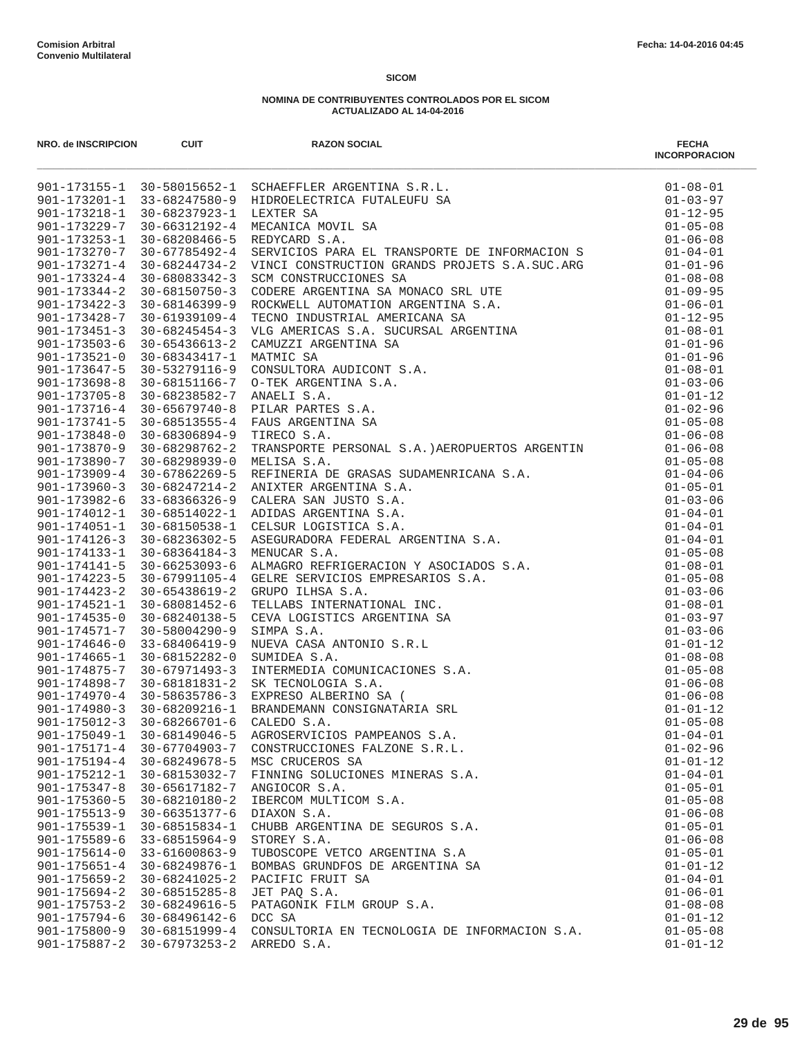| NRO. de INSCRIPCION                | <b>CUIT</b>                      | <b>RAZON SOCIAL</b><br>NRO. de INSCRIPTION (1990)<br>901-173155-1 30-58015652-1 SCHAEFFLER ARGENTINA S.R.L.<br>901-173201-1 33-68247580-9 HIDROELECTRICA FUTALEUFU SA<br>901-173218-1 30-68237923-1 LEXTER SA<br>901-173229-7 30-662308466-5 REDYCARD S.A.<br>9 | <b>FECHA</b><br><b>INCORPORACION</b> |
|------------------------------------|----------------------------------|-----------------------------------------------------------------------------------------------------------------------------------------------------------------------------------------------------------------------------------------------------------------|--------------------------------------|
|                                    |                                  |                                                                                                                                                                                                                                                                 |                                      |
|                                    |                                  |                                                                                                                                                                                                                                                                 |                                      |
|                                    |                                  |                                                                                                                                                                                                                                                                 |                                      |
|                                    |                                  |                                                                                                                                                                                                                                                                 |                                      |
|                                    |                                  |                                                                                                                                                                                                                                                                 |                                      |
|                                    |                                  |                                                                                                                                                                                                                                                                 |                                      |
|                                    |                                  |                                                                                                                                                                                                                                                                 |                                      |
|                                    |                                  |                                                                                                                                                                                                                                                                 |                                      |
| $901 - 173344 - 2$                 |                                  |                                                                                                                                                                                                                                                                 | $01 - 09 - 95$                       |
| $901 - 173422 - 3$                 |                                  |                                                                                                                                                                                                                                                                 | $01 - 06 - 01$                       |
| $901 - 173428 - 7$                 |                                  |                                                                                                                                                                                                                                                                 | $01 - 12 - 95$                       |
| $901 - 173451 - 3$                 |                                  |                                                                                                                                                                                                                                                                 | $01 - 08 - 01$                       |
| $901 - 173503 - 6$                 |                                  |                                                                                                                                                                                                                                                                 | $01 - 01 - 96$                       |
| $901 - 173521 - 0$                 |                                  |                                                                                                                                                                                                                                                                 | $01 - 01 - 96$                       |
| $901 - 173647 - 5$                 |                                  |                                                                                                                                                                                                                                                                 | $01 - 08 - 01$                       |
| $901 - 173698 - 8$                 |                                  |                                                                                                                                                                                                                                                                 | $01 - 03 - 06$                       |
| $901 - 173705 - 8$                 |                                  |                                                                                                                                                                                                                                                                 | $01 - 01 - 12$                       |
| $901 - 173716 - 4$                 |                                  |                                                                                                                                                                                                                                                                 | $01 - 02 - 96$                       |
| $901 - 173741 - 5$                 |                                  |                                                                                                                                                                                                                                                                 | $01 - 05 - 08$                       |
| 901-173848-0                       |                                  | 30-67785492-4 SERVICIOS PARA EL TRANSPORTE DE INFORMACION S<br>30-68084734-2 VINCI CONSTRUCCIONES SA<br>30-68083342-3 SCM CONSTRUCCIONES SA<br>30-68150750-3 CODERE ARGENTINA SA MONACO SRL UTE<br>30-68150750-3 CODERE ARGENTINA SA MONAC                      | $01 - 06 - 08$                       |
| $901 - 173870 - 9$                 | $30 - 68298762 - 2$              | TIRECO S.A.<br>TRANSPORTE PERSONAL S.A.)AEROPUERTOS ARGENTIN 01-06-08<br>01-05-08                                                                                                                                                                               |                                      |
| 901-173890-7<br>$901 - 173909 - 4$ | 30-68298939-0                    |                                                                                                                                                                                                                                                                 | $01 - 04 - 06$                       |
| $901 - 173960 - 3$                 | 30-67862269-5                    |                                                                                                                                                                                                                                                                 |                                      |
| 901-173982-6                       | 30-68247214-2                    | 33-68366326-9 CALERA SAN JUSTO S.A.                                                                                                                                                                                                                             | $01 - 05 - 01$<br>$01 - 03 - 06$     |
| 901-174012-1                       | 30-68514022-1                    |                                                                                                                                                                                                                                                                 | $01 - 04 - 01$                       |
| 901-174051-1                       | 30-68150538-1                    |                                                                                                                                                                                                                                                                 | $01 - 04 - 01$                       |
| $901 - 174126 - 3$                 | 30-68236302-5                    |                                                                                                                                                                                                                                                                 | $01 - 04 - 01$                       |
| $901 - 174133 - 1$                 | 30-68364184-3                    | TRANSPORTE PERSONAL S.A.)AEROPUERTOS ARGENTIN<br>MELISA S.A.<br>MERISA DE GRASAS SUDAMENRICANA S.A.<br>ANIXTER ARGENTINA S.A.<br>CALERA SAN JUSTO S.A.<br>ADIDAS ARGENTINA S.A.<br>CELSUR LOGISTICA S.A.<br>AERORADORA FEDERAL ARGENTINA S.A.<br>AEROR          | $01 - 05 - 08$                       |
| $901 - 174141 - 5$                 | 30-66253093-6                    |                                                                                                                                                                                                                                                                 | $01 - 08 - 01$                       |
| $901 - 174223 - 5$                 | 30-67991105-4                    |                                                                                                                                                                                                                                                                 | $01 - 05 - 08$                       |
| $901 - 174423 - 2$                 | 30-65438619-2                    |                                                                                                                                                                                                                                                                 | $01 - 03 - 06$                       |
| $901 - 174521 - 1$                 | 30-68081452-6                    |                                                                                                                                                                                                                                                                 | $01 - 08 - 01$                       |
| $901 - 174535 - 0$                 | 30-68240138-5                    |                                                                                                                                                                                                                                                                 | $01 - 03 - 97$                       |
| $901 - 174571 - 7$                 | 30-58004290-9                    |                                                                                                                                                                                                                                                                 | $01 - 03 - 06$                       |
| $901 - 174646 - 0$                 | 33-68406419-9                    |                                                                                                                                                                                                                                                                 | $01 - 01 - 12$                       |
| $901 - 174665 - 1$                 | 30-68152282-0                    |                                                                                                                                                                                                                                                                 | $01 - 08 - 08$                       |
|                                    | $901 - 174875 - 7$ 30-67971493-3 |                                                                                                                                                                                                                                                                 | $01 - 05 - 08$                       |
| 901-174898-7                       | 30-68181831-2                    |                                                                                                                                                                                                                                                                 | $01 - 06 - 08$                       |
|                                    | $901 - 174970 - 4$ 30-58635786-3 |                                                                                                                                                                                                                                                                 | $01 - 06 - 08$                       |
|                                    | 901-174980-3 30-68209216-1       |                                                                                                                                                                                                                                                                 | $01 - 01 - 12$                       |
| $901 - 175012 - 3$                 | $30 - 68266701 - 6$              |                                                                                                                                                                                                                                                                 | $01 - 05 - 08$                       |
| $901 - 175049 - 1$                 | 30-68149046-5                    | AGROSERVICIOS PAMPEANOS S.A.                                                                                                                                                                                                                                    | $01 - 04 - 01$                       |
| $901 - 175171 - 4$                 | 30-67704903-7                    | CONSTRUCCIONES FALZONE S.R.L.                                                                                                                                                                                                                                   | $01 - 02 - 96$                       |
| $901 - 175194 - 4$                 | 30-68249678-5                    | MSC CRUCEROS SA                                                                                                                                                                                                                                                 | $01 - 01 - 12$                       |
| $901 - 175212 - 1$                 | 30-68153032-7                    | FINNING SOLUCIONES MINERAS S.A.                                                                                                                                                                                                                                 | $01 - 04 - 01$                       |
| $901 - 175347 - 8$                 | 30-65617182-7                    | ANGIOCOR S.A.                                                                                                                                                                                                                                                   | $01 - 05 - 01$                       |
| $901 - 175360 - 5$                 | 30-68210180-2                    | IBERCOM MULTICOM S.A.                                                                                                                                                                                                                                           | $01 - 05 - 08$                       |
| $901 - 175513 - 9$                 | 30-66351377-6                    | DIAXON S.A.                                                                                                                                                                                                                                                     | $01 - 06 - 08$                       |
| $901 - 175539 - 1$                 | 30-68515834-1                    | CHUBB ARGENTINA DE SEGUROS S.A.                                                                                                                                                                                                                                 | $01 - 05 - 01$                       |
| $901 - 175589 - 6$                 | $33 - 68515964 - 9$              | STOREY S.A.                                                                                                                                                                                                                                                     | $01 - 06 - 08$                       |
| $901 - 175614 - 0$                 | $33 - 61600863 - 9$              | TUBOSCOPE VETCO ARGENTINA S.A                                                                                                                                                                                                                                   | $01 - 05 - 01$                       |
| $901 - 175651 - 4$                 | 30-68249876-1                    | BOMBAS GRUNDFOS DE ARGENTINA SA                                                                                                                                                                                                                                 | $01 - 01 - 12$                       |
| $901 - 175659 - 2$                 | $30 - 68241025 - 2$              | PACIFIC FRUIT SA                                                                                                                                                                                                                                                | $01 - 04 - 01$                       |
| $901 - 175694 - 2$                 | $30 - 68515285 - 8$              | JET PAQ S.A.                                                                                                                                                                                                                                                    | $01 - 06 - 01$                       |
| $901 - 175753 - 2$                 | 30-68249616-5                    | PATAGONIK FILM GROUP S.A.                                                                                                                                                                                                                                       | $01 - 08 - 08$                       |
| $901 - 175794 - 6$                 | 30-68496142-6                    | DCC SA                                                                                                                                                                                                                                                          | $01 - 01 - 12$                       |
| $901 - 175800 - 9$                 | 30-68151999-4                    | CONSULTORIA EN TECNOLOGIA DE INFORMACION S.A.                                                                                                                                                                                                                   | $01 - 05 - 08$                       |
| $901 - 175887 - 2$                 | $30 - 67973253 - 2$              | ARREDO S.A.                                                                                                                                                                                                                                                     | $01 - 01 - 12$                       |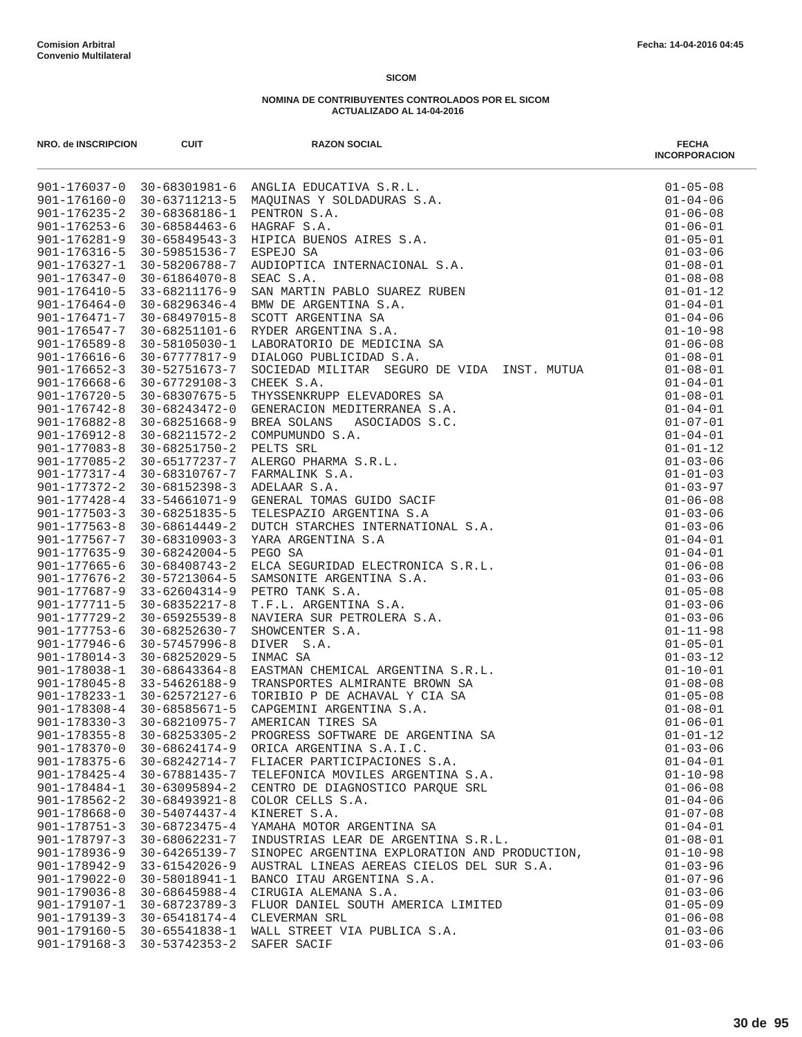| NRO. de INSCRIPCION | <b>CUIT</b>                      | <b>RAZON SOCIAL</b>                                                                                                                                                                                                                        | <b>FECHA</b><br><b>INCORPORACION</b> |
|---------------------|----------------------------------|--------------------------------------------------------------------------------------------------------------------------------------------------------------------------------------------------------------------------------------------|--------------------------------------|
|                     |                                  | 901-176037-0 30-68301981-6 ANGLIA EDUCATIVA S.R.L.<br>901-176160-0 30-63711213-5 MAQUINAS Y SOLDADURAS S.A.<br>901-176235-2 30-68368186-1 PENTRON S.A.<br>901-176281-9 30-68584463-6 HAGRAF S.A.<br>901-176281-9 30-65849543-3 HIPICA BUEN | $01 - 05 - 08$                       |
|                     |                                  |                                                                                                                                                                                                                                            | $01 - 04 - 06$                       |
|                     |                                  |                                                                                                                                                                                                                                            | $01 - 06 - 08$                       |
|                     |                                  |                                                                                                                                                                                                                                            | $01 - 06 - 01$                       |
|                     |                                  |                                                                                                                                                                                                                                            | $01 - 05 - 01$                       |
|                     |                                  |                                                                                                                                                                                                                                            | $01 - 03 - 06$                       |
|                     |                                  |                                                                                                                                                                                                                                            | $01 - 08 - 01$                       |
|                     |                                  |                                                                                                                                                                                                                                            | $01 - 08 - 08$                       |
|                     |                                  |                                                                                                                                                                                                                                            | $01 - 01 - 12$<br>$01 - 04 - 01$     |
|                     |                                  |                                                                                                                                                                                                                                            | $01 - 04 - 06$                       |
|                     |                                  |                                                                                                                                                                                                                                            | $01 - 10 - 98$                       |
|                     |                                  |                                                                                                                                                                                                                                            | $01 - 06 - 08$                       |
|                     |                                  |                                                                                                                                                                                                                                            | $01 - 08 - 01$                       |
| $901 - 176652 - 3$  | 30-52751673-7                    | SOCIEDAD MILITAR SEGURO DE VIDA INST. MUTUA                                                                                                                                                                                                | $01 - 08 - 01$                       |
| $901 - 176668 - 6$  | 30-67729108-3                    | CHEEK S.A.                                                                                                                                                                                                                                 | $01 - 04 - 01$                       |
|                     |                                  |                                                                                                                                                                                                                                            | $01 - 08 - 01$                       |
|                     |                                  |                                                                                                                                                                                                                                            | $01 - 04 - 01$                       |
|                     |                                  |                                                                                                                                                                                                                                            | $01 - 07 - 01$                       |
|                     |                                  |                                                                                                                                                                                                                                            | $01 - 04 - 01$                       |
|                     |                                  |                                                                                                                                                                                                                                            | $01 - 01 - 12$                       |
|                     |                                  |                                                                                                                                                                                                                                            | $01 - 03 - 06$                       |
|                     |                                  |                                                                                                                                                                                                                                            | $01 - 01 - 03$                       |
|                     |                                  |                                                                                                                                                                                                                                            | $01 - 03 - 97$                       |
|                     |                                  |                                                                                                                                                                                                                                            | $01 - 06 - 08$                       |
|                     |                                  |                                                                                                                                                                                                                                            | $01 - 03 - 06$                       |
|                     |                                  |                                                                                                                                                                                                                                            | $01 - 03 - 06$                       |
|                     |                                  |                                                                                                                                                                                                                                            | $01 - 04 - 01$                       |
|                     |                                  | 901–176658–3 30–52751673–7 SOCIEDAD MILITAR SEGURO DE VIDA INST. MUTUA 901–176668–6 30–67379108–3 CHEEK S.A.<br>901–176668–6 30–67729108–3 CHEEK S.A.<br>901–176742–8 30–68243472–0 GENERACION MEDITERRANEA S.A.<br>901–176742–8 30–68     | $01 - 04 - 01$                       |
|                     |                                  |                                                                                                                                                                                                                                            | $01 - 06 - 08$                       |
|                     |                                  |                                                                                                                                                                                                                                            | $01 - 03 - 06$                       |
|                     |                                  |                                                                                                                                                                                                                                            | $01 - 05 - 08$                       |
|                     |                                  |                                                                                                                                                                                                                                            | $01 - 03 - 06$                       |
|                     |                                  |                                                                                                                                                                                                                                            | $01 - 03 - 06$                       |
|                     |                                  |                                                                                                                                                                                                                                            | $01 - 11 - 98$                       |
|                     |                                  |                                                                                                                                                                                                                                            | $01 - 05 - 01$<br>$01 - 03 - 12$     |
|                     |                                  |                                                                                                                                                                                                                                            | $01 - 10 - 01$                       |
|                     |                                  |                                                                                                                                                                                                                                            | $01 - 08 - 08$                       |
|                     |                                  |                                                                                                                                                                                                                                            | $01 - 05 - 08$                       |
|                     |                                  |                                                                                                                                                                                                                                            | $01 - 08 - 01$                       |
|                     |                                  |                                                                                                                                                                                                                                            | $01 - 06 - 01$                       |
| $901 - 178355 - 8$  | $30 - 68253305 - 2$              | PROGRESS SOFTWARE DE ARGENTINA SA                                                                                                                                                                                                          | $01 - 01 - 12$                       |
| $901 - 178370 - 0$  | 30-68624174-9                    | ORICA ARGENTINA S.A.I.C.                                                                                                                                                                                                                   | $01 - 03 - 06$                       |
| $901 - 178375 - 6$  | 30-68242714-7                    | FLIACER PARTICIPACIONES S.A.                                                                                                                                                                                                               | $01 - 04 - 01$                       |
| $901 - 178425 - 4$  | 30-67881435-7                    | TELEFONICA MOVILES ARGENTINA S.A.                                                                                                                                                                                                          | $01 - 10 - 98$                       |
| 901-178484-1        | 30-63095894-2                    | CENTRO DE DIAGNOSTICO PARQUE SRL                                                                                                                                                                                                           | $01 - 06 - 08$                       |
| $901 - 178562 - 2$  | 30-68493921-8                    | COLOR CELLS S.A.                                                                                                                                                                                                                           | $01 - 04 - 06$                       |
| $901 - 178668 - 0$  | 30-54074437-4                    | KINERET S.A.                                                                                                                                                                                                                               | $01 - 07 - 08$                       |
| $901 - 178751 - 3$  | 30-68723475-4                    | YAMAHA MOTOR ARGENTINA SA                                                                                                                                                                                                                  | $01 - 04 - 01$                       |
| $901 - 178797 - 3$  | 30-68062231-7                    | INDUSTRIAS LEAR DE ARGENTINA S.R.L.                                                                                                                                                                                                        | $01 - 08 - 01$                       |
| $901 - 178936 - 9$  | 30-64265139-7                    | SINOPEC ARGENTINA EXPLORATION AND PRODUCTION,                                                                                                                                                                                              | $01 - 10 - 98$                       |
| 901-178942-9        | 33-61542026-9                    | AUSTRAL LINEAS AEREAS CIELOS DEL SUR S.A.                                                                                                                                                                                                  | $01 - 03 - 96$                       |
| $901 - 179022 - 0$  | 30-58018941-1                    | BANCO ITAU ARGENTINA S.A.                                                                                                                                                                                                                  | $01 - 07 - 96$                       |
| $901 - 179036 - 8$  | 30-68645988-4                    | CIRUGIA ALEMANA S.A.                                                                                                                                                                                                                       | $01 - 03 - 06$                       |
| 901-179107-1        | 30-68723789-3                    | FLUOR DANIEL SOUTH AMERICA LIMITED                                                                                                                                                                                                         | $01 - 05 - 09$                       |
| $901 - 179139 - 3$  | 30-65418174-4                    | CLEVERMAN SRL                                                                                                                                                                                                                              | $01 - 06 - 08$                       |
|                     | $901 - 179160 - 5$ 30-65541838-1 | WALL STREET VIA PUBLICA S.A.                                                                                                                                                                                                               | $01 - 03 - 06$                       |
| $901 - 179168 - 3$  | 30-53742353-2                    | SAFER SACIF                                                                                                                                                                                                                                | $01 - 03 - 06$                       |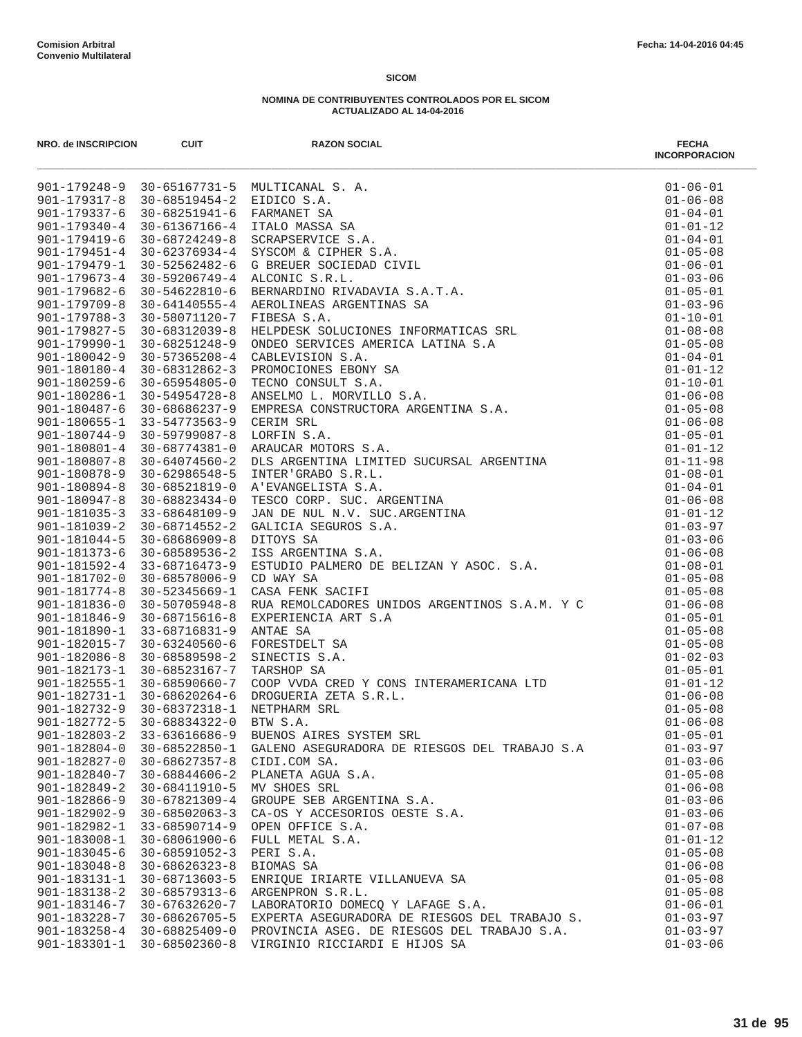| NRO. de INSCRIPCION                      | <b>CUIT</b>                    | <b>RAZON SOCIAL</b>                                                                                                                                                                                                                                                                           | <b>FECHA</b><br><b>INCORPORACION</b> |
|------------------------------------------|--------------------------------|-----------------------------------------------------------------------------------------------------------------------------------------------------------------------------------------------------------------------------------------------------------------------------------------------|--------------------------------------|
|                                          |                                | MULTICANAL S. A.<br>FRIDICO S.A.<br>FRANANET SA (TALCO MASSA SA SCRAPSERVICE S.A.<br>STECHOM & CIPHER S.A.<br>STECHOM & CIPHER S.A.<br>STECHOM & COLEDAD CIVIL<br>ALCONIC S.R.L.<br>ARENOLINEAS ARESENTINAS SA (TALCONIC S.A.T.A.<br>REROLINEA<br>901-179248-9 30-65167731-5 MULTICANAL S. A. | $01 - 06 - 01$                       |
| 901-179317-8                             | 30-68519454-2 EIDICO S.A.      |                                                                                                                                                                                                                                                                                               | $01 - 06 - 08$                       |
| $901 - 179337 - 6$                       | 30-68251941-6                  |                                                                                                                                                                                                                                                                                               | $01 - 04 - 01$                       |
| $901 - 179340 - 4$                       | 30-61367166-4                  |                                                                                                                                                                                                                                                                                               | $01 - 01 - 12$                       |
| $901 - 179419 - 6$                       | 30-68724249-8                  |                                                                                                                                                                                                                                                                                               | $01 - 04 - 01$                       |
| $901 - 179451 - 4$                       | 30-62376934-4                  |                                                                                                                                                                                                                                                                                               | $01 - 05 - 08$                       |
| $901 - 179479 - 1$                       | 30-52562482-6                  |                                                                                                                                                                                                                                                                                               | $01 - 06 - 01$                       |
| $901 - 179673 - 4$                       |                                | 30-59206749-4 ALCONIC S.R.L.                                                                                                                                                                                                                                                                  | $01 - 03 - 06$                       |
| $901 - 179682 - 6$                       | $30 - 54622810 - 6$            |                                                                                                                                                                                                                                                                                               | $01 - 05 - 01$                       |
| $901 - 179709 - 8$                       | $30 - 64140555 - 4$            |                                                                                                                                                                                                                                                                                               | $01 - 03 - 96$                       |
| $901 - 179788 - 3$                       | 30-58071120-7                  |                                                                                                                                                                                                                                                                                               | $01 - 10 - 01$                       |
| 901-179827-5                             | 30-68312039-8                  |                                                                                                                                                                                                                                                                                               | $01 - 08 - 08$                       |
| 901-179990-1                             | 30-68251248-9                  |                                                                                                                                                                                                                                                                                               | $01 - 05 - 08$                       |
| $901 - 180042 - 9$                       | $30 - 57365208 - 4$            |                                                                                                                                                                                                                                                                                               | $01 - 04 - 01$                       |
| 901-180180-4<br>$901 - 180259 - 6$       | 30-68312862-3<br>30-65954805-0 |                                                                                                                                                                                                                                                                                               | $01 - 01 - 12$<br>$01 - 10 - 01$     |
| 901-180286-1                             | 30-54954728-8                  |                                                                                                                                                                                                                                                                                               | $01 - 06 - 08$                       |
| $901 - 180487 - 6$                       | 30-68686237-9                  |                                                                                                                                                                                                                                                                                               | $01 - 05 - 08$                       |
| 901-180655-1                             | 33-54773563-9                  |                                                                                                                                                                                                                                                                                               | $01 - 06 - 08$                       |
| 901-180744-9                             | 30-59799087-8                  |                                                                                                                                                                                                                                                                                               | $01 - 05 - 01$                       |
| $901 - 180801 - 4$                       | 30-68774381-0                  |                                                                                                                                                                                                                                                                                               | $01 - 01 - 12$                       |
| $901 - 180807 - 8$                       | $30 - 64074560 - 2$            |                                                                                                                                                                                                                                                                                               | $01 - 11 - 98$                       |
| 901-180878-9                             | 30-62986548-5                  |                                                                                                                                                                                                                                                                                               | $01 - 08 - 01$                       |
| $901 - 180894 - 8$                       | 30-68521819-0                  |                                                                                                                                                                                                                                                                                               | $01 - 04 - 01$                       |
| $901 - 180947 - 8$                       | 30-68823434-0                  |                                                                                                                                                                                                                                                                                               | $01 - 06 - 08$                       |
| $901 - 181035 - 3$                       | 33-68648109-9                  |                                                                                                                                                                                                                                                                                               | $01 - 01 - 12$                       |
| $901 - 181039 - 2$                       | 30-68714552-2                  |                                                                                                                                                                                                                                                                                               | $01 - 03 - 97$                       |
| $901 - 181044 - 5$                       | $30 - 68686909 - 8$            |                                                                                                                                                                                                                                                                                               | $01 - 03 - 06$                       |
| $901 - 181373 - 6$                       | 30-68589536-2                  |                                                                                                                                                                                                                                                                                               | $01 - 06 - 08$                       |
| $901 - 181592 - 4$                       | 33-68716473-9                  |                                                                                                                                                                                                                                                                                               | $01 - 08 - 01$                       |
| $901 - 181702 - 0$                       | 30-68578006-9                  | CD WAY SA                                                                                                                                                                                                                                                                                     | $01 - 05 - 08$                       |
| 901-181774-8                             | 30-52345669-1                  | CASA FENK SACIFI                                                                                                                                                                                                                                                                              | $01 - 05 - 08$                       |
| $901 - 181836 - 0$                       | $30 - 50705948 - 8$            | RUA REMOLCADORES UNIDOS ARGENTINOS S.A.M. Y C                                                                                                                                                                                                                                                 | $01 - 06 - 08$                       |
| $901 - 181846 - 9$                       | $30 - 68715616 - 8$            |                                                                                                                                                                                                                                                                                               | $01 - 05 - 01$                       |
| 901-181890-1                             | 33-68716831-9                  |                                                                                                                                                                                                                                                                                               | $01 - 05 - 08$                       |
| 901-182015-7                             | $30 - 63240560 - 6$            | EXPERIENCIA ART S.A<br>EXPERIENCIA ART S.A<br>ANTAE SA<br>FORESTDELT SA<br>SINECTIS S.A.<br>TARSHOP SA<br>COOP VVDA CRED Y CONS INTERAMERICANA LTD<br>DROGUERIA ZETA S.R.L.<br>NETPHARM SRL<br>BTW S.A.                                                                                       | $01 - 05 - 08$                       |
| $901 - 182086 - 8$                       | 30-68589598-2                  |                                                                                                                                                                                                                                                                                               | $01 - 02 - 03$                       |
| 901-182173-1                             | 30-68523167-7                  |                                                                                                                                                                                                                                                                                               | $01 - 05 - 01$                       |
| $901 - 182555 - 1$                       | $30 - 68590660 - 7$            |                                                                                                                                                                                                                                                                                               | $01 - 01 - 12$                       |
| 901-182731-1 30-68620264-6               |                                |                                                                                                                                                                                                                                                                                               | $01 - 06 - 08$                       |
|                                          | 901-182732-9 30-68372318-1     |                                                                                                                                                                                                                                                                                               | $01 - 05 - 08$                       |
| $901 - 182772 - 5$                       | 30-68834322-0                  | BTW S.A.                                                                                                                                                                                                                                                                                      | $01 - 06 - 08$                       |
| $901 - 182803 - 2$<br>$901 - 182804 - 0$ | 33-63616686-9<br>30-68522850-1 | BUENOS AIRES SYSTEM SRL<br>GALENO ASEGURADORA DE RIESGOS DEL TRABAJO S.A                                                                                                                                                                                                                      | $01 - 05 - 01$<br>$01 - 03 - 97$     |
| $901 - 182827 - 0$                       | $30 - 68627357 - 8$            | CIDI.COM SA.                                                                                                                                                                                                                                                                                  | $01 - 03 - 06$                       |
| 901-182840-7                             | $30 - 68844606 - 2$            | PLANETA AGUA S.A.                                                                                                                                                                                                                                                                             | $01 - 05 - 08$                       |
| $901 - 182849 - 2$                       | 30-68411910-5                  | MV SHOES SRL                                                                                                                                                                                                                                                                                  | $01 - 06 - 08$                       |
| $901 - 182866 - 9$                       | 30-67821309-4                  | GROUPE SEB ARGENTINA S.A.                                                                                                                                                                                                                                                                     | $01 - 03 - 06$                       |
| $901 - 182902 - 9$                       | $30 - 68502063 - 3$            | CA-OS Y ACCESORIOS OESTE S.A.                                                                                                                                                                                                                                                                 | $01 - 03 - 06$                       |
| 901-182982-1                             | $33 - 68590714 - 9$            | OPEN OFFICE S.A.                                                                                                                                                                                                                                                                              | $01 - 07 - 08$                       |
| 901-183008-1                             | $30 - 68061900 - 6$            | FULL METAL S.A.                                                                                                                                                                                                                                                                               | $01 - 01 - 12$                       |
| $901 - 183045 - 6$                       | $30 - 68591052 - 3$            | PERI S.A.                                                                                                                                                                                                                                                                                     | $01 - 05 - 08$                       |
| $901 - 183048 - 8$                       | $30 - 68626323 - 8$            | BIOMAS SA                                                                                                                                                                                                                                                                                     | $01 - 06 - 08$                       |
| 901-183131-1                             | 30-68713603-5                  | ENRIQUE IRIARTE VILLANUEVA SA                                                                                                                                                                                                                                                                 | $01 - 05 - 08$                       |
| $901 - 183138 - 2$                       | 30-68579313-6                  | ARGENPRON S.R.L.                                                                                                                                                                                                                                                                              | $01 - 05 - 08$                       |
| 901-183146-7                             | 30-67632620-7                  | LABORATORIO DOMECO Y LAFAGE S.A.                                                                                                                                                                                                                                                              | $01 - 06 - 01$                       |
| 901-183228-7                             | 30-68626705-5                  | EXPERTA ASEGURADORA DE RIESGOS DEL TRABAJO S.                                                                                                                                                                                                                                                 | $01 - 03 - 97$                       |
| $901 - 183258 - 4$                       | 30-68825409-0                  | PROVINCIA ASEG. DE RIESGOS DEL TRABAJO S.A.                                                                                                                                                                                                                                                   | $01 - 03 - 97$                       |
| $901 - 183301 - 1$                       | 30-68502360-8                  | VIRGINIO RICCIARDI E HIJOS SA                                                                                                                                                                                                                                                                 | $01 - 03 - 06$                       |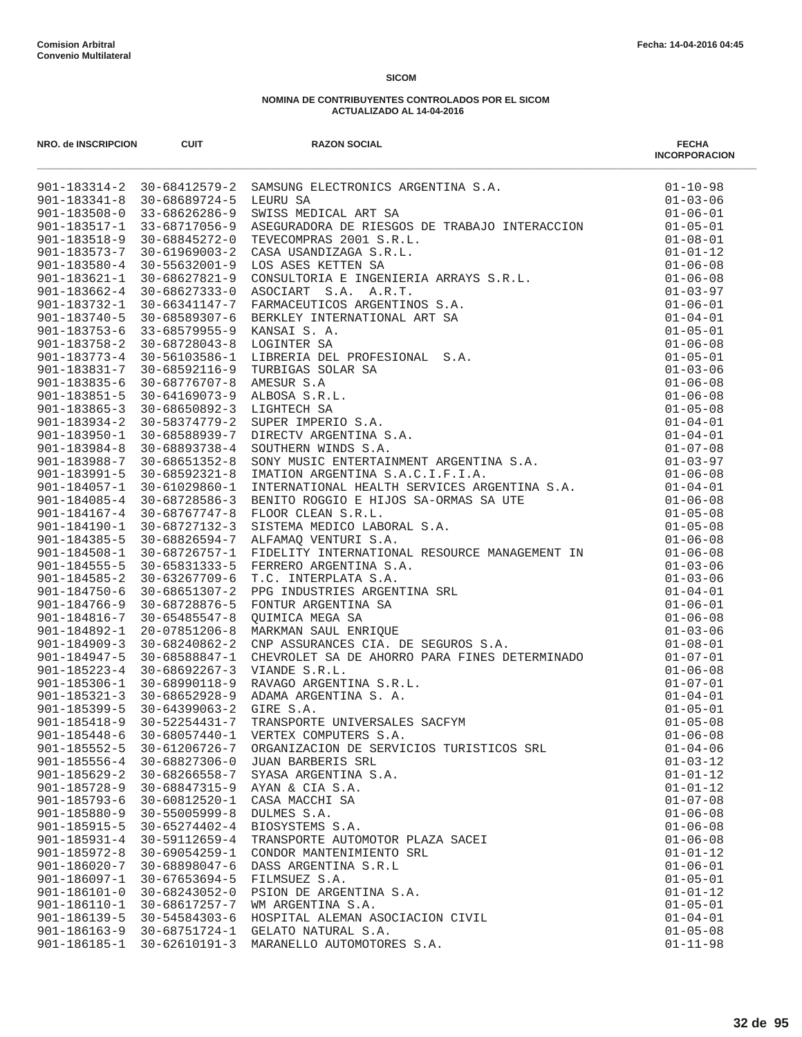| NRO. de INSCRIPCION                | <b>CUIT</b>                    | <b>RAZON SOCIAL</b>                              | <b>FECHA</b><br><b>INCORPORACION</b> |
|------------------------------------|--------------------------------|--------------------------------------------------|--------------------------------------|
|                                    |                                |                                                  |                                      |
|                                    |                                |                                                  |                                      |
|                                    |                                |                                                  |                                      |
|                                    |                                |                                                  |                                      |
|                                    |                                |                                                  |                                      |
|                                    |                                |                                                  |                                      |
|                                    |                                |                                                  |                                      |
|                                    |                                |                                                  |                                      |
|                                    |                                |                                                  |                                      |
|                                    |                                |                                                  |                                      |
|                                    |                                |                                                  |                                      |
|                                    |                                |                                                  |                                      |
|                                    |                                |                                                  |                                      |
|                                    |                                |                                                  |                                      |
|                                    |                                |                                                  |                                      |
|                                    |                                |                                                  |                                      |
|                                    |                                |                                                  |                                      |
|                                    |                                |                                                  |                                      |
|                                    |                                |                                                  |                                      |
|                                    |                                |                                                  |                                      |
|                                    |                                |                                                  |                                      |
|                                    |                                |                                                  |                                      |
|                                    |                                |                                                  |                                      |
|                                    |                                |                                                  |                                      |
|                                    |                                |                                                  |                                      |
|                                    |                                |                                                  |                                      |
|                                    |                                |                                                  |                                      |
|                                    |                                |                                                  |                                      |
|                                    |                                |                                                  |                                      |
|                                    |                                |                                                  |                                      |
|                                    |                                |                                                  |                                      |
|                                    |                                |                                                  |                                      |
|                                    |                                |                                                  |                                      |
|                                    |                                |                                                  |                                      |
|                                    |                                |                                                  |                                      |
|                                    |                                |                                                  |                                      |
|                                    |                                |                                                  |                                      |
|                                    |                                |                                                  |                                      |
|                                    |                                |                                                  |                                      |
|                                    |                                |                                                  |                                      |
| $901 - 185448 - 6$                 | $30 - 68057440 - 1$            | VERTEX COMPUTERS S.A.                            | $01 - 06 - 08$                       |
| $901 - 185552 - 5$                 | 30-61206726-7                  | ORGANIZACION DE SERVICIOS TURISTICOS SRL         | $01 - 04 - 06$                       |
| $901 - 185556 - 4$                 | 30-68827306-0                  | JUAN BARBERIS SRL                                | $01 - 03 - 12$                       |
| $901 - 185629 - 2$                 | $30 - 68266558 - 7$            | SYASA ARGENTINA S.A.                             | $01 - 01 - 12$                       |
| $901 - 185728 - 9$                 | 30-68847315-9                  | AYAN & CIA S.A.                                  | $01 - 01 - 12$                       |
| $901 - 185793 - 6$                 | 30-60812520-1                  | CASA MACCHI SA                                   | $01 - 07 - 08$                       |
| $901 - 185880 - 9$                 | $30 - 55005999 - 8$            | DULMES S.A.                                      | $01 - 06 - 08$                       |
| $901 - 185915 - 5$                 | $30 - 65274402 - 4$            | BIOSYSTEMS S.A.                                  | $01 - 06 - 08$                       |
| $901 - 185931 - 4$                 | $30 - 59112659 - 4$            | TRANSPORTE AUTOMOTOR PLAZA SACEI                 | $01 - 06 - 08$                       |
| $901 - 185972 - 8$<br>901-186020-7 | 30-69054259-1<br>30-68898047-6 | CONDOR MANTENIMIENTO SRL<br>DASS ARGENTINA S.R.L | $01 - 01 - 12$<br>$01 - 06 - 01$     |
| $901 - 186097 - 1$                 | $30 - 67653694 - 5$            | FILMSUEZ S.A.                                    | $01 - 05 - 01$                       |
| $901 - 186101 - 0$                 | $30 - 68243052 - 0$            | PSION DE ARGENTINA S.A.                          | $01 - 01 - 12$                       |
| 901-186110-1                       | 30-68617257-7                  | WM ARGENTINA S.A.                                | $01 - 05 - 01$                       |
| $901 - 186139 - 5$                 | 30-54584303-6                  | HOSPITAL ALEMAN ASOCIACION CIVIL                 | $01 - 04 - 01$                       |
| $901 - 186163 - 9$                 | 30-68751724-1                  | GELATO NATURAL S.A.                              | $01 - 05 - 08$                       |
| $901 - 186185 - 1$                 | 30-62610191-3                  | MARANELLO AUTOMOTORES S.A.                       | $01 - 11 - 98$                       |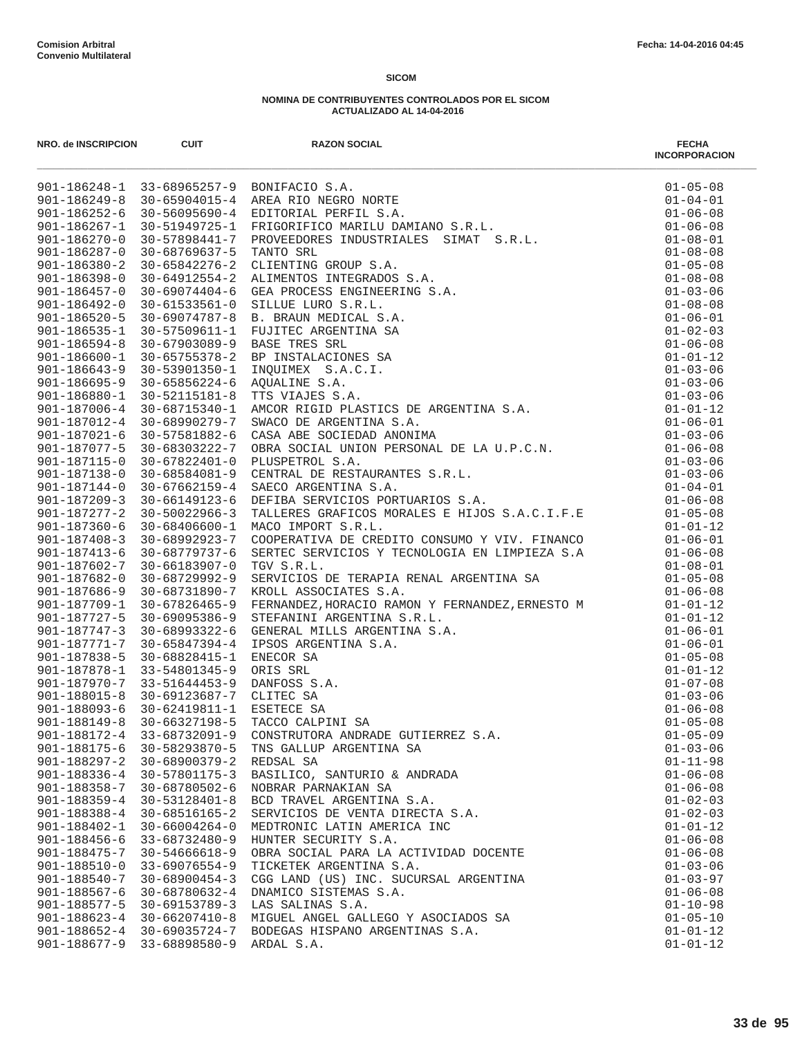| NRO. de INSCRIPCION        | <b>CUIT</b>                                                                   | <b>RAZON SOCIAL</b>                                                                                                                                                                                                                                | <b>FECHA</b><br><b>INCORPORACION</b> |
|----------------------------|-------------------------------------------------------------------------------|----------------------------------------------------------------------------------------------------------------------------------------------------------------------------------------------------------------------------------------------------|--------------------------------------|
|                            |                                                                               |                                                                                                                                                                                                                                                    |                                      |
|                            |                                                                               |                                                                                                                                                                                                                                                    |                                      |
|                            |                                                                               |                                                                                                                                                                                                                                                    |                                      |
|                            |                                                                               |                                                                                                                                                                                                                                                    |                                      |
|                            |                                                                               |                                                                                                                                                                                                                                                    |                                      |
|                            |                                                                               |                                                                                                                                                                                                                                                    |                                      |
|                            |                                                                               |                                                                                                                                                                                                                                                    |                                      |
|                            |                                                                               |                                                                                                                                                                                                                                                    |                                      |
|                            |                                                                               |                                                                                                                                                                                                                                                    |                                      |
|                            |                                                                               |                                                                                                                                                                                                                                                    |                                      |
|                            |                                                                               |                                                                                                                                                                                                                                                    |                                      |
|                            |                                                                               |                                                                                                                                                                                                                                                    |                                      |
|                            |                                                                               |                                                                                                                                                                                                                                                    |                                      |
|                            |                                                                               |                                                                                                                                                                                                                                                    |                                      |
|                            |                                                                               |                                                                                                                                                                                                                                                    |                                      |
|                            |                                                                               |                                                                                                                                                                                                                                                    |                                      |
|                            |                                                                               |                                                                                                                                                                                                                                                    |                                      |
|                            |                                                                               |                                                                                                                                                                                                                                                    |                                      |
|                            |                                                                               |                                                                                                                                                                                                                                                    |                                      |
|                            |                                                                               |                                                                                                                                                                                                                                                    |                                      |
|                            |                                                                               |                                                                                                                                                                                                                                                    |                                      |
|                            |                                                                               |                                                                                                                                                                                                                                                    |                                      |
|                            |                                                                               |                                                                                                                                                                                                                                                    |                                      |
|                            |                                                                               |                                                                                                                                                                                                                                                    |                                      |
|                            |                                                                               |                                                                                                                                                                                                                                                    |                                      |
|                            |                                                                               |                                                                                                                                                                                                                                                    |                                      |
| 901-187360-6               | 30-68406600-1                                                                 | MACO IMPORT S.R.L.                                                                                                                                                                                                                                 | $01 - 01 - 12$                       |
| $901 - 187408 - 3$         | 30-68992923-7                                                                 |                                                                                                                                                                                                                                                    | $01 - 06 - 01$                       |
| 901-187413-6               | 30-68779737-6                                                                 | COOPERATIVA DE CREDITO CONSUMO Y VIV. FINANCO<br>SERTEC SERVICIOS Y TECNOLOGIA EN LIMPIEZA S.A<br>TGV S R L                                                                                                                                        | $01 - 06 - 08$                       |
|                            | 901-187602-7 30-66183907-0                                                    | TGV S.R.L.                                                                                                                                                                                                                                         | $01 - 08 - 01$                       |
| $901 - 187682 - 0$         | 30-68729992-9                                                                 | SERVICIOS DE TERAPIA RENAL ARGENTINA SA                                                                                                                                                                                                            | $01 - 05 - 08$                       |
| 901-187686-9               | 30-68731890-7                                                                 | KROLL ASSOCIATES S.A.                                                                                                                                                                                                                              | $01 - 06 - 08$                       |
| 901-187709-1               | 30-67826465-9                                                                 |                                                                                                                                                                                                                                                    | $01 - 01 - 12$                       |
| 901-187727-5               | 30-69095386-9                                                                 |                                                                                                                                                                                                                                                    | $01 - 01 - 12$                       |
| $901 - 187747 - 3$         | 30-68993322-6                                                                 |                                                                                                                                                                                                                                                    | $01 - 06 - 01$                       |
|                            |                                                                               | 901-187771-7 30-65847394-4 IPSOS ARGENTINA S.A.                                                                                                                                                                                                    | $01 - 06 - 01$                       |
| 901-187838-5               | 30-68828415-1                                                                 |                                                                                                                                                                                                                                                    | $01 - 05 - 08$                       |
|                            | 901-187878-1 33-54801345-9                                                    | ORIS SRL                                                                                                                                                                                                                                           | $01 - 01 - 12$                       |
|                            | 901-187970-7 33-51644453-9                                                    |                                                                                                                                                                                                                                                    | $01 - 07 - 08$                       |
|                            | 901-188015-8 30-69123687-7 CLITEC SA<br>901-188093-6 30-62419811-1 ESETECE SA | AROLL ASSOCIATES S.A.<br>FERNANDEZ, HORACIO RAMON Y FERNANDEZ, ERNESTO M<br>STEFANINI ARGENTINA S.R.L.<br>GENERAL MILLS ARGENTINA S.A.<br>IPSOS ARGENTINA S.A.<br>IPSOS ARGENTINA S.A.<br>ENECOR SA<br>ORIS SRL<br>DANFOSS S.A.<br>CLITEC SA<br>ES | $01 - 03 - 06$<br>$01 - 06 - 08$     |
|                            |                                                                               | 901-188149-8 30-66327198-5 TACCO CALPINI SA                                                                                                                                                                                                        | $01 - 05 - 08$                       |
|                            | 901-188172-4 33-68732091-9                                                    | CONSTRUTORA ANDRADE GUTIERREZ S.A.                                                                                                                                                                                                                 | $01 - 05 - 09$                       |
|                            | 901-188175-6 30-58293870-5                                                    | TNS GALLUP ARGENTINA SA                                                                                                                                                                                                                            | $01 - 03 - 06$                       |
| $901 - 188297 - 2$         | 30-68900379-2                                                                 | REDSAL SA                                                                                                                                                                                                                                          | $01 - 11 - 98$                       |
| $901 - 188336 - 4$         | 30-57801175-3                                                                 | BASILICO, SANTURIO & ANDRADA                                                                                                                                                                                                                       | $01 - 06 - 08$                       |
| $901 - 188358 - 7$         | 30-68780502-6                                                                 | NOBRAR PARNAKIAN SA                                                                                                                                                                                                                                | $01 - 06 - 08$                       |
| $901 - 188359 - 4$         | 30-53128401-8                                                                 | BCD TRAVEL ARGENTINA S.A.                                                                                                                                                                                                                          | $01 - 02 - 03$                       |
| 901-188388-4               | 30-68516165-2                                                                 | SERVICIOS DE VENTA DIRECTA S.A.                                                                                                                                                                                                                    | $01 - 02 - 03$                       |
| 901-188402-1               | 30-66004264-0                                                                 | MEDTRONIC LATIN AMERICA INC                                                                                                                                                                                                                        | $01 - 01 - 12$                       |
| $901 - 188456 - 6$         | 33-68732480-9                                                                 | HUNTER SECURITY S.A.                                                                                                                                                                                                                               | $01 - 06 - 08$                       |
| 901-188475-7               | 30-54666618-9                                                                 | OBRA SOCIAL PARA LA ACTIVIDAD DOCENTE                                                                                                                                                                                                              | $01 - 06 - 08$                       |
| $901 - 188510 - 0$         | 33-69076554-9                                                                 | TICKETEK ARGENTINA S.A.                                                                                                                                                                                                                            | $01 - 03 - 06$                       |
| 901-188540-7               | $30 - 68900454 - 3$                                                           | CGG LAND (US) INC. SUCURSAL ARGENTINA                                                                                                                                                                                                              | $01 - 03 - 97$                       |
| 901-188567-6               | 30-68780632-4                                                                 | DNAMICO SISTEMAS S.A.                                                                                                                                                                                                                              | $01 - 06 - 08$                       |
| 901-188577-5               | 30-69153789-3                                                                 | LAS SALINAS S.A.                                                                                                                                                                                                                                   | $01 - 10 - 98$                       |
| 901-188623-4 30-66207410-8 |                                                                               | MIGUEL ANGEL GALLEGO Y ASOCIADOS SA                                                                                                                                                                                                                | $01 - 05 - 10$                       |
|                            | 901-188652-4 30-69035724-7                                                    | BODEGAS HISPANO ARGENTINAS S.A.                                                                                                                                                                                                                    | $01 - 01 - 12$                       |
|                            | 901-188677-9 33-68898580-9                                                    | ARDAL S.A.                                                                                                                                                                                                                                         | $01 - 01 - 12$                       |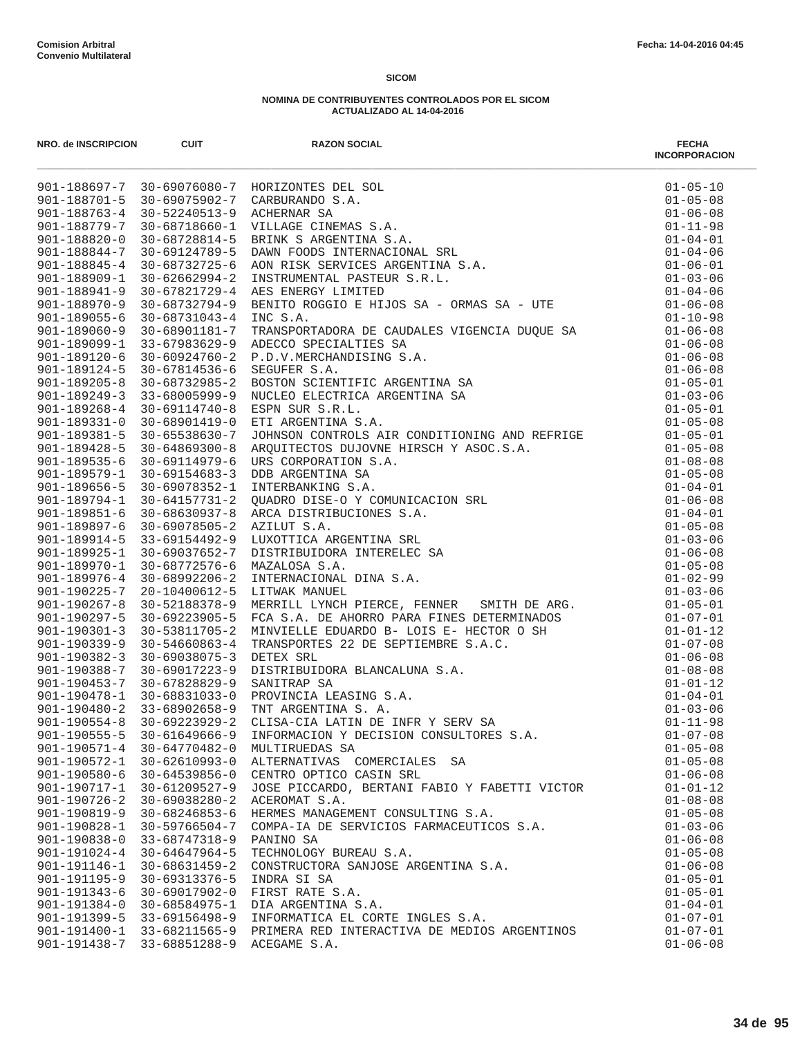|                            |                            |                                                                                                                                                                                                                                     | <b>INCORPORACION</b> |
|----------------------------|----------------------------|-------------------------------------------------------------------------------------------------------------------------------------------------------------------------------------------------------------------------------------|----------------------|
|                            |                            |                                                                                                                                                                                                                                     |                      |
|                            |                            |                                                                                                                                                                                                                                     |                      |
|                            |                            |                                                                                                                                                                                                                                     |                      |
|                            |                            |                                                                                                                                                                                                                                     |                      |
|                            |                            |                                                                                                                                                                                                                                     |                      |
|                            |                            |                                                                                                                                                                                                                                     |                      |
|                            |                            |                                                                                                                                                                                                                                     |                      |
|                            |                            |                                                                                                                                                                                                                                     |                      |
|                            |                            |                                                                                                                                                                                                                                     |                      |
|                            |                            |                                                                                                                                                                                                                                     |                      |
|                            |                            |                                                                                                                                                                                                                                     |                      |
|                            |                            |                                                                                                                                                                                                                                     |                      |
|                            |                            |                                                                                                                                                                                                                                     |                      |
|                            |                            |                                                                                                                                                                                                                                     |                      |
|                            |                            |                                                                                                                                                                                                                                     |                      |
|                            |                            |                                                                                                                                                                                                                                     |                      |
|                            |                            |                                                                                                                                                                                                                                     |                      |
|                            |                            |                                                                                                                                                                                                                                     |                      |
|                            |                            |                                                                                                                                                                                                                                     |                      |
|                            |                            |                                                                                                                                                                                                                                     |                      |
|                            |                            |                                                                                                                                                                                                                                     |                      |
|                            |                            |                                                                                                                                                                                                                                     |                      |
|                            |                            |                                                                                                                                                                                                                                     |                      |
|                            |                            |                                                                                                                                                                                                                                     |                      |
|                            |                            |                                                                                                                                                                                                                                     |                      |
|                            |                            |                                                                                                                                                                                                                                     |                      |
|                            |                            |                                                                                                                                                                                                                                     |                      |
|                            |                            |                                                                                                                                                                                                                                     |                      |
|                            |                            |                                                                                                                                                                                                                                     |                      |
|                            |                            |                                                                                                                                                                                                                                     |                      |
|                            |                            |                                                                                                                                                                                                                                     |                      |
|                            |                            |                                                                                                                                                                                                                                     |                      |
|                            |                            |                                                                                                                                                                                                                                     |                      |
|                            |                            |                                                                                                                                                                                                                                     |                      |
|                            |                            |                                                                                                                                                                                                                                     |                      |
|                            |                            |                                                                                                                                                                                                                                     |                      |
|                            |                            | 901–18935-5 30–68971014-4 INC S.A. (01–1993)<br>901–189360-9 30–68901181-7 IRANSPORKADOR DE CAUDALES VIGENCIA DUQUE SA (01–160–69)<br>901–189360-9 30–699312829-9 ADDCCO SPECIALITED S.A. (01–16–69)<br>901–189249-9 30–699312935-9 |                      |
|                            |                            |                                                                                                                                                                                                                                     |                      |
|                            |                            |                                                                                                                                                                                                                                     |                      |
|                            |                            |                                                                                                                                                                                                                                     |                      |
| $901 - 190555 - 5$         | $30 - 61649666 - 9$        | INFORMACION Y DECISION CONSULTORES S.A.                                                                                                                                                                                             | $01 - 07 - 08$       |
| 901-190571-4 30-64770482-0 |                            | MULTIRUEDAS SA                                                                                                                                                                                                                      | $01 - 05 - 08$       |
| 901-190572-1               | 30-62610993-0              | ALTERNATIVAS COMERCIALES SA                                                                                                                                                                                                         | $01 - 05 - 08$       |
| $901 - 190580 - 6$         | $30 - 64539856 - 0$        | CENTRO OPTICO CASIN SRL                                                                                                                                                                                                             | $01 - 06 - 08$       |
| 901-190717-1               | 30-61209527-9              | JOSE PICCARDO, BERTANI FABIO Y FABETTI VICTOR                                                                                                                                                                                       | $01 - 01 - 12$       |
| $901 - 190726 - 2$         | 30-69038280-2              | ACEROMAT S.A.                                                                                                                                                                                                                       | $01 - 08 - 08$       |
| 901-190819-9               | 30-68246853-6              | HERMES MANAGEMENT CONSULTING S.A.                                                                                                                                                                                                   | $01 - 05 - 08$       |
| 901-190828-1               | 30-59766504-7              | COMPA-IA DE SERVICIOS FARMACEUTICOS S.A.                                                                                                                                                                                            | $01 - 03 - 06$       |
| $901 - 190838 - 0$         | 33-68747318-9              | PANINO SA                                                                                                                                                                                                                           | $01 - 06 - 08$       |
| $901 - 191024 - 4$         | $30 - 64647964 - 5$        | TECHNOLOGY BUREAU S.A.                                                                                                                                                                                                              | $01 - 05 - 08$       |
| $901 - 191146 - 1$         | 30-68631459-2              | CONSTRUCTORA SANJOSE ARGENTINA S.A.                                                                                                                                                                                                 | $01 - 06 - 08$       |
| 901-191195-9               | 30-69313376-5              | INDRA SI SA                                                                                                                                                                                                                         | $01 - 05 - 01$       |
| $901 - 191343 - 6$         | 30-69017902-0              | FIRST RATE S.A.                                                                                                                                                                                                                     | $01 - 05 - 01$       |
| $901 - 191384 - 0$         | 30-68584975-1              | DIA ARGENTINA S.A.                                                                                                                                                                                                                  | $01 - 04 - 01$       |
|                            | 901-191399-5 33-69156498-9 | INFORMATICA EL CORTE INGLES S.A.                                                                                                                                                                                                    | $01 - 07 - 01$       |
|                            | 901-191400-1 33-68211565-9 | PRIMERA RED INTERACTIVA DE MEDIOS ARGENTINOS                                                                                                                                                                                        | $01 - 07 - 01$       |
| 901-191438-7               | 33-68851288-9              | ACEGAME S.A.                                                                                                                                                                                                                        | $01 - 06 - 08$       |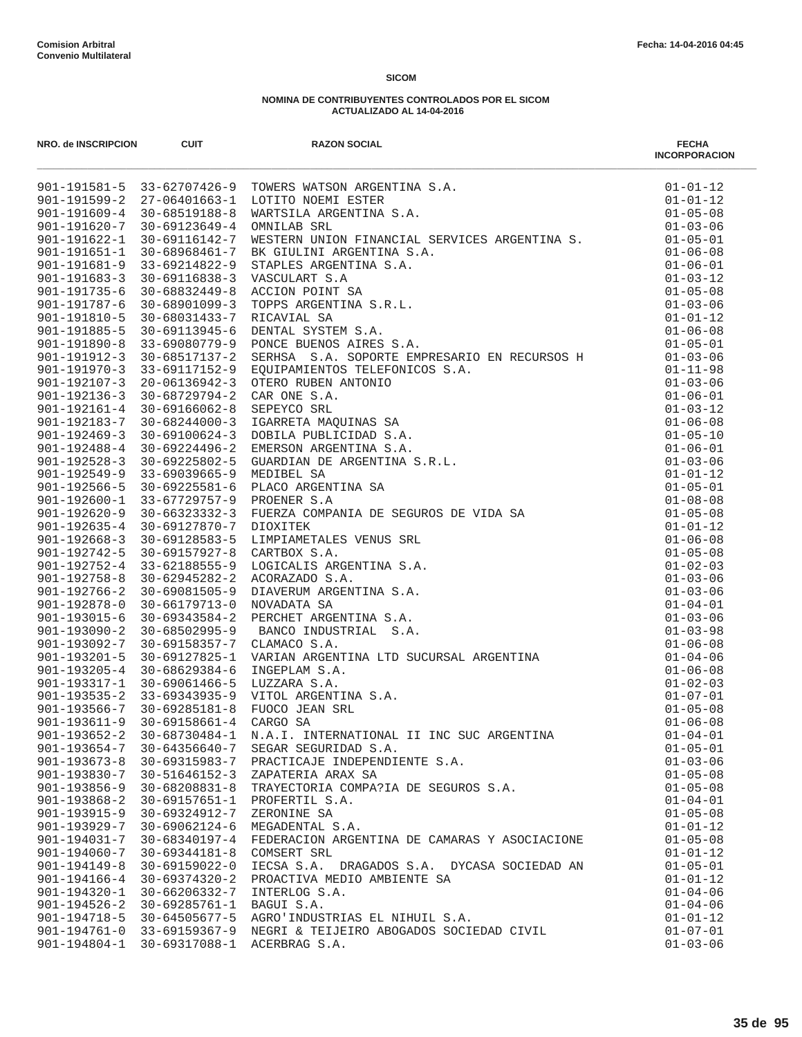| NRO. de INSCRIPCION                      | <b>CUIT</b>                                                    | <b>RAZON SOCIAL</b>                                                                                                                                                                                                                        | <b>FECHA</b><br><b>INCORPORACION</b> |
|------------------------------------------|----------------------------------------------------------------|--------------------------------------------------------------------------------------------------------------------------------------------------------------------------------------------------------------------------------------------|--------------------------------------|
|                                          |                                                                | 901-191581-5 33-62707426-9 TOWERS WATSON ARGENTINA S.A.<br>901-191599-2 27-06401663-1 LOTITO NOEMI ESTER<br>901-191609-4 30-68519188-8 WARTSILA ARGENTINA S.A.<br>901-191620-7 30-69123649-4 OMNILAB SRL<br>901-191622-1 30-69116142-7 WES | $01 - 01 - 12$                       |
|                                          |                                                                |                                                                                                                                                                                                                                            | $01 - 01 - 12$                       |
|                                          |                                                                |                                                                                                                                                                                                                                            | $01 - 05 - 08$                       |
|                                          |                                                                |                                                                                                                                                                                                                                            | $01 - 03 - 06$                       |
|                                          |                                                                |                                                                                                                                                                                                                                            | $01 - 05 - 01$                       |
| $901 - 191651 - 1$<br>$901 - 191681 - 9$ | 30-68968461-7                                                  |                                                                                                                                                                                                                                            | $01 - 06 - 08$                       |
| $901 - 191683 - 3$                       | 33-69214822-9                                                  | 30-69116838-3 VASCULART S.A                                                                                                                                                                                                                | $01 - 06 - 01$<br>$01 - 03 - 12$     |
| $901 - 191735 - 6$                       | 30-68832449-8                                                  |                                                                                                                                                                                                                                            | $01 - 05 - 08$                       |
| 901-191787-6                             | 30-68901099-3                                                  |                                                                                                                                                                                                                                            | $01 - 03 - 06$                       |
| 901-191810-5                             | 30-68031433-7                                                  |                                                                                                                                                                                                                                            | $01 - 01 - 12$                       |
| $901 - 191885 - 5$                       | 30-69113945-6                                                  | BK GIULINI ARGENTINA S.A.<br>STAPLES ARGENTINA S.A.<br>VASCULART S.A<br>ACCION POINT SA<br>TOPPS ARGENTINA S.R.L.<br>RICAVIAL SA<br>DENTAL SYSTEM S.A.<br>PONCE BUENOS AIRES S.A.<br>SERHAA S.A. SOPORTE EMPRESARIO EN RECUPCOS UT         | $01 - 06 - 08$                       |
| 901-191890-8                             | 33-69080779-9                                                  |                                                                                                                                                                                                                                            | $01 - 05 - 01$                       |
| $901 - 191912 - 3$                       |                                                                |                                                                                                                                                                                                                                            | $01 - 03 - 06$                       |
| $901 - 191970 - 3$                       |                                                                |                                                                                                                                                                                                                                            | $01 - 11 - 98$                       |
|                                          | 901-192107-3 20-06136942-3                                     |                                                                                                                                                                                                                                            | $01 - 03 - 06$                       |
|                                          | $901 - 192136 - 3$ 30-68729794-2                               |                                                                                                                                                                                                                                            | $01 - 06 - 01$                       |
| $901 - 192161 - 4$                       |                                                                |                                                                                                                                                                                                                                            | $01 - 03 - 12$                       |
|                                          |                                                                | 901-192183-7 30-68244000-3 IGARRETA MAQUINAS SA                                                                                                                                                                                            | $01 - 06 - 08$                       |
| $901 - 192469 - 3$                       |                                                                |                                                                                                                                                                                                                                            | $01 - 05 - 10$                       |
| $901 - 192488 - 4$                       |                                                                |                                                                                                                                                                                                                                            | $01 - 06 - 01$                       |
| $901 - 192528 - 3$                       |                                                                |                                                                                                                                                                                                                                            | $01 - 03 - 06$                       |
| $901 - 192549 - 9$<br>$901 - 192566 - 5$ |                                                                |                                                                                                                                                                                                                                            | $01 - 01 - 12$<br>$01 - 05 - 01$     |
| 901-192600-1                             |                                                                |                                                                                                                                                                                                                                            | $01 - 08 - 08$                       |
| $901 - 192620 - 9$                       |                                                                |                                                                                                                                                                                                                                            | $01 - 05 - 08$                       |
| $901 - 192635 - 4$                       |                                                                |                                                                                                                                                                                                                                            | $01 - 01 - 12$                       |
| $901 - 192668 - 3$                       |                                                                |                                                                                                                                                                                                                                            | $01 - 06 - 08$                       |
|                                          | 901-192742-5 30-69157927-8                                     | 30–69113945–6 DENTAL SYSTEM S.A. SODOTE EMPERATION ENCRED 2000-68517137–2 SERISS S.A. SODOTE EMPERANTOS TREFONICOS S.A. SODOTE EMPERANTOS TREFONICOS S.A. $30-69117152-9$ SOUTRAMIENTOS TREFONICOS S.A. $30-69117152-3$ OTED               | $01 - 05 - 08$                       |
| $901 - 192752 - 4$                       |                                                                |                                                                                                                                                                                                                                            | $01 - 02 - 03$                       |
| $901 - 192758 - 8$                       |                                                                |                                                                                                                                                                                                                                            | $01 - 03 - 06$                       |
| $901 - 192766 - 2$                       |                                                                |                                                                                                                                                                                                                                            | $01 - 03 - 06$                       |
| $901 - 192878 - 0$                       |                                                                |                                                                                                                                                                                                                                            | $01 - 04 - 01$                       |
| $901 - 193015 - 6$                       |                                                                |                                                                                                                                                                                                                                            | $01 - 03 - 06$                       |
| $901 - 193090 - 2$                       |                                                                |                                                                                                                                                                                                                                            | $01 - 03 - 98$                       |
| 901-193092-7                             |                                                                |                                                                                                                                                                                                                                            | $01 - 06 - 08$                       |
| $901 - 193201 - 5$                       |                                                                |                                                                                                                                                                                                                                            | $01 - 04 - 06$                       |
| $901 - 193205 - 4$                       |                                                                |                                                                                                                                                                                                                                            | $01 - 06 - 08$                       |
| 901-193317-1                             |                                                                |                                                                                                                                                                                                                                            | $01 - 02 - 03$                       |
|                                          | 901-193535-2 33-69343935-9<br>$901 - 193566 - 7$ 30-69285181-8 |                                                                                                                                                                                                                                            | $01 - 07 - 01$<br>$01 - 05 - 08$     |
| $901 - 193611 - 9$                       |                                                                |                                                                                                                                                                                                                                            | $01 - 06 - 08$                       |
| $901 - 193652 - 2$                       | 30-68730484-1                                                  | N.A.I. INTERNATIONAL II INC SUC ARGENTINA                                                                                                                                                                                                  | $01 - 04 - 01$                       |
| $901 - 193654 - 7$                       | 30-64356640-7                                                  | SEGAR SEGURIDAD S.A.                                                                                                                                                                                                                       | $01 - 05 - 01$                       |
| $901 - 193673 - 8$                       | 30-69315983-7                                                  | PRACTICAJE INDEPENDIENTE S.A.                                                                                                                                                                                                              | $01 - 03 - 06$                       |
| 901-193830-7                             | $30 - 51646152 - 3$                                            | ZAPATERIA ARAX SA                                                                                                                                                                                                                          | $01 - 05 - 08$                       |
| $901 - 193856 - 9$                       | $30 - 68208831 - 8$                                            | TRAYECTORIA COMPA?IA DE SEGUROS S.A.                                                                                                                                                                                                       | $01 - 05 - 08$                       |
| $901 - 193868 - 2$                       | $30 - 69157651 - 1$                                            | PROFERTIL S.A.                                                                                                                                                                                                                             | $01 - 04 - 01$                       |
| $901 - 193915 - 9$                       | 30-69324912-7                                                  | ZERONINE SA                                                                                                                                                                                                                                | $01 - 05 - 08$                       |
| 901-193929-7                             | 30-69062124-6                                                  | MEGADENTAL S.A.                                                                                                                                                                                                                            | $01 - 01 - 12$                       |
| $901 - 194031 - 7$                       | 30-68340197-4                                                  | FEDERACION ARGENTINA DE CAMARAS Y ASOCIACIONE                                                                                                                                                                                              | $01 - 05 - 08$                       |
| 901-194060-7                             | $30 - 69344181 - 8$                                            | COMSERT SRL                                                                                                                                                                                                                                | $01 - 01 - 12$                       |
| $901 - 194149 - 8$                       | $30 - 69159022 - 0$                                            | IECSA S.A. DRAGADOS S.A. DYCASA SOCIEDAD AN                                                                                                                                                                                                | $01 - 05 - 01$                       |
| 901-194166-4                             | $30 - 69374320 - 2$                                            | PROACTIVA MEDIO AMBIENTE SA                                                                                                                                                                                                                | $01 - 01 - 12$                       |
| $901 - 194320 - 1$                       | 30-66206332-7                                                  | INTERLOG S.A.                                                                                                                                                                                                                              | $01 - 04 - 06$                       |
| $901 - 194526 - 2$<br>901-194718-5       | 30-69285761-1                                                  | BAGUI S.A.<br>AGRO'INDUSTRIAS EL NIHUIL S.A.                                                                                                                                                                                               | $01 - 04 - 06$<br>$01 - 01 - 12$     |
|                                          | 30-64505677-5<br>$901 - 194761 - 0$ 33-69159367-9              | NEGRI & TEIJEIRO ABOGADOS SOCIEDAD CIVIL                                                                                                                                                                                                   | $01 - 07 - 01$                       |
| $901 - 194804 - 1$                       | 30-69317088-1                                                  | ACERBRAG S.A.                                                                                                                                                                                                                              | $01 - 03 - 06$                       |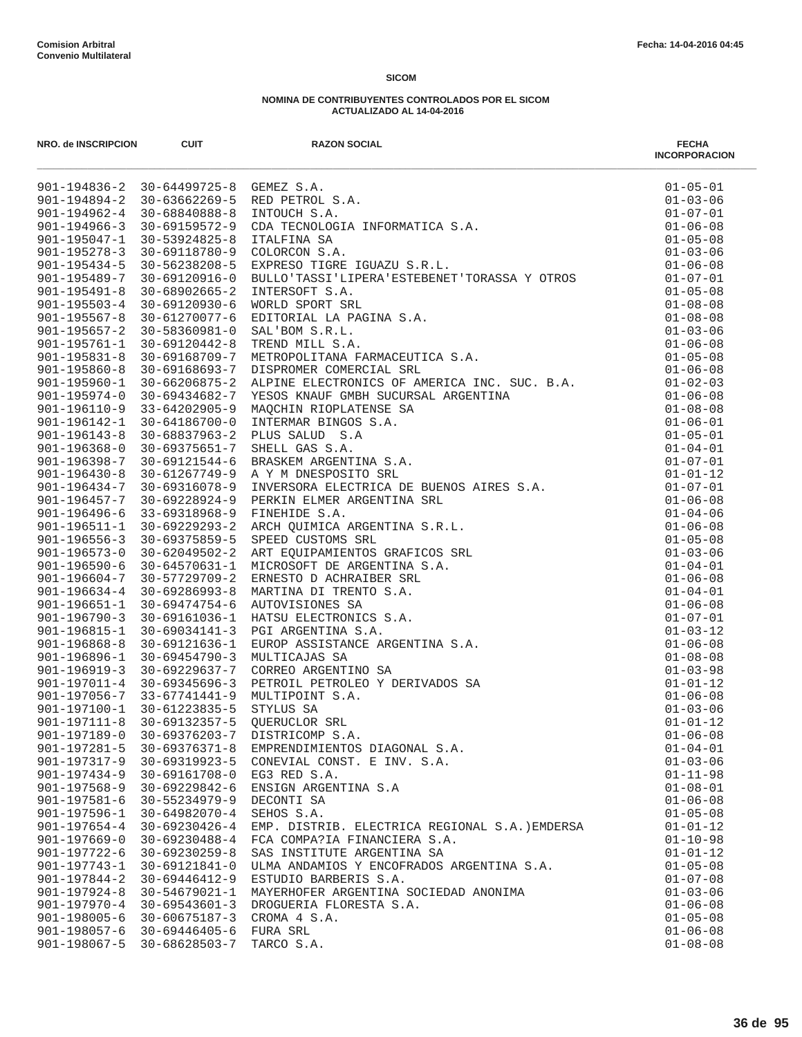|                    |                     | NRO.de NSCRIPCION<br>901-194826 2 20 (4499725 8 CEMIZ B.A.<br>901-194826 2 20 (4499725 8 CEMIZ B.A.<br>901-194882-4 2 10 (48860888-8 NRONCOCA INFORMATICA 5.A.<br>901-194882-4 2 10 (48860888-8 NRONCOCA INFORMATICA 5.A.<br>901-195289- | <b>FECHA</b><br><b>INCORPORACION</b> |
|--------------------|---------------------|------------------------------------------------------------------------------------------------------------------------------------------------------------------------------------------------------------------------------------------|--------------------------------------|
|                    |                     |                                                                                                                                                                                                                                          | $01 - 05 - 01$                       |
|                    |                     |                                                                                                                                                                                                                                          | $01 - 03 - 06$                       |
|                    |                     |                                                                                                                                                                                                                                          | $01 - 07 - 01$                       |
|                    |                     |                                                                                                                                                                                                                                          | $01 - 06 - 08$                       |
|                    |                     |                                                                                                                                                                                                                                          | $01 - 05 - 08$                       |
|                    |                     |                                                                                                                                                                                                                                          | $01 - 03 - 06$                       |
|                    |                     |                                                                                                                                                                                                                                          | $01 - 06 - 08$                       |
|                    |                     |                                                                                                                                                                                                                                          | $01 - 07 - 01$                       |
|                    |                     |                                                                                                                                                                                                                                          | $01 - 05 - 08$                       |
|                    |                     |                                                                                                                                                                                                                                          | $01 - 08 - 08$                       |
|                    |                     |                                                                                                                                                                                                                                          | $01 - 08 - 08$                       |
|                    |                     |                                                                                                                                                                                                                                          | $01 - 03 - 06$                       |
|                    |                     |                                                                                                                                                                                                                                          | $01 - 06 - 08$                       |
|                    |                     |                                                                                                                                                                                                                                          | $01 - 05 - 08$                       |
|                    |                     |                                                                                                                                                                                                                                          | $01 - 06 - 08$                       |
|                    |                     |                                                                                                                                                                                                                                          | $01 - 02 - 03$                       |
|                    |                     |                                                                                                                                                                                                                                          | $01 - 06 - 08$<br>$01 - 08 - 08$     |
|                    |                     |                                                                                                                                                                                                                                          |                                      |
|                    |                     |                                                                                                                                                                                                                                          | $01 - 06 - 01$                       |
|                    |                     |                                                                                                                                                                                                                                          | $01 - 05 - 01$                       |
|                    |                     |                                                                                                                                                                                                                                          | $01 - 04 - 01$<br>$01 - 07 - 01$     |
|                    |                     |                                                                                                                                                                                                                                          |                                      |
|                    |                     |                                                                                                                                                                                                                                          | $01 - 01 - 12$<br>$01 - 07 - 01$     |
|                    |                     |                                                                                                                                                                                                                                          | $01 - 06 - 08$                       |
|                    |                     |                                                                                                                                                                                                                                          | $01 - 04 - 06$                       |
|                    |                     |                                                                                                                                                                                                                                          | $01 - 06 - 08$                       |
|                    |                     |                                                                                                                                                                                                                                          | $01 - 05 - 08$                       |
|                    |                     |                                                                                                                                                                                                                                          | $01 - 03 - 06$                       |
|                    |                     |                                                                                                                                                                                                                                          | $01 - 04 - 01$                       |
|                    |                     |                                                                                                                                                                                                                                          | $01 - 06 - 08$                       |
|                    |                     |                                                                                                                                                                                                                                          | $01 - 04 - 01$                       |
|                    |                     |                                                                                                                                                                                                                                          | $01 - 06 - 08$                       |
|                    |                     |                                                                                                                                                                                                                                          | $01 - 07 - 01$                       |
|                    |                     |                                                                                                                                                                                                                                          | $01 - 03 - 12$                       |
|                    |                     |                                                                                                                                                                                                                                          | $01 - 06 - 08$                       |
|                    |                     |                                                                                                                                                                                                                                          | $01 - 08 - 08$                       |
|                    |                     |                                                                                                                                                                                                                                          | $01 - 03 - 98$                       |
|                    |                     |                                                                                                                                                                                                                                          | $01 - 01 - 12$                       |
|                    |                     |                                                                                                                                                                                                                                          | $01 - 06 - 08$                       |
|                    |                     |                                                                                                                                                                                                                                          | $01 - 03 - 06$                       |
|                    |                     |                                                                                                                                                                                                                                          | $01 - 01 - 12$                       |
| $901 - 197189 - 0$ | 30-69376203-7       | DISTRICOMP S.A.                                                                                                                                                                                                                          | $01 - 06 - 08$                       |
| $901 - 197281 - 5$ | $30 - 69376371 - 8$ | EMPRENDIMIENTOS DIAGONAL S.A.                                                                                                                                                                                                            | $01 - 04 - 01$                       |
| $901 - 197317 - 9$ | 30-69319923-5       | CONEVIAL CONST. E INV. S.A.                                                                                                                                                                                                              | $01 - 03 - 06$                       |
| $901 - 197434 - 9$ | $30 - 69161708 - 0$ | EG3 RED S.A.                                                                                                                                                                                                                             | $01 - 11 - 98$                       |
| $901 - 197568 - 9$ | 30-69229842-6       | ENSIGN ARGENTINA S.A                                                                                                                                                                                                                     | $01 - 08 - 01$                       |
| $901 - 197581 - 6$ | 30-55234979-9       | DECONTI SA                                                                                                                                                                                                                               | $01 - 06 - 08$                       |
| 901-197596-1       | 30-64982070-4       | SEHOS S.A.                                                                                                                                                                                                                               | $01 - 05 - 08$                       |
| $901 - 197654 - 4$ | $30 - 69230426 - 4$ | EMP. DISTRIB. ELECTRICA REGIONAL S.A.) EMDERSA                                                                                                                                                                                           | $01 - 01 - 12$                       |
| $901 - 197669 - 0$ | $30 - 69230488 - 4$ | FCA COMPA?IA FINANCIERA S.A.                                                                                                                                                                                                             | $01 - 10 - 98$                       |
| $901 - 197722 - 6$ | $30 - 69230259 - 8$ | SAS INSTITUTE ARGENTINA SA                                                                                                                                                                                                               | $01 - 01 - 12$                       |
| $901 - 197743 - 1$ | $30 - 69121841 - 0$ | ULMA ANDAMIOS Y ENCOFRADOS ARGENTINA S.A.                                                                                                                                                                                                | $01 - 05 - 08$                       |
| $901 - 197844 - 2$ | $30 - 69446412 - 9$ | ESTUDIO BARBERIS S.A.                                                                                                                                                                                                                    | $01 - 07 - 08$                       |
| $901 - 197924 - 8$ | $30 - 54679021 - 1$ | MAYERHOFER ARGENTINA SOCIEDAD ANONIMA                                                                                                                                                                                                    | $01 - 03 - 06$                       |
| $901 - 197970 - 4$ | $30 - 69543601 - 3$ | DROGUERIA FLORESTA S.A.                                                                                                                                                                                                                  | $01 - 06 - 08$                       |
| $901 - 198005 - 6$ | $30 - 60675187 - 3$ | CROMA 4 S.A.                                                                                                                                                                                                                             | $01 - 05 - 08$                       |
| $901 - 198057 - 6$ | $30 - 69446405 - 6$ | FURA SRL                                                                                                                                                                                                                                 | $01 - 06 - 08$                       |
| 901-198067-5       | 30-68628503-7       | TARCO S.A.                                                                                                                                                                                                                               | $01 - 08 - 08$                       |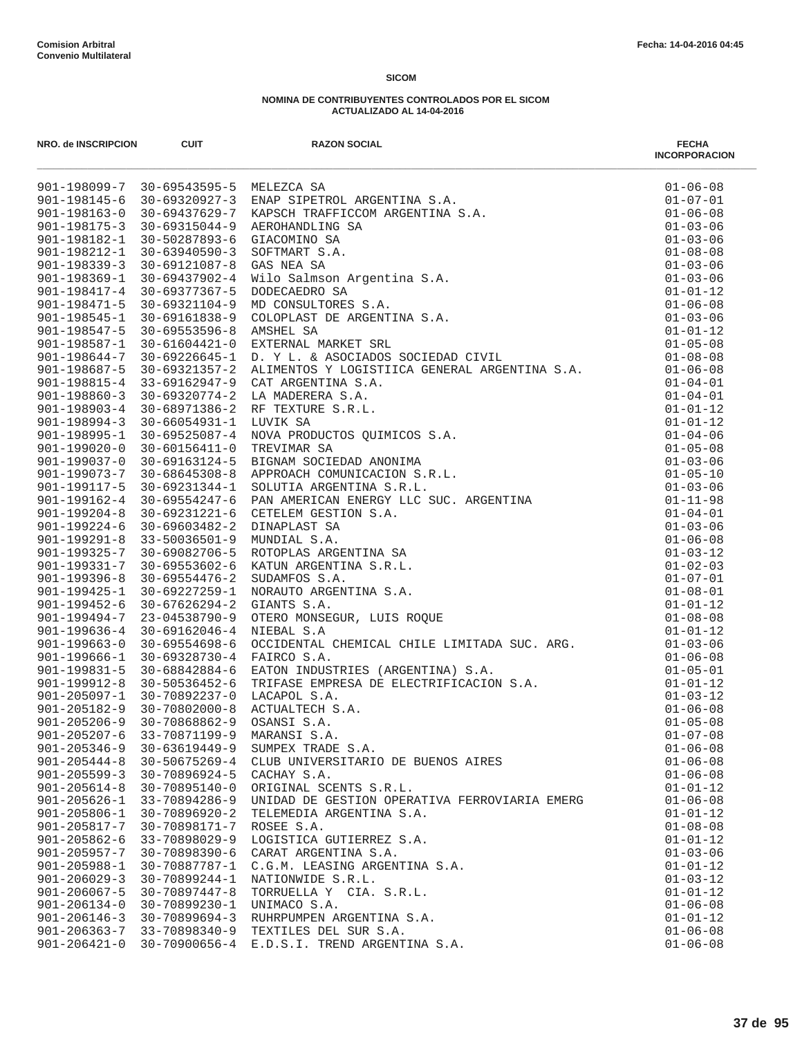| NRO. de INSCRIPCION        | <b>CUIT</b>                                 | <b>RAZON SOCIAL</b>                                                                                                                                                                                                                                                                                  | <b>FECHA</b><br><b>INCORPORACION</b> |
|----------------------------|---------------------------------------------|------------------------------------------------------------------------------------------------------------------------------------------------------------------------------------------------------------------------------------------------------------------------------------------------------|--------------------------------------|
|                            |                                             | 901-198099-7 30-69543595-5 MELEZCA SA<br>901-198145-6 30-69320927-3 ENAP SIPETROL ARGENTINA S.A.<br>901-198163-0 30-69437629-7 KAPSCH TRAFFICCOM ARGENTINA S.A.<br>901-198152-1 30-69315044-9 AEROHANDLING SA<br>901-198182-1 30-50287                                                               | $01 - 06 - 08$                       |
|                            |                                             |                                                                                                                                                                                                                                                                                                      | $01 - 07 - 01$                       |
|                            |                                             |                                                                                                                                                                                                                                                                                                      | $01 - 06 - 08$                       |
|                            |                                             |                                                                                                                                                                                                                                                                                                      | $01 - 03 - 06$                       |
|                            |                                             |                                                                                                                                                                                                                                                                                                      | $01 - 03 - 06$                       |
|                            |                                             |                                                                                                                                                                                                                                                                                                      | $01 - 08 - 08$                       |
|                            |                                             |                                                                                                                                                                                                                                                                                                      | $01 - 03 - 06$                       |
|                            |                                             |                                                                                                                                                                                                                                                                                                      | $01 - 03 - 06$                       |
|                            |                                             |                                                                                                                                                                                                                                                                                                      | $01 - 01 - 12$                       |
|                            |                                             |                                                                                                                                                                                                                                                                                                      | $01 - 06 - 08$<br>$01 - 03 - 06$     |
|                            |                                             |                                                                                                                                                                                                                                                                                                      | $01 - 01 - 12$                       |
|                            |                                             |                                                                                                                                                                                                                                                                                                      | $01 - 05 - 08$                       |
|                            |                                             |                                                                                                                                                                                                                                                                                                      | $01 - 08 - 08$                       |
|                            |                                             |                                                                                                                                                                                                                                                                                                      | $01 - 06 - 08$                       |
|                            | 901-198815-4 33-69162947-9                  |                                                                                                                                                                                                                                                                                                      | $01 - 04 - 01$                       |
|                            | $901 - 198860 - 3$ 30-69320774-2            |                                                                                                                                                                                                                                                                                                      | $01 - 04 - 01$                       |
| 901-198903-4 30-68971386-2 |                                             |                                                                                                                                                                                                                                                                                                      | $01 - 01 - 12$                       |
| $901 - 198994 - 3$         |                                             |                                                                                                                                                                                                                                                                                                      | $01 - 01 - 12$                       |
| 901-198995-1               |                                             |                                                                                                                                                                                                                                                                                                      | $01 - 04 - 06$                       |
| $901 - 199020 - 0$         |                                             |                                                                                                                                                                                                                                                                                                      | $01 - 05 - 08$                       |
|                            | 901-199037-0 30-69163124-5                  |                                                                                                                                                                                                                                                                                                      | $01 - 03 - 06$                       |
|                            |                                             | 901-199073-7 30-68645308-8 APPROACH COMUNICACION S.R.L.                                                                                                                                                                                                                                              | $01 - 05 - 10$                       |
| 901-199117-5               |                                             |                                                                                                                                                                                                                                                                                                      | $01 - 03 - 06$                       |
| 901-199162-4               |                                             |                                                                                                                                                                                                                                                                                                      | $01 - 11 - 98$                       |
|                            |                                             | 901-199204-8 30-69231221-6 CETELEM GESTION S.A.                                                                                                                                                                                                                                                      | $01 - 04 - 01$                       |
| $901 - 199224 - 6$         |                                             |                                                                                                                                                                                                                                                                                                      | $01 - 03 - 06$                       |
|                            | 901-199291-8 33-50036501-9                  |                                                                                                                                                                                                                                                                                                      | $01 - 06 - 08$                       |
|                            |                                             | 30-69321357-2 ALIMENTOS Y LOGISTIICA GENERAL ARGENTINA S.A.<br>33-69162947-9 CAT ARGENTINA S.A.<br>30-69320774-2 LA MADERERA S.A.<br>30-69320774-2 LA MADERERA S.A.<br>30-66954931-1 LUVIK SA<br>30-66554931-1 LUVIK SADOUCTOS QUIMICOS S.A.<br><br>901-199325-7 30-69082706-5 ROTOPLAS ARGENTINA SA | $01 - 03 - 12$                       |
| 901-199331-7               |                                             |                                                                                                                                                                                                                                                                                                      | $01 - 02 - 03$                       |
| $901 - 199396 - 8$         |                                             |                                                                                                                                                                                                                                                                                                      | $01 - 07 - 01$                       |
| 901-199425-1               |                                             |                                                                                                                                                                                                                                                                                                      | $01 - 08 - 01$                       |
| $901 - 199452 - 6$         |                                             |                                                                                                                                                                                                                                                                                                      | $01 - 01 - 12$                       |
| 901-199494-7               |                                             |                                                                                                                                                                                                                                                                                                      | $01 - 08 - 08$                       |
| $901 - 199636 - 4$         |                                             |                                                                                                                                                                                                                                                                                                      | $01 - 01 - 12$                       |
| $901 - 199663 - 0$         | $30 - 69554698 - 6$                         |                                                                                                                                                                                                                                                                                                      | $01 - 03 - 06$                       |
| 901-199666-1               | 30-69328730-4 FAIRCO S.A.                   | NIEBAL S.A<br>OCCIDENTAL CHEMICAL CHILE LIMITADA SUC. ARG.<br>FAIRCO S.A.<br>EATON INDUSTRIES (ARGENTINA) S.A.<br>TRIFASE EMPRESA DE ELECTRIFICACION S.A.<br>LACAPOL S.A.<br>ACTUALTECH S.A.<br>OSANSI S.A.<br>MARANSI S.A.                                                                          | $01 - 06 - 08$                       |
| 901-199831-5               | 30-68842884-6                               | EATON INDUSTRIES (ARGENTINA) S.A.                                                                                                                                                                                                                                                                    | $01 - 05 - 01$                       |
| $901 - 199912 - 8$         | 30-50536452-6<br>901-205097-1 30-70892237-0 | LACAPOL S.A.                                                                                                                                                                                                                                                                                         | $01 - 01 - 12$<br>$01 - 03 - 12$     |
| $901 - 205182 - 9$         | $30 - 70802000 - 8$                         |                                                                                                                                                                                                                                                                                                      | $01 - 06 - 08$                       |
| $901 - 205206 - 9$         | 30-70868862-9                               |                                                                                                                                                                                                                                                                                                      | $01 - 05 - 08$                       |
| $901 - 205207 - 6$         | 33-70871199-9                               | MARANSI S.A.                                                                                                                                                                                                                                                                                         | $01 - 07 - 08$                       |
| $901 - 205346 - 9$         | 30-63619449-9                               | SUMPEX TRADE S.A.                                                                                                                                                                                                                                                                                    | $01 - 06 - 08$                       |
| $901 - 205444 - 8$         | 30-50675269-4                               | CLUB UNIVERSITARIO DE BUENOS AIRES                                                                                                                                                                                                                                                                   | $01 - 06 - 08$                       |
| $901 - 205599 - 3$         | 30-70896924-5                               | CACHAY S.A.                                                                                                                                                                                                                                                                                          | $01 - 06 - 08$                       |
| $901 - 205614 - 8$         | 30-70895140-0                               | ORIGINAL SCENTS S.R.L.                                                                                                                                                                                                                                                                               | $01 - 01 - 12$                       |
| $901 - 205626 - 1$         | 33-70894286-9                               | UNIDAD DE GESTION OPERATIVA FERROVIARIA EMERG                                                                                                                                                                                                                                                        | $01 - 06 - 08$                       |
| $901 - 205806 - 1$         | $30 - 70896920 - 2$                         | TELEMEDIA ARGENTINA S.A.                                                                                                                                                                                                                                                                             | $01 - 01 - 12$                       |
| $901 - 205817 - 7$         | 30-70898171-7                               | ROSEE S.A.                                                                                                                                                                                                                                                                                           | $01 - 08 - 08$                       |
| $901 - 205862 - 6$         | 33-70898029-9                               | LOGISTICA GUTIERREZ S.A.                                                                                                                                                                                                                                                                             | $01 - 01 - 12$                       |
| $901 - 205957 - 7$         | 30-70898390-6                               | CARAT ARGENTINA S.A.                                                                                                                                                                                                                                                                                 | $01 - 03 - 06$                       |
| $901 - 205988 - 1$         | 30-70887787-1                               | C.G.M. LEASING ARGENTINA S.A.                                                                                                                                                                                                                                                                        | $01 - 01 - 12$                       |
| $901 - 206029 - 3$         | 30-70899244-1                               | NATIONWIDE S.R.L.                                                                                                                                                                                                                                                                                    | $01 - 03 - 12$                       |
| $901 - 206067 - 5$         | $30 - 70897447 - 8$                         | TORRUELLA Y CIA. S.R.L.                                                                                                                                                                                                                                                                              | $01 - 01 - 12$                       |
| $901 - 206134 - 0$         | 30-70899230-1                               | UNIMACO S.A.                                                                                                                                                                                                                                                                                         | $01 - 06 - 08$                       |
| $901 - 206146 - 3$         | $30 - 70899694 - 3$                         | RUHRPUMPEN ARGENTINA S.A.                                                                                                                                                                                                                                                                            | $01 - 01 - 12$                       |
| $901 - 206363 - 7$         | 33-70898340-9                               | TEXTILES DEL SUR S.A.                                                                                                                                                                                                                                                                                | $01 - 06 - 08$                       |
| $901 - 206421 - 0$         |                                             | 30-70900656-4 E.D.S.I. TREND ARGENTINA S.A.                                                                                                                                                                                                                                                          | $01 - 06 - 08$                       |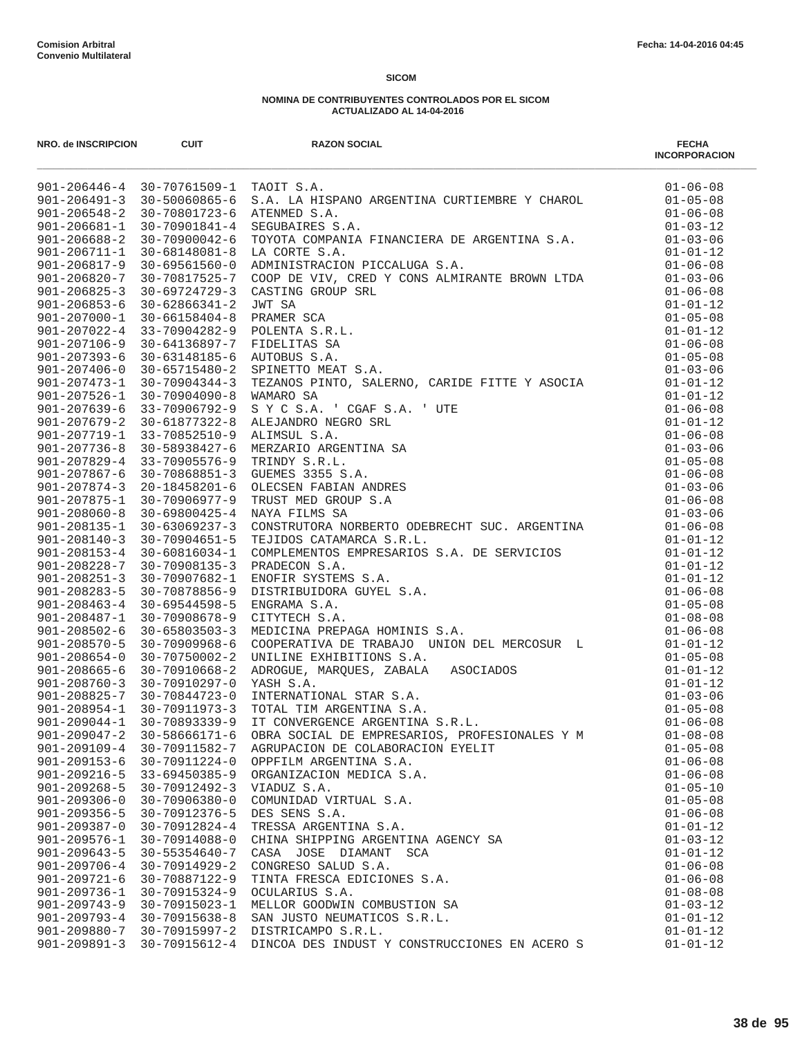| NRO. de INSCRIPCION                      | <b>CUIT</b>                           | <b>RAZON SOCIAL</b>                                                                                                                                                                                                                              | <b>FECHA</b><br><b>INCORPORACION</b> |
|------------------------------------------|---------------------------------------|--------------------------------------------------------------------------------------------------------------------------------------------------------------------------------------------------------------------------------------------------|--------------------------------------|
|                                          | 901-206446-4 30-70761509-1 TAOIT S.A. |                                                                                                                                                                                                                                                  | $01 - 06 - 08$                       |
|                                          | 901-206491-3 30-50060865-6            |                                                                                                                                                                                                                                                  | $01 - 05 - 08$                       |
| $901 - 206548 - 2$                       | 30-70801723-6                         | S.A. LA HISPANO ARGENTINA CURTIEMBRE Y CHAROL<br>ATENMED S.A.<br>SEGUBAIRES S.A.<br>TOYOTA COMPANIA FINANCIERA DE ARGENTINA S.A.                                                                                                                 | $01 - 06 - 08$                       |
| $901 - 206681 - 1$                       | 30-70901841-4                         |                                                                                                                                                                                                                                                  | $01 - 03 - 12$                       |
| $901 - 206688 - 2$                       | 30-70900042-6                         | TOYOTA COMPANIA FINANCIERA DE ARGENTINA S.A.<br>LA CORTE S.A.<br>ADMINISTRACION PICCALUGA S.A.<br>COOP DE VIV, CRED Y CONS ALMIRANTE BROWN LTDA<br>CASTING GROUP SRL<br>FRAMER SCA<br>POLENTA S.R.L.<br>FRAMER SCA<br>POLENTA S.R.L.<br>AUTOBUS  | $01 - 03 - 06$                       |
| $901 - 206711 - 1$                       | 30-68148081-8                         |                                                                                                                                                                                                                                                  | $01 - 01 - 12$                       |
| $901 - 206817 - 9$                       | 30-69561560-0                         |                                                                                                                                                                                                                                                  | $01 - 06 - 08$                       |
| $901 - 206820 - 7$                       | 30-70817525-7                         |                                                                                                                                                                                                                                                  | $01 - 03 - 06$                       |
| $901 - 206825 - 3$                       | $30 - 69724729 - 3$                   |                                                                                                                                                                                                                                                  | $01 - 06 - 08$                       |
| $901 - 206853 - 6$                       | $30 - 62866341 - 2$                   |                                                                                                                                                                                                                                                  | $01 - 01 - 12$                       |
| $901 - 207000 - 1$                       | 30-66158404-8                         |                                                                                                                                                                                                                                                  | $01 - 05 - 08$                       |
| $901 - 207022 - 4$                       | 33-70904282-9                         |                                                                                                                                                                                                                                                  | $01 - 01 - 12$                       |
| $901 - 207106 - 9$                       | 30-64136897-7 FIDELITAS SA            |                                                                                                                                                                                                                                                  | $01 - 06 - 08$                       |
| $901 - 207393 - 6$                       | 30-63148185-6 AUTOBUS S.A.            |                                                                                                                                                                                                                                                  | $01 - 05 - 08$                       |
| $901 - 207406 - 0$<br>$901 - 207473 - 1$ | 30-65715480-2                         |                                                                                                                                                                                                                                                  | $01 - 03 - 06$                       |
| $901 - 207526 - 1$                       | 30-70904344-3                         |                                                                                                                                                                                                                                                  | $01 - 01 - 12$<br>$01 - 01 - 12$     |
| $901 - 207639 - 6$                       | 30-70904090-8<br>33-70906792-9        |                                                                                                                                                                                                                                                  | $01 - 06 - 08$                       |
| $901 - 207679 - 2$                       | 30-61877322-8                         |                                                                                                                                                                                                                                                  | $01 - 01 - 12$                       |
| 901-207719-1                             | 33-70852510-9                         |                                                                                                                                                                                                                                                  | $01 - 06 - 08$                       |
| $901 - 207736 - 8$                       | 30-58938427-6                         |                                                                                                                                                                                                                                                  | $01 - 03 - 06$                       |
| $901 - 207829 - 4$                       | 33-70905576-9                         |                                                                                                                                                                                                                                                  | $01 - 05 - 08$                       |
| $901 - 207867 - 6$                       |                                       | 30-70868851-3 GUEMES 3355 S.A.                                                                                                                                                                                                                   | $01 - 06 - 08$                       |
| $901 - 207874 - 3$                       | 20-18458201-6                         |                                                                                                                                                                                                                                                  | $01 - 03 - 06$                       |
| 901-207875-1                             | 30-70906977-9                         |                                                                                                                                                                                                                                                  | $01 - 06 - 08$                       |
| $901 - 208060 - 8$                       |                                       | 30-69800425-4 NAYA FILMS SA                                                                                                                                                                                                                      | $01 - 03 - 06$                       |
| $901 - 208135 - 1$                       | $30 - 63069237 - 3$                   |                                                                                                                                                                                                                                                  | $01 - 06 - 08$                       |
| $901 - 208140 - 3$                       | 30-70904651-5                         |                                                                                                                                                                                                                                                  | $01 - 01 - 12$                       |
| $901 - 208153 - 4$                       | 30-60816034-1                         | NAYA FILMS SA<br>CONSTRUTORA NORBERTO ODEBRECHT SUC. ARGENTINA<br>TEJIDOS CATAMARCA S.R.L.<br>COMPLEMENTOS EMPRESARIOS S.A. DE SERVICIOS<br>FRADECON S.A.<br>ENOFIR SYSTEMS S.A.<br>ENOFIR SYSTEMS S.A.<br>ENGRAMA S.A.<br>CITYTECH S.A.<br>COPE | $01 - 01 - 12$                       |
| $901 - 208228 - 7$                       | 30-70908135-3                         |                                                                                                                                                                                                                                                  | $01 - 01 - 12$                       |
| $901 - 208251 - 3$                       | 30-70907682-1                         |                                                                                                                                                                                                                                                  | $01 - 01 - 12$                       |
| $901 - 208283 - 5$                       | 30-70878856-9                         |                                                                                                                                                                                                                                                  | $01 - 06 - 08$                       |
| $901 - 208463 - 4$                       | $30 - 69544598 - 5$                   |                                                                                                                                                                                                                                                  | $01 - 05 - 08$                       |
| $901 - 208487 - 1$                       | 30-70908678-9                         |                                                                                                                                                                                                                                                  | $01 - 08 - 08$                       |
| $901 - 208502 - 6$                       | $30 - 65803503 - 3$                   |                                                                                                                                                                                                                                                  | $01 - 06 - 08$                       |
| $901 - 208570 - 5$                       | $30 - 70909968 - 6$                   |                                                                                                                                                                                                                                                  | $01 - 01 - 12$                       |
| $901 - 208654 - 0$                       | 30-70750002-2                         |                                                                                                                                                                                                                                                  | $01 - 05 - 08$                       |
| $901 - 208665 - 6$                       | 30-70910668-2                         |                                                                                                                                                                                                                                                  | $01 - 01 - 12$                       |
| $901 - 208760 - 3$                       | 30-70910297-0                         |                                                                                                                                                                                                                                                  | $01 - 01 - 12$                       |
| 901-208825-7 30-70844723-0               |                                       |                                                                                                                                                                                                                                                  | $01 - 03 - 06$                       |
| $901 - 208954 - 1$                       | 30-70911973-3                         |                                                                                                                                                                                                                                                  | $01 - 05 - 08$                       |
| $901 - 209044 - 1$                       | 30-70893339-9                         |                                                                                                                                                                                                                                                  | $01 - 06 - 08$                       |
| $901 - 209047 - 2$                       | $30 - 58666171 - 6$                   | OBRA SOCIAL DE EMPRESARIOS, PROFESIONALES Y M                                                                                                                                                                                                    | $01 - 08 - 08$                       |
| $901 - 209109 - 4$                       | 30-70911582-7                         | AGRUPACION DE COLABORACION EYELIT                                                                                                                                                                                                                | $01 - 05 - 08$                       |
| $901 - 209153 - 6$                       | 30-70911224-0                         | OPPFILM ARGENTINA S.A.                                                                                                                                                                                                                           | $01 - 06 - 08$                       |
| $901 - 209216 - 5$                       | $33 - 69450385 - 9$                   | ORGANIZACION MEDICA S.A.                                                                                                                                                                                                                         | $01 - 06 - 08$                       |
| $901 - 209268 - 5$                       | 30-70912492-3                         | VIADUZ S.A.                                                                                                                                                                                                                                      | $01 - 05 - 10$                       |
| $901 - 209306 - 0$                       | $30 - 70906380 - 0$                   | COMUNIDAD VIRTUAL S.A.                                                                                                                                                                                                                           | $01 - 05 - 08$                       |
| $901 - 209356 - 5$                       | 30-70912376-5                         | DES SENS S.A.                                                                                                                                                                                                                                    | $01 - 06 - 08$                       |
| $901 - 209387 - 0$                       | 30-70912824-4                         | TRESSA ARGENTINA S.A.                                                                                                                                                                                                                            | $01 - 01 - 12$                       |
| $901 - 209576 - 1$                       | 30-70914088-0                         | CHINA SHIPPING ARGENTINA AGENCY SA                                                                                                                                                                                                               | $01 - 03 - 12$                       |
| $901 - 209643 - 5$                       | $30 - 55354640 - 7$                   | CASA JOSE DIAMANT SCA                                                                                                                                                                                                                            | $01 - 01 - 12$                       |
| $901 - 209706 - 4$                       | $30 - 70914929 - 2$                   | CONGRESO SALUD S.A.                                                                                                                                                                                                                              | $01 - 06 - 08$                       |
| $901 - 209721 - 6$                       | 30-70887122-9                         | TINTA FRESCA EDICIONES S.A.                                                                                                                                                                                                                      | $01 - 06 - 08$                       |
| $901 - 209736 - 1$                       | 30-70915324-9                         | OCULARIUS S.A.                                                                                                                                                                                                                                   | $01 - 08 - 08$                       |
| $901 - 209743 - 9$                       | 30-70915023-1                         | MELLOR GOODWIN COMBUSTION SA                                                                                                                                                                                                                     | $01 - 03 - 12$                       |
| $901 - 209793 - 4$                       | 30-70915638-8                         | SAN JUSTO NEUMATICOS S.R.L.                                                                                                                                                                                                                      | $01 - 01 - 12$                       |
| $901 - 209880 - 7$<br>$901 - 209891 - 3$ | 30-70915997-2<br>30-70915612-4        | DISTRICAMPO S.R.L.<br>DINCOA DES INDUST Y CONSTRUCCIONES EN ACERO S                                                                                                                                                                              | $01 - 01 - 12$<br>$01 - 01 - 12$     |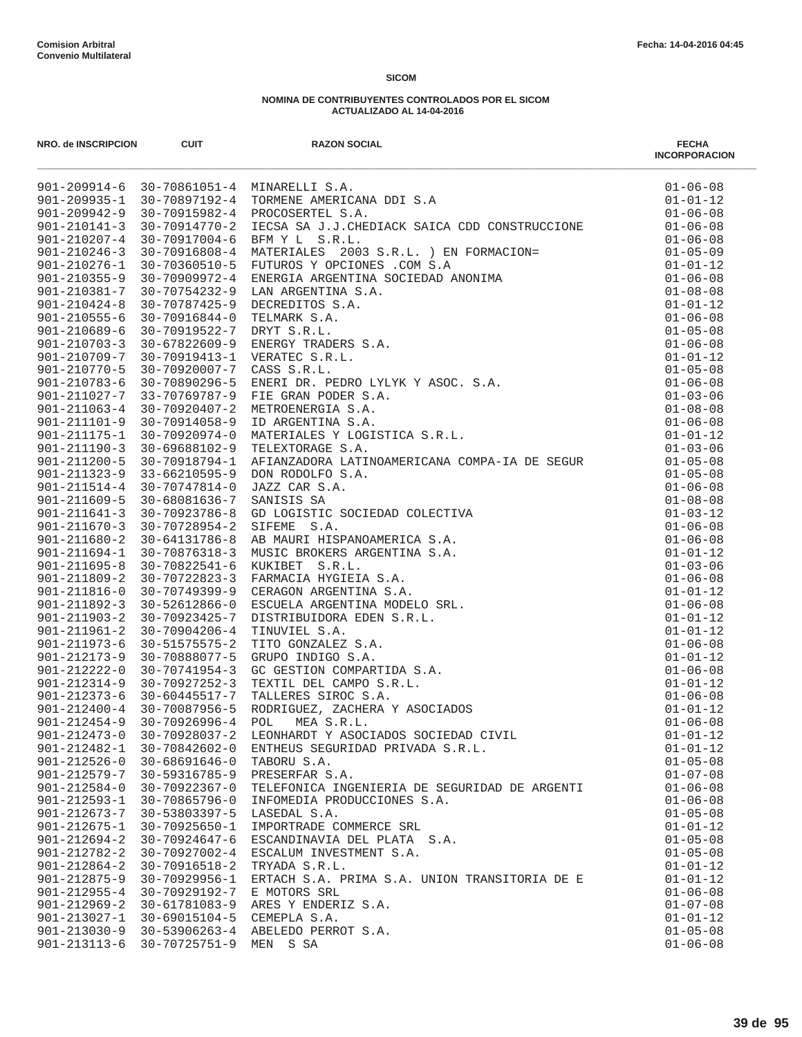| NRO. de INSCRIPCION                      | <b>CUIT</b>                      | <b>RAZON SOCIAL</b>                                                                                                                                                                                                                                                                        | <b>FECHA</b><br><b>INCORPORACION</b> |
|------------------------------------------|----------------------------------|--------------------------------------------------------------------------------------------------------------------------------------------------------------------------------------------------------------------------------------------------------------------------------------------|--------------------------------------|
|                                          |                                  | 901-209914-6 30-70861051-4 MINARELLI S.A.<br>901-209935-1 30-70897192-4 TORMENE AMERICANA DDI S.A<br>901-209935-1 30-70897192-4 DROMENE AMERICANA DDI S.A                                                                                                                                  | $01 - 06 - 08$                       |
|                                          |                                  |                                                                                                                                                                                                                                                                                            | $01 - 01 - 12$                       |
|                                          |                                  |                                                                                                                                                                                                                                                                                            | $01 - 06 - 08$                       |
| $901 - 210141 - 3$                       | 30-70914770-2                    | IECSA SA J.J.CHEDIACK SAICA CDD CONSTRUCCIONE<br>30–70914770–2 IECSA SA J.J.CHEDIACK SAICA CDD CONSTRUCCIONE<br>30–709156808–6 BEM Y L S.R.L. ) EN FORMACION=<br>30–70916808–4 MATERIALES 2003 S.R.L. ) EN FORMACION=<br>30–70909972–4 ENERGIA ARGENTINA SOCIEDAD ANONIMA<br>30–70754232–9 | $01 - 06 - 08$                       |
| $901 - 210207 - 4$                       |                                  |                                                                                                                                                                                                                                                                                            | $01 - 06 - 08$                       |
| $901 - 210246 - 3$                       |                                  |                                                                                                                                                                                                                                                                                            | $01 - 05 - 09$                       |
| $901 - 210276 - 1$                       |                                  |                                                                                                                                                                                                                                                                                            | $01 - 01 - 12$                       |
| $901 - 210355 - 9$                       |                                  |                                                                                                                                                                                                                                                                                            | $01 - 06 - 08$                       |
| 901-210381-7<br>$901 - 210424 - 8$       |                                  |                                                                                                                                                                                                                                                                                            | $01 - 08 - 08$<br>$01 - 01 - 12$     |
| $901 - 210555 - 6$                       |                                  |                                                                                                                                                                                                                                                                                            | $01 - 06 - 08$                       |
| $901 - 210689 - 6$                       |                                  |                                                                                                                                                                                                                                                                                            | $01 - 05 - 08$                       |
| $901 - 210703 - 3$                       |                                  |                                                                                                                                                                                                                                                                                            | $01 - 06 - 08$                       |
| 901-210709-7                             |                                  |                                                                                                                                                                                                                                                                                            | $01 - 01 - 12$                       |
| $901 - 210770 - 5$                       |                                  |                                                                                                                                                                                                                                                                                            | $01 - 05 - 08$                       |
| $901 - 210783 - 6$                       |                                  |                                                                                                                                                                                                                                                                                            | $01 - 06 - 08$                       |
|                                          |                                  | 901-211027-7 33-70769787-9 FIE GRAN PODER S.A.                                                                                                                                                                                                                                             | $01 - 03 - 06$                       |
| $901 - 211063 - 4$                       |                                  |                                                                                                                                                                                                                                                                                            | $01 - 08 - 08$                       |
| $901 - 211101 - 9$                       |                                  |                                                                                                                                                                                                                                                                                            | $01 - 06 - 08$                       |
| $901 - 211175 - 1$                       |                                  |                                                                                                                                                                                                                                                                                            | $01 - 01 - 12$                       |
| $901 - 211190 - 3$                       |                                  |                                                                                                                                                                                                                                                                                            | $01 - 03 - 06$                       |
| $901 - 211200 - 5$                       |                                  |                                                                                                                                                                                                                                                                                            | $01 - 05 - 08$                       |
|                                          | $901 - 211323 - 9$ 33-66210595-9 |                                                                                                                                                                                                                                                                                            | $01 - 05 - 08$                       |
| $901 - 211514 - 4$                       | 30-70747814-0                    |                                                                                                                                                                                                                                                                                            | $01 - 06 - 08$                       |
| $901 - 211609 - 5$                       | 30-68081636-7                    |                                                                                                                                                                                                                                                                                            | $01 - 08 - 08$                       |
| $901 - 211641 - 3$                       | 30-70923786-8                    |                                                                                                                                                                                                                                                                                            | $01 - 03 - 12$                       |
| $901 - 211670 - 3$                       | 30-70728954-2                    | TELEXTORAGE S.A.<br>AFIMZADORA LATINOAMERICANA COMPA-IA DE SEGUR<br>DON RODOLFO S.A.<br>SANISIS SA<br>GENERE S.A.<br>SANISIS SA<br>GENERE S.A.<br>AB MAURI HISPANOAMERICA S.A.<br>AB MAURI HISPANOAMERICA S.A.<br>MUSIC BROKERS ARGENTINA S.A.<br>                                         | $01 - 06 - 08$                       |
| $901 - 211680 - 2$                       | 30-64131786-8                    |                                                                                                                                                                                                                                                                                            | $01 - 06 - 08$                       |
| $901 - 211694 - 1$                       | 30-70876318-3                    |                                                                                                                                                                                                                                                                                            | $01 - 01 - 12$                       |
| $901 - 211695 - 8$                       | 30-70822541-6                    |                                                                                                                                                                                                                                                                                            | $01 - 03 - 06$                       |
| $901 - 211809 - 2$                       | 30-70722823-3                    |                                                                                                                                                                                                                                                                                            | $01 - 06 - 08$                       |
| 901-211816-0                             | 30-70749399-9                    |                                                                                                                                                                                                                                                                                            | $01 - 01 - 12$                       |
| $901 - 211892 - 3$                       | 30-52612866-0                    |                                                                                                                                                                                                                                                                                            | $01 - 06 - 08$                       |
| $901 - 211903 - 2$<br>$901 - 211961 - 2$ | 30-70923425-7<br>30-70904206-4   |                                                                                                                                                                                                                                                                                            | $01 - 01 - 12$<br>$01 - 01 - 12$     |
| $901 - 211973 - 6$                       | 30-51575575-2                    |                                                                                                                                                                                                                                                                                            | $01 - 06 - 08$                       |
| $901 - 212173 - 9$                       | 30-70888077-5                    |                                                                                                                                                                                                                                                                                            | $01 - 01 - 12$                       |
| $901 - 212222 - 0$                       | 30-70741954-3                    |                                                                                                                                                                                                                                                                                            | $01 - 06 - 08$                       |
| $901 - 212314 - 9$                       | 30-70927252-3                    |                                                                                                                                                                                                                                                                                            | $01 - 01 - 12$                       |
|                                          | $901 - 212373 - 6$ 30-60445517-7 |                                                                                                                                                                                                                                                                                            | $01 - 06 - 08$                       |
| 901-212400-4 30-70087956-5               |                                  |                                                                                                                                                                                                                                                                                            | $01 - 01 - 12$                       |
| $901 - 212454 - 9$                       | 30-70926996-4                    |                                                                                                                                                                                                                                                                                            | $01 - 06 - 08$                       |
| $901 - 212473 - 0$                       | $30 - 70928037 - 2$              | LEONHARDT Y ASOCIADOS SOCIEDAD CIVIL                                                                                                                                                                                                                                                       | $01 - 01 - 12$                       |
| $901 - 212482 - 1$                       | 30-70842602-0                    | ENTHEUS SEGURIDAD PRIVADA S.R.L.                                                                                                                                                                                                                                                           | $01 - 01 - 12$                       |
| $901 - 212526 - 0$                       | $30 - 68691646 - 0$              | TABORU S.A.                                                                                                                                                                                                                                                                                | $01 - 05 - 08$                       |
| $901 - 212579 - 7$                       | 30-59316785-9                    | PRESERFAR S.A.                                                                                                                                                                                                                                                                             | $01 - 07 - 08$                       |
| $901 - 212584 - 0$                       | 30-70922367-0                    | TELEFONICA INGENIERIA DE SEGURIDAD DE ARGENTI                                                                                                                                                                                                                                              | $01 - 06 - 08$                       |
| $901 - 212593 - 1$                       | 30-70865796-0                    | INFOMEDIA PRODUCCIONES S.A.                                                                                                                                                                                                                                                                | $01 - 06 - 08$                       |
| $901 - 212673 - 7$                       | 30-53803397-5                    | LASEDAL S.A.                                                                                                                                                                                                                                                                               | $01 - 05 - 08$                       |
| $901 - 212675 - 1$                       | $30 - 70925650 - 1$              | IMPORTRADE COMMERCE SRL                                                                                                                                                                                                                                                                    | $01 - 01 - 12$                       |
| $901 - 212694 - 2$                       | $30 - 70924647 - 6$              | ESCANDINAVIA DEL PLATA S.A.                                                                                                                                                                                                                                                                | $01 - 05 - 08$                       |
| $901 - 212782 - 2$                       | 30-70927002-4                    | ESCALUM INVESTMENT S.A.                                                                                                                                                                                                                                                                    | $01 - 05 - 08$                       |
| $901 - 212864 - 2$                       | 30-70916518-2                    | TRYADA S.R.L.                                                                                                                                                                                                                                                                              | $01 - 01 - 12$                       |
| $901 - 212875 - 9$                       | 30-70929956-1                    | ERTACH S.A. PRIMA S.A. UNION TRANSITORIA DE E                                                                                                                                                                                                                                              | $01 - 01 - 12$                       |
| $901 - 212955 - 4$                       | 30-70929192-7                    | E MOTORS SRL                                                                                                                                                                                                                                                                               | $01 - 06 - 08$                       |
| $901 - 212969 - 2$                       | 30-61781083-9                    | ARES Y ENDERIZ S.A.                                                                                                                                                                                                                                                                        | $01 - 07 - 08$                       |
| $901 - 213027 - 1$                       | 30-69015104-5                    | CEMEPLA S.A.                                                                                                                                                                                                                                                                               | $01 - 01 - 12$                       |
| $901 - 213030 - 9$                       | 30-53906263-4                    | ABELEDO PERROT S.A.                                                                                                                                                                                                                                                                        | $01 - 05 - 08$                       |
| $901 - 213113 - 6$                       | 30-70725751-9                    | MEN S SA                                                                                                                                                                                                                                                                                   | $01 - 06 - 08$                       |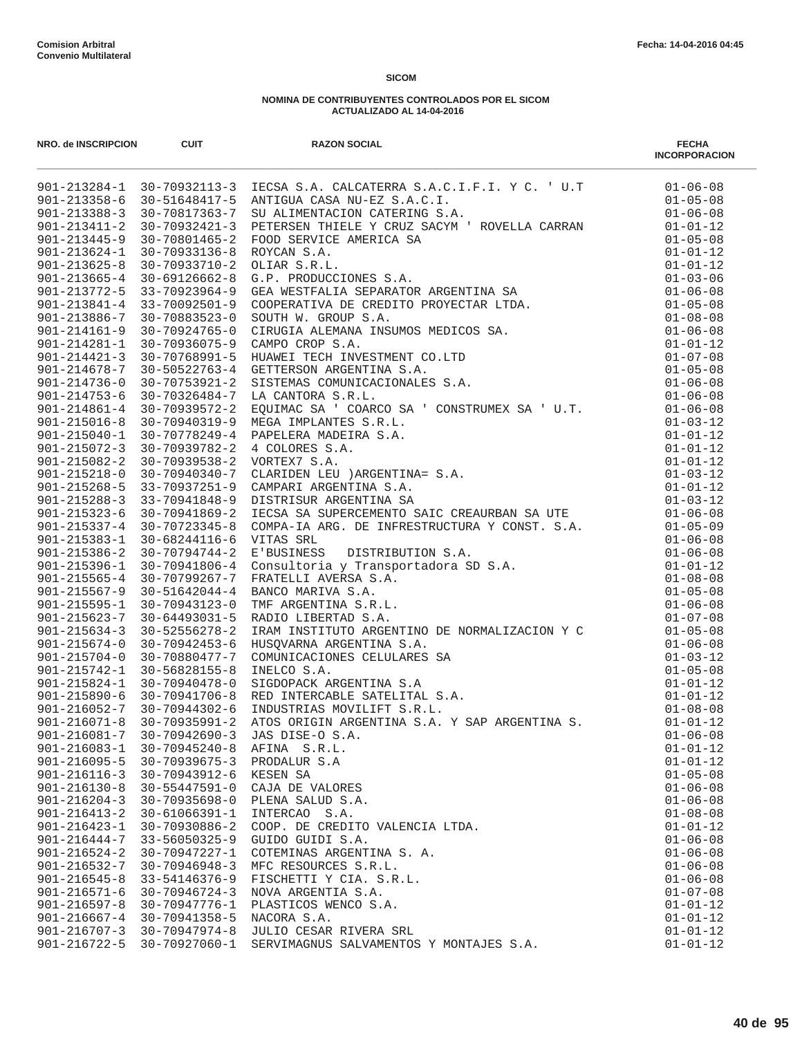| NRO. de INSCRIPCION                      | <b>CUIT</b>                          | <b>RAZON SOCIAL</b>                           | <b>FECHA</b><br><b>INCORPORACION</b> |
|------------------------------------------|--------------------------------------|-----------------------------------------------|--------------------------------------|
|                                          |                                      |                                               |                                      |
|                                          |                                      |                                               |                                      |
|                                          |                                      |                                               |                                      |
|                                          |                                      |                                               |                                      |
|                                          |                                      |                                               |                                      |
|                                          |                                      |                                               |                                      |
|                                          |                                      |                                               |                                      |
|                                          |                                      |                                               |                                      |
|                                          |                                      |                                               |                                      |
|                                          |                                      |                                               |                                      |
|                                          |                                      |                                               |                                      |
|                                          |                                      |                                               |                                      |
|                                          |                                      |                                               |                                      |
|                                          |                                      |                                               |                                      |
|                                          |                                      |                                               |                                      |
|                                          |                                      |                                               |                                      |
|                                          |                                      |                                               |                                      |
|                                          |                                      |                                               |                                      |
|                                          |                                      |                                               |                                      |
|                                          |                                      |                                               |                                      |
|                                          |                                      |                                               |                                      |
|                                          |                                      |                                               |                                      |
|                                          |                                      |                                               |                                      |
|                                          |                                      |                                               |                                      |
|                                          |                                      |                                               |                                      |
|                                          |                                      |                                               |                                      |
|                                          |                                      |                                               |                                      |
|                                          |                                      |                                               |                                      |
|                                          |                                      |                                               |                                      |
|                                          |                                      |                                               |                                      |
|                                          |                                      |                                               |                                      |
|                                          |                                      |                                               |                                      |
|                                          |                                      |                                               |                                      |
|                                          |                                      |                                               |                                      |
|                                          |                                      |                                               |                                      |
|                                          |                                      |                                               |                                      |
|                                          |                                      |                                               |                                      |
|                                          |                                      |                                               |                                      |
|                                          |                                      |                                               |                                      |
|                                          |                                      |                                               |                                      |
| $901 - 216081 - 7$                       | $30 - 70942690 - 3$                  | JAS DISE-O S.A.                               | $01 - 06 - 08$                       |
| $901 - 216083 - 1$                       | $30 - 70945240 - 8$                  | AFINA S.R.L.                                  | $01 - 01 - 12$                       |
| $901 - 216095 - 5$                       | $30 - 70939675 - 3$                  | PRODALUR S.A                                  | $01 - 01 - 12$                       |
| $901 - 216116 - 3$                       | 30-70943912-6                        | KESEN SA                                      | $01 - 05 - 08$                       |
| $901 - 216130 - 8$                       | $30 - 55447591 - 0$                  | CAJA DE VALORES                               | $01 - 06 - 08$                       |
| $901 - 216204 - 3$                       | $30 - 70935698 - 0$                  | PLENA SALUD S.A.                              | $01 - 06 - 08$                       |
| $901 - 216413 - 2$                       | 30-61066391-1                        | INTERCAO S.A.                                 | $01 - 08 - 08$                       |
| $901 - 216423 - 1$                       | 30-70930886-2                        | COOP. DE CREDITO VALENCIA LTDA.               | $01 - 01 - 12$                       |
| $901 - 216444 - 7$                       | $33 - 56050325 - 9$                  | GUIDO GUIDI S.A.                              | $01 - 06 - 08$                       |
| $901 - 216524 - 2$                       | 30-70947227-1                        | COTEMINAS ARGENTINA S. A.                     | $01 - 06 - 08$                       |
| $901 - 216532 - 7$                       | $30 - 70946948 - 3$                  | MFC RESOURCES S.R.L.                          | $01 - 06 - 08$                       |
| $901 - 216545 - 8$                       | 33-54146376-9                        | FISCHETTI Y CIA. S.R.L.<br>NOVA ARGENTIA S.A. | $01 - 06 - 08$                       |
| $901 - 216571 - 6$<br>$901 - 216597 - 8$ | $30 - 70946724 - 3$<br>30-70947776-1 | PLASTICOS WENCO S.A.                          | $01 - 07 - 08$<br>$01 - 01 - 12$     |
| $901 - 216667 - 4$                       | 30-70941358-5                        | NACORA S.A.                                   | $01 - 01 - 12$                       |
| $901 - 216707 - 3$                       | $30 - 70947974 - 8$                  | JULIO CESAR RIVERA SRL                        | $01 - 01 - 12$                       |
| $901 - 216722 - 5$                       | 30-70927060-1                        | SERVIMAGNUS SALVAMENTOS Y MONTAJES S.A.       | $01 - 01 - 12$                       |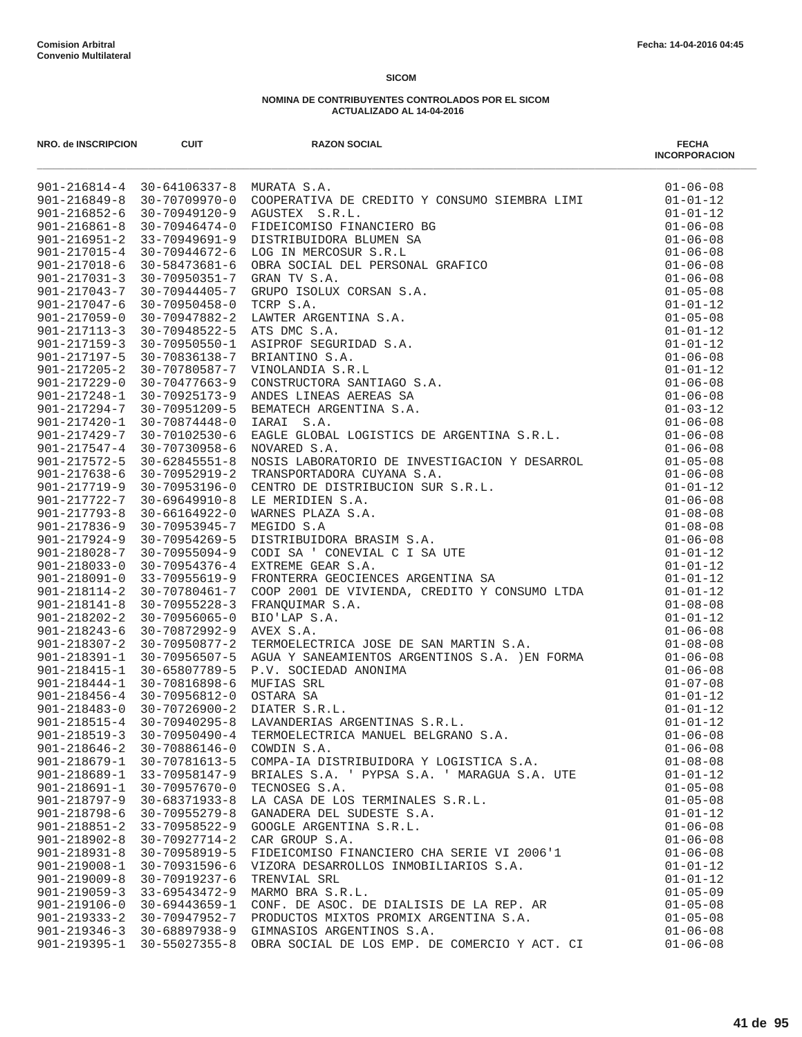| <b>NRO. de INSCRIPCION</b>               | <b>CUIT</b>                                | <b>RAZON SOCIAL</b>                                                                                                                                                                                                                 | <b>FECHA</b><br><b>INCORPORACION</b> |
|------------------------------------------|--------------------------------------------|-------------------------------------------------------------------------------------------------------------------------------------------------------------------------------------------------------------------------------------|--------------------------------------|
|                                          |                                            | 901-116814-4 35-64106337-8 XXXXXX S.A.<br>901-116849-8 35-70739775-9 XXXXXX S.A. BR (2003)700 XIMSONG STREERE ITXI<br>901-116849-8 35-70739775-9 XXXXXX S.A. BR (2003)700 XIMSONG STREERE ITXI<br>901-126849-8 35-70739775-9 XXXXXX |                                      |
|                                          |                                            |                                                                                                                                                                                                                                     |                                      |
|                                          |                                            |                                                                                                                                                                                                                                     |                                      |
|                                          |                                            |                                                                                                                                                                                                                                     |                                      |
|                                          |                                            |                                                                                                                                                                                                                                     |                                      |
|                                          |                                            |                                                                                                                                                                                                                                     |                                      |
|                                          |                                            |                                                                                                                                                                                                                                     |                                      |
|                                          |                                            |                                                                                                                                                                                                                                     |                                      |
|                                          |                                            |                                                                                                                                                                                                                                     |                                      |
|                                          |                                            |                                                                                                                                                                                                                                     |                                      |
|                                          |                                            |                                                                                                                                                                                                                                     |                                      |
|                                          |                                            |                                                                                                                                                                                                                                     |                                      |
|                                          |                                            |                                                                                                                                                                                                                                     |                                      |
|                                          |                                            |                                                                                                                                                                                                                                     |                                      |
|                                          |                                            |                                                                                                                                                                                                                                     |                                      |
|                                          |                                            |                                                                                                                                                                                                                                     |                                      |
|                                          |                                            |                                                                                                                                                                                                                                     |                                      |
|                                          |                                            |                                                                                                                                                                                                                                     |                                      |
|                                          |                                            |                                                                                                                                                                                                                                     |                                      |
|                                          |                                            |                                                                                                                                                                                                                                     |                                      |
|                                          |                                            |                                                                                                                                                                                                                                     |                                      |
|                                          |                                            |                                                                                                                                                                                                                                     |                                      |
|                                          |                                            |                                                                                                                                                                                                                                     |                                      |
|                                          |                                            |                                                                                                                                                                                                                                     |                                      |
|                                          |                                            |                                                                                                                                                                                                                                     |                                      |
|                                          |                                            |                                                                                                                                                                                                                                     |                                      |
|                                          |                                            |                                                                                                                                                                                                                                     |                                      |
|                                          |                                            |                                                                                                                                                                                                                                     |                                      |
|                                          |                                            |                                                                                                                                                                                                                                     |                                      |
|                                          |                                            |                                                                                                                                                                                                                                     |                                      |
|                                          |                                            |                                                                                                                                                                                                                                     |                                      |
|                                          |                                            |                                                                                                                                                                                                                                     |                                      |
|                                          |                                            |                                                                                                                                                                                                                                     |                                      |
|                                          |                                            |                                                                                                                                                                                                                                     |                                      |
|                                          |                                            |                                                                                                                                                                                                                                     |                                      |
|                                          |                                            |                                                                                                                                                                                                                                     |                                      |
|                                          |                                            |                                                                                                                                                                                                                                     |                                      |
|                                          |                                            |                                                                                                                                                                                                                                     |                                      |
|                                          |                                            |                                                                                                                                                                                                                                     |                                      |
|                                          |                                            |                                                                                                                                                                                                                                     |                                      |
|                                          |                                            |                                                                                                                                                                                                                                     |                                      |
| $901 - 218519 - 3$                       | $30 - 70950490 - 4$                        | TERMOELECTRICA MANUEL BELGRANO S.A.                                                                                                                                                                                                 | $01 - 06 - 08$                       |
| $901 - 218646 - 2$                       | 30-70886146-0                              | COWDIN S.A.                                                                                                                                                                                                                         | $01 - 06 - 08$                       |
| $901 - 218679 - 1$                       | 30-70781613-5                              | COMPA-IA DISTRIBUIDORA Y LOGISTICA S.A.                                                                                                                                                                                             | $01 - 08 - 08$                       |
| $901 - 218689 - 1$                       | 33-70958147-9                              | BRIALES S.A. ' PYPSA S.A. ' MARAGUA S.A. UTE                                                                                                                                                                                        | $01 - 01 - 12$                       |
| $901 - 218691 - 1$                       | $30 - 70957670 - 0$                        | TECNOSEG S.A.                                                                                                                                                                                                                       | $01 - 05 - 08$                       |
| $901 - 218797 - 9$<br>$901 - 218798 - 6$ | $30 - 68371933 - 8$<br>$30 - 70955279 - 8$ | LA CASA DE LOS TERMINALES S.R.L.<br>GANADERA DEL SUDESTE S.A.                                                                                                                                                                       | $01 - 05 - 08$<br>$01 - 01 - 12$     |
| $901 - 218851 - 2$                       | 33-70958522-9                              | GOOGLE ARGENTINA S.R.L.                                                                                                                                                                                                             | $01 - 06 - 08$                       |
| $901 - 218902 - 8$                       | $30 - 70927714 - 2$                        | CAR GROUP S.A.                                                                                                                                                                                                                      | $01 - 06 - 08$                       |
| $901 - 218931 - 8$                       | 30-70958919-5                              | FIDEICOMISO FINANCIERO CHA SERIE VI 2006'1                                                                                                                                                                                          | $01 - 06 - 08$                       |
| $901 - 219008 - 1$                       | $30 - 70931596 - 6$                        | VIZORA DESARROLLOS INMOBILIARIOS S.A.                                                                                                                                                                                               | $01 - 01 - 12$                       |
| $901 - 219009 - 8$                       | 30-70919237-6                              | TRENVIAL SRL                                                                                                                                                                                                                        | $01 - 01 - 12$                       |
| $901 - 219059 - 3$                       | 33-69543472-9                              | MARMO BRA S.R.L.                                                                                                                                                                                                                    | $01 - 05 - 09$                       |
| $901 - 219106 - 0$                       | $30 - 69443659 - 1$                        | CONF. DE ASOC. DE DIALISIS DE LA REP. AR                                                                                                                                                                                            | $01 - 05 - 08$                       |
| $901 - 219333 - 2$                       | 30-70947952-7                              | PRODUCTOS MIXTOS PROMIX ARGENTINA S.A.                                                                                                                                                                                              | $01 - 05 - 08$                       |
| $901 - 219346 - 3$                       | 30-68897938-9                              | GIMNASIOS ARGENTINOS S.A.                                                                                                                                                                                                           | $01 - 06 - 08$                       |
| $901 - 219395 - 1$                       | $30 - 55027355 - 8$                        | OBRA SOCIAL DE LOS EMP. DE COMERCIO Y ACT. CI                                                                                                                                                                                       | $01 - 06 - 08$                       |
|                                          |                                            |                                                                                                                                                                                                                                     |                                      |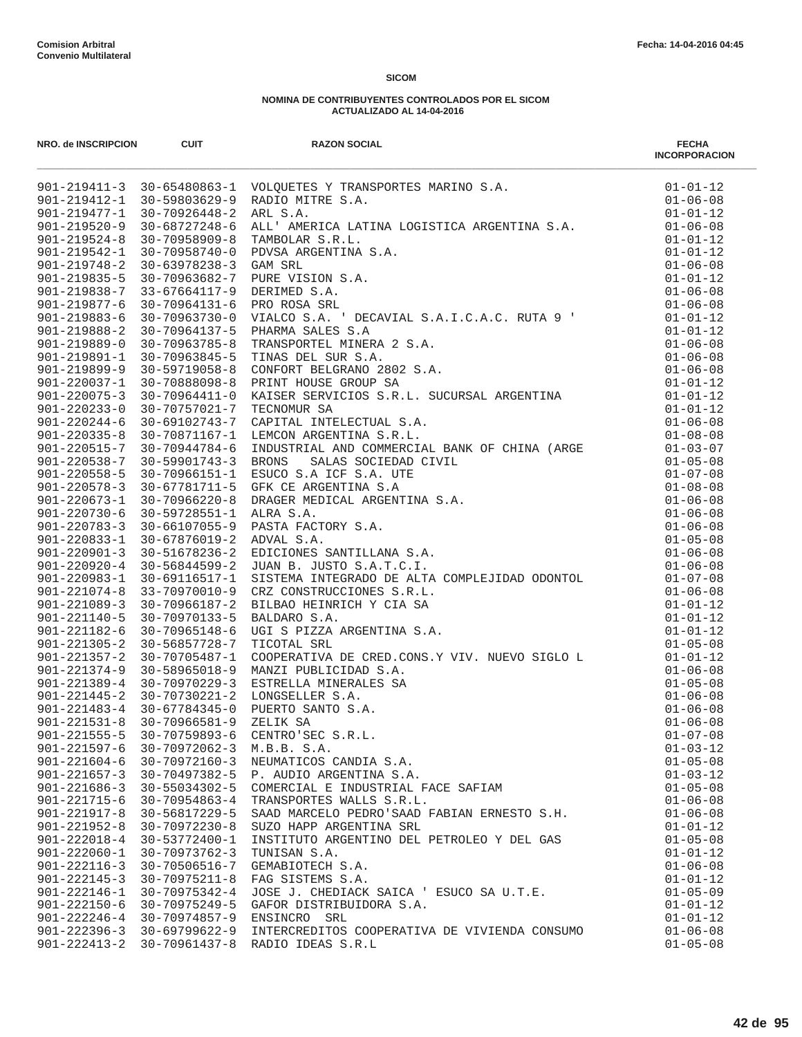| NRO. de INSCRIPCION                      | <b>CUIT</b>                          | <b>RAZON SOCIAL</b>                                                                                                                                                                                                                              | <b>FECHA</b><br><b>INCORPORACION</b> |
|------------------------------------------|--------------------------------------|--------------------------------------------------------------------------------------------------------------------------------------------------------------------------------------------------------------------------------------------------|--------------------------------------|
|                                          |                                      |                                                                                                                                                                                                                                                  |                                      |
|                                          |                                      |                                                                                                                                                                                                                                                  |                                      |
|                                          |                                      |                                                                                                                                                                                                                                                  |                                      |
|                                          |                                      |                                                                                                                                                                                                                                                  |                                      |
|                                          |                                      |                                                                                                                                                                                                                                                  |                                      |
|                                          |                                      |                                                                                                                                                                                                                                                  |                                      |
|                                          |                                      |                                                                                                                                                                                                                                                  |                                      |
|                                          |                                      |                                                                                                                                                                                                                                                  |                                      |
|                                          |                                      |                                                                                                                                                                                                                                                  |                                      |
|                                          |                                      |                                                                                                                                                                                                                                                  |                                      |
|                                          |                                      |                                                                                                                                                                                                                                                  |                                      |
|                                          |                                      |                                                                                                                                                                                                                                                  |                                      |
|                                          |                                      |                                                                                                                                                                                                                                                  |                                      |
|                                          |                                      |                                                                                                                                                                                                                                                  |                                      |
|                                          |                                      |                                                                                                                                                                                                                                                  |                                      |
|                                          |                                      |                                                                                                                                                                                                                                                  |                                      |
|                                          |                                      |                                                                                                                                                                                                                                                  |                                      |
|                                          |                                      |                                                                                                                                                                                                                                                  |                                      |
|                                          |                                      |                                                                                                                                                                                                                                                  |                                      |
| $901 - 220515 - 7$                       | 30-70944784-6                        |                                                                                                                                                                                                                                                  | $01 - 03 - 07$                       |
| $901 - 220538 - 7$                       | 30-59901743-3                        |                                                                                                                                                                                                                                                  | $01 - 05 - 08$                       |
| $901 - 220558 - 5$                       | 30-70966151-1                        |                                                                                                                                                                                                                                                  | $01 - 07 - 08$                       |
| $901 - 220578 - 3$                       | 30-67781711-5                        |                                                                                                                                                                                                                                                  | $01 - 08 - 08$                       |
| $901 - 220673 - 1$                       | 30-70966220-8                        |                                                                                                                                                                                                                                                  | $01 - 06 - 08$                       |
| $901 - 220730 - 6$                       | 30-59728551-1                        |                                                                                                                                                                                                                                                  | $01 - 06 - 08$                       |
| $901 - 220783 - 3$                       | 30-66107055-9                        |                                                                                                                                                                                                                                                  | $01 - 06 - 08$                       |
| 901-220833-1                             | 30-67876019-2                        |                                                                                                                                                                                                                                                  | $01 - 05 - 08$                       |
| $901 - 220901 - 3$                       | 30-51678236-2                        | CAPITAL INTELECTUAL S.A.<br>LEMON RESENTINA S.R.L.<br>INDUSTRIAL AND COMMERCIAL BANK OF CHINA (ARGE BRONS SALAS SOCIEDAD CIVIL<br>ESUCO S.A ICF S.A. UTE<br>GFK CE ARGENTINA S.A.<br>DRAGER MEDICAL ARGENTINA S.A.<br>DRAGER MEDICAL ARGENTINA S | $01 - 06 - 08$                       |
| $901 - 220920 - 4$                       | 30-56844599-2                        |                                                                                                                                                                                                                                                  | $01 - 06 - 08$                       |
| $901 - 220983 - 1$                       | 30-69116517-1                        |                                                                                                                                                                                                                                                  | $01 - 07 - 08$                       |
| $901 - 221074 - 8$                       | 33-70970010-9                        |                                                                                                                                                                                                                                                  | $01 - 06 - 08$                       |
| $901 - 221089 - 3$                       | 30-70966187-2                        |                                                                                                                                                                                                                                                  | $01 - 01 - 12$                       |
| $901 - 221140 - 5$                       | 30-70970133-5                        |                                                                                                                                                                                                                                                  | $01 - 01 - 12$                       |
| $901 - 221182 - 6$                       | 30-70965148-6                        |                                                                                                                                                                                                                                                  | $01 - 01 - 12$                       |
| $901 - 221305 - 2$                       | 30-56857728-7                        |                                                                                                                                                                                                                                                  | $01 - 05 - 08$                       |
| $901 - 221357 - 2$                       | 30-70705487-1                        |                                                                                                                                                                                                                                                  | $01 - 01 - 12$                       |
| $901 - 221374 - 9$                       | 30-58965018-9                        |                                                                                                                                                                                                                                                  | $01 - 06 - 08$                       |
| $901 - 221389 - 4$                       | 30-70970229-3                        |                                                                                                                                                                                                                                                  | $01 - 05 - 08$                       |
| $901 - 221445 - 2$<br>$901 - 221483 - 4$ | 30-70730221-2<br>30-67784345-0       |                                                                                                                                                                                                                                                  | $01 - 06 - 08$<br>$01 - 06 - 08$     |
| $901 - 221531 - 8$                       | $30 - 70966581 - 9$                  |                                                                                                                                                                                                                                                  | $01 - 06 - 08$                       |
| $901 - 221555 - 5$                       | 30-70759893-6                        | CENTRO'SEC S.R.L.                                                                                                                                                                                                                                | $01 - 07 - 08$                       |
| $901 - 221597 - 6$                       | $30 - 70972062 - 3$                  | M.B.B. S.A.                                                                                                                                                                                                                                      | $01 - 03 - 12$                       |
| $901 - 221604 - 6$                       | $30 - 70972160 - 3$                  | NEUMATICOS CANDIA S.A.                                                                                                                                                                                                                           | $01 - 05 - 08$                       |
| $901 - 221657 - 3$                       | 30-70497382-5                        | P. AUDIO ARGENTINA S.A.                                                                                                                                                                                                                          | $01 - 03 - 12$                       |
| $901 - 221686 - 3$                       | 30-55034302-5                        | COMERCIAL E INDUSTRIAL FACE SAFIAM                                                                                                                                                                                                               | $01 - 05 - 08$                       |
| $901 - 221715 - 6$                       | $30 - 70954863 - 4$                  | TRANSPORTES WALLS S.R.L.                                                                                                                                                                                                                         | $01 - 06 - 08$                       |
| $901 - 221917 - 8$                       | 30-56817229-5                        | SAAD MARCELO PEDRO'SAAD FABIAN ERNESTO S.H.                                                                                                                                                                                                      | $01 - 06 - 08$                       |
| $901 - 221952 - 8$                       | $30 - 70972230 - 8$                  | SUZO HAPP ARGENTINA SRL                                                                                                                                                                                                                          | $01 - 01 - 12$                       |
| $901 - 222018 - 4$                       | 30-53772400-1                        | INSTITUTO ARGENTINO DEL PETROLEO Y DEL GAS                                                                                                                                                                                                       | $01 - 05 - 08$                       |
| $901 - 222060 - 1$                       | $30 - 70973762 - 3$                  | TUNISAN S.A.                                                                                                                                                                                                                                     | $01 - 01 - 12$                       |
| $901 - 222116 - 3$                       | 30-70506516-7                        | GEMABIOTECH S.A.                                                                                                                                                                                                                                 | $01 - 06 - 08$                       |
| $901 - 222145 - 3$                       | $30 - 70975211 - 8$                  | FAG SISTEMS S.A.                                                                                                                                                                                                                                 | $01 - 01 - 12$                       |
| $901 - 222146 - 1$                       | 30-70975342-4                        | JOSE J. CHEDIACK SAICA ' ESUCO SA U.T.E.                                                                                                                                                                                                         | $01 - 05 - 09$                       |
| $901 - 222150 - 6$                       | 30-70975249-5                        | GAFOR DISTRIBUIDORA S.A.                                                                                                                                                                                                                         | $01 - 01 - 12$                       |
| $901 - 222246 - 4$                       | $30 - 70974857 - 9$                  | ENSINCRO SRL                                                                                                                                                                                                                                     | $01 - 01 - 12$                       |
| $901 - 222396 - 3$<br>$901 - 222413 - 2$ | $30 - 69799622 - 9$<br>30-70961437-8 | INTERCREDITOS COOPERATIVA DE VIVIENDA CONSUMO<br>RADIO IDEAS S.R.L                                                                                                                                                                               | $01 - 06 - 08$<br>$01 - 05 - 08$     |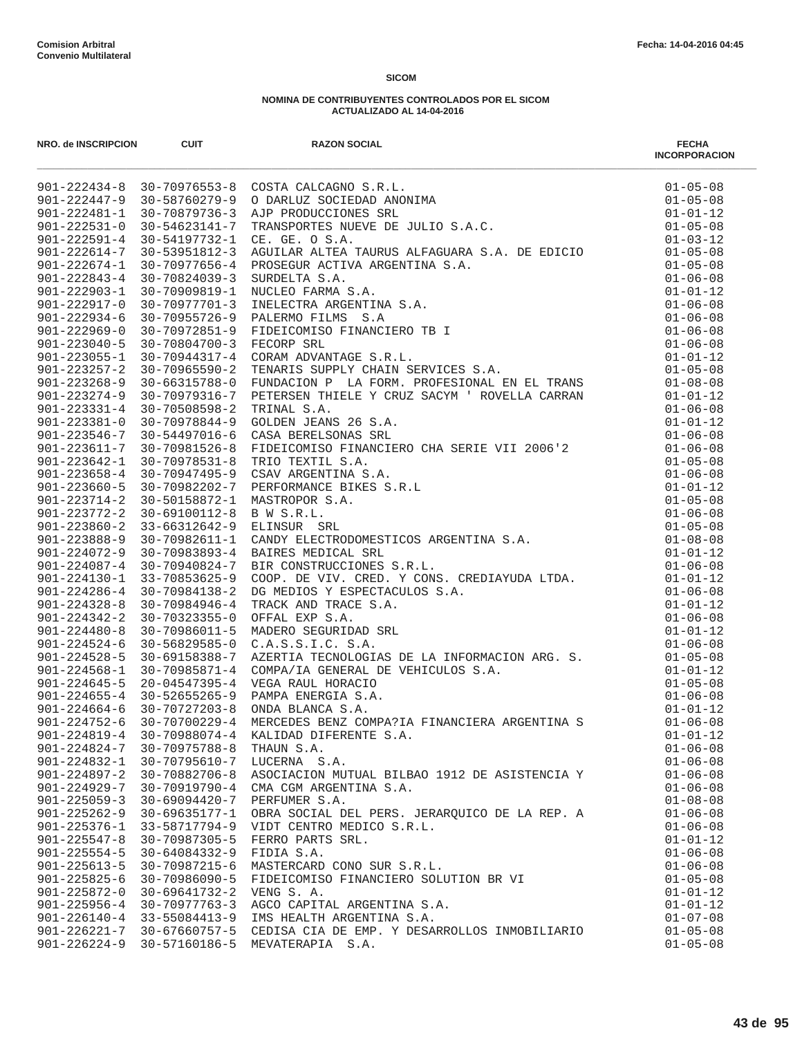| NRO. de INSCRIPCION | <b>CUIT</b>                                 | <b>RAZON SOCIAL</b><br>NO. 0893000-0089<br>NO. 089300-0089<br>901-222344 9 20 79975552 8 COSTA CACACASD 5.1.1.<br>901-222344 9 20 79975552 8 COSTA CACACASD 5.1.1.<br>901-222344 7 20 -39765273 - 20 D-BLC2 30CCDEAD AROSEXA<br>901-222341-1 20 -314 202312-1 | <b>FECHA</b><br><b>INCORPORACION</b> |
|---------------------|---------------------------------------------|---------------------------------------------------------------------------------------------------------------------------------------------------------------------------------------------------------------------------------------------------------------|--------------------------------------|
|                     |                                             |                                                                                                                                                                                                                                                               |                                      |
|                     |                                             |                                                                                                                                                                                                                                                               |                                      |
|                     |                                             |                                                                                                                                                                                                                                                               |                                      |
|                     |                                             |                                                                                                                                                                                                                                                               |                                      |
|                     |                                             |                                                                                                                                                                                                                                                               |                                      |
|                     |                                             |                                                                                                                                                                                                                                                               |                                      |
|                     |                                             |                                                                                                                                                                                                                                                               |                                      |
|                     |                                             |                                                                                                                                                                                                                                                               |                                      |
|                     |                                             |                                                                                                                                                                                                                                                               |                                      |
|                     |                                             |                                                                                                                                                                                                                                                               |                                      |
|                     |                                             |                                                                                                                                                                                                                                                               |                                      |
|                     |                                             |                                                                                                                                                                                                                                                               |                                      |
|                     |                                             |                                                                                                                                                                                                                                                               |                                      |
|                     |                                             |                                                                                                                                                                                                                                                               |                                      |
|                     |                                             |                                                                                                                                                                                                                                                               |                                      |
|                     |                                             |                                                                                                                                                                                                                                                               |                                      |
|                     |                                             |                                                                                                                                                                                                                                                               |                                      |
|                     |                                             |                                                                                                                                                                                                                                                               |                                      |
|                     |                                             |                                                                                                                                                                                                                                                               |                                      |
|                     |                                             |                                                                                                                                                                                                                                                               |                                      |
|                     |                                             |                                                                                                                                                                                                                                                               |                                      |
|                     |                                             |                                                                                                                                                                                                                                                               |                                      |
|                     |                                             |                                                                                                                                                                                                                                                               |                                      |
|                     |                                             |                                                                                                                                                                                                                                                               |                                      |
|                     |                                             |                                                                                                                                                                                                                                                               |                                      |
|                     |                                             |                                                                                                                                                                                                                                                               |                                      |
|                     |                                             |                                                                                                                                                                                                                                                               |                                      |
|                     |                                             |                                                                                                                                                                                                                                                               |                                      |
|                     |                                             |                                                                                                                                                                                                                                                               |                                      |
|                     |                                             |                                                                                                                                                                                                                                                               |                                      |
|                     |                                             |                                                                                                                                                                                                                                                               |                                      |
|                     |                                             |                                                                                                                                                                                                                                                               |                                      |
|                     |                                             |                                                                                                                                                                                                                                                               |                                      |
|                     |                                             |                                                                                                                                                                                                                                                               |                                      |
|                     |                                             |                                                                                                                                                                                                                                                               |                                      |
|                     |                                             |                                                                                                                                                                                                                                                               |                                      |
|                     |                                             |                                                                                                                                                                                                                                                               |                                      |
|                     |                                             |                                                                                                                                                                                                                                                               |                                      |
|                     |                                             |                                                                                                                                                                                                                                                               |                                      |
| $901 - 224819 - 4$  | 30-70988074-4                               | KALIDAD DIFERENTE S.A.                                                                                                                                                                                                                                        | $01 - 01 - 12$                       |
|                     | 901-224824-7 30-70975788-8                  | THAUN S.A.                                                                                                                                                                                                                                                    | $01 - 06 - 08$                       |
| $901 - 224832 - 1$  | 30-70795610-7                               | LUCERNA S.A.                                                                                                                                                                                                                                                  | $01 - 06 - 08$                       |
| $901 - 224897 - 2$  | 30-70882706-8                               | ASOCIACION MUTUAL BILBAO 1912 DE ASISTENCIA Y                                                                                                                                                                                                                 | $01 - 06 - 08$                       |
| $901 - 224929 - 7$  | 30-70919790-4                               | CMA CGM ARGENTINA S.A.                                                                                                                                                                                                                                        | $01 - 06 - 08$                       |
| $901 - 225059 - 3$  | $30 - 69094420 - 7$                         | PERFUMER S.A.                                                                                                                                                                                                                                                 | $01 - 08 - 08$                       |
| $901 - 225262 - 9$  | 30-69635177-1                               | OBRA SOCIAL DEL PERS. JERARQUICO DE LA REP. A                                                                                                                                                                                                                 | $01 - 06 - 08$                       |
| $901 - 225376 - 1$  | 33-58717794-9                               | VIDT CENTRO MEDICO S.R.L.                                                                                                                                                                                                                                     | $01 - 06 - 08$                       |
| $901 - 225547 - 8$  | 30-70987305-5                               | FERRO PARTS SRL.                                                                                                                                                                                                                                              | $01 - 01 - 12$                       |
| $901 - 225554 - 5$  | 30-64084332-9                               | FIDIA S.A.                                                                                                                                                                                                                                                    | $01 - 06 - 08$                       |
| $901 - 225613 - 5$  | 30-70987215-6                               | MASTERCARD CONO SUR S.R.L.                                                                                                                                                                                                                                    | $01 - 06 - 08$                       |
| $901 - 225825 - 6$  | 30-70986090-5                               | FIDEICOMISO FINANCIERO SOLUTION BR VI                                                                                                                                                                                                                         | $01 - 05 - 08$                       |
| $901 - 225872 - 0$  | 30-69641732-2                               | VENG S. A.                                                                                                                                                                                                                                                    | $01 - 01 - 12$                       |
|                     | $901 - 225956 - 4$ 30-70977763-3            | AGCO CAPITAL ARGENTINA S.A.                                                                                                                                                                                                                                   | $01 - 01 - 12$                       |
| $901 - 226140 - 4$  | 33-55084413-9<br>901-226221-7 30-67660757-5 | IMS HEALTH ARGENTINA S.A.<br>CEDISA CIA DE EMP. Y DESARROLLOS INMOBILIARIO                                                                                                                                                                                    | $01 - 07 - 08$<br>$01 - 05 - 08$     |
| $901 - 226224 - 9$  | 30-57160186-5                               | MEVATERAPIA S.A.                                                                                                                                                                                                                                              | $01 - 05 - 08$                       |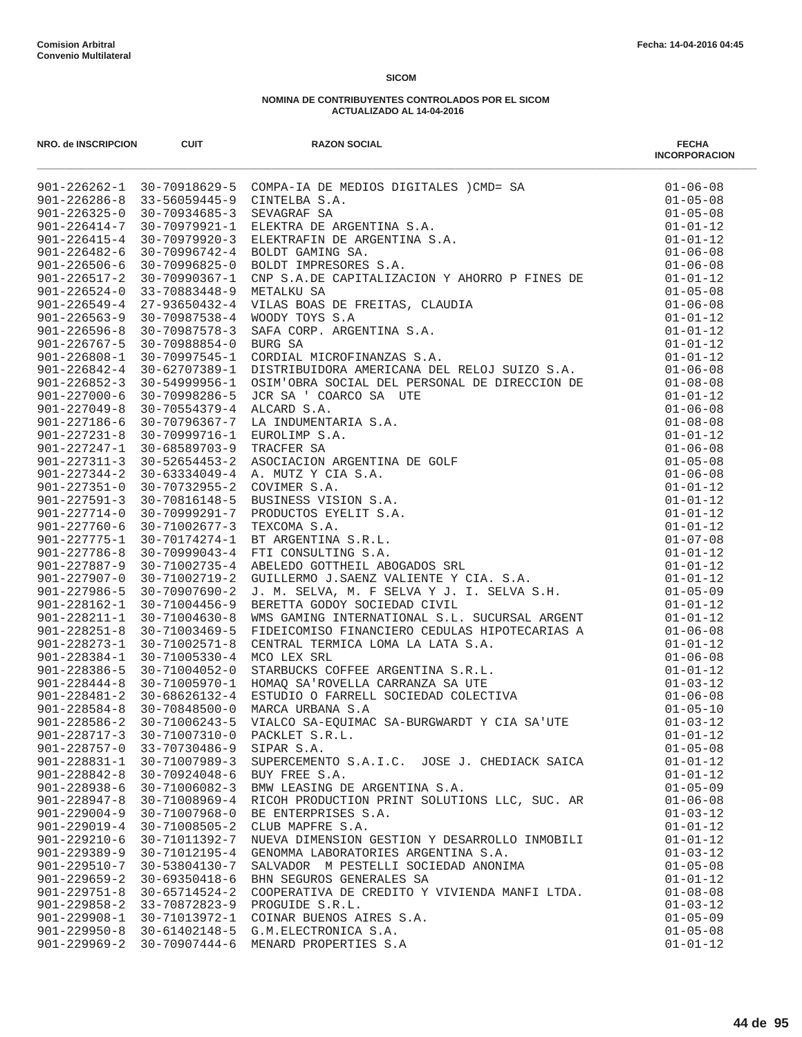| NRO. de INSCRIPCION | <b>CUIT</b>         | <b>RAZON SOCIAL</b><br>MORE (1982-2213 - 1982-2213 - 1982-2213 - 1982-2213 - 1982-2213 - 1982-2213 - 1982-2213 - 1982-2213 - 1982-2213 - 1982-2213 - 1982-2213 - 1982-2213 - 1982-2213 - 1982-2213 - 1982-2213 - 1982-2213 - 1982-2213 - 1982-2213 - | <b>FECHA</b><br><b>INCORPORACION</b> |
|---------------------|---------------------|------------------------------------------------------------------------------------------------------------------------------------------------------------------------------------------------------------------------------------------------------|--------------------------------------|
|                     |                     |                                                                                                                                                                                                                                                      |                                      |
|                     |                     |                                                                                                                                                                                                                                                      |                                      |
|                     |                     |                                                                                                                                                                                                                                                      |                                      |
|                     |                     |                                                                                                                                                                                                                                                      |                                      |
|                     |                     |                                                                                                                                                                                                                                                      |                                      |
|                     |                     |                                                                                                                                                                                                                                                      |                                      |
|                     |                     |                                                                                                                                                                                                                                                      |                                      |
|                     |                     |                                                                                                                                                                                                                                                      |                                      |
|                     |                     |                                                                                                                                                                                                                                                      |                                      |
|                     |                     |                                                                                                                                                                                                                                                      |                                      |
|                     |                     |                                                                                                                                                                                                                                                      |                                      |
|                     |                     |                                                                                                                                                                                                                                                      |                                      |
|                     |                     |                                                                                                                                                                                                                                                      |                                      |
|                     |                     |                                                                                                                                                                                                                                                      |                                      |
|                     |                     |                                                                                                                                                                                                                                                      |                                      |
|                     |                     |                                                                                                                                                                                                                                                      |                                      |
|                     |                     |                                                                                                                                                                                                                                                      |                                      |
|                     |                     |                                                                                                                                                                                                                                                      |                                      |
|                     |                     |                                                                                                                                                                                                                                                      |                                      |
|                     |                     |                                                                                                                                                                                                                                                      |                                      |
|                     |                     |                                                                                                                                                                                                                                                      |                                      |
|                     |                     |                                                                                                                                                                                                                                                      |                                      |
|                     |                     |                                                                                                                                                                                                                                                      |                                      |
|                     |                     |                                                                                                                                                                                                                                                      |                                      |
|                     |                     |                                                                                                                                                                                                                                                      |                                      |
|                     |                     |                                                                                                                                                                                                                                                      |                                      |
|                     |                     |                                                                                                                                                                                                                                                      |                                      |
|                     |                     |                                                                                                                                                                                                                                                      |                                      |
|                     |                     |                                                                                                                                                                                                                                                      |                                      |
|                     |                     |                                                                                                                                                                                                                                                      |                                      |
|                     |                     |                                                                                                                                                                                                                                                      |                                      |
|                     |                     |                                                                                                                                                                                                                                                      |                                      |
|                     |                     |                                                                                                                                                                                                                                                      |                                      |
|                     |                     |                                                                                                                                                                                                                                                      |                                      |
|                     |                     |                                                                                                                                                                                                                                                      |                                      |
|                     |                     |                                                                                                                                                                                                                                                      |                                      |
|                     |                     |                                                                                                                                                                                                                                                      |                                      |
|                     |                     |                                                                                                                                                                                                                                                      |                                      |
|                     |                     |                                                                                                                                                                                                                                                      |                                      |
|                     |                     |                                                                                                                                                                                                                                                      |                                      |
| $901 - 228717 - 3$  | 30-71007310-0       | PACKLET S.R.L.                                                                                                                                                                                                                                       | $01 - 01 - 12$                       |
| $901 - 228757 - 0$  | 33-70730486-9       | SIPAR S.A.                                                                                                                                                                                                                                           | $01 - 05 - 08$                       |
| $901 - 228831 - 1$  | 30-71007989-3       | SUPERCEMENTO S.A.I.C. JOSE J. CHEDIACK SAICA                                                                                                                                                                                                         | $01 - 01 - 12$                       |
| $901 - 228842 - 8$  | 30-70924048-6       | BUY FREE S.A.                                                                                                                                                                                                                                        | $01 - 01 - 12$                       |
| $901 - 228938 - 6$  | $30 - 71006082 - 3$ | BMW LEASING DE ARGENTINA S.A.                                                                                                                                                                                                                        | $01 - 05 - 09$                       |
| $901 - 228947 - 8$  | 30-71008969-4       | RICOH PRODUCTION PRINT SOLUTIONS LLC, SUC. AR                                                                                                                                                                                                        | $01 - 06 - 08$                       |
| $901 - 229004 - 9$  | 30-71007968-0       | BE ENTERPRISES S.A.                                                                                                                                                                                                                                  | $01 - 03 - 12$                       |
| $901 - 229019 - 4$  | $30 - 71008505 - 2$ | CLUB MAPFRE S.A.                                                                                                                                                                                                                                     | $01 - 01 - 12$                       |
| $901 - 229210 - 6$  | 30-71011392-7       | NUEVA DIMENSION GESTION Y DESARROLLO INMOBILI                                                                                                                                                                                                        | $01 - 01 - 12$                       |
| $901 - 229389 - 9$  | 30-71012195-4       | GENOMMA LABORATORIES ARGENTINA S.A.                                                                                                                                                                                                                  | $01 - 03 - 12$                       |
| $901 - 229510 - 7$  | $30 - 53804130 - 7$ | SALVADOR M PESTELLI SOCIEDAD ANONIMA                                                                                                                                                                                                                 | $01 - 05 - 08$                       |
| $901 - 229659 - 2$  | $30 - 69350418 - 6$ | BHN SEGUROS GENERALES SA                                                                                                                                                                                                                             | $01 - 01 - 12$                       |
| $901 - 229751 - 8$  | $30 - 65714524 - 2$ | COOPERATIVA DE CREDITO Y VIVIENDA MANFI LTDA.                                                                                                                                                                                                        | $01 - 08 - 08$                       |
| $901 - 229858 - 2$  | 33-70872823-9       | PROGUIDE S.R.L.                                                                                                                                                                                                                                      | $01 - 03 - 12$                       |
| $901 - 229908 - 1$  | 30-71013972-1       | COINAR BUENOS AIRES S.A.                                                                                                                                                                                                                             | $01 - 05 - 09$                       |
| $901 - 229950 - 8$  | 30-61402148-5       | G.M.ELECTRONICA S.A.                                                                                                                                                                                                                                 | $01 - 05 - 08$                       |
| $901 - 229969 - 2$  | 30-70907444-6       | MENARD PROPERTIES S.A                                                                                                                                                                                                                                | $01 - 01 - 12$                       |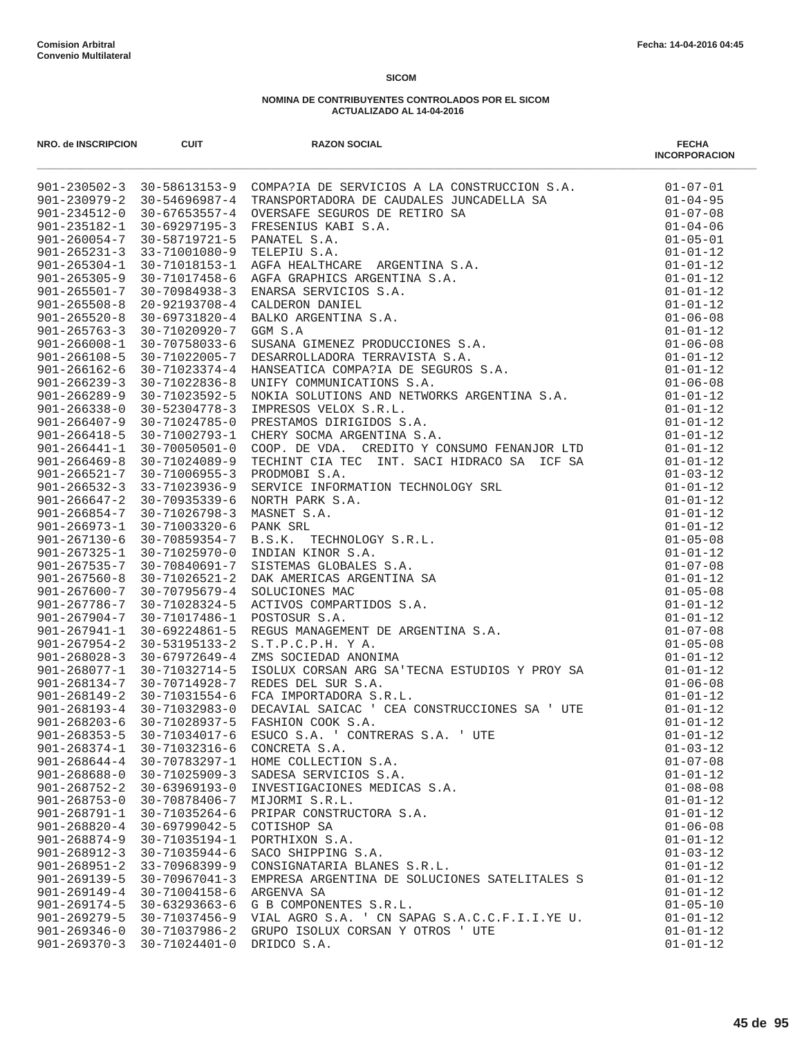| NRO. de INSCRIPCION                      | CUIT                                        | <b>RAZON SOCIAL</b>                                                                                                                                                                                                                 | <b>FECHA</b><br><b>INCORPORACION</b> |
|------------------------------------------|---------------------------------------------|-------------------------------------------------------------------------------------------------------------------------------------------------------------------------------------------------------------------------------------|--------------------------------------|
|                                          |                                             | 901-230502-3 30-58511153-9 COMPATIA DE SERVICIOS A LA CONSTRUCCION S.A.<br>901-230502-3 30-5651353-9 COMPATIA DE SERVICIOS A LA CONSTRUCCION S.A.<br>901-230512-3 30-56515574 TRANSPORTADORA DE CAUDALES JUNCADELLA SA.<br>901-2461 |                                      |
|                                          |                                             |                                                                                                                                                                                                                                     |                                      |
|                                          |                                             |                                                                                                                                                                                                                                     |                                      |
|                                          |                                             |                                                                                                                                                                                                                                     |                                      |
|                                          |                                             |                                                                                                                                                                                                                                     |                                      |
|                                          |                                             |                                                                                                                                                                                                                                     |                                      |
|                                          |                                             |                                                                                                                                                                                                                                     |                                      |
|                                          |                                             |                                                                                                                                                                                                                                     |                                      |
|                                          |                                             |                                                                                                                                                                                                                                     |                                      |
|                                          |                                             |                                                                                                                                                                                                                                     |                                      |
|                                          |                                             |                                                                                                                                                                                                                                     |                                      |
|                                          |                                             |                                                                                                                                                                                                                                     |                                      |
|                                          |                                             |                                                                                                                                                                                                                                     |                                      |
|                                          |                                             |                                                                                                                                                                                                                                     |                                      |
|                                          |                                             |                                                                                                                                                                                                                                     |                                      |
|                                          |                                             |                                                                                                                                                                                                                                     |                                      |
|                                          |                                             |                                                                                                                                                                                                                                     |                                      |
|                                          |                                             |                                                                                                                                                                                                                                     |                                      |
|                                          |                                             |                                                                                                                                                                                                                                     |                                      |
|                                          |                                             |                                                                                                                                                                                                                                     |                                      |
|                                          |                                             |                                                                                                                                                                                                                                     |                                      |
|                                          |                                             |                                                                                                                                                                                                                                     |                                      |
|                                          |                                             |                                                                                                                                                                                                                                     |                                      |
|                                          |                                             |                                                                                                                                                                                                                                     |                                      |
|                                          |                                             |                                                                                                                                                                                                                                     |                                      |
|                                          |                                             |                                                                                                                                                                                                                                     |                                      |
|                                          |                                             |                                                                                                                                                                                                                                     |                                      |
|                                          |                                             |                                                                                                                                                                                                                                     |                                      |
|                                          |                                             |                                                                                                                                                                                                                                     |                                      |
|                                          |                                             |                                                                                                                                                                                                                                     |                                      |
|                                          |                                             |                                                                                                                                                                                                                                     |                                      |
|                                          |                                             |                                                                                                                                                                                                                                     |                                      |
|                                          |                                             |                                                                                                                                                                                                                                     |                                      |
|                                          |                                             | S.T.P.C.P.H. Y A.<br>ZMS SOCIEDAD ANONIMA $01-01-12$<br>ISOLUX CORSAN ARG SA'TECNA ESTUDIOS Y PROY SA $01-01-12$<br>$01-06-08$                                                                                                      |                                      |
|                                          |                                             |                                                                                                                                                                                                                                     |                                      |
| $901 - 268077 - 1$                       | 30-71032714-5<br>901-268134-7 30-70714928-7 | REDES DEL SUR S.A.                                                                                                                                                                                                                  |                                      |
| $901 - 268149 - 2$                       | 30-71031554-6                               | FCA IMPORTADORA S.R.L.                                                                                                                                                                                                              | $01 - 01 - 12$                       |
|                                          | $901 - 268193 - 4$ 30-71032983-0            | DECAVIAL SAICAC ' CEA CONSTRUCCIONES SA ' UTE                                                                                                                                                                                       | $01 - 01 - 12$                       |
| $901 - 268203 - 6$                       | 30-71028937-5                               | FASHION COOK S.A.                                                                                                                                                                                                                   | $01 - 01 - 12$                       |
| $901 - 268353 - 5$                       | 30-71034017-6                               | ESUCO S.A. ' CONTRERAS S.A. ' UTE                                                                                                                                                                                                   | $01 - 01 - 12$                       |
| $901 - 268374 - 1$                       | 30-71032316-6                               | CONCRETA S.A.                                                                                                                                                                                                                       | $01 - 03 - 12$                       |
| $901 - 268644 - 4$                       | 30-70783297-1                               | HOME COLLECTION S.A.                                                                                                                                                                                                                | $01 - 07 - 08$                       |
| $901 - 268688 - 0$                       | $30 - 71025909 - 3$                         | SADESA SERVICIOS S.A.                                                                                                                                                                                                               | $01 - 01 - 12$                       |
| $901 - 268752 - 2$                       | $30 - 63969193 - 0$                         | INVESTIGACIONES MEDICAS S.A.                                                                                                                                                                                                        | $01 - 08 - 08$                       |
| $901 - 268753 - 0$                       | 30-70878406-7                               | MIJORMI S.R.L.                                                                                                                                                                                                                      | $01 - 01 - 12$                       |
| $901 - 268791 - 1$                       | $30 - 71035264 - 6$                         | PRIPAR CONSTRUCTORA S.A.                                                                                                                                                                                                            | $01 - 01 - 12$                       |
| $901 - 268820 - 4$                       | $30 - 69799042 - 5$                         | COTISHOP SA                                                                                                                                                                                                                         | $01 - 06 - 08$                       |
| $901 - 268874 - 9$                       | 30-71035194-1                               | PORTHIXON S.A.                                                                                                                                                                                                                      | $01 - 01 - 12$                       |
| $901 - 268912 - 3$                       | 30-71035944-6                               | SACO SHIPPING S.A.                                                                                                                                                                                                                  | $01 - 03 - 12$                       |
| $901 - 268951 - 2$<br>$901 - 269139 - 5$ | 33-70968399-9<br>$30 - 70967041 - 3$        | CONSIGNATARIA BLANES S.R.L.<br>EMPRESA ARGENTINA DE SOLUCIONES SATELITALES S                                                                                                                                                        | $01 - 01 - 12$<br>$01 - 01 - 12$     |
| $901 - 269149 - 4$                       | 30-71004158-6                               | ARGENVA SA                                                                                                                                                                                                                          | $01 - 01 - 12$                       |
| $901 - 269174 - 5$                       | $30 - 63293663 - 6$                         | G B COMPONENTES S.R.L.                                                                                                                                                                                                              | $01 - 05 - 10$                       |
| $901 - 269279 - 5$                       | 30-71037456-9                               | VIAL AGRO S.A. ' CN SAPAG S.A.C.C.F.I.I.YE U.                                                                                                                                                                                       | $01 - 01 - 12$                       |
| $901 - 269346 - 0$                       | 30-71037986-2                               | GRUPO ISOLUX CORSAN Y OTROS ' UTE                                                                                                                                                                                                   | $01 - 01 - 12$                       |
| $901 - 269370 - 3$                       | 30-71024401-0                               | DRIDCO S.A.                                                                                                                                                                                                                         | $01 - 01 - 12$                       |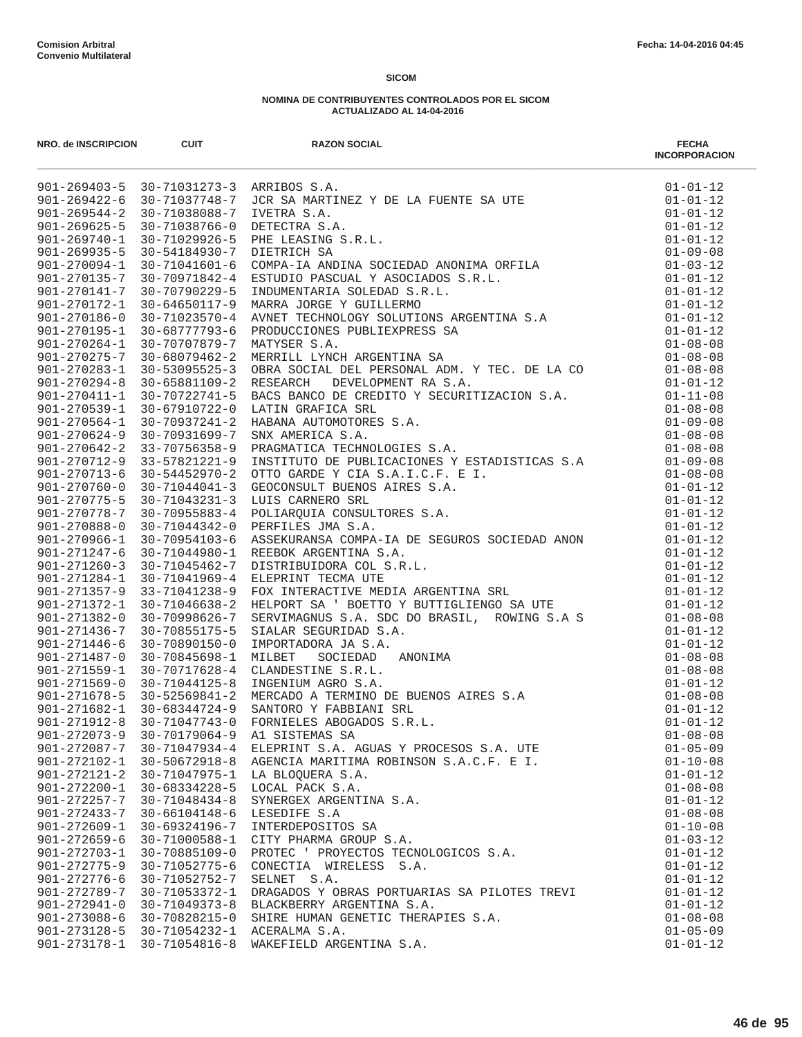| NRO. de INSCRIPCION                      | <b>CUIT</b>                    | <b>RAZON SOCIAL</b><br>MORE MORE 1993 - 1993 - 1993 - 1994 - 1994 - 1994 - 1994 - 1994 - 1994 - 1994 - 1994 - 1994 - 1994 - 1994 - 1994 - 1994 - 1994 - 1994 - 1994 - 1994 - 1994 - 1994 - 1994 - 1994 - 1994 - 1994 - 1994 - 1994 - 1994 - 1994 - 1 | <b>FECHA</b><br><b>INCORPORACION</b> |
|------------------------------------------|--------------------------------|------------------------------------------------------------------------------------------------------------------------------------------------------------------------------------------------------------------------------------------------------|--------------------------------------|
|                                          |                                |                                                                                                                                                                                                                                                      |                                      |
|                                          |                                |                                                                                                                                                                                                                                                      |                                      |
|                                          |                                |                                                                                                                                                                                                                                                      |                                      |
|                                          |                                |                                                                                                                                                                                                                                                      |                                      |
|                                          |                                |                                                                                                                                                                                                                                                      |                                      |
|                                          |                                |                                                                                                                                                                                                                                                      |                                      |
|                                          |                                |                                                                                                                                                                                                                                                      |                                      |
|                                          |                                |                                                                                                                                                                                                                                                      |                                      |
|                                          |                                |                                                                                                                                                                                                                                                      |                                      |
|                                          |                                |                                                                                                                                                                                                                                                      |                                      |
|                                          |                                |                                                                                                                                                                                                                                                      |                                      |
|                                          |                                |                                                                                                                                                                                                                                                      |                                      |
|                                          |                                |                                                                                                                                                                                                                                                      |                                      |
|                                          |                                |                                                                                                                                                                                                                                                      |                                      |
|                                          |                                |                                                                                                                                                                                                                                                      |                                      |
|                                          |                                |                                                                                                                                                                                                                                                      |                                      |
|                                          |                                |                                                                                                                                                                                                                                                      |                                      |
|                                          |                                |                                                                                                                                                                                                                                                      |                                      |
|                                          |                                |                                                                                                                                                                                                                                                      |                                      |
|                                          |                                |                                                                                                                                                                                                                                                      |                                      |
|                                          |                                |                                                                                                                                                                                                                                                      |                                      |
|                                          |                                |                                                                                                                                                                                                                                                      |                                      |
|                                          |                                |                                                                                                                                                                                                                                                      |                                      |
|                                          |                                |                                                                                                                                                                                                                                                      |                                      |
|                                          |                                |                                                                                                                                                                                                                                                      |                                      |
|                                          |                                |                                                                                                                                                                                                                                                      |                                      |
|                                          |                                |                                                                                                                                                                                                                                                      |                                      |
|                                          |                                |                                                                                                                                                                                                                                                      |                                      |
|                                          |                                |                                                                                                                                                                                                                                                      |                                      |
|                                          |                                |                                                                                                                                                                                                                                                      |                                      |
|                                          |                                |                                                                                                                                                                                                                                                      |                                      |
|                                          |                                |                                                                                                                                                                                                                                                      |                                      |
|                                          |                                |                                                                                                                                                                                                                                                      |                                      |
|                                          |                                |                                                                                                                                                                                                                                                      |                                      |
|                                          |                                |                                                                                                                                                                                                                                                      |                                      |
|                                          |                                |                                                                                                                                                                                                                                                      |                                      |
|                                          |                                |                                                                                                                                                                                                                                                      |                                      |
|                                          |                                |                                                                                                                                                                                                                                                      |                                      |
|                                          |                                |                                                                                                                                                                                                                                                      |                                      |
|                                          |                                |                                                                                                                                                                                                                                                      |                                      |
|                                          |                                |                                                                                                                                                                                                                                                      |                                      |
| $901 - 272073 - 9$                       | $30 - 70179064 - 9$            | A1 SISTEMAS SA                                                                                                                                                                                                                                       | $01 - 08 - 08$                       |
| 901-272087-7                             | 30-71047934-4                  | ELEPRINT S.A. AGUAS Y PROCESOS S.A. UTE                                                                                                                                                                                                              | $01 - 05 - 09$                       |
| $901 - 272102 - 1$                       | 30-50672918-8                  | AGENCIA MARITIMA ROBINSON S.A.C.F. E I.                                                                                                                                                                                                              | $01 - 10 - 08$                       |
| $901 - 272121 - 2$                       | 30-71047975-1                  | LA BLOQUERA S.A.                                                                                                                                                                                                                                     | $01 - 01 - 12$                       |
| $901 - 272200 - 1$                       | 30-68334228-5                  | LOCAL PACK S.A.                                                                                                                                                                                                                                      | $01 - 08 - 08$                       |
| $901 - 272257 - 7$                       | 30-71048434-8                  | SYNERGEX ARGENTINA S.A.                                                                                                                                                                                                                              | $01 - 01 - 12$                       |
| $901 - 272433 - 7$                       | 30-66104148-6                  | LESEDIFE S.A<br>INTERDEPOSITOS SA                                                                                                                                                                                                                    | $01 - 08 - 08$                       |
| $901 - 272609 - 1$<br>$901 - 272659 - 6$ | 30-69324196-7<br>30-71000588-1 | CITY PHARMA GROUP S.A.                                                                                                                                                                                                                               | $01 - 10 - 08$<br>$01 - 03 - 12$     |
| $901 - 272703 - 1$                       | 30-70885109-0                  | PROTEC ' PROYECTOS TECNOLOGICOS S.A.                                                                                                                                                                                                                 | $01 - 01 - 12$                       |
| $901 - 272775 - 9$                       | 30-71052775-6                  | CONECTIA WIRELESS S.A.                                                                                                                                                                                                                               | $01 - 01 - 12$                       |
| $901 - 272776 - 6$                       | 30-71052752-7                  | SELNET S.A.                                                                                                                                                                                                                                          | $01 - 01 - 12$                       |
| $901 - 272789 - 7$                       | 30-71053372-1                  | DRAGADOS Y OBRAS PORTUARIAS SA PILOTES TREVI                                                                                                                                                                                                         | $01 - 01 - 12$                       |
| $901 - 272941 - 0$                       | 30-71049373-8                  | BLACKBERRY ARGENTINA S.A.                                                                                                                                                                                                                            | $01 - 01 - 12$                       |
| $901 - 273088 - 6$                       | 30-70828215-0                  | SHIRE HUMAN GENETIC THERAPIES S.A.                                                                                                                                                                                                                   | $01 - 08 - 08$                       |
| $901 - 273128 - 5$                       | 30-71054232-1                  | ACERALMA S.A.                                                                                                                                                                                                                                        | $01 - 05 - 09$                       |
| $901 - 273178 - 1$                       | 30-71054816-8                  | WAKEFIELD ARGENTINA S.A.                                                                                                                                                                                                                             | $01 - 01 - 12$                       |
|                                          |                                |                                                                                                                                                                                                                                                      |                                      |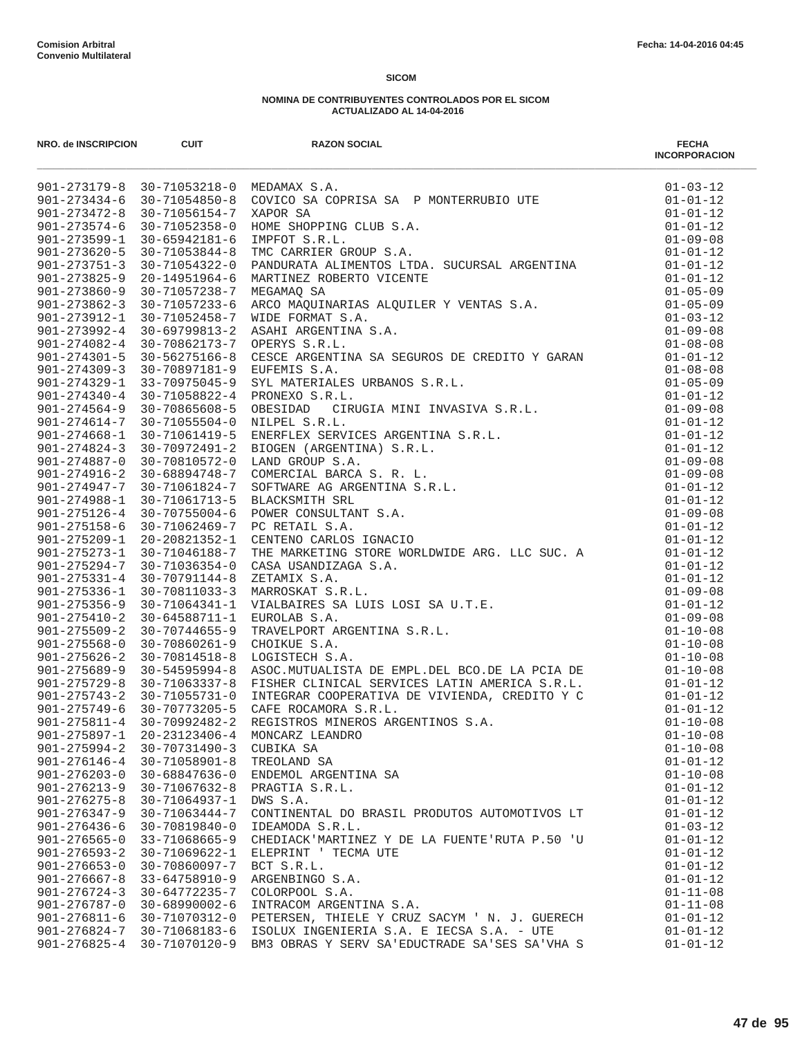| NRO. de INSCRIPCION                      | <b>CUIT</b>                    | <b>RAZON SOCIAL</b>                           | <b>FECHA</b><br><b>INCORPORACION</b> |
|------------------------------------------|--------------------------------|-----------------------------------------------|--------------------------------------|
|                                          |                                |                                               |                                      |
|                                          |                                |                                               |                                      |
|                                          |                                |                                               |                                      |
|                                          |                                |                                               |                                      |
|                                          |                                |                                               |                                      |
|                                          |                                |                                               |                                      |
|                                          |                                |                                               |                                      |
|                                          |                                |                                               |                                      |
|                                          |                                |                                               |                                      |
|                                          |                                |                                               |                                      |
|                                          |                                |                                               |                                      |
|                                          |                                |                                               |                                      |
|                                          |                                |                                               |                                      |
|                                          |                                |                                               |                                      |
|                                          |                                |                                               |                                      |
|                                          |                                |                                               |                                      |
|                                          |                                |                                               |                                      |
|                                          |                                |                                               |                                      |
|                                          |                                |                                               |                                      |
|                                          |                                |                                               |                                      |
|                                          |                                |                                               |                                      |
|                                          |                                |                                               |                                      |
|                                          |                                |                                               |                                      |
|                                          |                                |                                               |                                      |
|                                          |                                |                                               |                                      |
|                                          |                                |                                               |                                      |
|                                          |                                |                                               |                                      |
|                                          |                                |                                               |                                      |
|                                          |                                |                                               |                                      |
|                                          |                                |                                               |                                      |
|                                          |                                |                                               |                                      |
|                                          |                                |                                               |                                      |
|                                          |                                |                                               |                                      |
|                                          |                                |                                               |                                      |
|                                          |                                |                                               |                                      |
|                                          |                                |                                               |                                      |
|                                          |                                |                                               |                                      |
|                                          |                                |                                               |                                      |
|                                          |                                |                                               |                                      |
|                                          |                                |                                               |                                      |
| $901 - 275897 - 1$                       | 20-23123406-4                  | MONCARZ LEANDRO                               | $01 - 10 - 08$                       |
| $901 - 275994 - 2$                       | $30 - 70731490 - 3$            | CUBIKA SA                                     | $01 - 10 - 08$                       |
| $901 - 276146 - 4$                       | $30 - 71058901 - 8$            | TREOLAND SA                                   | $01 - 01 - 12$                       |
| $901 - 276203 - 0$<br>$901 - 276213 - 9$ | 30-68847636-0<br>30-71067632-8 | ENDEMOL ARGENTINA SA                          | $01 - 10 - 08$<br>$01 - 01 - 12$     |
| $901 - 276275 - 8$                       | 30-71064937-1                  | PRAGTIA S.R.L.<br>DWS S.A.                    | $01 - 01 - 12$                       |
| $901 - 276347 - 9$                       | 30-71063444-7                  | CONTINENTAL DO BRASIL PRODUTOS AUTOMOTIVOS LT | $01 - 01 - 12$                       |
| $901 - 276436 - 6$                       | 30-70819840-0                  | IDEAMODA S.R.L.                               | $01 - 03 - 12$                       |
| $901 - 276565 - 0$                       | 33-71068665-9                  | CHEDIACK'MARTINEZ Y DE LA FUENTE'RUTA P.50 'U | $01 - 01 - 12$                       |
| $901 - 276593 - 2$                       | 30-71069622-1                  | ELEPRINT ' TECMA UTE                          | $01 - 01 - 12$                       |
| $901 - 276653 - 0$                       | $30 - 70860097 - 7$            | BCT S.R.L.                                    | $01 - 01 - 12$                       |
| $901 - 276667 - 8$                       | 33-64758910-9                  | ARGENBINGO S.A.                               | $01 - 01 - 12$                       |
| $901 - 276724 - 3$                       | 30-64772235-7                  | COLORPOOL S.A.                                | $01 - 11 - 08$                       |
| $901 - 276787 - 0$                       | $30 - 68990002 - 6$            | INTRACOM ARGENTINA S.A.                       | $01 - 11 - 08$                       |
| $901 - 276811 - 6$                       | 30-71070312-0                  | PETERSEN, THIELE Y CRUZ SACYM ' N. J. GUERECH | $01 - 01 - 12$                       |
| $901 - 276824 - 7$                       | 30-71068183-6                  | ISOLUX INGENIERIA S.A. E IECSA S.A. - UTE     | $01 - 01 - 12$                       |
| $901 - 276825 - 4$                       | 30-71070120-9                  | BM3 OBRAS Y SERV SA'EDUCTRADE SA'SES SA'VHA S | $01 - 01 - 12$                       |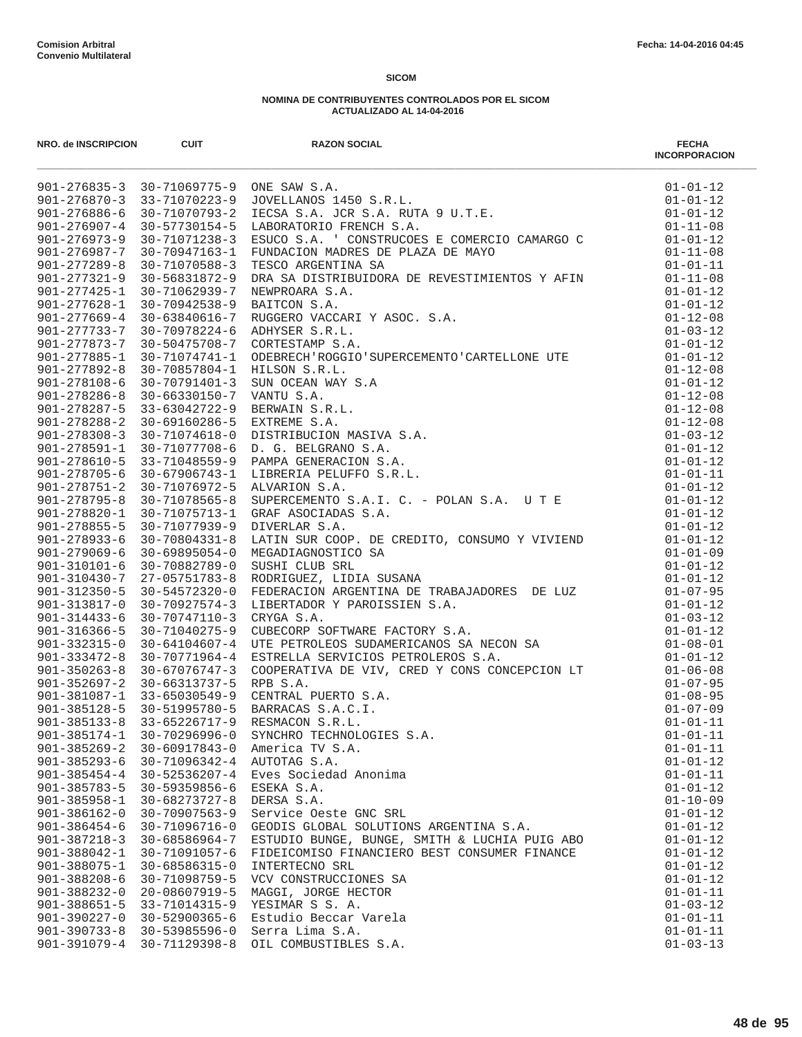| NRO. de INSCRIPCION                      | <b>CUIT</b>                          | <b>RAZON SOCIAL</b>                                                                                                                                                                                                                                                            | <b>FECHA</b><br><b>INCORPORACION</b> |
|------------------------------------------|--------------------------------------|--------------------------------------------------------------------------------------------------------------------------------------------------------------------------------------------------------------------------------------------------------------------------------|--------------------------------------|
|                                          |                                      | 901-276835-3 30-71069775-9 ONE SAW S.A.<br>901-276870-3 33-71070223-9 JOVELLANOS 1450 S.R.L.<br>901-276886-6 30-71070793-2 IECSA S.A. JCR S.A. RUTA 9 U.T.E.<br>901-276907-4 30-57730154-5 LABORATORIO FRENCH S.A.<br>901-276973-9 30-7107                                     | $01 - 01 - 12$                       |
|                                          |                                      |                                                                                                                                                                                                                                                                                | $01 - 01 - 12$                       |
|                                          |                                      |                                                                                                                                                                                                                                                                                | $01 - 01 - 12$                       |
|                                          |                                      |                                                                                                                                                                                                                                                                                | $01 - 11 - 08$                       |
|                                          |                                      |                                                                                                                                                                                                                                                                                | $01 - 01 - 12$                       |
|                                          |                                      |                                                                                                                                                                                                                                                                                | $01 - 11 - 08$                       |
|                                          |                                      | TESCO ARGENTINA SA<br>DRA SA DISTRIBUIDORA DE REVESTIMIENTOS Y AFIN<br>NEWPROARA S.A.<br>RAITCON S.A.<br>RAITCON S.A.<br>CORTESTAMP S.A.<br>CORTESTAMP S.A.<br>CORTESTAMP S.A.<br>CORTESTAMP S.A.<br>CORTESTAMP S.A.<br>JUBERECH "ROGGIO 'SUPERCEM                             | $01 - 01 - 11$                       |
| $901 - 277321 - 9$                       | 30-56831872-9                        |                                                                                                                                                                                                                                                                                | $01 - 11 - 08$                       |
| $901 - 277425 - 1$                       | 30-71062939-7                        |                                                                                                                                                                                                                                                                                | $01 - 01 - 12$                       |
| $901 - 277628 - 1$                       | $30 - 70942538 - 9$                  |                                                                                                                                                                                                                                                                                | $01 - 01 - 12$                       |
|                                          | $901 - 277669 - 4$ 30-63840616-7     |                                                                                                                                                                                                                                                                                | $01 - 12 - 08$                       |
| $901 - 277733 - 7$<br>$901 - 277873 - 7$ | 30-70978224-6                        |                                                                                                                                                                                                                                                                                | $01 - 03 - 12$                       |
| $901 - 277885 - 1$                       | 30-50475708-7<br>30-71074741-1       |                                                                                                                                                                                                                                                                                | $01 - 01 - 12$<br>$01 - 01 - 12$     |
| $901 - 277892 - 8$                       | 30-70857804-1                        |                                                                                                                                                                                                                                                                                | $01 - 12 - 08$                       |
| $901 - 278108 - 6$                       | 30-70791401-3                        |                                                                                                                                                                                                                                                                                | $01 - 01 - 12$                       |
| $901 - 278286 - 8$                       | 30-66330150-7                        |                                                                                                                                                                                                                                                                                | $01 - 12 - 08$                       |
| $901 - 278287 - 5$                       | 33-63042722-9                        |                                                                                                                                                                                                                                                                                | $01 - 12 - 08$                       |
| $901 - 278288 - 2$                       | 30-69160286-5                        |                                                                                                                                                                                                                                                                                | $01 - 12 - 08$                       |
| $901 - 278308 - 3$                       | 30-71074618-0                        |                                                                                                                                                                                                                                                                                | $01 - 03 - 12$                       |
| $901 - 278591 - 1$                       | 30-71077708-6                        |                                                                                                                                                                                                                                                                                | $01 - 01 - 12$                       |
| 901-278610-5                             | 33-71048559-9                        |                                                                                                                                                                                                                                                                                | $01 - 01 - 12$                       |
| 901-278705-6                             | 30-67906743-1                        |                                                                                                                                                                                                                                                                                | $01 - 01 - 11$                       |
| $901 - 278751 - 2$                       | 30-71076972-5                        |                                                                                                                                                                                                                                                                                | $01 - 01 - 12$                       |
| $901 - 278795 - 8$                       | 30-71078565-8                        |                                                                                                                                                                                                                                                                                | $01 - 01 - 12$                       |
| 901-278820-1                             | 30-71075713-1                        | GRAF ASOCIADAS S.A.                                                                                                                                                                                                                                                            | $01 - 01 - 12$                       |
| $901 - 278855 - 5$                       | 30-71077939-9                        | DIVERLAR S.A.                                                                                                                                                                                                                                                                  | $01 - 01 - 12$                       |
| $901 - 278933 - 6$                       | 30-70804331-8                        | LATIN SUR COOP. DE CREDITO, CONSUMO Y VIVIEND                                                                                                                                                                                                                                  | $01 - 01 - 12$                       |
| $901 - 279069 - 6$                       | $30 - 69895054 - 0$                  | MEGADIAGNOSTICO SA                                                                                                                                                                                                                                                             | $01 - 01 - 09$                       |
| $901 - 310101 - 6$                       | 30-70882789-0                        | SUSHI CLUB SRL                                                                                                                                                                                                                                                                 | $01 - 01 - 12$                       |
| $901 - 310430 - 7$                       | 27-05751783-8                        | RODRIGUEZ, LIDIA SUSANA<br>RODRIGUEZ, LIDIA SUSANA<br>FEDERACION ARGENTINA DE TRABAJADORES DE LUZ<br>LIBERTADOR Y PAROISSIEN S.A.<br>CRYGA S.A.<br>CUBECORP SOFTWARE FACTORY S.A.<br>UTE PETROLEOS SUDAMERICANOS SA NECON SA<br>ESTRELLA SERVICIOS PETROLEROS S.A.<br>COOPERAT | $01 - 01 - 12$                       |
| $901 - 312350 - 5$                       | 30-54572320-0                        |                                                                                                                                                                                                                                                                                | $01 - 07 - 95$                       |
| $901 - 313817 - 0$                       | $30 - 70927574 - 3$                  |                                                                                                                                                                                                                                                                                | $01 - 01 - 12$                       |
| $901 - 314433 - 6$                       | 30-70747110-3                        |                                                                                                                                                                                                                                                                                | $01 - 03 - 12$                       |
| $901 - 316366 - 5$                       | 30-71040275-9                        |                                                                                                                                                                                                                                                                                | $01 - 01 - 12$                       |
| $901 - 332315 - 0$                       | $30 - 64104607 - 4$                  |                                                                                                                                                                                                                                                                                | $01 - 08 - 01$                       |
| $901 - 333472 - 8$                       | 30-70771964-4                        |                                                                                                                                                                                                                                                                                | $01 - 01 - 12$                       |
|                                          | $901 - 350263 - 8$ 30-67076747-3     |                                                                                                                                                                                                                                                                                | $01 - 06 - 08$                       |
|                                          | $901 - 352697 - 2$ 30-66313737-5     |                                                                                                                                                                                                                                                                                | $01 - 07 - 95$                       |
|                                          | 901-381087-1 33-65030549-9           |                                                                                                                                                                                                                                                                                | $01 - 08 - 95$                       |
|                                          | 901-385128-5 30-51995780-5           |                                                                                                                                                                                                                                                                                | $01 - 07 - 09$                       |
| $901 - 385133 - 8$<br>$901 - 385174 - 1$ | 33-65226717-9<br>$30 - 70296996 - 0$ | SYNCHRO TECHNOLOGIES S.A.                                                                                                                                                                                                                                                      | $01 - 01 - 11$<br>$01 - 01 - 11$     |
| $901 - 385269 - 2$                       | $30 - 60917843 - 0$                  | America TV S.A.                                                                                                                                                                                                                                                                | $01 - 01 - 11$                       |
| $901 - 385293 - 6$                       | 30-71096342-4                        | AUTOTAG S.A.                                                                                                                                                                                                                                                                   | $01 - 01 - 12$                       |
| $901 - 385454 - 4$                       | $30 - 52536207 - 4$                  | Eves Sociedad Anonima                                                                                                                                                                                                                                                          | $01 - 01 - 11$                       |
| $901 - 385783 - 5$                       | 30-59359856-6                        | ESEKA S.A.                                                                                                                                                                                                                                                                     | $01 - 01 - 12$                       |
| $901 - 385958 - 1$                       | $30 - 68273727 - 8$                  | DERSA S.A.                                                                                                                                                                                                                                                                     | $01 - 10 - 09$                       |
| $901 - 386162 - 0$                       | $30 - 70907563 - 9$                  | Service Oeste GNC SRL                                                                                                                                                                                                                                                          | $01 - 01 - 12$                       |
| $901 - 386454 - 6$                       | 30-71096716-0                        | GEODIS GLOBAL SOLUTIONS ARGENTINA S.A.                                                                                                                                                                                                                                         | $01 - 01 - 12$                       |
| $901 - 387218 - 3$                       | $30 - 68586964 - 7$                  | ESTUDIO BUNGE, BUNGE, SMITH & LUCHIA PUIG ABO                                                                                                                                                                                                                                  | $01 - 01 - 12$                       |
| $901 - 388042 - 1$                       | 30-71091057-6                        | FIDEICOMISO FINANCIERO BEST CONSUMER FINANCE                                                                                                                                                                                                                                   | $01 - 01 - 12$                       |
| $901 - 388075 - 1$                       | $30 - 68586315 - 0$                  | INTERTECNO SRL                                                                                                                                                                                                                                                                 | $01 - 01 - 12$                       |
| $901 - 388208 - 6$                       | 30-71098759-5                        | VCV CONSTRUCCIONES SA                                                                                                                                                                                                                                                          | $01 - 01 - 12$                       |
| $901 - 388232 - 0$                       | 20-08607919-5                        | MAGGI, JORGE HECTOR                                                                                                                                                                                                                                                            | $01 - 01 - 11$                       |
| $901 - 388651 - 5$                       | 33-71014315-9                        | YESIMAR S S. A.                                                                                                                                                                                                                                                                | $01 - 03 - 12$                       |
| $901 - 390227 - 0$                       | 30-52900365-6                        | Estudio Beccar Varela                                                                                                                                                                                                                                                          | $01 - 01 - 11$                       |
| $901 - 390733 - 8$                       | $30 - 53985596 - 0$                  | Serra Lima S.A.                                                                                                                                                                                                                                                                | $01 - 01 - 11$                       |
| $901 - 391079 - 4$                       | 30-71129398-8                        | OIL COMBUSTIBLES S.A.                                                                                                                                                                                                                                                          | $01 - 03 - 13$                       |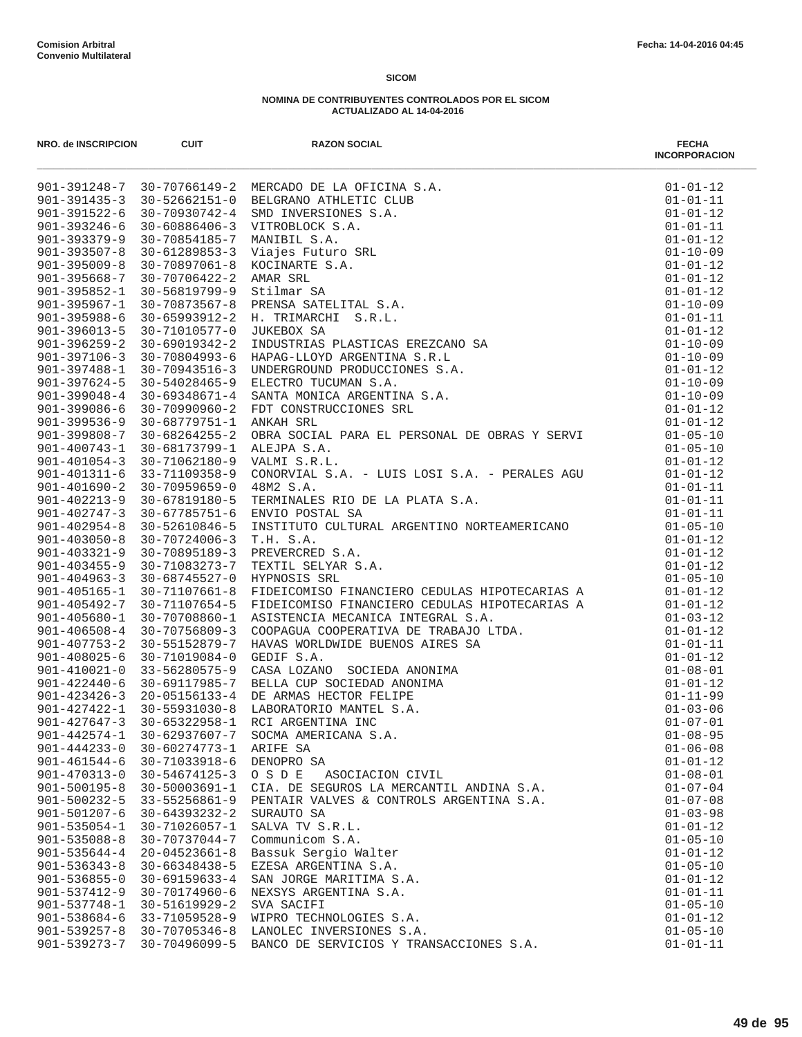| NRO. de INSCRIPCION                      | <b>CUIT</b>                    | <b>RAZON SOCIAL</b>                                                                                                                                                                                                                              | <b>FECHA</b><br><b>INCORPORACION</b> |
|------------------------------------------|--------------------------------|--------------------------------------------------------------------------------------------------------------------------------------------------------------------------------------------------------------------------------------------------|--------------------------------------|
|                                          |                                | 901-391248-7 30-70766149-2 MERCADO DE LA OFICINA S.A.<br>901-391248-7 30-70766149-2 MERCADO DE LA OFICINA S.A.<br>901-391322-6 30-70930742-4 SMD INVERSIONES S.A.<br>901-393246-6 30-60886406-3 VITROBLOCK S.A.<br>901-393379-9 30-7089640       | $01 - 01 - 12$                       |
|                                          |                                |                                                                                                                                                                                                                                                  | $01 - 01 - 11$                       |
|                                          |                                |                                                                                                                                                                                                                                                  | $01 - 01 - 12$                       |
|                                          |                                |                                                                                                                                                                                                                                                  | $01 - 01 - 11$                       |
|                                          |                                |                                                                                                                                                                                                                                                  | $01 - 01 - 12$                       |
|                                          |                                |                                                                                                                                                                                                                                                  | $01 - 10 - 09$                       |
|                                          |                                |                                                                                                                                                                                                                                                  | $01 - 01 - 12$                       |
|                                          |                                |                                                                                                                                                                                                                                                  | $01 - 01 - 12$<br>$01 - 01 - 12$     |
|                                          |                                |                                                                                                                                                                                                                                                  | $01 - 10 - 09$                       |
|                                          |                                |                                                                                                                                                                                                                                                  | $01 - 01 - 11$                       |
|                                          |                                |                                                                                                                                                                                                                                                  | $01 - 01 - 12$                       |
|                                          |                                |                                                                                                                                                                                                                                                  | $01 - 10 - 09$                       |
|                                          |                                |                                                                                                                                                                                                                                                  | $01 - 10 - 09$                       |
|                                          |                                |                                                                                                                                                                                                                                                  | $01 - 01 - 12$                       |
|                                          |                                |                                                                                                                                                                                                                                                  | $01 - 10 - 09$                       |
|                                          |                                |                                                                                                                                                                                                                                                  | $01 - 10 - 09$                       |
|                                          |                                |                                                                                                                                                                                                                                                  | $01 - 01 - 12$                       |
|                                          |                                |                                                                                                                                                                                                                                                  | $01 - 01 - 12$                       |
| $901 - 399808 - 7$                       | 30-68264255-2                  | OBRA SOCIAL PARA EL PERSONAL DE OBRAS Y SERVI                                                                                                                                                                                                    | $01 - 05 - 10$                       |
| $901 - 400743 - 1$<br>$901 - 401054 - 3$ | 30-68173799-1                  | ALEJPA S.A.                                                                                                                                                                                                                                      | $01 - 05 - 10$                       |
| $901 - 401311 - 6$                       | 30-71062180-9<br>33-71109358-9 | VALMI S.R.L.<br>CONORVIAL S.A. - LUIS LOSI S.A. - PERALES AGU                                                                                                                                                                                    | $01 - 01 - 12$<br>$01 - 01 - 12$     |
| $901 - 401690 - 2$                       | $30 - 70959659 - 0$            | 48M2 S.A.                                                                                                                                                                                                                                        | $01 - 01 - 11$                       |
| $901 - 402213 - 9$                       | 30-67819180-5                  | TERMINALES RIO DE LA PLATA S.A.                                                                                                                                                                                                                  | $01 - 01 - 11$                       |
| $901 - 402747 - 3$                       | 30-67785751-6                  | ENVIO POSTAL SA                                                                                                                                                                                                                                  | $01 - 01 - 11$                       |
| $901 - 402954 - 8$                       | 30-52610846-5                  | INSTITUTO CULTURAL ARGENTINO NORTEAMERICANO                                                                                                                                                                                                      | $01 - 05 - 10$                       |
| $901 - 403050 - 8$                       | 30-70724006-3                  | T.H. S.A.                                                                                                                                                                                                                                        | $01 - 01 - 12$                       |
| $901 - 403321 - 9$                       | 30-70895189-3                  | PREVERCRED S.A.                                                                                                                                                                                                                                  | $01 - 01 - 12$                       |
| $901 - 403455 - 9$                       | 30-71083273-7                  | TEXTIL SELYAR S.A.                                                                                                                                                                                                                               | $01 - 01 - 12$                       |
| $901 - 404963 - 3$                       | 30-68745527-0                  | HYPNOSIS SRL                                                                                                                                                                                                                                     | $01 - 05 - 10$                       |
| $901 - 405165 - 1$                       | 30-71107661-8                  | FIDEICOMISO FINANCIERO CEDULAS HIPOTECARIAS A                                                                                                                                                                                                    | $01 - 01 - 12$                       |
| $901 - 405492 - 7$                       | 30-71107654-5                  |                                                                                                                                                                                                                                                  | $01 - 01 - 12$                       |
| $901 - 405680 - 1$                       | 30-70708860-1                  |                                                                                                                                                                                                                                                  | $01 - 03 - 12$                       |
| $901 - 406508 - 4$<br>$901 - 407753 - 2$ | 30-70756809-3<br>30-55152879-7 |                                                                                                                                                                                                                                                  | $01 - 01 - 12$<br>$01 - 01 - 11$     |
| $901 - 408025 - 6$                       | 30-71019084-0                  |                                                                                                                                                                                                                                                  | $01 - 01 - 12$                       |
| $901 - 410021 - 0$                       | 33-56280575-9                  |                                                                                                                                                                                                                                                  | $01 - 08 - 01$                       |
| $901 - 422440 - 6$                       | 30-69117985-7                  |                                                                                                                                                                                                                                                  | $01 - 01 - 12$                       |
| $901 - 423426 - 3$                       | 20-05156133-4                  |                                                                                                                                                                                                                                                  | $01 - 11 - 99$                       |
| $901 - 427422 - 1$                       | 30-55931030-8                  | FIDEICOMISO FINANCIERO CEDULAS HIPOTECARIAS A<br>FIDEICOMISO FINANCIERO CEDULAS HIPOTECARIAS A<br>ASISTENCIA MECANICA INTEGRAL S.A.<br>COOPAGUA COOPERATIVA DE TRABAJO LTDA.<br>HAVAS WORLDWIDE BUENOS AIRES SA<br>GEDIF S.A.<br>CASA LOZANO SOC | $01 - 03 - 06$                       |
| $901 - 427647 - 3$                       | 30-65322958-1                  |                                                                                                                                                                                                                                                  | $01 - 07 - 01$                       |
| $901 - 442574 - 1$                       | 30-62937607-7                  | SOCMA AMERICANA S.A.                                                                                                                                                                                                                             | $01 - 08 - 95$                       |
| $901 - 444233 - 0$                       | 30-60274773-1                  | ARIFE SA                                                                                                                                                                                                                                         | $01 - 06 - 08$                       |
| $901 - 461544 - 6$                       | 30-71033918-6                  | DENOPRO SA                                                                                                                                                                                                                                       | $01 - 01 - 12$                       |
| $901 - 470313 - 0$                       | $30 - 54674125 - 3$            | OSDE<br>ASOCIACION CIVIL                                                                                                                                                                                                                         | $01 - 08 - 01$                       |
| $901 - 500195 - 8$                       | 30-50003691-1                  | CIA. DE SEGUROS LA MERCANTIL ANDINA S.A.                                                                                                                                                                                                         | $01 - 07 - 04$                       |
| $901 - 500232 - 5$                       | $33 - 55256861 - 9$            | PENTAIR VALVES & CONTROLS ARGENTINA S.A.                                                                                                                                                                                                         | $01 - 07 - 08$                       |
| $901 - 501207 - 6$<br>$901 - 535054 - 1$ | 30-64393232-2<br>30-71026057-1 | SURAUTO SA<br>SALVA TV S.R.L.                                                                                                                                                                                                                    | $01 - 03 - 98$<br>$01 - 01 - 12$     |
| $901 - 535088 - 8$                       | 30-70737044-7                  | Communicom S.A.                                                                                                                                                                                                                                  | $01 - 05 - 10$                       |
| $901 - 535644 - 4$                       | $20 - 04523661 - 8$            | Bassuk Sergio Walter                                                                                                                                                                                                                             | $01 - 01 - 12$                       |
| $901 - 536343 - 8$                       | $30 - 66348438 - 5$            | EZESA ARGENTINA S.A.                                                                                                                                                                                                                             | $01 - 05 - 10$                       |
| $901 - 536855 - 0$                       | $30 - 69159633 - 4$            | SAN JORGE MARITIMA S.A.                                                                                                                                                                                                                          | $01 - 01 - 12$                       |
| $901 - 537412 - 9$                       | 30-70174960-6                  | NEXSYS ARGENTINA S.A.                                                                                                                                                                                                                            | $01 - 01 - 11$                       |
| $901 - 537748 - 1$                       | 30-51619929-2                  | SVA SACIFI                                                                                                                                                                                                                                       | $01 - 05 - 10$                       |
| $901 - 538684 - 6$                       | 33-71059528-9                  | WIPRO TECHNOLOGIES S.A.                                                                                                                                                                                                                          | $01 - 01 - 12$                       |
| $901 - 539257 - 8$                       | $30 - 70705346 - 8$            | LANOLEC INVERSIONES S.A.                                                                                                                                                                                                                         | $01 - 05 - 10$                       |
| $901 - 539273 - 7$                       | 30-70496099-5                  | BANCO DE SERVICIOS Y TRANSACCIONES S.A.                                                                                                                                                                                                          | $01 - 01 - 11$                       |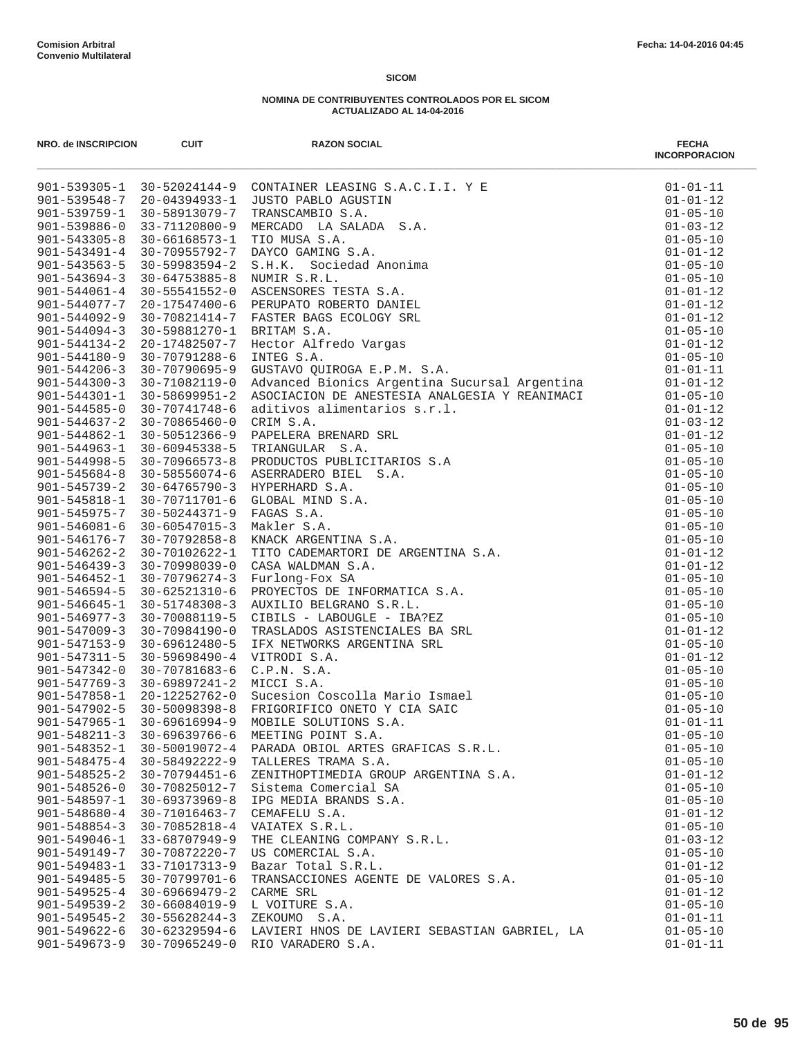| <b>NRO. de INSCRIPCION</b>               | <b>CUIT</b>                                     | <b>RAZON SOCIAL</b>                                                | <b>FECHA</b><br><b>INCORPORACION</b> |
|------------------------------------------|-------------------------------------------------|--------------------------------------------------------------------|--------------------------------------|
|                                          |                                                 | 901-539305-1 30-52024144-9 CONTAINER LEASING S.A.C.I.I. Y E        | $01 - 01 - 11$                       |
|                                          | 901-539548-7 20-04394933-1                      | JUSTO PABLO AGUSTIN                                                | $01 - 01 - 12$                       |
| $901 - 539759 - 1$                       | 30-58913079-7                                   | TRANSCAMBIO S.A.                                                   | $01 - 05 - 10$                       |
| $901 - 539886 - 0$                       | 33-71120800-9                                   | MERCADO LA SALADA S.A.                                             | $01 - 03 - 12$                       |
| $901 - 543305 - 8$                       | 30-66168573-1                                   | TIO MUSA S.A.                                                      | $01 - 05 - 10$                       |
| $901 - 543491 - 4$                       |                                                 | 30-70955792-7 DAYCO GAMING S.A.                                    | $01 - 01 - 12$                       |
| $901 - 543563 - 5$<br>$901 - 543694 - 3$ | 30-59983594-2<br>30-64753885-8                  | S.H.K. Sociedad Anonima<br>NUMIR S.R.L.                            | $01 - 05 - 10$<br>$01 - 05 - 10$     |
| $901 - 544061 - 4$                       | 30-55541552-0                                   | ASCENSORES TESTA S.A.                                              | $01 - 01 - 12$                       |
| 901-544077-7                             | 20-17547400-6                                   | PERUPATO ROBERTO DANIEL                                            | $01 - 01 - 12$                       |
| 901-544092-9                             |                                                 | 30-70821414-7 FASTER BAGS ECOLOGY SRL                              | $01 - 01 - 12$                       |
| $901 - 544094 - 3$                       | 30-59881270-1 BRITAM S.A.                       |                                                                    |                                      |
| $901 - 544134 - 2$                       |                                                 | 20-17482507-7 Hector Alfredo Vargas                                |                                      |
| $901 - 544180 - 9$                       | 30-70791288-6                                   |                                                                    |                                      |
| $901 - 544206 - 3$                       | 30-70790695-9                                   |                                                                    |                                      |
| $901 - 544300 - 3$                       | 30-71082119-0                                   |                                                                    |                                      |
| $901 - 544301 - 1$                       | 30-58699951-2                                   |                                                                    |                                      |
| $901 - 544585 - 0$                       | 30-70741748-6                                   |                                                                    |                                      |
| $901 - 544637 - 2$                       | 30-70865460-0                                   |                                                                    |                                      |
| $901 - 544862 - 1$                       | 30-50512366-9                                   |                                                                    |                                      |
| $901 - 544963 - 1$                       | 30-60945338-5                                   |                                                                    |                                      |
| 901-544998-5                             | $30 - 70966573 - 8$                             |                                                                    |                                      |
| $901 - 545684 - 8$                       |                                                 | 30-58556074-6 ASERRADERO BIEL S.A.                                 |                                      |
| $901 - 545739 - 2$                       | $30 - 64765790 - 3$                             |                                                                    |                                      |
| $901 - 545818 - 1$                       | 30-70711701-6                                   |                                                                    |                                      |
| 901-545975-7<br>$901 - 546081 - 6$       | 30-50244371-9 FAGAS S.A.<br>$30 - 60547015 - 3$ |                                                                    |                                      |
| $901 - 546176 - 7$                       | 30-70792858-8                                   |                                                                    |                                      |
| $901 - 546262 - 2$                       | 30-70102622-1                                   |                                                                    |                                      |
| $901 - 546439 - 3$                       | 30-70998039-0                                   |                                                                    |                                      |
| $901 - 546452 - 1$                       | 30-70796274-3                                   |                                                                    |                                      |
| $901 - 546594 - 5$                       | 30-62521310-6                                   |                                                                    |                                      |
| $901 - 546645 - 1$                       | $30 - 51748308 - 3$                             |                                                                    |                                      |
| $901 - 546977 - 3$                       | 30-70088119-5                                   |                                                                    |                                      |
| $901 - 547009 - 3$                       | 30-70984190-0                                   |                                                                    |                                      |
| $901 - 547153 - 9$                       | 30-69612480-5                                   |                                                                    |                                      |
| $901 - 547311 - 5$                       | 30-59698490-4                                   |                                                                    |                                      |
| $901 - 547342 - 0$                       | 30-70781683-6                                   |                                                                    |                                      |
| $901 - 547769 - 3$                       | 30-69897241-2                                   |                                                                    |                                      |
|                                          | 901-547858-1 20-12252762-0                      |                                                                    |                                      |
|                                          |                                                 | 901-547902-5 30-50098398-8 FRIGORIFICO ONETO Y CIA SAIC            |                                      |
| $901 - 547965 - 1$                       | 30-69616994-9                                   |                                                                    |                                      |
| 901-548211-3 30-69639766-6               |                                                 |                                                                    |                                      |
| $901 - 548352 - 1$                       | 30-50019072-4                                   |                                                                    |                                      |
| $901 - 548475 - 4$<br>$901 - 548525 - 2$ | 30-58492222-9<br>30-70794451-6                  | TALLERES TRAMA S.A.<br>ZENITHOPTIMEDIA GROUP ARGENTINA S.A.        | $01 - 05 - 10$<br>$01 - 01 - 12$     |
| $901 - 548526 - 0$                       | 30-70825012-7                                   | Sistema Comercial SA                                               | $01 - 05 - 10$                       |
| $901 - 548597 - 1$                       | $30 - 69373969 - 8$                             | IPG MEDIA BRANDS S.A.                                              | $01 - 05 - 10$                       |
| $901 - 548680 - 4$                       | 30-71016463-7                                   | CEMAFELU S.A.                                                      | $01 - 01 - 12$                       |
| $901 - 548854 - 3$                       | 30-70852818-4                                   | VAIATEX S.R.L.                                                     | $01 - 05 - 10$                       |
| $901 - 549046 - 1$                       | 33-68707949-9                                   | THE CLEANING COMPANY S.R.L.                                        | $01 - 03 - 12$                       |
| $901 - 549149 - 7$                       | 30-70872220-7                                   | US COMERCIAL S.A.                                                  | $01 - 05 - 10$                       |
| $901 - 549483 - 1$                       | 33-71017313-9                                   | Bazar Total S.R.L.                                                 | $01 - 01 - 12$                       |
| 901-549485-5                             | 30-70799701-6                                   | TRANSACCIONES AGENTE DE VALORES S.A.                               | $01 - 05 - 10$                       |
| $901 - 549525 - 4$                       | $30 - 69669479 - 2$                             | CARME SRL                                                          | $01 - 01 - 12$                       |
| $901 - 549539 - 2$                       | 30-66084019-9                                   | L VOITURE S.A.                                                     | $01 - 05 - 10$                       |
| $901 - 549545 - 2$                       | $30 - 55628244 - 3$                             | ZEKOUMO S.A.                                                       | $01 - 01 - 11$                       |
| $901 - 549622 - 6$<br>$901 - 549673 - 9$ | 30-62329594-6<br>$30 - 70965249 - 0$            | LAVIERI HNOS DE LAVIERI SEBASTIAN GABRIEL, LA<br>RIO VARADERO S.A. | $01 - 05 - 10$<br>$01 - 01 - 11$     |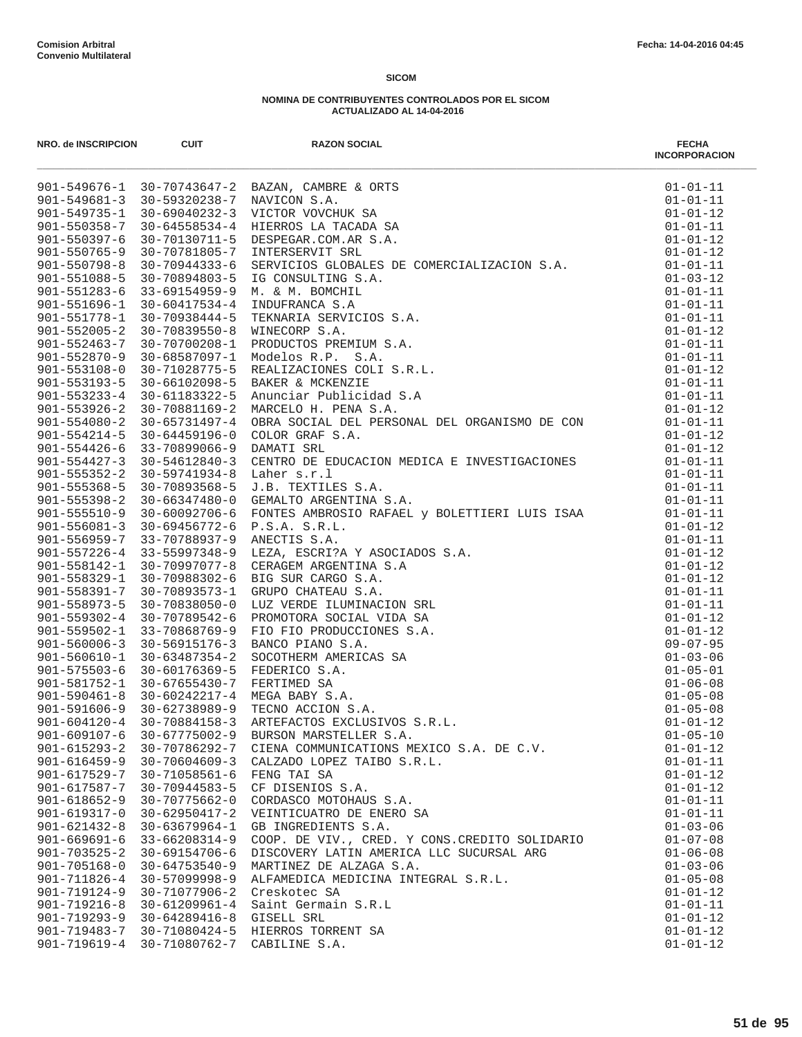| NRO. de INSCRIPCION                      | <b>CUIT</b>                             | <b>RAZON SOCIAL</b>                                                                                                                                                                                                                                | <b>FECHA</b><br><b>INCORPORACION</b> |
|------------------------------------------|-----------------------------------------|----------------------------------------------------------------------------------------------------------------------------------------------------------------------------------------------------------------------------------------------------|--------------------------------------|
|                                          |                                         | BAZAN, CAMBRE & ORTS<br>NAVICON S.A.<br>VICTOR VOVCHUK SA<br>HIERROS LA TACADA SA<br>DESPEGAR.COM.AR S.A.<br>INTERSERVIT SRL<br>SERVICIOS GLOBALES DE COMERCIALIZACION S.A.<br>901-549676-1 30-70743647-2 BAZAN, CAMBRE & ORTS                     | $01 - 01 - 11$                       |
|                                          | 901-549681-3 30-59320238-7 NAVICON S.A. |                                                                                                                                                                                                                                                    | $01 - 01 - 11$                       |
| $901 - 549735 - 1$                       | $30 - 69040232 - 3$                     |                                                                                                                                                                                                                                                    | $01 - 01 - 12$                       |
| $901 - 550358 - 7$                       | $30 - 64558534 - 4$                     |                                                                                                                                                                                                                                                    | $01 - 01 - 11$                       |
| $901 - 550397 - 6$                       | 30-70130711-5                           |                                                                                                                                                                                                                                                    | $01 - 01 - 12$                       |
| $901 - 550765 - 9$                       | 30-70781805-7                           |                                                                                                                                                                                                                                                    | $01 - 01 - 12$                       |
| $901 - 550798 - 8$<br>$901 - 551088 - 5$ | 30-70944333-6                           |                                                                                                                                                                                                                                                    | $01 - 01 - 11$<br>$01 - 03 - 12$     |
| $901 - 551283 - 6$                       | 30-70894803-5<br>33-69154959-9          |                                                                                                                                                                                                                                                    | $01 - 01 - 11$                       |
| $901 - 551696 - 1$                       | 30-60417534-4                           | M. & M. BOMCHIL<br>INDUFRANCA S.A<br>TEKNARIA SERVICIOS S.A.<br>WINECORP S.A.<br>PRODUCTOS PREMIUM S.A.<br>MOdelos R.P. S.A.<br>REALIZACIONES COLI S.R.L.<br>BAKER & MCKENZIE<br>Anunciar Publicidad S.A<br>MARCELO H. PENA S.A.<br>OBRA SOCIAL DE | $01 - 01 - 11$                       |
| $901 - 551778 - 1$                       | 30-70938444-5                           |                                                                                                                                                                                                                                                    | $01 - 01 - 11$                       |
| $901 - 552005 - 2$                       | $30 - 70839550 - 8$                     |                                                                                                                                                                                                                                                    | $01 - 01 - 12$                       |
| $901 - 552463 - 7$                       | 30-70700208-1                           |                                                                                                                                                                                                                                                    | $01 - 01 - 11$                       |
| $901 - 552870 - 9$                       | 30-68587097-1                           |                                                                                                                                                                                                                                                    | $01 - 01 - 11$                       |
| $901 - 553108 - 0$                       | 30-71028775-5                           |                                                                                                                                                                                                                                                    | $01 - 01 - 12$                       |
| $901 - 553193 - 5$                       | 30-66102098-5                           |                                                                                                                                                                                                                                                    | $01 - 01 - 11$                       |
| $901 - 553233 - 4$                       | 30-61183322-5                           |                                                                                                                                                                                                                                                    | $01 - 01 - 11$                       |
| $901 - 553926 - 2$                       | 30-70881169-2                           |                                                                                                                                                                                                                                                    | $01 - 01 - 12$                       |
| $901 - 554080 - 2$                       | 30-65731497-4                           |                                                                                                                                                                                                                                                    | $01 - 01 - 11$                       |
| $901 - 554214 - 5$                       | 30-64459196-0                           |                                                                                                                                                                                                                                                    | $01 - 01 - 12$                       |
| $901 - 554426 - 6$                       | 33-70899066-9                           | DAMATI SRL                                                                                                                                                                                                                                         | $01 - 01 - 12$                       |
| $901 - 554427 - 3$                       | 30-54612840-3                           | CENTRO DE EDUCACION MEDICA E INVESTIGACIONES                                                                                                                                                                                                       | $01 - 01 - 11$                       |
| $901 - 555352 - 2$                       | 30-59741934-8                           | Laher s.r.l                                                                                                                                                                                                                                        | $01 - 01 - 11$                       |
| $901 - 555368 - 5$                       | 30-70893568-5                           | J.B. TEXTILES S.A.                                                                                                                                                                                                                                 | $01 - 01 - 11$                       |
| $901 - 555398 - 2$                       | 30-66347480-0                           | GEMALTO ARGENTINA S.A.                                                                                                                                                                                                                             | $01 - 01 - 11$                       |
| $901 - 555510 - 9$                       | 30-60092706-6                           | FONTES AMBROSIO RAFAEL Y BOLETTIERI LUIS ISAA<br>P.S.A. S.R.L.                                                                                                                                                                                     | $01 - 01 - 11$                       |
| $901 - 556081 - 3$                       | 30-69456772-6                           | P.S.A. S.R.L.                                                                                                                                                                                                                                      | $01 - 01 - 12$                       |
| 901-556959-7 33-70788937-9               |                                         | AFAEL Y BOLETTIERI LUIS ISAA<br>SOCIADOS S.A.<br><br><br><br>VIDA SA<br>NES S.A.<br>S SA<br>S SA.<br>ANECTIS S.A.                                                                                                                                  | $01 - 01 - 11$                       |
|                                          | 901-557226-4 33-55997348-9              | LEZA, ESCRI?A Y ASOCIADOS S.A.                                                                                                                                                                                                                     | $01 - 01 - 12$                       |
| $901 - 558142 - 1$                       | $30 - 70997077 - 8$                     | CERAGEM ARGENTINA S.A                                                                                                                                                                                                                              | $01 - 01 - 12$                       |
| $901 - 558329 - 1$<br>$901 - 558391 - 7$ | 30-70988302-6<br>30-70893573-1          | BIG SUR CARGO S.A.<br>GRUPO CHATEAU S.A.                                                                                                                                                                                                           | $01 - 01 - 12$<br>$01 - 01 - 11$     |
| $901 - 558973 - 5$                       | $30 - 70838050 - 0$                     | LUZ VERDE ILUMINACION SRL                                                                                                                                                                                                                          | $01 - 01 - 11$                       |
| $901 - 559302 - 4$                       | 30-70789542-6                           | PROMOTORA SOCIAL VIDA SA                                                                                                                                                                                                                           | $01 - 01 - 12$                       |
| $901 - 559502 - 1$                       | 33-70868769-9                           | FIO FIO PRODUCCIONES S.A.                                                                                                                                                                                                                          | $01 - 01 - 12$                       |
| $901 - 560006 - 3$                       | 30-56915176-3                           | BANCO PIANO S.A.                                                                                                                                                                                                                                   | $09 - 07 - 95$                       |
| $901 - 560610 - 1$                       | 30-63487354-2                           | SOCOTHERM AMERICAS SA                                                                                                                                                                                                                              | $01 - 03 - 06$                       |
| 901-575503-6 30-60176369-5               |                                         | FEDERICO S.A.                                                                                                                                                                                                                                      | $01 - 05 - 01$                       |
| $901 - 581752 - 1$                       | 30-67655430-7                           | FERTIMED SA                                                                                                                                                                                                                                        | $01 - 06 - 08$                       |
|                                          | $901 - 590461 - 8$ 30-60242217-4        | MEGA BABY S.A.                                                                                                                                                                                                                                     | $01 - 05 - 08$                       |
|                                          | 901-591606-9 30-62738989-9              | TECNO ACCION S.A.                                                                                                                                                                                                                                  | $01 - 05 - 08$                       |
| $901 - 604120 - 4$                       | $30 - 70884158 - 3$                     | ARTEFACTOS EXCLUSIVOS S.R.L.                                                                                                                                                                                                                       | $01 - 01 - 12$                       |
| $901 - 609107 - 6$                       | $30 - 67775002 - 9$                     | BURSON MARSTELLER S.A.                                                                                                                                                                                                                             | $01 - 05 - 10$                       |
| $901 - 615293 - 2$                       | 30-70786292-7                           | CIENA COMMUNICATIONS MEXICO S.A. DE C.V.                                                                                                                                                                                                           | $01 - 01 - 12$                       |
| $901 - 616459 - 9$                       | $30 - 70604609 - 3$                     | CALZADO LOPEZ TAIBO S.R.L.                                                                                                                                                                                                                         | $01 - 01 - 11$                       |
| $901 - 617529 - 7$                       | $30 - 71058561 - 6$                     | FENG TAI SA                                                                                                                                                                                                                                        | $01 - 01 - 12$                       |
| $901 - 617587 - 7$                       | $30 - 70944583 - 5$                     | CF DISENIOS S.A.                                                                                                                                                                                                                                   | $01 - 01 - 12$                       |
| $901 - 618652 - 9$                       | 30-70775662-0                           | CORDASCO MOTOHAUS S.A.                                                                                                                                                                                                                             | $01 - 01 - 11$                       |
| $901 - 619317 - 0$                       | $30 - 62950417 - 2$                     | VEINTICUATRO DE ENERO SA                                                                                                                                                                                                                           | $01 - 01 - 11$                       |
| $901 - 621432 - 8$                       | $30 - 63679964 - 1$                     | GB INGREDIENTS S.A.                                                                                                                                                                                                                                | $01 - 03 - 06$                       |
| $901 - 669691 - 6$                       | 33-66208314-9                           | COOP. DE VIV., CRED. Y CONS. CREDITO SOLIDARIO                                                                                                                                                                                                     | $01 - 07 - 08$                       |
| $901 - 703525 - 2$<br>$901 - 705168 - 0$ | 30-69154706-6<br>$30 - 64753540 - 9$    | DISCOVERY LATIN AMERICA LLC SUCURSAL ARG                                                                                                                                                                                                           | $01 - 06 - 08$                       |
| 901-711826-4                             | $30 - 57099998 - 9$                     | MARTINEZ DE ALZAGA S.A.<br>ALFAMEDICA MEDICINA INTEGRAL S.R.L.                                                                                                                                                                                     | $01 - 03 - 06$<br>$01 - 05 - 08$     |
| $901 - 719124 - 9$                       | 30-71077906-2                           | Creskotec SA                                                                                                                                                                                                                                       | $01 - 01 - 12$                       |
| $901 - 719216 - 8$                       | $30 - 61209961 - 4$                     | Saint Germain S.R.L                                                                                                                                                                                                                                | $01 - 01 - 11$                       |
| $901 - 719293 - 9$                       | $30 - 64289416 - 8$                     | GISELL SRL                                                                                                                                                                                                                                         | $01 - 01 - 12$                       |
| 901-719483-7                             | 30-71080424-5                           | HIERROS TORRENT SA                                                                                                                                                                                                                                 | $01 - 01 - 12$                       |
| $901 - 719619 - 4$                       | 30-71080762-7                           | CABILINE S.A.                                                                                                                                                                                                                                      | $01 - 01 - 12$                       |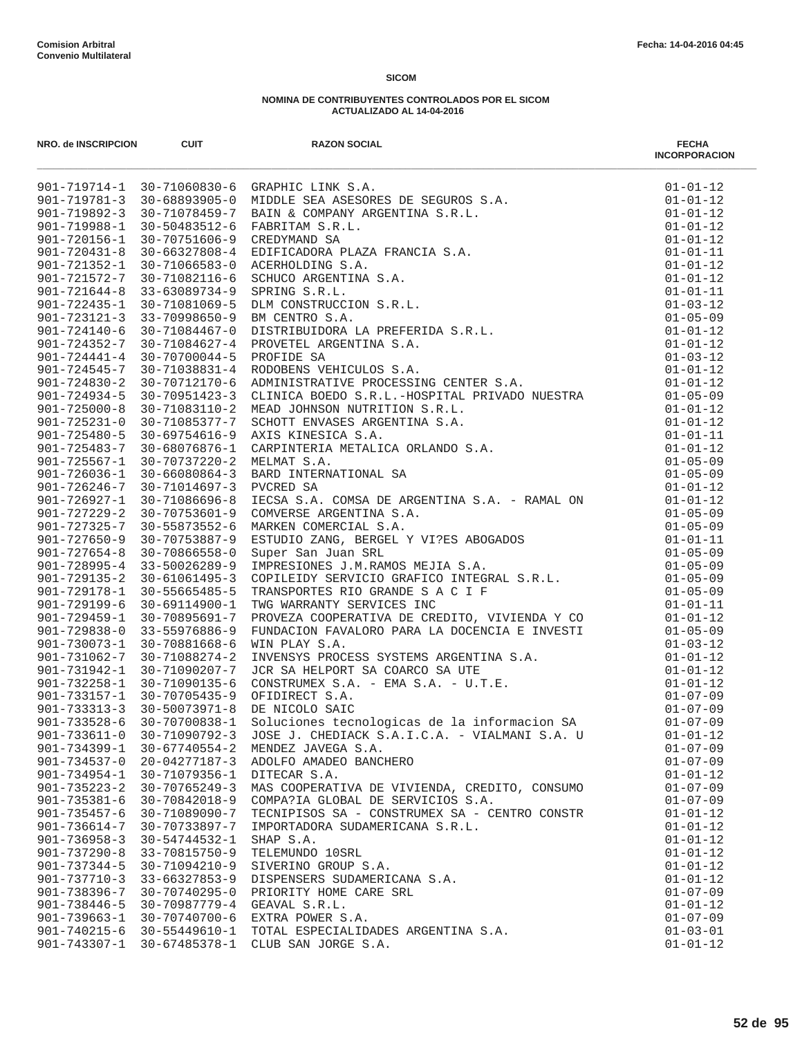| NRO. de INSCRIPCION                      | <b>CUIT</b>                      | <b>RAZON SOCIAL</b>                                            | <b>FECHA</b><br><b>INCORPORACION</b> |
|------------------------------------------|----------------------------------|----------------------------------------------------------------|--------------------------------------|
|                                          |                                  |                                                                |                                      |
|                                          |                                  |                                                                |                                      |
|                                          |                                  |                                                                |                                      |
|                                          |                                  |                                                                |                                      |
|                                          |                                  |                                                                |                                      |
|                                          |                                  |                                                                |                                      |
|                                          |                                  |                                                                |                                      |
|                                          |                                  |                                                                |                                      |
|                                          |                                  |                                                                |                                      |
|                                          |                                  |                                                                |                                      |
|                                          |                                  |                                                                |                                      |
|                                          |                                  |                                                                |                                      |
|                                          |                                  |                                                                |                                      |
|                                          |                                  |                                                                |                                      |
|                                          |                                  |                                                                |                                      |
|                                          |                                  |                                                                |                                      |
|                                          |                                  |                                                                |                                      |
|                                          |                                  |                                                                |                                      |
|                                          |                                  |                                                                |                                      |
|                                          |                                  |                                                                |                                      |
|                                          |                                  |                                                                |                                      |
|                                          |                                  |                                                                |                                      |
|                                          |                                  |                                                                |                                      |
|                                          |                                  |                                                                |                                      |
|                                          |                                  |                                                                |                                      |
|                                          |                                  |                                                                |                                      |
|                                          |                                  |                                                                |                                      |
|                                          |                                  |                                                                |                                      |
|                                          |                                  |                                                                |                                      |
|                                          |                                  |                                                                |                                      |
|                                          |                                  |                                                                |                                      |
|                                          |                                  |                                                                |                                      |
|                                          |                                  |                                                                |                                      |
|                                          |                                  |                                                                |                                      |
|                                          |                                  |                                                                |                                      |
|                                          |                                  |                                                                |                                      |
|                                          |                                  |                                                                |                                      |
|                                          | $901 - 733313 - 3$ 30-50073971-8 | DE NICOLO SAIC                                                 | $01 - 07 - 09$                       |
| $901 - 733528 - 6$                       | 30-70700838-1                    | DE NICOLO SAIC<br>Soluciones tecnologicas de la informacion SA | $01 - 07 - 09$                       |
| $901 - 733611 - 0$                       | 30-71090792-3                    | JOSE J. CHEDIACK S.A.I.C.A. - VIALMANI S.A. U                  | $01 - 01 - 12$                       |
| $901 - 734399 - 1$                       | $30 - 67740554 - 2$              | MENDEZ JAVEGA S.A.                                             | $01 - 07 - 09$                       |
| $901 - 734537 - 0$                       | 20-04277187-3                    | ADOLFO AMADEO BANCHERO                                         | $01 - 07 - 09$                       |
| $901 - 734954 - 1$                       | 30-71079356-1                    | DITECAR S.A.                                                   | $01 - 01 - 12$                       |
| $901 - 735223 - 2$                       | $30 - 70765249 - 3$              | MAS COOPERATIVA DE VIVIENDA, CREDITO, CONSUMO                  | $01 - 07 - 09$                       |
| $901 - 735381 - 6$                       | 30-70842018-9                    | COMPA?IA GLOBAL DE SERVICIOS S.A.                              | $01 - 07 - 09$                       |
| $901 - 735457 - 6$                       | 30-71089090-7                    | TECNIPISOS SA - CONSTRUMEX SA - CENTRO CONSTR                  | $01 - 01 - 12$                       |
| $901 - 736614 - 7$                       | 30-70733897-7                    | IMPORTADORA SUDAMERICANA S.R.L.                                | $01 - 01 - 12$                       |
| $901 - 736958 - 3$<br>$901 - 737290 - 8$ | 30-54744532-1<br>33-70815750-9   | SHAP S.A.<br>TELEMUNDO 10SRL                                   | $01 - 01 - 12$<br>$01 - 01 - 12$     |
| $901 - 737344 - 5$                       | 30-71094210-9                    | SIVERINO GROUP S.A.                                            | $01 - 01 - 12$                       |
| $901 - 737710 - 3$                       | 33-66327853-9                    | DISPENSERS SUDAMERICANA S.A.                                   | $01 - 01 - 12$                       |
| 901-738396-7                             | 30-70740295-0                    | PRIORITY HOME CARE SRL                                         | $01 - 07 - 09$                       |
| $901 - 738446 - 5$                       | 30-70987779-4                    | GEAVAL S.R.L.                                                  | $01 - 01 - 12$                       |
| $901 - 739663 - 1$                       | 30-70740700-6                    | EXTRA POWER S.A.                                               | $01 - 07 - 09$                       |
| $901 - 740215 - 6$                       | 30-55449610-1                    | TOTAL ESPECIALIDADES ARGENTINA S.A.                            | $01 - 03 - 01$                       |
| 901-743307-1                             |                                  | 30-67485378-1 CLUB SAN JORGE S.A.                              | $01 - 01 - 12$                       |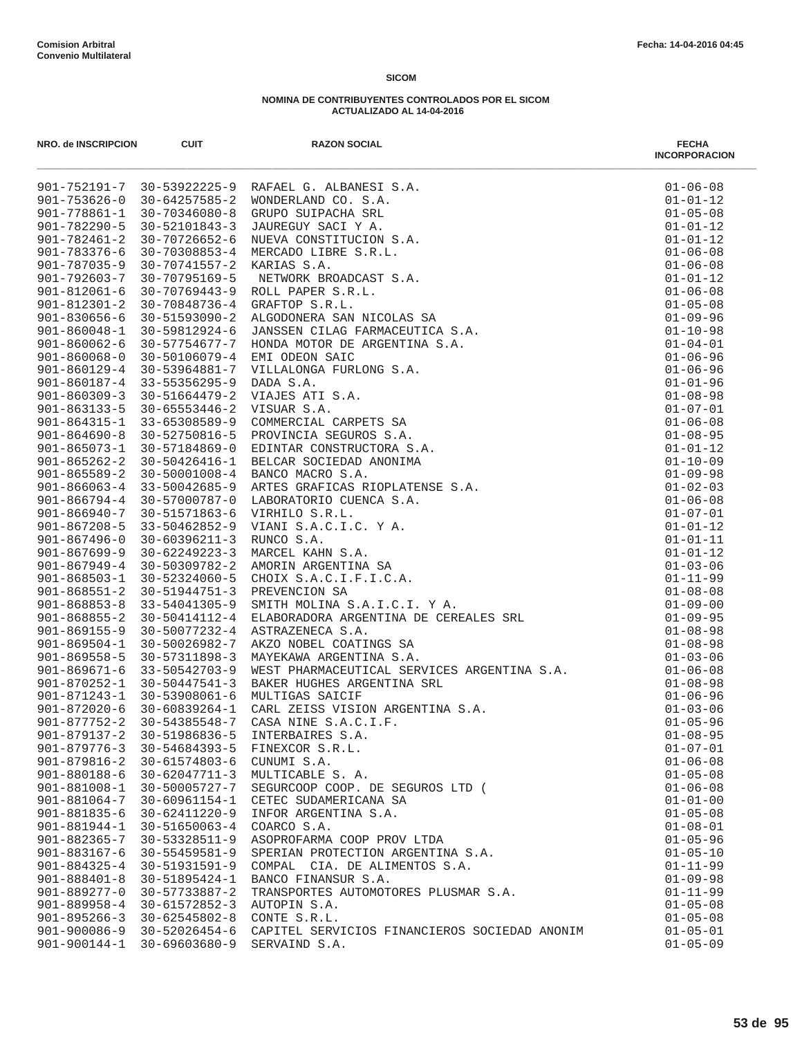| NRO. de INSCRIPCION | <b>CUIT</b>         | <b>RAZON SOCIAL</b><br>$\begin{tabular}{l cccccccc} $\mathbf{a} & $\mathbf{a}$ & $\mathbf{a}$ & $\mathbf{a}$ & $\mathbf{a}$ & $\mathbf{a}$ & $\mathbf{a}$ & $\mathbf{a}$ & $\mathbf{a}$ & $\mathbf{a}$ & $\mathbf{a}$ & $\mathbf{a}$ & $\mathbf{a}$ & $\mathbf{a}$ & $\mathbf{a}$ & $\mathbf{a}$ & $\mathbf{a}$ & $\mathbf{a}$ & $\mathbf{a}$ & $\mathbf{a}$ & $\mathbf{a}$ & $\mathbf{a}$ & $\mathbf{a}$ & $\mathbf{a}$ & $\mathbf{a}$ & $\mathbf{a}$ & $\mathbf{a}$ & $\mathbf{a}$ & $\mathbf{a}$ & $\mathbf{a}$$ | <b>FECHA</b><br><b>INCORPORACION</b> |
|---------------------|---------------------|---------------------------------------------------------------------------------------------------------------------------------------------------------------------------------------------------------------------------------------------------------------------------------------------------------------------------------------------------------------------------------------------------------------------------------------------------------------------------------------------------------------------|--------------------------------------|
|                     |                     |                                                                                                                                                                                                                                                                                                                                                                                                                                                                                                                     | $01 - 06 - 08$                       |
|                     |                     |                                                                                                                                                                                                                                                                                                                                                                                                                                                                                                                     | $01 - 01 - 12$                       |
|                     |                     |                                                                                                                                                                                                                                                                                                                                                                                                                                                                                                                     | $01 - 05 - 08$                       |
|                     |                     |                                                                                                                                                                                                                                                                                                                                                                                                                                                                                                                     | $01 - 01 - 12$                       |
|                     |                     |                                                                                                                                                                                                                                                                                                                                                                                                                                                                                                                     | $01 - 01 - 12$                       |
|                     |                     |                                                                                                                                                                                                                                                                                                                                                                                                                                                                                                                     | $01 - 06 - 08$                       |
|                     |                     |                                                                                                                                                                                                                                                                                                                                                                                                                                                                                                                     | $01 - 06 - 08$                       |
|                     |                     |                                                                                                                                                                                                                                                                                                                                                                                                                                                                                                                     | $01 - 01 - 12$                       |
|                     |                     |                                                                                                                                                                                                                                                                                                                                                                                                                                                                                                                     | $01 - 06 - 08$                       |
|                     |                     |                                                                                                                                                                                                                                                                                                                                                                                                                                                                                                                     | $01 - 05 - 08$<br>$01 - 09 - 96$     |
|                     |                     |                                                                                                                                                                                                                                                                                                                                                                                                                                                                                                                     | $01 - 10 - 98$                       |
|                     |                     |                                                                                                                                                                                                                                                                                                                                                                                                                                                                                                                     | $01 - 04 - 01$                       |
|                     |                     |                                                                                                                                                                                                                                                                                                                                                                                                                                                                                                                     | $01 - 06 - 96$                       |
|                     |                     |                                                                                                                                                                                                                                                                                                                                                                                                                                                                                                                     | $01 - 06 - 96$                       |
|                     |                     |                                                                                                                                                                                                                                                                                                                                                                                                                                                                                                                     | $01 - 01 - 96$                       |
|                     |                     |                                                                                                                                                                                                                                                                                                                                                                                                                                                                                                                     | $01 - 08 - 98$                       |
|                     |                     |                                                                                                                                                                                                                                                                                                                                                                                                                                                                                                                     | $01 - 07 - 01$                       |
|                     |                     |                                                                                                                                                                                                                                                                                                                                                                                                                                                                                                                     | $01 - 06 - 08$                       |
|                     |                     |                                                                                                                                                                                                                                                                                                                                                                                                                                                                                                                     | $01 - 08 - 95$                       |
|                     |                     |                                                                                                                                                                                                                                                                                                                                                                                                                                                                                                                     | $01 - 01 - 12$                       |
|                     |                     |                                                                                                                                                                                                                                                                                                                                                                                                                                                                                                                     | $01 - 10 - 09$                       |
|                     |                     |                                                                                                                                                                                                                                                                                                                                                                                                                                                                                                                     | $01 - 09 - 98$                       |
|                     |                     |                                                                                                                                                                                                                                                                                                                                                                                                                                                                                                                     | $01 - 02 - 03$                       |
|                     |                     |                                                                                                                                                                                                                                                                                                                                                                                                                                                                                                                     | $01 - 06 - 08$                       |
|                     |                     |                                                                                                                                                                                                                                                                                                                                                                                                                                                                                                                     | $01 - 07 - 01$                       |
|                     |                     |                                                                                                                                                                                                                                                                                                                                                                                                                                                                                                                     | $01 - 01 - 12$                       |
|                     |                     |                                                                                                                                                                                                                                                                                                                                                                                                                                                                                                                     | $01 - 01 - 11$                       |
|                     |                     |                                                                                                                                                                                                                                                                                                                                                                                                                                                                                                                     | $01 - 01 - 12$                       |
|                     |                     |                                                                                                                                                                                                                                                                                                                                                                                                                                                                                                                     | $01 - 03 - 06$                       |
|                     |                     |                                                                                                                                                                                                                                                                                                                                                                                                                                                                                                                     | $01 - 11 - 99$                       |
|                     |                     |                                                                                                                                                                                                                                                                                                                                                                                                                                                                                                                     | $01 - 08 - 08$                       |
|                     |                     |                                                                                                                                                                                                                                                                                                                                                                                                                                                                                                                     | $01 - 09 - 00$                       |
|                     |                     |                                                                                                                                                                                                                                                                                                                                                                                                                                                                                                                     | $01 - 09 - 95$                       |
|                     |                     |                                                                                                                                                                                                                                                                                                                                                                                                                                                                                                                     | $01 - 08 - 98$                       |
|                     |                     |                                                                                                                                                                                                                                                                                                                                                                                                                                                                                                                     | $01 - 08 - 98$                       |
|                     |                     |                                                                                                                                                                                                                                                                                                                                                                                                                                                                                                                     | $01 - 03 - 06$                       |
|                     |                     |                                                                                                                                                                                                                                                                                                                                                                                                                                                                                                                     | $01 - 06 - 08$                       |
|                     |                     |                                                                                                                                                                                                                                                                                                                                                                                                                                                                                                                     | $01 - 08 - 98$                       |
|                     |                     |                                                                                                                                                                                                                                                                                                                                                                                                                                                                                                                     | $01 - 06 - 96$                       |
|                     |                     |                                                                                                                                                                                                                                                                                                                                                                                                                                                                                                                     | $01 - 03 - 06$                       |
|                     |                     |                                                                                                                                                                                                                                                                                                                                                                                                                                                                                                                     | $01 - 05 - 96$                       |
|                     |                     |                                                                                                                                                                                                                                                                                                                                                                                                                                                                                                                     | $01 - 08 - 95$                       |
| $901 - 879776 - 3$  | 30-54684393-5       | FINEXCOR S.R.L.                                                                                                                                                                                                                                                                                                                                                                                                                                                                                                     | $01 - 07 - 01$                       |
| $901 - 879816 - 2$  | 30-61574803-6       | CUNUMI S.A.                                                                                                                                                                                                                                                                                                                                                                                                                                                                                                         | $01 - 06 - 08$                       |
| 901-880188-6        | $30 - 62047711 - 3$ | MULTICABLE S. A.                                                                                                                                                                                                                                                                                                                                                                                                                                                                                                    | $01 - 05 - 08$                       |
| $901 - 881008 - 1$  | 30-50005727-7       | SEGURCOOP COOP. DE SEGUROS LTD (                                                                                                                                                                                                                                                                                                                                                                                                                                                                                    | $01 - 06 - 08$                       |
| $901 - 881064 - 7$  | 30-60961154-1       | CETEC SUDAMERICANA SA                                                                                                                                                                                                                                                                                                                                                                                                                                                                                               | $01 - 01 - 00$                       |
| $901 - 881835 - 6$  | 30-62411220-9       | INFOR ARGENTINA S.A.                                                                                                                                                                                                                                                                                                                                                                                                                                                                                                | $01 - 05 - 08$                       |
| $901 - 881944 - 1$  | $30 - 51650063 - 4$ | COARCO S.A.                                                                                                                                                                                                                                                                                                                                                                                                                                                                                                         | $01 - 08 - 01$                       |
| $901 - 882365 - 7$  | 30-53328511-9       | ASOPROFARMA COOP PROV LTDA                                                                                                                                                                                                                                                                                                                                                                                                                                                                                          | $01 - 05 - 96$                       |
| $901 - 883167 - 6$  | $30 - 55459581 - 9$ | SPERIAN PROTECTION ARGENTINA S.A.                                                                                                                                                                                                                                                                                                                                                                                                                                                                                   | $01 - 05 - 10$                       |
| $901 - 884325 - 4$  | $30 - 51931591 - 9$ | COMPAL CIA. DE ALIMENTOS S.A.                                                                                                                                                                                                                                                                                                                                                                                                                                                                                       | $01 - 11 - 99$                       |
| $901 - 888401 - 8$  | 30-51895424-1       | BANCO FINANSUR S.A.                                                                                                                                                                                                                                                                                                                                                                                                                                                                                                 | $01 - 09 - 98$                       |
| $901 - 889277 - 0$  | 30-57733887-2       | TRANSPORTES AUTOMOTORES PLUSMAR S.A.                                                                                                                                                                                                                                                                                                                                                                                                                                                                                | $01 - 11 - 99$                       |
| $901 - 889958 - 4$  | 30-61572852-3       | AUTOPIN S.A.                                                                                                                                                                                                                                                                                                                                                                                                                                                                                                        | $01 - 05 - 08$                       |
| $901 - 895266 - 3$  | $30 - 62545802 - 8$ | CONTE S.R.L.                                                                                                                                                                                                                                                                                                                                                                                                                                                                                                        | $01 - 05 - 08$                       |
| 901-900086-9        | 30-52026454-6       | CAPITEL SERVICIOS FINANCIEROS SOCIEDAD ANONIM                                                                                                                                                                                                                                                                                                                                                                                                                                                                       | $01 - 05 - 01$                       |
| 901-900144-1        | 30-69603680-9       | SERVAIND S.A.                                                                                                                                                                                                                                                                                                                                                                                                                                                                                                       | $01 - 05 - 09$                       |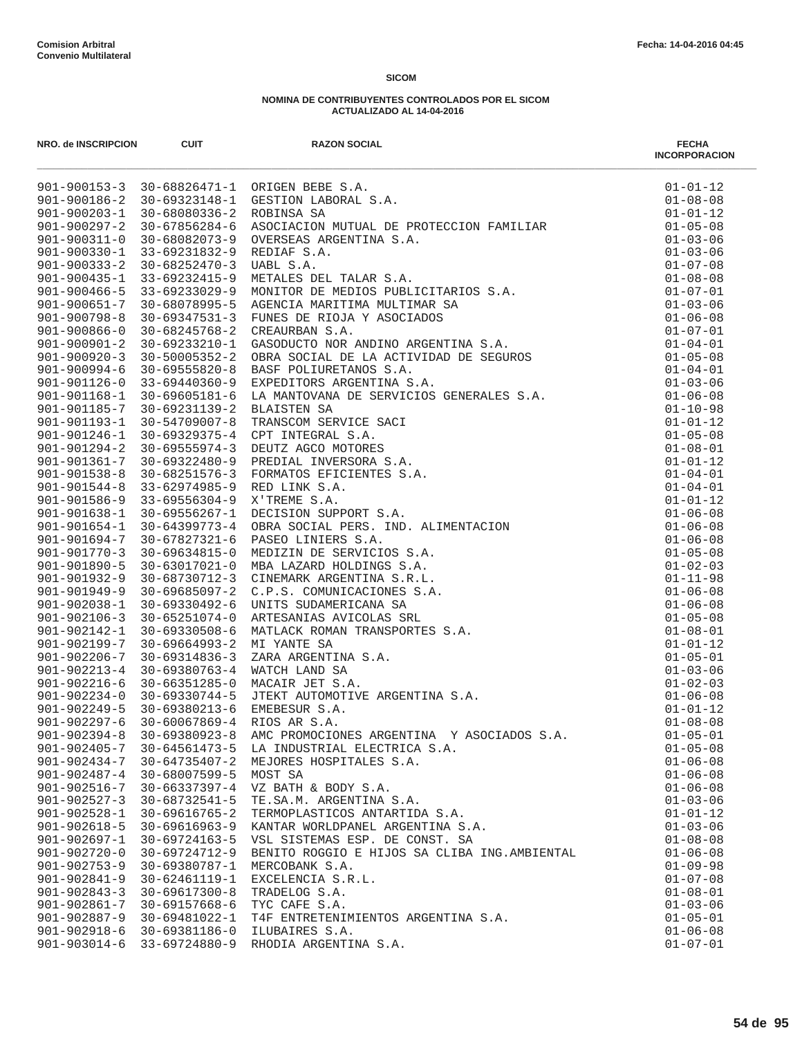| NRO. de INSCRIPCION                      | <b>CUIT</b>                          | <b>RAZON SOCIAL AND ANOTEST AND ANOTEST AND ANOTHER AND ANOTHER AND ANOTHER AND ANOTHER AND ANOTHER AND ANOTHER AND ANOTHER AND ANOTHER AND ANOTHER S.A.</b> (SEACHAT IS A MONTHON BOBLICITATION S.A. GREATING ARE FOUND AND ARRIVI | <b>FECHA</b><br><b>INCORPORACION</b> |
|------------------------------------------|--------------------------------------|-------------------------------------------------------------------------------------------------------------------------------------------------------------------------------------------------------------------------------------|--------------------------------------|
|                                          |                                      | 901-900153-3 30-68826471-1 ORIGEN BEBE S.A.                                                                                                                                                                                         | $01 - 01 - 12$                       |
|                                          |                                      | 901-900186-2 30-69323148-1 GESTION LABORAL S.A.                                                                                                                                                                                     | $01 - 08 - 08$                       |
| 901-900203-1                             | 30-68080336-2                        |                                                                                                                                                                                                                                     | $01 - 01 - 12$                       |
| $901 - 900297 - 2$                       | 30-67856284-6                        |                                                                                                                                                                                                                                     | $01 - 05 - 08$                       |
| 901-900311-0                             | 30-68082073-9                        |                                                                                                                                                                                                                                     | $01 - 03 - 06$                       |
| 901-900330-1                             | 33-69231832-9                        |                                                                                                                                                                                                                                     | $01 - 03 - 06$                       |
| $901 - 900333 - 2$                       | $30 - 68252470 - 3$                  |                                                                                                                                                                                                                                     | $01 - 07 - 08$                       |
| 901-900435-1                             | 33-69232415-9                        |                                                                                                                                                                                                                                     | $01 - 08 - 08$                       |
| $901 - 900466 - 5$                       | $33 - 69233029 - 9$                  |                                                                                                                                                                                                                                     | $01 - 07 - 01$                       |
| $901 - 900651 - 7$                       | 30-68078995-5                        |                                                                                                                                                                                                                                     | $01 - 03 - 06$                       |
| $901 - 900798 - 8$<br>$901 - 900866 - 0$ | $30 - 68245768 - 2$                  | 30-69347531-3 FUNES DE RIOJA Y ASOCIADOS                                                                                                                                                                                            | $01 - 06 - 08$                       |
| $901 - 900901 - 2$                       | 30-69233210-1                        |                                                                                                                                                                                                                                     | $01 - 07 - 01$<br>$01 - 04 - 01$     |
| $901 - 900920 - 3$                       | 30-50005352-2                        |                                                                                                                                                                                                                                     | $01 - 05 - 08$                       |
| $901 - 900994 - 6$                       | $30 - 69555820 - 8$                  |                                                                                                                                                                                                                                     | $01 - 04 - 01$                       |
| 901-901126-0                             | 33-69440360-9                        |                                                                                                                                                                                                                                     | $01 - 03 - 06$                       |
| $901 - 901168 - 1$                       |                                      |                                                                                                                                                                                                                                     | $01 - 06 - 08$                       |
| 901-901185-7                             | 30-69605181-6<br>30-69231139-2       |                                                                                                                                                                                                                                     | $01 - 10 - 98$                       |
| 901-901193-1                             | 30-54709007-8                        |                                                                                                                                                                                                                                     | $01 - 01 - 12$                       |
| 901-901246-1                             | 30-69329375-4                        |                                                                                                                                                                                                                                     | $01 - 05 - 08$                       |
| $901 - 901294 - 2$                       | $30 - 69555974 - 3$                  |                                                                                                                                                                                                                                     |                                      |
| $901 - 901361 - 7$                       | 30-69322480-9                        |                                                                                                                                                                                                                                     | $01 - 08 - 01$<br>$01 - 01 - 12$     |
|                                          | 30-68251576-3                        |                                                                                                                                                                                                                                     | $01 - 04 - 01$                       |
| $901 - 901538 - 8$<br>$901 - 901544 - 8$ |                                      |                                                                                                                                                                                                                                     | $01 - 04 - 01$                       |
| 901-901586-9                             | 33-62974985-9<br>33-69556304-9       |                                                                                                                                                                                                                                     | $01 - 01 - 12$                       |
|                                          |                                      |                                                                                                                                                                                                                                     | $01 - 06 - 08$                       |
| 901-901638-1<br>$901 - 901654 - 1$       | 30-69556267-1<br>$30 - 64399773 - 4$ |                                                                                                                                                                                                                                     | $01 - 06 - 08$                       |
| 901-901694-7                             | 30-67827321-6                        |                                                                                                                                                                                                                                     | $01 - 06 - 08$                       |
| $901 - 901770 - 3$                       | 30-69634815-0                        |                                                                                                                                                                                                                                     | $01 - 05 - 08$                       |
| 901-901890-5                             | 30-63017021-0                        |                                                                                                                                                                                                                                     | $01 - 02 - 03$                       |
| $901 - 901932 - 9$                       | $30 - 68730712 - 3$                  |                                                                                                                                                                                                                                     | $01 - 11 - 98$                       |
| $901 - 901949 - 9$                       | $30 - 69685097 - 2$                  |                                                                                                                                                                                                                                     | $01 - 06 - 08$                       |
| $901 - 902038 - 1$                       | 30-69330492-6                        |                                                                                                                                                                                                                                     | $01 - 06 - 08$                       |
| $901 - 902106 - 3$                       | 30-65251074-0                        |                                                                                                                                                                                                                                     | $01 - 05 - 08$                       |
| 901-902142-1                             | $30 - 69330508 - 6$                  |                                                                                                                                                                                                                                     | $01 - 08 - 01$                       |
| $901 - 902199 - 7$                       | $30 - 69664993 - 2$                  |                                                                                                                                                                                                                                     | $01 - 01 - 12$                       |
| 901-902206-7                             | $30 - 69314836 - 3$                  |                                                                                                                                                                                                                                     | $01 - 05 - 01$                       |
| $901 - 902213 - 4$                       | $30 - 69380763 - 4$                  |                                                                                                                                                                                                                                     | $01 - 03 - 06$                       |
| $901 - 902216 - 6$                       | $30 - 66351285 - 0$                  |                                                                                                                                                                                                                                     | $01 - 02 - 03$                       |
| 901-902234-0                             | 30-69330744-5                        |                                                                                                                                                                                                                                     | $01 - 06 - 08$                       |
| $901 - 902249 - 5$                       | 30-69380213-6                        |                                                                                                                                                                                                                                     | $01 - 01 - 12$                       |
| $901 - 902297 - 6$                       | $30 - 60067869 - 4$                  |                                                                                                                                                                                                                                     | $01 - 08 - 08$                       |
| $901 - 902394 - 8$                       | $30 - 69380923 - 8$                  | AMC PROMOCIONES ARGENTINA Y ASOCIADOS S.A.                                                                                                                                                                                          | $01 - 05 - 01$                       |
| $901 - 902405 - 7$                       | 30-64561473-5                        | LA INDUSTRIAL ELECTRICA S.A.                                                                                                                                                                                                        | $01 - 05 - 08$                       |
| $901 - 902434 - 7$                       | $30 - 64735407 - 2$                  | MEJORES HOSPITALES S.A.                                                                                                                                                                                                             | $01 - 06 - 08$                       |
| $901 - 902487 - 4$                       | $30 - 68007599 - 5$                  | MOST SA                                                                                                                                                                                                                             | $01 - 06 - 08$                       |
| 901-902516-7                             | $30 - 66337397 - 4$                  | VZ BATH & BODY S.A.                                                                                                                                                                                                                 | $01 - 06 - 08$                       |
| $901 - 902527 - 3$                       | $30 - 68732541 - 5$                  | TE.SA.M. ARGENTINA S.A.                                                                                                                                                                                                             | $01 - 03 - 06$                       |
| $901 - 902528 - 1$                       | $30 - 69616765 - 2$                  | TERMOPLASTICOS ANTARTIDA S.A.                                                                                                                                                                                                       | $01 - 01 - 12$                       |
| $901 - 902618 - 5$                       | $30 - 69616963 - 9$                  | KANTAR WORLDPANEL ARGENTINA S.A.                                                                                                                                                                                                    | $01 - 03 - 06$                       |
| $901 - 902697 - 1$                       | $30 - 69724163 - 5$                  | VSL SISTEMAS ESP. DE CONST. SA                                                                                                                                                                                                      | $01 - 08 - 08$                       |
| $901 - 902720 - 0$                       | 30-69724712-9                        | BENITO ROGGIO E HIJOS SA CLIBA ING. AMBIENTAL                                                                                                                                                                                       | $01 - 06 - 08$                       |
| $901 - 902753 - 9$                       | 30-69380787-1                        | MERCOBANK S.A.                                                                                                                                                                                                                      | $01 - 09 - 98$                       |
| $901 - 902841 - 9$                       | 30-62461119-1                        | EXCELENCIA S.R.L.                                                                                                                                                                                                                   | $01 - 07 - 08$                       |
| $901 - 902843 - 3$                       | $30 - 69617300 - 8$                  | TRADELOG S.A.                                                                                                                                                                                                                       | $01 - 08 - 01$                       |
| 901-902861-7                             | $30 - 69157668 - 6$                  | TYC CAFE S.A.                                                                                                                                                                                                                       | $01 - 03 - 06$                       |
| $901 - 902887 - 9$                       | 30-69481022-1                        | T4F ENTRETENIMIENTOS ARGENTINA S.A.                                                                                                                                                                                                 | $01 - 05 - 01$                       |
| $901 - 902918 - 6$                       | 30-69381186-0                        | ILUBAIRES S.A.                                                                                                                                                                                                                      | $01 - 06 - 08$                       |
| $901 - 903014 - 6$                       | 33-69724880-9                        | RHODIA ARGENTINA S.A.                                                                                                                                                                                                               | $01 - 07 - 01$                       |
|                                          |                                      |                                                                                                                                                                                                                                     |                                      |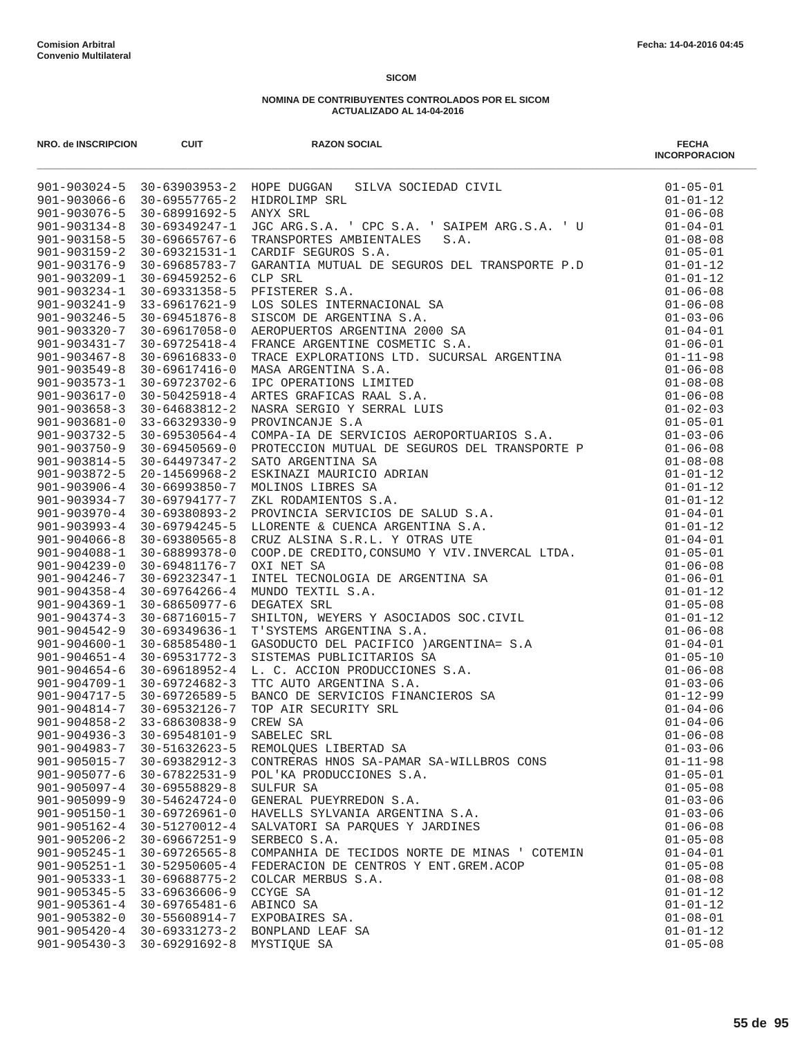|                                          |                                                                | NRO. de INSCRIPCION CUIT<br>901-903024-5 30-63903953-2 HOPE DUGGAN SILVA SOCIEDAD CIVIL<br>901-903066-6 30-69557765-2 HIDROLIMP SRL<br>901-903076-5 30-68991692-5 ANYX SRL<br>901-903134-8 30-69349247-1 JGC ARG.S.A. 'CPC S.A. 'SAIPE | <b>FECHA</b><br><b>INCORPORACION</b> |
|------------------------------------------|----------------------------------------------------------------|----------------------------------------------------------------------------------------------------------------------------------------------------------------------------------------------------------------------------------------|--------------------------------------|
|                                          |                                                                |                                                                                                                                                                                                                                        | $01 - 05 - 01$                       |
|                                          |                                                                |                                                                                                                                                                                                                                        | $01 - 01 - 12$                       |
|                                          |                                                                |                                                                                                                                                                                                                                        | $01 - 06 - 08$                       |
|                                          |                                                                |                                                                                                                                                                                                                                        | $01 - 04 - 01$                       |
|                                          |                                                                |                                                                                                                                                                                                                                        | $01 - 08 - 08$                       |
| $901 - 903176 - 9$                       | 30-69685783-7                                                  |                                                                                                                                                                                                                                        | $01 - 05 - 01$                       |
| $901 - 903209 - 1$                       | 30-69459252-6                                                  |                                                                                                                                                                                                                                        |                                      |
| $901 - 903234 - 1$                       | 30-69331358-5                                                  |                                                                                                                                                                                                                                        |                                      |
|                                          | $901 - 903241 - 9$ 33-69617621-9                               |                                                                                                                                                                                                                                        |                                      |
|                                          | 901-903246-5 30-69451876-8                                     |                                                                                                                                                                                                                                        |                                      |
| $901 - 903320 - 7$                       | 30-69617058-0                                                  |                                                                                                                                                                                                                                        |                                      |
|                                          | 901-903431-7 30-69725418-4                                     |                                                                                                                                                                                                                                        |                                      |
| $901 - 903467 - 8$                       | 30-69616833-0                                                  |                                                                                                                                                                                                                                        |                                      |
| $901 - 903549 - 8$                       | 30-69617416-0                                                  |                                                                                                                                                                                                                                        |                                      |
|                                          | 901-903573-1 30-69723702-6                                     |                                                                                                                                                                                                                                        |                                      |
|                                          | $901 - 903617 - 0$ 30-50425918-4                               |                                                                                                                                                                                                                                        |                                      |
| $901 - 903658 - 3$                       | 30-64683812-2                                                  |                                                                                                                                                                                                                                        |                                      |
|                                          | $901 - 903681 - 0$ 33-66329330-9                               |                                                                                                                                                                                                                                        |                                      |
|                                          | $901 - 903732 - 5$ 30-69530564-4                               |                                                                                                                                                                                                                                        |                                      |
| $901 - 903750 - 9$                       | $30 - 69450569 - 0$                                            |                                                                                                                                                                                                                                        |                                      |
| $901 - 903814 - 5$<br>901-903872-5       | 30-64497347-2                                                  |                                                                                                                                                                                                                                        |                                      |
| $901 - 903906 - 4$                       | 20-14569968-2<br>30-66993850-7                                 |                                                                                                                                                                                                                                        |                                      |
| $901 - 903934 - 7$                       | 30-69794177-7                                                  |                                                                                                                                                                                                                                        |                                      |
|                                          | $901 - 903970 - 4$ 30-69380893-2                               |                                                                                                                                                                                                                                        |                                      |
| $901 - 903993 - 4$                       | 30-69794245-5                                                  |                                                                                                                                                                                                                                        |                                      |
|                                          | $901 - 904066 - 8$ 30-69380565-8                               |                                                                                                                                                                                                                                        |                                      |
|                                          | 901-904088-1 30-68899378-0                                     |                                                                                                                                                                                                                                        |                                      |
| $901 - 904239 - 0$                       | 30-69481176-7                                                  |                                                                                                                                                                                                                                        |                                      |
| $901 - 904246 - 7$                       | 30-69232347-1                                                  |                                                                                                                                                                                                                                        |                                      |
| 901-904358-4                             | 30-69764266-4                                                  |                                                                                                                                                                                                                                        |                                      |
| $901 - 904369 - 1$                       | 30-68650977-6                                                  |                                                                                                                                                                                                                                        |                                      |
| $901 - 904374 - 3$                       | 30-68716015-7                                                  |                                                                                                                                                                                                                                        |                                      |
| 901-904542-9                             | 30-69349636-1                                                  |                                                                                                                                                                                                                                        |                                      |
| $901 - 904600 - 1$                       | 30-68585480-1                                                  |                                                                                                                                                                                                                                        |                                      |
| $901 - 904651 - 4$                       | 30-69531772-3                                                  |                                                                                                                                                                                                                                        |                                      |
|                                          | $901 - 904654 - 6$ 30-69618952-4                               |                                                                                                                                                                                                                                        |                                      |
|                                          | $901 - 904709 - 1$ 30-69724682-3<br>901-904717-5 30-69726589-5 |                                                                                                                                                                                                                                        |                                      |
|                                          | 901-904814-7 30-69532126-7                                     |                                                                                                                                                                                                                                        |                                      |
| $901 - 904858 - 2$                       | 33-68630838-9                                                  |                                                                                                                                                                                                                                        |                                      |
| $901 - 904936 - 3$                       | $30 - 69548101 - 9$                                            | SABELEC SRL                                                                                                                                                                                                                            | $01 - 06 - 08$                       |
| $901 - 904983 - 7$                       | 30-51632623-5                                                  | REMOLQUES LIBERTAD SA                                                                                                                                                                                                                  | $01 - 03 - 06$                       |
| $901 - 905015 - 7$                       | 30-69382912-3                                                  | CONTRERAS HNOS SA-PAMAR SA-WILLBROS CONS                                                                                                                                                                                               | $01 - 11 - 98$                       |
| $901 - 905077 - 6$                       | $30 - 67822531 - 9$                                            | POL'KA PRODUCCIONES S.A.                                                                                                                                                                                                               | $01 - 05 - 01$                       |
| $901 - 905097 - 4$                       | $30 - 69558829 - 8$                                            | SULFUR SA                                                                                                                                                                                                                              | $01 - 05 - 08$                       |
| $901 - 905099 - 9$                       | 30-54624724-0                                                  | GENERAL PUEYRREDON S.A.                                                                                                                                                                                                                | $01 - 03 - 06$                       |
| $901 - 905150 - 1$                       | $30 - 69726961 - 0$                                            | HAVELLS SYLVANIA ARGENTINA S.A.                                                                                                                                                                                                        | $01 - 03 - 06$                       |
| $901 - 905162 - 4$                       | 30-51270012-4                                                  | SALVATORI SA PARQUES Y JARDINES                                                                                                                                                                                                        | $01 - 06 - 08$                       |
| $901 - 905206 - 2$                       | $30 - 69667251 - 9$                                            | SERBECO S.A.                                                                                                                                                                                                                           | $01 - 05 - 08$                       |
| $901 - 905245 - 1$                       | $30 - 69726565 - 8$                                            | COMPANHIA DE TECIDOS NORTE DE MINAS ' COTEMIN                                                                                                                                                                                          | $01 - 04 - 01$                       |
| $901 - 905251 - 1$                       | $30 - 52950605 - 4$                                            | FEDERACION DE CENTROS Y ENT.GREM.ACOP                                                                                                                                                                                                  | $01 - 05 - 08$<br>$01 - 08 - 08$     |
| $901 - 905333 - 1$<br>$901 - 905345 - 5$ | $30 - 69688775 - 2$<br>33-69636606-9                           | COLCAR MERBUS S.A.<br>CCYGE SA                                                                                                                                                                                                         | $01 - 01 - 12$                       |
| $901 - 905361 - 4$                       | $30 - 69765481 - 6$                                            | ABINCO SA                                                                                                                                                                                                                              | $01 - 01 - 12$                       |
| $901 - 905382 - 0$                       | 30-55608914-7                                                  | EXPOBAIRES SA.                                                                                                                                                                                                                         | $01 - 08 - 01$                       |
| $901 - 905420 - 4$                       | 30-69331273-2                                                  | BONPLAND LEAF SA                                                                                                                                                                                                                       | $01 - 01 - 12$                       |
| $901 - 905430 - 3$                       | $30 - 69291692 - 8$                                            | MYSTIQUE SA                                                                                                                                                                                                                            | $01 - 05 - 08$                       |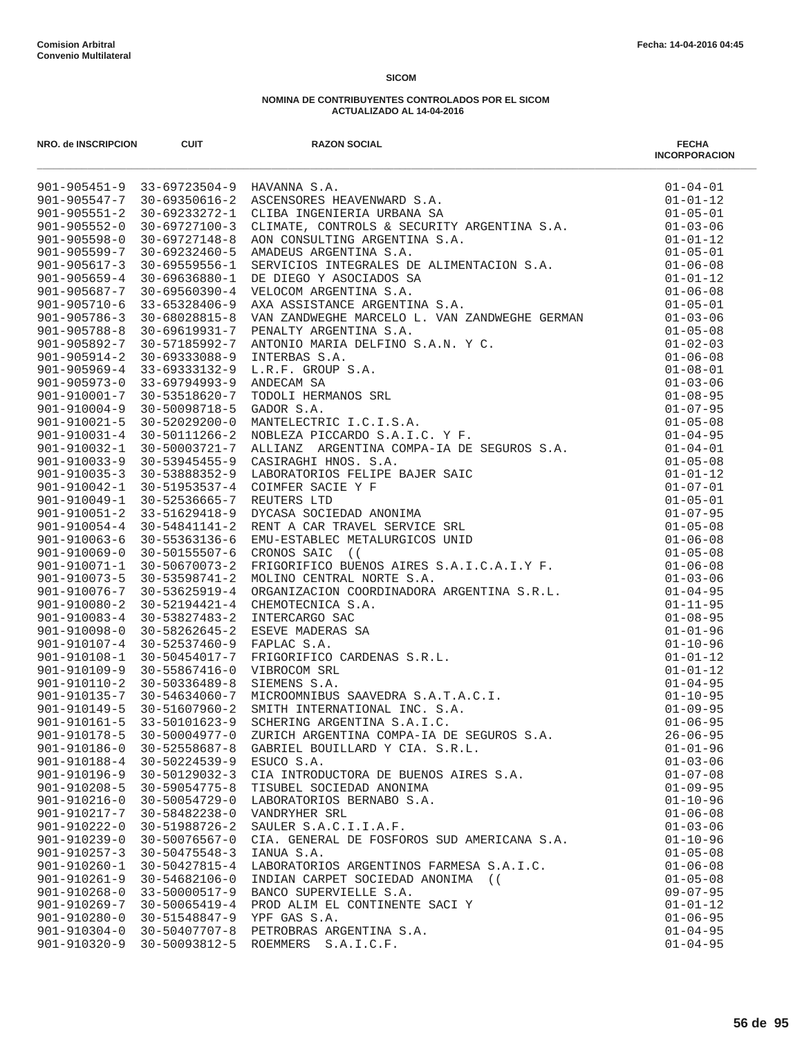| NRO. de INSCRIPCION                      | <b>CUIT</b>                                | <b>RAZON SOCIAL</b><br>Net de Neckle (1987)<br>901-9051-1-91 13-0731501-9 MAXMARA SLAV (1982)<br>901-90551-2-91 13-073501-9 MAXMARA SLAV (1982)<br>901-90551-2-91 10-5335051-3 MAXMARA SLAV (1982)<br>901-90551-2-91 10-5335051-3 MAXMARA DRAMA AND TING S.A | <b>FECHA</b><br><b>INCORPORACION</b> |
|------------------------------------------|--------------------------------------------|--------------------------------------------------------------------------------------------------------------------------------------------------------------------------------------------------------------------------------------------------------------|--------------------------------------|
|                                          |                                            |                                                                                                                                                                                                                                                              |                                      |
|                                          |                                            |                                                                                                                                                                                                                                                              |                                      |
|                                          |                                            |                                                                                                                                                                                                                                                              |                                      |
|                                          |                                            |                                                                                                                                                                                                                                                              |                                      |
|                                          |                                            |                                                                                                                                                                                                                                                              |                                      |
|                                          |                                            |                                                                                                                                                                                                                                                              |                                      |
|                                          |                                            |                                                                                                                                                                                                                                                              |                                      |
|                                          |                                            |                                                                                                                                                                                                                                                              |                                      |
|                                          |                                            |                                                                                                                                                                                                                                                              |                                      |
|                                          |                                            |                                                                                                                                                                                                                                                              |                                      |
|                                          |                                            |                                                                                                                                                                                                                                                              |                                      |
|                                          |                                            |                                                                                                                                                                                                                                                              |                                      |
|                                          |                                            |                                                                                                                                                                                                                                                              |                                      |
|                                          |                                            |                                                                                                                                                                                                                                                              |                                      |
|                                          |                                            |                                                                                                                                                                                                                                                              |                                      |
|                                          |                                            |                                                                                                                                                                                                                                                              |                                      |
|                                          |                                            |                                                                                                                                                                                                                                                              |                                      |
|                                          |                                            |                                                                                                                                                                                                                                                              |                                      |
|                                          |                                            |                                                                                                                                                                                                                                                              |                                      |
|                                          |                                            |                                                                                                                                                                                                                                                              |                                      |
|                                          |                                            |                                                                                                                                                                                                                                                              |                                      |
|                                          |                                            |                                                                                                                                                                                                                                                              |                                      |
|                                          |                                            |                                                                                                                                                                                                                                                              |                                      |
|                                          |                                            |                                                                                                                                                                                                                                                              |                                      |
|                                          |                                            |                                                                                                                                                                                                                                                              |                                      |
|                                          |                                            |                                                                                                                                                                                                                                                              |                                      |
|                                          |                                            |                                                                                                                                                                                                                                                              |                                      |
|                                          |                                            |                                                                                                                                                                                                                                                              |                                      |
|                                          |                                            |                                                                                                                                                                                                                                                              |                                      |
|                                          |                                            |                                                                                                                                                                                                                                                              |                                      |
|                                          |                                            |                                                                                                                                                                                                                                                              |                                      |
|                                          |                                            |                                                                                                                                                                                                                                                              |                                      |
|                                          |                                            |                                                                                                                                                                                                                                                              |                                      |
|                                          |                                            |                                                                                                                                                                                                                                                              |                                      |
|                                          |                                            |                                                                                                                                                                                                                                                              |                                      |
|                                          |                                            |                                                                                                                                                                                                                                                              |                                      |
|                                          |                                            |                                                                                                                                                                                                                                                              |                                      |
|                                          |                                            |                                                                                                                                                                                                                                                              |                                      |
|                                          |                                            |                                                                                                                                                                                                                                                              |                                      |
|                                          |                                            |                                                                                                                                                                                                                                                              |                                      |
| $901 - 910178 - 5$                       | 30-50004977-0                              | ZURICH ARGENTINA COMPA-IA DE SEGUROS S.A.                                                                                                                                                                                                                    | $26 - 06 - 95$                       |
| $901 - 910186 - 0$                       | 30-52558687-8                              | GABRIEL BOUILLARD Y CIA. S.R.L.                                                                                                                                                                                                                              | $01 - 01 - 96$                       |
| $901 - 910188 - 4$                       | 30-50224539-9                              | ESUCO S.A.                                                                                                                                                                                                                                                   | $01 - 03 - 06$                       |
| 901-910196-9                             | 30-50129032-3                              | CIA INTRODUCTORA DE BUENOS AIRES S.A.                                                                                                                                                                                                                        | $01 - 07 - 08$                       |
| $901 - 910208 - 5$                       | $30 - 59054775 - 8$                        | TISUBEL SOCIEDAD ANONIMA                                                                                                                                                                                                                                     | $01 - 09 - 95$                       |
| $901 - 910216 - 0$                       | 30-50054729-0                              | LABORATORIOS BERNABO S.A.                                                                                                                                                                                                                                    | $01 - 10 - 96$                       |
| 901-910217-7                             | $30 - 58482238 - 0$                        | VANDRYHER SRL                                                                                                                                                                                                                                                | $01 - 06 - 08$                       |
| 901-910222-0                             | 30-51988726-2                              | SAULER S.A.C.I.I.A.F.                                                                                                                                                                                                                                        | $01 - 03 - 06$                       |
| $901 - 910239 - 0$<br>$901 - 910257 - 3$ | $30 - 50076567 - 0$<br>$30 - 50475548 - 3$ | CIA. GENERAL DE FOSFOROS SUD AMERICANA S.A.<br>IANUA S.A.                                                                                                                                                                                                    | $01 - 10 - 96$<br>$01 - 05 - 08$     |
| $901 - 910260 - 1$                       | $30 - 50427815 - 4$                        | LABORATORIOS ARGENTINOS FARMESA S.A.I.C.                                                                                                                                                                                                                     | $01 - 06 - 08$                       |
| $901 - 910261 - 9$                       | 30-54682106-0                              | INDIAN CARPET SOCIEDAD ANONIMA ((                                                                                                                                                                                                                            | $01 - 05 - 08$                       |
| $901 - 910268 - 0$                       | 33-50000517-9                              | BANCO SUPERVIELLE S.A.                                                                                                                                                                                                                                       | $09 - 07 - 95$                       |
| 901-910269-7                             | 30-50065419-4                              | PROD ALIM EL CONTINENTE SACI Y                                                                                                                                                                                                                               | $01 - 01 - 12$                       |
| 901-910280-0                             | 30-51548847-9                              | YPF GAS S.A.                                                                                                                                                                                                                                                 | $01 - 06 - 95$                       |
| $901 - 910304 - 0$                       | 30-50407707-8                              | PETROBRAS ARGENTINA S.A.                                                                                                                                                                                                                                     | $01 - 04 - 95$                       |
| $901 - 910320 - 9$                       | 30-50093812-5                              | ROEMMERS S.A.I.C.F.                                                                                                                                                                                                                                          | $01 - 04 - 95$                       |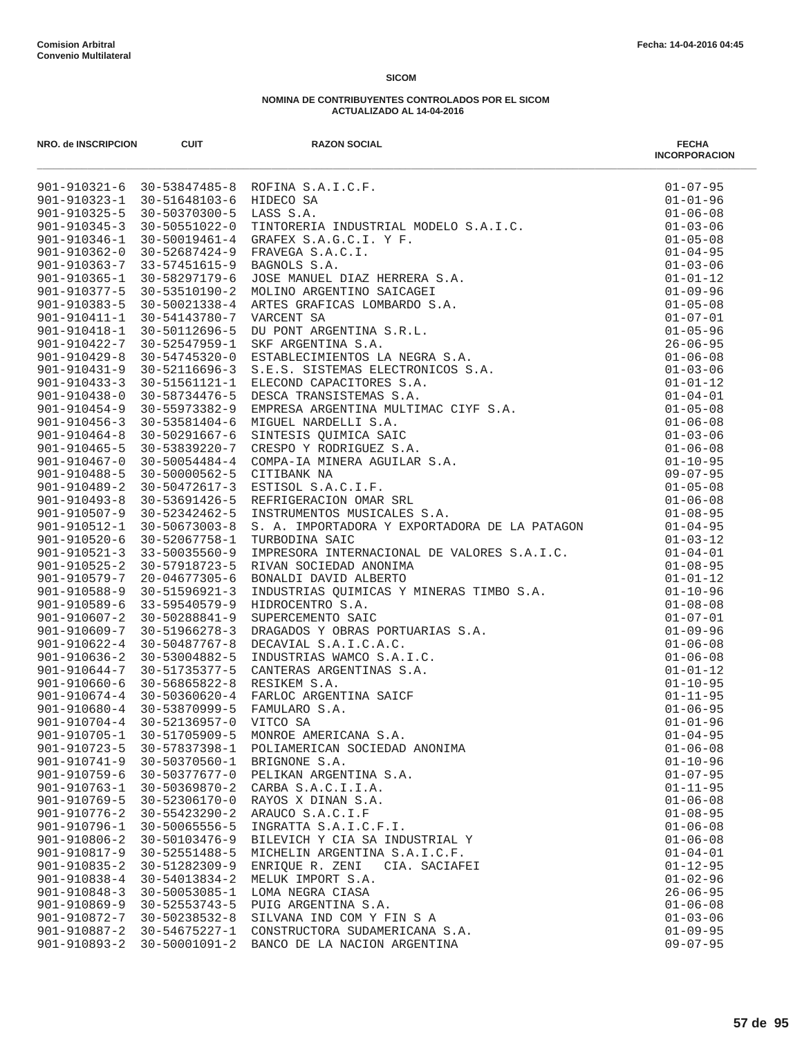|                                          |                                      | NRO. de NSCRIPCION<br>901-910321-6 30-53847485-8 ROFINA S.A.I.C.F.<br>901-910323-1 30-51648103-6 HDDECO SA.I.C.F.<br>901-910325-5 30-50370300-5 LEASS S.A.<br>901-910325-5 30-50370300-5 LEASS S.A.<br>901-910345-3 30-50370300-5 LEASS                                 | <b>FECHA</b><br><b>INCORPORACION</b> |
|------------------------------------------|--------------------------------------|-------------------------------------------------------------------------------------------------------------------------------------------------------------------------------------------------------------------------------------------------------------------------|--------------------------------------|
|                                          |                                      |                                                                                                                                                                                                                                                                         | $01 - 07 - 95$                       |
|                                          |                                      |                                                                                                                                                                                                                                                                         | $01 - 01 - 96$                       |
|                                          |                                      |                                                                                                                                                                                                                                                                         | $01 - 06 - 08$                       |
|                                          |                                      |                                                                                                                                                                                                                                                                         | $01 - 03 - 06$                       |
|                                          |                                      |                                                                                                                                                                                                                                                                         | $01 - 05 - 08$                       |
|                                          |                                      |                                                                                                                                                                                                                                                                         | $01 - 04 - 95$                       |
|                                          |                                      |                                                                                                                                                                                                                                                                         | $01 - 03 - 06$                       |
|                                          |                                      |                                                                                                                                                                                                                                                                         | $01 - 01 - 12$                       |
|                                          |                                      |                                                                                                                                                                                                                                                                         | $01 - 09 - 96$                       |
|                                          |                                      |                                                                                                                                                                                                                                                                         | $01 - 05 - 08$                       |
|                                          |                                      |                                                                                                                                                                                                                                                                         | $01 - 07 - 01$                       |
|                                          |                                      |                                                                                                                                                                                                                                                                         | $01 - 05 - 96$                       |
|                                          |                                      |                                                                                                                                                                                                                                                                         | $26 - 06 - 95$                       |
|                                          |                                      |                                                                                                                                                                                                                                                                         | $01 - 06 - 08$<br>$01 - 03 - 06$     |
|                                          |                                      |                                                                                                                                                                                                                                                                         | $01 - 01 - 12$                       |
|                                          |                                      |                                                                                                                                                                                                                                                                         | $01 - 04 - 01$                       |
|                                          |                                      |                                                                                                                                                                                                                                                                         | $01 - 05 - 08$                       |
|                                          |                                      |                                                                                                                                                                                                                                                                         | $01 - 06 - 08$                       |
|                                          |                                      |                                                                                                                                                                                                                                                                         | $01 - 03 - 06$                       |
|                                          |                                      |                                                                                                                                                                                                                                                                         | $01 - 06 - 08$                       |
|                                          |                                      |                                                                                                                                                                                                                                                                         | $01 - 10 - 95$                       |
|                                          |                                      |                                                                                                                                                                                                                                                                         | $09 - 07 - 95$                       |
|                                          |                                      |                                                                                                                                                                                                                                                                         | $01 - 05 - 08$                       |
|                                          |                                      |                                                                                                                                                                                                                                                                         | $01 - 06 - 08$                       |
|                                          |                                      |                                                                                                                                                                                                                                                                         | $01 - 08 - 95$                       |
| 901-910512-1                             | $30 - 50673003 - 8$                  |                                                                                                                                                                                                                                                                         |                                      |
|                                          | 901-910520-6 30-52067758-1           | S. A. IMPORTADORA Y EXPORTADORA DE LA PATAGON 01-04-95<br>TIIDRONTINA SATO<br>TURBODINA SAIC                                                                                                                                                                            | $01 - 03 - 12$                       |
|                                          | $901 - 910521 - 3$ 33-50035560-9     | TURBODINA SAIC<br>IMPRESORA INTERNACIONAL DE VALORES S.A.I.C.<br>RIVAN SOCIEDAD ANONIMA<br>RONALDI DAVID ALBERTO                                                                                                                                                        | $01 - 04 - 01$                       |
| $901 - 910525 - 2$                       | 30-57918723-5                        | RIVAN SOCIEDAD ANONIMA                                                                                                                                                                                                                                                  | $01 - 08 - 95$                       |
| 901-910579-7                             | 20-04677305-6                        | BONALDI DAVID ALBERTO<br>BONALDI DAVID ALBERTO<br>INDUSTRIAS QUIMICAS Y MINERAS TIMBO S.A.<br>HIDROCENTRO S.A.<br>SUPERCEMENTO SAIC<br>DRAGADOS Y OBRAS PORTUARIAS S.A.<br>DECAVIAL S.A.I.C.A.C.<br>INDUSTRIAS WAMCO S.A.I.C.<br>CANTERAS ARGENTINAS S.A.<br>RESIKEM S. | $01 - 01 - 12$                       |
| 901-910588-9                             | 30-51596921-3                        |                                                                                                                                                                                                                                                                         | $01 - 10 - 96$                       |
| 901-910589-6                             | 33-59540579-9                        |                                                                                                                                                                                                                                                                         | $01 - 08 - 08$                       |
| $901 - 910607 - 2$                       | 30-50288841-9                        |                                                                                                                                                                                                                                                                         | $01 - 07 - 01$                       |
| 901-910609-7                             | 30-51966278-3                        |                                                                                                                                                                                                                                                                         | $01 - 09 - 96$                       |
| $901 - 910622 - 4$                       | 30-50487767-8                        |                                                                                                                                                                                                                                                                         | $01 - 06 - 08$                       |
| 901-910636-2                             | 30-53004882-5                        |                                                                                                                                                                                                                                                                         | $01 - 06 - 08$                       |
|                                          | 901-910644-7 30-51735377-5           |                                                                                                                                                                                                                                                                         | $01 - 01 - 12$                       |
|                                          | $901 - 910660 - 6$ 30-56865822-8     |                                                                                                                                                                                                                                                                         | $01 - 10 - 95$                       |
|                                          |                                      | 901-910674-4 30-50360620-4 FARLOC ARGENTINA SAICF                                                                                                                                                                                                                       | $01 - 11 - 95$                       |
| 901-910680-4 30-53870999-5               |                                      |                                                                                                                                                                                                                                                                         | $01 - 06 - 95$                       |
| $901 - 910704 - 4$                       | 30-52136957-0                        |                                                                                                                                                                                                                                                                         | $01 - 01 - 96$                       |
| $901 - 910705 - 1$                       | 30-51705909-5                        | MONROE AMERICANA S.A.                                                                                                                                                                                                                                                   | $01 - 04 - 95$                       |
| $901 - 910723 - 5$                       | 30-57837398-1                        | POLIAMERICAN SOCIEDAD ANONIMA                                                                                                                                                                                                                                           | $01 - 06 - 08$                       |
| $901 - 910741 - 9$<br>$901 - 910759 - 6$ | 30-50370560-1                        | BRIGNONE S.A.                                                                                                                                                                                                                                                           | $01 - 10 - 96$                       |
| $901 - 910763 - 1$                       | 30-50377677-0                        | PELIKAN ARGENTINA S.A.                                                                                                                                                                                                                                                  | $01 - 07 - 95$                       |
| $901 - 910769 - 5$                       | $30 - 50369870 - 2$<br>30-52306170-0 | CARBA S.A.C.I.I.A.<br>RAYOS X DINAN S.A.                                                                                                                                                                                                                                | $01 - 11 - 95$<br>$01 - 06 - 08$     |
| 901-910776-2                             | $30 - 55423290 - 2$                  | ARAUCO S.A.C.I.F                                                                                                                                                                                                                                                        | $01 - 08 - 95$                       |
| 901-910796-1                             | 30-50065556-5                        | INGRATTA S.A.I.C.F.I.                                                                                                                                                                                                                                                   | $01 - 06 - 08$                       |
| $901 - 910806 - 2$                       | 30-50103476-9                        | BILEVICH Y CIA SA INDUSTRIAL Y                                                                                                                                                                                                                                          | $01 - 06 - 08$                       |
| 901-910817-9                             | $30 - 52551488 - 5$                  | MICHELIN ARGENTINA S.A.I.C.F.                                                                                                                                                                                                                                           | $01 - 04 - 01$                       |
| $901 - 910835 - 2$                       | $30 - 51282309 - 9$                  | ENRIQUE R. ZENI<br>CIA. SACIAFEI                                                                                                                                                                                                                                        | $01 - 12 - 95$                       |
| 901-910838-4                             | 30-54013834-2                        | MELUK IMPORT S.A.                                                                                                                                                                                                                                                       | $01 - 02 - 96$                       |
| $901 - 910848 - 3$                       | 30-50053085-1                        | LOMA NEGRA CIASA                                                                                                                                                                                                                                                        | $26 - 06 - 95$                       |
| 901-910869-9                             | 30-52553743-5                        | PUIG ARGENTINA S.A.                                                                                                                                                                                                                                                     | $01 - 06 - 08$                       |
| 901-910872-7                             | $30 - 50238532 - 8$                  | SILVANA IND COM Y FIN S A                                                                                                                                                                                                                                               | $01 - 03 - 06$                       |
| 901-910887-2                             | 30-54675227-1                        | CONSTRUCTORA SUDAMERICANA S.A.                                                                                                                                                                                                                                          | $01 - 09 - 95$                       |
| 901-910893-2                             | 30-50001091-2                        | BANCO DE LA NACION ARGENTINA                                                                                                                                                                                                                                            | $09 - 07 - 95$                       |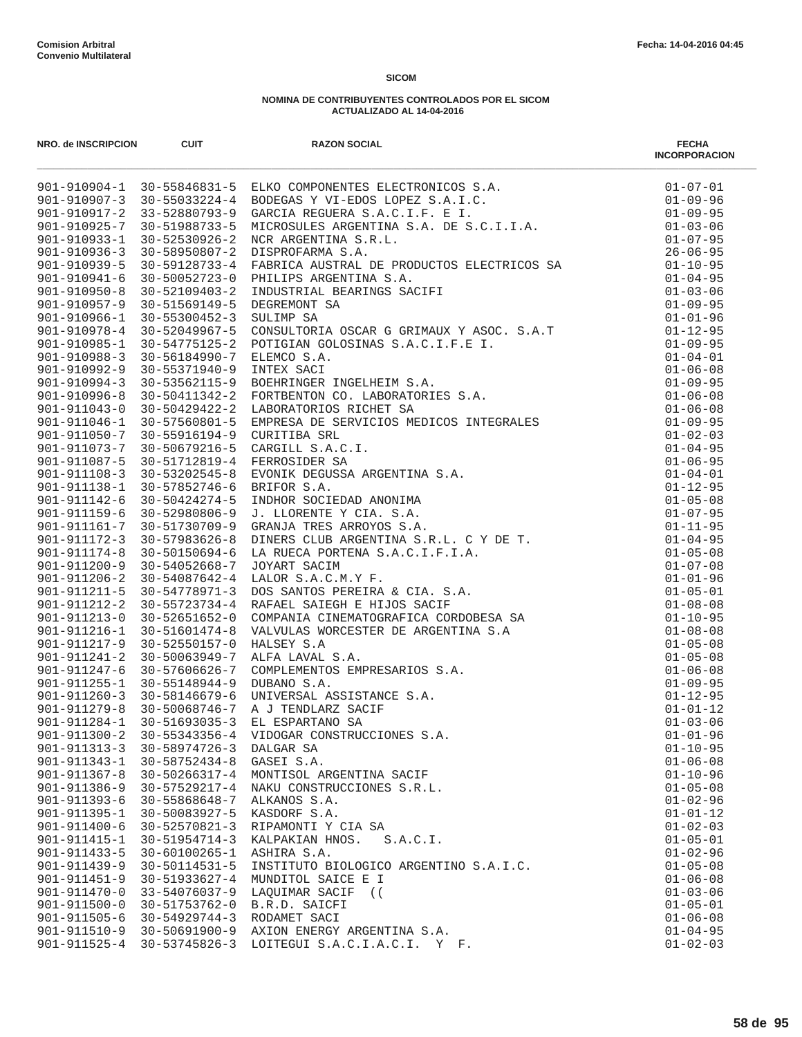| NRO. de INSCRIPCION                      | <b>CUIT</b>                    | <b>RAZON SOCIAL</b><br>NAO RENAMPHONO 1991<br>1991-212004-1<br>1991-212004-1<br>1991-212004-1<br>1991-212004-1<br>1991-212004-1<br>1991-212004-1<br>1991-212004-1<br>1991-212004-212024-4 SOBEROX VJ-BOS LOREZ S.A.I.C.<br>1991-2120363 1<br>1991-212039-1<br>1991-212039-1<br>1992-21203 | <b>FECHA</b><br><b>INCORPORACION</b> |
|------------------------------------------|--------------------------------|-------------------------------------------------------------------------------------------------------------------------------------------------------------------------------------------------------------------------------------------------------------------------------------------|--------------------------------------|
|                                          |                                |                                                                                                                                                                                                                                                                                           |                                      |
|                                          |                                |                                                                                                                                                                                                                                                                                           |                                      |
|                                          |                                |                                                                                                                                                                                                                                                                                           |                                      |
|                                          |                                |                                                                                                                                                                                                                                                                                           |                                      |
|                                          |                                |                                                                                                                                                                                                                                                                                           |                                      |
|                                          |                                |                                                                                                                                                                                                                                                                                           |                                      |
|                                          |                                |                                                                                                                                                                                                                                                                                           |                                      |
|                                          |                                |                                                                                                                                                                                                                                                                                           |                                      |
|                                          |                                |                                                                                                                                                                                                                                                                                           |                                      |
|                                          |                                |                                                                                                                                                                                                                                                                                           |                                      |
|                                          |                                |                                                                                                                                                                                                                                                                                           |                                      |
|                                          |                                |                                                                                                                                                                                                                                                                                           |                                      |
|                                          |                                |                                                                                                                                                                                                                                                                                           |                                      |
|                                          |                                |                                                                                                                                                                                                                                                                                           |                                      |
|                                          |                                |                                                                                                                                                                                                                                                                                           |                                      |
|                                          |                                |                                                                                                                                                                                                                                                                                           |                                      |
|                                          |                                |                                                                                                                                                                                                                                                                                           |                                      |
|                                          |                                |                                                                                                                                                                                                                                                                                           |                                      |
|                                          |                                |                                                                                                                                                                                                                                                                                           |                                      |
|                                          |                                |                                                                                                                                                                                                                                                                                           |                                      |
|                                          |                                |                                                                                                                                                                                                                                                                                           |                                      |
|                                          |                                |                                                                                                                                                                                                                                                                                           |                                      |
|                                          |                                |                                                                                                                                                                                                                                                                                           |                                      |
|                                          |                                |                                                                                                                                                                                                                                                                                           |                                      |
|                                          |                                |                                                                                                                                                                                                                                                                                           |                                      |
|                                          |                                |                                                                                                                                                                                                                                                                                           |                                      |
|                                          |                                |                                                                                                                                                                                                                                                                                           |                                      |
|                                          |                                |                                                                                                                                                                                                                                                                                           |                                      |
|                                          |                                |                                                                                                                                                                                                                                                                                           |                                      |
|                                          |                                |                                                                                                                                                                                                                                                                                           |                                      |
|                                          |                                |                                                                                                                                                                                                                                                                                           |                                      |
|                                          |                                |                                                                                                                                                                                                                                                                                           |                                      |
|                                          |                                |                                                                                                                                                                                                                                                                                           |                                      |
|                                          |                                |                                                                                                                                                                                                                                                                                           |                                      |
|                                          |                                |                                                                                                                                                                                                                                                                                           |                                      |
|                                          |                                |                                                                                                                                                                                                                                                                                           |                                      |
|                                          |                                |                                                                                                                                                                                                                                                                                           |                                      |
|                                          |                                |                                                                                                                                                                                                                                                                                           |                                      |
|                                          |                                |                                                                                                                                                                                                                                                                                           |                                      |
| $901 - 911300 - 2$                       | $30 - 55343356 - 4$            | VIDOGAR CONSTRUCCIONES S.A.                                                                                                                                                                                                                                                               | $01 - 01 - 96$                       |
| $901 - 911313 - 3$                       | $30 - 58974726 - 3$            | DALGAR SA                                                                                                                                                                                                                                                                                 | $01 - 10 - 95$                       |
| 901-911343-1                             | $30 - 58752434 - 8$            | GASEI S.A.                                                                                                                                                                                                                                                                                | $01 - 06 - 08$                       |
| $901 - 911367 - 8$                       | 30-50266317-4                  | MONTISOL ARGENTINA SACIF                                                                                                                                                                                                                                                                  | $01 - 10 - 96$                       |
| 901-911386-9                             | $30 - 57529217 - 4$            | NAKU CONSTRUCCIONES S.R.L.                                                                                                                                                                                                                                                                | $01 - 05 - 08$                       |
| $901 - 911393 - 6$                       | $30 - 55868648 - 7$            | ALKANOS S.A.                                                                                                                                                                                                                                                                              | $01 - 02 - 96$                       |
| 901-911395-1                             | 30-50083927-5                  | KASDORF S.A.                                                                                                                                                                                                                                                                              | $01 - 01 - 12$                       |
| $901 - 911400 - 6$                       | $30 - 52570821 - 3$            | RIPAMONTI Y CIA SA                                                                                                                                                                                                                                                                        | $01 - 02 - 03$                       |
| $901 - 911415 - 1$                       | $30 - 51954714 - 3$            | KALPAKIAN HNOS.<br>S.A.C.I.                                                                                                                                                                                                                                                               | $01 - 05 - 01$                       |
| 901-911433-5                             | 30-60100265-1                  | ASHIRA S.A.                                                                                                                                                                                                                                                                               | $01 - 02 - 96$                       |
| $901 - 911439 - 9$<br>$901 - 911451 - 9$ | 30-50114531-5<br>30-51933627-4 | INSTITUTO BIOLOGICO ARGENTINO S.A.I.C.<br>MUNDITOL SAICE E I                                                                                                                                                                                                                              | $01 - 05 - 08$<br>$01 - 06 - 08$     |
| $901 - 911470 - 0$                       | 33-54076037-9                  | LAOUIMAR SACIF ((                                                                                                                                                                                                                                                                         | $01 - 03 - 06$                       |
| $901 - 911500 - 0$                       | 30-51753762-0                  | B.R.D. SAICFI                                                                                                                                                                                                                                                                             | $01 - 05 - 01$                       |
| $901 - 911505 - 6$                       | $30 - 54929744 - 3$            | RODAMET SACI                                                                                                                                                                                                                                                                              | $01 - 06 - 08$                       |
| $901 - 911510 - 9$                       | 30-50691900-9                  | AXION ENERGY ARGENTINA S.A.                                                                                                                                                                                                                                                               | $01 - 04 - 95$                       |
| $901 - 911525 - 4$                       | $30 - 53745826 - 3$            | LOITEGUI S.A.C.I.A.C.I. Y F.                                                                                                                                                                                                                                                              | $01 - 02 - 03$                       |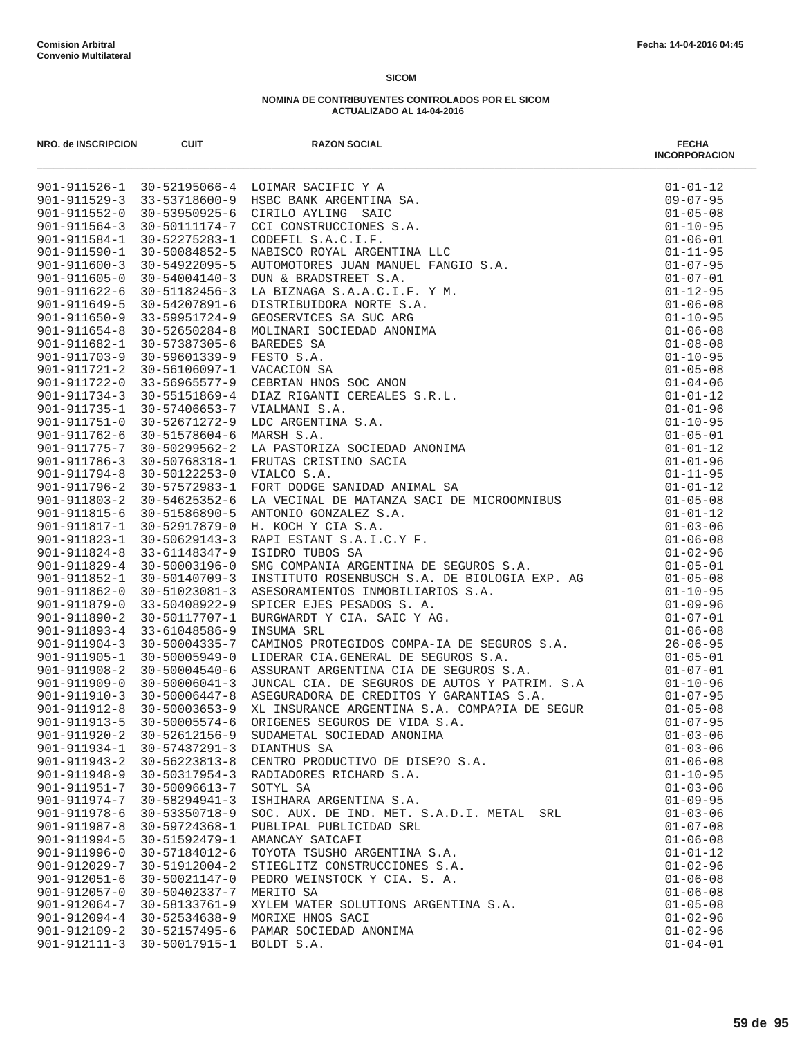| NRO. de INSCRIPCION                | <b>CUIT</b>                    | <b>RAZON SOCIAL</b><br>Net and the second of the section of the section of the section of the section of the section of the section of the section of the section of the section of the section of the section of the section of the section of the | <b>FECHA</b><br><b>INCORPORACION</b> |
|------------------------------------|--------------------------------|-----------------------------------------------------------------------------------------------------------------------------------------------------------------------------------------------------------------------------------------------------|--------------------------------------|
|                                    |                                |                                                                                                                                                                                                                                                     |                                      |
|                                    |                                |                                                                                                                                                                                                                                                     |                                      |
|                                    |                                |                                                                                                                                                                                                                                                     |                                      |
|                                    |                                |                                                                                                                                                                                                                                                     |                                      |
|                                    |                                |                                                                                                                                                                                                                                                     |                                      |
|                                    |                                |                                                                                                                                                                                                                                                     |                                      |
|                                    |                                |                                                                                                                                                                                                                                                     |                                      |
|                                    |                                |                                                                                                                                                                                                                                                     |                                      |
|                                    |                                |                                                                                                                                                                                                                                                     |                                      |
|                                    |                                |                                                                                                                                                                                                                                                     |                                      |
|                                    |                                |                                                                                                                                                                                                                                                     |                                      |
|                                    |                                |                                                                                                                                                                                                                                                     |                                      |
|                                    |                                |                                                                                                                                                                                                                                                     |                                      |
|                                    |                                |                                                                                                                                                                                                                                                     |                                      |
|                                    |                                |                                                                                                                                                                                                                                                     |                                      |
|                                    |                                |                                                                                                                                                                                                                                                     |                                      |
|                                    |                                |                                                                                                                                                                                                                                                     |                                      |
|                                    |                                |                                                                                                                                                                                                                                                     |                                      |
|                                    |                                |                                                                                                                                                                                                                                                     |                                      |
|                                    |                                |                                                                                                                                                                                                                                                     |                                      |
|                                    |                                |                                                                                                                                                                                                                                                     |                                      |
|                                    |                                |                                                                                                                                                                                                                                                     |                                      |
|                                    |                                |                                                                                                                                                                                                                                                     |                                      |
|                                    |                                |                                                                                                                                                                                                                                                     |                                      |
|                                    |                                |                                                                                                                                                                                                                                                     |                                      |
|                                    |                                |                                                                                                                                                                                                                                                     |                                      |
|                                    |                                |                                                                                                                                                                                                                                                     |                                      |
|                                    |                                |                                                                                                                                                                                                                                                     |                                      |
|                                    |                                |                                                                                                                                                                                                                                                     |                                      |
|                                    |                                |                                                                                                                                                                                                                                                     |                                      |
|                                    |                                |                                                                                                                                                                                                                                                     |                                      |
|                                    |                                |                                                                                                                                                                                                                                                     |                                      |
|                                    |                                |                                                                                                                                                                                                                                                     |                                      |
|                                    |                                |                                                                                                                                                                                                                                                     |                                      |
|                                    |                                |                                                                                                                                                                                                                                                     |                                      |
|                                    |                                |                                                                                                                                                                                                                                                     |                                      |
|                                    |                                |                                                                                                                                                                                                                                                     |                                      |
|                                    |                                |                                                                                                                                                                                                                                                     |                                      |
|                                    |                                |                                                                                                                                                                                                                                                     |                                      |
|                                    |                                |                                                                                                                                                                                                                                                     |                                      |
| $901 - 911920 - 2$                 | $30 - 52612156 - 9$            | SUDAMETAL SOCIEDAD ANONIMA                                                                                                                                                                                                                          | $01 - 03 - 06$                       |
| $901 - 911934 - 1$                 | 30-57437291-3                  | DIANTHUS SA                                                                                                                                                                                                                                         | $01 - 03 - 06$                       |
| $901 - 911943 - 2$                 | 30-56223813-8                  | CENTRO PRODUCTIVO DE DISE?O S.A.                                                                                                                                                                                                                    | $01 - 06 - 08$                       |
| $901 - 911948 - 9$                 | $30 - 50317954 - 3$            | RADIADORES RICHARD S.A.                                                                                                                                                                                                                             | $01 - 10 - 95$                       |
| 901-911951-7                       | 30-50096613-7                  | SOTYL SA                                                                                                                                                                                                                                            | $01 - 03 - 06$                       |
| $901 - 911974 - 7$                 | $30 - 58294941 - 3$            | ISHIHARA ARGENTINA S.A.                                                                                                                                                                                                                             | $01 - 09 - 95$                       |
| 901-911978-6<br>$901 - 911987 - 8$ | 30-53350718-9<br>30-59724368-1 | SOC. AUX. DE IND. MET. S.A.D.I. METAL SRL<br>PUBLIPAL PUBLICIDAD SRL                                                                                                                                                                                | $01 - 03 - 06$<br>$01 - 07 - 08$     |
| $901 - 911994 - 5$                 | 30-51592479-1                  | AMANCAY SAICAFI                                                                                                                                                                                                                                     | $01 - 06 - 08$                       |
| 901-911996-0                       | 30-57184012-6                  | TOYOTA TSUSHO ARGENTINA S.A.                                                                                                                                                                                                                        | $01 - 01 - 12$                       |
| 901-912029-7                       | $30 - 51912004 - 2$            | STIEGLITZ CONSTRUCCIONES S.A.                                                                                                                                                                                                                       | $01 - 02 - 96$                       |
| $901 - 912051 - 6$                 | 30-50021147-0                  | PEDRO WEINSTOCK Y CIA. S. A.                                                                                                                                                                                                                        | $01 - 06 - 08$                       |
| $901 - 912057 - 0$                 | 30-50402337-7                  | MERITO SA                                                                                                                                                                                                                                           | $01 - 06 - 08$                       |
| $901 - 912064 - 7$                 | 30-58133761-9                  | XYLEM WATER SOLUTIONS ARGENTINA S.A.                                                                                                                                                                                                                | $01 - 05 - 08$                       |
| $901 - 912094 - 4$                 | $30 - 52534638 - 9$            | MORIXE HNOS SACI                                                                                                                                                                                                                                    | $01 - 02 - 96$                       |
| $901 - 912109 - 2$                 | 30-52157495-6                  | PAMAR SOCIEDAD ANONIMA                                                                                                                                                                                                                              | $01 - 02 - 96$                       |
| $901 - 912111 - 3$                 | 30-50017915-1                  | BOLDT S.A.                                                                                                                                                                                                                                          | $01 - 04 - 01$                       |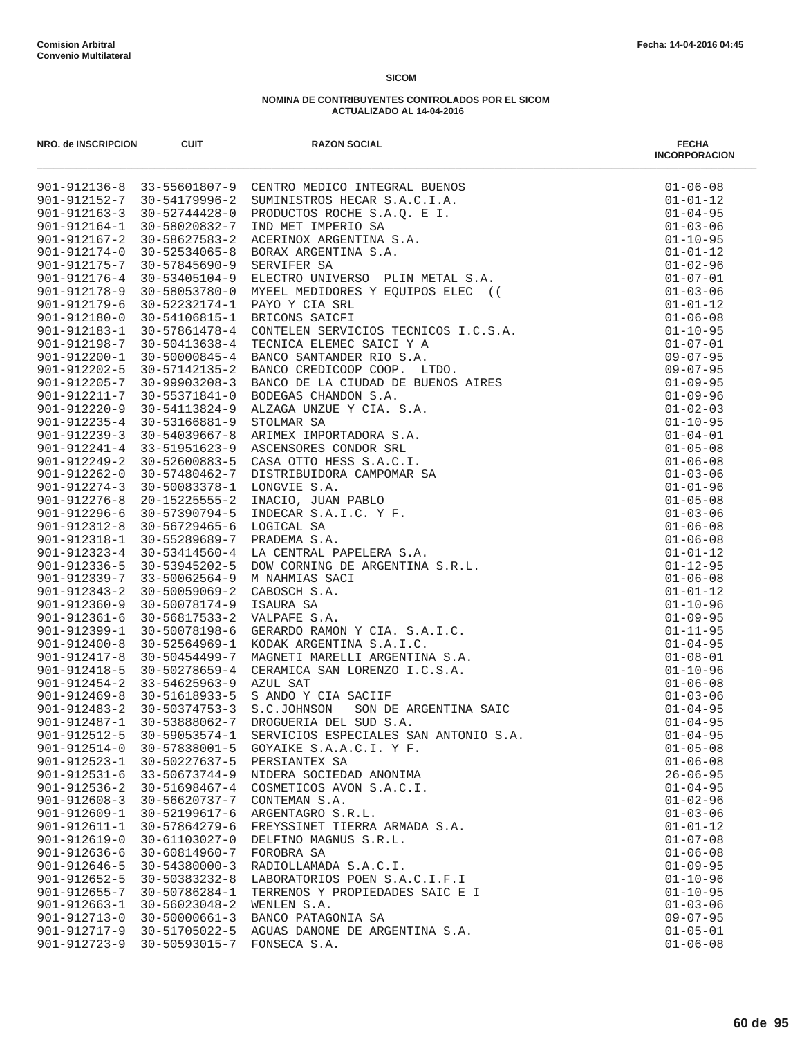| NRO. de INSCRIPCION                      | <b>CUIT</b>         | <b>RAZON SOCIAL</b><br>m.<br>40.1911115-1 12.5501807-9 CRNTRO MENICO INTERNA EEROS<br>901-912115-7 10-5101807-9 CRNTRO MECHO INTERNA EEROS<br>901-91215-7 10-51179996-2 CRNTROTEO BOCES 3.A.C. I.A.<br>901-91215-1 10-5202852-7 1800 MRT ENDERGA AC. E I.<br>90 | <b>FECHA</b><br><b>INCORPORACION</b> |
|------------------------------------------|---------------------|-----------------------------------------------------------------------------------------------------------------------------------------------------------------------------------------------------------------------------------------------------------------|--------------------------------------|
|                                          |                     |                                                                                                                                                                                                                                                                 | $01 - 06 - 08$                       |
|                                          |                     |                                                                                                                                                                                                                                                                 | $01 - 01 - 12$                       |
|                                          |                     |                                                                                                                                                                                                                                                                 | $01 - 04 - 95$                       |
|                                          |                     |                                                                                                                                                                                                                                                                 | $01 - 03 - 06$                       |
|                                          |                     |                                                                                                                                                                                                                                                                 | $01 - 10 - 95$                       |
|                                          |                     |                                                                                                                                                                                                                                                                 | $01 - 01 - 12$                       |
|                                          |                     |                                                                                                                                                                                                                                                                 | $01 - 02 - 96$                       |
|                                          |                     |                                                                                                                                                                                                                                                                 | $01 - 07 - 01$                       |
|                                          |                     |                                                                                                                                                                                                                                                                 | $01 - 03 - 06$                       |
|                                          |                     |                                                                                                                                                                                                                                                                 | $01 - 01 - 12$                       |
|                                          |                     |                                                                                                                                                                                                                                                                 | $01 - 06 - 08$                       |
|                                          |                     |                                                                                                                                                                                                                                                                 | $01 - 10 - 95$                       |
|                                          |                     |                                                                                                                                                                                                                                                                 | $01 - 07 - 01$                       |
|                                          |                     |                                                                                                                                                                                                                                                                 | $09 - 07 - 95$                       |
|                                          |                     |                                                                                                                                                                                                                                                                 | $09 - 07 - 95$<br>$01 - 09 - 95$     |
|                                          |                     |                                                                                                                                                                                                                                                                 | $01 - 09 - 96$                       |
|                                          |                     |                                                                                                                                                                                                                                                                 | $01 - 02 - 03$                       |
|                                          |                     |                                                                                                                                                                                                                                                                 | $01 - 10 - 95$                       |
|                                          |                     |                                                                                                                                                                                                                                                                 | $01 - 04 - 01$                       |
|                                          |                     |                                                                                                                                                                                                                                                                 | $01 - 05 - 08$                       |
|                                          |                     |                                                                                                                                                                                                                                                                 | $01 - 06 - 08$                       |
|                                          |                     |                                                                                                                                                                                                                                                                 | $01 - 03 - 06$                       |
|                                          |                     |                                                                                                                                                                                                                                                                 | $01 - 01 - 96$                       |
|                                          |                     |                                                                                                                                                                                                                                                                 | $01 - 05 - 08$                       |
|                                          |                     |                                                                                                                                                                                                                                                                 | $01 - 03 - 06$                       |
|                                          |                     |                                                                                                                                                                                                                                                                 | $01 - 06 - 08$                       |
|                                          |                     |                                                                                                                                                                                                                                                                 | $01 - 06 - 08$                       |
|                                          |                     |                                                                                                                                                                                                                                                                 | $01 - 01 - 12$                       |
|                                          |                     |                                                                                                                                                                                                                                                                 | $01 - 12 - 95$                       |
|                                          |                     |                                                                                                                                                                                                                                                                 | $01 - 06 - 08$                       |
|                                          |                     |                                                                                                                                                                                                                                                                 | $01 - 01 - 12$                       |
|                                          |                     |                                                                                                                                                                                                                                                                 | $01 - 10 - 96$                       |
|                                          |                     |                                                                                                                                                                                                                                                                 | $01 - 09 - 95$                       |
|                                          |                     |                                                                                                                                                                                                                                                                 | $01 - 11 - 95$                       |
|                                          |                     |                                                                                                                                                                                                                                                                 | $01 - 04 - 95$                       |
|                                          |                     |                                                                                                                                                                                                                                                                 | $01 - 08 - 01$                       |
|                                          |                     |                                                                                                                                                                                                                                                                 | $01 - 10 - 96$                       |
|                                          |                     |                                                                                                                                                                                                                                                                 | $01 - 06 - 08$                       |
|                                          |                     |                                                                                                                                                                                                                                                                 | $01 - 03 - 06$                       |
|                                          |                     |                                                                                                                                                                                                                                                                 | $01 - 04 - 95$<br>$01 - 04 - 95$     |
|                                          | $30 - 59053574 - 1$ |                                                                                                                                                                                                                                                                 |                                      |
| $901 - 912512 - 5$<br>$901 - 912514 - 0$ | 30-57838001-5       | SERVICIOS ESPECIALES SAN ANTONIO S.A.<br>GOYAIKE S.A.A.C.I. Y F.                                                                                                                                                                                                | $01 - 04 - 95$<br>$01 - 05 - 08$     |
| $901 - 912523 - 1$                       | 30-50227637-5       | PERSIANTEX SA                                                                                                                                                                                                                                                   | $01 - 06 - 08$                       |
| $901 - 912531 - 6$                       | $33 - 50673744 - 9$ | NIDERA SOCIEDAD ANONIMA                                                                                                                                                                                                                                         | $26 - 06 - 95$                       |
| $901 - 912536 - 2$                       | 30-51698467-4       | COSMETICOS AVON S.A.C.I.                                                                                                                                                                                                                                        | $01 - 04 - 95$                       |
| $901 - 912608 - 3$                       | 30-56620737-7       | CONTEMAN S.A.                                                                                                                                                                                                                                                   | $01 - 02 - 96$                       |
| $901 - 912609 - 1$                       | 30-52199617-6       | ARGENTAGRO S.R.L.                                                                                                                                                                                                                                               | $01 - 03 - 06$                       |
| $901 - 912611 - 1$                       | 30-57864279-6       | FREYSSINET TIERRA ARMADA S.A.                                                                                                                                                                                                                                   | $01 - 01 - 12$                       |
| $901 - 912619 - 0$                       | 30-61103027-0       | DELFINO MAGNUS S.R.L.                                                                                                                                                                                                                                           | $01 - 07 - 08$                       |
| $901 - 912636 - 6$                       | 30-60814960-7       | FOROBRA SA                                                                                                                                                                                                                                                      | $01 - 06 - 08$                       |
| $901 - 912646 - 5$                       | $30 - 54380000 - 3$ | RADIOLLAMADA S.A.C.I.                                                                                                                                                                                                                                           | $01 - 09 - 95$                       |
| $901 - 912652 - 5$                       | 30-50383232-8       | LABORATORIOS POEN S.A.C.I.F.I                                                                                                                                                                                                                                   | $01 - 10 - 96$                       |
| $901 - 912655 - 7$                       | 30-50786284-1       | TERRENOS Y PROPIEDADES SAIC E I                                                                                                                                                                                                                                 | $01 - 10 - 95$                       |
| $901 - 912663 - 1$                       | $30 - 56023048 - 2$ | WENLEN S.A.                                                                                                                                                                                                                                                     | $01 - 03 - 06$                       |
| $901 - 912713 - 0$                       | $30 - 50000661 - 3$ | BANCO PATAGONIA SA                                                                                                                                                                                                                                              | $09 - 07 - 95$                       |
| $901 - 912717 - 9$                       | 30-51705022-5       | AGUAS DANONE DE ARGENTINA S.A.                                                                                                                                                                                                                                  | $01 - 05 - 01$                       |
| $901 - 912723 - 9$                       | $30 - 50593015 - 7$ | FONSECA S.A.                                                                                                                                                                                                                                                    | $01 - 06 - 08$                       |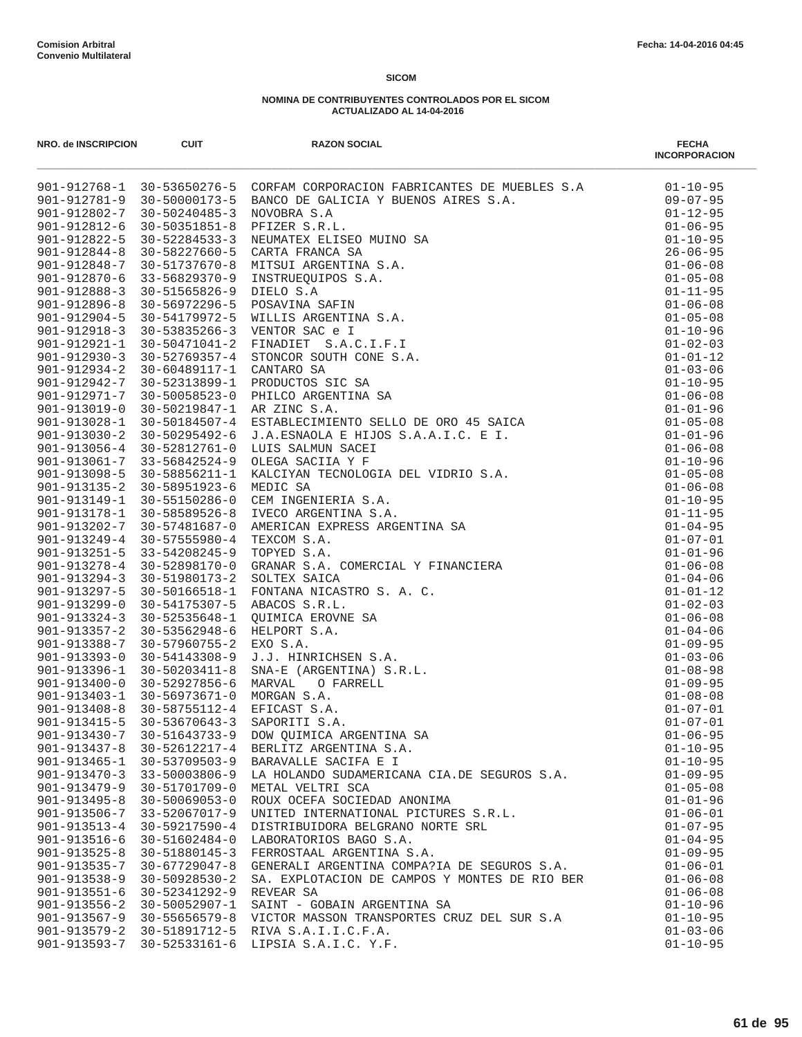| NRO. de INSCRIPCION                      | <b>CUIT</b>                          | <b>RAZON SOCIAL</b>                                                 | <b>FECHA</b><br><b>INCORPORACION</b> |
|------------------------------------------|--------------------------------------|---------------------------------------------------------------------|--------------------------------------|
|                                          |                                      |                                                                     | $01 - 10 - 95$                       |
|                                          |                                      |                                                                     | $09 - 07 - 95$                       |
|                                          |                                      |                                                                     | $01 - 12 - 95$                       |
|                                          |                                      |                                                                     | $01 - 06 - 95$                       |
|                                          |                                      |                                                                     | $01 - 10 - 95$                       |
|                                          |                                      |                                                                     | $26 - 06 - 95$<br>$01 - 06 - 08$     |
|                                          |                                      |                                                                     | $01 - 05 - 08$                       |
|                                          |                                      |                                                                     | $01 - 11 - 95$                       |
|                                          |                                      |                                                                     | $01 - 06 - 08$                       |
|                                          |                                      |                                                                     | $01 - 05 - 08$                       |
|                                          |                                      |                                                                     | $01 - 10 - 96$                       |
|                                          |                                      |                                                                     | $01 - 02 - 03$                       |
|                                          |                                      |                                                                     | $01 - 01 - 12$                       |
|                                          |                                      |                                                                     | $01 - 03 - 06$                       |
|                                          |                                      |                                                                     | $01 - 10 - 95$                       |
|                                          |                                      |                                                                     | $01 - 06 - 08$                       |
|                                          |                                      |                                                                     | $01 - 01 - 96$                       |
|                                          |                                      |                                                                     | $01 - 05 - 08$                       |
|                                          |                                      |                                                                     | $01 - 01 - 96$                       |
|                                          |                                      |                                                                     | $01 - 06 - 08$                       |
|                                          |                                      |                                                                     | $01 - 10 - 96$                       |
|                                          |                                      |                                                                     | $01 - 05 - 08$                       |
|                                          |                                      |                                                                     | $01 - 06 - 08$                       |
|                                          |                                      |                                                                     | $01 - 10 - 95$                       |
|                                          |                                      |                                                                     | $01 - 11 - 95$                       |
|                                          |                                      |                                                                     | $01 - 04 - 95$<br>$01 - 07 - 01$     |
|                                          |                                      |                                                                     | $01 - 01 - 96$                       |
|                                          |                                      |                                                                     | $01 - 06 - 08$                       |
|                                          |                                      |                                                                     | $01 - 04 - 06$                       |
|                                          |                                      |                                                                     | $01 - 01 - 12$                       |
|                                          |                                      |                                                                     | $01 - 02 - 03$                       |
|                                          |                                      |                                                                     | $01 - 06 - 08$                       |
|                                          |                                      |                                                                     | $01 - 04 - 06$                       |
|                                          |                                      |                                                                     | $01 - 09 - 95$                       |
|                                          |                                      |                                                                     | $01 - 03 - 06$                       |
|                                          |                                      |                                                                     | $01 - 08 - 98$                       |
|                                          |                                      |                                                                     | $01 - 09 - 95$                       |
|                                          |                                      |                                                                     | $01 - 08 - 08$                       |
|                                          |                                      |                                                                     | $01 - 07 - 01$                       |
|                                          |                                      |                                                                     | $01 - 07 - 01$                       |
|                                          |                                      |                                                                     | $01 - 06 - 95$                       |
|                                          |                                      |                                                                     | $01 - 10 - 95$                       |
|                                          |                                      | LA HOLANDO SUDAMERICANA CIA.DE SEGUROS S.A.                         | $01 - 10 - 95$                       |
| $901 - 913470 - 3$                       | 33-50003806-9                        |                                                                     | $01 - 09 - 95$                       |
| $901 - 913479 - 9$                       | 30-51701709-0                        | METAL VELTRI SCA                                                    | $01 - 05 - 08$                       |
| $901 - 913495 - 8$<br>$901 - 913506 - 7$ | $30 - 50069053 - 0$<br>33-52067017-9 | ROUX OCEFA SOCIEDAD ANONIMA<br>UNITED INTERNATIONAL PICTURES S.R.L. | $01 - 01 - 96$<br>$01 - 06 - 01$     |
| $901 - 913513 - 4$                       | 30-59217590-4                        | DISTRIBUIDORA BELGRANO NORTE SRL                                    | $01 - 07 - 95$                       |
| $901 - 913516 - 6$                       | 30-51602484-0                        | LABORATORIOS BAGO S.A.                                              | $01 - 04 - 95$                       |
| $901 - 913525 - 8$                       | 30-51880145-3                        | FERROSTAAL ARGENTINA S.A.                                           | $01 - 09 - 95$                       |
| $901 - 913535 - 7$                       | $30 - 67729047 - 8$                  | GENERALI ARGENTINA COMPA?IA DE SEGUROS S.A.                         | $01 - 06 - 01$                       |
| $901 - 913538 - 9$                       | $30 - 50928530 - 2$                  | SA. EXPLOTACION DE CAMPOS Y MONTES DE RIO BER                       | $01 - 06 - 08$                       |
| $901 - 913551 - 6$                       | 30-52341292-9                        | REVEAR SA                                                           | $01 - 06 - 08$                       |
| $901 - 913556 - 2$                       | 30-50052907-1                        | SAINT - GOBAIN ARGENTINA SA                                         | $01 - 10 - 96$                       |
| 901-913567-9                             | 30-55656579-8                        | VICTOR MASSON TRANSPORTES CRUZ DEL SUR S.A                          | $01 - 10 - 95$                       |
| 901-913579-2 30-51891712-5               |                                      | RIVA S.A.I.I.C.F.A.                                                 | $01 - 03 - 06$                       |
| 901-913593-7                             | 30-52533161-6                        | LIPSIA S.A.I.C. Y.F.                                                | $01 - 10 - 95$                       |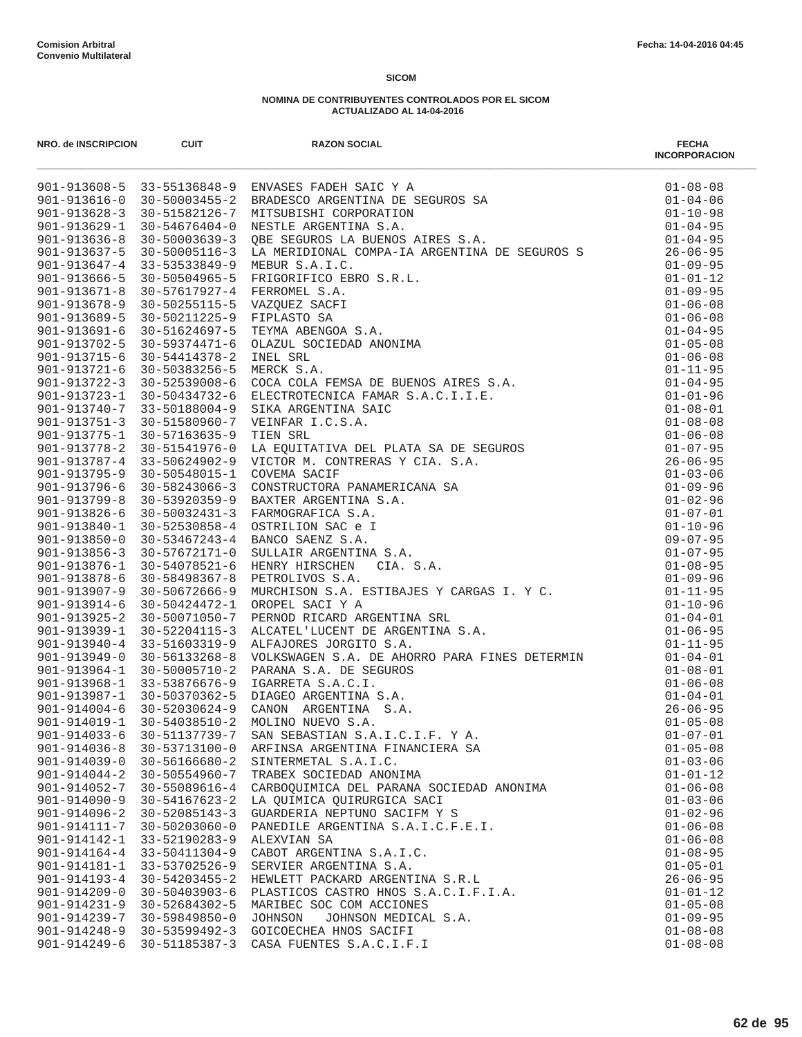| NRO. de INSCRIPCION | <b>CUIT</b>         | <b>RAZON SOCIAL</b><br>MRO.48 MMSHUP-000 001 MMSHUP-001 MADEBOOK<br>201-1122615-3 11-5112688-9 2NVASSE PARE SACK 21 ASSEMBAN 2018 201-11226 - 122 - 123 - 124 - 124 - 124 - 124 - 124 - 124 - 124 - 124 - 124 - 124 - 124 - 124 - 124 - 124 - 124 - 12 | <b>FECHA</b><br><b>INCORPORACION</b> |
|---------------------|---------------------|--------------------------------------------------------------------------------------------------------------------------------------------------------------------------------------------------------------------------------------------------------|--------------------------------------|
|                     |                     |                                                                                                                                                                                                                                                        |                                      |
|                     |                     |                                                                                                                                                                                                                                                        |                                      |
|                     |                     |                                                                                                                                                                                                                                                        |                                      |
|                     |                     |                                                                                                                                                                                                                                                        |                                      |
|                     |                     |                                                                                                                                                                                                                                                        |                                      |
|                     |                     |                                                                                                                                                                                                                                                        |                                      |
|                     |                     |                                                                                                                                                                                                                                                        |                                      |
|                     |                     |                                                                                                                                                                                                                                                        |                                      |
|                     |                     |                                                                                                                                                                                                                                                        |                                      |
|                     |                     |                                                                                                                                                                                                                                                        |                                      |
|                     |                     |                                                                                                                                                                                                                                                        |                                      |
|                     |                     |                                                                                                                                                                                                                                                        |                                      |
|                     |                     |                                                                                                                                                                                                                                                        |                                      |
|                     |                     |                                                                                                                                                                                                                                                        |                                      |
|                     |                     |                                                                                                                                                                                                                                                        |                                      |
|                     |                     |                                                                                                                                                                                                                                                        |                                      |
|                     |                     |                                                                                                                                                                                                                                                        |                                      |
|                     |                     |                                                                                                                                                                                                                                                        |                                      |
|                     |                     |                                                                                                                                                                                                                                                        |                                      |
|                     |                     |                                                                                                                                                                                                                                                        |                                      |
|                     |                     |                                                                                                                                                                                                                                                        |                                      |
|                     |                     |                                                                                                                                                                                                                                                        |                                      |
|                     |                     |                                                                                                                                                                                                                                                        |                                      |
|                     |                     |                                                                                                                                                                                                                                                        |                                      |
|                     |                     |                                                                                                                                                                                                                                                        |                                      |
|                     |                     |                                                                                                                                                                                                                                                        |                                      |
|                     |                     |                                                                                                                                                                                                                                                        |                                      |
|                     |                     |                                                                                                                                                                                                                                                        |                                      |
|                     |                     |                                                                                                                                                                                                                                                        |                                      |
|                     |                     |                                                                                                                                                                                                                                                        |                                      |
|                     |                     |                                                                                                                                                                                                                                                        |                                      |
|                     |                     |                                                                                                                                                                                                                                                        |                                      |
|                     |                     |                                                                                                                                                                                                                                                        |                                      |
|                     |                     |                                                                                                                                                                                                                                                        |                                      |
|                     |                     |                                                                                                                                                                                                                                                        |                                      |
|                     |                     |                                                                                                                                                                                                                                                        |                                      |
|                     |                     |                                                                                                                                                                                                                                                        |                                      |
|                     |                     |                                                                                                                                                                                                                                                        |                                      |
|                     |                     |                                                                                                                                                                                                                                                        |                                      |
|                     |                     |                                                                                                                                                                                                                                                        |                                      |
|                     |                     |                                                                                                                                                                                                                                                        |                                      |
|                     |                     |                                                                                                                                                                                                                                                        |                                      |
| $901 - 914039 - 0$  | $30 - 56166680 - 2$ | SINTERMETAL S.A.I.C.                                                                                                                                                                                                                                   | $01 - 03 - 06$                       |
| $901 - 914044 - 2$  | 30-50554960-7       | TRABEX SOCIEDAD ANONIMA                                                                                                                                                                                                                                | $01 - 01 - 12$                       |
| 901-914052-7        | 30-55089616-4       | CARBOQUIMICA DEL PARANA SOCIEDAD ANONIMA                                                                                                                                                                                                               | $01 - 06 - 08$                       |
| $901 - 914090 - 9$  | $30 - 54167623 - 2$ | LA OUIMICA OUIRURGICA SACI                                                                                                                                                                                                                             | $01 - 03 - 06$                       |
| $901 - 914096 - 2$  | 30-52085143-3       | GUARDERIA NEPTUNO SACIFM Y S                                                                                                                                                                                                                           | $01 - 02 - 96$                       |
| 901-914111-7        | $30 - 50203060 - 0$ | PANEDILE ARGENTINA S.A.I.C.F.E.I.                                                                                                                                                                                                                      | $01 - 06 - 08$                       |
| 901-914142-1        | 33-52190283-9       | ALEXVIAN SA                                                                                                                                                                                                                                            | $01 - 06 - 08$                       |
| $901 - 914164 - 4$  | 33-50411304-9       | CABOT ARGENTINA S.A.I.C.                                                                                                                                                                                                                               | $01 - 08 - 95$                       |
| 901-914181-1        | 33-53702526-9       | SERVIER ARGENTINA S.A.                                                                                                                                                                                                                                 | $01 - 05 - 01$                       |
| $901 - 914193 - 4$  | 30-54203455-2       | HEWLETT PACKARD ARGENTINA S.R.L                                                                                                                                                                                                                        | $26 - 06 - 95$                       |
| $901 - 914209 - 0$  | 30-50403903-6       | PLASTICOS CASTRO HNOS S.A.C.I.F.I.A.                                                                                                                                                                                                                   | $01 - 01 - 12$                       |
| $901 - 914231 - 9$  | 30-52684302-5       | MARIBEC SOC COM ACCIONES                                                                                                                                                                                                                               | $01 - 05 - 08$                       |
| 901-914239-7        | $30 - 59849850 - 0$ | JOHNSON MEDICAL S.A.<br>JOHNSON                                                                                                                                                                                                                        | $01 - 09 - 95$                       |
| $901 - 914248 - 9$  | 30-53599492-3       | GOICOECHEA HNOS SACIFI                                                                                                                                                                                                                                 | $01 - 08 - 08$                       |
| 901-914249-6        | 30-51185387-3       | CASA FUENTES S.A.C.I.F.I                                                                                                                                                                                                                               | $01 - 08 - 08$                       |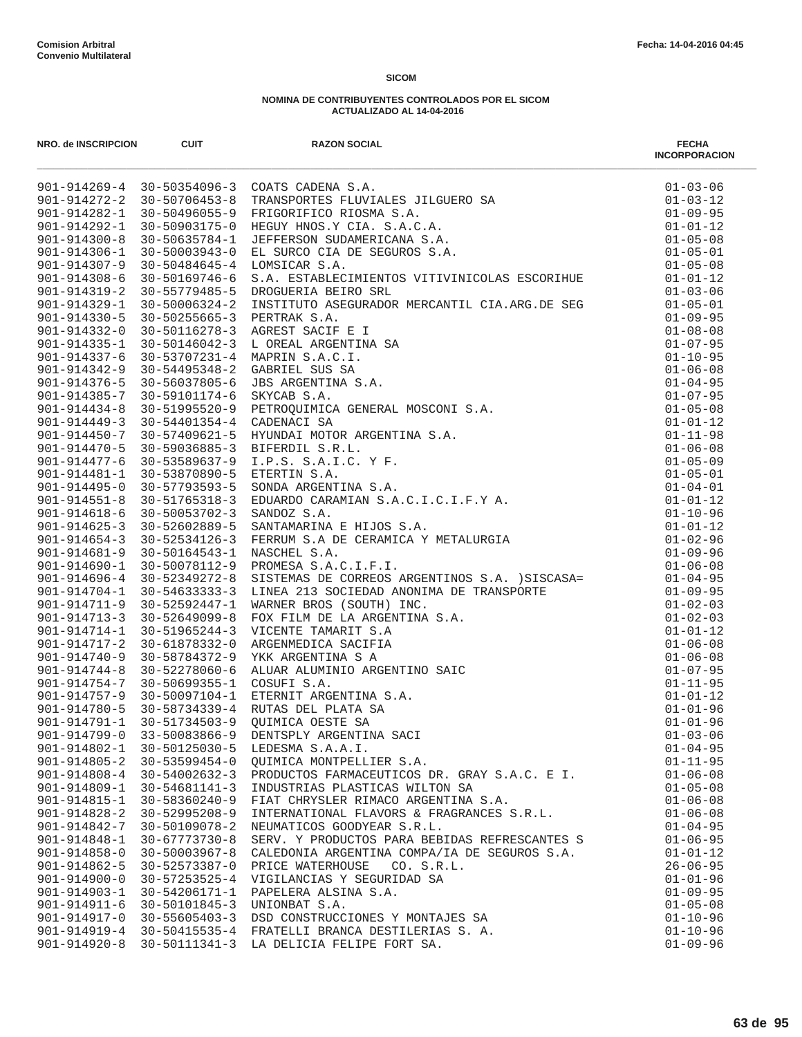| NRO. de INSCRIPCION                      | <b>CUIT</b>                          | <b>RAZON SOCIAL</b>                                                                                                                                                                                                                        | <b>FECHA</b><br><b>INCORPORACION</b> |
|------------------------------------------|--------------------------------------|--------------------------------------------------------------------------------------------------------------------------------------------------------------------------------------------------------------------------------------------|--------------------------------------|
|                                          |                                      | 901-914269-4 30-50354096-3 COATS CADENA S.A.<br>901-914272-2 30-50706453-8 TRANSPORTES FLUVIALES JILGUERO SA<br>901-914282-1 30-50496055-9 FRIGORIFICO RIOSMA S.A.<br>901-914292-1 30-50903175-0 HEGUY HNOS.Y CIA. S.A.C.A.<br>901-914300- | $01 - 03 - 06$                       |
|                                          |                                      |                                                                                                                                                                                                                                            | $01 - 03 - 12$                       |
|                                          |                                      |                                                                                                                                                                                                                                            | $01 - 09 - 95$                       |
|                                          |                                      |                                                                                                                                                                                                                                            | $01 - 01 - 12$                       |
|                                          |                                      |                                                                                                                                                                                                                                            | $01 - 05 - 08$                       |
|                                          |                                      |                                                                                                                                                                                                                                            | $01 - 05 - 01$                       |
|                                          |                                      |                                                                                                                                                                                                                                            | $01 - 05 - 08$                       |
| 901-914319-2                             | 30-55779485-5                        | DROGUERIA BEIRO SRL                                                                                                                                                                                                                        | $01 - 01 - 12$<br>$01 - 03 - 06$     |
| $901 - 914329 - 1$                       | $30 - 50006324 - 2$                  |                                                                                                                                                                                                                                            | $01 - 05 - 01$                       |
|                                          |                                      | INSTITUTO ASEGURADOR MERCANTIL CIA.ARG.DE SEG                                                                                                                                                                                              | $01 - 09 - 95$                       |
|                                          |                                      |                                                                                                                                                                                                                                            | $01 - 08 - 08$                       |
|                                          |                                      |                                                                                                                                                                                                                                            | $01 - 07 - 95$                       |
|                                          |                                      |                                                                                                                                                                                                                                            | $01 - 10 - 95$                       |
|                                          |                                      |                                                                                                                                                                                                                                            | $01 - 06 - 08$                       |
|                                          |                                      |                                                                                                                                                                                                                                            | $01 - 04 - 95$                       |
|                                          |                                      |                                                                                                                                                                                                                                            | $01 - 07 - 95$                       |
|                                          |                                      |                                                                                                                                                                                                                                            | $01 - 05 - 08$                       |
|                                          |                                      |                                                                                                                                                                                                                                            | $01 - 01 - 12$                       |
|                                          |                                      |                                                                                                                                                                                                                                            | $01 - 11 - 98$                       |
|                                          |                                      |                                                                                                                                                                                                                                            | $01 - 06 - 08$                       |
|                                          |                                      |                                                                                                                                                                                                                                            | $01 - 05 - 09$                       |
|                                          |                                      |                                                                                                                                                                                                                                            | $01 - 05 - 01$<br>$01 - 04 - 01$     |
|                                          |                                      |                                                                                                                                                                                                                                            | $01 - 01 - 12$                       |
|                                          |                                      |                                                                                                                                                                                                                                            | $01 - 10 - 96$                       |
|                                          |                                      |                                                                                                                                                                                                                                            | $01 - 01 - 12$                       |
|                                          |                                      |                                                                                                                                                                                                                                            | $01 - 02 - 96$                       |
|                                          |                                      | 301-914337-6 30-53074223 1 AGREST SACIF E I<br>901-914337-6 30-53707231-4 MAPRIN S.A.C.I.<br>901-914342-9 30-54707231-4 MAPRIN S.A.C.I.<br>901-914376-5 30-54995346-2 GABRIEL SUS SA<br>901-914376-5 30-54095346-2 GABRIEL SUS SA.<br>90   | $01 - 09 - 96$                       |
|                                          |                                      | 901-914690-1 30-50078312-9 PROMESA S.A.C.I.F.I.<br>901-914690-1 30-50078112-9 PROMESA S.A.C.I.F.I.<br>901-914696-4 30-53619372-8 SISTEDMA NONIMA DE TRANSPORTE<br>901-914704-4 30-53649372-8 SISTEDMA NONIMA DE TRANSPORTE<br>901-9147     | $01 - 06 - 08$                       |
|                                          |                                      |                                                                                                                                                                                                                                            |                                      |
|                                          |                                      |                                                                                                                                                                                                                                            |                                      |
|                                          |                                      |                                                                                                                                                                                                                                            |                                      |
|                                          |                                      |                                                                                                                                                                                                                                            |                                      |
|                                          |                                      |                                                                                                                                                                                                                                            |                                      |
|                                          |                                      |                                                                                                                                                                                                                                            |                                      |
|                                          |                                      |                                                                                                                                                                                                                                            |                                      |
|                                          |                                      |                                                                                                                                                                                                                                            |                                      |
|                                          |                                      |                                                                                                                                                                                                                                            |                                      |
|                                          |                                      |                                                                                                                                                                                                                                            |                                      |
|                                          |                                      |                                                                                                                                                                                                                                            |                                      |
|                                          |                                      |                                                                                                                                                                                                                                            |                                      |
|                                          |                                      |                                                                                                                                                                                                                                            |                                      |
| $901 - 914805 - 2$                       | $30 - 53599454 - 0$                  | QUIMICA MONTPELLIER S.A.                                                                                                                                                                                                                   | $01 - 11 - 95$                       |
| $901 - 914808 - 4$                       | 30-54002632-3                        | PRODUCTOS FARMACEUTICOS DR. GRAY S.A.C. E I.                                                                                                                                                                                               | $01 - 06 - 08$                       |
| 901-914809-1                             | 30-54681141-3                        | INDUSTRIAS PLASTICAS WILTON SA                                                                                                                                                                                                             | $01 - 05 - 08$                       |
| 901-914815-1                             | 30-58360240-9                        | FIAT CHRYSLER RIMACO ARGENTINA S.A.                                                                                                                                                                                                        | $01 - 06 - 08$                       |
| $901 - 914828 - 2$                       | 30-52995208-9                        | INTERNATIONAL FLAVORS & FRAGRANCES S.R.L.                                                                                                                                                                                                  | $01 - 06 - 08$                       |
| 901-914842-7                             | 30-50109078-2                        | NEUMATICOS GOODYEAR S.R.L.                                                                                                                                                                                                                 | $01 - 04 - 95$                       |
| 901-914848-1                             | $30 - 67773730 - 8$                  | SERV. Y PRODUCTOS PARA BEBIDAS REFRESCANTES S                                                                                                                                                                                              | $01 - 06 - 95$                       |
| $901 - 914858 - 0$<br>$901 - 914862 - 5$ | 30-50003967-8                        | CALEDONIA ARGENTINA COMPA/IA DE SEGUROS S.A.<br>CO. S.R.L.                                                                                                                                                                                 | $01 - 01 - 12$                       |
| $901 - 914900 - 0$                       | 30-52573387-0<br>$30 - 57253525 - 4$ | PRICE WATERHOUSE<br>VIGILANCIAS Y SEGURIDAD SA                                                                                                                                                                                             | $26 - 06 - 95$<br>$01 - 01 - 96$     |
| $901 - 914903 - 1$                       | 30-54206171-1                        | PAPELERA ALSINA S.A.                                                                                                                                                                                                                       | $01 - 09 - 95$                       |
| 901-914911-6                             | 30-50101845-3                        | UNIONBAT S.A.                                                                                                                                                                                                                              | $01 - 05 - 08$                       |
| 901-914917-0                             | $30 - 55605403 - 3$                  | DSD CONSTRUCCIONES Y MONTAJES SA                                                                                                                                                                                                           | $01 - 10 - 96$                       |
| 901-914919-4                             | 30-50415535-4                        | FRATELLI BRANCA DESTILERIAS S. A.                                                                                                                                                                                                          | $01 - 10 - 96$                       |
| $901 - 914920 - 8$                       |                                      | 30-50111341-3 LA DELICIA FELIPE FORT SA.                                                                                                                                                                                                   | $01 - 09 - 96$                       |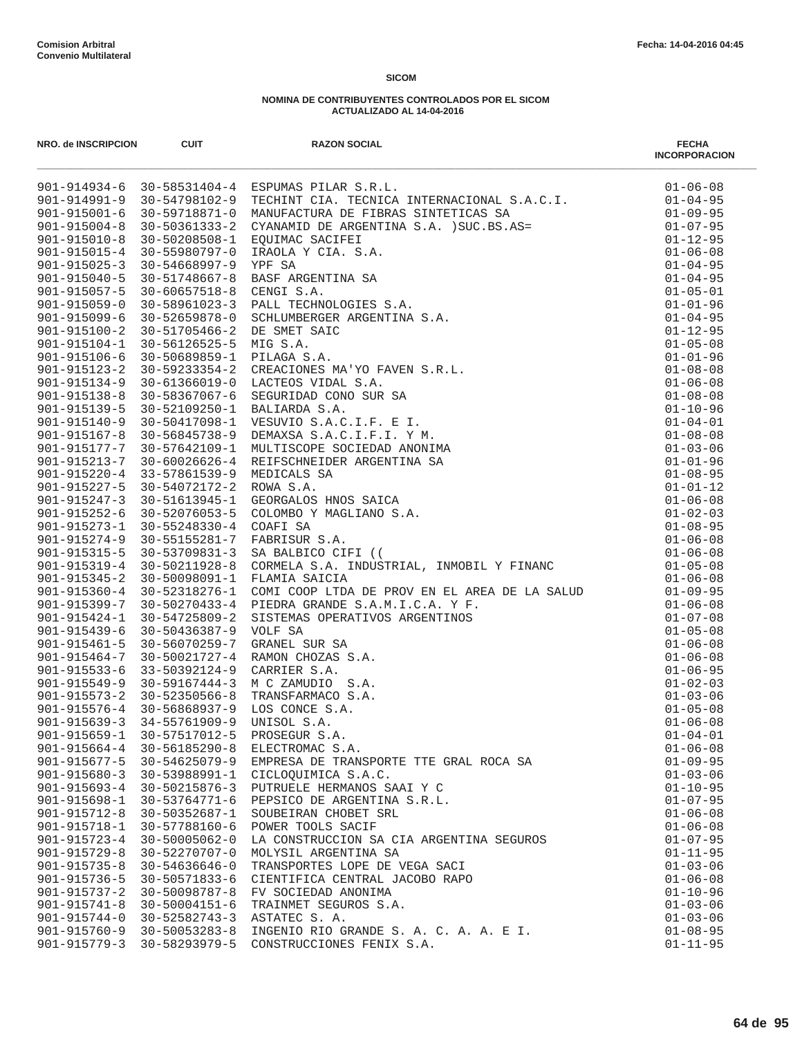| NRO. de INSCRIPCION                      | <b>CUIT</b>                                             | <b>RAZON SOCIAL</b>                                                                                                                                                                                                                                                                                       | <b>FECHA</b><br><b>INCORPORACION</b> |
|------------------------------------------|---------------------------------------------------------|-----------------------------------------------------------------------------------------------------------------------------------------------------------------------------------------------------------------------------------------------------------------------------------------------------------|--------------------------------------|
|                                          |                                                         | 901-914934-6 30-58531404-4 ESPUMAS PILAR S.R.L.<br>ESPUMAS PILAR S.R.L.<br>TECHINT CIA. TECNICA INTERNACIONAL S.A.C.I.<br>NANUFACTURA DE PIERAS SINTETICAS SA<br>CYANAMID DE ARGENTINA S.A. )SUC.BS.AS=<br>EQUIMAC SACIFEI<br>RAÓLA Y CIA. S.A.<br>TEROLA Y CIA. S.A.<br>TEROLA Y CIA. S.A.<br>NERGE S.A. | $01 - 06 - 08$                       |
|                                          | 901-914991-9 30-54798102-9                              |                                                                                                                                                                                                                                                                                                           | $01 - 04 - 95$                       |
| $901 - 915001 - 6$                       | 30-59718871-0                                           |                                                                                                                                                                                                                                                                                                           | $01 - 09 - 95$                       |
| $901 - 915004 - 8$                       | 30-50361333-2                                           |                                                                                                                                                                                                                                                                                                           | $01 - 07 - 95$                       |
| $901 - 915010 - 8$                       | 30-50208508-1                                           |                                                                                                                                                                                                                                                                                                           | $01 - 12 - 95$                       |
| 901-915015-4                             | 30-55980797-0                                           |                                                                                                                                                                                                                                                                                                           | $01 - 06 - 08$                       |
| $901 - 915025 - 3$                       | 30-54668997-9                                           |                                                                                                                                                                                                                                                                                                           | $01 - 04 - 95$                       |
| 901-915040-5                             | 30-51748667-8                                           |                                                                                                                                                                                                                                                                                                           | $01 - 04 - 95$                       |
| $901 - 915057 - 5$                       | $30 - 60657518 - 8$                                     |                                                                                                                                                                                                                                                                                                           | $01 - 05 - 01$                       |
| $901 - 915059 - 0$                       | 30-58961023-3                                           |                                                                                                                                                                                                                                                                                                           | $01 - 01 - 96$                       |
| 901-915099-6                             | 30-52659878-0                                           |                                                                                                                                                                                                                                                                                                           | $01 - 04 - 95$                       |
| $901 - 915100 - 2$<br>$901 - 915104 - 1$ | 30-51705466-2                                           |                                                                                                                                                                                                                                                                                                           | $01 - 12 - 95$                       |
|                                          | 30-56126525-5                                           |                                                                                                                                                                                                                                                                                                           | $01 - 05 - 08$<br>$01 - 01 - 96$     |
| $901 - 915123 - 2$                       | 901-915106-6 30-50689859-1<br>$30 - 59233354 - 2$       |                                                                                                                                                                                                                                                                                                           | $01 - 08 - 08$                       |
| $901 - 915134 - 9$                       | 30-61366019-0                                           |                                                                                                                                                                                                                                                                                                           | $01 - 06 - 08$                       |
| $901 - 915138 - 8$                       | 30-58367067-6                                           |                                                                                                                                                                                                                                                                                                           | $01 - 08 - 08$                       |
| 901-915139-5                             | 30-52109250-1                                           |                                                                                                                                                                                                                                                                                                           | $01 - 10 - 96$                       |
| $901 - 915140 - 9$                       | 30-50417098-1                                           |                                                                                                                                                                                                                                                                                                           | $01 - 04 - 01$                       |
| 901-915167-8                             | 30-56845738-9                                           |                                                                                                                                                                                                                                                                                                           | $01 - 08 - 08$                       |
| 901-915177-7                             | 30-57642109-1                                           |                                                                                                                                                                                                                                                                                                           | $01 - 03 - 06$                       |
| $901 - 915213 - 7$                       | $30 - 60026626 - 4$                                     |                                                                                                                                                                                                                                                                                                           | $01 - 01 - 96$                       |
| $901 - 915220 - 4$                       | 33-57861539-9                                           |                                                                                                                                                                                                                                                                                                           | $01 - 08 - 95$                       |
| $901 - 915227 - 5$                       | 30-54072172-2                                           |                                                                                                                                                                                                                                                                                                           | $01 - 01 - 12$                       |
| 901-915247-3                             | 30-51613945-1                                           |                                                                                                                                                                                                                                                                                                           | $01 - 06 - 08$                       |
| 901-915252-6 30-52076053-5               |                                                         |                                                                                                                                                                                                                                                                                                           | $01 - 02 - 03$                       |
| $901 - 915273 - 1$                       | 30-55248330-4                                           |                                                                                                                                                                                                                                                                                                           | $01 - 08 - 95$                       |
| $901 - 915274 - 9$                       | 30-55155281-7                                           |                                                                                                                                                                                                                                                                                                           | $01 - 06 - 08$                       |
| 901-915315-5                             | 30-53709831-3                                           |                                                                                                                                                                                                                                                                                                           | $01 - 06 - 08$                       |
| $901 - 915319 - 4$                       | 30-50211928-8                                           |                                                                                                                                                                                                                                                                                                           | $01 - 05 - 08$                       |
| $901 - 915345 - 2$                       | 30-50098091-1                                           | FLAMIA SAICIA                                                                                                                                                                                                                                                                                             | $01 - 06 - 08$                       |
| $901 - 915360 - 4$                       | 30-52318276-1                                           |                                                                                                                                                                                                                                                                                                           | $01 - 09 - 95$                       |
| 901-915399-7                             | 30-50270433-4                                           |                                                                                                                                                                                                                                                                                                           | $01 - 06 - 08$                       |
| $901 - 915424 - 1$                       | 30-54725809-2                                           |                                                                                                                                                                                                                                                                                                           | $01 - 07 - 08$                       |
| $901 - 915439 - 6$                       | 30-50436387-9                                           |                                                                                                                                                                                                                                                                                                           | $01 - 05 - 08$                       |
| $901 - 915461 - 5$                       | 30-56070259-7                                           |                                                                                                                                                                                                                                                                                                           | $01 - 06 - 08$                       |
| 901-915464-7                             | 30-50021727-4                                           |                                                                                                                                                                                                                                                                                                           | $01 - 06 - 08$                       |
| $901 - 915533 - 6$                       | 33-50392124-9                                           |                                                                                                                                                                                                                                                                                                           | $01 - 06 - 95$                       |
| 901-915549-9                             | $30 - 59167444 - 3$<br>$901 - 915573 - 2$ 30-52350566-8 | M C ZAMUDIO S.A.                                                                                                                                                                                                                                                                                          | $01 - 02 - 03$<br>$01 - 03 - 06$     |
|                                          | 901-915576-4 30-56868937-9                              |                                                                                                                                                                                                                                                                                                           | $01 - 05 - 08$                       |
| $901 - 915639 - 3$                       | $34 - 55761909 - 9$                                     |                                                                                                                                                                                                                                                                                                           | $01 - 06 - 08$                       |
| $901 - 915659 - 1$                       | 30-57517012-5                                           | FLAMIA SAICIA<br>COMI COOP LTDA DE PROV EN EL AREA DE LA SALUD<br>PIEDRA GRANDE S.A.M.I.C.A. Y F.<br>SISTEMAS OPERATIVOS ARGENTINOS<br>VOLF SA<br>GRANEL SUR SA<br>RAMO CHOZAS S.A.<br>CARRIER S.A.<br>TRANSFARMACO S.A.<br>LOS CONCE S.A.<br>LOS CONCE S.A.<br>PROSEGUR S.A.                             | $01 - 04 - 01$                       |
| $901 - 915664 - 4$                       | $30 - 56185290 - 8$                                     | ELECTROMAC S.A.                                                                                                                                                                                                                                                                                           | $01 - 06 - 08$                       |
| $901 - 915677 - 5$                       | 30-54625079-9                                           | EMPRESA DE TRANSPORTE TTE GRAL ROCA SA                                                                                                                                                                                                                                                                    | $01 - 09 - 95$                       |
| $901 - 915680 - 3$                       | 30-53988991-1                                           | CICLOOUIMICA S.A.C.                                                                                                                                                                                                                                                                                       | $01 - 03 - 06$                       |
| $901 - 915693 - 4$                       | $30 - 50215876 - 3$                                     | PUTRUELE HERMANOS SAAI Y C                                                                                                                                                                                                                                                                                | $01 - 10 - 95$                       |
| $901 - 915698 - 1$                       | 30-53764771-6                                           | PEPSICO DE ARGENTINA S.R.L.                                                                                                                                                                                                                                                                               | $01 - 07 - 95$                       |
| $901 - 915712 - 8$                       | 30-50352687-1                                           | SOUBEIRAN CHOBET SRL                                                                                                                                                                                                                                                                                      | $01 - 06 - 08$                       |
| 901-915718-1                             | 30-57788160-6                                           | POWER TOOLS SACIF                                                                                                                                                                                                                                                                                         | $01 - 06 - 08$                       |
| $901 - 915723 - 4$                       | $30 - 50005062 - 0$                                     | LA CONSTRUCCION SA CIA ARGENTINA SEGUROS                                                                                                                                                                                                                                                                  | $01 - 07 - 95$                       |
| $901 - 915729 - 8$                       | 30-52270707-0                                           | MOLYSIL ARGENTINA SA                                                                                                                                                                                                                                                                                      | $01 - 11 - 95$                       |
| $901 - 915735 - 8$                       | $30 - 54636646 - 0$                                     | TRANSPORTES LOPE DE VEGA SACI                                                                                                                                                                                                                                                                             | $01 - 03 - 06$                       |
| 901-915736-5                             | 30-50571833-6                                           | CIENTIFICA CENTRAL JACOBO RAPO                                                                                                                                                                                                                                                                            | $01 - 06 - 08$                       |
| $901 - 915737 - 2$                       | 30-50098787-8                                           | FV SOCIEDAD ANONIMA                                                                                                                                                                                                                                                                                       | $01 - 10 - 96$                       |
| $901 - 915741 - 8$                       | $30 - 50004151 - 6$                                     | TRAINMET SEGUROS S.A.                                                                                                                                                                                                                                                                                     | $01 - 03 - 06$                       |
| $901 - 915744 - 0$                       | $30 - 52582743 - 3$                                     | ASTATEC S. A.                                                                                                                                                                                                                                                                                             | $01 - 03 - 06$                       |
| $901 - 915760 - 9$<br>$901 - 915779 - 3$ | $30 - 50053283 - 8$<br>30-58293979-5                    | INGENIO RIO GRANDE S. A. C. A. A. E I.<br>CONSTRUCCIONES FENIX S.A.                                                                                                                                                                                                                                       | $01 - 08 - 95$<br>$01 - 11 - 95$     |
|                                          |                                                         |                                                                                                                                                                                                                                                                                                           |                                      |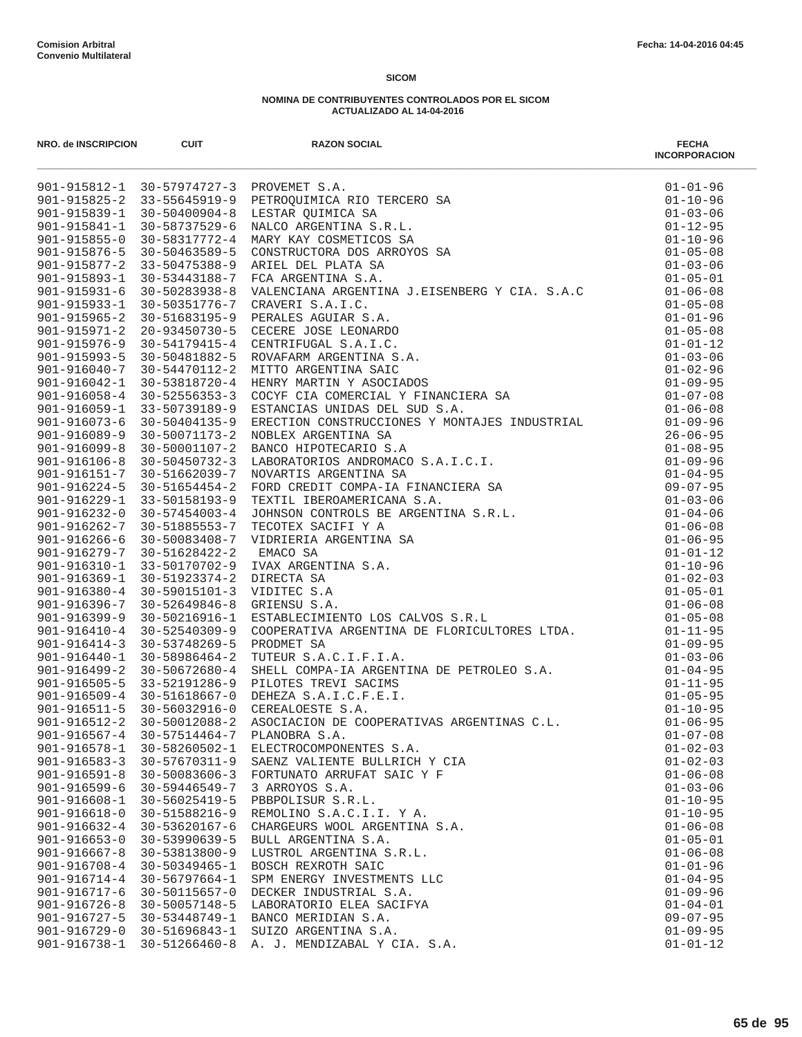| NRO. de INSCRIPCION                      | <b>CUIT</b>                    | <b>RAZON SOCIAL</b>                           | <b>FECHA</b><br><b>INCORPORACION</b> |
|------------------------------------------|--------------------------------|-----------------------------------------------|--------------------------------------|
|                                          |                                |                                               |                                      |
|                                          |                                |                                               |                                      |
|                                          |                                |                                               |                                      |
|                                          |                                |                                               |                                      |
|                                          |                                |                                               |                                      |
|                                          |                                |                                               |                                      |
|                                          |                                |                                               |                                      |
|                                          |                                |                                               |                                      |
|                                          |                                |                                               |                                      |
|                                          |                                |                                               |                                      |
|                                          |                                |                                               |                                      |
|                                          |                                |                                               |                                      |
|                                          |                                |                                               |                                      |
|                                          |                                |                                               |                                      |
|                                          |                                |                                               |                                      |
|                                          |                                |                                               |                                      |
|                                          |                                |                                               |                                      |
|                                          |                                |                                               |                                      |
|                                          |                                |                                               |                                      |
|                                          |                                |                                               |                                      |
|                                          |                                |                                               |                                      |
|                                          |                                |                                               |                                      |
|                                          |                                |                                               |                                      |
|                                          |                                |                                               |                                      |
|                                          |                                |                                               |                                      |
|                                          |                                |                                               |                                      |
|                                          |                                |                                               |                                      |
|                                          |                                |                                               |                                      |
|                                          |                                |                                               |                                      |
|                                          |                                |                                               |                                      |
|                                          |                                |                                               |                                      |
|                                          |                                |                                               |                                      |
|                                          |                                |                                               |                                      |
|                                          |                                |                                               |                                      |
|                                          |                                |                                               |                                      |
|                                          |                                |                                               |                                      |
|                                          |                                |                                               |                                      |
|                                          |                                |                                               |                                      |
|                                          |                                |                                               |                                      |
|                                          |                                |                                               |                                      |
| $901 - 916567 - 4$                       | 30-57514464-7                  | PLANOBRA S.A.                                 | $01 - 07 - 08$                       |
| $901 - 916578 - 1$                       | 30-58260502-1                  | ELECTROCOMPONENTES S.A.                       | $01 - 02 - 03$                       |
| $901 - 916583 - 3$                       | 30-57670311-9                  | SAENZ VALIENTE BULLRICH Y CIA                 | $01 - 02 - 03$                       |
| $901 - 916591 - 8$                       | $30 - 50083606 - 3$            | FORTUNATO ARRUFAT SAIC Y F                    | $01 - 06 - 08$                       |
| $901 - 916599 - 6$                       | $30 - 59446549 - 7$            | 3 ARROYOS S.A.                                | $01 - 03 - 06$                       |
| $901 - 916608 - 1$                       | $30 - 56025419 - 5$            | PBBPOLISUR S.R.L.<br>REMOLINO S.A.C.I.I. Y A. | $01 - 10 - 95$                       |
| $901 - 916618 - 0$<br>$901 - 916632 - 4$ | 30-51588216-9<br>30-53620167-6 | CHARGEURS WOOL ARGENTINA S.A.                 | $01 - 10 - 95$<br>$01 - 06 - 08$     |
| $901 - 916653 - 0$                       | 30-53990639-5                  | BULL ARGENTINA S.A.                           | $01 - 05 - 01$                       |
| $901 - 916667 - 8$                       | 30-53813800-9                  | LUSTROL ARGENTINA S.R.L.                      | $01 - 06 - 08$                       |
| $901 - 916708 - 4$                       | $30 - 50349465 - 1$            | BOSCH REXROTH SAIC                            | $01 - 01 - 96$                       |
| 901-916714-4                             | $30 - 56797664 - 1$            | SPM ENERGY INVESTMENTS LLC                    | $01 - 04 - 95$                       |
| 901-916717-6                             | 30-50115657-0                  | DECKER INDUSTRIAL S.A.                        | $01 - 09 - 96$                       |
| $901 - 916726 - 8$                       | 30-50057148-5                  | LABORATORIO ELEA SACIFYA                      | $01 - 04 - 01$                       |
| 901-916727-5                             | 30-53448749-1                  | BANCO MERIDIAN S.A.                           | $09 - 07 - 95$                       |
| $901 - 916729 - 0$                       | 30-51696843-1                  | SUIZO ARGENTINA S.A.                          | $01 - 09 - 95$                       |
| 901-916738-1                             | $30 - 51266460 - 8$            | A. J. MENDIZABAL Y CIA. S.A.                  | $01 - 01 - 12$                       |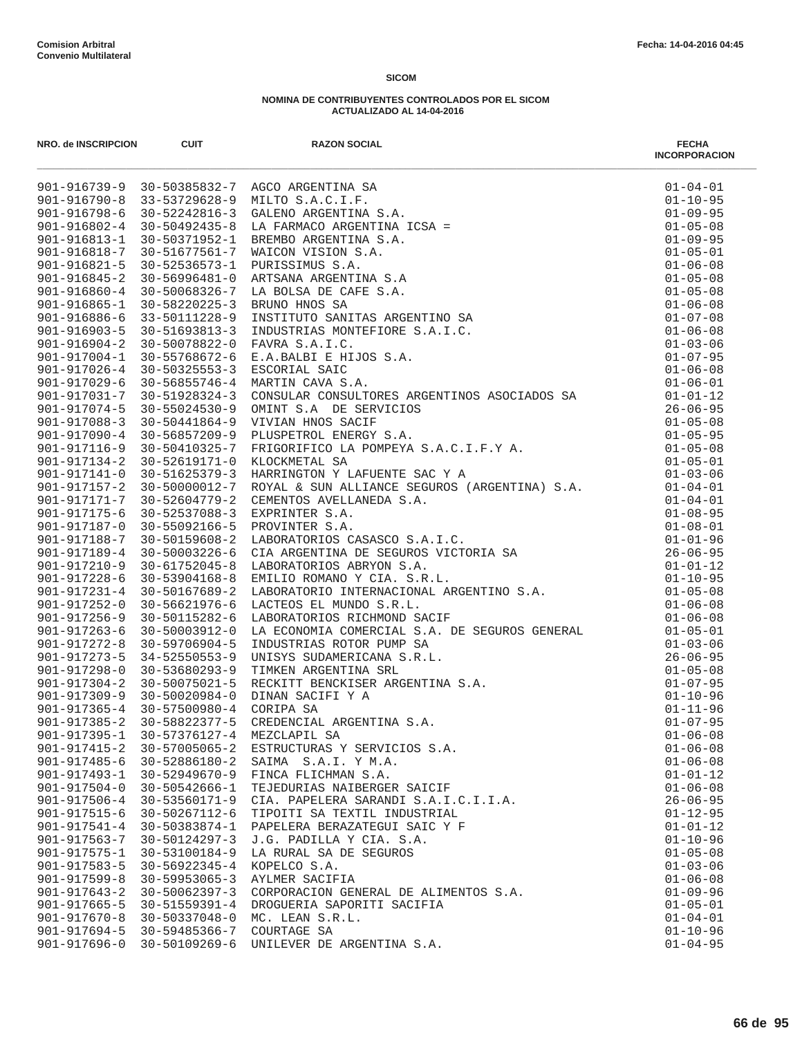|                                          |                                | NRO. 40 NGCHIPON CUT RAZON SOCIAL INTERNATION (1990) 1991 1123 - 120 1123 - 120 1123 - 120 1123 - 120 1212 - 120 1212 - 120 1212 - 120 1212 - 120 1212 - 120 1212 - 120 1212 - 120 1212 - 120 1212 - 120 1212 - 120 1212 - 12 | <b>INCORPORACION</b>             |
|------------------------------------------|--------------------------------|-------------------------------------------------------------------------------------------------------------------------------------------------------------------------------------------------------------------------------|----------------------------------|
|                                          |                                |                                                                                                                                                                                                                               |                                  |
|                                          |                                |                                                                                                                                                                                                                               |                                  |
|                                          |                                |                                                                                                                                                                                                                               |                                  |
|                                          |                                |                                                                                                                                                                                                                               |                                  |
|                                          |                                |                                                                                                                                                                                                                               |                                  |
|                                          |                                |                                                                                                                                                                                                                               |                                  |
|                                          |                                |                                                                                                                                                                                                                               |                                  |
|                                          |                                |                                                                                                                                                                                                                               |                                  |
|                                          |                                |                                                                                                                                                                                                                               |                                  |
|                                          |                                |                                                                                                                                                                                                                               |                                  |
|                                          |                                |                                                                                                                                                                                                                               |                                  |
|                                          |                                |                                                                                                                                                                                                                               |                                  |
|                                          |                                |                                                                                                                                                                                                                               |                                  |
|                                          |                                |                                                                                                                                                                                                                               |                                  |
|                                          |                                |                                                                                                                                                                                                                               |                                  |
|                                          |                                |                                                                                                                                                                                                                               |                                  |
|                                          |                                |                                                                                                                                                                                                                               |                                  |
|                                          |                                |                                                                                                                                                                                                                               |                                  |
|                                          |                                |                                                                                                                                                                                                                               |                                  |
|                                          |                                |                                                                                                                                                                                                                               |                                  |
|                                          |                                |                                                                                                                                                                                                                               |                                  |
|                                          |                                |                                                                                                                                                                                                                               |                                  |
|                                          |                                |                                                                                                                                                                                                                               |                                  |
|                                          |                                |                                                                                                                                                                                                                               |                                  |
|                                          |                                |                                                                                                                                                                                                                               |                                  |
|                                          |                                |                                                                                                                                                                                                                               |                                  |
|                                          |                                |                                                                                                                                                                                                                               |                                  |
|                                          |                                |                                                                                                                                                                                                                               |                                  |
|                                          |                                |                                                                                                                                                                                                                               |                                  |
|                                          |                                |                                                                                                                                                                                                                               |                                  |
|                                          |                                |                                                                                                                                                                                                                               |                                  |
|                                          |                                |                                                                                                                                                                                                                               |                                  |
|                                          |                                |                                                                                                                                                                                                                               |                                  |
|                                          |                                |                                                                                                                                                                                                                               |                                  |
|                                          |                                |                                                                                                                                                                                                                               |                                  |
|                                          |                                |                                                                                                                                                                                                                               |                                  |
|                                          |                                |                                                                                                                                                                                                                               |                                  |
|                                          |                                |                                                                                                                                                                                                                               |                                  |
|                                          |                                |                                                                                                                                                                                                                               |                                  |
| 901-917395-1                             | 30-57376127-4                  | MEZCLAPIL SA                                                                                                                                                                                                                  | $01 - 06 - 08$                   |
| $901 - 917415 - 2$                       | 30-57005065-2                  | ESTRUCTURAS Y SERVICIOS S.A.                                                                                                                                                                                                  | $01 - 06 - 08$                   |
| $901 - 917485 - 6$                       | 30-52886180-2                  | SAIMA S.A.I. Y M.A.                                                                                                                                                                                                           | $01 - 06 - 08$                   |
| 901-917493-1                             | $30 - 52949670 - 9$            | FINCA FLICHMAN S.A.                                                                                                                                                                                                           | $01 - 01 - 12$                   |
| $901 - 917504 - 0$                       | 30-50542666-1                  | TEJEDURIAS NAIBERGER SAICIF                                                                                                                                                                                                   | $01 - 06 - 08$                   |
| $901 - 917506 - 4$                       | 30-53560171-9                  | CIA. PAPELERA SARANDI S.A.I.C.I.I.A.                                                                                                                                                                                          | $26 - 06 - 95$                   |
| $901 - 917515 - 6$                       | 30-50267112-6                  | TIPOITI SA TEXTIL INDUSTRIAL                                                                                                                                                                                                  | $01 - 12 - 95$                   |
| $901 - 917541 - 4$                       | 30-50383874-1                  | PAPELERA BERAZATEGUI SAIC Y F                                                                                                                                                                                                 | $01 - 01 - 12$                   |
| $901 - 917563 - 7$                       | 30-50124297-3                  | J.G. PADILLA Y CIA. S.A.                                                                                                                                                                                                      | $01 - 10 - 96$                   |
| $901 - 917575 - 1$                       | 30-53100184-9                  | LA RURAL SA DE SEGUROS                                                                                                                                                                                                        | $01 - 05 - 08$                   |
| $901 - 917583 - 5$                       | 30-56922345-4                  | KOPELCO S.A.                                                                                                                                                                                                                  | $01 - 03 - 06$                   |
| $901 - 917599 - 8$                       | $30 - 59953065 - 3$            | AYLMER SACIFIA                                                                                                                                                                                                                | $01 - 06 - 08$                   |
| $901 - 917643 - 2$                       | 30-50062397-3                  | CORPORACION GENERAL DE ALIMENTOS S.A.                                                                                                                                                                                         | $01 - 09 - 96$                   |
| 901-917665-5                             | 30-51559391-4                  | DROGUERIA SAPORITI SACIFIA                                                                                                                                                                                                    | $01 - 05 - 01$                   |
| $901 - 917670 - 8$                       | 30-50337048-0                  | MC. LEAN S.R.L.                                                                                                                                                                                                               | $01 - 04 - 01$                   |
| $901 - 917694 - 5$<br>$901 - 917696 - 0$ | 30-59485366-7<br>30-50109269-6 | COURTAGE SA<br>UNILEVER DE ARGENTINA S.A.                                                                                                                                                                                     | $01 - 10 - 96$<br>$01 - 04 - 95$ |
|                                          |                                |                                                                                                                                                                                                                               |                                  |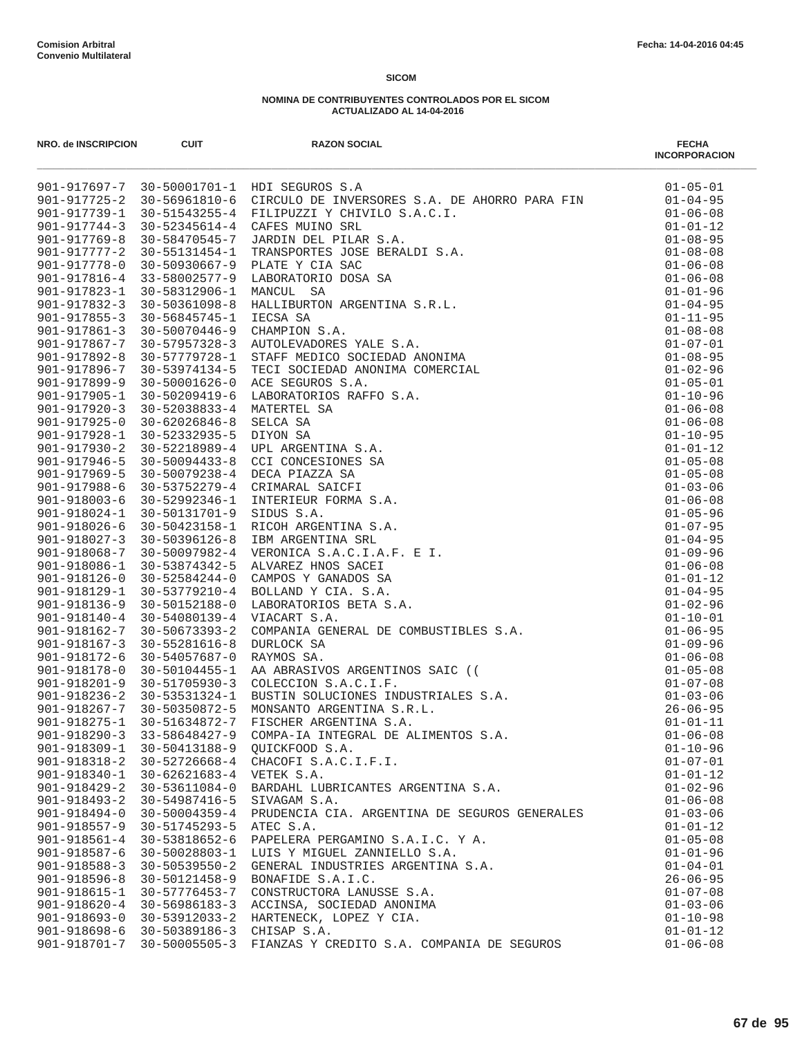| NRO. de INSCRIPCION | <b>CUIT</b>         | <b>RAZON SOCIAL</b>                           | <b>FECHA</b><br><b>INCORPORACION</b> |
|---------------------|---------------------|-----------------------------------------------|--------------------------------------|
|                     |                     | 901-917697-7 30-50001701-1 HDI SEGUROS S.A    | $01 - 05 - 01$                       |
|                     |                     |                                               | $01 - 04 - 95$                       |
|                     |                     |                                               | $01 - 06 - 08$                       |
|                     |                     |                                               | $01 - 01 - 12$                       |
|                     |                     |                                               | $01 - 08 - 95$                       |
|                     |                     |                                               | $01 - 08 - 08$                       |
|                     |                     |                                               | $01 - 06 - 08$                       |
|                     |                     |                                               | $01 - 06 - 08$                       |
|                     |                     |                                               | $01 - 01 - 96$                       |
|                     |                     |                                               | $01 - 04 - 95$                       |
|                     |                     |                                               | $01 - 11 - 95$                       |
|                     |                     |                                               | $01 - 08 - 08$                       |
|                     |                     |                                               | $01 - 07 - 01$                       |
|                     |                     |                                               | $01 - 08 - 95$                       |
|                     |                     |                                               | $01 - 02 - 96$                       |
|                     |                     |                                               | $01 - 05 - 01$                       |
|                     |                     |                                               | $01 - 10 - 96$                       |
|                     |                     |                                               | $01 - 06 - 08$                       |
|                     |                     |                                               | $01 - 06 - 08$                       |
|                     |                     |                                               | $01 - 10 - 95$                       |
|                     |                     |                                               | $01 - 01 - 12$                       |
|                     |                     |                                               | $01 - 05 - 08$                       |
|                     |                     |                                               | $01 - 05 - 08$                       |
|                     |                     |                                               | $01 - 03 - 06$                       |
|                     |                     |                                               | $01 - 06 - 08$                       |
|                     |                     |                                               | $01 - 05 - 96$                       |
|                     |                     |                                               | $01 - 07 - 95$                       |
|                     |                     |                                               | $01 - 04 - 95$                       |
|                     |                     |                                               | $01 - 09 - 96$                       |
|                     |                     |                                               | $01 - 06 - 08$                       |
|                     |                     |                                               | $01 - 01 - 12$<br>$01 - 04 - 95$     |
|                     |                     |                                               | $01 - 02 - 96$                       |
|                     |                     |                                               | $01 - 10 - 01$                       |
|                     |                     |                                               | $01 - 06 - 95$                       |
|                     |                     |                                               | $01 - 09 - 96$                       |
|                     |                     |                                               | $01 - 06 - 08$                       |
|                     |                     |                                               | $01 - 05 - 08$                       |
|                     |                     |                                               | $01 - 07 - 08$                       |
|                     |                     |                                               | $01 - 03 - 06$                       |
|                     |                     |                                               | $26 - 06 - 95$                       |
|                     |                     |                                               | $01 - 01 - 11$                       |
| $901 - 918290 - 3$  | 33-58648427-9       | COMPA-IA INTEGRAL DE ALIMENTOS S.A.           | $01 - 06 - 08$                       |
| 901-918309-1        | 30-50413188-9       | QUICKFOOD S.A.                                | $01 - 10 - 96$                       |
| 901-918318-2        | 30-52726668-4       | CHACOFI S.A.C.I.F.I.                          | $01 - 07 - 01$                       |
| 901-918340-1        | $30 - 62621683 - 4$ | VETEK S.A.                                    | $01 - 01 - 12$                       |
| $901 - 918429 - 2$  | 30-53611084-0       | BARDAHL LUBRICANTES ARGENTINA S.A.            | $01 - 02 - 96$                       |
| $901 - 918493 - 2$  | 30-54987416-5       | SIVAGAM S.A.                                  | $01 - 06 - 08$                       |
| $901 - 918494 - 0$  | $30 - 50004359 - 4$ | PRUDENCIA CIA. ARGENTINA DE SEGUROS GENERALES | $01 - 03 - 06$                       |
| $901 - 918557 - 9$  | 30-51745293-5       | ATEC S.A.                                     | $01 - 01 - 12$                       |
| $901 - 918561 - 4$  | 30-53818652-6       | PAPELERA PERGAMINO S.A.I.C. Y A.              | $01 - 05 - 08$                       |
| 901-918587-6        | 30-50028803-1       | LUIS Y MIGUEL ZANNIELLO S.A.                  | $01 - 01 - 96$                       |
| $901 - 918588 - 3$  | $30 - 50539550 - 2$ | GENERAL INDUSTRIES ARGENTINA S.A.             | $01 - 04 - 01$                       |
| $901 - 918596 - 8$  | 30-50121458-9       | BONAFIDE S.A.I.C.                             | $26 - 06 - 95$                       |
| $901 - 918615 - 1$  | 30-57776453-7       | CONSTRUCTORA LANUSSE S.A.                     | $01 - 07 - 08$                       |
| $901 - 918620 - 4$  | 30-56986183-3       | ACCINSA, SOCIEDAD ANONIMA                     | $01 - 03 - 06$                       |
| $901 - 918693 - 0$  | 30-53912033-2       | HARTENECK, LOPEZ Y CIA.                       | $01 - 10 - 98$                       |
| 901-918698-6        | 30-50389186-3       | CHISAP S.A.                                   | $01 - 01 - 12$                       |
| 901-918701-7        | $30 - 50005505 - 3$ | FIANZAS Y CREDITO S.A. COMPANIA DE SEGUROS    | $01 - 06 - 08$                       |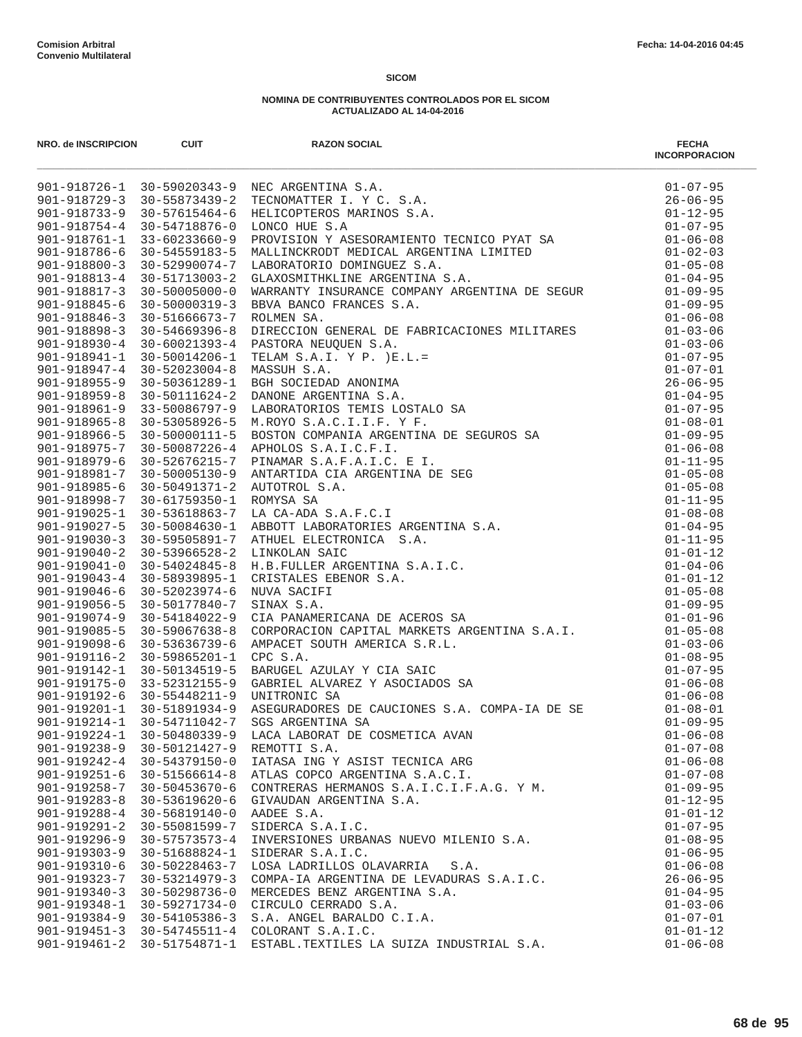| NRO. de INSCRIPCION                | <b>CUIT</b>                                 | <b>RAZON SOCIAL</b><br>NRO. @MECRIPHON EUT<br>901-318726-1 10-51020141-9 NRC ANGRESSION. A.A.<br>901-318726-1 10-5102141-9 NRC ANGRESSION. A.A.<br>901-318726-1 10-51021413-3 TRICODENTER I.Y.C. 5.A.<br>901-318725-9 10-51021413-3 TRICODENTER I.Y.C. 5.A.<br> | <b>FECHA</b><br><b>INCORPORACION</b> |
|------------------------------------|---------------------------------------------|-----------------------------------------------------------------------------------------------------------------------------------------------------------------------------------------------------------------------------------------------------------------|--------------------------------------|
|                                    |                                             |                                                                                                                                                                                                                                                                 |                                      |
|                                    |                                             |                                                                                                                                                                                                                                                                 |                                      |
|                                    |                                             |                                                                                                                                                                                                                                                                 |                                      |
|                                    |                                             |                                                                                                                                                                                                                                                                 |                                      |
|                                    |                                             |                                                                                                                                                                                                                                                                 |                                      |
|                                    |                                             |                                                                                                                                                                                                                                                                 |                                      |
|                                    |                                             |                                                                                                                                                                                                                                                                 |                                      |
|                                    |                                             |                                                                                                                                                                                                                                                                 |                                      |
|                                    |                                             |                                                                                                                                                                                                                                                                 |                                      |
|                                    |                                             |                                                                                                                                                                                                                                                                 |                                      |
|                                    |                                             |                                                                                                                                                                                                                                                                 |                                      |
|                                    |                                             |                                                                                                                                                                                                                                                                 |                                      |
|                                    |                                             |                                                                                                                                                                                                                                                                 |                                      |
|                                    |                                             |                                                                                                                                                                                                                                                                 |                                      |
|                                    |                                             |                                                                                                                                                                                                                                                                 |                                      |
|                                    |                                             |                                                                                                                                                                                                                                                                 |                                      |
|                                    |                                             |                                                                                                                                                                                                                                                                 |                                      |
|                                    |                                             |                                                                                                                                                                                                                                                                 |                                      |
|                                    |                                             |                                                                                                                                                                                                                                                                 |                                      |
|                                    |                                             |                                                                                                                                                                                                                                                                 |                                      |
|                                    |                                             |                                                                                                                                                                                                                                                                 |                                      |
|                                    |                                             |                                                                                                                                                                                                                                                                 |                                      |
|                                    |                                             |                                                                                                                                                                                                                                                                 |                                      |
|                                    |                                             |                                                                                                                                                                                                                                                                 |                                      |
|                                    |                                             |                                                                                                                                                                                                                                                                 |                                      |
|                                    |                                             |                                                                                                                                                                                                                                                                 |                                      |
|                                    |                                             |                                                                                                                                                                                                                                                                 |                                      |
|                                    |                                             |                                                                                                                                                                                                                                                                 |                                      |
|                                    |                                             |                                                                                                                                                                                                                                                                 |                                      |
|                                    |                                             |                                                                                                                                                                                                                                                                 |                                      |
|                                    |                                             |                                                                                                                                                                                                                                                                 |                                      |
|                                    |                                             |                                                                                                                                                                                                                                                                 |                                      |
|                                    |                                             |                                                                                                                                                                                                                                                                 |                                      |
|                                    |                                             |                                                                                                                                                                                                                                                                 |                                      |
|                                    |                                             |                                                                                                                                                                                                                                                                 |                                      |
|                                    |                                             |                                                                                                                                                                                                                                                                 |                                      |
|                                    |                                             |                                                                                                                                                                                                                                                                 |                                      |
|                                    |                                             |                                                                                                                                                                                                                                                                 |                                      |
|                                    |                                             |                                                                                                                                                                                                                                                                 |                                      |
| 901-919224-1                       | 30-50480339-9                               | LACA LABORAT DE COSMETICA AVAN                                                                                                                                                                                                                                  | $01 - 06 - 08$                       |
| 901-919238-9                       | 30-50121427-9                               | REMOTTI S.A.                                                                                                                                                                                                                                                    | $01 - 07 - 08$                       |
| 901-919242-4                       | 30-54379150-0                               | IATASA ING Y ASIST TECNICA ARG                                                                                                                                                                                                                                  | $01 - 06 - 08$                       |
| $901 - 919251 - 6$                 | 30-51566614-8                               | ATLAS COPCO ARGENTINA S.A.C.I.                                                                                                                                                                                                                                  | $01 - 07 - 08$                       |
| 901-919258-7                       | 30-50453670-6                               | CONTRERAS HERMANOS S.A.I.C.I.F.A.G. Y M.                                                                                                                                                                                                                        | $01 - 09 - 95$                       |
| $901 - 919283 - 8$                 | 30-53619620-6                               | GIVAUDAN ARGENTINA S.A.                                                                                                                                                                                                                                         | $01 - 12 - 95$                       |
| $901 - 919288 - 4$                 | 30-56819140-0                               | AADEE S.A.                                                                                                                                                                                                                                                      | $01 - 01 - 12$                       |
| 901-919291-2                       | 30-55081599-7                               | SIDERCA S.A.I.C.                                                                                                                                                                                                                                                | $01 - 07 - 95$                       |
| $901 - 919296 - 9$                 | $30 - 57573573 - 4$                         | INVERSIONES URBANAS NUEVO MILENIO S.A.                                                                                                                                                                                                                          | $01 - 08 - 95$                       |
| $901 - 919303 - 9$                 | 30-51688824-1                               | SIDERAR S.A.I.C.                                                                                                                                                                                                                                                | $01 - 06 - 95$                       |
| 901-919310-6                       | 30-50228463-7                               | LOSA LADRILLOS OLAVARRIA<br>S.A.                                                                                                                                                                                                                                | $01 - 06 - 08$                       |
| 901-919323-7                       | 30-53214979-3                               | COMPA-IA ARGENTINA DE LEVADURAS S.A.I.C.                                                                                                                                                                                                                        | $26 - 06 - 95$                       |
| $901 - 919340 - 3$<br>901-919348-1 | 30-50298736-0                               | MERCEDES BENZ ARGENTINA S.A.                                                                                                                                                                                                                                    | $01 - 04 - 95$                       |
|                                    | 30-59271734-0<br>901-919384-9 30-54105386-3 | CIRCULO CERRADO S.A.<br>S.A. ANGEL BARALDO C.I.A.                                                                                                                                                                                                               | $01 - 03 - 06$<br>$01 - 07 - 01$     |
|                                    | 901-919451-3 30-54745511-4                  | COLORANT S.A.I.C.                                                                                                                                                                                                                                               | $01 - 01 - 12$                       |
|                                    |                                             | 901-919461-2 30-51754871-1 ESTABL.TEXTILES LA SUIZA INDUSTRIAL S.A.                                                                                                                                                                                             | $01 - 06 - 08$                       |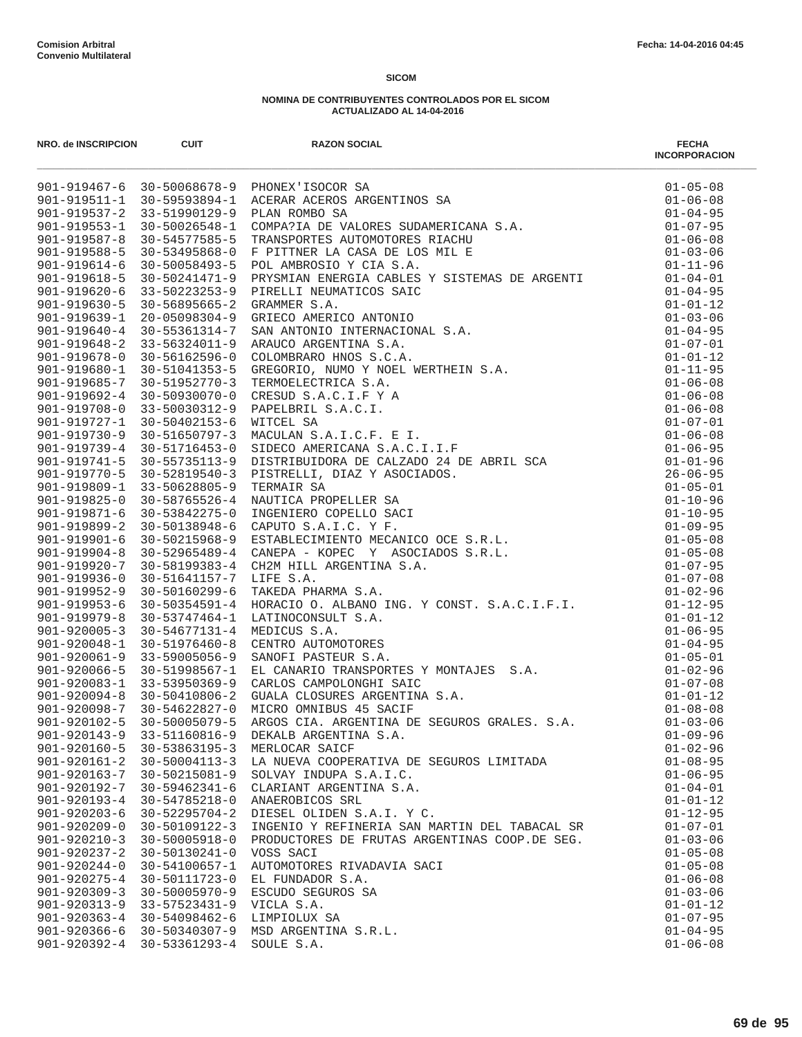| NRO. de INSCRIPCION                      | <b>CUIT</b>                                              | <b>RAZON SOCIAL</b>                           | <b>FECHA</b><br><b>INCORPORACION</b> |
|------------------------------------------|----------------------------------------------------------|-----------------------------------------------|--------------------------------------|
|                                          |                                                          |                                               |                                      |
|                                          |                                                          |                                               |                                      |
|                                          |                                                          |                                               |                                      |
|                                          |                                                          |                                               |                                      |
|                                          |                                                          |                                               |                                      |
|                                          |                                                          |                                               |                                      |
|                                          |                                                          |                                               |                                      |
|                                          |                                                          |                                               |                                      |
|                                          |                                                          |                                               |                                      |
|                                          |                                                          |                                               |                                      |
|                                          |                                                          |                                               |                                      |
|                                          |                                                          |                                               |                                      |
|                                          |                                                          |                                               |                                      |
|                                          |                                                          |                                               |                                      |
|                                          |                                                          |                                               |                                      |
|                                          |                                                          |                                               |                                      |
|                                          |                                                          |                                               |                                      |
|                                          |                                                          |                                               |                                      |
|                                          |                                                          |                                               |                                      |
|                                          |                                                          |                                               |                                      |
|                                          |                                                          |                                               |                                      |
|                                          |                                                          |                                               |                                      |
|                                          |                                                          |                                               |                                      |
|                                          |                                                          |                                               |                                      |
|                                          |                                                          |                                               |                                      |
|                                          |                                                          |                                               |                                      |
|                                          |                                                          |                                               |                                      |
|                                          |                                                          |                                               |                                      |
|                                          |                                                          |                                               |                                      |
|                                          |                                                          |                                               |                                      |
| 901-919953-6                             | 30-50354591-4                                            |                                               |                                      |
| $901 - 919979 - 8$                       | 30-53747464-1                                            |                                               |                                      |
|                                          | 901-920005-3 30-54677131-4                               |                                               |                                      |
| 901-920048-1                             | 30-51976460-8                                            |                                               |                                      |
|                                          | 901-920061-9 33-59005056-9                               |                                               |                                      |
|                                          | 901-920066-5 30-51998567-1<br>901-920083-1 33-53950369-9 |                                               |                                      |
|                                          | $901 - 920094 - 8$ 30-50410806-2                         |                                               |                                      |
|                                          | 901-920098-7 30-54622827-0                               |                                               |                                      |
| $901 - 920102 - 5$                       | $30 - 50005079 - 5$                                      |                                               |                                      |
| $901 - 920143 - 9$                       | 33-51160816-9                                            | DEKALB ARGENTINA S.A.                         | $01 - 09 - 96$                       |
| $901 - 920160 - 5$                       | 30-53863195-3                                            | MERLOCAR SAICF                                | $01 - 02 - 96$                       |
| $901 - 920161 - 2$                       | $30 - 50004113 - 3$                                      | LA NUEVA COOPERATIVA DE SEGUROS LIMITADA      | $01 - 08 - 95$                       |
| $901 - 920163 - 7$                       | 30-50215081-9                                            | SOLVAY INDUPA S.A.I.C.                        | $01 - 06 - 95$                       |
| 901-920192-7                             | $30 - 59462341 - 6$                                      | CLARIANT ARGENTINA S.A.                       | $01 - 04 - 01$                       |
| 901-920193-4                             | $30 - 54785218 - 0$                                      | ANAEROBICOS SRL                               | $01 - 01 - 12$                       |
| $901 - 920203 - 6$                       | $30 - 52295704 - 2$                                      | DIESEL OLIDEN S.A.I. Y C.                     | $01 - 12 - 95$                       |
| $901 - 920209 - 0$                       | 30-50109122-3                                            | INGENIO Y REFINERIA SAN MARTIN DEL TABACAL SR | $01 - 07 - 01$                       |
| $901 - 920210 - 3$                       | $30 - 50005918 - 0$                                      | PRODUCTORES DE FRUTAS ARGENTINAS COOP.DE SEG. | $01 - 03 - 06$                       |
| $901 - 920237 - 2$                       | 30-50130241-0                                            | VOSS SACI                                     | $01 - 05 - 08$                       |
| $901 - 920244 - 0$                       | 30-54100657-1<br>30-50111723-0                           | AUTOMOTORES RIVADAVIA SACI                    | $01 - 05 - 08$                       |
| $901 - 920275 - 4$<br>$901 - 920309 - 3$ | $30 - 50005970 - 9$                                      | EL FUNDADOR S.A.<br>ESCUDO SEGUROS SA         | $01 - 06 - 08$<br>$01 - 03 - 06$     |
| 901-920313-9                             | 33-57523431-9                                            | VICLA S.A.                                    | $01 - 01 - 12$                       |
| $901 - 920363 - 4$                       | 30-54098462-6                                            | LIMPIOLUX SA                                  | $01 - 07 - 95$                       |
| $901 - 920366 - 6$                       | 30-50340307-9                                            | MSD ARGENTINA S.R.L.                          | $01 - 04 - 95$                       |
| $901 - 920392 - 4$                       | 30-53361293-4                                            | SOULE S.A.                                    | $01 - 06 - 08$                       |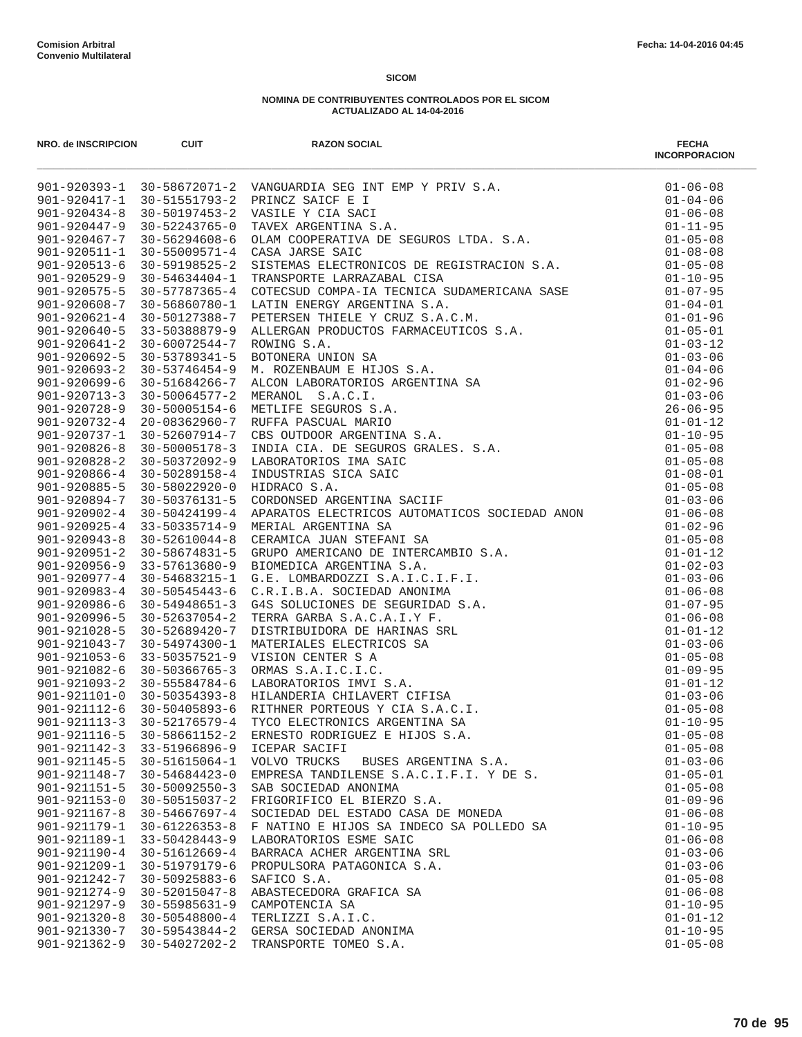| NRO. de INSCRIPCION                      | <b>CUIT</b>                                              | <b>RAZON SOCIAL</b>                                                                                                                                                                                                                                                                                          | <b>FECHA</b><br><b>INCORPORACION</b> |
|------------------------------------------|----------------------------------------------------------|--------------------------------------------------------------------------------------------------------------------------------------------------------------------------------------------------------------------------------------------------------------------------------------------------------------|--------------------------------------|
|                                          |                                                          | $\begin{tabular}{lllllllllllllllllll} 901-920393-1& 30-58672071-2& VANGUARDIA SEG INT EMP Y PRIV S.A. & 01-06-08 \\ 901-920417-1& 30-51551793-2& PRINCZ SACF E I & 01-04-06 \\ 901-920434-8& 30-50197453-2& VASILE Y CIA SACI & 01-06-08 \\ 901-920434-8& 30-50197453-2& VASILE Y CIA. & 01-06-08 \\ 901-92$ |                                      |
|                                          |                                                          |                                                                                                                                                                                                                                                                                                              |                                      |
|                                          |                                                          |                                                                                                                                                                                                                                                                                                              |                                      |
|                                          |                                                          |                                                                                                                                                                                                                                                                                                              |                                      |
|                                          |                                                          |                                                                                                                                                                                                                                                                                                              |                                      |
|                                          |                                                          |                                                                                                                                                                                                                                                                                                              |                                      |
|                                          |                                                          |                                                                                                                                                                                                                                                                                                              |                                      |
|                                          |                                                          |                                                                                                                                                                                                                                                                                                              |                                      |
| $901 - 920575 - 5$                       | 30-57787365-4                                            |                                                                                                                                                                                                                                                                                                              |                                      |
| $901 - 920608 - 7$<br>$901 - 920621 - 4$ | 30-56860780-1<br>30-50127388-7                           |                                                                                                                                                                                                                                                                                                              |                                      |
| $901 - 920640 - 5$                       | 33-50388879-9                                            |                                                                                                                                                                                                                                                                                                              |                                      |
| $901 - 920641 - 2$                       | 30-60072544-7                                            |                                                                                                                                                                                                                                                                                                              |                                      |
| 901-920692-5                             | 30-53789341-5                                            |                                                                                                                                                                                                                                                                                                              |                                      |
| $901 - 920693 - 2$                       | $30 - 53746454 - 9$                                      |                                                                                                                                                                                                                                                                                                              |                                      |
| $901 - 920699 - 6$                       | 30-51684266-7                                            |                                                                                                                                                                                                                                                                                                              |                                      |
| $901 - 920713 - 3$                       | $30 - 50064577 - 2$                                      |                                                                                                                                                                                                                                                                                                              |                                      |
| $901 - 920728 - 9$                       | 30-50005154-6                                            |                                                                                                                                                                                                                                                                                                              |                                      |
| $901 - 920732 - 4$                       | 20-08362960-7                                            |                                                                                                                                                                                                                                                                                                              |                                      |
| $901 - 920737 - 1$                       | 30-52607914-7                                            |                                                                                                                                                                                                                                                                                                              |                                      |
| $901 - 920826 - 8$                       | $30 - 50005178 - 3$                                      |                                                                                                                                                                                                                                                                                                              |                                      |
| $901 - 920828 - 2$                       | 30-50372092-9                                            |                                                                                                                                                                                                                                                                                                              |                                      |
| $901 - 920866 - 4$                       | 30-50289158-4                                            |                                                                                                                                                                                                                                                                                                              |                                      |
| $901 - 920885 - 5$                       | $30 - 58022920 - 0$                                      |                                                                                                                                                                                                                                                                                                              |                                      |
| 901-920894-7                             | 30-50376131-5                                            | HDARAU S.A.<br>CORDONSED ARGENTINA SACIIF<br>APARATOS ELECTRICOS AUTOMATICOS SOCIEDAD ANON<br>MERIAL ARGENTINA SA<br>CERAMICA JUAN STEFRANI SA<br>GRUPO AMERICANO DE INTERCAMBIO S.A.<br>BIOMEDICA ARGENTINA S.A.<br>G.E. LOMBARDOZZI S.A.I.C.I.F.I                                                          |                                      |
| $901 - 920902 - 4$                       | 30-50424199-4                                            |                                                                                                                                                                                                                                                                                                              | $01 - 06 - 08$                       |
| $901 - 920925 - 4$                       | $33 - 50335714 - 9$                                      |                                                                                                                                                                                                                                                                                                              | $01 - 02 - 96$                       |
| $901 - 920943 - 8$                       | 30-52610044-8                                            |                                                                                                                                                                                                                                                                                                              | $01 - 05 - 08$                       |
|                                          | 901-920951-2 30-58674831-5                               |                                                                                                                                                                                                                                                                                                              | $01 - 01 - 12$                       |
| 901-920956-9                             | 33-57613680-9                                            |                                                                                                                                                                                                                                                                                                              | $01 - 02 - 03$                       |
| $901 - 920977 - 4$                       | 30-54683215-1                                            |                                                                                                                                                                                                                                                                                                              | $01 - 03 - 06$                       |
| $901 - 920983 - 4$                       | 30-50545443-6                                            |                                                                                                                                                                                                                                                                                                              | $01 - 06 - 08$                       |
| $901 - 920986 - 6$                       | $30 - 54948651 - 3$                                      |                                                                                                                                                                                                                                                                                                              | $01 - 07 - 95$                       |
| 901-920996-5                             | 30-52637054-2                                            |                                                                                                                                                                                                                                                                                                              | $01 - 06 - 08$                       |
| $901 - 921028 - 5$                       | 30-52689420-7                                            |                                                                                                                                                                                                                                                                                                              | $01 - 01 - 12$                       |
| $901 - 921043 - 7$                       | $30 - 54974300 - 1$                                      |                                                                                                                                                                                                                                                                                                              | $01 - 03 - 06$                       |
| $901 - 921053 - 6$                       | 33-50357521-9                                            |                                                                                                                                                                                                                                                                                                              | $01 - 05 - 08$                       |
|                                          | $901 - 921082 - 6$ 30-50366765-3                         |                                                                                                                                                                                                                                                                                                              | $01 - 09 - 95$                       |
| $901 - 921093 - 2$                       | 30-55584784-6                                            |                                                                                                                                                                                                                                                                                                              | $01 - 01 - 12$                       |
|                                          | 901-921101-0 30-50354393-8<br>901-921112-6 30-50405893-6 |                                                                                                                                                                                                                                                                                                              | $01 - 03 - 06$<br>$01 - 05 - 08$     |
| $901 - 921113 - 3$                       | 30-52176579-4                                            |                                                                                                                                                                                                                                                                                                              | $01 - 10 - 95$                       |
| $901 - 921116 - 5$                       | $30 - 58661152 - 2$                                      | ERNESTO RODRIGUEZ E HIJOS S.A.                                                                                                                                                                                                                                                                               | $01 - 05 - 08$                       |
| $901 - 921142 - 3$                       | 33-51966896-9                                            | ICEPAR SACIFI                                                                                                                                                                                                                                                                                                | $01 - 05 - 08$                       |
| 901-921145-5                             | 30-51615064-1                                            | VOLVO TRUCKS<br>BUSES ARGENTINA S.A.                                                                                                                                                                                                                                                                         | $01 - 03 - 06$                       |
| $901 - 921148 - 7$                       | $30 - 54684423 - 0$                                      | EMPRESA TANDILENSE S.A.C.I.F.I. Y DE S.                                                                                                                                                                                                                                                                      | $01 - 05 - 01$                       |
| $901 - 921151 - 5$                       | $30 - 50092550 - 3$                                      | SAB SOCIEDAD ANONIMA                                                                                                                                                                                                                                                                                         | $01 - 05 - 08$                       |
| $901 - 921153 - 0$                       | $30 - 50515037 - 2$                                      | FRIGORIFICO EL BIERZO S.A.                                                                                                                                                                                                                                                                                   | $01 - 09 - 96$                       |
| $901 - 921167 - 8$                       | $30 - 54667697 - 4$                                      | SOCIEDAD DEL ESTADO CASA DE MONEDA                                                                                                                                                                                                                                                                           | $01 - 06 - 08$                       |
| 901-921179-1                             | $30 - 61226353 - 8$                                      | F NATINO E HIJOS SA INDECO SA POLLEDO SA                                                                                                                                                                                                                                                                     | $01 - 10 - 95$                       |
| $901 - 921189 - 1$                       | 33-50428443-9                                            | LABORATORIOS ESME SAIC                                                                                                                                                                                                                                                                                       | $01 - 06 - 08$                       |
| $901 - 921190 - 4$                       | $30 - 51612669 - 4$                                      | BARRACA ACHER ARGENTINA SRL                                                                                                                                                                                                                                                                                  | $01 - 03 - 06$                       |
| $901 - 921209 - 1$                       | 30-51979179-6                                            | PROPULSORA PATAGONICA S.A.                                                                                                                                                                                                                                                                                   | $01 - 03 - 06$                       |
| 901-921242-7                             | 30-50925883-6                                            | SAFICO S.A.                                                                                                                                                                                                                                                                                                  | $01 - 05 - 08$                       |
| $901 - 921274 - 9$                       | $30 - 52015047 - 8$                                      | ABASTECEDORA GRAFICA SA                                                                                                                                                                                                                                                                                      | $01 - 06 - 08$                       |
| $901 - 921297 - 9$                       | $30 - 55985631 - 9$                                      | CAMPOTENCIA SA                                                                                                                                                                                                                                                                                               | $01 - 10 - 95$                       |
| $901 - 921320 - 8$                       | $30 - 50548800 - 4$                                      | TERLIZZI S.A.I.C.                                                                                                                                                                                                                                                                                            | $01 - 01 - 12$                       |
| 901-921330-7                             | $30 - 59543844 - 2$                                      | GERSA SOCIEDAD ANONIMA                                                                                                                                                                                                                                                                                       | $01 - 10 - 95$                       |
| $901 - 921362 - 9$                       | 30-54027202-2                                            | TRANSPORTE TOMEO S.A.                                                                                                                                                                                                                                                                                        | $01 - 05 - 08$                       |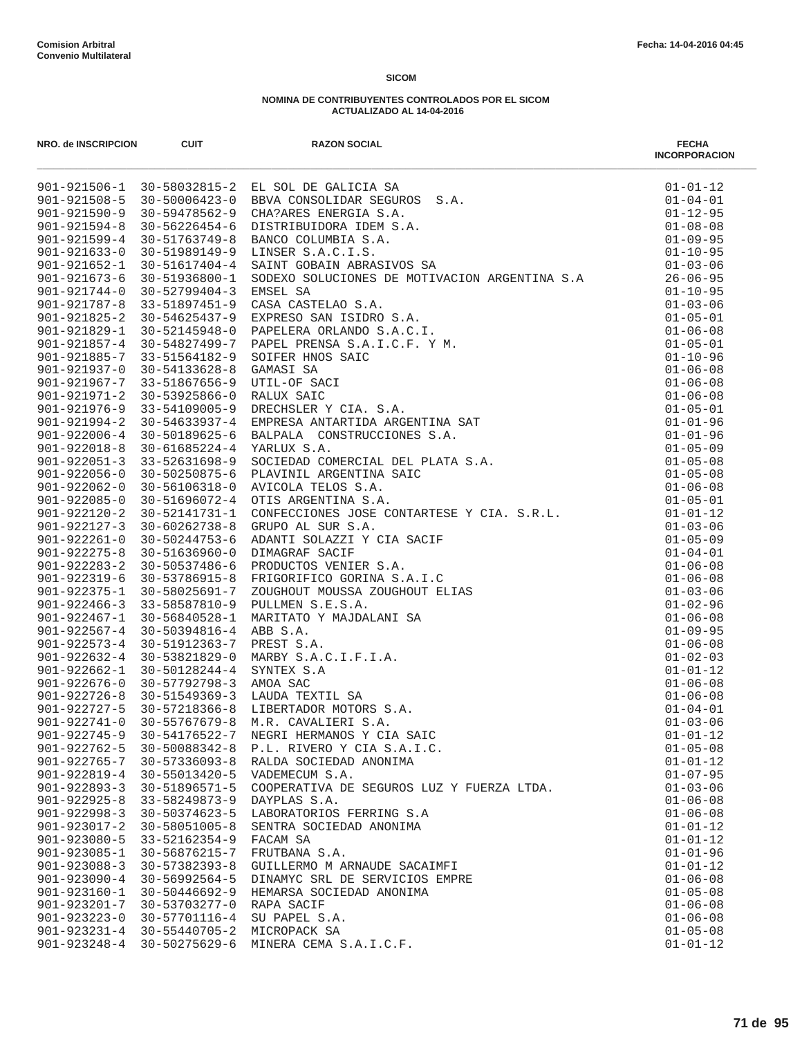| NRO. de INSCRIPCION                      | <b>CUIT</b>                    | <b>RAZON SOCIAL</b>                       | <b>FECHA</b><br><b>INCORPORACION</b> |
|------------------------------------------|--------------------------------|-------------------------------------------|--------------------------------------|
|                                          |                                |                                           |                                      |
|                                          |                                |                                           |                                      |
|                                          |                                |                                           |                                      |
|                                          |                                |                                           |                                      |
|                                          |                                |                                           |                                      |
|                                          |                                |                                           |                                      |
|                                          |                                |                                           |                                      |
|                                          |                                |                                           |                                      |
|                                          |                                |                                           |                                      |
|                                          |                                |                                           |                                      |
|                                          |                                |                                           |                                      |
|                                          |                                |                                           |                                      |
|                                          |                                |                                           |                                      |
|                                          |                                |                                           |                                      |
|                                          |                                |                                           |                                      |
|                                          |                                |                                           |                                      |
|                                          |                                |                                           |                                      |
|                                          |                                |                                           |                                      |
|                                          |                                |                                           |                                      |
|                                          |                                |                                           |                                      |
|                                          |                                |                                           |                                      |
|                                          |                                |                                           |                                      |
|                                          |                                |                                           |                                      |
|                                          |                                |                                           |                                      |
|                                          |                                |                                           |                                      |
|                                          |                                |                                           |                                      |
|                                          |                                |                                           |                                      |
|                                          |                                |                                           |                                      |
|                                          |                                |                                           |                                      |
|                                          |                                |                                           |                                      |
|                                          |                                |                                           |                                      |
|                                          |                                |                                           |                                      |
|                                          |                                |                                           |                                      |
|                                          |                                |                                           |                                      |
|                                          |                                |                                           |                                      |
|                                          |                                |                                           |                                      |
|                                          |                                |                                           |                                      |
|                                          |                                |                                           |                                      |
|                                          |                                |                                           |                                      |
| $901 - 922745 - 9$                       | 30-54176522-7                  | NEGRI HERMANOS Y CIA SAIC                 | $01 - 01 - 12$                       |
| $901 - 922762 - 5$                       | 30-50088342-8                  | P.L. RIVERO Y CIA S.A.I.C.                | $01 - 05 - 08$                       |
| $901 - 922765 - 7$                       | $30 - 57336093 - 8$            | RALDA SOCIEDAD ANONIMA                    | $01 - 01 - 12$                       |
| $901 - 922819 - 4$                       | 30-55013420-5                  | VADEMECUM S.A.                            | $01 - 07 - 95$                       |
| $901 - 922893 - 3$                       | 30-51896571-5                  | COOPERATIVA DE SEGUROS LUZ Y FUERZA LTDA. | $01 - 03 - 06$                       |
| $901 - 922925 - 8$                       | 33-58249873-9                  | DAYPLAS S.A.                              | $01 - 06 - 08$                       |
| $901 - 922998 - 3$                       | 30-50374623-5                  | LABORATORIOS FERRING S.A                  | $01 - 06 - 08$                       |
| $901 - 923017 - 2$                       | 30-58051005-8                  | SENTRA SOCIEDAD ANONIMA                   | $01 - 01 - 12$                       |
| $901 - 923080 - 5$                       | 33-52162354-9                  | FACAM SA                                  | $01 - 01 - 12$                       |
| $901 - 923085 - 1$                       | 30-56876215-7                  | FRUTBANA S.A.                             | $01 - 01 - 96$                       |
| $901 - 923088 - 3$                       | $30 - 57382393 - 8$            | GUILLERMO M ARNAUDE SACAIMFI              | $01 - 01 - 12$                       |
| $901 - 923090 - 4$                       | 30-56992564-5                  | DINAMYC SRL DE SERVICIOS EMPRE            | $01 - 06 - 08$                       |
| $901 - 923160 - 1$                       | $30 - 50446692 - 9$            | HEMARSA SOCIEDAD ANONIMA                  | $01 - 05 - 08$                       |
| $901 - 923201 - 7$                       | 30-53703277-0                  | RAPA SACIF                                | $01 - 06 - 08$                       |
| $901 - 923223 - 0$<br>$901 - 923231 - 4$ | 30-57701116-4<br>30-55440705-2 | SU PAPEL S.A.<br>MICROPACK SA             | $01 - 06 - 08$<br>$01 - 05 - 08$     |
| $901 - 923248 - 4$                       | 30-50275629-6                  | MINERA CEMA S.A.I.C.F.                    | $01 - 01 - 12$                       |
|                                          |                                |                                           |                                      |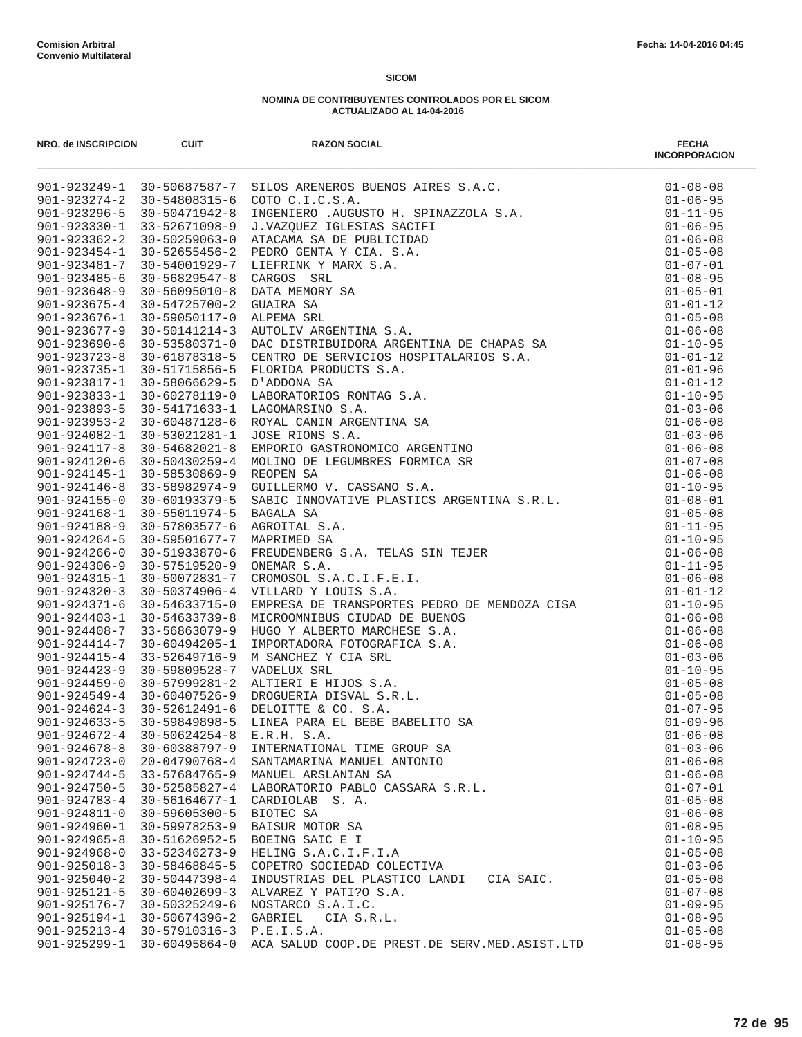| NRO. de INSCRIPCION                      | <b>CUIT</b>                                                          | <b>RAZON SOCIAL</b>                                                                                                                                                                                                                                           | <b>FECHA</b><br><b>INCORPORACION</b> |
|------------------------------------------|----------------------------------------------------------------------|---------------------------------------------------------------------------------------------------------------------------------------------------------------------------------------------------------------------------------------------------------------|--------------------------------------|
|                                          |                                                                      | 901-923249-1 30-50687587-7 SILOS ARENEROS BUENOS AIRES S.A.C.<br>901-923249-1 30-50687587-7 SILOS ARENEROS BUENOS AIRES S.A.C.<br>901-923246-2 30-54808315-6 COTO C.I.C.S.A.<br>901-923230-1 31-52671098-9 I.WAZOUEZ IGLESIAS SACIPI                          | $01 - 08 - 08$                       |
|                                          |                                                                      |                                                                                                                                                                                                                                                               | $01 - 06 - 95$                       |
|                                          |                                                                      |                                                                                                                                                                                                                                                               | $01 - 11 - 95$                       |
|                                          |                                                                      |                                                                                                                                                                                                                                                               | $01 - 06 - 95$                       |
|                                          |                                                                      |                                                                                                                                                                                                                                                               | $01 - 06 - 08$                       |
|                                          |                                                                      |                                                                                                                                                                                                                                                               | $01 - 05 - 08$                       |
|                                          |                                                                      |                                                                                                                                                                                                                                                               | $01 - 07 - 01$<br>$01 - 08 - 95$     |
|                                          |                                                                      |                                                                                                                                                                                                                                                               | $01 - 05 - 01$                       |
|                                          |                                                                      |                                                                                                                                                                                                                                                               | $01 - 01 - 12$                       |
|                                          |                                                                      |                                                                                                                                                                                                                                                               | $01 - 05 - 08$                       |
|                                          |                                                                      |                                                                                                                                                                                                                                                               | $01 - 06 - 08$                       |
|                                          |                                                                      |                                                                                                                                                                                                                                                               | $01 - 10 - 95$                       |
|                                          |                                                                      |                                                                                                                                                                                                                                                               | $01 - 01 - 12$                       |
|                                          |                                                                      |                                                                                                                                                                                                                                                               | $01 - 01 - 96$                       |
|                                          |                                                                      |                                                                                                                                                                                                                                                               | $01 - 01 - 12$                       |
|                                          |                                                                      |                                                                                                                                                                                                                                                               | $01 - 10 - 95$                       |
|                                          |                                                                      |                                                                                                                                                                                                                                                               | $01 - 03 - 06$                       |
|                                          |                                                                      |                                                                                                                                                                                                                                                               | $01 - 06 - 08$                       |
|                                          |                                                                      |                                                                                                                                                                                                                                                               | $01 - 03 - 06$                       |
|                                          |                                                                      |                                                                                                                                                                                                                                                               | $01 - 06 - 08$                       |
|                                          |                                                                      |                                                                                                                                                                                                                                                               | $01 - 07 - 08$                       |
|                                          |                                                                      |                                                                                                                                                                                                                                                               | $01 - 06 - 08$                       |
|                                          |                                                                      |                                                                                                                                                                                                                                                               | $01 - 10 - 95$<br>$01 - 08 - 01$     |
|                                          |                                                                      |                                                                                                                                                                                                                                                               | $01 - 05 - 08$                       |
|                                          |                                                                      |                                                                                                                                                                                                                                                               | $01 - 11 - 95$                       |
|                                          |                                                                      |                                                                                                                                                                                                                                                               | $01 - 10 - 95$                       |
|                                          |                                                                      |                                                                                                                                                                                                                                                               | $01 - 06 - 08$                       |
|                                          |                                                                      |                                                                                                                                                                                                                                                               | $01 - 11 - 95$                       |
|                                          |                                                                      |                                                                                                                                                                                                                                                               | $01 - 06 - 08$                       |
|                                          |                                                                      |                                                                                                                                                                                                                                                               | $01 - 01 - 12$                       |
| $901 - 924371 - 6$                       | 30-54633715-0                                                        |                                                                                                                                                                                                                                                               | $01 - 10 - 95$                       |
|                                          | 901-924403-1 30-54633739-8                                           |                                                                                                                                                                                                                                                               | $01 - 06 - 08$                       |
|                                          | $901 - 924408 - 7$ 33-56863079-9                                     |                                                                                                                                                                                                                                                               | $01 - 06 - 08$                       |
| $901 - 924414 - 7$                       | 30-60494205-1                                                        |                                                                                                                                                                                                                                                               | $01 - 06 - 08$                       |
| $901 - 924415 - 4$                       | 33-52649716-9                                                        |                                                                                                                                                                                                                                                               | $01 - 03 - 06$                       |
| $901 - 924423 - 9$                       | 30-59809528-7                                                        |                                                                                                                                                                                                                                                               | $01 - 10 - 95$                       |
| $901 - 924459 - 0$                       | 30-57999281-2                                                        |                                                                                                                                                                                                                                                               | $01 - 05 - 08$                       |
|                                          | $901 - 924549 - 4$ 30-60407526-9<br>$901 - 924624 - 3$ 30-52612491-6 |                                                                                                                                                                                                                                                               | $01 - 05 - 08$<br>$01 - 07 - 95$     |
| $901 - 924633 - 5$                       | 30-59849898-5                                                        |                                                                                                                                                                                                                                                               | $01 - 09 - 96$                       |
| $901 - 924672 - 4$                       | $30 - 50624254 - 8$                                                  | VILLARD Y LOUIS S.A.<br>VILLARD Y LOUIS S.A.<br>EMPRESA DE TRANSPORTES PEDRO DE MENDOZA CISA<br>MICROOMNIBUS CIUDAD DE BUENOS<br>HUGO Y ALBERTO MARCHESE S.A.<br>IMPORTADORA FOTOGRAFICA S.A.<br>M SANCHEZ Y CIA SRL<br>VADELUX SRL<br>DELOITT<br>E.R.H. S.A. | $01 - 06 - 08$                       |
| $901 - 924678 - 8$                       | 30-60388797-9                                                        | INTERNATIONAL TIME GROUP SA                                                                                                                                                                                                                                   | $01 - 03 - 06$                       |
| $901 - 924723 - 0$                       | 20-04790768-4                                                        | SANTAMARINA MANUEL ANTONIO                                                                                                                                                                                                                                    | $01 - 06 - 08$                       |
| $901 - 924744 - 5$                       | $33 - 57684765 - 9$                                                  | MANUEL ARSLANIAN SA                                                                                                                                                                                                                                           | $01 - 06 - 08$                       |
| $901 - 924750 - 5$                       | $30 - 52585827 - 4$                                                  | LABORATORIO PABLO CASSARA S.R.L.                                                                                                                                                                                                                              | $01 - 07 - 01$                       |
| $901 - 924783 - 4$                       | 30-56164677-1                                                        | CARDIOLAB S.A.                                                                                                                                                                                                                                                | $01 - 05 - 08$                       |
| $901 - 924811 - 0$                       | $30 - 59605300 - 5$                                                  | BIOTEC SA                                                                                                                                                                                                                                                     | $01 - 06 - 08$                       |
| $901 - 924960 - 1$                       | $30 - 59978253 - 9$                                                  | BAISUR MOTOR SA                                                                                                                                                                                                                                               | $01 - 08 - 95$                       |
| $901 - 924965 - 8$                       | 30-51626952-5                                                        | BOEING SAIC E I                                                                                                                                                                                                                                               | $01 - 10 - 95$                       |
| $901 - 924968 - 0$                       | 33-52346273-9                                                        | HELING S.A.C.I.F.I.A                                                                                                                                                                                                                                          | $01 - 05 - 08$                       |
| $901 - 925018 - 3$                       | 30-58468845-5                                                        | COPETRO SOCIEDAD COLECTIVA                                                                                                                                                                                                                                    | $01 - 03 - 06$                       |
| $901 - 925040 - 2$                       | $30 - 50447398 - 4$                                                  | INDUSTRIAS DEL PLASTICO LANDI CIA SAIC.                                                                                                                                                                                                                       | $01 - 05 - 08$                       |
| $901 - 925121 - 5$                       | $30 - 60402699 - 3$                                                  | ALVAREZ Y PATI?O S.A.                                                                                                                                                                                                                                         | $01 - 07 - 08$                       |
| 901-925176-7                             | 30-50325249-6                                                        | NOSTARCO S.A.I.C.                                                                                                                                                                                                                                             | $01 - 09 - 95$                       |
| $901 - 925194 - 1$<br>$901 - 925213 - 4$ | 30-50674396-2<br>30-57910316-3                                       | GABRIEL<br>CIA S.R.L.<br>P.E.I.S.A.                                                                                                                                                                                                                           | $01 - 08 - 95$<br>$01 - 05 - 08$     |
| $901 - 925299 - 1$                       | $30 - 60495864 - 0$                                                  | ACA SALUD COOP.DE PREST.DE SERV.MED.ASIST.LTD                                                                                                                                                                                                                 | $01 - 08 - 95$                       |
|                                          |                                                                      |                                                                                                                                                                                                                                                               |                                      |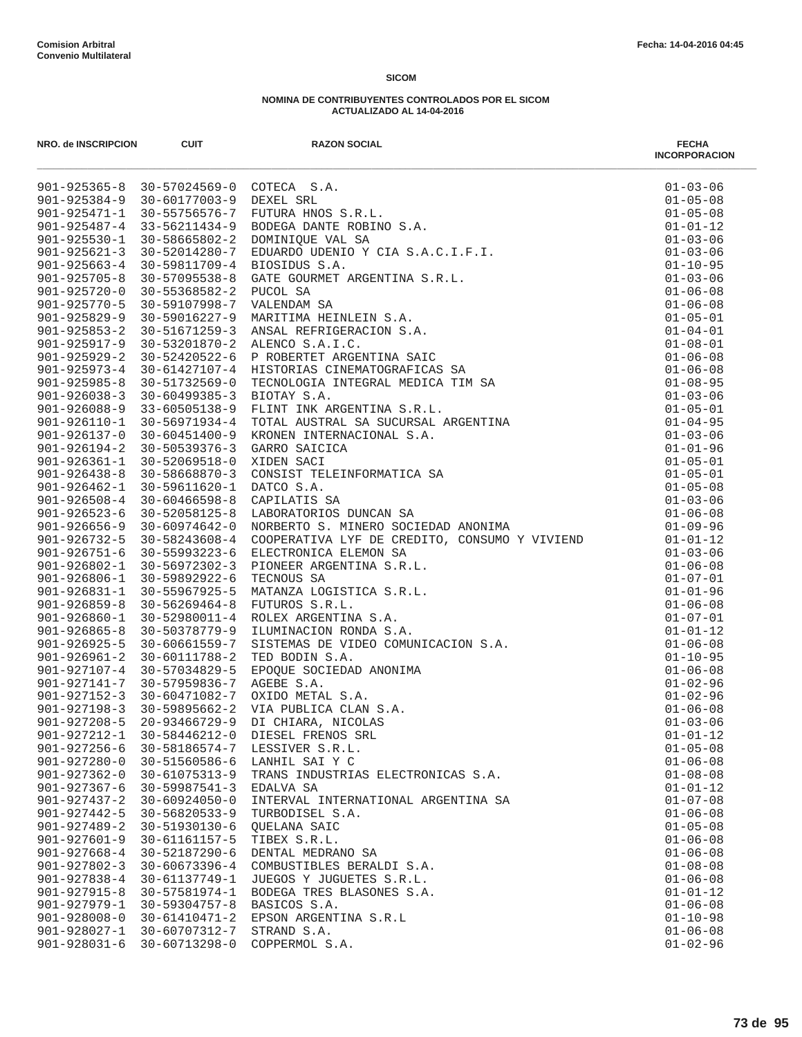| NRO. de INSCRIPCION                      | <b>CUIT</b>                            | RAZON SOCIAL<br>POTECA S.A.<br>PUTURA HNOS S.R.L.<br>PUTURA HNOS S.R.L.<br>EODEGA DANTE ROBINO S.A.<br>EODEGA DANTE ROBINO Y CIA S.A.C.I.F.I.<br>EDIORIDO UDENIO Y CIA S.A.C.I.F.I.<br>EIGURE GOURNET ARGENTINA S.R.L.<br>NAENINA SA MARITIMA          | <b>FECHA</b><br><b>INCORPORACION</b> |
|------------------------------------------|----------------------------------------|--------------------------------------------------------------------------------------------------------------------------------------------------------------------------------------------------------------------------------------------------------|--------------------------------------|
|                                          | 901-925365-8 30-57024569-0 COTECA S.A. |                                                                                                                                                                                                                                                        | $01 - 03 - 06$                       |
|                                          | 901-925384-9 30-60177003-9 DEXEL SRL   |                                                                                                                                                                                                                                                        | $01 - 05 - 08$                       |
| $901 - 925471 - 1$                       | 30-55756576-7                          |                                                                                                                                                                                                                                                        | $01 - 05 - 08$                       |
| $901 - 925487 - 4$                       | 33-56211434-9                          |                                                                                                                                                                                                                                                        | $01 - 01 - 12$                       |
| $901 - 925530 - 1$                       | 30-58665802-2                          |                                                                                                                                                                                                                                                        | $01 - 03 - 06$                       |
| $901 - 925621 - 3$                       | 30-52014280-7                          |                                                                                                                                                                                                                                                        | $01 - 03 - 06$                       |
| $901 - 925663 - 4$                       | 30-59811709-4                          |                                                                                                                                                                                                                                                        | $01 - 10 - 95$                       |
| $901 - 925705 - 8$                       | 30-57095538-8                          |                                                                                                                                                                                                                                                        | $01 - 03 - 06$                       |
| $901 - 925720 - 0$                       | $30 - 55368582 - 2$                    |                                                                                                                                                                                                                                                        | $01 - 06 - 08$                       |
| $901 - 925770 - 5$                       | 30-59107998-7                          |                                                                                                                                                                                                                                                        | $01 - 06 - 08$                       |
| $901 - 925829 - 9$                       | 30-59016227-9                          |                                                                                                                                                                                                                                                        | $01 - 05 - 01$                       |
| $901 - 925853 - 2$                       | $30 - 51671259 - 3$                    |                                                                                                                                                                                                                                                        | $01 - 04 - 01$                       |
| $901 - 925917 - 9$                       |                                        | 30-53201870-2 ALENCO S.A.I.C.                                                                                                                                                                                                                          | $01 - 08 - 01$                       |
| $901 - 925929 - 2$                       | 30-52420522-6                          |                                                                                                                                                                                                                                                        | $01 - 06 - 08$                       |
| $901 - 925973 - 4$<br>$901 - 925985 - 8$ | 30-61427107-4<br>30-51732569-0         |                                                                                                                                                                                                                                                        | $01 - 06 - 08$<br>$01 - 08 - 95$     |
| $901 - 926038 - 3$                       | $30 - 60499385 - 3$                    |                                                                                                                                                                                                                                                        | $01 - 03 - 06$                       |
| $901 - 926088 - 9$                       | 33-60505138-9                          |                                                                                                                                                                                                                                                        | $01 - 05 - 01$                       |
| $901 - 926110 - 1$                       | 30-56971934-4                          |                                                                                                                                                                                                                                                        | $01 - 04 - 95$                       |
|                                          | 901-926137-0 30-60451400-9             |                                                                                                                                                                                                                                                        | $01 - 03 - 06$                       |
| $901 - 926194 - 2$                       | $30 - 50539376 - 3$                    |                                                                                                                                                                                                                                                        | $01 - 01 - 96$                       |
|                                          | $901 - 926361 - 1$ 30-52069518-0       |                                                                                                                                                                                                                                                        | $01 - 05 - 01$                       |
|                                          | $901 - 926438 - 8$ 30-58668870-3       |                                                                                                                                                                                                                                                        | $01 - 05 - 01$                       |
| $901 - 926462 - 1$                       | 30-59611620-1                          |                                                                                                                                                                                                                                                        | $01 - 05 - 08$                       |
| $901 - 926508 - 4$                       | $30 - 60466598 - 8$                    |                                                                                                                                                                                                                                                        | $01 - 03 - 06$                       |
| $901 - 926523 - 6$                       | 30-52058125-8                          |                                                                                                                                                                                                                                                        | $01 - 06 - 08$                       |
| $901 - 926656 - 9$                       | 30-60974642-0                          |                                                                                                                                                                                                                                                        | $01 - 09 - 96$                       |
| $901 - 926732 - 5$                       | 30-58243608-4                          | NORBERTO S. MINERO SOCIEDAD ANONIMA<br>COOPERATIVA LYF DE CREDITO, CONSUMO Y VIVIEND<br>ELECTRONICA ELEMON SA<br>FIONEER ARGENTINA S.R.L.<br>TECNOUS SA<br>MATANZA LOGISTICA S.R.L.<br>FUTUROS S.R.L.<br>ROLEX ARGENTINA S.A.<br>LUMINACION RONDA S.A. | $01 - 01 - 12$                       |
|                                          | 901-926751-6 30-55993223-6             |                                                                                                                                                                                                                                                        | $01 - 03 - 06$                       |
| $901 - 926802 - 1$                       | 30-56972302-3                          |                                                                                                                                                                                                                                                        | $01 - 06 - 08$                       |
| 901-926806-1                             | 30-59892922-6                          |                                                                                                                                                                                                                                                        | $01 - 07 - 01$                       |
| $901 - 926831 - 1$                       | 30-55967925-5                          |                                                                                                                                                                                                                                                        | $01 - 01 - 96$                       |
| $901 - 926859 - 8$                       | $30 - 56269464 - 8$                    |                                                                                                                                                                                                                                                        | $01 - 06 - 08$                       |
| $901 - 926860 - 1$                       | 30-52980011-4                          |                                                                                                                                                                                                                                                        | $01 - 07 - 01$                       |
| $901 - 926865 - 8$                       | $30 - 50378779 - 9$                    |                                                                                                                                                                                                                                                        | $01 - 01 - 12$                       |
| $901 - 926925 - 5$                       | 30-60661559-7                          |                                                                                                                                                                                                                                                        | $01 - 06 - 08$                       |
| $901 - 926961 - 2$                       | 30-60111788-2                          |                                                                                                                                                                                                                                                        | $01 - 10 - 95$                       |
| 901-927107-4                             | 30-57034829-5                          |                                                                                                                                                                                                                                                        | $01 - 06 - 08$                       |
| 901-927141-7                             | 30-57959836-7                          |                                                                                                                                                                                                                                                        | $01 - 02 - 96$                       |
|                                          |                                        | 901-927152-3 30-60471082-7 OXIDO METAL S.A.                                                                                                                                                                                                            | $01 - 02 - 96$                       |
| $901 - 927208 - 5$                       |                                        | 901-927198-3 30-59895662-2 VIA PUBLICA CLAN S.A.                                                                                                                                                                                                       | $01 - 06 - 08$                       |
| 901-927212-1                             | $20 - 93466729 - 9$                    | DIESEL FRENOS SRL                                                                                                                                                                                                                                      | $01 - 03 - 06$                       |
| $901 - 927256 - 6$                       | $30 - 58446212 - 0$<br>30-58186574-7   | LESSIVER S.R.L.                                                                                                                                                                                                                                        | $01 - 01 - 12$<br>$01 - 05 - 08$     |
| $901 - 927280 - 0$                       | 30-51560586-6                          | LANHIL SAI Y C                                                                                                                                                                                                                                         | $01 - 06 - 08$                       |
| $901 - 927362 - 0$                       | $30 - 61075313 - 9$                    | TRANS INDUSTRIAS ELECTRONICAS S.A.                                                                                                                                                                                                                     | $01 - 08 - 08$                       |
| $901 - 927367 - 6$                       | $30 - 59987541 - 3$                    | EDALVA SA                                                                                                                                                                                                                                              | $01 - 01 - 12$                       |
| $901 - 927437 - 2$                       | $30 - 60924050 - 0$                    | INTERVAL INTERNATIONAL ARGENTINA SA                                                                                                                                                                                                                    | $01 - 07 - 08$                       |
| 901-927442-5                             | $30 - 56820533 - 9$                    | TURBODISEL S.A.                                                                                                                                                                                                                                        | $01 - 06 - 08$                       |
| $901 - 927489 - 2$                       | 30-51930130-6                          | <b>OUELANA SAIC</b>                                                                                                                                                                                                                                    | $01 - 05 - 08$                       |
| $901 - 927601 - 9$                       | 30-61161157-5                          | TIBEX S.R.L.                                                                                                                                                                                                                                           | $01 - 06 - 08$                       |
| $901 - 927668 - 4$                       | 30-52187290-6                          | DENTAL MEDRANO SA                                                                                                                                                                                                                                      | $01 - 06 - 08$                       |
| $901 - 927802 - 3$                       | $30 - 60673396 - 4$                    | COMBUSTIBLES BERALDI S.A.                                                                                                                                                                                                                              | $01 - 08 - 08$                       |
| $901 - 927838 - 4$                       | 30-61137749-1                          | JUEGOS Y JUGUETES S.R.L.                                                                                                                                                                                                                               | $01 - 06 - 08$                       |
| $901 - 927915 - 8$                       | $30 - 57581974 - 1$                    | BODEGA TRES BLASONES S.A.                                                                                                                                                                                                                              | $01 - 01 - 12$                       |
| $901 - 927979 - 1$                       | $30 - 59304757 - 8$                    | BASICOS S.A.                                                                                                                                                                                                                                           | $01 - 06 - 08$                       |
| $901 - 928008 - 0$                       | $30 - 61410471 - 2$                    | EPSON ARGENTINA S.R.L                                                                                                                                                                                                                                  | $01 - 10 - 98$                       |
| $901 - 928027 - 1$                       | 30-60707312-7                          | STRAND S.A.                                                                                                                                                                                                                                            | $01 - 06 - 08$                       |
| $901 - 928031 - 6$                       | 30-60713298-0                          | COPPERMOL S.A.                                                                                                                                                                                                                                         | $01 - 02 - 96$                       |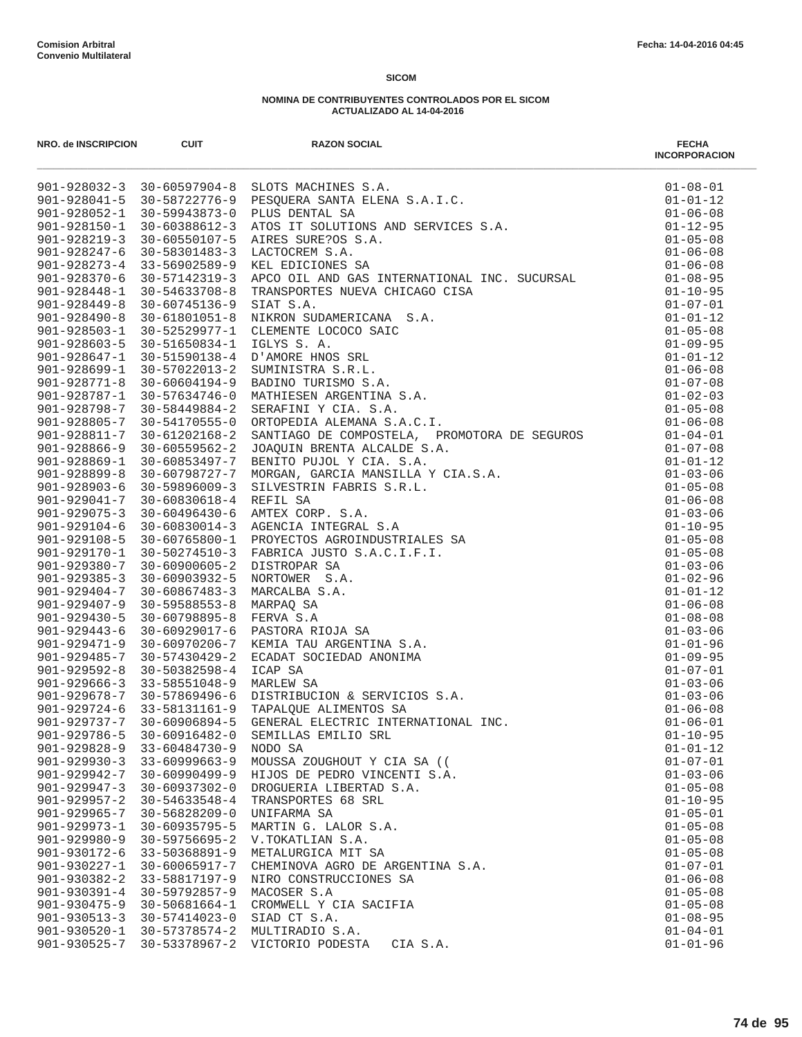| NRO. de INSCRIPCION                | <b>CUIT</b>                          | <b>RAZON SOCIAL</b>                                                                                                                                                                                                                       | <b>FECHA</b><br><b>INCORPORACION</b> |
|------------------------------------|--------------------------------------|-------------------------------------------------------------------------------------------------------------------------------------------------------------------------------------------------------------------------------------------|--------------------------------------|
|                                    |                                      | 901-928032-3 30-60597904-8 SLOTS MACHINES S.A.<br>901-928032-3 30-60597904-8 SLOTS MACHINES S.A.<br>901-928052-1 30-59743873-0 PLUS DENTAL SA<br>901-928150-1 30-59943873-0 PLUS DENTAL SA<br>901-928219-3 30-6058612-3 ATOS IT SOLUTIONS | $01 - 08 - 01$                       |
|                                    |                                      |                                                                                                                                                                                                                                           | $01 - 01 - 12$                       |
|                                    |                                      |                                                                                                                                                                                                                                           | $01 - 06 - 08$                       |
|                                    |                                      |                                                                                                                                                                                                                                           | $01 - 12 - 95$                       |
|                                    |                                      |                                                                                                                                                                                                                                           | $01 - 05 - 08$                       |
|                                    |                                      |                                                                                                                                                                                                                                           | $01 - 06 - 08$<br>$01 - 06 - 08$     |
|                                    |                                      |                                                                                                                                                                                                                                           | $01 - 08 - 95$                       |
|                                    |                                      |                                                                                                                                                                                                                                           | $01 - 10 - 95$                       |
|                                    |                                      |                                                                                                                                                                                                                                           | $01 - 07 - 01$                       |
|                                    |                                      |                                                                                                                                                                                                                                           | $01 - 01 - 12$                       |
|                                    |                                      |                                                                                                                                                                                                                                           | $01 - 05 - 08$                       |
|                                    |                                      |                                                                                                                                                                                                                                           | $01 - 09 - 95$                       |
|                                    |                                      |                                                                                                                                                                                                                                           | $01 - 01 - 12$                       |
|                                    |                                      |                                                                                                                                                                                                                                           | $01 - 06 - 08$                       |
|                                    |                                      |                                                                                                                                                                                                                                           | $01 - 07 - 08$                       |
|                                    |                                      |                                                                                                                                                                                                                                           | $01 - 02 - 03$                       |
|                                    |                                      |                                                                                                                                                                                                                                           | $01 - 05 - 08$                       |
|                                    |                                      |                                                                                                                                                                                                                                           | $01 - 06 - 08$                       |
|                                    |                                      |                                                                                                                                                                                                                                           | $01 - 04 - 01$                       |
|                                    |                                      |                                                                                                                                                                                                                                           | $01 - 07 - 08$                       |
|                                    |                                      |                                                                                                                                                                                                                                           | $01 - 01 - 12$<br>$01 - 03 - 06$     |
|                                    |                                      |                                                                                                                                                                                                                                           | $01 - 05 - 08$                       |
|                                    |                                      |                                                                                                                                                                                                                                           | $01 - 06 - 08$                       |
|                                    |                                      |                                                                                                                                                                                                                                           | $01 - 03 - 06$                       |
|                                    |                                      |                                                                                                                                                                                                                                           | $01 - 10 - 95$                       |
|                                    |                                      |                                                                                                                                                                                                                                           | $01 - 05 - 08$                       |
|                                    |                                      |                                                                                                                                                                                                                                           | $01 - 05 - 08$                       |
|                                    |                                      |                                                                                                                                                                                                                                           | $01 - 03 - 06$                       |
|                                    |                                      |                                                                                                                                                                                                                                           | $01 - 02 - 96$                       |
|                                    |                                      |                                                                                                                                                                                                                                           | $01 - 01 - 12$                       |
|                                    |                                      |                                                                                                                                                                                                                                           | $01 - 06 - 08$                       |
|                                    |                                      |                                                                                                                                                                                                                                           | $01 - 08 - 08$                       |
|                                    |                                      |                                                                                                                                                                                                                                           | $01 - 03 - 06$                       |
|                                    |                                      |                                                                                                                                                                                                                                           | $01 - 01 - 96$                       |
|                                    |                                      |                                                                                                                                                                                                                                           | $01 - 09 - 95$<br>$01 - 07 - 01$     |
|                                    |                                      |                                                                                                                                                                                                                                           | $01 - 03 - 06$                       |
|                                    |                                      |                                                                                                                                                                                                                                           | $01 - 03 - 06$                       |
|                                    |                                      |                                                                                                                                                                                                                                           | $01 - 06 - 08$                       |
|                                    |                                      |                                                                                                                                                                                                                                           | $01 - 06 - 01$                       |
|                                    |                                      |                                                                                                                                                                                                                                           | $01 - 10 - 95$                       |
| $901 - 929828 - 9$                 | $33 - 60484730 - 9$                  | NODO SA                                                                                                                                                                                                                                   | $01 - 01 - 12$                       |
| $901 - 929930 - 3$                 | $33 - 60999663 - 9$                  | MOUSSA ZOUGHOUT Y CIA SA ((                                                                                                                                                                                                               | $01 - 07 - 01$                       |
| 901-929942-7                       | $30 - 60990499 - 9$                  | HIJOS DE PEDRO VINCENTI S.A.                                                                                                                                                                                                              | $01 - 03 - 06$                       |
| $901 - 929947 - 3$                 | $30 - 60937302 - 0$                  | DROGUERIA LIBERTAD S.A.                                                                                                                                                                                                                   | $01 - 05 - 08$                       |
| $901 - 929957 - 2$                 | $30 - 54633548 - 4$                  | TRANSPORTES 68 SRL                                                                                                                                                                                                                        | $01 - 10 - 95$                       |
| 901-929965-7                       | $30 - 56828209 - 0$                  | UNIFARMA SA                                                                                                                                                                                                                               | $01 - 05 - 01$                       |
| $901 - 929973 - 1$                 | 30-60935795-5                        | MARTIN G. LALOR S.A.                                                                                                                                                                                                                      | $01 - 05 - 08$                       |
| $901 - 929980 - 9$                 | $30 - 59756695 - 2$                  | V.TOKATLIAN S.A.                                                                                                                                                                                                                          | $01 - 05 - 08$                       |
| 901-930172-6<br>$901 - 930227 - 1$ | 33-50368891-9<br>$30 - 60065917 - 7$ | METALURGICA MIT SA<br>CHEMINOVA AGRO DE ARGENTINA S.A.                                                                                                                                                                                    | $01 - 05 - 08$<br>$01 - 07 - 01$     |
| $901 - 930382 - 2$                 | 33-58817197-9                        | NIRO CONSTRUCCIONES SA                                                                                                                                                                                                                    | $01 - 06 - 08$                       |
| $901 - 930391 - 4$                 | $30 - 59792857 - 9$                  | MACOSER S.A                                                                                                                                                                                                                               | $01 - 05 - 08$                       |
| $901 - 930475 - 9$                 | $30 - 50681664 - 1$                  | CROMWELL Y CIA SACIFIA                                                                                                                                                                                                                    | $01 - 05 - 08$                       |
| $901 - 930513 - 3$                 | 30-57414023-0                        | SIAD CT S.A.                                                                                                                                                                                                                              | $01 - 08 - 95$                       |
| $901 - 930520 - 1$                 | $30 - 57378574 - 2$                  | MULTIRADIO S.A.                                                                                                                                                                                                                           | $01 - 04 - 01$                       |
| $901 - 930525 - 7$                 | $30 - 53378967 - 2$                  | VICTORIO PODESTA<br>CIA S.A.                                                                                                                                                                                                              | $01 - 01 - 96$                       |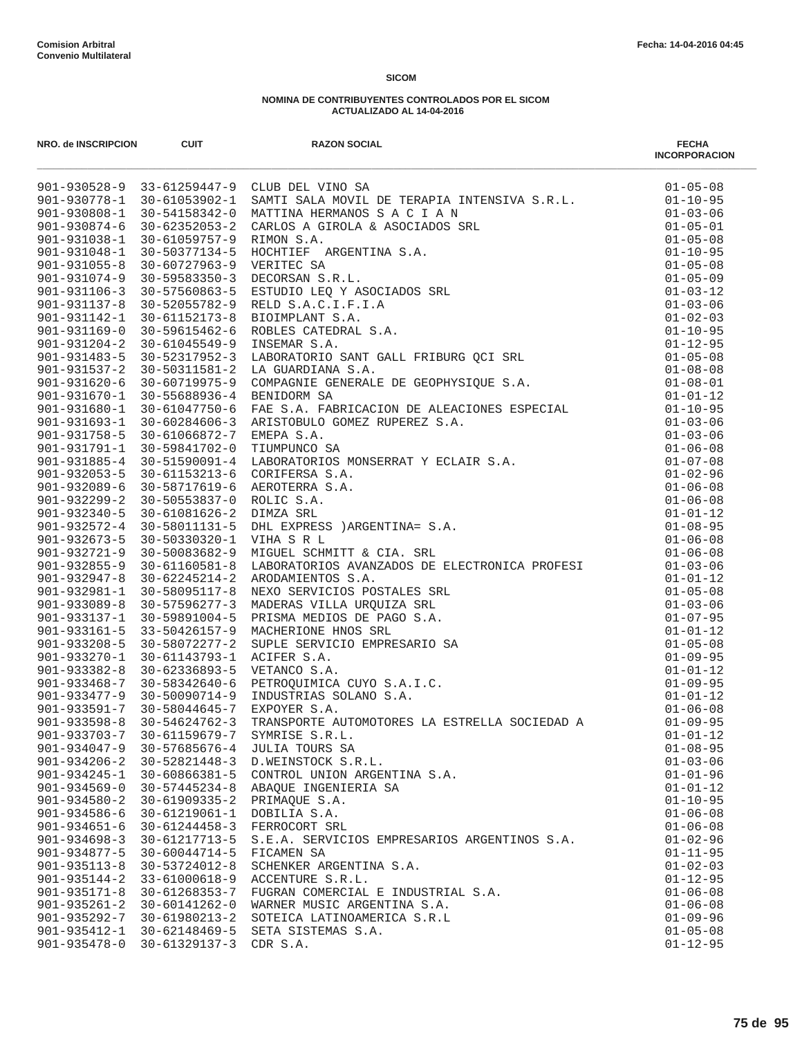| NRO. de INSCRIPCION                      | <b>CUIT</b>                                | <b>RAZON SOCIAL</b>                                           | <b>FECHA</b><br><b>INCORPORACION</b> |
|------------------------------------------|--------------------------------------------|---------------------------------------------------------------|--------------------------------------|
|                                          |                                            |                                                               |                                      |
|                                          |                                            |                                                               |                                      |
|                                          |                                            |                                                               |                                      |
|                                          |                                            |                                                               |                                      |
|                                          |                                            |                                                               |                                      |
|                                          |                                            |                                                               |                                      |
|                                          |                                            |                                                               |                                      |
|                                          |                                            |                                                               |                                      |
|                                          |                                            |                                                               |                                      |
|                                          |                                            |                                                               |                                      |
|                                          |                                            |                                                               |                                      |
|                                          |                                            |                                                               |                                      |
|                                          |                                            |                                                               |                                      |
|                                          |                                            |                                                               |                                      |
|                                          |                                            |                                                               |                                      |
|                                          |                                            |                                                               |                                      |
|                                          |                                            |                                                               |                                      |
|                                          |                                            |                                                               |                                      |
|                                          |                                            |                                                               |                                      |
|                                          |                                            |                                                               |                                      |
|                                          |                                            |                                                               |                                      |
|                                          |                                            |                                                               |                                      |
|                                          |                                            |                                                               |                                      |
|                                          |                                            |                                                               |                                      |
|                                          |                                            |                                                               |                                      |
|                                          |                                            |                                                               |                                      |
|                                          |                                            |                                                               |                                      |
|                                          |                                            |                                                               |                                      |
|                                          |                                            |                                                               |                                      |
|                                          |                                            |                                                               |                                      |
|                                          |                                            |                                                               |                                      |
|                                          |                                            |                                                               |                                      |
|                                          |                                            |                                                               |                                      |
|                                          |                                            |                                                               |                                      |
|                                          |                                            |                                                               |                                      |
|                                          |                                            |                                                               |                                      |
|                                          |                                            |                                                               |                                      |
|                                          |                                            |                                                               |                                      |
|                                          |                                            |                                                               |                                      |
|                                          |                                            |                                                               |                                      |
| $901 - 933703 - 7$                       | 30-61159679-7                              | SYMRISE S.R.L.                                                | $01 - 01 - 12$                       |
| 901-934047-9                             | 30-57685676-4                              | JULIA TOURS SA                                                | $01 - 08 - 95$                       |
| $901 - 934206 - 2$                       | 30-52821448-3                              | D.WEINSTOCK S.R.L.                                            | $01 - 03 - 06$                       |
| $901 - 934245 - 1$                       | $30 - 60866381 - 5$                        | CONTROL UNION ARGENTINA S.A.                                  | $01 - 01 - 96$                       |
| $901 - 934569 - 0$                       | $30 - 57445234 - 8$                        | ABAQUE INGENIERIA SA                                          | $01 - 01 - 12$                       |
| $901 - 934580 - 2$                       | $30 - 61909335 - 2$                        | PRIMAQUE S.A.                                                 | $01 - 10 - 95$                       |
| 901-934586-6                             | 30-61219061-1                              | DOBILIA S.A.                                                  | $01 - 06 - 08$                       |
| $901 - 934651 - 6$<br>$901 - 934698 - 3$ | $30 - 61244458 - 3$<br>$30 - 61217713 - 5$ | FERROCORT SRL<br>S.E.A. SERVICIOS EMPRESARIOS ARGENTINOS S.A. | $01 - 06 - 08$<br>$01 - 02 - 96$     |
| $901 - 934877 - 5$                       | $30 - 60044714 - 5$                        | FICAMEN SA                                                    | $01 - 11 - 95$                       |
| $901 - 935113 - 8$                       | 30-53724012-8                              | SCHENKER ARGENTINA S.A.                                       | $01 - 02 - 03$                       |
| $901 - 935144 - 2$                       | 33-61000618-9                              | ACCENTURE S.R.L.                                              | $01 - 12 - 95$                       |
| $901 - 935171 - 8$                       | $30 - 61268353 - 7$                        | FUGRAN COMERCIAL E INDUSTRIAL S.A.                            | $01 - 06 - 08$                       |
| $901 - 935261 - 2$                       | 30-60141262-0                              | WARNER MUSIC ARGENTINA S.A.                                   | $01 - 06 - 08$                       |
| $901 - 935292 - 7$                       | 30-61980213-2                              | SOTEICA LATINOAMERICA S.R.L                                   | $01 - 09 - 96$                       |
| $901 - 935412 - 1$                       | 30-62148469-5                              | SETA SISTEMAS S.A.                                            | $01 - 05 - 08$                       |
| $901 - 935478 - 0$                       | 30-61329137-3                              | CDR S.A.                                                      | $01 - 12 - 95$                       |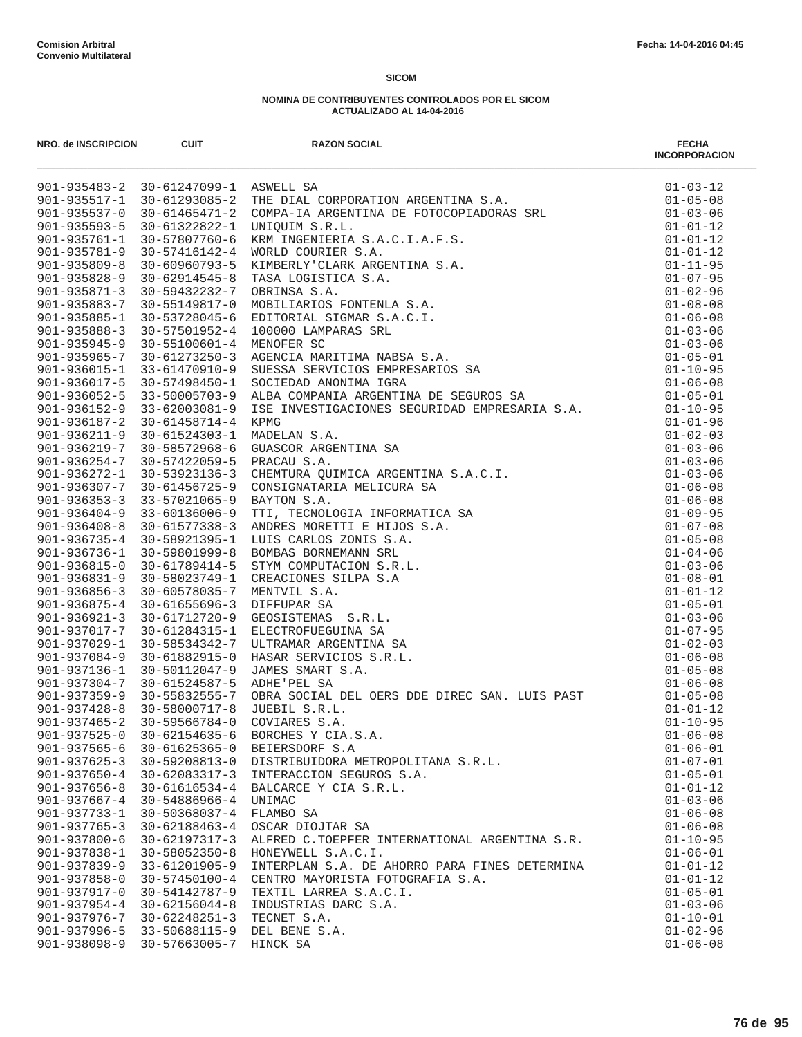| NRO. de INSCRIPCION                      | <b>CUIT</b>                          | <b>RAZON SOCIAL</b>                                                                                                                                                                                                                      | <b>FECHA</b><br><b>INCORPORACION</b> |
|------------------------------------------|--------------------------------------|------------------------------------------------------------------------------------------------------------------------------------------------------------------------------------------------------------------------------------------|--------------------------------------|
|                                          |                                      |                                                                                                                                                                                                                                          |                                      |
|                                          |                                      |                                                                                                                                                                                                                                          |                                      |
|                                          |                                      |                                                                                                                                                                                                                                          |                                      |
|                                          |                                      |                                                                                                                                                                                                                                          |                                      |
|                                          |                                      |                                                                                                                                                                                                                                          |                                      |
|                                          |                                      |                                                                                                                                                                                                                                          |                                      |
|                                          |                                      |                                                                                                                                                                                                                                          |                                      |
|                                          |                                      |                                                                                                                                                                                                                                          |                                      |
|                                          |                                      |                                                                                                                                                                                                                                          |                                      |
|                                          |                                      |                                                                                                                                                                                                                                          |                                      |
|                                          |                                      |                                                                                                                                                                                                                                          |                                      |
|                                          |                                      |                                                                                                                                                                                                                                          |                                      |
|                                          |                                      |                                                                                                                                                                                                                                          |                                      |
|                                          |                                      |                                                                                                                                                                                                                                          |                                      |
|                                          |                                      |                                                                                                                                                                                                                                          |                                      |
|                                          |                                      |                                                                                                                                                                                                                                          |                                      |
|                                          |                                      |                                                                                                                                                                                                                                          |                                      |
|                                          |                                      |                                                                                                                                                                                                                                          | $01 - 01 - 96$                       |
|                                          |                                      |                                                                                                                                                                                                                                          | $01 - 02 - 03$                       |
|                                          |                                      |                                                                                                                                                                                                                                          | $01 - 03 - 06$                       |
|                                          |                                      |                                                                                                                                                                                                                                          | $01 - 03 - 06$                       |
|                                          |                                      |                                                                                                                                                                                                                                          | $01 - 03 - 06$                       |
|                                          |                                      |                                                                                                                                                                                                                                          | $01 - 06 - 08$                       |
|                                          |                                      |                                                                                                                                                                                                                                          | $01 - 06 - 08$                       |
|                                          |                                      |                                                                                                                                                                                                                                          | $01 - 09 - 95$                       |
|                                          |                                      |                                                                                                                                                                                                                                          | $01 - 07 - 08$                       |
|                                          |                                      |                                                                                                                                                                                                                                          | $01 - 05 - 08$                       |
|                                          |                                      | 901-93602-3<br>901-936152-9 33-62003081-9 HAB INVESTIGACIONES SEQUEIDAD EMPRESARIA S.A.<br>901-936157-2 30-61458714-4 KPMG<br>901-936219-7 30-61458714-4 KPMG<br>901-936219-7 30-61524303-1 MADELAN S.A.<br>901-936212-1 30-61524303-4 M | $01 - 04 - 06$                       |
|                                          |                                      |                                                                                                                                                                                                                                          | $01 - 03 - 06$                       |
|                                          |                                      |                                                                                                                                                                                                                                          | $01 - 08 - 01$                       |
|                                          |                                      |                                                                                                                                                                                                                                          | $01 - 01 - 12$                       |
|                                          |                                      |                                                                                                                                                                                                                                          | $01 - 05 - 01$                       |
|                                          |                                      |                                                                                                                                                                                                                                          | $01 - 03 - 06$                       |
|                                          |                                      |                                                                                                                                                                                                                                          | $01 - 07 - 95$                       |
|                                          |                                      |                                                                                                                                                                                                                                          | $01 - 02 - 03$                       |
|                                          |                                      |                                                                                                                                                                                                                                          | $01 - 06 - 08$                       |
|                                          |                                      |                                                                                                                                                                                                                                          | $01 - 05 - 08$                       |
|                                          |                                      |                                                                                                                                                                                                                                          | $01 - 06 - 08$                       |
|                                          |                                      |                                                                                                                                                                                                                                          | $01 - 05 - 08$                       |
|                                          | 901-937428-8 30-58000717-8           | JUEBIL S.R.L.                                                                                                                                                                                                                            | $01 - 01 - 12$                       |
| $901 - 937465 - 2$                       | $30 - 59566784 - 0$                  | COVIARES S.A.                                                                                                                                                                                                                            | $01 - 10 - 95$                       |
| $901 - 937525 - 0$<br>$901 - 937565 - 6$ | 30-62154635-6<br>$30 - 61625365 - 0$ | BORCHES Y CIA.S.A.<br>BEIERSDORF S.A                                                                                                                                                                                                     | $01 - 06 - 08$<br>$01 - 06 - 01$     |
| $901 - 937625 - 3$                       | 30-59208813-0                        | DISTRIBUIDORA METROPOLITANA S.R.L.                                                                                                                                                                                                       | $01 - 07 - 01$                       |
| $901 - 937650 - 4$                       | $30 - 62083317 - 3$                  | INTERACCION SEGUROS S.A.                                                                                                                                                                                                                 | $01 - 05 - 01$                       |
| $901 - 937656 - 8$                       | $30 - 61616534 - 4$                  | BALCARCE Y CIA S.R.L.                                                                                                                                                                                                                    | $01 - 01 - 12$                       |
| $901 - 937667 - 4$                       | 30-54886966-4                        | UNIMAC                                                                                                                                                                                                                                   | $01 - 03 - 06$                       |
| $901 - 937733 - 1$                       | 30-50368037-4                        | FLAMBO SA                                                                                                                                                                                                                                | $01 - 06 - 08$                       |
| $901 - 937765 - 3$                       | $30 - 62188463 - 4$                  | OSCAR DIOJTAR SA                                                                                                                                                                                                                         | $01 - 06 - 08$                       |
| $901 - 937800 - 6$                       | $30 - 62197317 - 3$                  | ALFRED C.TOEPFER INTERNATIONAL ARGENTINA S.R.                                                                                                                                                                                            | $01 - 10 - 95$                       |
| 901-937838-1                             | $30 - 58052350 - 8$                  | HONEYWELL S.A.C.I.                                                                                                                                                                                                                       | $01 - 06 - 01$                       |
| $901 - 937839 - 9$                       | 33-61201905-9                        | INTERPLAN S.A. DE AHORRO PARA FINES DETERMINA                                                                                                                                                                                            | $01 - 01 - 12$                       |
| 901-937858-0                             | 30-57450100-4                        | CENTRO MAYORISTA FOTOGRAFIA S.A.                                                                                                                                                                                                         | $01 - 01 - 12$                       |
| 901-937917-0                             | 30-54142787-9                        | TEXTIL LARREA S.A.C.I.                                                                                                                                                                                                                   | $01 - 05 - 01$                       |
| $901 - 937954 - 4$                       | $30 - 62156044 - 8$                  | INDUSTRIAS DARC S.A.                                                                                                                                                                                                                     | $01 - 03 - 06$                       |
| $901 - 937976 - 7$                       | $30 - 62248251 - 3$                  | TECNET S.A.                                                                                                                                                                                                                              | $01 - 10 - 01$                       |
| $901 - 937996 - 5$                       | 33-50688115-9                        | DEL BENE S.A.                                                                                                                                                                                                                            | $01 - 02 - 96$                       |
| 901-938098-9                             | 30-57663005-7                        | HINCK SA                                                                                                                                                                                                                                 | $01 - 06 - 08$                       |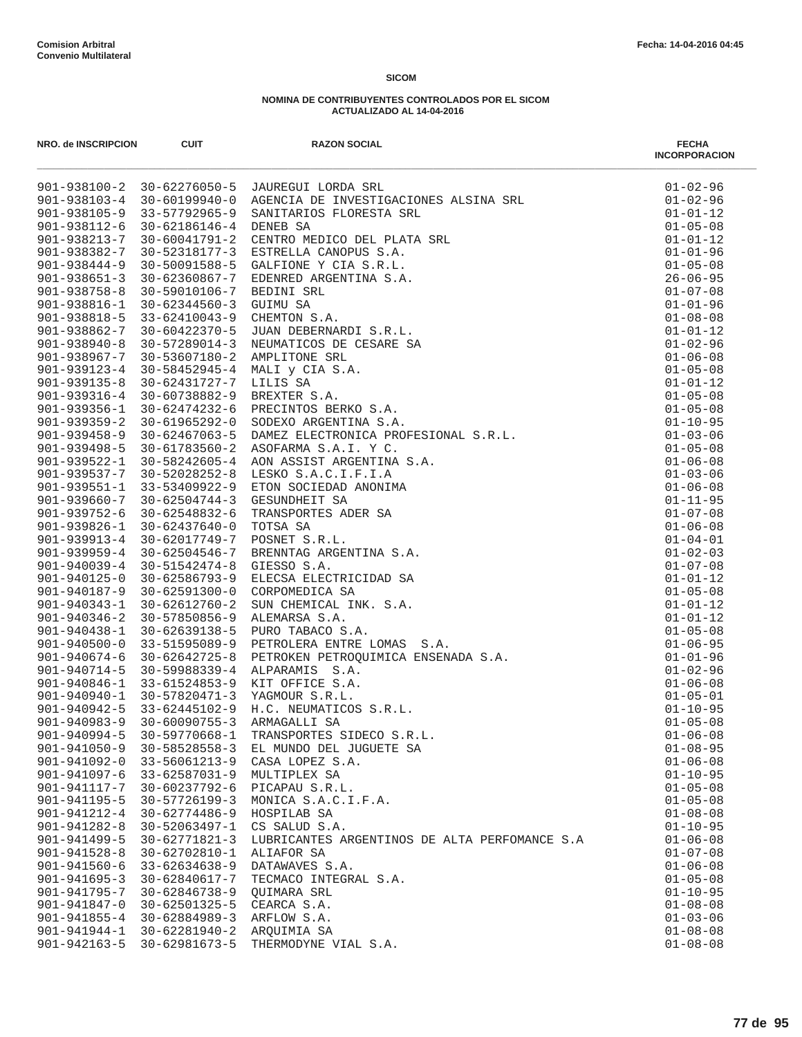| NRO. de INSCRIPCION                      | <b>CUIT</b>                          | <b>RAZON SOCIAL</b><br>901-938100-2 30-62376050-5 JAUNGUI LOMPA SM.<br>901-938100-2 30-62376050-5 JAUNGUI LOMPA SM.<br>901-938103-4 30-60199940-0 AGENERA DE INVESTIGATIONES RASINA SEL<br>901-938123-7 30-60041991-2 CENTRADO FLOGEDED LE FAN. SEL<br>901-93812 | <b>FECHA</b><br><b>INCORPORACION</b> |
|------------------------------------------|--------------------------------------|------------------------------------------------------------------------------------------------------------------------------------------------------------------------------------------------------------------------------------------------------------------|--------------------------------------|
|                                          |                                      |                                                                                                                                                                                                                                                                  | $01 - 02 - 96$                       |
|                                          |                                      |                                                                                                                                                                                                                                                                  | $01 - 02 - 96$                       |
|                                          |                                      |                                                                                                                                                                                                                                                                  | $01 - 01 - 12$                       |
|                                          |                                      |                                                                                                                                                                                                                                                                  | $01 - 05 - 08$                       |
|                                          |                                      |                                                                                                                                                                                                                                                                  | $01 - 01 - 12$                       |
|                                          |                                      |                                                                                                                                                                                                                                                                  | $01 - 01 - 96$                       |
|                                          |                                      |                                                                                                                                                                                                                                                                  | $01 - 05 - 08$                       |
|                                          |                                      |                                                                                                                                                                                                                                                                  | $26 - 06 - 95$<br>$01 - 07 - 08$     |
|                                          |                                      |                                                                                                                                                                                                                                                                  | $01 - 01 - 96$                       |
|                                          |                                      |                                                                                                                                                                                                                                                                  | $01 - 08 - 08$                       |
|                                          |                                      |                                                                                                                                                                                                                                                                  | $01 - 01 - 12$                       |
|                                          |                                      |                                                                                                                                                                                                                                                                  | $01 - 02 - 96$                       |
|                                          |                                      |                                                                                                                                                                                                                                                                  | $01 - 06 - 08$                       |
|                                          |                                      |                                                                                                                                                                                                                                                                  | $01 - 05 - 08$                       |
|                                          |                                      |                                                                                                                                                                                                                                                                  | $01 - 01 - 12$                       |
|                                          |                                      |                                                                                                                                                                                                                                                                  | $01 - 05 - 08$                       |
|                                          |                                      |                                                                                                                                                                                                                                                                  | $01 - 05 - 08$                       |
|                                          |                                      |                                                                                                                                                                                                                                                                  | $01 - 10 - 95$                       |
|                                          |                                      |                                                                                                                                                                                                                                                                  | $01 - 03 - 06$                       |
|                                          |                                      |                                                                                                                                                                                                                                                                  | $01 - 05 - 08$                       |
|                                          |                                      |                                                                                                                                                                                                                                                                  | $01 - 06 - 08$                       |
|                                          |                                      |                                                                                                                                                                                                                                                                  | $01 - 03 - 06$                       |
|                                          |                                      |                                                                                                                                                                                                                                                                  | $01 - 06 - 08$                       |
|                                          |                                      |                                                                                                                                                                                                                                                                  | $01 - 11 - 95$                       |
|                                          |                                      |                                                                                                                                                                                                                                                                  | $01 - 07 - 08$                       |
|                                          |                                      |                                                                                                                                                                                                                                                                  | $01 - 06 - 08$                       |
|                                          |                                      |                                                                                                                                                                                                                                                                  | $01 - 04 - 01$                       |
|                                          |                                      |                                                                                                                                                                                                                                                                  | $01 - 02 - 03$                       |
|                                          |                                      |                                                                                                                                                                                                                                                                  | $01 - 07 - 08$<br>$01 - 01 - 12$     |
|                                          |                                      |                                                                                                                                                                                                                                                                  | $01 - 05 - 08$                       |
|                                          |                                      |                                                                                                                                                                                                                                                                  | $01 - 01 - 12$                       |
|                                          |                                      |                                                                                                                                                                                                                                                                  | $01 - 01 - 12$                       |
|                                          |                                      |                                                                                                                                                                                                                                                                  | $01 - 05 - 08$                       |
|                                          |                                      |                                                                                                                                                                                                                                                                  | $01 - 06 - 95$                       |
|                                          |                                      |                                                                                                                                                                                                                                                                  | $01 - 01 - 96$                       |
|                                          |                                      |                                                                                                                                                                                                                                                                  | $01 - 02 - 96$                       |
|                                          |                                      |                                                                                                                                                                                                                                                                  | $01 - 06 - 08$                       |
|                                          |                                      |                                                                                                                                                                                                                                                                  | $01 - 05 - 01$                       |
|                                          |                                      |                                                                                                                                                                                                                                                                  | $01 - 10 - 95$                       |
|                                          |                                      |                                                                                                                                                                                                                                                                  | $01 - 05 - 08$                       |
|                                          |                                      |                                                                                                                                                                                                                                                                  | $01 - 06 - 08$                       |
| $901 - 941050 - 9$                       | $30 - 58528558 - 3$                  | EL MUNDO DEL JUGUETE SA                                                                                                                                                                                                                                          | $01 - 08 - 95$                       |
| 901-941092-0                             | $33 - 56061213 - 9$                  | CASA LOPEZ S.A.                                                                                                                                                                                                                                                  | $01 - 06 - 08$                       |
| $901 - 941097 - 6$                       | $33 - 62587031 - 9$                  | MULTIPLEX SA                                                                                                                                                                                                                                                     | $01 - 10 - 95$                       |
| 901-941117-7                             | 30-60237792-6                        | PICAPAU S.R.L.                                                                                                                                                                                                                                                   | $01 - 05 - 08$                       |
| 901-941195-5                             | $30 - 57726199 - 3$                  | MONICA S.A.C.I.F.A.                                                                                                                                                                                                                                              | $01 - 05 - 08$                       |
| 901-941212-4                             | 30-62774486-9                        | HOSPILAB SA                                                                                                                                                                                                                                                      | $01 - 08 - 08$                       |
| $901 - 941282 - 8$                       | 30-52063497-1                        | CS SALUD S.A.                                                                                                                                                                                                                                                    | $01 - 10 - 95$                       |
| $901 - 941499 - 5$<br>$901 - 941528 - 8$ | $30 - 62771821 - 3$<br>30-62702810-1 | LUBRICANTES ARGENTINOS DE ALTA PERFOMANCE S.A                                                                                                                                                                                                                    | $01 - 06 - 08$<br>$01 - 07 - 08$     |
| $901 - 941560 - 6$                       | $33 - 62634638 - 9$                  | ALIAFOR SA<br>DATAWAVES S.A.                                                                                                                                                                                                                                     | $01 - 06 - 08$                       |
| $901 - 941695 - 3$                       | 30-62840617-7                        | TECMACO INTEGRAL S.A.                                                                                                                                                                                                                                            | $01 - 05 - 08$                       |
| 901-941795-7                             | 30-62846738-9                        | QUIMARA SRL                                                                                                                                                                                                                                                      | $01 - 10 - 95$                       |
| 901-941847-0                             | 30-62501325-5                        | CEARCA S.A.                                                                                                                                                                                                                                                      | $01 - 08 - 08$                       |
| 901-941855-4                             | $30 - 62884989 - 3$                  | ARFLOW S.A.                                                                                                                                                                                                                                                      | $01 - 03 - 06$                       |
| $901 - 941944 - 1$                       | 30-62281940-2                        | ARQUIMIA SA                                                                                                                                                                                                                                                      | $01 - 08 - 08$                       |
| 901-942163-5                             | 30-62981673-5                        | THERMODYNE VIAL S.A.                                                                                                                                                                                                                                             | $01 - 08 - 08$                       |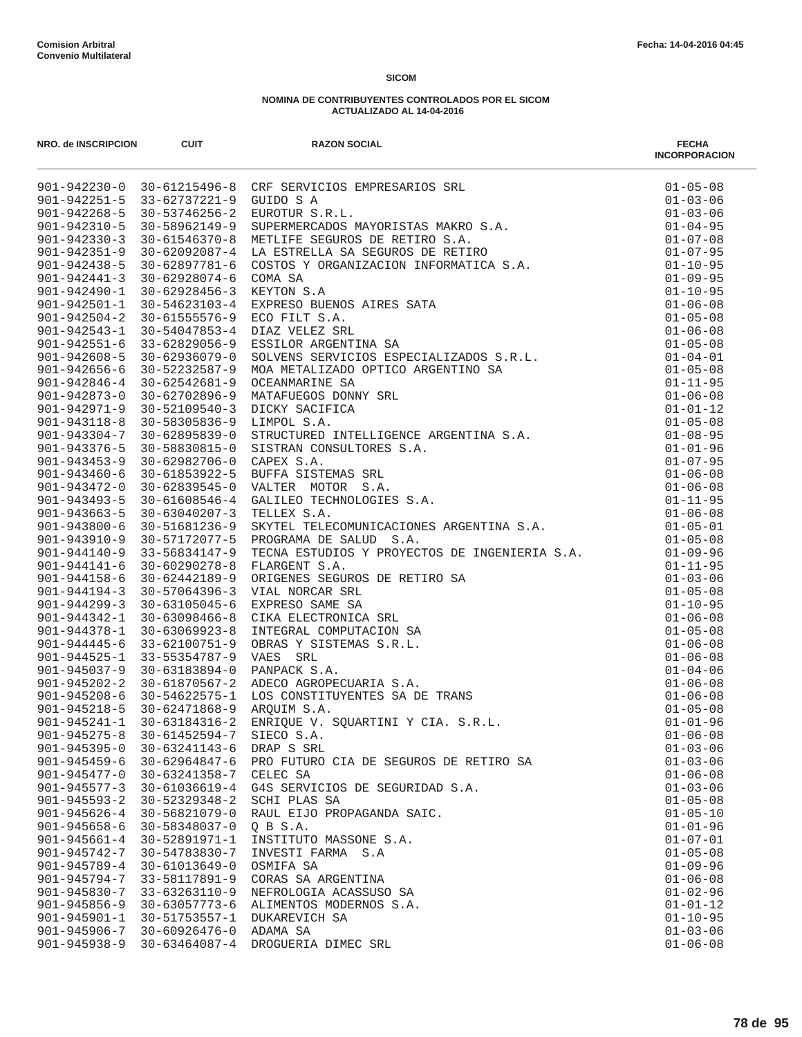| NRO. de INSCRIPCION                      | <b>CUIT</b>                          | <b>RAZON SOCIAL</b><br>NO. 00 NOCHEMONY CONTROL MADESONAL MONESONAL MONESONAL MONESONAL MONESONAL MONESONAL MONESONAL MONESONAL MONESONAL MONESONAL MONESONAL MONESONAL MONESONAL MONESONAL MONESONAL MONESONAL MONESONAL MONESONAL MONESONAL MONESO | <b>FECHA</b><br><b>INCORPORACION</b> |
|------------------------------------------|--------------------------------------|------------------------------------------------------------------------------------------------------------------------------------------------------------------------------------------------------------------------------------------------------|--------------------------------------|
|                                          |                                      |                                                                                                                                                                                                                                                      |                                      |
|                                          |                                      |                                                                                                                                                                                                                                                      |                                      |
|                                          |                                      |                                                                                                                                                                                                                                                      |                                      |
|                                          |                                      |                                                                                                                                                                                                                                                      |                                      |
|                                          |                                      |                                                                                                                                                                                                                                                      |                                      |
|                                          |                                      |                                                                                                                                                                                                                                                      |                                      |
|                                          |                                      |                                                                                                                                                                                                                                                      |                                      |
|                                          |                                      |                                                                                                                                                                                                                                                      |                                      |
|                                          |                                      |                                                                                                                                                                                                                                                      |                                      |
|                                          |                                      |                                                                                                                                                                                                                                                      |                                      |
|                                          |                                      |                                                                                                                                                                                                                                                      |                                      |
|                                          |                                      |                                                                                                                                                                                                                                                      |                                      |
|                                          |                                      |                                                                                                                                                                                                                                                      |                                      |
|                                          |                                      |                                                                                                                                                                                                                                                      |                                      |
|                                          |                                      |                                                                                                                                                                                                                                                      |                                      |
|                                          |                                      |                                                                                                                                                                                                                                                      |                                      |
|                                          |                                      |                                                                                                                                                                                                                                                      |                                      |
|                                          |                                      |                                                                                                                                                                                                                                                      |                                      |
|                                          |                                      |                                                                                                                                                                                                                                                      |                                      |
|                                          |                                      |                                                                                                                                                                                                                                                      |                                      |
|                                          |                                      |                                                                                                                                                                                                                                                      |                                      |
|                                          |                                      |                                                                                                                                                                                                                                                      |                                      |
|                                          |                                      |                                                                                                                                                                                                                                                      |                                      |
|                                          |                                      |                                                                                                                                                                                                                                                      |                                      |
|                                          |                                      |                                                                                                                                                                                                                                                      |                                      |
|                                          |                                      |                                                                                                                                                                                                                                                      |                                      |
|                                          |                                      |                                                                                                                                                                                                                                                      |                                      |
|                                          |                                      |                                                                                                                                                                                                                                                      |                                      |
|                                          |                                      |                                                                                                                                                                                                                                                      |                                      |
|                                          |                                      |                                                                                                                                                                                                                                                      |                                      |
|                                          |                                      |                                                                                                                                                                                                                                                      |                                      |
|                                          |                                      |                                                                                                                                                                                                                                                      |                                      |
|                                          |                                      |                                                                                                                                                                                                                                                      |                                      |
|                                          |                                      |                                                                                                                                                                                                                                                      |                                      |
|                                          |                                      |                                                                                                                                                                                                                                                      |                                      |
|                                          |                                      |                                                                                                                                                                                                                                                      |                                      |
|                                          |                                      |                                                                                                                                                                                                                                                      |                                      |
|                                          |                                      |                                                                                                                                                                                                                                                      |                                      |
|                                          |                                      |                                                                                                                                                                                                                                                      |                                      |
|                                          |                                      |                                                                                                                                                                                                                                                      |                                      |
|                                          |                                      |                                                                                                                                                                                                                                                      |                                      |
| $901 - 945275 - 8$                       | $30 - 61452594 - 7$                  | SIECO S.A.                                                                                                                                                                                                                                           | $01 - 06 - 08$                       |
| $901 - 945395 - 0$                       | $30 - 63241143 - 6$                  | DRAP S SRL                                                                                                                                                                                                                                           | $01 - 03 - 06$                       |
| $901 - 945459 - 6$                       | 30-62964847-6                        | PRO FUTURO CIA DE SEGUROS DE RETIRO SA                                                                                                                                                                                                               | $01 - 03 - 06$                       |
| $901 - 945477 - 0$                       | 30-63241358-7<br>$30 - 61036619 - 4$ | CELEC SA                                                                                                                                                                                                                                             | $01 - 06 - 08$                       |
| $901 - 945577 - 3$<br>$901 - 945593 - 2$ |                                      | G4S SERVICIOS DE SEGURIDAD S.A.                                                                                                                                                                                                                      | $01 - 03 - 06$<br>$01 - 05 - 08$     |
| $901 - 945626 - 4$                       | 30-52329348-2<br>30-56821079-0       | SCHI PLAS SA<br>RAUL EIJO PROPAGANDA SAIC.                                                                                                                                                                                                           | $01 - 05 - 10$                       |
| $901 - 945658 - 6$                       | 30-58348037-0                        | Q B S.A.                                                                                                                                                                                                                                             | $01 - 01 - 96$                       |
| $901 - 945661 - 4$                       | 30-52891971-1                        | INSTITUTO MASSONE S.A.                                                                                                                                                                                                                               | $01 - 07 - 01$                       |
| 901-945742-7                             | 30-54783830-7                        | INVESTI FARMA S.A                                                                                                                                                                                                                                    | $01 - 05 - 08$                       |
| $901 - 945789 - 4$                       | $30 - 61013649 - 0$                  | OSMIFA SA                                                                                                                                                                                                                                            | $01 - 09 - 96$                       |
| 901-945794-7                             | 33-58117891-9                        | CORAS SA ARGENTINA                                                                                                                                                                                                                                   | $01 - 06 - 08$                       |
| $901 - 945830 - 7$                       | 33-63263110-9                        | NEFROLOGIA ACASSUSO SA                                                                                                                                                                                                                               | $01 - 02 - 96$                       |
| $901 - 945856 - 9$                       | $30 - 63057773 - 6$                  | ALIMENTOS MODERNOS S.A.                                                                                                                                                                                                                              | $01 - 01 - 12$                       |
| $901 - 945901 - 1$                       | 30-51753557-1                        | DUKAREVICH SA                                                                                                                                                                                                                                        | $01 - 10 - 95$                       |
| $901 - 945906 - 7$                       | $30 - 60926476 - 0$                  | ADAMA SA                                                                                                                                                                                                                                             | $01 - 03 - 06$                       |
| 901-945938-9                             | $30 - 63464087 - 4$                  | DROGUERIA DIMEC SRL                                                                                                                                                                                                                                  | $01 - 06 - 08$                       |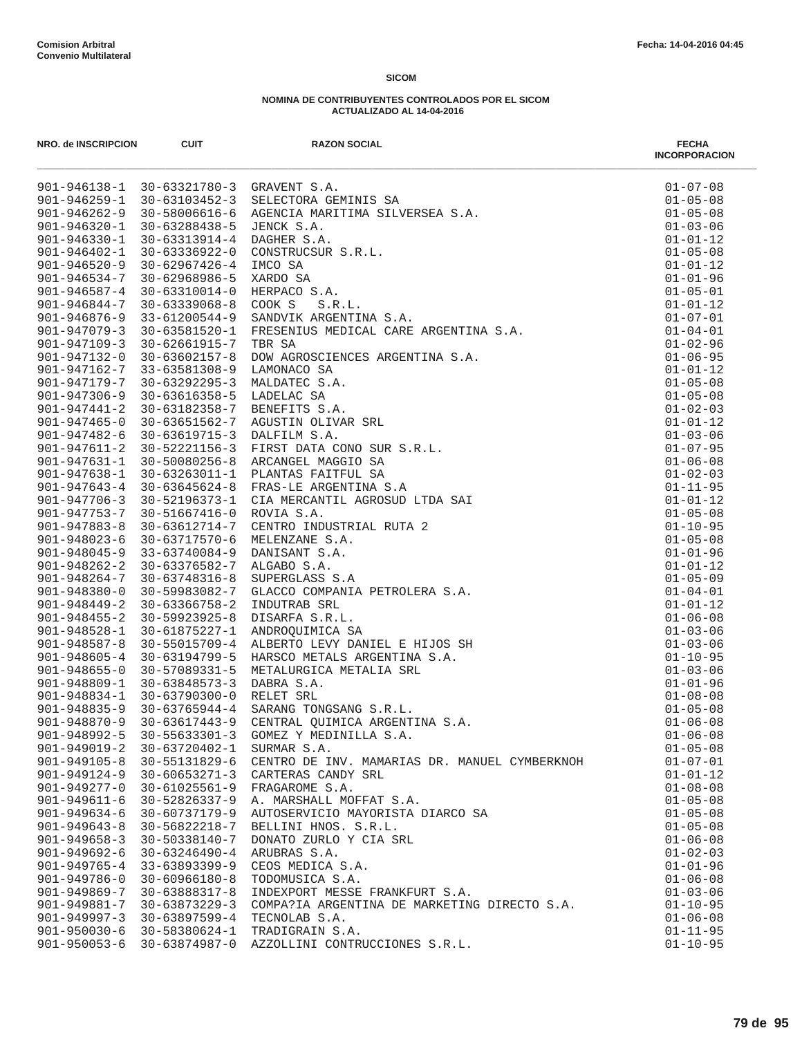| NRO. de INSCRIPCION                      | <b>CUIT</b>                             | <b>RAZON SOCIAL</b>                           | <b>FECHA</b><br><b>INCORPORACION</b> |
|------------------------------------------|-----------------------------------------|-----------------------------------------------|--------------------------------------|
|                                          | 901-946138-1 30-63321780-3 GRAVENT S.A. |                                               | $01 - 07 - 08$                       |
| 901-946259-1                             |                                         |                                               | $01 - 05 - 08$                       |
| $901 - 946262 - 9$                       |                                         |                                               | $01 - 05 - 08$                       |
| $901 - 946320 - 1$                       |                                         |                                               | $01 - 03 - 06$                       |
| $901 - 946330 - 1$                       |                                         |                                               | $01 - 01 - 12$                       |
| $901 - 946402 - 1$                       |                                         |                                               | $01 - 05 - 08$                       |
| $901 - 946520 - 9$                       |                                         |                                               | $01 - 01 - 12$                       |
| $901 - 946534 - 7$                       |                                         |                                               | $01 - 01 - 96$                       |
| $901 - 946587 - 4$                       |                                         |                                               | $01 - 05 - 01$                       |
| $901 - 946844 - 7$                       |                                         |                                               | $01 - 01 - 12$                       |
| 901-946876-9<br>$901 - 947079 - 3$       |                                         |                                               | $01 - 07 - 01$<br>$01 - 04 - 01$     |
| $901 - 947109 - 3$                       |                                         |                                               | $01 - 02 - 96$                       |
| 901-947132-0                             |                                         |                                               | $01 - 06 - 95$                       |
| 901-947162-7                             |                                         |                                               | $01 - 01 - 12$                       |
| 901-947179-7                             |                                         |                                               | $01 - 05 - 08$                       |
| $901 - 947306 - 9$                       |                                         |                                               | $01 - 05 - 08$                       |
| $901 - 947441 - 2$                       |                                         |                                               | $01 - 02 - 03$                       |
| $901 - 947465 - 0$                       |                                         |                                               | $01 - 01 - 12$                       |
| 901-947482-6                             |                                         |                                               | $01 - 03 - 06$                       |
| $901 - 947611 - 2$                       |                                         |                                               | $01 - 07 - 95$                       |
| $901 - 947631 - 1$                       |                                         |                                               | $01 - 06 - 08$                       |
| $901 - 947638 - 1$                       |                                         |                                               | $01 - 02 - 03$                       |
| $901 - 947643 - 4$                       |                                         |                                               | $01 - 11 - 95$                       |
| $901 - 947706 - 3$                       |                                         |                                               | $01 - 01 - 12$                       |
| $901 - 947753 - 7$                       |                                         |                                               | $01 - 05 - 08$                       |
| $901 - 947883 - 8$                       |                                         |                                               | $01 - 10 - 95$                       |
| $901 - 948023 - 6$                       |                                         |                                               | $01 - 05 - 08$                       |
| $901 - 948045 - 9$                       |                                         |                                               | $01 - 01 - 96$                       |
| $901 - 948262 - 2$                       |                                         |                                               | $01 - 01 - 12$                       |
| $901 - 948264 - 7$                       |                                         |                                               | $01 - 05 - 09$                       |
| $901 - 948380 - 0$                       |                                         |                                               | $01 - 04 - 01$                       |
| $901 - 948449 - 2$                       |                                         |                                               | $01 - 01 - 12$                       |
| $901 - 948455 - 2$                       |                                         |                                               | $01 - 06 - 08$                       |
| $901 - 948528 - 1$                       |                                         |                                               | $01 - 03 - 06$                       |
| $901 - 948587 - 8$                       |                                         |                                               | $01 - 03 - 06$                       |
| $901 - 948605 - 4$                       |                                         |                                               | $01 - 10 - 95$                       |
| $901 - 948655 - 0$                       |                                         |                                               | $01 - 03 - 06$                       |
| $901 - 948809 - 1$<br>$901 - 948834 - 1$ |                                         |                                               | $01 - 01 - 96$                       |
|                                          |                                         |                                               | $01 - 08 - 08$<br>$01 - 05 - 08$     |
| 901-948835-9                             |                                         |                                               | $01 - 06 - 08$                       |
| 901-948870-9<br>901-948992-5             | $30 - 55633301 - 3$                     | GOMEZ Y MEDINILLA S.A.                        | $01 - 06 - 08$                       |
| $901 - 949019 - 2$                       | 30-63720402-1                           | SURMAR S.A.                                   | $01 - 05 - 08$                       |
| $901 - 949105 - 8$                       | 30-55131829-6                           | CENTRO DE INV. MAMARIAS DR. MANUEL CYMBERKNOH | $01 - 07 - 01$                       |
| $901 - 949124 - 9$                       | $30 - 60653271 - 3$                     | CARTERAS CANDY SRL                            | $01 - 01 - 12$                       |
| $901 - 949277 - 0$                       | $30 - 61025561 - 9$                     | FRAGAROME S.A.                                | $01 - 08 - 08$                       |
| $901 - 949611 - 6$                       | 30-52826337-9                           | A. MARSHALL MOFFAT S.A.                       | $01 - 05 - 08$                       |
| $901 - 949634 - 6$                       | 30-60737179-9                           | AUTOSERVICIO MAYORISTA DIARCO SA              | $01 - 05 - 08$                       |
| $901 - 949643 - 8$                       | 30-56822218-7                           | BELLINI HNOS. S.R.L.                          | $01 - 05 - 08$                       |
| $901 - 949658 - 3$                       | 30-50338140-7                           | DONATO ZURLO Y CIA SRL                        | $01 - 06 - 08$                       |
| 901-949692-6                             | $30 - 63246490 - 4$                     | ARUBRAS S.A.                                  | $01 - 02 - 03$                       |
| $901 - 949765 - 4$                       | 33-63893399-9                           | CEOS MEDICA S.A.                              | $01 - 01 - 96$                       |
| 901-949786-0                             | $30 - 60966180 - 8$                     | TODOMUSICA S.A.                               | $01 - 06 - 08$                       |
| $901 - 949869 - 7$                       | 30-63888317-8                           | INDEXPORT MESSE FRANKFURT S.A.                | $01 - 03 - 06$                       |
| 901-949881-7                             | 30-63873229-3                           | COMPA?IA ARGENTINA DE MARKETING DIRECTO S.A.  | $01 - 10 - 95$                       |
| $901 - 949997 - 3$                       | 30-63897599-4                           | TECNOLAB S.A.                                 | $01 - 06 - 08$                       |
| $901 - 950030 - 6$                       | 30-58380624-1                           | TRADIGRAIN S.A.                               | $01 - 11 - 95$                       |
| 901-950053-6                             |                                         | 30-63874987-0 AZZOLLINI CONTRUCCIONES S.R.L.  | $01 - 10 - 95$                       |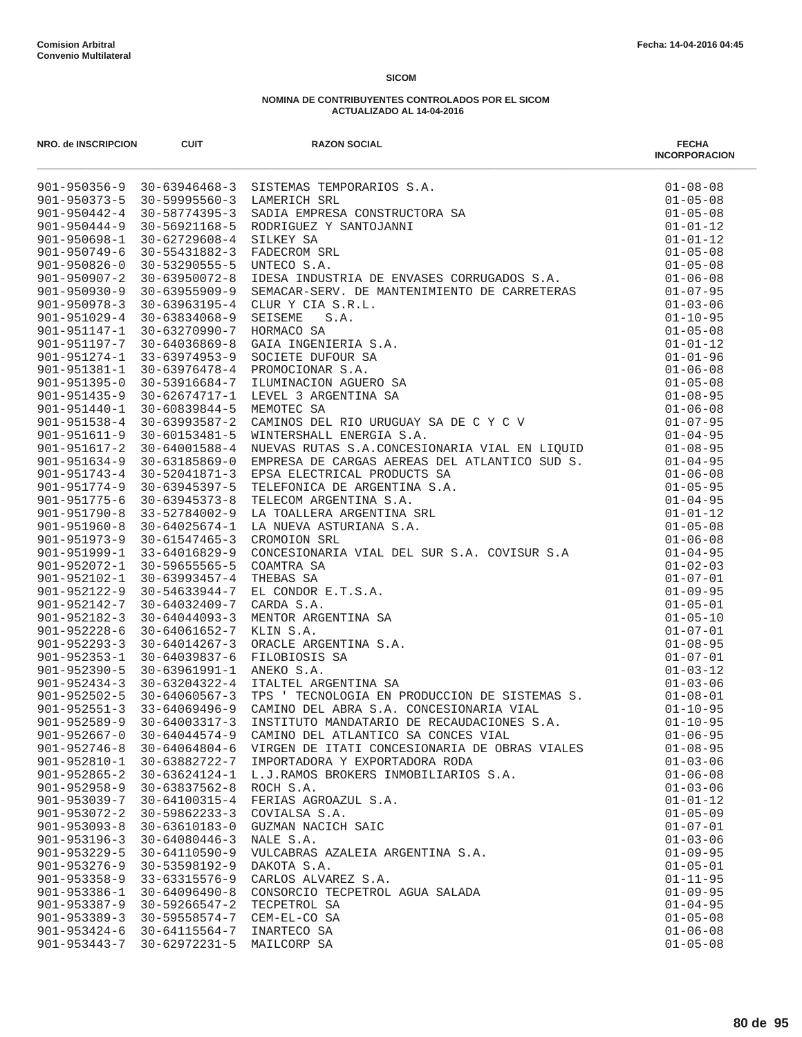| NRO. de INSCRIPCION | <b>CUIT</b>         | <b>RAZON SOCIAL</b>                           | <b>FECHA</b><br><b>INCORPORACION</b> |
|---------------------|---------------------|-----------------------------------------------|--------------------------------------|
|                     |                     |                                               |                                      |
|                     |                     |                                               |                                      |
|                     |                     |                                               |                                      |
|                     |                     |                                               |                                      |
|                     |                     |                                               |                                      |
|                     |                     |                                               |                                      |
|                     |                     |                                               |                                      |
|                     |                     |                                               |                                      |
|                     |                     |                                               |                                      |
|                     |                     |                                               |                                      |
|                     |                     |                                               |                                      |
|                     |                     |                                               |                                      |
|                     |                     |                                               |                                      |
|                     |                     |                                               |                                      |
|                     |                     |                                               |                                      |
|                     |                     |                                               |                                      |
|                     |                     |                                               |                                      |
|                     |                     |                                               |                                      |
|                     |                     |                                               |                                      |
|                     |                     |                                               |                                      |
|                     |                     |                                               |                                      |
|                     |                     |                                               |                                      |
|                     |                     |                                               |                                      |
|                     |                     |                                               |                                      |
|                     |                     |                                               |                                      |
|                     |                     |                                               |                                      |
|                     |                     |                                               |                                      |
|                     |                     |                                               |                                      |
|                     |                     |                                               |                                      |
|                     |                     |                                               |                                      |
|                     |                     |                                               |                                      |
|                     |                     |                                               |                                      |
|                     |                     |                                               |                                      |
|                     |                     |                                               |                                      |
|                     |                     |                                               |                                      |
|                     |                     |                                               |                                      |
|                     |                     |                                               |                                      |
|                     |                     |                                               |                                      |
|                     |                     |                                               |                                      |
|                     |                     |                                               |                                      |
| $901 - 952667 - 0$  | $30 - 64044574 - 9$ | CAMINO DEL ATLANTICO SA CONCES VIAL           | $01 - 06 - 95$                       |
| $901 - 952746 - 8$  | $30 - 64064804 - 6$ | VIRGEN DE ITATI CONCESIONARIA DE OBRAS VIALES | $01 - 08 - 95$                       |
| $901 - 952810 - 1$  | 30-63882722-7       | IMPORTADORA Y EXPORTADORA RODA                | $01 - 03 - 06$                       |
| $901 - 952865 - 2$  | $30 - 63624124 - 1$ | L.J.RAMOS BROKERS INMOBILIARIOS S.A.          | $01 - 06 - 08$                       |
| $901 - 952958 - 9$  | $30 - 63837562 - 8$ | ROCH S.A.                                     | $01 - 03 - 06$                       |
| $901 - 953039 - 7$  | 30-64100315-4       | FERIAS AGROAZUL S.A.                          | $01 - 01 - 12$                       |
| $901 - 953072 - 2$  | $30 - 59862233 - 3$ | COVIALSA S.A.                                 | $01 - 05 - 09$                       |
| $901 - 953093 - 8$  | $30 - 63610183 - 0$ | GUZMAN NACICH SAIC                            | $01 - 07 - 01$                       |
| $901 - 953196 - 3$  | $30 - 64080446 - 3$ | NALE S.A.                                     | $01 - 03 - 06$                       |
| $901 - 953229 - 5$  | $30 - 64110590 - 9$ | VULCABRAS AZALEIA ARGENTINA S.A.              | $01 - 09 - 95$                       |
| $901 - 953276 - 9$  | 30-53598192-9       | DAKOTA S.A.                                   | $01 - 05 - 01$                       |
| $901 - 953358 - 9$  | 33-63315576-9       | CARLOS ALVAREZ S.A.                           | $01 - 11 - 95$                       |
| $901 - 953386 - 1$  | $30 - 64096490 - 8$ | CONSORCIO TECPETROL AGUA SALADA               | $01 - 09 - 95$                       |
| $901 - 953387 - 9$  | $30 - 59266547 - 2$ | TECPETROL SA                                  | $01 - 04 - 95$                       |
| $901 - 953389 - 3$  | $30 - 59558574 - 7$ | CEM-EL-CO SA                                  | $01 - 05 - 08$                       |
| $901 - 953424 - 6$  | $30 - 64115564 - 7$ | INARTECO SA                                   | $01 - 06 - 08$                       |
| $901 - 953443 - 7$  | $30 - 62972231 - 5$ | MAILCORP SA                                   | $01 - 05 - 08$                       |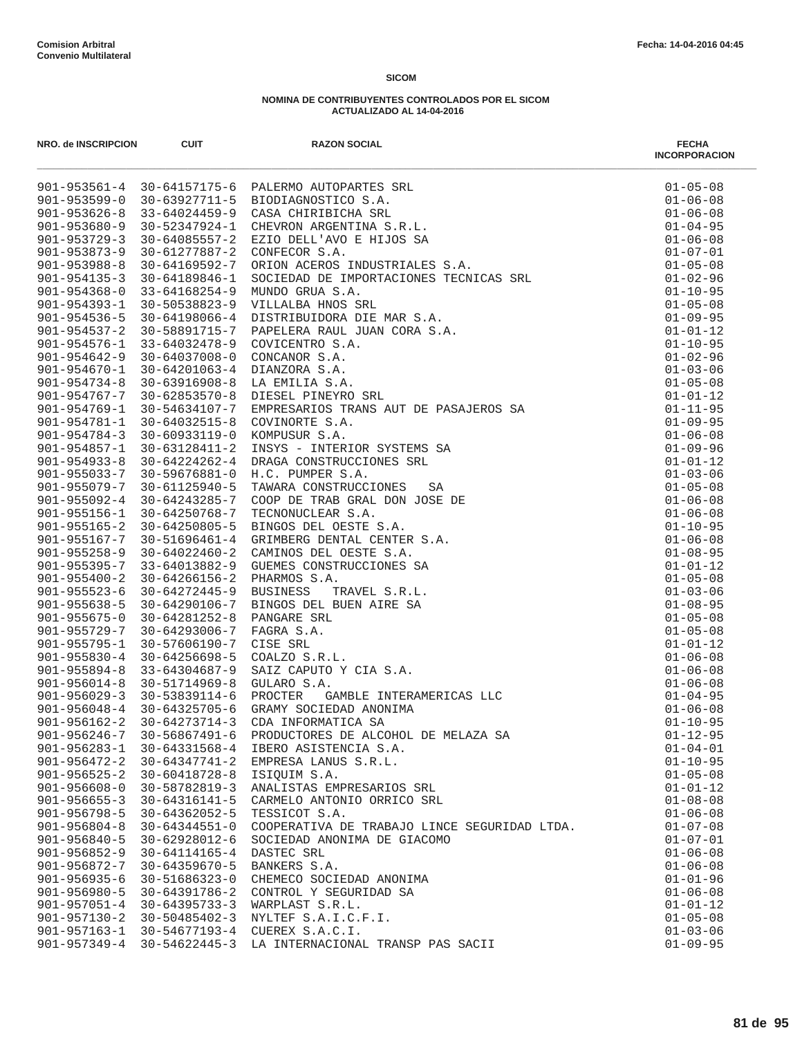| NRO. de INSCRIPCION                      | <b>CUIT</b>                      | <b>RAZON SOCIAL</b><br><b>PALENO AUTOMATES SEL ANGLES SEL ANGLES SEL CONFECTION AND SALE CONFECTION AND CONFECTION AND CONFECTIVE S.A.</b><br>CONFECTION ARENTITATS S.R.L.<br>CONFECTION ARENTITATS S.R.L.<br>CONFECTION ANGENTITATS S.R.L.<br>CONFECTION ANGLES STRUC | <b>FECHA</b><br><b>INCORPORACION</b> |
|------------------------------------------|----------------------------------|------------------------------------------------------------------------------------------------------------------------------------------------------------------------------------------------------------------------------------------------------------------------|--------------------------------------|
|                                          |                                  | 901-953561-4 30-64157175-6 PALERMO AUTOPARTES SRL                                                                                                                                                                                                                      | $01 - 05 - 08$                       |
|                                          |                                  | 901-953599-0 30-63927711-5 BIODIAGNOSTICO S.A.                                                                                                                                                                                                                         | $01 - 06 - 08$                       |
| $901 - 953626 - 8$                       | 33-64024459-9                    |                                                                                                                                                                                                                                                                        | $01 - 06 - 08$                       |
| $901 - 953680 - 9$                       | $30 - 52347924 - 1$              |                                                                                                                                                                                                                                                                        | $01 - 04 - 95$                       |
| $901 - 953729 - 3$                       |                                  | 30-64085557-2 EZIO DELL'AVO E HIJOS SA                                                                                                                                                                                                                                 | $01 - 06 - 08$                       |
| $901 - 953873 - 9$                       | 30-61277887-2                    |                                                                                                                                                                                                                                                                        | $01 - 07 - 01$                       |
| $901 - 953988 - 8$                       | 30-64169592-7                    |                                                                                                                                                                                                                                                                        | $01 - 05 - 08$                       |
| $901 - 954135 - 3$                       | 30-64189846-1                    |                                                                                                                                                                                                                                                                        | $01 - 02 - 96$<br>$01 - 10 - 95$     |
| $901 - 954368 - 0$<br>$901 - 954393 - 1$ | 33-64168254-9<br>30-50538823-9   |                                                                                                                                                                                                                                                                        | $01 - 05 - 08$                       |
| $901 - 954536 - 5$                       | 30-64198066-4                    |                                                                                                                                                                                                                                                                        | $01 - 09 - 95$                       |
| $901 - 954537 - 2$                       | 30-58891715-7                    |                                                                                                                                                                                                                                                                        | $01 - 01 - 12$                       |
| $901 - 954576 - 1$                       | 33-64032478-9                    |                                                                                                                                                                                                                                                                        | $01 - 10 - 95$                       |
| $901 - 954642 - 9$                       | 30-64037008-0                    |                                                                                                                                                                                                                                                                        | $01 - 02 - 96$                       |
| 901-954670-1                             | 30-64201063-4                    |                                                                                                                                                                                                                                                                        | $01 - 03 - 06$                       |
| $901 - 954734 - 8$                       | 30-63916908-8                    |                                                                                                                                                                                                                                                                        | $01 - 05 - 08$                       |
|                                          | 901-954767-7 30-62853570-8       |                                                                                                                                                                                                                                                                        | $01 - 01 - 12$                       |
| $901 - 954769 - 1$                       | 30-54634107-7                    |                                                                                                                                                                                                                                                                        | $01 - 11 - 95$                       |
| $901 - 954781 - 1$                       | 30-64032515-8                    |                                                                                                                                                                                                                                                                        | $01 - 09 - 95$                       |
| $901 - 954784 - 3$                       | 30-60933119-0                    |                                                                                                                                                                                                                                                                        | $01 - 06 - 08$                       |
| $901 - 954857 - 1$                       | 30-63128411-2                    |                                                                                                                                                                                                                                                                        | $01 - 09 - 96$                       |
| $901 - 954933 - 8$                       | 30-64224262-4                    |                                                                                                                                                                                                                                                                        | $01 - 01 - 12$                       |
| $901 - 955033 - 7$                       | 30-59676881-0                    |                                                                                                                                                                                                                                                                        | $01 - 03 - 06$                       |
| 901-955079-7                             | 30-61125940-5                    |                                                                                                                                                                                                                                                                        | $01 - 05 - 08$                       |
| $901 - 955092 - 4$                       | 30-64243285-7                    |                                                                                                                                                                                                                                                                        | $01 - 06 - 08$                       |
| $901 - 955156 - 1$                       | 30-64250768-7                    |                                                                                                                                                                                                                                                                        | $01 - 06 - 08$                       |
| $901 - 955165 - 2$                       | 30-64250805-5                    |                                                                                                                                                                                                                                                                        | $01 - 10 - 95$                       |
| $901 - 955167 - 7$                       | 30-51696461-4                    |                                                                                                                                                                                                                                                                        | $01 - 06 - 08$                       |
| $901 - 955258 - 9$                       | 30-64022460-2                    |                                                                                                                                                                                                                                                                        | $01 - 08 - 95$                       |
| $901 - 955395 - 7$                       | 33-64013882-9                    |                                                                                                                                                                                                                                                                        | $01 - 01 - 12$                       |
| $901 - 955400 - 2$                       | $30 - 64266156 - 2$              |                                                                                                                                                                                                                                                                        | $01 - 05 - 08$                       |
| $901 - 955523 - 6$<br>$901 - 955638 - 5$ | 30-64272445-9<br>30-64290106-7   |                                                                                                                                                                                                                                                                        | $01 - 03 - 06$<br>$01 - 08 - 95$     |
| $901 - 955675 - 0$                       | 30-64281252-8                    |                                                                                                                                                                                                                                                                        | $01 - 05 - 08$                       |
| $901 - 955729 - 7$                       | $30 - 64293006 - 7$              |                                                                                                                                                                                                                                                                        | $01 - 05 - 08$                       |
| $901 - 955795 - 1$                       | 30-57606190-7                    |                                                                                                                                                                                                                                                                        | $01 - 01 - 12$                       |
| $901 - 955830 - 4$                       | $30 - 64256698 - 5$              |                                                                                                                                                                                                                                                                        | $01 - 06 - 08$                       |
| $901 - 955894 - 8$                       | 33-64304687-9                    |                                                                                                                                                                                                                                                                        | $01 - 06 - 08$                       |
| $901 - 956014 - 8$                       | 30-51714969-8                    |                                                                                                                                                                                                                                                                        | $01 - 06 - 08$                       |
| $901 - 956029 - 3$                       | 30-53839114-6                    |                                                                                                                                                                                                                                                                        | $01 - 04 - 95$                       |
|                                          | $901 - 956048 - 4$ 30-64325705-6 |                                                                                                                                                                                                                                                                        | $01 - 06 - 08$                       |
|                                          | $901 - 956162 - 2$ 30-64273714-3 |                                                                                                                                                                                                                                                                        | $01 - 10 - 95$                       |
| $901 - 956246 - 7$                       | 30-56867491-6                    | PRODUCTORES DE ALCOHOL DE MELAZA SA                                                                                                                                                                                                                                    | $01 - 12 - 95$                       |
| 901-956283-1                             | 30-64331568-4                    | IBERO ASISTENCIA S.A.                                                                                                                                                                                                                                                  | $01 - 04 - 01$                       |
| $901 - 956472 - 2$                       | 30-64347741-2                    | EMPRESA LANUS S.R.L.                                                                                                                                                                                                                                                   | $01 - 10 - 95$                       |
| $901 - 956525 - 2$                       | $30 - 60418728 - 8$              | ISIQUIM S.A.                                                                                                                                                                                                                                                           | $01 - 05 - 08$                       |
| $901 - 956608 - 0$                       | 30-58782819-3                    | ANALISTAS EMPRESARIOS SRL                                                                                                                                                                                                                                              | $01 - 01 - 12$                       |
| $901 - 956655 - 3$                       | 30-64316141-5                    | CARMELO ANTONIO ORRICO SRL                                                                                                                                                                                                                                             | $01 - 08 - 08$                       |
| $901 - 956798 - 5$                       | 30-64362052-5                    | TESSICOT S.A.                                                                                                                                                                                                                                                          | $01 - 06 - 08$                       |
| $901 - 956804 - 8$                       | $30 - 64344551 - 0$              | COOPERATIVA DE TRABAJO LINCE SEGURIDAD LTDA.                                                                                                                                                                                                                           | $01 - 07 - 08$                       |
| $901 - 956840 - 5$                       | 30-62928012-6                    | SOCIEDAD ANONIMA DE GIACOMO                                                                                                                                                                                                                                            | $01 - 07 - 01$                       |
| $901 - 956852 - 9$                       | 30-64114165-4                    | DASTEC SRL                                                                                                                                                                                                                                                             | $01 - 06 - 08$                       |
| 901-956872-7                             | $30 - 64359670 - 5$              | BANKERS S.A.                                                                                                                                                                                                                                                           | $01 - 06 - 08$                       |
| $901 - 956935 - 6$                       | 30-51686323-0                    | CHEMECO SOCIEDAD ANONIMA                                                                                                                                                                                                                                               | $01 - 01 - 96$                       |
| $901 - 956980 - 5$                       | 30-64391786-2                    | CONTROL Y SEGURIDAD SA                                                                                                                                                                                                                                                 | $01 - 06 - 08$                       |
|                                          | 901-957051-4 30-64395733-3       | WARPLAST S.R.L.                                                                                                                                                                                                                                                        | $01 - 01 - 12$                       |
| $901 - 957130 - 2$<br>$901 - 957163 - 1$ | 30-50485402-3<br>30-54677193-4   | NYLTEF S.A.I.C.F.I.<br>CUEREX S.A.C.I.                                                                                                                                                                                                                                 | $01 - 05 - 08$<br>$01 - 03 - 06$     |
|                                          |                                  | 901-957349-4 30-54622445-3 LA INTERNACIONAL TRANSP PAS SACII                                                                                                                                                                                                           | $01 - 09 - 95$                       |
|                                          |                                  |                                                                                                                                                                                                                                                                        |                                      |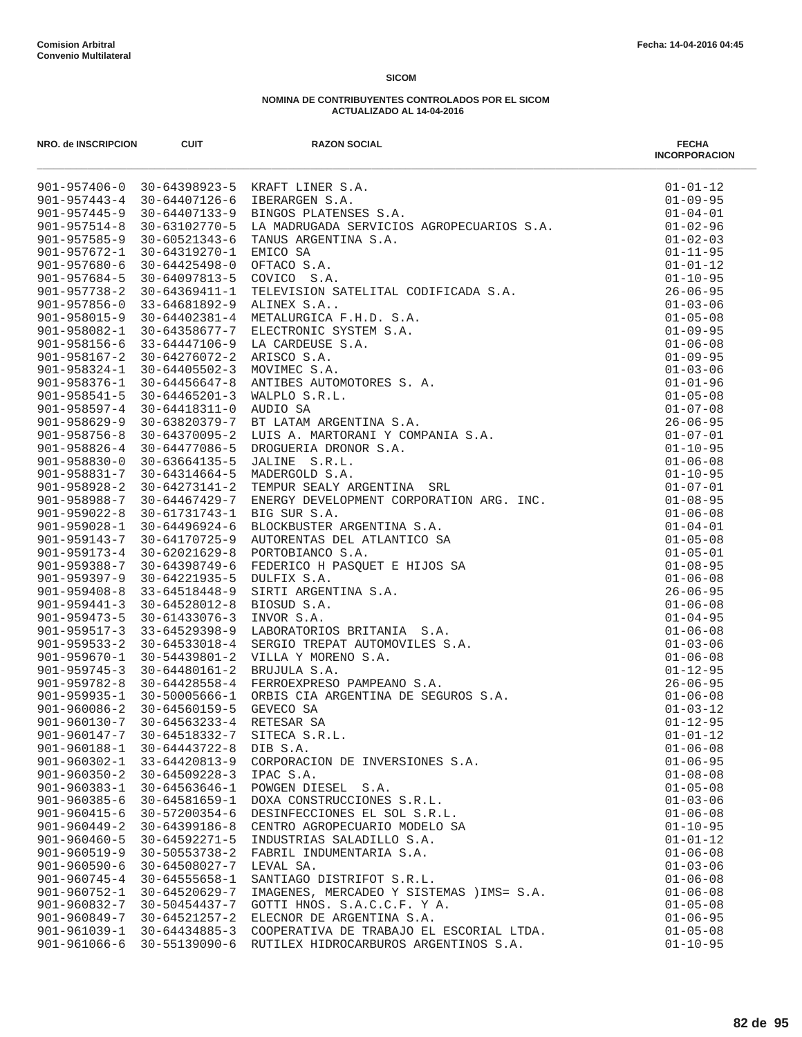| NRO. de INSCRIPCION | <b>CUIT</b>         | <b>RAZON SOCIAL</b><br>MA 2019-197146-0<br>901-957446-0<br>901-957446-0<br>901-957446-0<br>901-957446-0<br>901-957446-0<br>901-95744-0<br>901-95744-0<br>902-94744-0<br>902-95744-0<br>902-96754-0<br>902-97574-0<br>902-97574-0<br>902-97574-0<br>902-97574-0<br>902-97574-0<br>902- | <b>FECHA</b><br><b>INCORPORACION</b> |
|---------------------|---------------------|---------------------------------------------------------------------------------------------------------------------------------------------------------------------------------------------------------------------------------------------------------------------------------------|--------------------------------------|
|                     |                     |                                                                                                                                                                                                                                                                                       | $01 - 01 - 12$                       |
|                     |                     |                                                                                                                                                                                                                                                                                       | $01 - 09 - 95$                       |
|                     |                     |                                                                                                                                                                                                                                                                                       | $01 - 04 - 01$                       |
|                     |                     |                                                                                                                                                                                                                                                                                       | $01 - 02 - 96$                       |
|                     |                     |                                                                                                                                                                                                                                                                                       | $01 - 02 - 03$                       |
|                     |                     |                                                                                                                                                                                                                                                                                       | $01 - 11 - 95$                       |
|                     |                     |                                                                                                                                                                                                                                                                                       | $01 - 01 - 12$                       |
|                     |                     |                                                                                                                                                                                                                                                                                       | $01 - 10 - 95$                       |
|                     |                     |                                                                                                                                                                                                                                                                                       | $26 - 06 - 95$                       |
|                     |                     |                                                                                                                                                                                                                                                                                       | $01 - 03 - 06$<br>$01 - 05 - 08$     |
|                     |                     |                                                                                                                                                                                                                                                                                       | $01 - 09 - 95$                       |
|                     |                     |                                                                                                                                                                                                                                                                                       | $01 - 06 - 08$                       |
|                     |                     |                                                                                                                                                                                                                                                                                       | $01 - 09 - 95$                       |
|                     |                     |                                                                                                                                                                                                                                                                                       | $01 - 03 - 06$                       |
|                     |                     |                                                                                                                                                                                                                                                                                       | $01 - 01 - 96$                       |
|                     |                     |                                                                                                                                                                                                                                                                                       | $01 - 05 - 08$                       |
|                     |                     |                                                                                                                                                                                                                                                                                       | $01 - 07 - 08$                       |
|                     |                     |                                                                                                                                                                                                                                                                                       | $26 - 06 - 95$                       |
|                     |                     |                                                                                                                                                                                                                                                                                       | $01 - 07 - 01$                       |
|                     |                     |                                                                                                                                                                                                                                                                                       | $01 - 10 - 95$                       |
|                     |                     |                                                                                                                                                                                                                                                                                       | $01 - 06 - 08$                       |
|                     |                     |                                                                                                                                                                                                                                                                                       | $01 - 10 - 95$                       |
|                     |                     |                                                                                                                                                                                                                                                                                       | $01 - 07 - 01$                       |
|                     |                     |                                                                                                                                                                                                                                                                                       | $01 - 08 - 95$                       |
|                     |                     |                                                                                                                                                                                                                                                                                       | $01 - 06 - 08$                       |
|                     |                     |                                                                                                                                                                                                                                                                                       | $01 - 04 - 01$                       |
|                     |                     |                                                                                                                                                                                                                                                                                       | $01 - 05 - 08$                       |
|                     |                     |                                                                                                                                                                                                                                                                                       | $01 - 05 - 01$                       |
|                     |                     |                                                                                                                                                                                                                                                                                       | $01 - 08 - 95$                       |
|                     |                     |                                                                                                                                                                                                                                                                                       | $01 - 06 - 08$                       |
|                     |                     |                                                                                                                                                                                                                                                                                       | $26 - 06 - 95$                       |
|                     |                     |                                                                                                                                                                                                                                                                                       | $01 - 06 - 08$                       |
|                     |                     |                                                                                                                                                                                                                                                                                       | $01 - 04 - 95$                       |
|                     |                     |                                                                                                                                                                                                                                                                                       | $01 - 06 - 08$                       |
|                     |                     |                                                                                                                                                                                                                                                                                       | $01 - 03 - 06$<br>$01 - 06 - 08$     |
|                     |                     |                                                                                                                                                                                                                                                                                       | $01 - 12 - 95$                       |
|                     |                     |                                                                                                                                                                                                                                                                                       | $26 - 06 - 95$                       |
|                     |                     |                                                                                                                                                                                                                                                                                       | $01 - 06 - 08$                       |
|                     |                     |                                                                                                                                                                                                                                                                                       | $01 - 03 - 12$                       |
|                     |                     |                                                                                                                                                                                                                                                                                       | $01 - 12 - 95$                       |
| $901 - 960147 - 7$  | 30-64518332-7       | SITECA S.R.L.                                                                                                                                                                                                                                                                         | $01 - 01 - 12$                       |
| $901 - 960188 - 1$  | 30-64443722-8       | DIB S.A.                                                                                                                                                                                                                                                                              | $01 - 06 - 08$                       |
| $901 - 960302 - 1$  | 33-64420813-9       | CORPORACION DE INVERSIONES S.A.                                                                                                                                                                                                                                                       | $01 - 06 - 95$                       |
| $901 - 960350 - 2$  | $30 - 64509228 - 3$ | IPAC S.A.                                                                                                                                                                                                                                                                             | $01 - 08 - 08$                       |
| $901 - 960383 - 1$  | $30 - 64563646 - 1$ | POWGEN DIESEL S.A.                                                                                                                                                                                                                                                                    | $01 - 05 - 08$                       |
| $901 - 960385 - 6$  | $30 - 64581659 - 1$ | DOXA CONSTRUCCIONES S.R.L.                                                                                                                                                                                                                                                            | $01 - 03 - 06$                       |
| $901 - 960415 - 6$  | 30-57200354-6       | DESINFECCIONES EL SOL S.R.L.                                                                                                                                                                                                                                                          | $01 - 06 - 08$                       |
| $901 - 960449 - 2$  | $30 - 64399186 - 8$ | CENTRO AGROPECUARIO MODELO SA                                                                                                                                                                                                                                                         | $01 - 10 - 95$                       |
| $901 - 960460 - 5$  | $30 - 64592271 - 5$ | INDUSTRIAS SALADILLO S.A.                                                                                                                                                                                                                                                             | $01 - 01 - 12$                       |
| $901 - 960519 - 9$  | $30 - 50553738 - 2$ | FABRIL INDUMENTARIA S.A.                                                                                                                                                                                                                                                              | $01 - 06 - 08$                       |
| $901 - 960590 - 6$  | 30-64508027-7       | LEVAL SA.                                                                                                                                                                                                                                                                             | $01 - 03 - 06$                       |
| $901 - 960745 - 4$  | $30 - 64555658 - 1$ | SANTIAGO DISTRIFOT S.R.L.                                                                                                                                                                                                                                                             | $01 - 06 - 08$                       |
| $901 - 960752 - 1$  | $30 - 64520629 - 7$ | IMAGENES, MERCADEO Y SISTEMAS ) IMS= S.A.                                                                                                                                                                                                                                             | $01 - 06 - 08$                       |
| 901-960832-7        | 30-50454437-7       | GOTTI HNOS. S.A.C.C.F. Y A.                                                                                                                                                                                                                                                           | $01 - 05 - 08$                       |
| $901 - 960849 - 7$  | $30 - 64521257 - 2$ | ELECNOR DE ARGENTINA S.A.                                                                                                                                                                                                                                                             | $01 - 06 - 95$                       |
| $901 - 961039 - 1$  | 30-64434885-3       | COOPERATIVA DE TRABAJO EL ESCORIAL LTDA.                                                                                                                                                                                                                                              | $01 - 05 - 08$                       |
| $901 - 961066 - 6$  | 30-55139090-6       | RUTILEX HIDROCARBUROS ARGENTINOS S.A.                                                                                                                                                                                                                                                 | $01 - 10 - 95$                       |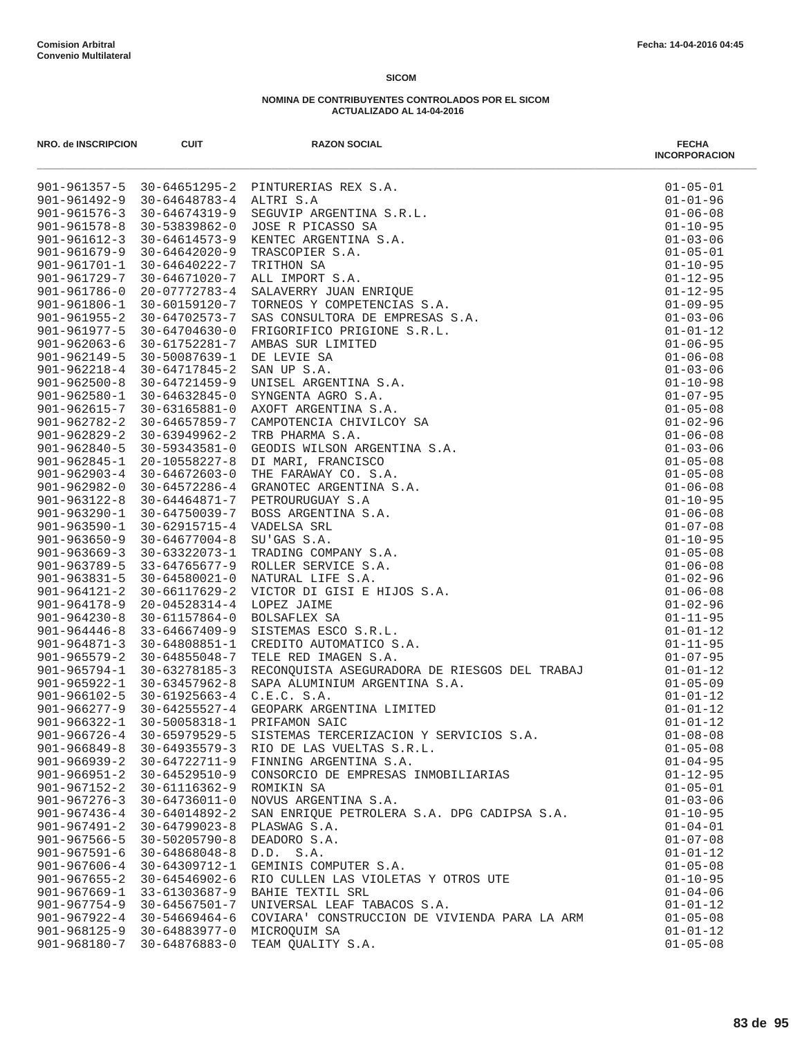| NRO. de INSCRIPCION                      | <b>CUIT</b>                          | <b>RAZON SOCIAL</b><br>PINTURERIAS REX S.A.<br>ALTRI S.A.<br>SEGUVIP ARGENTINA S.R.L.<br>SEGUVIP ARGENTINA S.R.L.<br>XENTEC ARGENTINA S.A.<br>XENTEC ARGENTINA S.A.<br>TEITHON SA<br>ALLIMPORT S.A.<br>ALLIMPORT S.R.<br>SALAVERY JUNA ENRICUE DE EMPRESAS S.A.<br>FRICANCISTICO PR | <b>FECHA</b><br><b>INCORPORACION</b> |
|------------------------------------------|--------------------------------------|-------------------------------------------------------------------------------------------------------------------------------------------------------------------------------------------------------------------------------------------------------------------------------------|--------------------------------------|
|                                          |                                      | 901-961357-5 30-64651295-2 PINTURERIAS REX S.A.                                                                                                                                                                                                                                     | $01 - 05 - 01$                       |
|                                          | 901-961492-9 30-64648783-4 ALTRI S.A |                                                                                                                                                                                                                                                                                     | $01 - 01 - 96$                       |
| $901 - 961576 - 3$                       | 30-64674319-9                        |                                                                                                                                                                                                                                                                                     | $01 - 06 - 08$                       |
| $901 - 961578 - 8$                       | 30-53839862-0                        |                                                                                                                                                                                                                                                                                     | $01 - 10 - 95$                       |
| $901 - 961612 - 3$                       | 30-64614573-9                        |                                                                                                                                                                                                                                                                                     | $01 - 03 - 06$                       |
| $901 - 961679 - 9$                       | 30-64642020-9                        |                                                                                                                                                                                                                                                                                     | $01 - 05 - 01$                       |
| $901 - 961701 - 1$                       | 30-64640222-7                        |                                                                                                                                                                                                                                                                                     | $01 - 10 - 95$                       |
| 901-961729-7                             |                                      | 30-64671020-7 ALL IMPORT S.A.                                                                                                                                                                                                                                                       | $01 - 12 - 95$                       |
| $901 - 961786 - 0$                       | $20 - 07772783 - 4$                  |                                                                                                                                                                                                                                                                                     | $01 - 12 - 95$                       |
| 901-961806-1                             | 30-60159120-7                        |                                                                                                                                                                                                                                                                                     | $01 - 09 - 95$                       |
| $901 - 961955 - 2$                       | 30-64702573-7                        |                                                                                                                                                                                                                                                                                     | $01 - 03 - 06$                       |
| 901-961977-5                             | $30 - 64704630 - 0$                  |                                                                                                                                                                                                                                                                                     | $01 - 01 - 12$                       |
| $901 - 962063 - 6$                       | 30-61752281-7                        |                                                                                                                                                                                                                                                                                     | $01 - 06 - 95$                       |
| $901 - 962149 - 5$                       | 30-50087639-1                        |                                                                                                                                                                                                                                                                                     | $01 - 06 - 08$                       |
| $901 - 962218 - 4$                       | 30-64717845-2                        |                                                                                                                                                                                                                                                                                     | $01 - 03 - 06$                       |
| $901 - 962500 - 8$<br>$901 - 962580 - 1$ | 30-64721459-9<br>30-64632845-0       |                                                                                                                                                                                                                                                                                     | $01 - 10 - 98$<br>$01 - 07 - 95$     |
| 901-962615-7                             | $30 - 63165881 - 0$                  |                                                                                                                                                                                                                                                                                     | $01 - 05 - 08$                       |
| $901 - 962782 - 2$                       | 30-64657859-7                        |                                                                                                                                                                                                                                                                                     | $01 - 02 - 96$                       |
| $901 - 962829 - 2$                       | 30-63949962-2                        |                                                                                                                                                                                                                                                                                     | $01 - 06 - 08$                       |
| $901 - 962840 - 5$                       | $30 - 59343581 - 0$                  |                                                                                                                                                                                                                                                                                     | $01 - 03 - 06$                       |
| $901 - 962845 - 1$                       | 20-10558227-8                        |                                                                                                                                                                                                                                                                                     | $01 - 05 - 08$                       |
|                                          | $901 - 962903 - 4$ 30-64672603-0     |                                                                                                                                                                                                                                                                                     | $01 - 05 - 08$                       |
| $901 - 962982 - 0$                       | 30-64572286-4                        |                                                                                                                                                                                                                                                                                     | $01 - 06 - 08$                       |
| $901 - 963122 - 8$                       | 30-64464871-7                        |                                                                                                                                                                                                                                                                                     | $01 - 10 - 95$                       |
| $901 - 963290 - 1$                       | 30-64750039-7                        |                                                                                                                                                                                                                                                                                     | $01 - 06 - 08$                       |
| $901 - 963590 - 1$                       | 30-62915715-4                        |                                                                                                                                                                                                                                                                                     | $01 - 07 - 08$                       |
| $901 - 963650 - 9$                       | $30 - 64677004 - 8$                  |                                                                                                                                                                                                                                                                                     | $01 - 10 - 95$                       |
| $901 - 963669 - 3$                       | 30-63322073-1                        |                                                                                                                                                                                                                                                                                     | $01 - 05 - 08$                       |
| $901 - 963789 - 5$                       | 33-64765677-9                        |                                                                                                                                                                                                                                                                                     | $01 - 06 - 08$                       |
| $901 - 963831 - 5$                       | 30-64580021-0                        |                                                                                                                                                                                                                                                                                     | $01 - 02 - 96$                       |
| 901-964121-2                             | 30-66117629-2                        |                                                                                                                                                                                                                                                                                     | $01 - 06 - 08$                       |
| $901 - 964178 - 9$                       | $20 - 04528314 - 4$                  |                                                                                                                                                                                                                                                                                     | $01 - 02 - 96$                       |
| $901 - 964230 - 8$                       | 30-61157864-0                        |                                                                                                                                                                                                                                                                                     | $01 - 11 - 95$                       |
| $901 - 964446 - 8$                       | 33-64667409-9                        |                                                                                                                                                                                                                                                                                     | $01 - 01 - 12$                       |
| $901 - 964871 - 3$                       | 30-64808851-1                        |                                                                                                                                                                                                                                                                                     | $01 - 11 - 95$                       |
| $901 - 965579 - 2$                       | 30-64855048-7                        |                                                                                                                                                                                                                                                                                     | $01 - 07 - 95$                       |
| $901 - 965794 - 1$                       | 30-63278185-3                        |                                                                                                                                                                                                                                                                                     | $01 - 01 - 12$                       |
| $901 - 965922 - 1$                       | $30 - 63457962 - 8$                  |                                                                                                                                                                                                                                                                                     | $01 - 05 - 09$                       |
| 901-966102-5                             | 30-61925663-4                        |                                                                                                                                                                                                                                                                                     | $01 - 01 - 12$                       |
|                                          | 901-966277-9 30-64255527-4           | RECONQUISTA ASEGURADORA DE RIESGOS DEL TRABAJ<br>SAPA ALUMINIUM ARGENTINA S.A.<br>C.E.C. S.A.<br>GEOPARK ARGENTINA LIMITED<br>PRIFAMON SAIC<br>AIRITANA ARIC                                                                                                                        | $01 - 01 - 12$                       |
| $901 - 966322 - 1$                       | 30-50058318-1                        |                                                                                                                                                                                                                                                                                     | $01 - 01 - 12$                       |
| $901 - 966726 - 4$<br>$901 - 966849 - 8$ | 30-65979529-5<br>30-64935579-3       | SISTEMAS TERCERIZACION Y SERVICIOS S.A.                                                                                                                                                                                                                                             | $01 - 08 - 08$<br>$01 - 05 - 08$     |
| $901 - 966939 - 2$                       | 30-64722711-9                        | RIO DE LAS VUELTAS S.R.L.<br>FINNING ARGENTINA S.A.                                                                                                                                                                                                                                 | $01 - 04 - 95$                       |
| $901 - 966951 - 2$                       | $30 - 64529510 - 9$                  | CONSORCIO DE EMPRESAS INMOBILIARIAS                                                                                                                                                                                                                                                 | $01 - 12 - 95$                       |
| $901 - 967152 - 2$                       | 30-61116362-9                        | ROMIKIN SA                                                                                                                                                                                                                                                                          | $01 - 05 - 01$                       |
| $901 - 967276 - 3$                       | 30-64736011-0                        | NOVUS ARGENTINA S.A.                                                                                                                                                                                                                                                                | $01 - 03 - 06$                       |
| $901 - 967436 - 4$                       | 30-64014892-2                        | SAN ENRIQUE PETROLERA S.A. DPG CADIPSA S.A.                                                                                                                                                                                                                                         | $01 - 10 - 95$                       |
| $901 - 967491 - 2$                       | $30 - 64799023 - 8$                  | PLASWAG S.A.                                                                                                                                                                                                                                                                        | $01 - 04 - 01$                       |
| $901 - 967566 - 5$                       | $30 - 50205790 - 8$                  | DEADORO S.A.                                                                                                                                                                                                                                                                        | $01 - 07 - 08$                       |
| $901 - 967591 - 6$                       | 30-64868048-8                        | D.D. S.A.                                                                                                                                                                                                                                                                           | $01 - 01 - 12$                       |
| $901 - 967606 - 4$                       | 30-64309712-1                        | GEMINIS COMPUTER S.A.                                                                                                                                                                                                                                                               | $01 - 05 - 08$                       |
| $901 - 967655 - 2$                       | 30-64546902-6                        | RIO CULLEN LAS VIOLETAS Y OTROS UTE                                                                                                                                                                                                                                                 | $01 - 10 - 95$                       |
| $901 - 967669 - 1$                       | 33-61303687-9                        | BAHIE TEXTIL SRL                                                                                                                                                                                                                                                                    | $01 - 04 - 06$                       |
|                                          | 901-967754-9 30-64567501-7           | UNIVERSAL LEAF TABACOS S.A.                                                                                                                                                                                                                                                         | $01 - 01 - 12$                       |
| 901-967922-4                             | 30-54669464-6                        | COVIARA' CONSTRUCCION DE VIVIENDA PARA LA ARM                                                                                                                                                                                                                                       | $01 - 05 - 08$                       |
|                                          | 901-968125-9 30-64883977-0           | MICROQUIM SA                                                                                                                                                                                                                                                                        | $01 - 01 - 12$                       |
| 901-968180-7                             | 30-64876883-0                        | TEAM QUALITY S.A.                                                                                                                                                                                                                                                                   | $01 - 05 - 08$                       |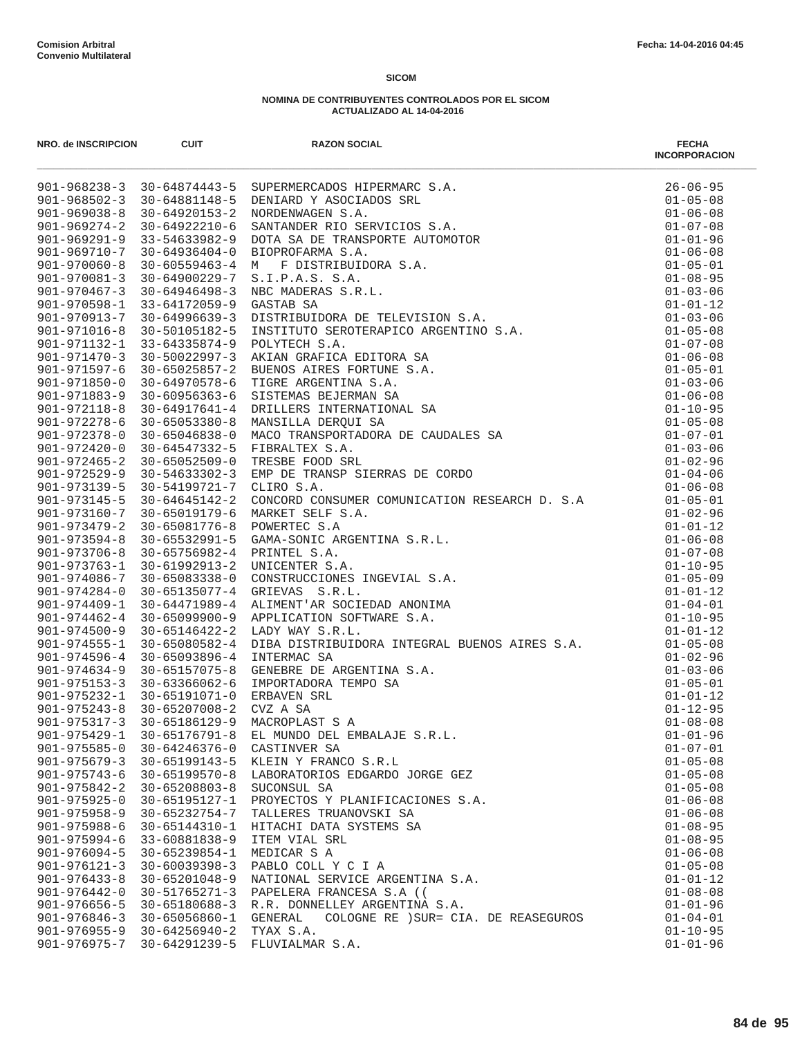| NRO. de INSCRIPCION | <b>CUIT</b>                                       | <b>RAZON SOCIAL</b>                                                                                                                                                                                                                        | <b>FECHA</b><br><b>INCORPORACION</b> |
|---------------------|---------------------------------------------------|--------------------------------------------------------------------------------------------------------------------------------------------------------------------------------------------------------------------------------------------|--------------------------------------|
|                     |                                                   | 901-968238-3 30-64874443-5 SUPERMERCADOS HIPERMARC S.A.<br>901-968502-3 30-64881148-5 DENIARD Y ASOCIADOS SRL<br>901-969038-8 30-64920153-2 NORDENWAREN S.A.<br>901-969328-8 30-64920153-2 NORDENWAREN S.A.<br>901-96921-9 33-54633982-9 D | $26 - 06 - 95$                       |
|                     |                                                   |                                                                                                                                                                                                                                            | $01 - 05 - 08$                       |
|                     |                                                   |                                                                                                                                                                                                                                            | $01 - 06 - 08$                       |
|                     |                                                   |                                                                                                                                                                                                                                            | $01 - 07 - 08$                       |
|                     |                                                   |                                                                                                                                                                                                                                            | $01 - 01 - 96$                       |
|                     |                                                   |                                                                                                                                                                                                                                            | $01 - 06 - 08$                       |
|                     |                                                   |                                                                                                                                                                                                                                            | $01 - 05 - 01$                       |
|                     |                                                   |                                                                                                                                                                                                                                            | $01 - 08 - 95$                       |
|                     |                                                   |                                                                                                                                                                                                                                            | $01 - 03 - 06$                       |
|                     |                                                   |                                                                                                                                                                                                                                            | $01 - 01 - 12$                       |
|                     |                                                   |                                                                                                                                                                                                                                            | $01 - 03 - 06$                       |
|                     |                                                   |                                                                                                                                                                                                                                            | $01 - 05 - 08$                       |
|                     |                                                   |                                                                                                                                                                                                                                            | $01 - 07 - 08$                       |
|                     |                                                   |                                                                                                                                                                                                                                            | $01 - 06 - 08$                       |
|                     |                                                   |                                                                                                                                                                                                                                            | $01 - 05 - 01$                       |
|                     |                                                   |                                                                                                                                                                                                                                            | $01 - 03 - 06$                       |
|                     |                                                   |                                                                                                                                                                                                                                            | $01 - 06 - 08$<br>$01 - 10 - 95$     |
|                     |                                                   |                                                                                                                                                                                                                                            |                                      |
|                     |                                                   |                                                                                                                                                                                                                                            | $01 - 05 - 08$                       |
|                     |                                                   |                                                                                                                                                                                                                                            | $01 - 07 - 01$<br>$01 - 03 - 06$     |
|                     |                                                   |                                                                                                                                                                                                                                            | $01 - 02 - 96$                       |
|                     |                                                   |                                                                                                                                                                                                                                            | $01 - 04 - 06$                       |
|                     |                                                   |                                                                                                                                                                                                                                            |                                      |
| $901 - 973145 - 5$  | 30-64645142-2                                     |                                                                                                                                                                                                                                            |                                      |
| 901-973160-7        | 30-65019179-6                                     |                                                                                                                                                                                                                                            |                                      |
| $901 - 973479 - 2$  | 30-65081776-8                                     |                                                                                                                                                                                                                                            |                                      |
| $901 - 973594 - 8$  | 30-65532991-5                                     |                                                                                                                                                                                                                                            |                                      |
| $901 - 973706 - 8$  | 30-65756982-4 PRINTEL S.A.                        |                                                                                                                                                                                                                                            |                                      |
| $901 - 973763 - 1$  | 30-61992913-2                                     |                                                                                                                                                                                                                                            |                                      |
| 901-974086-7        | 30-65083338-0                                     |                                                                                                                                                                                                                                            |                                      |
| $901 - 974284 - 0$  | 30-65135077-4                                     |                                                                                                                                                                                                                                            |                                      |
| $901 - 974409 - 1$  | 30-64471989-4                                     |                                                                                                                                                                                                                                            |                                      |
| $901 - 974462 - 4$  | 30-65099900-9                                     |                                                                                                                                                                                                                                            |                                      |
| $901 - 974500 - 9$  | 30-65146422-2                                     |                                                                                                                                                                                                                                            |                                      |
| $901 - 974555 - 1$  | 30-65080582-4                                     |                                                                                                                                                                                                                                            |                                      |
| $901 - 974596 - 4$  | 30-65093896-4                                     |                                                                                                                                                                                                                                            |                                      |
|                     | 901-974634-9 30-65157075-8                        | GENEBRE DE ARGENTINA S.A.                                                                                                                                                                                                                  | $01 - 03 - 06$                       |
|                     | $901 - 975153 - 3$ 30-63366062-6                  | IMPORTADORA TEMPO SA                                                                                                                                                                                                                       | $01 - 05 - 01$                       |
|                     | 901-975232-1 30-65191071-0                        | ERBAVEN SRL                                                                                                                                                                                                                                | $01 - 01 - 12$                       |
|                     | $901 - 975243 - 8$ 30-65207008-2                  | CVZ A SA                                                                                                                                                                                                                                   | $01 - 12 - 95$                       |
|                     | 901-975317-3 30-65186129-9                        | INIEGRAL BOENOS AIRES S.A.<br>NA S.A.<br>SA<br>MACROPLAST S A                                                                                                                                                                              | $01 - 08 - 08$                       |
| $901 - 975429 - 1$  | $30 - 65176791 - 8$                               | EL MUNDO DEL EMBALAJE S.R.L.                                                                                                                                                                                                               | $01 - 01 - 96$                       |
| $901 - 975585 - 0$  | 30-64246376-0                                     | CASTINVER SA                                                                                                                                                                                                                               | $01 - 07 - 01$                       |
| $901 - 975679 - 3$  | 30-65199143-5                                     | KLEIN Y FRANCO S.R.L                                                                                                                                                                                                                       | $01 - 05 - 08$                       |
| $901 - 975743 - 6$  | $30 - 65199570 - 8$                               | LABORATORIOS EDGARDO JORGE GEZ                                                                                                                                                                                                             | $01 - 05 - 08$                       |
| $901 - 975842 - 2$  | $30 - 65208803 - 8$                               | SUCONSUL SA                                                                                                                                                                                                                                | $01 - 05 - 08$                       |
| $901 - 975925 - 0$  | 30-65195127-1                                     | PROYECTOS Y PLANIFICACIONES S.A.                                                                                                                                                                                                           | $01 - 06 - 08$                       |
| $901 - 975958 - 9$  | 30-65232754-7                                     | TALLERES TRUANOVSKI SA                                                                                                                                                                                                                     | $01 - 06 - 08$                       |
| $901 - 975988 - 6$  | 30-65144310-1                                     | HITACHI DATA SYSTEMS SA                                                                                                                                                                                                                    | $01 - 08 - 95$                       |
| $901 - 975994 - 6$  | 33-60881838-9                                     | ITEM VIAL SRL                                                                                                                                                                                                                              | $01 - 08 - 95$                       |
| $901 - 976094 - 5$  | 30-65239854-1                                     | MEDICAR S A                                                                                                                                                                                                                                | $01 - 06 - 08$                       |
| $901 - 976121 - 3$  | $30 - 60039398 - 3$                               | PABLO COLL Y C I A                                                                                                                                                                                                                         | $01 - 05 - 08$                       |
| $901 - 976433 - 8$  | 30-65201048-9                                     | NATIONAL SERVICE ARGENTINA S.A.                                                                                                                                                                                                            | $01 - 01 - 12$                       |
| $901 - 976442 - 0$  | 30-51765271-3                                     | PAPELERA FRANCESA S.A ((                                                                                                                                                                                                                   | $01 - 08 - 08$                       |
| $901 - 976656 - 5$  | 30-65180688-3                                     | R.R. DONNELLEY ARGENTINA S.A.                                                                                                                                                                                                              | $01 - 01 - 96$                       |
| $901 - 976846 - 3$  | 30-65056860-1<br>$901 - 976955 - 9$ 30-64256940-2 | COLOGNE RE ) SUR= CIA. DE REASEGUROS<br>GENERAL<br>TYAX S.A.                                                                                                                                                                               | $01 - 04 - 01$<br>$01 - 10 - 95$     |
| 901-976975-7        | 30-64291239-5                                     | FLUVIALMAR S.A.                                                                                                                                                                                                                            | $01 - 01 - 96$                       |
|                     |                                                   |                                                                                                                                                                                                                                            |                                      |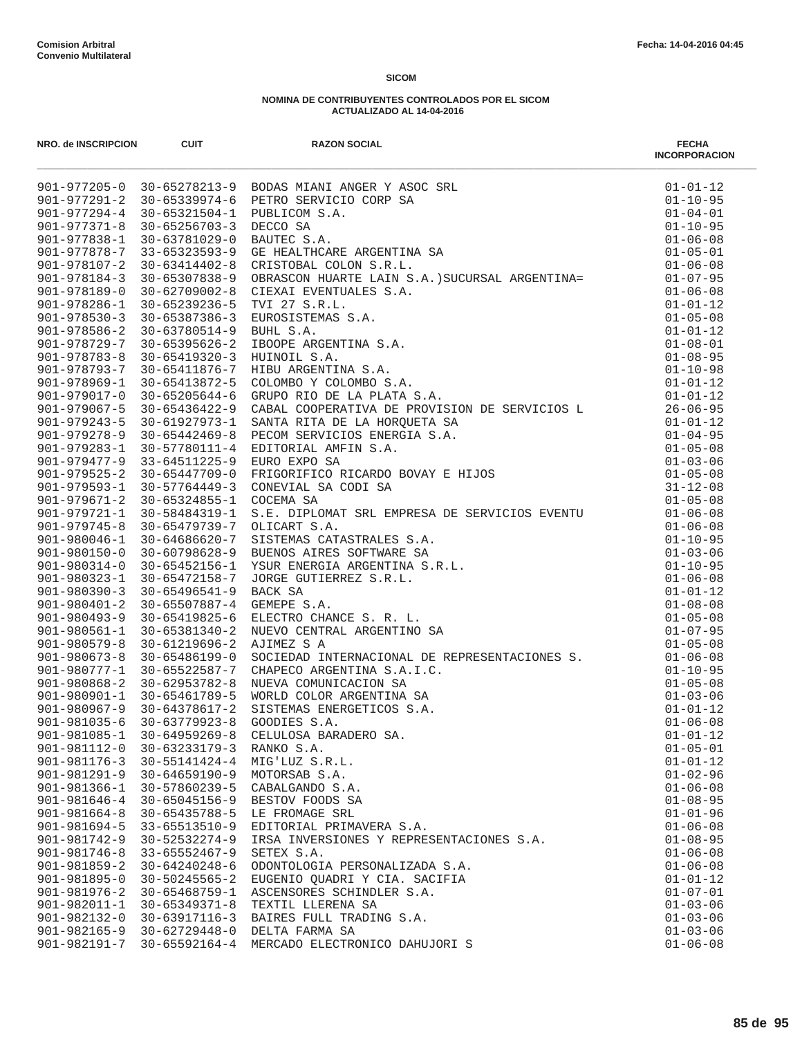| NRO. de INSCRIPCION                | <b>CUIT</b>                                | <b>RAZON SOCIAL</b>                      | <b>FECHA</b><br><b>INCORPORACION</b> |
|------------------------------------|--------------------------------------------|------------------------------------------|--------------------------------------|
|                                    |                                            |                                          |                                      |
|                                    |                                            |                                          |                                      |
|                                    |                                            |                                          |                                      |
|                                    |                                            |                                          |                                      |
|                                    |                                            |                                          |                                      |
|                                    |                                            |                                          |                                      |
|                                    |                                            |                                          |                                      |
|                                    |                                            |                                          |                                      |
|                                    |                                            |                                          |                                      |
|                                    |                                            |                                          |                                      |
|                                    |                                            |                                          |                                      |
|                                    |                                            |                                          |                                      |
|                                    |                                            |                                          |                                      |
|                                    |                                            |                                          |                                      |
|                                    |                                            |                                          |                                      |
|                                    |                                            |                                          |                                      |
|                                    |                                            |                                          |                                      |
|                                    |                                            |                                          |                                      |
|                                    |                                            |                                          |                                      |
|                                    |                                            |                                          |                                      |
|                                    |                                            |                                          |                                      |
|                                    |                                            |                                          |                                      |
|                                    |                                            |                                          |                                      |
|                                    |                                            |                                          |                                      |
| 901-979721-1                       | 30-58484319-1                              |                                          |                                      |
| $901 - 979745 - 8$                 | 30-65479739-7                              |                                          |                                      |
| 901-980046-1                       | 30-64686620-7                              |                                          |                                      |
| 901-980150-0                       |                                            | 30-60798628-9 BUENOS AIRES SOFTWARE SA   |                                      |
| $901 - 980314 - 0$                 | 30-65452156-1                              |                                          |                                      |
| 901-980323-1                       | 30-65472158-7                              |                                          |                                      |
| $901 - 980390 - 3$                 | 30-65496541-9                              |                                          |                                      |
| $901 - 980401 - 2$                 | 30-65507887-4                              |                                          |                                      |
| $901 - 980493 - 9$                 | 30-65419825-6                              |                                          |                                      |
| $901 - 980561 - 1$                 | 30-65381340-2                              |                                          |                                      |
| $901 - 980579 - 8$                 | 30-61219696-2                              |                                          |                                      |
| $901 - 980673 - 8$                 | 30-65486199-0                              |                                          |                                      |
| 901-980777-1                       | 30-65522587-7                              |                                          |                                      |
| $901 - 980868 - 2$                 | 30-62953782-8                              |                                          |                                      |
|                                    | 901-980901-1 30-65461789-5                 |                                          |                                      |
|                                    | 901-980967-9 30-64378617-2                 |                                          |                                      |
| $901 - 981035 - 6$<br>901-981085-1 | $30 - 63779923 - 8$<br>$30 - 64959269 - 8$ | CELULOSA BARADERO SA.                    | $01 - 01 - 12$                       |
| 901-981112-0                       | 30-63233179-3                              | RANKO S.A.                               | $01 - 05 - 01$                       |
| $901 - 981176 - 3$                 | 30-55141424-4                              | MIG'LUZ S.R.L.                           | $01 - 01 - 12$                       |
| $901 - 981291 - 9$                 | $30 - 64659190 - 9$                        | MOTORSAB S.A.                            | $01 - 02 - 96$                       |
| $901 - 981366 - 1$                 | 30-57860239-5                              | CABALGANDO S.A.                          | $01 - 06 - 08$                       |
| $901 - 981646 - 4$                 | 30-65045156-9                              | BESTOV FOODS SA                          | $01 - 08 - 95$                       |
| $901 - 981664 - 8$                 | 30-65435788-5                              | LE FROMAGE SRL                           | $01 - 01 - 96$                       |
| $901 - 981694 - 5$                 | 33-65513510-9                              | EDITORIAL PRIMAVERA S.A.                 | $01 - 06 - 08$                       |
| $901 - 981742 - 9$                 | $30 - 52532274 - 9$                        | IRSA INVERSIONES Y REPRESENTACIONES S.A. | $01 - 08 - 95$                       |
| $901 - 981746 - 8$                 | $33 - 65552467 - 9$                        | SETEX S.A.                               | $01 - 06 - 08$                       |
| $901 - 981859 - 2$                 | $30 - 64240248 - 6$                        | ODONTOLOGIA PERSONALIZADA S.A.           | $01 - 06 - 08$                       |
| 901-981895-0                       | $30 - 50245565 - 2$                        | EUGENIO QUADRI Y CIA. SACIFIA            | $01 - 01 - 12$                       |
| $901 - 981976 - 2$                 | $30 - 65468759 - 1$                        | ASCENSORES SCHINDLER S.A.                | $01 - 07 - 01$                       |
| 901-982011-1                       | $30 - 65349371 - 8$                        | TEXTIL LLERENA SA                        | $01 - 03 - 06$                       |
| 901-982132-0                       | $30 - 63917116 - 3$                        | BAIRES FULL TRADING S.A.                 | $01 - 03 - 06$                       |
| $901 - 982165 - 9$                 | $30 - 62729448 - 0$                        | DELTA FARMA SA                           | $01 - 03 - 06$                       |
| $901 - 982191 - 7$                 | $30 - 65592164 - 4$                        | MERCADO ELECTRONICO DAHUJORI S           | $01 - 06 - 08$                       |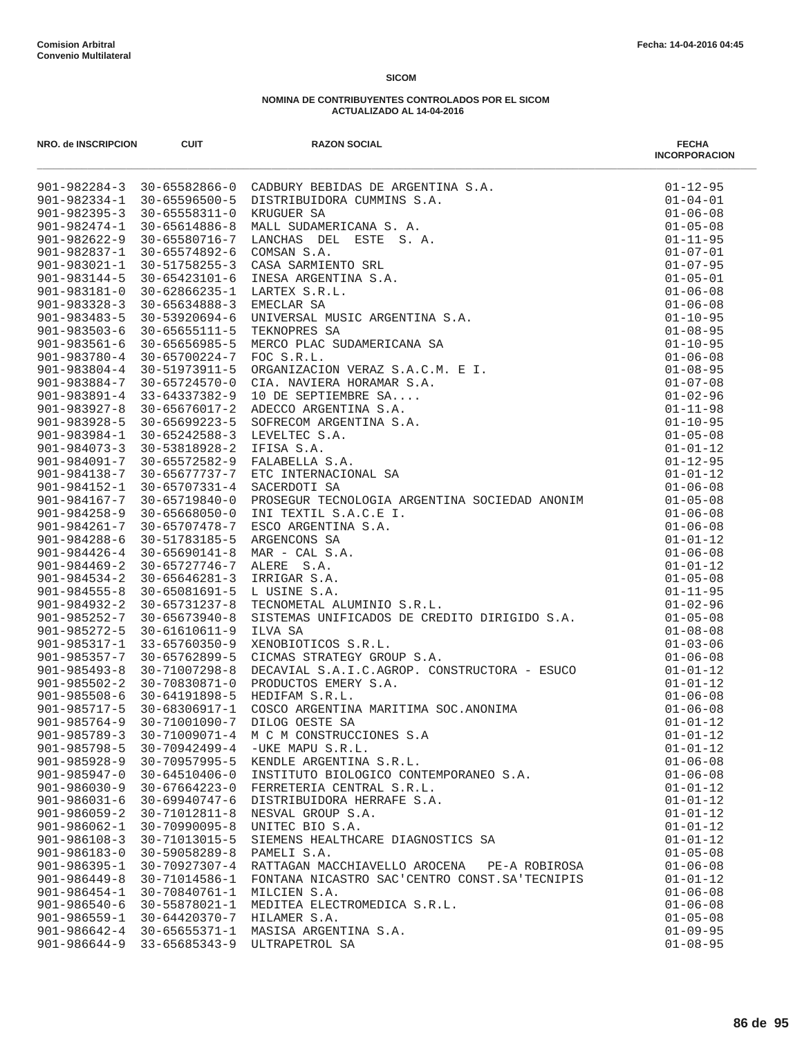| NRO. de INSCRIPCION                      | <b>CUIT</b>                          | <b>RAZON SOCIAL</b>                                                                                                                                                                                                                               | <b>FECHA</b><br><b>INCORPORACION</b> |
|------------------------------------------|--------------------------------------|---------------------------------------------------------------------------------------------------------------------------------------------------------------------------------------------------------------------------------------------------|--------------------------------------|
|                                          |                                      | 901-982284-3 30-65582866-0 CADBURY BEBIDAS DE ARGENTINA S.A.<br>901-982395-3 30-65582811-0 KRUQUER SA CUMMINS S.A.<br>901-982395-3 30-6558311-0 KRUQUER SA A.<br>901-982474-1 30-655818116-6 NALL SUDAMERICANA S.A.<br>901-982474-1 30-655        | $01 - 12 - 95$                       |
|                                          |                                      |                                                                                                                                                                                                                                                   | $01 - 04 - 01$                       |
|                                          |                                      |                                                                                                                                                                                                                                                   | $01 - 06 - 08$                       |
|                                          |                                      |                                                                                                                                                                                                                                                   | $01 - 05 - 08$                       |
|                                          |                                      |                                                                                                                                                                                                                                                   | $01 - 11 - 95$                       |
|                                          |                                      |                                                                                                                                                                                                                                                   | $01 - 07 - 01$                       |
|                                          |                                      |                                                                                                                                                                                                                                                   | $01 - 07 - 95$                       |
|                                          |                                      |                                                                                                                                                                                                                                                   | $01 - 05 - 01$                       |
|                                          |                                      |                                                                                                                                                                                                                                                   | $01 - 06 - 08$                       |
|                                          |                                      |                                                                                                                                                                                                                                                   | $01 - 06 - 08$<br>$01 - 10 - 95$     |
|                                          |                                      |                                                                                                                                                                                                                                                   | $01 - 08 - 95$                       |
|                                          |                                      |                                                                                                                                                                                                                                                   | $01 - 10 - 95$                       |
|                                          |                                      |                                                                                                                                                                                                                                                   | $01 - 06 - 08$                       |
|                                          |                                      |                                                                                                                                                                                                                                                   | $01 - 08 - 95$                       |
|                                          |                                      |                                                                                                                                                                                                                                                   | $01 - 07 - 08$                       |
|                                          |                                      |                                                                                                                                                                                                                                                   | $01 - 02 - 96$                       |
|                                          |                                      |                                                                                                                                                                                                                                                   | $01 - 11 - 98$                       |
|                                          |                                      |                                                                                                                                                                                                                                                   | $01 - 10 - 95$                       |
|                                          |                                      |                                                                                                                                                                                                                                                   | $01 - 05 - 08$                       |
|                                          |                                      |                                                                                                                                                                                                                                                   | $01 - 01 - 12$                       |
|                                          |                                      |                                                                                                                                                                                                                                                   | $01 - 12 - 95$                       |
|                                          |                                      |                                                                                                                                                                                                                                                   | $01 - 01 - 12$                       |
|                                          |                                      | SACERDOTI SA<br>PROSEGUR TECNOLOGIA ARGENTINA SOCIEDAD ANONIM<br>INI TEXTIL S.A.C.E I.<br>ESCO ARGENTINA S.A.<br>ARGENCONS SA<br>MAR - CAL S.A.<br>ALERE S.A.<br>IRRIGAR S.A.<br>LUSINE S.A.<br>TECNOMETAL ALUMINIO S.R.L.<br>SISTEMAS UNIFICADOS | $01 - 06 - 08$                       |
| $901 - 984167 - 7$                       | 30-65719840-0                        |                                                                                                                                                                                                                                                   | $01 - 05 - 08$                       |
| $901 - 984258 - 9$                       | 30-65668050-0                        |                                                                                                                                                                                                                                                   | $01 - 06 - 08$                       |
| $901 - 984261 - 7$                       | 30-65707478-7                        |                                                                                                                                                                                                                                                   | $01 - 06 - 08$                       |
| $901 - 984288 - 6$                       | 30-51783185-5                        |                                                                                                                                                                                                                                                   | $01 - 01 - 12$                       |
| $901 - 984426 - 4$                       | $30 - 65690141 - 8$                  |                                                                                                                                                                                                                                                   | $01 - 06 - 08$                       |
| $901 - 984469 - 2$                       | 30-65727746-7                        |                                                                                                                                                                                                                                                   | $01 - 01 - 12$                       |
| $901 - 984534 - 2$                       | 30-65646281-3                        |                                                                                                                                                                                                                                                   | $01 - 05 - 08$                       |
| $901 - 984555 - 8$<br>$901 - 984932 - 2$ | 30-65081691-5<br>$30 - 65731237 - 8$ |                                                                                                                                                                                                                                                   | $01 - 11 - 95$<br>$01 - 02 - 96$     |
| $901 - 985252 - 7$                       | $30 - 65673940 - 8$                  |                                                                                                                                                                                                                                                   | $01 - 05 - 08$                       |
| $901 - 985272 - 5$                       | 30-61610611-9                        |                                                                                                                                                                                                                                                   | $01 - 08 - 08$                       |
| 901-985317-1                             | $33 - 65760350 - 9$                  | XENOBIOTICOS S.R.L.                                                                                                                                                                                                                               | $01 - 03 - 06$                       |
| $901 - 985357 - 7$                       | 30-65762899-5                        |                                                                                                                                                                                                                                                   | $01 - 06 - 08$                       |
| $901 - 985493 - 8$                       | 30-71007298-8                        |                                                                                                                                                                                                                                                   | $01 - 01 - 12$                       |
| $901 - 985502 - 2$                       | 30-70830871-0                        |                                                                                                                                                                                                                                                   | $01 - 01 - 12$                       |
| $901 - 985508 - 6$                       | 30-64191898-5                        |                                                                                                                                                                                                                                                   | $01 - 06 - 08$                       |
| 901-985717-5                             | 30-68306917-1                        |                                                                                                                                                                                                                                                   | $01 - 06 - 08$                       |
| $901 - 985764 - 9$                       | 30-71001090-7                        | CICMAS STRATEGY GROUP S.A.<br>DECAVIAL S.A.I.C.AGROP. CONSTRUCTORA - ESUCO<br>PRODUCTOS EMERY S.A.<br>HEDIFAM S.R.L.<br>COSCO ARGENTINA MARITIMA SOC.ANONIMA<br>DILOG OESTE SA<br>M.C.M.CONSTRUCIONES S.A.                                        | $01 - 01 - 12$                       |
| $901 - 985789 - 3$                       | $30 - 71009071 - 4$                  | M C M CONSTRUCCIONES S.A                                                                                                                                                                                                                          | $01 - 01 - 12$                       |
| $901 - 985798 - 5$                       | $30 - 70942499 - 4$                  | -UKE MAPU S.R.L.                                                                                                                                                                                                                                  | $01 - 01 - 12$                       |
| $901 - 985928 - 9$                       | 30-70957995-5                        | KENDLE ARGENTINA S.R.L.                                                                                                                                                                                                                           | $01 - 06 - 08$                       |
| $901 - 985947 - 0$                       | $30 - 64510406 - 0$                  | INSTITUTO BIOLOGICO CONTEMPORANEO S.A.                                                                                                                                                                                                            | $01 - 06 - 08$                       |
| $901 - 986030 - 9$                       | $30 - 67664223 - 0$                  | FERRETERIA CENTRAL S.R.L.                                                                                                                                                                                                                         | $01 - 01 - 12$                       |
| $901 - 986031 - 6$                       | 30-69940747-6                        | DISTRIBUIDORA HERRAFE S.A.                                                                                                                                                                                                                        | $01 - 01 - 12$                       |
| $901 - 986059 - 2$                       | 30-71012811-8                        | NESVAL GROUP S.A.                                                                                                                                                                                                                                 | $01 - 01 - 12$                       |
| 901-986062-1                             | $30 - 70990095 - 8$                  | UNITEC BIO S.A.                                                                                                                                                                                                                                   | $01 - 01 - 12$                       |
| $901 - 986108 - 3$                       | 30-71013015-5                        | SIEMENS HEALTHCARE DIAGNOSTICS SA                                                                                                                                                                                                                 | $01 - 01 - 12$                       |
| 901-986183-0                             | $30 - 59058289 - 8$                  | PAMELI S.A.                                                                                                                                                                                                                                       | $01 - 05 - 08$                       |
| 901-986395-1<br>$901 - 986449 - 8$       | $30 - 70927307 - 4$<br>30-71014586-1 | RATTAGAN MACCHIAVELLO AROCENA<br>PE-A ROBIROSA<br>FONTANA NICASTRO SAC'CENTRO CONST. SA'TECNIPIS                                                                                                                                                  | $01 - 06 - 08$<br>$01 - 01 - 12$     |
| $901 - 986454 - 1$                       | 30-70840761-1                        | MILCIEN S.A.                                                                                                                                                                                                                                      | $01 - 06 - 08$                       |
| $901 - 986540 - 6$                       | 30-55878021-1                        | MEDITEA ELECTROMEDICA S.R.L.                                                                                                                                                                                                                      | $01 - 06 - 08$                       |
| $901 - 986559 - 1$                       | 30-64420370-7                        | HILAMER S.A.                                                                                                                                                                                                                                      | $01 - 05 - 08$                       |
| $901 - 986642 - 4$                       | $30 - 65655371 - 1$                  | MASISA ARGENTINA S.A.                                                                                                                                                                                                                             | $01 - 09 - 95$                       |
| $901 - 986644 - 9$                       | 33-65685343-9                        | ULTRAPETROL SA                                                                                                                                                                                                                                    | $01 - 08 - 95$                       |
|                                          |                                      |                                                                                                                                                                                                                                                   |                                      |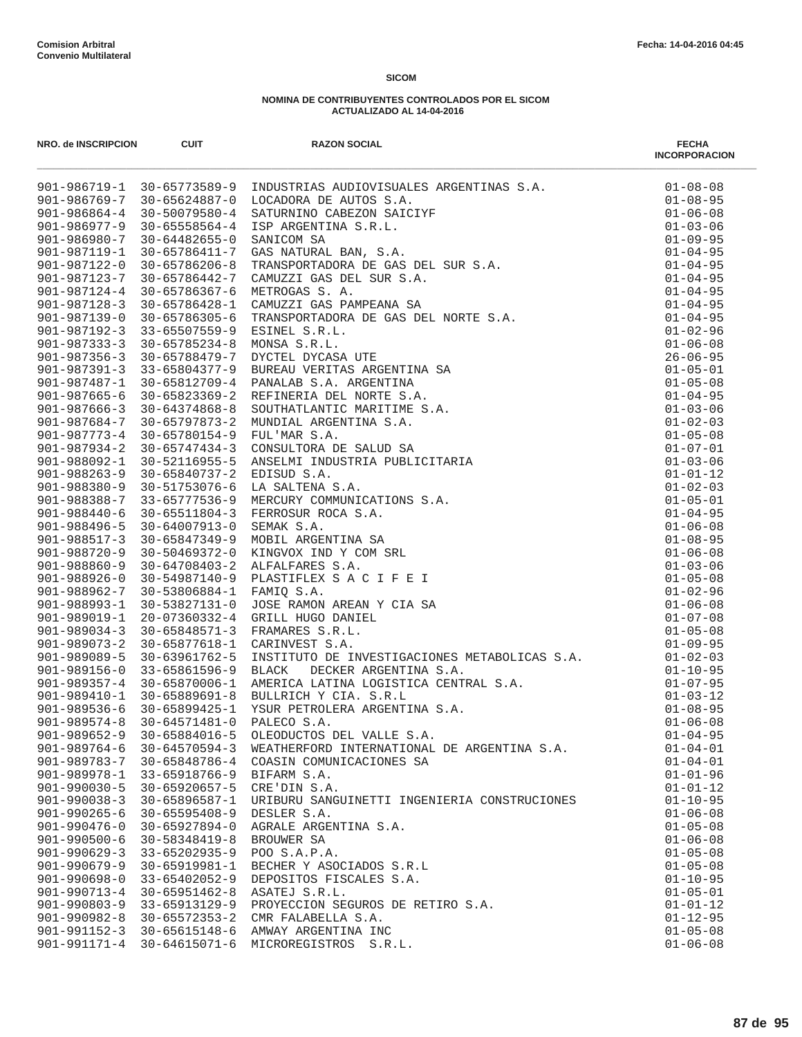| NRO. de INSCRIPCION                      | <b>CUIT</b>                          | <b>RAZON SOCIAL</b>                                                                                                                                                                                                                                 | <b>FECHA</b><br><b>INCORPORACION</b> |
|------------------------------------------|--------------------------------------|-----------------------------------------------------------------------------------------------------------------------------------------------------------------------------------------------------------------------------------------------------|--------------------------------------|
|                                          | 901-986719-1 30-65773589-9           | <b>INDUSTRIAS AUDIOVISUALES ARGENTINAS S.A.</b><br>LOCADORA DE AUTOS S.A.<br>SATURNINO CABEZON SAICIYF<br>SATURNINO CABEZON SAICIYF<br>SANICON SA<br>SANICRAL BAN, S.A.<br>CRANSPORTADORA DE GAS DEL SUR S.A.<br>CAMUZZI GAS DEL SUR S.A.<br>CAMUZZ | $01 - 08 - 08$                       |
|                                          | $901 - 986769 - 7$ 30-65624887-0     |                                                                                                                                                                                                                                                     | $01 - 08 - 95$                       |
| $901 - 986864 - 4$                       | 30-50079580-4                        |                                                                                                                                                                                                                                                     | $01 - 06 - 08$                       |
| $901 - 986977 - 9$                       | $30 - 65558564 - 4$                  |                                                                                                                                                                                                                                                     | $01 - 03 - 06$                       |
| 901-986980-7                             | 30-64482655-0                        |                                                                                                                                                                                                                                                     | $01 - 09 - 95$                       |
| 901-987119-1                             | 30-65786411-7                        |                                                                                                                                                                                                                                                     | $01 - 04 - 95$                       |
| 901-987122-0<br>$901 - 987123 - 7$       | $30 - 65786206 - 8$<br>30-65786442-7 |                                                                                                                                                                                                                                                     | $01 - 04 - 95$<br>$01 - 04 - 95$     |
| $901 - 987124 - 4$                       | $30 - 65786367 - 6$                  |                                                                                                                                                                                                                                                     | $01 - 04 - 95$                       |
| $901 - 987128 - 3$                       | 30-65786428-1                        |                                                                                                                                                                                                                                                     | $01 - 04 - 95$                       |
| 901-987139-0                             | 30-65786305-6                        |                                                                                                                                                                                                                                                     | $01 - 04 - 95$                       |
| $901 - 987192 - 3$                       | $33 - 65507559 - 9$                  |                                                                                                                                                                                                                                                     | $01 - 02 - 96$                       |
| $901 - 987333 - 3$                       | 30-65785234-8                        |                                                                                                                                                                                                                                                     | $01 - 06 - 08$                       |
| $901 - 987356 - 3$                       | 30-65788479-7                        |                                                                                                                                                                                                                                                     | $26 - 06 - 95$                       |
| $901 - 987391 - 3$                       | 33-65804377-9                        |                                                                                                                                                                                                                                                     | $01 - 05 - 01$                       |
| 901-987487-1                             | 30-65812709-4                        |                                                                                                                                                                                                                                                     | $01 - 05 - 08$                       |
|                                          | 901-987665-6 30-65823369-2           |                                                                                                                                                                                                                                                     | $01 - 04 - 95$                       |
| $901 - 987666 - 3$                       | 30-64374868-8                        |                                                                                                                                                                                                                                                     | $01 - 03 - 06$                       |
| 901-987684-7                             |                                      | 30-65797873-2 MUNDIAL ARGENTINA S.A.                                                                                                                                                                                                                | $01 - 02 - 03$                       |
|                                          | 901-987773-4 30-65780154-9           |                                                                                                                                                                                                                                                     | $01 - 05 - 08$                       |
| $901 - 987934 - 2$                       | $30 - 65747434 - 3$                  |                                                                                                                                                                                                                                                     | $01 - 07 - 01$                       |
| 901-988092-1                             | 30-52116955-5                        |                                                                                                                                                                                                                                                     | $01 - 03 - 06$                       |
| $901 - 988263 - 9$                       | 30-65840737-2 EDISUD S.A.            |                                                                                                                                                                                                                                                     | $01 - 01 - 12$                       |
| $901 - 988380 - 9$<br>901-988388-7       | 30-51753076-6<br>33-65777536-9       |                                                                                                                                                                                                                                                     | $01 - 02 - 03$<br>$01 - 05 - 01$     |
| $901 - 988440 - 6$                       | 30-65511804-3                        |                                                                                                                                                                                                                                                     | $01 - 04 - 95$                       |
| 901-988496-5                             | 30-64007913-0                        |                                                                                                                                                                                                                                                     | $01 - 06 - 08$                       |
| $901 - 988517 - 3$                       | 30-65847349-9                        |                                                                                                                                                                                                                                                     | $01 - 08 - 95$                       |
| $901 - 988720 - 9$                       | 30-50469372-0                        |                                                                                                                                                                                                                                                     | $01 - 06 - 08$                       |
| $901 - 988860 - 9$                       | $30 - 64708403 - 2$                  |                                                                                                                                                                                                                                                     | $01 - 03 - 06$                       |
| $901 - 988926 - 0$                       | 30-54987140-9                        |                                                                                                                                                                                                                                                     | $01 - 05 - 08$                       |
| 901-988962-7                             | 30-53806884-1 FAMIQ S.A.             |                                                                                                                                                                                                                                                     | $01 - 02 - 96$                       |
| 901-988993-1                             | 30-53827131-0                        |                                                                                                                                                                                                                                                     | $01 - 06 - 08$                       |
| 901-989019-1                             | 20-07360332-4                        |                                                                                                                                                                                                                                                     | $01 - 07 - 08$                       |
| $901 - 989034 - 3$                       | 30-65848571-3                        |                                                                                                                                                                                                                                                     | $01 - 05 - 08$                       |
| $901 - 989073 - 2$                       | 30-65877618-1                        | CARINVEST S.A.<br>CARINVEST S.A.<br>INSTITUTO DE INVESTIGACIONES METABOLICAS S.A.<br>BLACK DECKER ARGENTINA S.A.<br>AMERICA LATINA LOGISTICA CENTRAL S.A.<br>BULLEICH Y CIA. S.R.L<br>YSUR PETROLERA ARGENTINA S.A.<br>PALECO S.A.<br>O1-03-12      |                                      |
| 901-989089-5                             | 30-63961762-5                        |                                                                                                                                                                                                                                                     |                                      |
| 901-989156-0                             | 33-65861596-9                        |                                                                                                                                                                                                                                                     |                                      |
| $901 - 989357 - 4$                       | 30-65870006-1                        |                                                                                                                                                                                                                                                     |                                      |
| 901-989536-6                             | 901-989410-1 30-65889691-8           | BULLRICH Y CIA. S.R.L<br>30-65899425-1 YSUR PETROLERA ARGENTINA S.A.                                                                                                                                                                                |                                      |
| $901 - 989574 - 8$                       | $30 - 64571481 - 0$                  |                                                                                                                                                                                                                                                     |                                      |
| $901 - 989652 - 9$                       | 30-65884016-5                        | OLEODUCTOS DEL VALLE S.A.                                                                                                                                                                                                                           | $01 - 04 - 95$                       |
| $901 - 989764 - 6$                       | $30 - 64570594 - 3$                  | WEATHERFORD INTERNATIONAL DE ARGENTINA S.A.                                                                                                                                                                                                         | $01 - 04 - 01$                       |
| 901-989783-7                             | 30-65848786-4                        | COASIN COMUNICACIONES SA                                                                                                                                                                                                                            | $01 - 04 - 01$                       |
| 901-989978-1                             | 33-65918766-9                        | BIFARM S.A.                                                                                                                                                                                                                                         | $01 - 01 - 96$                       |
| $901 - 990030 - 5$                       | 30-65920657-5                        | CRE'DIN S.A.                                                                                                                                                                                                                                        | $01 - 01 - 12$                       |
| $901 - 990038 - 3$                       | 30-65896587-1                        | URIBURU SANGUINETTI INGENIERIA CONSTRUCIONES                                                                                                                                                                                                        | $01 - 10 - 95$                       |
| $901 - 990265 - 6$                       | $30 - 65595408 - 9$                  | DESLER S.A.                                                                                                                                                                                                                                         | $01 - 06 - 08$                       |
| $901 - 990476 - 0$                       | $30 - 65927894 - 0$                  | AGRALE ARGENTINA S.A.                                                                                                                                                                                                                               | $01 - 05 - 08$                       |
| $901 - 990500 - 6$                       | $30 - 58348419 - 8$                  | BROUWER SA                                                                                                                                                                                                                                          | $01 - 06 - 08$                       |
| $901 - 990629 - 3$                       | 33-65202935-9                        | POO S.A.P.A.                                                                                                                                                                                                                                        | $01 - 05 - 08$                       |
| $901 - 990679 - 9$                       | $30 - 65919981 - 1$                  | BECHER Y ASOCIADOS S.R.L                                                                                                                                                                                                                            | $01 - 05 - 08$                       |
| 901-990698-0                             | 33-65402052-9                        | DEPOSITOS FISCALES S.A.                                                                                                                                                                                                                             | $01 - 10 - 95$                       |
| $901 - 990713 - 4$                       | $30 - 65951462 - 8$                  | ASATEJ S.R.L.                                                                                                                                                                                                                                       | $01 - 05 - 01$                       |
| $901 - 990803 - 9$                       | 33-65913129-9                        | PROYECCION SEGUROS DE RETIRO S.A.                                                                                                                                                                                                                   | $01 - 01 - 12$                       |
| $901 - 990982 - 8$<br>$901 - 991152 - 3$ | 30-65572353-2<br>30-65615148-6       | CMR FALABELLA S.A.<br>AMWAY ARGENTINA INC                                                                                                                                                                                                           | $01 - 12 - 95$<br>$01 - 05 - 08$     |
| 901-991171-4                             | $30 - 64615071 - 6$                  | MICROREGISTROS S.R.L.                                                                                                                                                                                                                               | $01 - 06 - 08$                       |
|                                          |                                      |                                                                                                                                                                                                                                                     |                                      |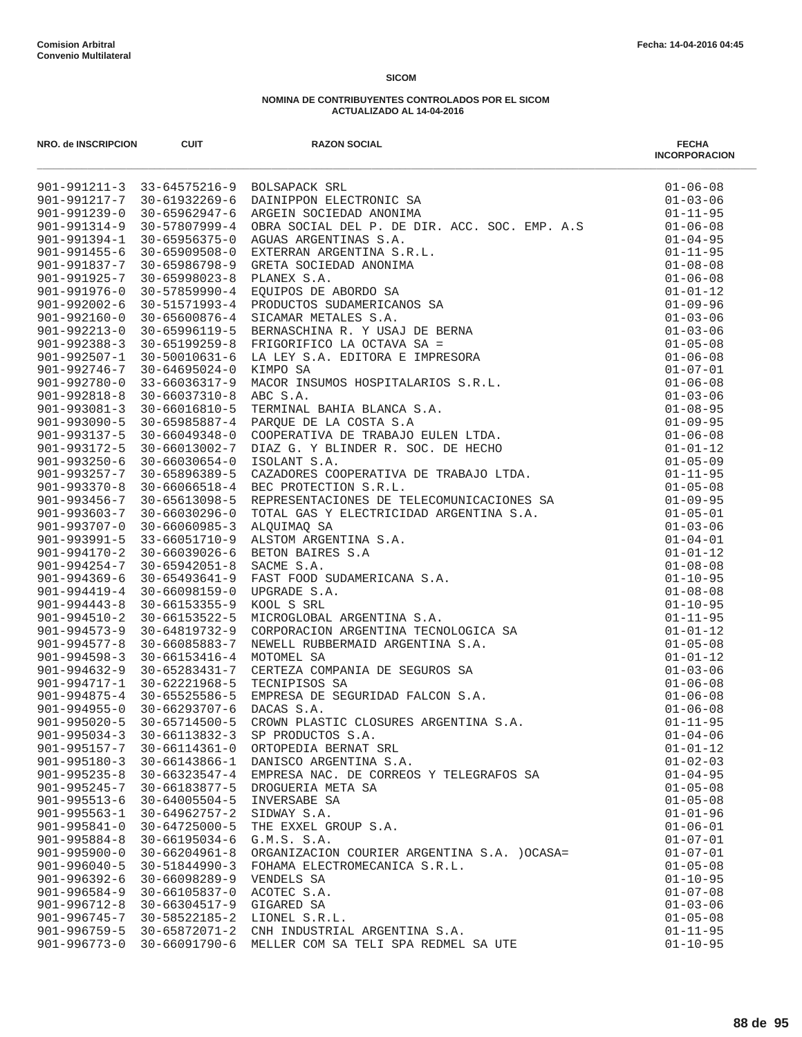| NRO. de INSCRIPCION                      | <b>CUIT</b>                                 | <b>RAZON SOCIAL</b><br>MONIMATION CONTINUES IN A CONTINUES AND MANUSING SERVICES AND ANNOTENT SOURCES AND RESPONSE AND RESPONSE AND RESPONSE AND RESPONSE AND RESPONSE AND RESPONSE AND RESPONSE AND RESPONSE AND RESPONSE AND RESPONSE AND RESPONSE | <b>FECHA</b><br><b>INCORPORACION</b> |
|------------------------------------------|---------------------------------------------|------------------------------------------------------------------------------------------------------------------------------------------------------------------------------------------------------------------------------------------------------|--------------------------------------|
|                                          |                                             | 901-991211-3 33-64575216-9 BOLSAPACK SRL                                                                                                                                                                                                             | $01 - 06 - 08$                       |
|                                          |                                             | 901-991217-7 30-61932269-6 DAINIPPON ELECTRONIC SA                                                                                                                                                                                                   | $01 - 03 - 06$                       |
| 901-991239-0                             | 30-65962947-6                               |                                                                                                                                                                                                                                                      | $01 - 11 - 95$                       |
| 901-991314-9                             | 30-57807999-4                               |                                                                                                                                                                                                                                                      | $01 - 06 - 08$                       |
|                                          | 901-991394-1 30-65956375-0                  |                                                                                                                                                                                                                                                      | $01 - 04 - 95$                       |
|                                          | 901-991455-6 30-65909508-0                  |                                                                                                                                                                                                                                                      | $01 - 11 - 95$                       |
|                                          | 901-991837-7 30-65986798-9                  |                                                                                                                                                                                                                                                      | $01 - 08 - 08$                       |
| 901-991925-7                             | 30-65998023-8                               |                                                                                                                                                                                                                                                      | $01 - 06 - 08$                       |
| $901 - 991976 - 0$<br>$901 - 992002 - 6$ | $30 - 57859990 - 4$                         |                                                                                                                                                                                                                                                      | $01 - 01 - 12$                       |
|                                          | 30-51571993-4                               | 901-992160-0 30-65600876-4 SICAMAR METALES S.A.                                                                                                                                                                                                      | $01 - 09 - 96$                       |
| $901 - 992213 - 0$                       | 30-65996119-5                               |                                                                                                                                                                                                                                                      | $01 - 03 - 06$<br>$01 - 03 - 06$     |
| $901 - 992388 - 3$                       | 30-65199259-8                               |                                                                                                                                                                                                                                                      | $01 - 05 - 08$                       |
| 901-992507-1                             | 30-50010631-6                               |                                                                                                                                                                                                                                                      | $01 - 06 - 08$                       |
| 901-992746-7                             | $30 - 64695024 - 0$                         |                                                                                                                                                                                                                                                      | $01 - 07 - 01$                       |
| 901-992780-0                             | 33-66036317-9                               |                                                                                                                                                                                                                                                      | $01 - 06 - 08$                       |
|                                          | $901 - 992818 - 8$ 30-66037310-8            |                                                                                                                                                                                                                                                      | $01 - 03 - 06$                       |
| $901 - 993081 - 3$                       | 30-66016810-5                               |                                                                                                                                                                                                                                                      | $01 - 08 - 95$                       |
| $901 - 993090 - 5$                       | 30-65985887-4                               |                                                                                                                                                                                                                                                      | $01 - 09 - 95$                       |
|                                          | 901-993137-5 30-66049348-0                  |                                                                                                                                                                                                                                                      | $01 - 06 - 08$                       |
| 901-993172-5                             | 30-66013002-7                               |                                                                                                                                                                                                                                                      | $01 - 01 - 12$                       |
|                                          | $901 - 993250 - 6$ 30-66030654-0            |                                                                                                                                                                                                                                                      | $01 - 05 - 09$                       |
|                                          | 901-993257-7 30-65896389-5                  |                                                                                                                                                                                                                                                      | $01 - 11 - 95$                       |
| $901 - 993370 - 8$                       | $30 - 66066518 - 4$                         |                                                                                                                                                                                                                                                      | $01 - 05 - 08$                       |
|                                          | 901-993456-7 30-65613098-5                  |                                                                                                                                                                                                                                                      | $01 - 09 - 95$                       |
|                                          | 901-993603-7 30-66030296-0                  |                                                                                                                                                                                                                                                      | $01 - 05 - 01$                       |
| 901-993707-0                             | $30 - 66060985 - 3$                         |                                                                                                                                                                                                                                                      | $01 - 03 - 06$                       |
|                                          | 901-993991-5 33-66051710-9                  |                                                                                                                                                                                                                                                      | $01 - 04 - 01$                       |
|                                          | 901-994170-2 30-66039026-6                  |                                                                                                                                                                                                                                                      | $01 - 01 - 12$                       |
| $901 - 994254 - 7$                       | 30-65942051-8                               |                                                                                                                                                                                                                                                      | $01 - 08 - 08$                       |
| $901 - 994369 - 6$                       | $30 - 65493641 - 9$                         |                                                                                                                                                                                                                                                      | $01 - 10 - 95$                       |
| 901-994419-4                             | 30-66098159-0                               |                                                                                                                                                                                                                                                      | $01 - 08 - 08$                       |
| $901 - 994443 - 8$                       | $30 - 66153355 - 9$                         |                                                                                                                                                                                                                                                      | $01 - 10 - 95$                       |
| $901 - 994510 - 2$                       | 30-66153522-5                               |                                                                                                                                                                                                                                                      | $01 - 11 - 95$                       |
|                                          | $901 - 994573 - 9$ 30-64819732-9            |                                                                                                                                                                                                                                                      | $01 - 01 - 12$                       |
| $901 - 994577 - 8$                       | 30-66085883-7                               |                                                                                                                                                                                                                                                      | $01 - 05 - 08$                       |
| $901 - 994598 - 3$                       | 30-66153416-4                               |                                                                                                                                                                                                                                                      | $01 - 01 - 12$                       |
|                                          | $901 - 994632 - 9$ 30-65283431-7            |                                                                                                                                                                                                                                                      | $01 - 03 - 06$                       |
| 901-994717-1                             | 30-62221968-5<br>901-994875-4 30-65525586-5 |                                                                                                                                                                                                                                                      | $01 - 06 - 08$                       |
|                                          | 901-994955-0 30-66293707-6                  |                                                                                                                                                                                                                                                      | $01 - 06 - 08$<br>$01 - 06 - 08$     |
| $901 - 995020 - 5$                       | $30 - 65714500 - 5$                         |                                                                                                                                                                                                                                                      | $01 - 11 - 95$                       |
| $901 - 995034 - 3$                       | 30-66113832-3                               | SP PRODUCTOS S.A.                                                                                                                                                                                                                                    | $01 - 04 - 06$                       |
| $901 - 995157 - 7$                       | $30 - 66114361 - 0$                         | ORTOPEDIA BERNAT SRL                                                                                                                                                                                                                                 | $01 - 01 - 12$                       |
| $901 - 995180 - 3$                       | 30-66143866-1                               | DANISCO ARGENTINA S.A.                                                                                                                                                                                                                               | $01 - 02 - 03$                       |
| $901 - 995235 - 8$                       | $30 - 66323547 - 4$                         | EMPRESA NAC. DE CORREOS Y TELEGRAFOS SA                                                                                                                                                                                                              | $01 - 04 - 95$                       |
| $901 - 995245 - 7$                       | 30-66183877-5                               | DROGUERIA META SA                                                                                                                                                                                                                                    | $01 - 05 - 08$                       |
| $901 - 995513 - 6$                       | $30 - 64005504 - 5$                         | INVERSABE SA                                                                                                                                                                                                                                         | $01 - 05 - 08$                       |
| $901 - 995563 - 1$                       | $30 - 64962757 - 2$                         | SIDWAY S.A.                                                                                                                                                                                                                                          | $01 - 01 - 96$                       |
| $901 - 995841 - 0$                       | $30 - 64725000 - 5$                         | THE EXXEL GROUP S.A.                                                                                                                                                                                                                                 | $01 - 06 - 01$                       |
| $901 - 995884 - 8$                       | $30 - 66195034 - 6$                         | G.M.S. S.A.                                                                                                                                                                                                                                          | $01 - 07 - 01$                       |
| $901 - 995900 - 0$                       | $30 - 66204961 - 8$                         | ORGANIZACION COURIER ARGENTINA S.A. ) OCASA=                                                                                                                                                                                                         | $01 - 07 - 01$                       |
| $901 - 996040 - 5$                       | $30 - 51844990 - 3$                         | FOHAMA ELECTROMECANICA S.R.L.                                                                                                                                                                                                                        | $01 - 05 - 08$                       |
| $901 - 996392 - 6$                       | $30 - 66098289 - 9$                         | VENDELS SA                                                                                                                                                                                                                                           | $01 - 10 - 95$                       |
| $901 - 996584 - 9$                       | 30-66105837-0                               | ACOTEC S.A.                                                                                                                                                                                                                                          | $01 - 07 - 08$                       |
| $901 - 996712 - 8$                       | $30 - 66304517 - 9$                         | GIGARED SA                                                                                                                                                                                                                                           | $01 - 03 - 06$                       |
| 901-996745-7                             | 30-58522185-2                               | LIONEL S.R.L.                                                                                                                                                                                                                                        | $01 - 05 - 08$                       |
| $901 - 996759 - 5$                       | $30 - 65872071 - 2$                         | CNH INDUSTRIAL ARGENTINA S.A.                                                                                                                                                                                                                        | $01 - 11 - 95$                       |
| $901 - 996773 - 0$                       | 30-66091790-6                               | MELLER COM SA TELI SPA REDMEL SA UTE                                                                                                                                                                                                                 | $01 - 10 - 95$                       |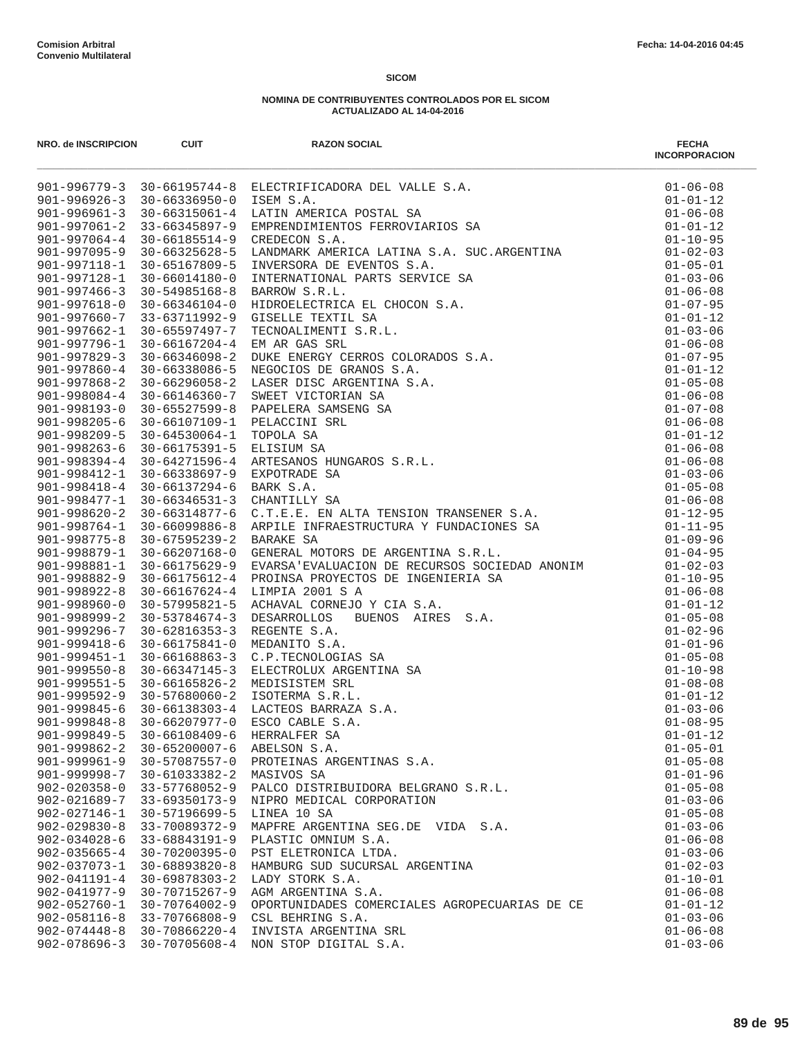|                                          |                                      | MALE MORE CAN ARRESTED AND MORE CAN ARREST AND A SUBSIDIAR SALE (1971-2012) $16-6511576$ and $17-361576$ and $17-361576$ and $17-361576$ and $17-361576$ and $17-361576$ and $17-361576$ and $17-361576$ and $17-361576$ and |                                  |
|------------------------------------------|--------------------------------------|------------------------------------------------------------------------------------------------------------------------------------------------------------------------------------------------------------------------------|----------------------------------|
|                                          |                                      |                                                                                                                                                                                                                              |                                  |
|                                          |                                      |                                                                                                                                                                                                                              |                                  |
|                                          |                                      |                                                                                                                                                                                                                              |                                  |
|                                          |                                      |                                                                                                                                                                                                                              |                                  |
|                                          |                                      |                                                                                                                                                                                                                              |                                  |
|                                          |                                      |                                                                                                                                                                                                                              |                                  |
|                                          |                                      |                                                                                                                                                                                                                              |                                  |
|                                          |                                      |                                                                                                                                                                                                                              |                                  |
|                                          |                                      |                                                                                                                                                                                                                              |                                  |
|                                          |                                      |                                                                                                                                                                                                                              |                                  |
|                                          |                                      |                                                                                                                                                                                                                              |                                  |
|                                          |                                      |                                                                                                                                                                                                                              |                                  |
|                                          |                                      |                                                                                                                                                                                                                              |                                  |
|                                          |                                      |                                                                                                                                                                                                                              |                                  |
|                                          |                                      |                                                                                                                                                                                                                              |                                  |
|                                          |                                      |                                                                                                                                                                                                                              |                                  |
|                                          |                                      |                                                                                                                                                                                                                              |                                  |
|                                          |                                      |                                                                                                                                                                                                                              |                                  |
|                                          |                                      |                                                                                                                                                                                                                              |                                  |
|                                          |                                      |                                                                                                                                                                                                                              |                                  |
|                                          |                                      |                                                                                                                                                                                                                              |                                  |
|                                          |                                      |                                                                                                                                                                                                                              |                                  |
|                                          |                                      |                                                                                                                                                                                                                              |                                  |
|                                          |                                      |                                                                                                                                                                                                                              |                                  |
|                                          |                                      |                                                                                                                                                                                                                              |                                  |
|                                          |                                      |                                                                                                                                                                                                                              |                                  |
|                                          |                                      |                                                                                                                                                                                                                              |                                  |
|                                          |                                      |                                                                                                                                                                                                                              |                                  |
|                                          |                                      |                                                                                                                                                                                                                              |                                  |
|                                          |                                      |                                                                                                                                                                                                                              |                                  |
|                                          |                                      |                                                                                                                                                                                                                              |                                  |
|                                          |                                      |                                                                                                                                                                                                                              |                                  |
|                                          |                                      |                                                                                                                                                                                                                              |                                  |
|                                          |                                      |                                                                                                                                                                                                                              |                                  |
|                                          |                                      |                                                                                                                                                                                                                              |                                  |
|                                          |                                      |                                                                                                                                                                                                                              |                                  |
|                                          |                                      |                                                                                                                                                                                                                              |                                  |
|                                          |                                      |                                                                                                                                                                                                                              |                                  |
|                                          |                                      |                                                                                                                                                                                                                              |                                  |
|                                          |                                      |                                                                                                                                                                                                                              |                                  |
|                                          |                                      |                                                                                                                                                                                                                              |                                  |
|                                          |                                      |                                                                                                                                                                                                                              |                                  |
|                                          |                                      |                                                                                                                                                                                                                              |                                  |
|                                          |                                      |                                                                                                                                                                                                                              |                                  |
|                                          |                                      |                                                                                                                                                                                                                              |                                  |
|                                          |                                      |                                                                                                                                                                                                                              |                                  |
| $902 - 027146 - 1$                       | 30-57196699-5                        | LINEA 10 SA                                                                                                                                                                                                                  | $01 - 05 - 08$                   |
| $902 - 029830 - 8$                       | 33-70089372-9                        | MAPFRE ARGENTINA SEG.DE VIDA S.A.                                                                                                                                                                                            | $01 - 03 - 06$                   |
| $902 - 034028 - 6$                       | 33-68843191-9                        | PLASTIC OMNIUM S.A.                                                                                                                                                                                                          | $01 - 06 - 08$                   |
| $902 - 035665 - 4$                       | 30-70200395-0                        | PST ELETRONICA LTDA.                                                                                                                                                                                                         | $01 - 03 - 06$                   |
| $902 - 037073 - 1$                       | $30 - 68893820 - 8$                  | HAMBURG SUD SUCURSAL ARGENTINA                                                                                                                                                                                               | $01 - 02 - 03$                   |
| $902 - 041191 - 4$                       | $30 - 69878303 - 2$                  | LADY STORK S.A.                                                                                                                                                                                                              | $01 - 10 - 01$                   |
| $902 - 041977 - 9$                       | 30-70715267-9                        | AGM ARGENTINA S.A.                                                                                                                                                                                                           | $01 - 06 - 08$                   |
| $902 - 052760 - 1$                       | 30-70764002-9                        | OPORTUNIDADES COMERCIALES AGROPECUARIAS DE CE                                                                                                                                                                                | $01 - 01 - 12$                   |
| $902 - 058116 - 8$<br>$902 - 074448 - 8$ | 33-70766808-9                        | CSL BEHRING S.A.                                                                                                                                                                                                             | $01 - 03 - 06$                   |
| $902 - 078696 - 3$                       | 30-70866220-4<br>$30 - 70705608 - 4$ | INVISTA ARGENTINA SRL<br>NON STOP DIGITAL S.A.                                                                                                                                                                               | $01 - 06 - 08$<br>$01 - 03 - 06$ |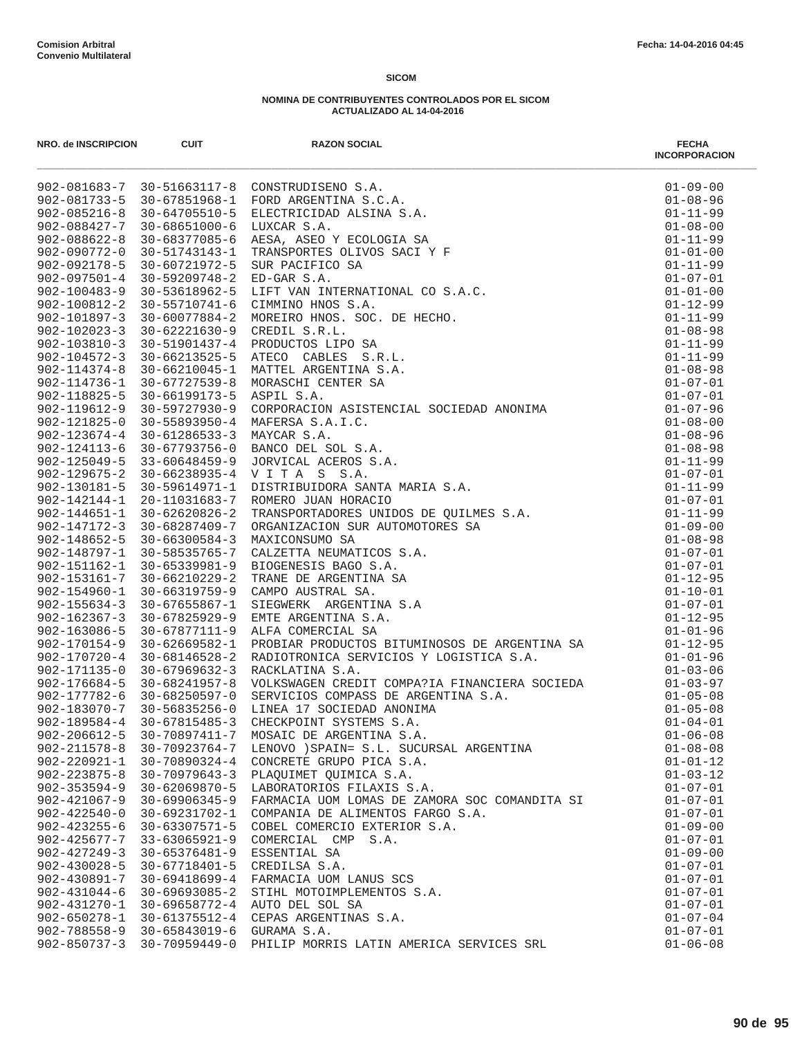| NRO. de INSCRIPCION                      | <b>CUIT</b>                                       | <b>RAZON SOCIAL</b>                                                                                                                                                                      | <b>FECHA</b><br><b>INCORPORACION</b> |
|------------------------------------------|---------------------------------------------------|------------------------------------------------------------------------------------------------------------------------------------------------------------------------------------------|--------------------------------------|
|                                          |                                                   | 902-081683-7 30-51663117-8 CONSTRUDISENO S.A.                                                                                                                                            | $01 - 09 - 00$                       |
|                                          |                                                   | 902-081733-5 30-67851968-1 FORD ARGENTINA S.C.A.                                                                                                                                         | $01 - 08 - 96$                       |
| $902 - 085216 - 8$                       |                                                   |                                                                                                                                                                                          | $01 - 11 - 99$                       |
| 902-088427-7                             |                                                   |                                                                                                                                                                                          | $01 - 08 - 00$                       |
| $902 - 088622 - 8$                       |                                                   |                                                                                                                                                                                          | $01 - 11 - 99$                       |
| 902-090772-0                             |                                                   |                                                                                                                                                                                          | $01 - 01 - 00$                       |
| $902 - 092178 - 5$                       |                                                   |                                                                                                                                                                                          | $01 - 11 - 99$                       |
| $902 - 097501 - 4$                       |                                                   |                                                                                                                                                                                          | $01 - 07 - 01$                       |
| $902 - 100483 - 9$<br>$902 - 100812 - 2$ |                                                   |                                                                                                                                                                                          | $01 - 01 - 00$<br>$01 - 12 - 99$     |
| $902 - 101897 - 3$                       |                                                   |                                                                                                                                                                                          | $01 - 11 - 99$                       |
| $902 - 102023 - 3$                       |                                                   |                                                                                                                                                                                          | $01 - 08 - 98$                       |
| $902 - 103810 - 3$                       |                                                   |                                                                                                                                                                                          | $01 - 11 - 99$                       |
| $902 - 104572 - 3$                       |                                                   |                                                                                                                                                                                          | $01 - 11 - 99$                       |
| 902-114374-8                             |                                                   |                                                                                                                                                                                          | $01 - 08 - 98$                       |
| $902 - 114736 - 1$                       |                                                   |                                                                                                                                                                                          | $01 - 07 - 01$                       |
| 902-118825-5                             |                                                   |                                                                                                                                                                                          | $01 - 07 - 01$                       |
| 902-119612-9                             |                                                   |                                                                                                                                                                                          | $01 - 07 - 96$                       |
| $902 - 121825 - 0$                       |                                                   |                                                                                                                                                                                          | $01 - 08 - 00$                       |
| $902 - 123674 - 4$                       |                                                   |                                                                                                                                                                                          | $01 - 08 - 96$                       |
| 902-124113-6                             |                                                   |                                                                                                                                                                                          | $01 - 08 - 98$                       |
| $902 - 125049 - 5$                       |                                                   |                                                                                                                                                                                          | $01 - 11 - 99$                       |
| $902 - 129675 - 2$                       |                                                   |                                                                                                                                                                                          | $01 - 07 - 01$                       |
| 902-130181-5                             |                                                   |                                                                                                                                                                                          | $01 - 11 - 99$                       |
| 902-142144-1                             |                                                   |                                                                                                                                                                                          | $01 - 07 - 01$                       |
| 902-144651-1                             | 902-147172-3 30-68287409-7                        |                                                                                                                                                                                          | $01 - 11 - 99$<br>$01 - 09 - 00$     |
|                                          | 902-148652-5 30-66300584-3                        |                                                                                                                                                                                          | $01 - 08 - 98$                       |
|                                          | 902-148797-1 30-58535765-7                        |                                                                                                                                                                                          | $01 - 07 - 01$                       |
|                                          | 902-151162-1 30-65339981-9                        |                                                                                                                                                                                          | $01 - 07 - 01$                       |
| 902-153161-7                             |                                                   |                                                                                                                                                                                          | $01 - 12 - 95$                       |
| 902-154960-1                             |                                                   |                                                                                                                                                                                          | $01 - 10 - 01$                       |
| $902 - 155634 - 3$                       |                                                   |                                                                                                                                                                                          | $01 - 07 - 01$                       |
| $902 - 162367 - 3$                       |                                                   |                                                                                                                                                                                          | $01 - 12 - 95$                       |
| $902 - 163086 - 5$                       |                                                   |                                                                                                                                                                                          | $01 - 01 - 96$                       |
| 902-170154-9                             | 30-62669582-1                                     | ALFA COMERCIAL SA<br>PROBIAR PRODUCTOS BITUMINOSOS DE ARGENTINA SA $01-12-95$<br>RADIOTRONICA SERVICIOS Y LOGISTICA S.A. $01-01-96$<br>01-03-06                                          |                                      |
| 902-170720-4                             | 30-68146528-2                                     |                                                                                                                                                                                          | 01-01-96<br>01-03-06                 |
| 902-171135-0                             | 30-67969632-3                                     | RACKLATINA S.A.                                                                                                                                                                          |                                      |
| $902 - 176684 - 5$                       | 30-68241957-8                                     | VOLKSWAGEN CREDIT COMPA?IA FINANCIERA SOCIEDA $01-03-97$<br>SERVICIOS COMPASS DE ARGENTINA S.A. $01-05-08$<br>LINEA 17 SOCIEDAD ANONIMA $01-05-08$<br>CHECKPOINT SYSTEMS S.A. $01-04-01$ |                                      |
|                                          | 902-177782-6 30-68250597-0                        |                                                                                                                                                                                          |                                      |
|                                          |                                                   | 902-183070-7 30-56835256-0 LINEA 17 SOCIEDAD ANONIMA                                                                                                                                     |                                      |
| $902 - 189584 - 4$<br>$902 - 206612 - 5$ | 30-67815485-3<br>30-70897411-7                    | CHECKPOINT SYSTEMS S.A.<br>MOSAIC DE ARGENTINA S.A.                                                                                                                                      | $01 - 04 - 01$<br>$01 - 06 - 08$     |
| $902 - 211578 - 8$                       | 30-70923764-7                                     | LENOVO ) SPAIN= S.L. SUCURSAL ARGENTINA                                                                                                                                                  | $01 - 08 - 08$                       |
| $902 - 220921 - 1$                       | 30-70890324-4                                     | CONCRETE GRUPO PICA S.A.                                                                                                                                                                 | $01 - 01 - 12$                       |
| $902 - 223875 - 8$                       | $30 - 70979643 - 3$                               | PLAQUIMET QUIMICA S.A.                                                                                                                                                                   | $01 - 03 - 12$                       |
| $902 - 353594 - 9$                       | 30-62069870-5                                     | LABORATORIOS FILAXIS S.A.                                                                                                                                                                | $01 - 07 - 01$                       |
| $902 - 421067 - 9$                       | $30 - 69906345 - 9$                               | FARMACIA UOM LOMAS DE ZAMORA SOC COMANDITA SI                                                                                                                                            | $01 - 07 - 01$                       |
| $902 - 422540 - 0$                       | 30-69231702-1                                     | COMPANIA DE ALIMENTOS FARGO S.A.                                                                                                                                                         | $01 - 07 - 01$                       |
| $902 - 423255 - 6$                       | 30-63307571-5                                     | COBEL COMERCIO EXTERIOR S.A.                                                                                                                                                             | $01 - 09 - 00$                       |
| $902 - 425677 - 7$                       | $33 - 63065921 - 9$                               | COMERCIAL CMP<br>S.A.                                                                                                                                                                    | $01 - 07 - 01$                       |
| $902 - 427249 - 3$                       | 30-65376481-9                                     | ESSENTIAL SA                                                                                                                                                                             | $01 - 09 - 00$                       |
| $902 - 430028 - 5$                       | 30-67718401-5                                     | CREDILSA S.A.                                                                                                                                                                            | $01 - 07 - 01$                       |
| $902 - 430891 - 7$                       | $30 - 69418699 - 4$                               | FARMACIA UOM LANUS SCS                                                                                                                                                                   | $01 - 07 - 01$                       |
| $902 - 431044 - 6$                       | 30-69693085-2                                     | STIHL MOTOIMPLEMENTOS S.A.                                                                                                                                                               | $01 - 07 - 01$                       |
| $902 - 431270 - 1$                       |                                                   | 30-69658772-4 AUTO DEL SOL SA                                                                                                                                                            | $01 - 07 - 01$                       |
| $902 - 650278 - 1$                       | 30-61375512-4                                     | CEPAS ARGENTINAS S.A.                                                                                                                                                                    | $01 - 07 - 04$                       |
| $902 - 850737 - 3$                       | $902 - 788558 - 9$ 30-65843019-6<br>30-70959449-0 | GURAMA S.A.<br>PHILIP MORRIS LATIN AMERICA SERVICES SRL                                                                                                                                  | $01 - 07 - 01$<br>$01 - 06 - 08$     |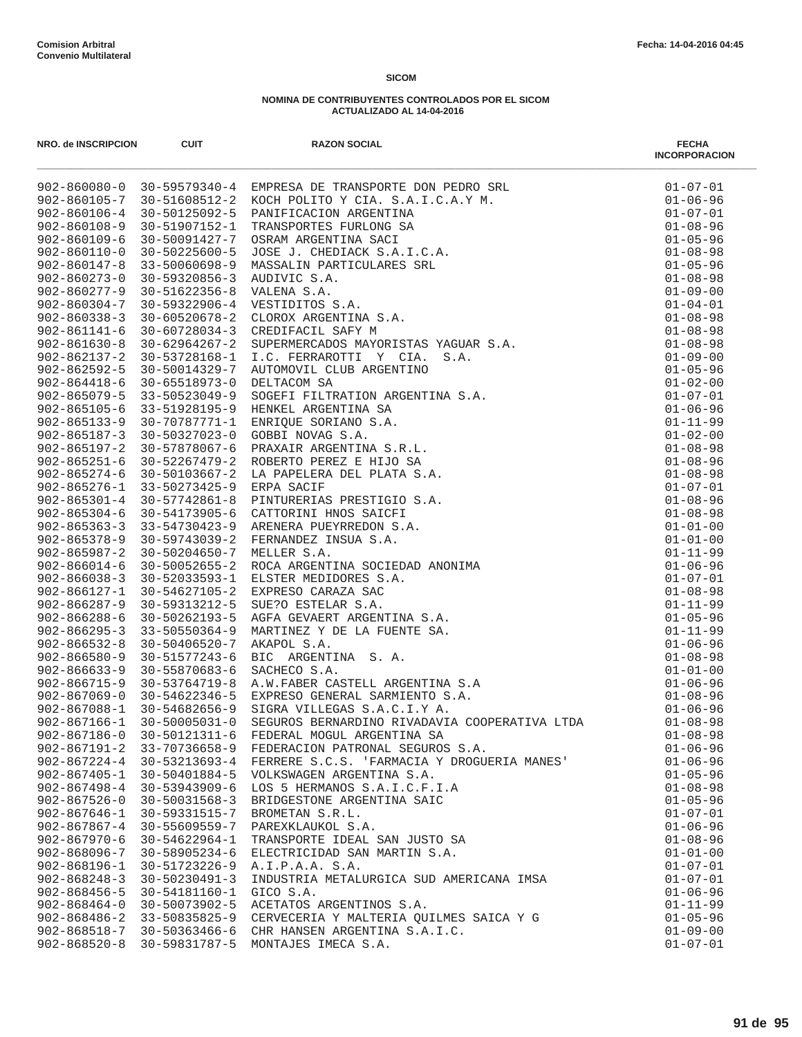| NRO. de INSCRIPCION                      | <b>CUIT</b>                    | <b>RAZON SOCIAL</b>                                           | <b>FECHA</b><br><b>INCORPORACION</b> |
|------------------------------------------|--------------------------------|---------------------------------------------------------------|--------------------------------------|
|                                          |                                |                                                               | $01 - 07 - 01$                       |
|                                          |                                |                                                               | $01 - 06 - 96$                       |
|                                          |                                |                                                               | $01 - 07 - 01$                       |
|                                          |                                |                                                               | $01 - 08 - 96$                       |
|                                          |                                |                                                               | $01 - 05 - 96$                       |
|                                          |                                |                                                               | $01 - 08 - 98$                       |
|                                          |                                |                                                               | $01 - 05 - 96$                       |
|                                          |                                |                                                               | $01 - 08 - 98$<br>$01 - 09 - 00$     |
|                                          |                                |                                                               | $01 - 04 - 01$                       |
|                                          |                                |                                                               | $01 - 08 - 98$                       |
|                                          |                                |                                                               | $01 - 08 - 98$                       |
|                                          |                                |                                                               | $01 - 08 - 98$                       |
|                                          |                                |                                                               | $01 - 09 - 00$                       |
|                                          |                                |                                                               | $01 - 05 - 96$                       |
|                                          |                                |                                                               | $01 - 02 - 00$                       |
|                                          |                                |                                                               | $01 - 07 - 01$                       |
|                                          |                                |                                                               | $01 - 06 - 96$                       |
|                                          |                                |                                                               | $01 - 11 - 99$                       |
|                                          |                                |                                                               | $01 - 02 - 00$                       |
|                                          |                                |                                                               | $01 - 08 - 98$                       |
|                                          |                                |                                                               | $01 - 08 - 96$<br>$01 - 08 - 98$     |
|                                          |                                |                                                               | $01 - 07 - 01$                       |
|                                          |                                |                                                               | $01 - 08 - 96$                       |
|                                          |                                |                                                               | $01 - 08 - 98$                       |
|                                          |                                |                                                               | $01 - 01 - 00$                       |
|                                          |                                |                                                               | $01 - 01 - 00$                       |
|                                          |                                |                                                               | $01 - 11 - 99$                       |
|                                          |                                |                                                               | $01 - 06 - 96$                       |
|                                          |                                |                                                               | $01 - 07 - 01$                       |
|                                          |                                |                                                               | $01 - 08 - 98$                       |
|                                          |                                |                                                               | $01 - 11 - 99$                       |
|                                          |                                |                                                               | $01 - 05 - 96$                       |
|                                          |                                |                                                               | $01 - 11 - 99$                       |
|                                          |                                |                                                               | $01 - 06 - 96$                       |
|                                          |                                |                                                               | $01 - 08 - 98$<br>$01 - 01 - 00$     |
|                                          |                                |                                                               | $01 - 06 - 96$                       |
|                                          |                                |                                                               | $01 - 08 - 96$                       |
|                                          |                                |                                                               | $01 - 06 - 96$                       |
| $902 - 867166 - 1$                       | $30 - 50005031 - 0$            | SEGUROS BERNARDINO RIVADAVIA COOPERATIVA LTDA                 | $01 - 08 - 98$                       |
| $902 - 867186 - 0$                       | $30 - 50121311 - 6$            | FEDERAL MOGUL ARGENTINA SA                                    | $01 - 08 - 98$                       |
| $902 - 867191 - 2$                       | 33-70736658-9                  | FEDERACION PATRONAL SEGUROS S.A.                              | $01 - 06 - 96$                       |
| $902 - 867224 - 4$                       | 30-53213693-4                  | FERRERE S.C.S. 'FARMACIA Y DROGUERIA MANES'                   | $01 - 06 - 96$                       |
| $902 - 867405 - 1$                       | 30-50401884-5                  | VOLKSWAGEN ARGENTINA S.A.                                     | $01 - 05 - 96$                       |
| $902 - 867498 - 4$                       | 30-53943909-6                  | LOS 5 HERMANOS S.A.I.C.F.I.A                                  | $01 - 08 - 98$                       |
| $902 - 867526 - 0$                       | $30 - 50031568 - 3$            | BRIDGESTONE ARGENTINA SAIC                                    | $01 - 05 - 96$                       |
| $902 - 867646 - 1$                       | 30-59331515-7                  | BROMETAN S.R.L.                                               | $01 - 07 - 01$                       |
| $902 - 867867 - 4$                       | 30-55609559-7                  | PAREXKLAUKOL S.A.                                             | $01 - 06 - 96$                       |
| $902 - 867970 - 6$<br>$902 - 868096 - 7$ | $30 - 54622964 - 1$            | TRANSPORTE IDEAL SAN JUSTO SA<br>ELECTRICIDAD SAN MARTIN S.A. | $01 - 08 - 96$                       |
| $902 - 868196 - 1$                       | 30-58905234-6<br>30-51723226-9 | A.I.P.A.A. S.A.                                               | $01 - 01 - 00$<br>$01 - 07 - 01$     |
| $902 - 868248 - 3$                       | $30 - 50230491 - 3$            | INDUSTRIA METALURGICA SUD AMERICANA IMSA                      | $01 - 07 - 01$                       |
| $902 - 868456 - 5$                       | 30-54181160-1                  | GICO S.A.                                                     | $01 - 06 - 96$                       |
| $902 - 868464 - 0$                       | 30-50073902-5                  | ACETATOS ARGENTINOS S.A.                                      | $01 - 11 - 99$                       |
| $902 - 868486 - 2$                       | 33-50835825-9                  | CERVECERIA Y MALTERIA QUILMES SAICA Y G                       | $01 - 05 - 96$                       |
| $902 - 868518 - 7$                       | 30-50363466-6                  | CHR HANSEN ARGENTINA S.A.I.C.                                 | $01 - 09 - 00$                       |
| $902 - 868520 - 8$                       | 30-59831787-5                  | MONTAJES IMECA S.A.                                           | $01 - 07 - 01$                       |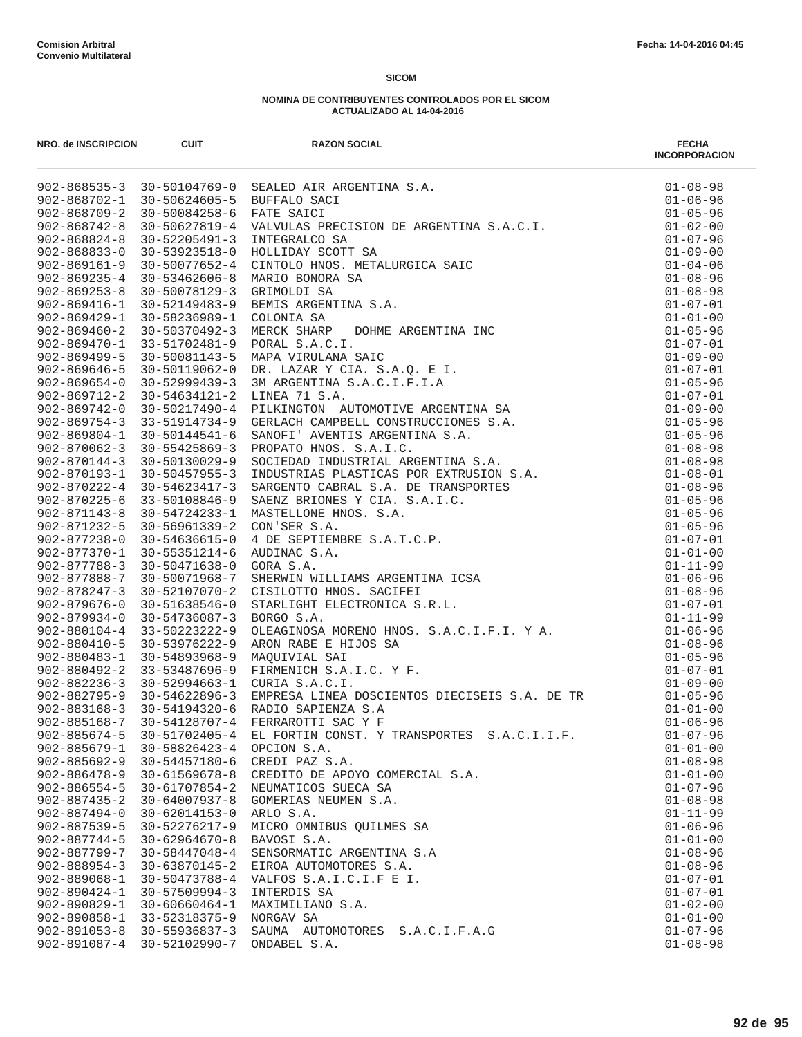| NRO. de INSCRIPCION | <b>CUIT</b>         | <b>RAZON SOCIAL</b>                         | <b>FECHA</b><br><b>INCORPORACION</b> |
|---------------------|---------------------|---------------------------------------------|--------------------------------------|
|                     |                     |                                             |                                      |
|                     |                     |                                             |                                      |
|                     |                     |                                             |                                      |
|                     |                     |                                             |                                      |
|                     |                     |                                             |                                      |
|                     |                     |                                             |                                      |
|                     |                     |                                             |                                      |
|                     |                     |                                             |                                      |
|                     |                     |                                             |                                      |
|                     |                     |                                             |                                      |
|                     |                     |                                             |                                      |
|                     |                     |                                             |                                      |
|                     |                     |                                             |                                      |
|                     |                     |                                             |                                      |
|                     |                     |                                             |                                      |
|                     |                     |                                             |                                      |
|                     |                     |                                             |                                      |
|                     |                     |                                             |                                      |
|                     |                     |                                             |                                      |
|                     |                     |                                             |                                      |
|                     |                     |                                             |                                      |
|                     |                     |                                             |                                      |
|                     |                     |                                             |                                      |
|                     |                     |                                             |                                      |
|                     |                     |                                             |                                      |
|                     |                     |                                             |                                      |
|                     |                     |                                             |                                      |
|                     |                     |                                             |                                      |
|                     |                     |                                             |                                      |
|                     |                     |                                             |                                      |
|                     |                     |                                             |                                      |
|                     |                     |                                             |                                      |
|                     |                     |                                             |                                      |
|                     |                     |                                             |                                      |
|                     |                     |                                             |                                      |
|                     |                     |                                             |                                      |
|                     |                     |                                             |                                      |
|                     |                     |                                             |                                      |
|                     |                     |                                             |                                      |
|                     |                     |                                             |                                      |
|                     |                     |                                             |                                      |
| $902 - 885674 - 5$  | 30-51702405-4       | EL FORTIN CONST. Y TRANSPORTES S.A.C.I.I.F. | $01 - 07 - 96$                       |
| $902 - 885679 - 1$  | 30-58826423-4       | OPCION S.A.                                 | $01 - 01 - 00$                       |
| $902 - 885692 - 9$  | $30 - 54457180 - 6$ | CREDI PAZ S.A.                              | $01 - 08 - 98$                       |
| $902 - 886478 - 9$  | $30 - 61569678 - 8$ | CREDITO DE APOYO COMERCIAL S.A.             | $01 - 01 - 00$                       |
| $902 - 886554 - 5$  | 30-61707854-2       | NEUMATICOS SUECA SA                         | $01 - 07 - 96$                       |
| $902 - 887435 - 2$  | $30 - 64007937 - 8$ | GOMERIAS NEUMEN S.A.                        | $01 - 08 - 98$                       |
| $902 - 887494 - 0$  | $30 - 62014153 - 0$ | ARLO S.A.                                   | $01 - 11 - 99$                       |
| $902 - 887539 - 5$  | 30-52276217-9       | MICRO OMNIBUS QUILMES SA                    | $01 - 06 - 96$                       |
| $902 - 887744 - 5$  | $30 - 62964670 - 8$ | BAVOSI S.A.                                 | $01 - 01 - 00$                       |
| $902 - 887799 - 7$  | 30-58447048-4       | SENSORMATIC ARGENTINA S.A                   | $01 - 08 - 96$                       |
| $902 - 888954 - 3$  | $30 - 63870145 - 2$ | EIROA AUTOMOTORES S.A.                      | $01 - 08 - 96$                       |
| 902-889068-1        | 30-50473788-4       | VALFOS S.A.I.C.I.F E I.                     | $01 - 07 - 01$                       |
| $902 - 890424 - 1$  | $30 - 57509994 - 3$ | INTERDIS SA                                 | $01 - 07 - 01$                       |
| $902 - 890829 - 1$  | 30-60660464-1       | MAXIMILIANO S.A.                            | $01 - 02 - 00$                       |
| 902-890858-1        | 33-52318375-9       | NORGAV SA                                   | $01 - 01 - 00$                       |
| $902 - 891053 - 8$  | 30-55936837-3       | SAUMA AUTOMOTORES S.A.C.I.F.A.G             | $01 - 07 - 96$                       |
| $902 - 891087 - 4$  | 30-52102990-7       | ONDABEL S.A.                                | $01 - 08 - 98$                       |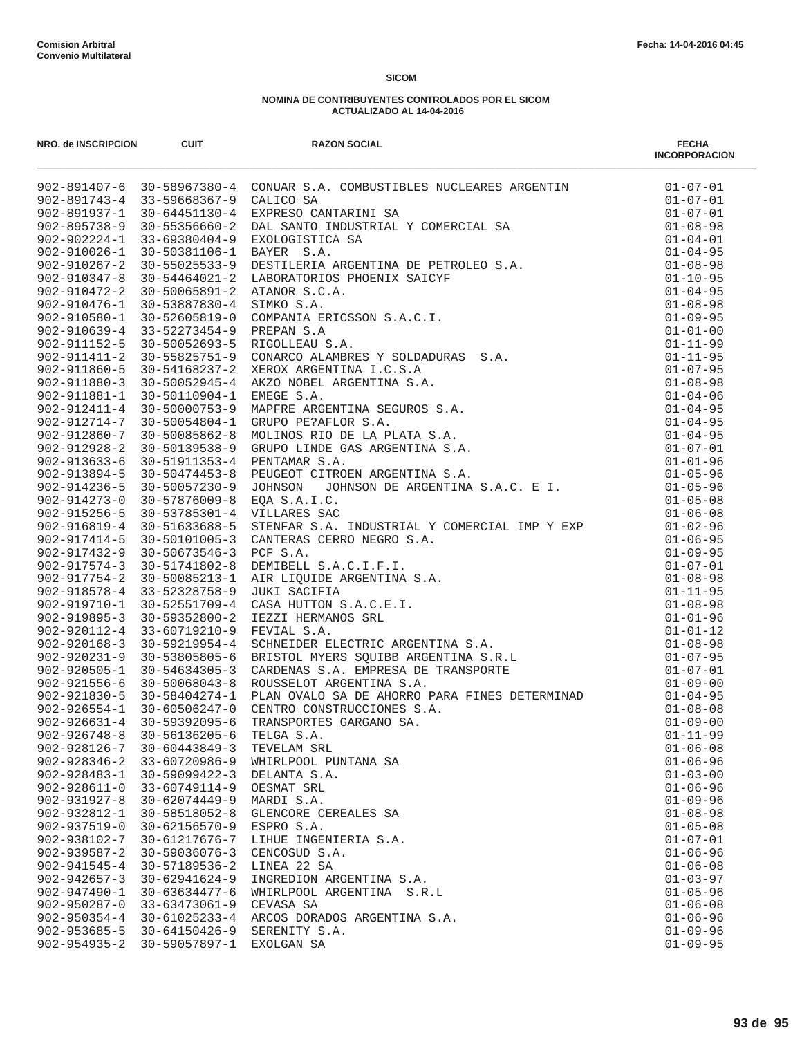| NRO. de INSCRIPCION                      | <b>CUIT</b>                             | <b>RAZON SOCIAL</b>                                                                                                                                                                                                                                                                                                           | <b>FECHA</b><br><b>INCORPORACION</b> |
|------------------------------------------|-----------------------------------------|-------------------------------------------------------------------------------------------------------------------------------------------------------------------------------------------------------------------------------------------------------------------------------------------------------------------------------|--------------------------------------|
|                                          |                                         | $\begin{tabular}{l cccc} $92-891407-6$ & $30-58967380-4$ & CONMAR S.A. COMBUSTIDEES NUCLARES ARGENTIN & 01-07-01\\ $902-891937-1$ & $30-54643130-4$ & CONIAC S.A. COMBUSTIDEES NUCLARES ARGENTIN & 01-07-01\\ $902-891937-1$ & $30-54545130-4$ & E,XRERS O CANTARINT S.A & 01-07-01\\ $902-995738-9$ & $30-59380404-9$ & BXX$ |                                      |
|                                          |                                         |                                                                                                                                                                                                                                                                                                                               |                                      |
|                                          |                                         |                                                                                                                                                                                                                                                                                                                               |                                      |
|                                          |                                         |                                                                                                                                                                                                                                                                                                                               |                                      |
|                                          |                                         |                                                                                                                                                                                                                                                                                                                               |                                      |
|                                          |                                         |                                                                                                                                                                                                                                                                                                                               |                                      |
|                                          |                                         |                                                                                                                                                                                                                                                                                                                               |                                      |
|                                          |                                         |                                                                                                                                                                                                                                                                                                                               |                                      |
|                                          |                                         |                                                                                                                                                                                                                                                                                                                               |                                      |
|                                          |                                         |                                                                                                                                                                                                                                                                                                                               |                                      |
|                                          |                                         |                                                                                                                                                                                                                                                                                                                               |                                      |
|                                          |                                         |                                                                                                                                                                                                                                                                                                                               |                                      |
|                                          |                                         |                                                                                                                                                                                                                                                                                                                               |                                      |
|                                          |                                         |                                                                                                                                                                                                                                                                                                                               |                                      |
|                                          |                                         |                                                                                                                                                                                                                                                                                                                               |                                      |
|                                          |                                         |                                                                                                                                                                                                                                                                                                                               |                                      |
|                                          |                                         |                                                                                                                                                                                                                                                                                                                               |                                      |
|                                          |                                         |                                                                                                                                                                                                                                                                                                                               |                                      |
|                                          |                                         |                                                                                                                                                                                                                                                                                                                               |                                      |
|                                          |                                         |                                                                                                                                                                                                                                                                                                                               |                                      |
|                                          |                                         |                                                                                                                                                                                                                                                                                                                               |                                      |
|                                          |                                         |                                                                                                                                                                                                                                                                                                                               |                                      |
|                                          |                                         |                                                                                                                                                                                                                                                                                                                               |                                      |
|                                          |                                         |                                                                                                                                                                                                                                                                                                                               |                                      |
|                                          | 902-915256-5 30-53785301-4 VILLARES SAC |                                                                                                                                                                                                                                                                                                                               | $01 - 06 - 08$                       |
|                                          |                                         |                                                                                                                                                                                                                                                                                                                               |                                      |
|                                          |                                         |                                                                                                                                                                                                                                                                                                                               |                                      |
|                                          |                                         |                                                                                                                                                                                                                                                                                                                               |                                      |
|                                          |                                         |                                                                                                                                                                                                                                                                                                                               |                                      |
|                                          |                                         |                                                                                                                                                                                                                                                                                                                               |                                      |
|                                          |                                         |                                                                                                                                                                                                                                                                                                                               |                                      |
|                                          |                                         |                                                                                                                                                                                                                                                                                                                               |                                      |
|                                          |                                         |                                                                                                                                                                                                                                                                                                                               |                                      |
|                                          |                                         |                                                                                                                                                                                                                                                                                                                               |                                      |
|                                          |                                         |                                                                                                                                                                                                                                                                                                                               |                                      |
|                                          |                                         |                                                                                                                                                                                                                                                                                                                               |                                      |
|                                          |                                         |                                                                                                                                                                                                                                                                                                                               |                                      |
|                                          |                                         |                                                                                                                                                                                                                                                                                                                               |                                      |
|                                          |                                         |                                                                                                                                                                                                                                                                                                                               |                                      |
|                                          |                                         |                                                                                                                                                                                                                                                                                                                               |                                      |
|                                          |                                         |                                                                                                                                                                                                                                                                                                                               |                                      |
| $902 - 926748 - 8$                       | $30 - 56136205 - 6$                     | TELGA S.A.                                                                                                                                                                                                                                                                                                                    | $01 - 11 - 99$                       |
| 902-928126-7                             | $30 - 60443849 - 3$                     | TEVELAM SRL                                                                                                                                                                                                                                                                                                                   | $01 - 06 - 08$                       |
| $902 - 928346 - 2$                       | 33-60720986-9                           | WHIRLPOOL PUNTANA SA                                                                                                                                                                                                                                                                                                          | $01 - 06 - 96$                       |
| $902 - 928483 - 1$                       | $30 - 59099422 - 3$                     | DELANTA S.A.                                                                                                                                                                                                                                                                                                                  | $01 - 03 - 00$                       |
| $902 - 928611 - 0$                       | 33-60749114-9                           | OESMAT SRL                                                                                                                                                                                                                                                                                                                    | $01 - 06 - 96$                       |
| $902 - 931927 - 8$                       | $30 - 62074449 - 9$                     | MARDI S.A.                                                                                                                                                                                                                                                                                                                    | $01 - 09 - 96$                       |
| 902-932812-1                             | 30-58518052-8                           | GLENCORE CEREALES SA                                                                                                                                                                                                                                                                                                          | $01 - 08 - 98$                       |
| $902 - 937519 - 0$                       | $30 - 62156570 - 9$                     | ESPRO S.A.                                                                                                                                                                                                                                                                                                                    | $01 - 05 - 08$                       |
| 902-938102-7                             | 30-61217676-7                           | LIHUE INGENIERIA S.A.                                                                                                                                                                                                                                                                                                         | $01 - 07 - 01$                       |
| $902 - 939587 - 2$                       | $30 - 59036076 - 3$                     | CENCOSUD S.A.                                                                                                                                                                                                                                                                                                                 | $01 - 06 - 96$                       |
| $902 - 941545 - 4$                       | $30 - 57189536 - 2$                     | LINEA 22 SA                                                                                                                                                                                                                                                                                                                   | $01 - 06 - 08$                       |
| $902 - 942657 - 3$                       | $30 - 62941624 - 9$                     | INGREDION ARGENTINA S.A.                                                                                                                                                                                                                                                                                                      | $01 - 03 - 97$                       |
| $902 - 947490 - 1$                       | 30-63634477-6                           | WHIRLPOOL ARGENTINA S.R.L                                                                                                                                                                                                                                                                                                     | $01 - 05 - 96$                       |
| $902 - 950287 - 0$                       | 33-63473061-9                           | CEVASA SA                                                                                                                                                                                                                                                                                                                     | $01 - 06 - 08$                       |
| $902 - 950354 - 4$                       | $30 - 61025233 - 4$                     | ARCOS DORADOS ARGENTINA S.A.                                                                                                                                                                                                                                                                                                  | $01 - 06 - 96$                       |
| $902 - 953685 - 5$<br>$902 - 954935 - 2$ | $30 - 64150426 - 9$<br>30-59057897-1    | SERENITY S.A.<br>EXOLGAN SA                                                                                                                                                                                                                                                                                                   | $01 - 09 - 96$<br>$01 - 09 - 95$     |
|                                          |                                         |                                                                                                                                                                                                                                                                                                                               |                                      |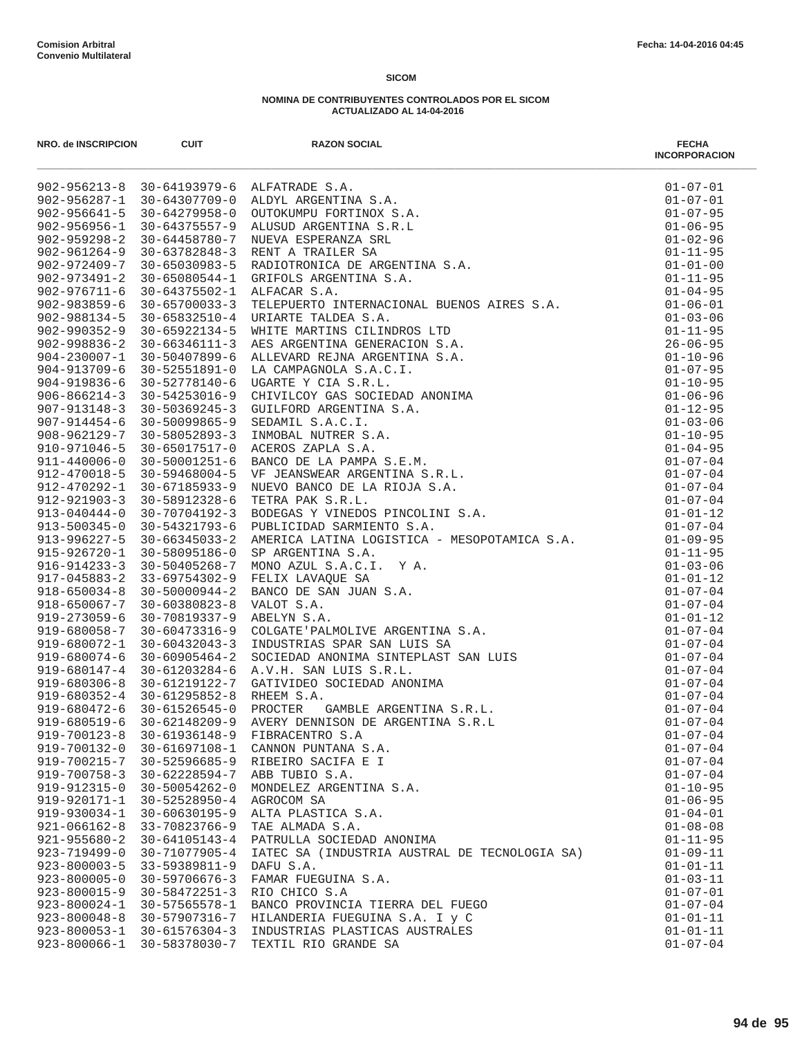| NRO. de INSCRIPCION                      | <b>CUIT</b>                                | <b>RAZON SOCIAL</b><br>external to the state of the state of the state of the state of the state of the state of the state of the state of the state of the state of the state of the state of the state of the state of the state of the state of t | <b>FECHA</b><br><b>INCORPORACION</b> |
|------------------------------------------|--------------------------------------------|------------------------------------------------------------------------------------------------------------------------------------------------------------------------------------------------------------------------------------------------------|--------------------------------------|
|                                          |                                            |                                                                                                                                                                                                                                                      |                                      |
|                                          |                                            |                                                                                                                                                                                                                                                      |                                      |
|                                          |                                            |                                                                                                                                                                                                                                                      |                                      |
|                                          |                                            |                                                                                                                                                                                                                                                      |                                      |
|                                          |                                            |                                                                                                                                                                                                                                                      |                                      |
|                                          |                                            |                                                                                                                                                                                                                                                      |                                      |
|                                          |                                            |                                                                                                                                                                                                                                                      |                                      |
|                                          |                                            |                                                                                                                                                                                                                                                      |                                      |
|                                          |                                            |                                                                                                                                                                                                                                                      |                                      |
|                                          |                                            |                                                                                                                                                                                                                                                      |                                      |
|                                          |                                            |                                                                                                                                                                                                                                                      |                                      |
|                                          |                                            |                                                                                                                                                                                                                                                      |                                      |
|                                          |                                            |                                                                                                                                                                                                                                                      |                                      |
|                                          |                                            |                                                                                                                                                                                                                                                      |                                      |
|                                          |                                            |                                                                                                                                                                                                                                                      |                                      |
|                                          |                                            |                                                                                                                                                                                                                                                      |                                      |
|                                          |                                            |                                                                                                                                                                                                                                                      |                                      |
|                                          |                                            |                                                                                                                                                                                                                                                      |                                      |
|                                          |                                            |                                                                                                                                                                                                                                                      |                                      |
|                                          |                                            |                                                                                                                                                                                                                                                      |                                      |
|                                          |                                            |                                                                                                                                                                                                                                                      |                                      |
|                                          |                                            |                                                                                                                                                                                                                                                      |                                      |
|                                          |                                            |                                                                                                                                                                                                                                                      |                                      |
|                                          |                                            |                                                                                                                                                                                                                                                      |                                      |
|                                          |                                            |                                                                                                                                                                                                                                                      |                                      |
|                                          |                                            |                                                                                                                                                                                                                                                      |                                      |
|                                          |                                            |                                                                                                                                                                                                                                                      |                                      |
|                                          |                                            |                                                                                                                                                                                                                                                      |                                      |
|                                          |                                            |                                                                                                                                                                                                                                                      |                                      |
|                                          |                                            |                                                                                                                                                                                                                                                      |                                      |
|                                          |                                            |                                                                                                                                                                                                                                                      |                                      |
|                                          |                                            |                                                                                                                                                                                                                                                      |                                      |
|                                          |                                            |                                                                                                                                                                                                                                                      |                                      |
|                                          |                                            |                                                                                                                                                                                                                                                      |                                      |
|                                          |                                            |                                                                                                                                                                                                                                                      |                                      |
|                                          |                                            |                                                                                                                                                                                                                                                      |                                      |
|                                          |                                            |                                                                                                                                                                                                                                                      |                                      |
|                                          |                                            |                                                                                                                                                                                                                                                      |                                      |
|                                          |                                            |                                                                                                                                                                                                                                                      |                                      |
|                                          |                                            |                                                                                                                                                                                                                                                      |                                      |
|                                          |                                            |                                                                                                                                                                                                                                                      |                                      |
| $919 - 700123 - 8$                       | $30 - 61936148 - 9$                        | FIBRACENTRO S.A                                                                                                                                                                                                                                      | $01 - 07 - 04$                       |
| 919-700132-0                             | 30-61697108-1                              | CANNON PUNTANA S.A.                                                                                                                                                                                                                                  | $01 - 07 - 04$                       |
| 919-700215-7                             | $30 - 52596685 - 9$                        | RIBEIRO SACIFA E I                                                                                                                                                                                                                                   | $01 - 07 - 04$                       |
| $919 - 700758 - 3$                       | $30 - 62228594 - 7$                        | ABB TUBIO S.A.                                                                                                                                                                                                                                       | $01 - 07 - 04$                       |
| 919-912315-0                             | 30-50054262-0                              | MONDELEZ ARGENTINA S.A.                                                                                                                                                                                                                              | $01 - 10 - 95$                       |
| 919-920171-1                             | $30 - 52528950 - 4$                        | AGROCOM SA                                                                                                                                                                                                                                           | $01 - 06 - 95$                       |
| 919-930034-1                             | 30-60630195-9                              | ALTA PLASTICA S.A.                                                                                                                                                                                                                                   | $01 - 04 - 01$                       |
| $921 - 066162 - 8$                       | 33-70823766-9                              | TAE ALMADA S.A.                                                                                                                                                                                                                                      | $01 - 08 - 08$                       |
| $921 - 955680 - 2$                       | $30 - 64105143 - 4$                        | PATRULLA SOCIEDAD ANONIMA                                                                                                                                                                                                                            | $01 - 11 - 95$                       |
| 923-719499-0<br>$923 - 800003 - 5$       | 30-71077905-4                              | IATEC SA (INDUSTRIA AUSTRAL DE TECNOLOGIA SA)                                                                                                                                                                                                        | $01 - 09 - 11$                       |
| $923 - 800005 - 0$                       | 33-59389811-9                              | DAFU S.A.                                                                                                                                                                                                                                            | $01 - 01 - 11$                       |
|                                          | $30 - 59706676 - 3$<br>$30 - 58472251 - 3$ | FAMAR FUEGUINA S.A.                                                                                                                                                                                                                                  | $01 - 03 - 11$                       |
| $923 - 800015 - 9$<br>$923 - 800024 - 1$ | 30-57565578-1                              | RIO CHICO S.A<br>BANCO PROVINCIA TIERRA DEL FUEGO                                                                                                                                                                                                    | $01 - 07 - 01$<br>$01 - 07 - 04$     |
| $923 - 800048 - 8$                       | 30-57907316-7                              | HILANDERIA FUEGUINA S.A. I y C                                                                                                                                                                                                                       | $01 - 01 - 11$                       |
| $923 - 800053 - 1$                       | 30-61576304-3                              | INDUSTRIAS PLASTICAS AUSTRALES                                                                                                                                                                                                                       | $01 - 01 - 11$                       |
| $923 - 800066 - 1$                       | 30-58378030-7                              | TEXTIL RIO GRANDE SA                                                                                                                                                                                                                                 | $01 - 07 - 04$                       |
|                                          |                                            |                                                                                                                                                                                                                                                      |                                      |